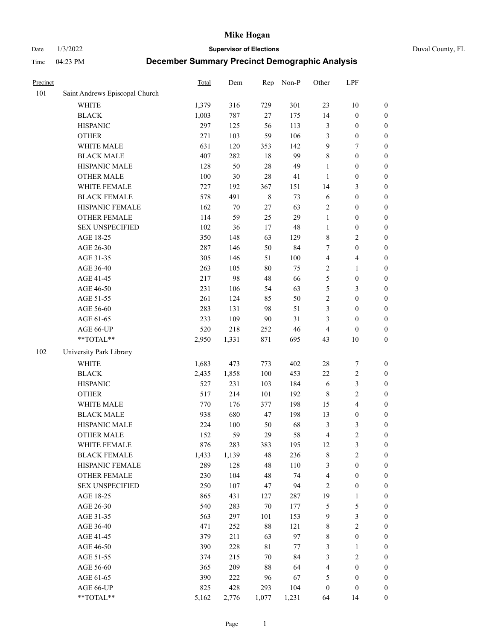Date 1/3/2022 **Supervisor of Elections** Duval County, FL

| Precinct |                                | Total | Dem   | Rep         | Non-P  | Other            | LPF                     |                  |
|----------|--------------------------------|-------|-------|-------------|--------|------------------|-------------------------|------------------|
| 101      | Saint Andrews Episcopal Church |       |       |             |        |                  |                         |                  |
|          | <b>WHITE</b>                   | 1,379 | 316   | 729         | 301    | 23               | $10\,$                  | $\boldsymbol{0}$ |
|          | <b>BLACK</b>                   | 1,003 | 787   | $27\,$      | 175    | 14               | $\boldsymbol{0}$        | $\boldsymbol{0}$ |
|          | <b>HISPANIC</b>                | 297   | 125   | 56          | 113    | 3                | $\boldsymbol{0}$        | $\boldsymbol{0}$ |
|          | <b>OTHER</b>                   | 271   | 103   | 59          | 106    | 3                | $\boldsymbol{0}$        | $\boldsymbol{0}$ |
|          | WHITE MALE                     | 631   | 120   | 353         | 142    | 9                | $\tau$                  | $\boldsymbol{0}$ |
|          | <b>BLACK MALE</b>              | 407   | 282   | 18          | 99     | 8                | $\boldsymbol{0}$        | $\boldsymbol{0}$ |
|          | HISPANIC MALE                  | 128   | 50    | 28          | 49     | $\mathbf{1}$     | $\boldsymbol{0}$        | $\boldsymbol{0}$ |
|          | <b>OTHER MALE</b>              | 100   | 30    | 28          | 41     | $\mathbf{1}$     | $\boldsymbol{0}$        | $\boldsymbol{0}$ |
|          | WHITE FEMALE                   | 727   | 192   | 367         | 151    | 14               | $\mathfrak{Z}$          | $\boldsymbol{0}$ |
|          | <b>BLACK FEMALE</b>            | 578   | 491   | $\,8\,$     | 73     | 6                | $\boldsymbol{0}$        | 0                |
|          | HISPANIC FEMALE                | 162   | 70    | 27          | 63     | $\sqrt{2}$       | $\boldsymbol{0}$        | $\boldsymbol{0}$ |
|          | OTHER FEMALE                   | 114   | 59    | 25          | 29     | $\mathbf{1}$     | $\boldsymbol{0}$        | $\boldsymbol{0}$ |
|          | <b>SEX UNSPECIFIED</b>         | 102   | 36    | 17          | 48     | $\mathbf{1}$     | $\boldsymbol{0}$        | $\boldsymbol{0}$ |
|          | AGE 18-25                      | 350   | 148   | 63          | 129    | 8                | $\sqrt{2}$              | $\boldsymbol{0}$ |
|          | AGE 26-30                      | 287   | 146   | 50          | 84     | 7                | $\boldsymbol{0}$        | $\boldsymbol{0}$ |
|          | AGE 31-35                      | 305   | 146   | 51          | 100    | 4                | $\overline{\mathbf{4}}$ | $\boldsymbol{0}$ |
|          | AGE 36-40                      | 263   | 105   | 80          | 75     | 2                | $\mathbf{1}$            | $\boldsymbol{0}$ |
|          | AGE 41-45                      | 217   | 98    | 48          | 66     | 5                | $\boldsymbol{0}$        | $\boldsymbol{0}$ |
|          | AGE 46-50                      | 231   | 106   | 54          | 63     | 5                | $\mathfrak{Z}$          | $\boldsymbol{0}$ |
|          | AGE 51-55                      | 261   | 124   | 85          | 50     | $\sqrt{2}$       | $\boldsymbol{0}$        | 0                |
|          | AGE 56-60                      | 283   | 131   | 98          | 51     | 3                | $\boldsymbol{0}$        | $\boldsymbol{0}$ |
|          | AGE 61-65                      | 233   | 109   | $90\,$      | 31     | 3                | $\boldsymbol{0}$        | $\boldsymbol{0}$ |
|          | AGE 66-UP                      | 520   | 218   | 252         | 46     | 4                | $\boldsymbol{0}$        | $\boldsymbol{0}$ |
|          | **TOTAL**                      | 2,950 | 1,331 | 871         | 695    | 43               | $10\,$                  | $\boldsymbol{0}$ |
| 102      | University Park Library        |       |       |             |        |                  |                         |                  |
|          | <b>WHITE</b>                   | 1,683 | 473   | 773         | 402    | 28               | 7                       | $\boldsymbol{0}$ |
|          | <b>BLACK</b>                   | 2,435 | 1,858 | 100         | 453    | 22               | $\sqrt{2}$              | $\boldsymbol{0}$ |
|          | <b>HISPANIC</b>                | 527   | 231   | 103         | 184    | 6                | $\mathfrak{Z}$          | $\boldsymbol{0}$ |
|          | <b>OTHER</b>                   | 517   | 214   | 101         | 192    | $\,$ 8 $\,$      | $\sqrt{2}$              | $\boldsymbol{0}$ |
|          | WHITE MALE                     | 770   | 176   | 377         | 198    | 15               | $\overline{\mathbf{4}}$ | $\boldsymbol{0}$ |
|          | <b>BLACK MALE</b>              | 938   | 680   | 47          | 198    | 13               | $\boldsymbol{0}$        | $\boldsymbol{0}$ |
|          | HISPANIC MALE                  | 224   | 100   | 50          | 68     | 3                | 3                       | 0                |
|          | <b>OTHER MALE</b>              | 152   | 59    | 29          | 58     | $\overline{4}$   | $\overline{c}$          | $\boldsymbol{0}$ |
|          | WHITE FEMALE                   | 876   | 283   | 383         | 195    | 12               | 3                       | $\boldsymbol{0}$ |
|          | <b>BLACK FEMALE</b>            | 1,433 | 1,139 | 48          | 236    | 8                | $\sqrt{2}$              | $\boldsymbol{0}$ |
|          | HISPANIC FEMALE                | 289   | 128   | 48          | 110    | 3                | $\boldsymbol{0}$        | $\overline{0}$   |
|          | <b>OTHER FEMALE</b>            | 230   | 104   | 48          | 74     | $\overline{4}$   | $\boldsymbol{0}$        | $\overline{0}$   |
|          | <b>SEX UNSPECIFIED</b>         | 250   | 107   | 47          | 94     | $\sqrt{2}$       | $\boldsymbol{0}$        | 0                |
|          | AGE 18-25                      | 865   | 431   | 127         | 287    | 19               | $\mathbf{1}$            | 0                |
|          | AGE 26-30                      | 540   | 283   | $70\,$      | 177    | 5                | $\mathfrak s$           | 0                |
|          | AGE 31-35                      | 563   | 297   | 101         | 153    | 9                | $\mathfrak{Z}$          | 0                |
|          | AGE 36-40                      | 471   | 252   | $88\,$      | 121    | 8                | $\sqrt{2}$              | 0                |
|          | AGE 41-45                      | 379   | 211   | 63          | 97     | $\,$ 8 $\,$      | $\boldsymbol{0}$        | 0                |
|          | AGE 46-50                      | 390   | 228   | $8\sqrt{1}$ | $77\,$ | 3                | $\mathbf{1}$            | 0                |
|          | AGE 51-55                      | 374   | 215   | 70          | 84     | 3                | $\sqrt{2}$              | $\boldsymbol{0}$ |
|          | AGE 56-60                      | 365   | 209   | $88\,$      | 64     | 4                | $\boldsymbol{0}$        | $\boldsymbol{0}$ |
|          | AGE 61-65                      | 390   | 222   | 96          | 67     | 5                | $\boldsymbol{0}$        | 0                |
|          | AGE 66-UP                      | 825   | 428   | 293         | 104    | $\boldsymbol{0}$ | $\boldsymbol{0}$        | 0                |
|          | **TOTAL**                      | 5,162 | 2,776 | 1,077       | 1,231  | 64               | 14                      | $\boldsymbol{0}$ |
|          |                                |       |       |             |        |                  |                         |                  |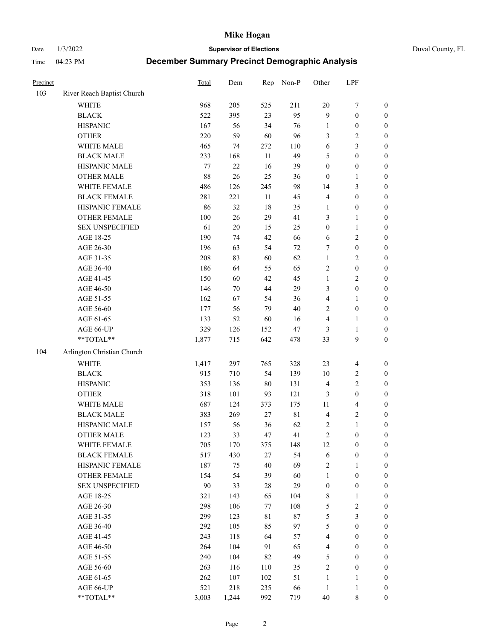Date 1/3/2022 **Supervisor of Elections** Duval County, FL

| Precinct |                            | <b>Total</b> | Dem    | Rep         | Non-P       | Other            | LPF              |                  |
|----------|----------------------------|--------------|--------|-------------|-------------|------------------|------------------|------------------|
| 103      | River Reach Baptist Church |              |        |             |             |                  |                  |                  |
|          | <b>WHITE</b>               | 968          | 205    | 525         | 211         | $20\,$           | $\boldsymbol{7}$ | 0                |
|          | <b>BLACK</b>               | 522          | 395    | 23          | 95          | 9                | $\boldsymbol{0}$ | $\boldsymbol{0}$ |
|          | <b>HISPANIC</b>            | 167          | 56     | 34          | 76          | $\mathbf{1}$     | $\boldsymbol{0}$ | $\boldsymbol{0}$ |
|          | <b>OTHER</b>               | 220          | 59     | 60          | 96          | 3                | $\sqrt{2}$       | $\boldsymbol{0}$ |
|          | WHITE MALE                 | 465          | 74     | 272         | 110         | 6                | $\mathfrak{Z}$   | $\boldsymbol{0}$ |
|          | <b>BLACK MALE</b>          | 233          | 168    | 11          | 49          | 5                | $\boldsymbol{0}$ | $\boldsymbol{0}$ |
|          | HISPANIC MALE              | 77           | 22     | 16          | 39          | $\boldsymbol{0}$ | $\boldsymbol{0}$ | $\boldsymbol{0}$ |
|          | <b>OTHER MALE</b>          | 88           | 26     | 25          | 36          | $\boldsymbol{0}$ | $\mathbf{1}$     | $\boldsymbol{0}$ |
|          | WHITE FEMALE               | 486          | 126    | 245         | 98          | 14               | $\mathfrak{Z}$   | $\boldsymbol{0}$ |
|          | <b>BLACK FEMALE</b>        | 281          | 221    | 11          | 45          | $\overline{4}$   | $\boldsymbol{0}$ | $\boldsymbol{0}$ |
|          | HISPANIC FEMALE            | 86           | 32     | 18          | 35          | 1                | $\boldsymbol{0}$ | 0                |
|          | OTHER FEMALE               | 100          | 26     | 29          | 41          | 3                | $\mathbf{1}$     | $\boldsymbol{0}$ |
|          | <b>SEX UNSPECIFIED</b>     | 61           | 20     | 15          | 25          | $\boldsymbol{0}$ | $\mathbf{1}$     | $\boldsymbol{0}$ |
|          | AGE 18-25                  | 190          | 74     | 42          | 66          | 6                | $\sqrt{2}$       | $\boldsymbol{0}$ |
|          | AGE 26-30                  | 196          | 63     | 54          | $72\,$      | 7                | $\boldsymbol{0}$ | $\boldsymbol{0}$ |
|          | AGE 31-35                  | 208          | 83     | 60          | 62          | $\mathbf{1}$     | $\sqrt{2}$       | $\boldsymbol{0}$ |
|          | AGE 36-40                  | 186          | 64     | 55          | 65          | $\overline{c}$   | $\boldsymbol{0}$ | $\boldsymbol{0}$ |
|          | AGE 41-45                  | 150          | 60     | 42          | 45          | $\mathbf{1}$     | $\overline{2}$   | $\boldsymbol{0}$ |
|          | AGE 46-50                  | 146          | $70\,$ | 44          | 29          | 3                | $\boldsymbol{0}$ | $\boldsymbol{0}$ |
|          | AGE 51-55                  | 162          | 67     | 54          | 36          | 4                | $\mathbf{1}$     | $\boldsymbol{0}$ |
|          | AGE 56-60                  | 177          | 56     | 79          | 40          | $\mathbf{2}$     | $\boldsymbol{0}$ | 0                |
|          | AGE 61-65                  | 133          | 52     | 60          | 16          | 4                | $\mathbf{1}$     | 0                |
|          | AGE 66-UP                  | 329          | 126    | 152         | 47          | 3                | $\mathbf{1}$     | $\boldsymbol{0}$ |
|          | $**TOTAL**$                | 1,877        | 715    | 642         | 478         | 33               | $\boldsymbol{9}$ | $\boldsymbol{0}$ |
| 104      | Arlington Christian Church |              |        |             |             |                  |                  |                  |
|          | <b>WHITE</b>               | 1,417        | 297    | 765         | 328         | 23               | $\overline{4}$   | $\boldsymbol{0}$ |
|          | <b>BLACK</b>               | 915          | 710    | 54          | 139         | 10               | $\sqrt{2}$       | $\boldsymbol{0}$ |
|          | <b>HISPANIC</b>            | 353          | 136    | $80\,$      | 131         | $\overline{4}$   | $\mathbf{2}$     | $\boldsymbol{0}$ |
|          | <b>OTHER</b>               | 318          | 101    | 93          | 121         | 3                | $\boldsymbol{0}$ | $\boldsymbol{0}$ |
|          | WHITE MALE                 | 687          | 124    | 373         | 175         | $11\,$           | $\overline{4}$   | $\boldsymbol{0}$ |
|          | <b>BLACK MALE</b>          | 383          | 269    | $27\,$      | $8\sqrt{1}$ | $\overline{4}$   | $\sqrt{2}$       | $\boldsymbol{0}$ |
|          | HISPANIC MALE              | 157          | 56     | 36          | 62          | 2                | $\mathbf{1}$     | $\boldsymbol{0}$ |
|          | <b>OTHER MALE</b>          | 123          | 33     | 47          | 41          | $\overline{c}$   | $\boldsymbol{0}$ | $\boldsymbol{0}$ |
|          | WHITE FEMALE               | 705          | 170    | 375         | 148         | 12               | $\boldsymbol{0}$ | 0                |
|          | <b>BLACK FEMALE</b>        | 517          | 430    | 27          | 54          | 6                | $\boldsymbol{0}$ | $\boldsymbol{0}$ |
|          | HISPANIC FEMALE            | 187          | 75     | 40          | 69          | $\sqrt{2}$       | $\mathbf{1}$     | $\overline{0}$   |
|          | OTHER FEMALE               | 154          | 54     | 39          | 60          | $\mathbf{1}$     | $\boldsymbol{0}$ | $\overline{0}$   |
|          | <b>SEX UNSPECIFIED</b>     | 90           | 33     | $28\,$      | 29          | $\boldsymbol{0}$ | $\boldsymbol{0}$ | 0                |
|          | AGE 18-25                  | 321          | 143    | 65          | 104         | $\,$ 8 $\,$      | $\mathbf{1}$     | $\theta$         |
|          | AGE 26-30                  | 298          | 106    | 77          | 108         | 5                | $\sqrt{2}$       | 0                |
|          | AGE 31-35                  | 299          | 123    | $8\sqrt{1}$ | $87\,$      | 5                | $\mathfrak{Z}$   | 0                |
|          | AGE 36-40                  | 292          | 105    | 85          | 97          | 5                | $\boldsymbol{0}$ | 0                |
|          | AGE 41-45                  | 243          | 118    | 64          | 57          | $\overline{4}$   | $\boldsymbol{0}$ | 0                |
|          | AGE 46-50                  | 264          | 104    | 91          | 65          | 4                | $\boldsymbol{0}$ | 0                |
|          | AGE 51-55                  | 240          | 104    | 82          | 49          | 5                | $\boldsymbol{0}$ | $\overline{0}$   |
|          | AGE 56-60                  | 263          | 116    | 110         | 35          | $\overline{c}$   | $\boldsymbol{0}$ | $\overline{0}$   |
|          | AGE 61-65                  | 262          | 107    | 102         | 51          | $\mathbf{1}$     | $\mathbf{1}$     | $\overline{0}$   |
|          | AGE 66-UP                  | 521          | 218    | 235         | 66          | $\mathbf{1}$     | $\mathbf{1}$     | $\boldsymbol{0}$ |
|          | **TOTAL**                  | 3,003        | 1,244  | 992         | 719         | $40\,$           | 8                | $\boldsymbol{0}$ |
|          |                            |              |        |             |             |                  |                  |                  |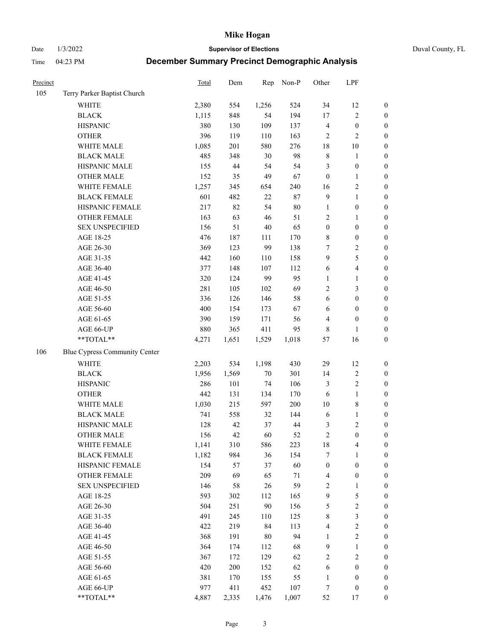Date 1/3/2022 **Supervisor of Elections** Duval County, FL

| Precinct |                               | Total | Dem   | Rep    | Non-P  | Other            | LPF                     |                  |
|----------|-------------------------------|-------|-------|--------|--------|------------------|-------------------------|------------------|
| 105      | Terry Parker Baptist Church   |       |       |        |        |                  |                         |                  |
|          | <b>WHITE</b>                  | 2,380 | 554   | 1,256  | 524    | 34               | 12                      | 0                |
|          | <b>BLACK</b>                  | 1,115 | 848   | 54     | 194    | $17\,$           | $\sqrt{2}$              | $\boldsymbol{0}$ |
|          | <b>HISPANIC</b>               | 380   | 130   | 109    | 137    | 4                | $\boldsymbol{0}$        | $\boldsymbol{0}$ |
|          | <b>OTHER</b>                  | 396   | 119   | 110    | 163    | $\overline{c}$   | $\sqrt{2}$              | $\boldsymbol{0}$ |
|          | WHITE MALE                    | 1,085 | 201   | 580    | 276    | 18               | $10\,$                  | $\boldsymbol{0}$ |
|          | <b>BLACK MALE</b>             | 485   | 348   | 30     | 98     | $\,$ $\,$        | $\mathbf{1}$            | $\boldsymbol{0}$ |
|          | HISPANIC MALE                 | 155   | 44    | 54     | 54     | 3                | $\boldsymbol{0}$        | $\boldsymbol{0}$ |
|          | <b>OTHER MALE</b>             | 152   | 35    | 49     | 67     | $\boldsymbol{0}$ | $\mathbf{1}$            | $\boldsymbol{0}$ |
|          | WHITE FEMALE                  | 1,257 | 345   | 654    | 240    | 16               | $\sqrt{2}$              | $\boldsymbol{0}$ |
|          | <b>BLACK FEMALE</b>           | 601   | 482   | $22\,$ | 87     | $\mathbf{9}$     | $\mathbf{1}$            | $\boldsymbol{0}$ |
|          | HISPANIC FEMALE               | 217   | 82    | 54     | $80\,$ | $\mathbf{1}$     | $\boldsymbol{0}$        | 0                |
|          | OTHER FEMALE                  | 163   | 63    | 46     | 51     | $\mathbf{2}$     | $\mathbf{1}$            | $\boldsymbol{0}$ |
|          | <b>SEX UNSPECIFIED</b>        | 156   | 51    | 40     | 65     | $\boldsymbol{0}$ | $\boldsymbol{0}$        | $\boldsymbol{0}$ |
|          | AGE 18-25                     | 476   | 187   | 111    | 170    | 8                | $\boldsymbol{0}$        | $\boldsymbol{0}$ |
|          | AGE 26-30                     | 369   | 123   | 99     | 138    | 7                | $\sqrt{2}$              | $\boldsymbol{0}$ |
|          | AGE 31-35                     | 442   | 160   | 110    | 158    | 9                | $\mathfrak s$           | $\boldsymbol{0}$ |
|          | AGE 36-40                     | 377   | 148   | 107    | 112    | 6                | $\overline{\mathbf{4}}$ | $\boldsymbol{0}$ |
|          | AGE 41-45                     | 320   | 124   | 99     | 95     | $\mathbf{1}$     | $\mathbf{1}$            | $\boldsymbol{0}$ |
|          | AGE 46-50                     | 281   | 105   | 102    | 69     | 2                | $\mathfrak{Z}$          | $\boldsymbol{0}$ |
|          | AGE 51-55                     | 336   | 126   | 146    | 58     | 6                | $\boldsymbol{0}$        | $\boldsymbol{0}$ |
|          | AGE 56-60                     | 400   | 154   | 173    | 67     | 6                | $\boldsymbol{0}$        | 0                |
|          | AGE 61-65                     | 390   | 159   | 171    | 56     | 4                | $\boldsymbol{0}$        | 0                |
|          | AGE 66-UP                     | 880   | 365   | 411    | 95     | 8                | $\mathbf{1}$            | $\boldsymbol{0}$ |
|          | **TOTAL**                     | 4,271 | 1,651 | 1,529  | 1,018  | 57               | 16                      | $\boldsymbol{0}$ |
| 106      | Blue Cypress Community Center |       |       |        |        |                  |                         |                  |
|          | <b>WHITE</b>                  | 2,203 | 534   | 1,198  | 430    | 29               | 12                      | $\boldsymbol{0}$ |
|          | <b>BLACK</b>                  | 1,956 | 1,569 | $70\,$ | 301    | 14               | $\sqrt{2}$              | $\boldsymbol{0}$ |
|          | <b>HISPANIC</b>               | 286   | 101   | 74     | 106    | 3                | $\sqrt{2}$              | $\boldsymbol{0}$ |
|          | <b>OTHER</b>                  | 442   | 131   | 134    | 170    | 6                | $\mathbf{1}$            | $\boldsymbol{0}$ |
|          | WHITE MALE                    | 1,030 | 215   | 597    | 200    | $10\,$           | $\,$ 8 $\,$             | $\boldsymbol{0}$ |
|          | <b>BLACK MALE</b>             | 741   | 558   | 32     | 144    | 6                | $\mathbf{1}$            | $\boldsymbol{0}$ |
|          | HISPANIC MALE                 | 128   | 42    | 37     | 44     | 3                | $\sqrt{2}$              | $\boldsymbol{0}$ |
|          | <b>OTHER MALE</b>             | 156   | 42    | 60     | 52     | $\sqrt{2}$       | $\boldsymbol{0}$        | $\boldsymbol{0}$ |
|          | WHITE FEMALE                  | 1,141 | 310   | 586    | 223    | 18               | 4                       | 0                |
|          | <b>BLACK FEMALE</b>           | 1,182 | 984   | 36     | 154    | 7                | $\mathbf{1}$            | $\boldsymbol{0}$ |
|          | HISPANIC FEMALE               | 154   | 57    | 37     | 60     | $\boldsymbol{0}$ | $\boldsymbol{0}$        | $\overline{0}$   |
|          | OTHER FEMALE                  | 209   | 69    | 65     | $71\,$ | 4                | $\boldsymbol{0}$        | $\overline{0}$   |
|          | <b>SEX UNSPECIFIED</b>        | 146   | 58    | 26     | 59     | 2                | $\mathbf{1}$            | 0                |
|          | AGE 18-25                     | 593   | 302   | 112    | 165    | 9                | $\mathfrak s$           | $\theta$         |
|          | AGE 26-30                     | 504   | 251   | $90\,$ | 156    | 5                | $\sqrt{2}$              | 0                |
|          | AGE 31-35                     | 491   | 245   | 110    | 125    | 8                | $\mathfrak{Z}$          | 0                |
|          | AGE 36-40                     | 422   | 219   | 84     | 113    | 4                | $\sqrt{2}$              | 0                |
|          | AGE 41-45                     | 368   | 191   | 80     | 94     | $\mathbf{1}$     | $\sqrt{2}$              | 0                |
|          | AGE 46-50                     | 364   | 174   | 112    | 68     | 9                | $\mathbf{1}$            | 0                |
|          | AGE 51-55                     | 367   | 172   | 129    | 62     | 2                | $\mathfrak{2}$          | 0                |
|          | AGE 56-60                     | 420   | 200   | 152    | 62     | 6                | $\boldsymbol{0}$        | $\boldsymbol{0}$ |
|          | AGE 61-65                     | 381   | 170   | 155    | 55     | $\mathbf{1}$     | $\boldsymbol{0}$        | $\boldsymbol{0}$ |
|          | AGE 66-UP                     | 977   | 411   | 452    | 107    | 7                | $\boldsymbol{0}$        | 0                |
|          | **TOTAL**                     | 4,887 | 2,335 | 1,476  | 1,007  | 52               | 17                      | $\boldsymbol{0}$ |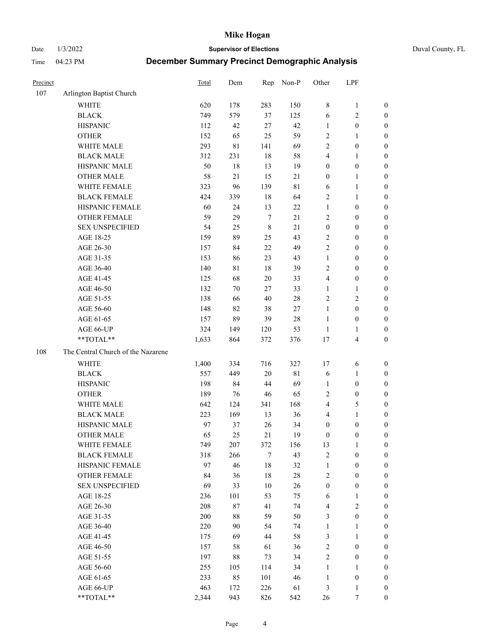Date 1/3/2022 **Supervisor of Elections** Duval County, FL

| Precinct |                                    | Total | Dem    | Rep         | Non-P  | Other            | LPF                     |                  |
|----------|------------------------------------|-------|--------|-------------|--------|------------------|-------------------------|------------------|
| 107      | Arlington Baptist Church           |       |        |             |        |                  |                         |                  |
|          | <b>WHITE</b>                       | 620   | 178    | 283         | 150    | 8                | $\mathbf{1}$            | 0                |
|          | <b>BLACK</b>                       | 749   | 579    | 37          | 125    | 6                | $\sqrt{2}$              | 0                |
|          | <b>HISPANIC</b>                    | 112   | 42     | 27          | 42     | $\mathbf{1}$     | $\boldsymbol{0}$        | $\boldsymbol{0}$ |
|          | <b>OTHER</b>                       | 152   | 65     | 25          | 59     | $\overline{c}$   | 1                       | $\boldsymbol{0}$ |
|          | WHITE MALE                         | 293   | 81     | 141         | 69     | 2                | $\boldsymbol{0}$        | $\boldsymbol{0}$ |
|          | <b>BLACK MALE</b>                  | 312   | 231    | 18          | 58     | 4                | $\mathbf{1}$            | $\boldsymbol{0}$ |
|          | HISPANIC MALE                      | 50    | 18     | 13          | 19     | $\boldsymbol{0}$ | $\boldsymbol{0}$        | $\boldsymbol{0}$ |
|          | <b>OTHER MALE</b>                  | 58    | 21     | 15          | 21     | $\boldsymbol{0}$ | $\mathbf{1}$            | $\boldsymbol{0}$ |
|          | WHITE FEMALE                       | 323   | 96     | 139         | 81     | 6                | $\mathbf{1}$            | $\boldsymbol{0}$ |
|          | <b>BLACK FEMALE</b>                | 424   | 339    | 18          | 64     | $\sqrt{2}$       | $\mathbf{1}$            | 0                |
|          | HISPANIC FEMALE                    | 60    | 24     | 13          | $22\,$ | $\mathbf{1}$     | $\boldsymbol{0}$        | 0                |
|          | OTHER FEMALE                       | 59    | 29     | $\tau$      | 21     | $\mathfrak{2}$   | $\boldsymbol{0}$        | $\boldsymbol{0}$ |
|          | <b>SEX UNSPECIFIED</b>             | 54    | 25     | $\,$ 8 $\,$ | 21     | $\boldsymbol{0}$ | $\boldsymbol{0}$        | $\boldsymbol{0}$ |
|          | AGE 18-25                          | 159   | 89     | 25          | 43     | $\sqrt{2}$       | $\boldsymbol{0}$        | $\boldsymbol{0}$ |
|          | AGE 26-30                          | 157   | 84     | $22\,$      | 49     | 2                | $\boldsymbol{0}$        | $\boldsymbol{0}$ |
|          | AGE 31-35                          | 153   | 86     | 23          | 43     | $\mathbf{1}$     | $\boldsymbol{0}$        | $\boldsymbol{0}$ |
|          | AGE 36-40                          | 140   | 81     | 18          | 39     | 2                | $\boldsymbol{0}$        | $\boldsymbol{0}$ |
|          | AGE 41-45                          | 125   | 68     | 20          | 33     | $\overline{4}$   | $\boldsymbol{0}$        | $\boldsymbol{0}$ |
|          | AGE 46-50                          | 132   | 70     | 27          | 33     | 1                | $\mathbf{1}$            | $\boldsymbol{0}$ |
|          | AGE 51-55                          | 138   | 66     | 40          | $28\,$ | $\sqrt{2}$       | $\sqrt{2}$              | $\boldsymbol{0}$ |
|          | AGE 56-60                          | 148   | 82     | 38          | 27     | $\mathbf{1}$     | $\boldsymbol{0}$        | 0                |
|          | AGE 61-65                          | 157   | 89     | 39          | $28\,$ | $\mathbf{1}$     | $\boldsymbol{0}$        | 0                |
|          | AGE 66-UP                          | 324   | 149    | 120         | 53     | $\mathbf{1}$     | $\mathbf{1}$            | $\boldsymbol{0}$ |
|          | **TOTAL**                          | 1,633 | 864    | 372         | 376    | 17               | $\overline{\mathbf{4}}$ | $\boldsymbol{0}$ |
| 108      | The Central Church of the Nazarene |       |        |             |        |                  |                         |                  |
|          | <b>WHITE</b>                       | 1,400 | 334    | 716         | 327    | 17               | 6                       | $\boldsymbol{0}$ |
|          | <b>BLACK</b>                       | 557   | 449    | 20          | 81     | 6                | $\mathbf{1}$            | $\boldsymbol{0}$ |
|          | <b>HISPANIC</b>                    | 198   | 84     | 44          | 69     | $\mathbf{1}$     | $\boldsymbol{0}$        | $\boldsymbol{0}$ |
|          | <b>OTHER</b>                       | 189   | 76     | 46          | 65     | 2                | $\boldsymbol{0}$        | $\boldsymbol{0}$ |
|          | WHITE MALE                         | 642   | 124    | 341         | 168    | $\overline{4}$   | $\mathfrak{S}$          | $\boldsymbol{0}$ |
|          | <b>BLACK MALE</b>                  | 223   | 169    | 13          | 36     | 4                | $\mathbf{1}$            | $\boldsymbol{0}$ |
|          | HISPANIC MALE                      | 97    | 37     | 26          | 34     | $\boldsymbol{0}$ | $\boldsymbol{0}$        | 0                |
|          | <b>OTHER MALE</b>                  | 65    | 25     | 21          | 19     | $\boldsymbol{0}$ | $\boldsymbol{0}$        | $\boldsymbol{0}$ |
|          | WHITE FEMALE                       | 749   | 207    | 372         | 156    | 13               | 1                       | 0                |
|          | <b>BLACK FEMALE</b>                | 318   | 266    | 7           | 43     | 2                | $\boldsymbol{0}$        | $\boldsymbol{0}$ |
|          | HISPANIC FEMALE                    | 97    | 46     | 18          | 32     | $\mathbf{1}$     | $\boldsymbol{0}$        | $\overline{0}$   |
|          | OTHER FEMALE                       | 84    | 36     | 18          | $28\,$ | 2                | $\boldsymbol{0}$        | $\overline{0}$   |
|          | <b>SEX UNSPECIFIED</b>             | 69    | 33     | 10          | 26     | $\boldsymbol{0}$ | $\boldsymbol{0}$        | 0                |
|          | AGE 18-25                          | 236   | 101    | 53          | 75     | 6                | $\mathbf{1}$            | 0                |
|          | AGE 26-30                          | 208   | $87\,$ | 41          | 74     | 4                | $\overline{2}$          | 0                |
|          | AGE 31-35                          | 200   | $88\,$ | 59          | 50     | 3                | $\boldsymbol{0}$        | 0                |
|          | AGE 36-40                          | 220   | 90     | 54          | 74     | $\mathbf{1}$     | $\mathbf{1}$            | 0                |
|          | AGE 41-45                          | 175   | 69     | 44          | 58     | 3                | $\mathbf{1}$            | 0                |
|          | AGE 46-50                          | 157   | 58     | 61          | 36     | 2                | $\boldsymbol{0}$        | 0                |
|          | AGE 51-55                          | 197   | 88     | 73          | 34     | 2                | $\boldsymbol{0}$        | 0                |
|          | AGE 56-60                          | 255   | 105    | 114         | 34     | 1                | $\mathbf{1}$            | $\overline{0}$   |
|          | AGE 61-65                          | 233   | 85     | 101         | 46     | $\mathbf{1}$     | $\boldsymbol{0}$        | $\overline{0}$   |
|          | AGE 66-UP                          | 463   | 172    | 226         | 61     | 3                | $\mathbf{1}$            | 0                |
|          | **TOTAL**                          | 2,344 | 943    | 826         | 542    | 26               | 7                       | $\boldsymbol{0}$ |
|          |                                    |       |        |             |        |                  |                         |                  |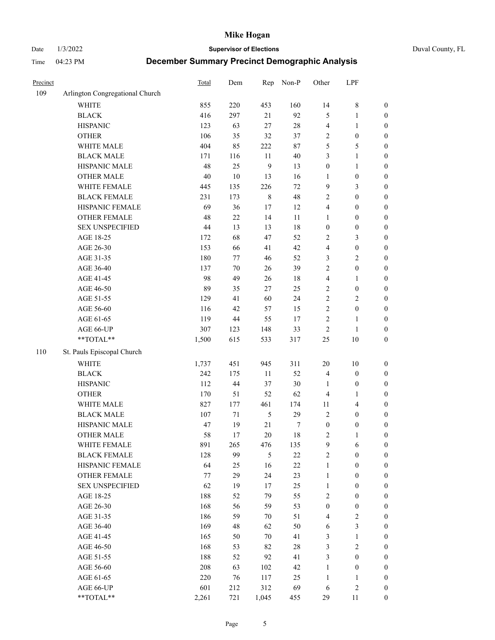Date 1/3/2022 **Supervisor of Elections** Duval County, FL

| Precinct |                                 | <b>Total</b> | Dem    | Rep         | Non-P  | Other            | LPF              |                  |
|----------|---------------------------------|--------------|--------|-------------|--------|------------------|------------------|------------------|
| 109      | Arlington Congregational Church |              |        |             |        |                  |                  |                  |
|          | <b>WHITE</b>                    | 855          | 220    | 453         | 160    | 14               | $\,$ 8 $\,$      | 0                |
|          | <b>BLACK</b>                    | 416          | 297    | 21          | 92     | 5                | $\mathbf{1}$     | $\boldsymbol{0}$ |
|          | <b>HISPANIC</b>                 | 123          | 63     | 27          | $28\,$ | 4                | $\mathbf{1}$     | $\boldsymbol{0}$ |
|          | <b>OTHER</b>                    | 106          | 35     | 32          | 37     | 2                | $\boldsymbol{0}$ | $\boldsymbol{0}$ |
|          | WHITE MALE                      | 404          | 85     | 222         | $87\,$ | 5                | 5                | $\boldsymbol{0}$ |
|          | <b>BLACK MALE</b>               | 171          | 116    | 11          | $40\,$ | 3                | $\mathbf{1}$     | $\boldsymbol{0}$ |
|          | HISPANIC MALE                   | 48           | 25     | 9           | 13     | $\boldsymbol{0}$ | $\mathbf{1}$     | $\boldsymbol{0}$ |
|          | <b>OTHER MALE</b>               | $40\,$       | $10\,$ | 13          | 16     | $\mathbf{1}$     | $\boldsymbol{0}$ | $\boldsymbol{0}$ |
|          | WHITE FEMALE                    | 445          | 135    | 226         | $72\,$ | 9                | $\mathfrak{Z}$   | $\boldsymbol{0}$ |
|          | <b>BLACK FEMALE</b>             | 231          | 173    | $\,$ 8 $\,$ | 48     | 2                | $\boldsymbol{0}$ | $\boldsymbol{0}$ |
|          | HISPANIC FEMALE                 | 69           | 36     | $17\,$      | 12     | 4                | $\boldsymbol{0}$ | $\boldsymbol{0}$ |
|          | <b>OTHER FEMALE</b>             | 48           | $22\,$ | 14          | $11\,$ | $\mathbf{1}$     | $\boldsymbol{0}$ | $\boldsymbol{0}$ |
|          | <b>SEX UNSPECIFIED</b>          | 44           | 13     | 13          | 18     | $\boldsymbol{0}$ | $\boldsymbol{0}$ | $\boldsymbol{0}$ |
|          | AGE 18-25                       | 172          | 68     | 47          | 52     | 2                | $\mathfrak{Z}$   | $\boldsymbol{0}$ |
|          | AGE 26-30                       | 153          | 66     | 41          | 42     | 4                | $\boldsymbol{0}$ | $\boldsymbol{0}$ |
|          | AGE 31-35                       | 180          | $77\,$ | 46          | 52     | 3                | $\sqrt{2}$       | $\boldsymbol{0}$ |
|          | AGE 36-40                       | 137          | $70\,$ | 26          | 39     | $\overline{c}$   | $\boldsymbol{0}$ | $\boldsymbol{0}$ |
|          | AGE 41-45                       | 98           | 49     | 26          | 18     | 4                | $\mathbf{1}$     | $\boldsymbol{0}$ |
|          | AGE 46-50                       | 89           | 35     | 27          | 25     | $\overline{c}$   | $\boldsymbol{0}$ | $\boldsymbol{0}$ |
|          | AGE 51-55                       | 129          | 41     | 60          | 24     | $\overline{c}$   | $\sqrt{2}$       | $\boldsymbol{0}$ |
|          | AGE 56-60                       | 116          | 42     | 57          | 15     | $\overline{c}$   | $\boldsymbol{0}$ | 0                |
|          | AGE 61-65                       | 119          | $44\,$ | 55          | 17     | $\overline{c}$   | $\mathbf{1}$     | $\boldsymbol{0}$ |
|          | AGE 66-UP                       | 307          | 123    | 148         | 33     | $\sqrt{2}$       | $\mathbf{1}$     | $\boldsymbol{0}$ |
|          | $**TOTAL**$                     | 1,500        | 615    | 533         | 317    | $25\,$           | 10               | $\boldsymbol{0}$ |
| 110      | St. Pauls Episcopal Church      |              |        |             |        |                  |                  |                  |
|          | <b>WHITE</b>                    | 1,737        | 451    | 945         | 311    | $20\,$           | 10               | $\boldsymbol{0}$ |
|          | <b>BLACK</b>                    | 242          | 175    | $11\,$      | 52     | 4                | $\boldsymbol{0}$ | $\boldsymbol{0}$ |
|          | <b>HISPANIC</b>                 | 112          | $44\,$ | 37          | $30\,$ | $\mathbf{1}$     | $\boldsymbol{0}$ | $\boldsymbol{0}$ |
|          | <b>OTHER</b>                    | 170          | 51     | 52          | 62     | 4                | $\mathbf{1}$     | $\boldsymbol{0}$ |
|          | WHITE MALE                      | 827          | 177    | 461         | 174    | $11\,$           | $\overline{4}$   | $\boldsymbol{0}$ |
|          | <b>BLACK MALE</b>               | 107          | 71     | $\sqrt{5}$  | 29     | $\overline{2}$   | $\boldsymbol{0}$ | $\boldsymbol{0}$ |
|          | HISPANIC MALE                   | 47           | 19     | 21          | 7      | $\boldsymbol{0}$ | $\boldsymbol{0}$ | $\boldsymbol{0}$ |
|          | <b>OTHER MALE</b>               | 58           | 17     | 20          | 18     | 2                | $\mathbf{1}$     | $\boldsymbol{0}$ |
|          | WHITE FEMALE                    | 891          | 265    | 476         | 135    | 9                | 6                | 0                |
|          | <b>BLACK FEMALE</b>             | 128          | 99     | 5           | $22\,$ | $\overline{c}$   | $\boldsymbol{0}$ | $\overline{0}$   |
|          | HISPANIC FEMALE                 | 64           | 25     | 16          | $22\,$ | $\mathbf{1}$     | $\boldsymbol{0}$ | $\overline{0}$   |
|          | <b>OTHER FEMALE</b>             | 77           | 29     | 24          | 23     | $\mathbf{1}$     | $\boldsymbol{0}$ | $\overline{0}$   |
|          | <b>SEX UNSPECIFIED</b>          | 62           | 19     | 17          | 25     | $\mathbf{1}$     | $\boldsymbol{0}$ | 0                |
|          | AGE 18-25                       | 188          | 52     | 79          | 55     | 2                | $\boldsymbol{0}$ | 0                |
|          | AGE 26-30                       | 168          | 56     | 59          | 53     | $\boldsymbol{0}$ | $\boldsymbol{0}$ | 0                |
|          | AGE 31-35                       | 186          | 59     | 70          | 51     | 4                | $\sqrt{2}$       | 0                |
|          | AGE 36-40                       | 169          | 48     | 62          | 50     | 6                | $\mathfrak{Z}$   | 0                |
|          | AGE 41-45                       | 165          | 50     | 70          | 41     | 3                | $\mathbf{1}$     | 0                |
|          | AGE 46-50                       | 168          | 53     | 82          | $28\,$ | 3                | $\sqrt{2}$       | 0                |
|          | AGE 51-55                       | 188          | 52     | 92          | 41     | 3                | $\boldsymbol{0}$ | 0                |
|          | AGE 56-60                       | 208          | 63     | 102         | 42     | $\mathbf{1}$     | $\boldsymbol{0}$ | $\overline{0}$   |
|          | AGE 61-65                       | 220          | 76     | 117         | 25     | $\mathbf{1}$     | $\mathbf{1}$     | 0                |
|          | AGE 66-UP                       | 601          | 212    | 312         | 69     | 6                | $\sqrt{2}$       | 0                |
|          | **TOTAL**                       | 2,261        | 721    | 1,045       | 455    | 29               | 11               | $\boldsymbol{0}$ |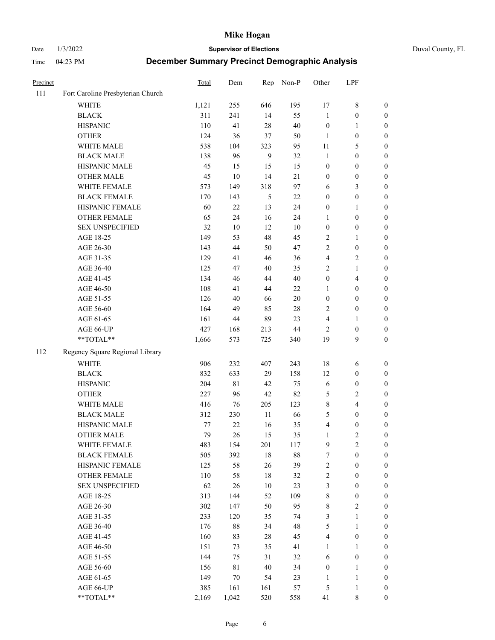Date 1/3/2022 **Supervisor of Elections** Duval County, FL

| Precinct |                                   | <b>Total</b> | Dem    | Rep    | Non-P  | Other                   | LPF                     |                  |
|----------|-----------------------------------|--------------|--------|--------|--------|-------------------------|-------------------------|------------------|
| 111      | Fort Caroline Presbyterian Church |              |        |        |        |                         |                         |                  |
|          | <b>WHITE</b>                      | 1,121        | 255    | 646    | 195    | 17                      | $8\,$                   | 0                |
|          | <b>BLACK</b>                      | 311          | 241    | 14     | 55     | $\mathbf{1}$            | $\boldsymbol{0}$        | 0                |
|          | <b>HISPANIC</b>                   | 110          | 41     | 28     | 40     | $\boldsymbol{0}$        | $\mathbf{1}$            | $\boldsymbol{0}$ |
|          | <b>OTHER</b>                      | 124          | 36     | 37     | 50     | 1                       | $\boldsymbol{0}$        | $\boldsymbol{0}$ |
|          | WHITE MALE                        | 538          | 104    | 323    | 95     | 11                      | 5                       | $\boldsymbol{0}$ |
|          | <b>BLACK MALE</b>                 | 138          | 96     | 9      | 32     | $\mathbf{1}$            | $\boldsymbol{0}$        | $\boldsymbol{0}$ |
|          | HISPANIC MALE                     | 45           | 15     | 15     | 15     | $\boldsymbol{0}$        | $\boldsymbol{0}$        | $\boldsymbol{0}$ |
|          | <b>OTHER MALE</b>                 | 45           | $10\,$ | 14     | 21     | $\boldsymbol{0}$        | $\boldsymbol{0}$        | $\boldsymbol{0}$ |
|          | WHITE FEMALE                      | 573          | 149    | 318    | 97     | 6                       | $\mathfrak{Z}$          | $\boldsymbol{0}$ |
|          | <b>BLACK FEMALE</b>               | 170          | 143    | 5      | $22\,$ | $\boldsymbol{0}$        | $\boldsymbol{0}$        | 0                |
|          | HISPANIC FEMALE                   | 60           | 22     | 13     | 24     | $\boldsymbol{0}$        | 1                       | 0                |
|          | OTHER FEMALE                      | 65           | 24     | 16     | 24     | 1                       | $\boldsymbol{0}$        | $\boldsymbol{0}$ |
|          | <b>SEX UNSPECIFIED</b>            | 32           | $10\,$ | 12     | 10     | $\boldsymbol{0}$        | $\boldsymbol{0}$        | $\boldsymbol{0}$ |
|          | AGE 18-25                         | 149          | 53     | 48     | 45     | 2                       | 1                       | $\boldsymbol{0}$ |
|          | AGE 26-30                         | 143          | 44     | 50     | 47     | 2                       | $\boldsymbol{0}$        | $\boldsymbol{0}$ |
|          | AGE 31-35                         | 129          | 41     | 46     | 36     | $\overline{\mathbf{4}}$ | $\sqrt{2}$              | $\boldsymbol{0}$ |
|          | AGE 36-40                         | 125          | 47     | $40\,$ | 35     | 2                       | $\mathbf{1}$            | $\boldsymbol{0}$ |
|          | AGE 41-45                         | 134          | 46     | 44     | $40\,$ | $\boldsymbol{0}$        | $\overline{4}$          | $\boldsymbol{0}$ |
|          | AGE 46-50                         | 108          | 41     | 44     | $22\,$ | 1                       | $\boldsymbol{0}$        | $\boldsymbol{0}$ |
|          | AGE 51-55                         | 126          | 40     | 66     | $20\,$ | $\boldsymbol{0}$        | $\boldsymbol{0}$        | $\boldsymbol{0}$ |
|          | AGE 56-60                         | 164          | 49     | 85     | 28     | $\overline{2}$          | $\boldsymbol{0}$        | 0                |
|          | AGE 61-65                         | 161          | 44     | 89     | 23     | 4                       | 1                       | 0                |
|          | AGE 66-UP                         | 427          | 168    | 213    | $44\,$ | $\overline{2}$          | $\boldsymbol{0}$        | $\boldsymbol{0}$ |
|          | **TOTAL**                         | 1,666        | 573    | 725    | 340    | 19                      | 9                       | $\boldsymbol{0}$ |
| 112      | Regency Square Regional Library   |              |        |        |        |                         |                         |                  |
|          | <b>WHITE</b>                      | 906          | 232    | 407    | 243    | 18                      | 6                       | $\boldsymbol{0}$ |
|          | <b>BLACK</b>                      | 832          | 633    | 29     | 158    | 12                      | $\boldsymbol{0}$        | $\boldsymbol{0}$ |
|          | <b>HISPANIC</b>                   | 204          | 81     | 42     | 75     | 6                       | $\boldsymbol{0}$        | $\boldsymbol{0}$ |
|          | <b>OTHER</b>                      | 227          | 96     | 42     | 82     | 5                       | $\sqrt{2}$              | $\boldsymbol{0}$ |
|          | WHITE MALE                        | 416          | 76     | 205    | 123    | 8                       | $\overline{\mathbf{4}}$ | $\boldsymbol{0}$ |
|          | <b>BLACK MALE</b>                 | 312          | 230    | $11\,$ | 66     | 5                       | $\boldsymbol{0}$        | $\boldsymbol{0}$ |
|          | HISPANIC MALE                     | 77           | 22     | 16     | 35     | 4                       | $\boldsymbol{0}$        | $\boldsymbol{0}$ |
|          | OTHER MALE                        | 79           | 26     | 15     | 35     | $\mathbf{1}$            | $\mathfrak{2}$          | $\boldsymbol{0}$ |
|          | WHITE FEMALE                      | 483          | 154    | 201    | 117    | 9                       | 2                       | 0                |
|          | <b>BLACK FEMALE</b>               | 505          | 392    | 18     | $88\,$ | 7                       | $\boldsymbol{0}$        | $\boldsymbol{0}$ |
|          | HISPANIC FEMALE                   | 125          | 58     | 26     | 39     | 2                       | $\boldsymbol{0}$        | $\overline{0}$   |
|          | OTHER FEMALE                      | 110          | 58     | 18     | 32     | 2                       | $\boldsymbol{0}$        | $\overline{0}$   |
|          | <b>SEX UNSPECIFIED</b>            | 62           | 26     | $10\,$ | 23     | 3                       | $\boldsymbol{0}$        | 0                |
|          | AGE 18-25                         | 313          | 144    | 52     | 109    | $\,$ 8 $\,$             | $\boldsymbol{0}$        | 0                |
|          | AGE 26-30                         | 302          | 147    | 50     | 95     | 8                       | $\overline{2}$          | 0                |
|          | AGE 31-35                         | 233          | 120    | 35     | 74     | 3                       | $\mathbf{1}$            | 0                |
|          | AGE 36-40                         | 176          | 88     | 34     | 48     | 5                       | $\mathbf{1}$            | 0                |
|          | AGE 41-45                         | 160          | 83     | 28     | 45     | $\overline{\mathbf{4}}$ | $\boldsymbol{0}$        | 0                |
|          | AGE 46-50                         | 151          | 73     | 35     | 41     | $\mathbf{1}$            | 1                       | 0                |
|          | AGE 51-55                         | 144          | 75     | 31     | 32     | 6                       | $\boldsymbol{0}$        | 0                |
|          | AGE 56-60                         | 156          | 81     | 40     | 34     | $\boldsymbol{0}$        | $\mathbf{1}$            | $\overline{0}$   |
|          | AGE 61-65                         | 149          | $70\,$ | 54     | 23     | 1                       | $\mathbf{1}$            | $\overline{0}$   |
|          | AGE 66-UP                         | 385          | 161    | 161    | 57     | 5                       | $\mathbf{1}$            | 0                |
|          | **TOTAL**                         | 2,169        | 1,042  | 520    | 558    | 41                      | 8                       | $\boldsymbol{0}$ |
|          |                                   |              |        |        |        |                         |                         |                  |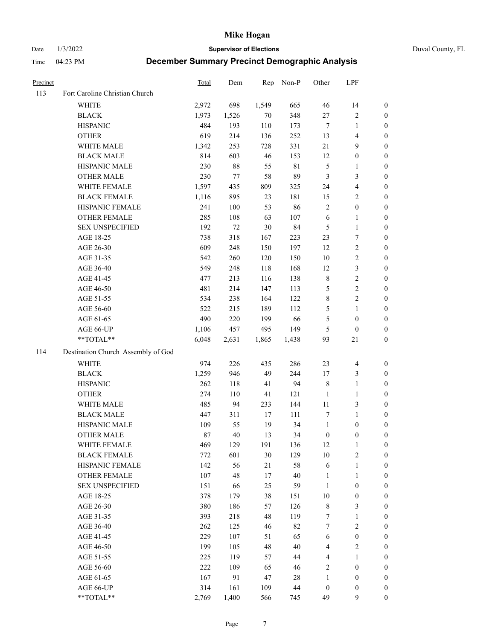Date 1/3/2022 **Supervisor of Elections** Duval County, FL

| Precinct |                                    | Total | Dem    | Rep   | Non-P       | Other            | LPF                     |                  |
|----------|------------------------------------|-------|--------|-------|-------------|------------------|-------------------------|------------------|
| 113      | Fort Caroline Christian Church     |       |        |       |             |                  |                         |                  |
|          | <b>WHITE</b>                       | 2,972 | 698    | 1,549 | 665         | 46               | 14                      | 0                |
|          | <b>BLACK</b>                       | 1,973 | 1,526  | 70    | 348         | $27\,$           | $\sqrt{2}$              | 0                |
|          | <b>HISPANIC</b>                    | 484   | 193    | 110   | 173         | $\tau$           | $\mathbf{1}$            | $\boldsymbol{0}$ |
|          | <b>OTHER</b>                       | 619   | 214    | 136   | 252         | 13               | $\overline{\mathbf{4}}$ | $\boldsymbol{0}$ |
|          | WHITE MALE                         | 1,342 | 253    | 728   | 331         | 21               | 9                       | $\boldsymbol{0}$ |
|          | <b>BLACK MALE</b>                  | 814   | 603    | 46    | 153         | 12               | $\boldsymbol{0}$        | $\boldsymbol{0}$ |
|          | HISPANIC MALE                      | 230   | $88\,$ | 55    | $8\sqrt{1}$ | 5                | $\mathbf{1}$            | $\boldsymbol{0}$ |
|          | <b>OTHER MALE</b>                  | 230   | 77     | 58    | 89          | 3                | $\mathfrak{Z}$          | $\boldsymbol{0}$ |
|          | WHITE FEMALE                       | 1,597 | 435    | 809   | 325         | 24               | $\overline{\mathbf{4}}$ | $\boldsymbol{0}$ |
|          | <b>BLACK FEMALE</b>                | 1,116 | 895    | 23    | 181         | 15               | $\sqrt{2}$              | 0                |
|          | HISPANIC FEMALE                    | 241   | 100    | 53    | 86          | $\sqrt{2}$       | $\boldsymbol{0}$        | 0                |
|          | OTHER FEMALE                       | 285   | 108    | 63    | 107         | $\sqrt{6}$       | $\mathbf{1}$            | 0                |
|          | <b>SEX UNSPECIFIED</b>             | 192   | 72     | 30    | 84          | $\mathfrak{S}$   | $\mathbf{1}$            | $\boldsymbol{0}$ |
|          | AGE 18-25                          | 738   | 318    | 167   | 223         | 23               | $\boldsymbol{7}$        | $\boldsymbol{0}$ |
|          | AGE 26-30                          | 609   | 248    | 150   | 197         | 12               | $\sqrt{2}$              | $\boldsymbol{0}$ |
|          | AGE 31-35                          | 542   | 260    | 120   | 150         | $10\,$           | $\sqrt{2}$              | $\boldsymbol{0}$ |
|          | AGE 36-40                          | 549   | 248    | 118   | 168         | 12               | $\mathfrak{Z}$          | $\boldsymbol{0}$ |
|          | AGE 41-45                          | 477   | 213    | 116   | 138         | $\,$ 8 $\,$      | $\sqrt{2}$              | $\boldsymbol{0}$ |
|          | AGE 46-50                          | 481   | 214    | 147   | 113         | 5                | $\sqrt{2}$              | $\boldsymbol{0}$ |
|          | AGE 51-55                          | 534   | 238    | 164   | 122         | 8                | $\sqrt{2}$              | 0                |
|          | AGE 56-60                          | 522   | 215    | 189   | 112         | 5                | $\mathbf{1}$            | 0                |
|          | AGE 61-65                          | 490   | 220    | 199   | 66          | 5                | $\boldsymbol{0}$        | 0                |
|          | AGE 66-UP                          | 1,106 | 457    | 495   | 149         | $\mathfrak{S}$   | $\boldsymbol{0}$        | $\boldsymbol{0}$ |
|          | **TOTAL**                          | 6,048 | 2,631  | 1,865 | 1,438       | 93               | 21                      | $\boldsymbol{0}$ |
| 114      | Destination Church Assembly of God |       |        |       |             |                  |                         |                  |
|          | <b>WHITE</b>                       | 974   | 226    | 435   | 286         | 23               | $\overline{\mathbf{4}}$ | $\boldsymbol{0}$ |
|          | <b>BLACK</b>                       | 1,259 | 946    | 49    | 244         | 17               | $\mathfrak{Z}$          | $\boldsymbol{0}$ |
|          | <b>HISPANIC</b>                    | 262   | 118    | 41    | 94          | 8                | $\mathbf{1}$            | $\boldsymbol{0}$ |
|          | <b>OTHER</b>                       | 274   | 110    | 41    | 121         | $\mathbf{1}$     | $\mathbf{1}$            | $\boldsymbol{0}$ |
|          | WHITE MALE                         | 485   | 94     | 233   | 144         | $11\,$           | 3                       | $\boldsymbol{0}$ |
|          | <b>BLACK MALE</b>                  | 447   | 311    | 17    | 111         | 7                | $\mathbf{1}$            | $\boldsymbol{0}$ |
|          | HISPANIC MALE                      | 109   | 55     | 19    | 34          | $\mathbf{1}$     | $\boldsymbol{0}$        | 0                |
|          | <b>OTHER MALE</b>                  | 87    | 40     | 13    | 34          | $\boldsymbol{0}$ | $\boldsymbol{0}$        | $\boldsymbol{0}$ |
|          | WHITE FEMALE                       | 469   | 129    | 191   | 136         | 12               | 1                       | 0                |
|          | <b>BLACK FEMALE</b>                | 772   | 601    | 30    | 129         | 10               | $\sqrt{2}$              | $\overline{0}$   |
|          | HISPANIC FEMALE                    | 142   | 56     | 21    | 58          | 6                | $\mathbf{1}$            | $\overline{0}$   |
|          | <b>OTHER FEMALE</b>                | 107   | 48     | 17    | $40\,$      | $\mathbf{1}$     | $\mathbf{1}$            | $\overline{0}$   |
|          | <b>SEX UNSPECIFIED</b>             | 151   | 66     | 25    | 59          | $\mathbf{1}$     | $\boldsymbol{0}$        | 0                |
|          | AGE 18-25                          | 378   | 179    | 38    | 151         | 10               | $\boldsymbol{0}$        | 0                |
|          | AGE 26-30                          | 380   | 186    | 57    | 126         | 8                | 3                       | 0                |
|          | AGE 31-35                          | 393   | 218    | 48    | 119         | 7                | $\mathbf{1}$            | 0                |
|          | AGE 36-40                          | 262   | 125    | 46    | 82          | 7                | $\sqrt{2}$              | 0                |
|          | AGE 41-45                          | 229   | 107    | 51    | 65          | 6                | $\boldsymbol{0}$        | 0                |
|          | AGE 46-50                          | 199   | 105    | 48    | 40          | 4                | $\sqrt{2}$              | 0                |
|          | AGE 51-55                          | 225   | 119    | 57    | 44          | $\overline{4}$   | $\mathbf{1}$            | 0                |
|          | AGE 56-60                          | 222   | 109    | 65    | 46          | 2                | $\boldsymbol{0}$        | 0                |
|          | AGE 61-65                          | 167   | 91     | 47    | 28          | $\mathbf{1}$     | $\boldsymbol{0}$        | 0                |
|          | AGE 66-UP                          | 314   | 161    | 109   | 44          | $\boldsymbol{0}$ | $\boldsymbol{0}$        | 0                |
|          | $**TOTAL**$                        | 2,769 | 1,400  | 566   | 745         | 49               | 9                       | $\boldsymbol{0}$ |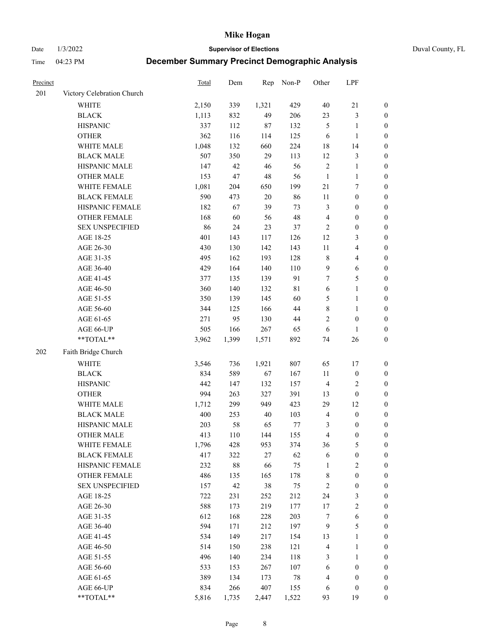Date 1/3/2022 **Supervisor of Elections** Duval County, FL

| Precinct |                            | Total | Dem    | Rep    | Non-P  | Other          | LPF                     |                  |
|----------|----------------------------|-------|--------|--------|--------|----------------|-------------------------|------------------|
| 201      | Victory Celebration Church |       |        |        |        |                |                         |                  |
|          | WHITE                      | 2,150 | 339    | 1,321  | 429    | $40\,$         | $21\,$                  | 0                |
|          | <b>BLACK</b>               | 1,113 | 832    | 49     | 206    | 23             | $\mathfrak{Z}$          | 0                |
|          | <b>HISPANIC</b>            | 337   | 112    | 87     | 132    | 5              | $\mathbf{1}$            | $\boldsymbol{0}$ |
|          | <b>OTHER</b>               | 362   | 116    | 114    | 125    | 6              | $\mathbf{1}$            | $\boldsymbol{0}$ |
|          | WHITE MALE                 | 1,048 | 132    | 660    | 224    | 18             | 14                      | $\boldsymbol{0}$ |
|          | <b>BLACK MALE</b>          | 507   | 350    | 29     | 113    | 12             | $\mathfrak{Z}$          | $\boldsymbol{0}$ |
|          | HISPANIC MALE              | 147   | 42     | 46     | 56     | $\sqrt{2}$     | $\mathbf{1}$            | $\boldsymbol{0}$ |
|          | <b>OTHER MALE</b>          | 153   | 47     | 48     | 56     | $\mathbf{1}$   | $\mathbf{1}$            | $\boldsymbol{0}$ |
|          | WHITE FEMALE               | 1,081 | 204    | 650    | 199    | 21             | $\boldsymbol{7}$        | $\boldsymbol{0}$ |
|          | <b>BLACK FEMALE</b>        | 590   | 473    | $20\,$ | 86     | $11\,$         | $\boldsymbol{0}$        | $\boldsymbol{0}$ |
|          | HISPANIC FEMALE            | 182   | 67     | 39     | 73     | 3              | $\boldsymbol{0}$        | 0                |
|          | OTHER FEMALE               | 168   | 60     | 56     | 48     | 4              | $\boldsymbol{0}$        | $\boldsymbol{0}$ |
|          | <b>SEX UNSPECIFIED</b>     | 86    | 24     | 23     | 37     | $\sqrt{2}$     | $\boldsymbol{0}$        | $\boldsymbol{0}$ |
|          | AGE 18-25                  | 401   | 143    | 117    | 126    | 12             | $\mathfrak{Z}$          | $\boldsymbol{0}$ |
|          | AGE 26-30                  | 430   | 130    | 142    | 143    | $11\,$         | $\overline{\mathbf{4}}$ | $\boldsymbol{0}$ |
|          | AGE 31-35                  | 495   | 162    | 193    | 128    | $\,$ $\,$      | $\overline{\mathbf{4}}$ | $\boldsymbol{0}$ |
|          | AGE 36-40                  | 429   | 164    | 140    | 110    | 9              | $\sqrt{6}$              | $\boldsymbol{0}$ |
|          | AGE 41-45                  | 377   | 135    | 139    | 91     | $\tau$         | $\mathfrak{S}$          | $\boldsymbol{0}$ |
|          | AGE 46-50                  | 360   | 140    | 132    | 81     | $\sqrt{6}$     | $\mathbf{1}$            | $\boldsymbol{0}$ |
|          | AGE 51-55                  | 350   | 139    | 145    | 60     | 5              | $\mathbf{1}$            | 0                |
|          | AGE 56-60                  | 344   | 125    | 166    | 44     | 8              | $\mathbf{1}$            | 0                |
|          | AGE 61-65                  | 271   | 95     | 130    | 44     | $\mathbf{2}$   | $\boldsymbol{0}$        | 0                |
|          | AGE 66-UP                  | 505   | 166    | 267    | 65     | 6              | $\mathbf{1}$            | $\boldsymbol{0}$ |
|          | **TOTAL**                  | 3,962 | 1,399  | 1,571  | 892    | 74             | $26\,$                  | $\boldsymbol{0}$ |
| 202      | Faith Bridge Church        |       |        |        |        |                |                         |                  |
|          | <b>WHITE</b>               | 3,546 | 736    | 1,921  | 807    | 65             | 17                      | $\boldsymbol{0}$ |
|          | <b>BLACK</b>               | 834   | 589    | 67     | 167    | $11\,$         | $\boldsymbol{0}$        | $\boldsymbol{0}$ |
|          | <b>HISPANIC</b>            | 442   | 147    | 132    | 157    | $\overline{4}$ | $\sqrt{2}$              | $\boldsymbol{0}$ |
|          | <b>OTHER</b>               | 994   | 263    | 327    | 391    | 13             | $\boldsymbol{0}$        | $\boldsymbol{0}$ |
|          | WHITE MALE                 | 1,712 | 299    | 949    | 423    | 29             | 12                      | $\boldsymbol{0}$ |
|          | <b>BLACK MALE</b>          | 400   | 253    | $40\,$ | 103    | $\overline{4}$ | $\boldsymbol{0}$        | $\boldsymbol{0}$ |
|          | HISPANIC MALE              | 203   | 58     | 65     | 77     | 3              | $\boldsymbol{0}$        | 0                |
|          | <b>OTHER MALE</b>          | 413   | 110    | 144    | 155    | 4              | $\boldsymbol{0}$        | $\boldsymbol{0}$ |
|          | WHITE FEMALE               | 1,796 | 428    | 953    | 374    | 36             | 5                       | 0                |
|          | <b>BLACK FEMALE</b>        | 417   | 322    | $27\,$ | 62     | 6              | $\boldsymbol{0}$        | $\boldsymbol{0}$ |
|          | HISPANIC FEMALE            | 232   | $88\,$ | 66     | 75     | $\mathbf{1}$   | $\sqrt{2}$              | $\overline{0}$   |
|          | OTHER FEMALE               | 486   | 135    | 165    | 178    | 8              | $\boldsymbol{0}$        | $\overline{0}$   |
|          | <b>SEX UNSPECIFIED</b>     | 157   | 42     | 38     | 75     | $\overline{c}$ | $\boldsymbol{0}$        | 0                |
|          | AGE 18-25                  | 722   | 231    | 252    | 212    | 24             | $\mathfrak{Z}$          | 0                |
|          | AGE 26-30                  | 588   | 173    | 219    | 177    | 17             | $\sqrt{2}$              | 0                |
|          | AGE 31-35                  | 612   | 168    | 228    | 203    | 7              | $\sqrt{6}$              | 0                |
|          | AGE 36-40                  | 594   | 171    | 212    | 197    | $\overline{9}$ | $\mathfrak{S}$          | 0                |
|          | AGE 41-45                  | 534   | 149    | 217    | 154    | 13             | $\mathbf{1}$            | 0                |
|          | AGE 46-50                  | 514   | 150    | 238    | 121    | 4              | $\mathbf{1}$            | 0                |
|          | AGE 51-55                  | 496   | 140    | 234    | 118    | 3              | $\mathbf{1}$            | 0                |
|          | AGE 56-60                  | 533   | 153    | 267    | 107    | 6              | $\boldsymbol{0}$        | 0                |
|          | AGE 61-65                  | 389   | 134    | 173    | $78\,$ | 4              | $\boldsymbol{0}$        | $\overline{0}$   |
|          | AGE 66-UP                  | 834   | 266    | 407    | 155    | 6              | $\boldsymbol{0}$        | 0                |
|          | **TOTAL**                  | 5,816 | 1,735  | 2,447  | 1,522  | 93             | 19                      | $\boldsymbol{0}$ |
|          |                            |       |        |        |        |                |                         |                  |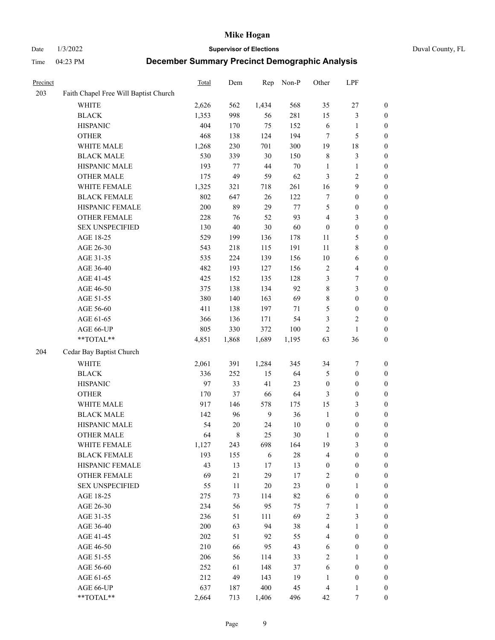Date 1/3/2022 **Supervisor of Elections** Duval County, FL

| Precinct |                                       | Total | Dem    | Rep    | Non-P  | Other            | LPF                     |                  |
|----------|---------------------------------------|-------|--------|--------|--------|------------------|-------------------------|------------------|
| 203      | Faith Chapel Free Will Baptist Church |       |        |        |        |                  |                         |                  |
|          | <b>WHITE</b>                          | 2,626 | 562    | 1,434  | 568    | 35               | $27\,$                  | 0                |
|          | <b>BLACK</b>                          | 1,353 | 998    | 56     | 281    | 15               | $\mathfrak{Z}$          | 0                |
|          | <b>HISPANIC</b>                       | 404   | 170    | 75     | 152    | 6                | $\mathbf{1}$            | $\boldsymbol{0}$ |
|          | <b>OTHER</b>                          | 468   | 138    | 124    | 194    | 7                | $\mathfrak{S}$          | $\boldsymbol{0}$ |
|          | WHITE MALE                            | 1,268 | 230    | 701    | 300    | 19               | $18\,$                  | $\boldsymbol{0}$ |
|          | <b>BLACK MALE</b>                     | 530   | 339    | 30     | 150    | 8                | $\mathfrak{Z}$          | $\boldsymbol{0}$ |
|          | HISPANIC MALE                         | 193   | 77     | 44     | $70\,$ | $\mathbf{1}$     | $\mathbf{1}$            | $\boldsymbol{0}$ |
|          | <b>OTHER MALE</b>                     | 175   | 49     | 59     | 62     | 3                | $\overline{2}$          | $\boldsymbol{0}$ |
|          | WHITE FEMALE                          | 1,325 | 321    | 718    | 261    | 16               | $\boldsymbol{9}$        | $\boldsymbol{0}$ |
|          | <b>BLACK FEMALE</b>                   | 802   | 647    | 26     | 122    | 7                | $\boldsymbol{0}$        | $\boldsymbol{0}$ |
|          | HISPANIC FEMALE                       | 200   | 89     | 29     | 77     | 5                | $\boldsymbol{0}$        | 0                |
|          | OTHER FEMALE                          | 228   | 76     | 52     | 93     | 4                | $\mathfrak{Z}$          | $\boldsymbol{0}$ |
|          | <b>SEX UNSPECIFIED</b>                | 130   | 40     | $30\,$ | 60     | $\boldsymbol{0}$ | $\boldsymbol{0}$        | $\boldsymbol{0}$ |
|          | AGE 18-25                             | 529   | 199    | 136    | 178    | $11\,$           | $\mathfrak{S}$          | $\boldsymbol{0}$ |
|          | AGE 26-30                             | 543   | 218    | 115    | 191    | $11\,$           | $8\,$                   | $\boldsymbol{0}$ |
|          | AGE 31-35                             | 535   | 224    | 139    | 156    | 10               | 6                       | $\boldsymbol{0}$ |
|          | AGE 36-40                             | 482   | 193    | 127    | 156    | $\overline{c}$   | $\overline{\mathbf{4}}$ | $\boldsymbol{0}$ |
|          | AGE 41-45                             | 425   | 152    | 135    | 128    | 3                | $\boldsymbol{7}$        | $\boldsymbol{0}$ |
|          | AGE 46-50                             | 375   | 138    | 134    | 92     | $\,$ $\,$        | $\mathfrak{Z}$          | $\boldsymbol{0}$ |
|          | AGE 51-55                             | 380   | 140    | 163    | 69     | 8                | $\boldsymbol{0}$        | $\boldsymbol{0}$ |
|          | AGE 56-60                             | 411   | 138    | 197    | 71     | 5                | $\boldsymbol{0}$        | 0                |
|          | AGE 61-65                             | 366   | 136    | 171    | 54     | 3                | $\sqrt{2}$              | 0                |
|          | AGE 66-UP                             | 805   | 330    | 372    | 100    | $\sqrt{2}$       | $\mathbf{1}$            | $\boldsymbol{0}$ |
|          | $**TOTAL**$                           | 4,851 | 1,868  | 1,689  | 1,195  | 63               | 36                      | $\boldsymbol{0}$ |
| 204      | Cedar Bay Baptist Church              |       |        |        |        |                  |                         |                  |
|          | <b>WHITE</b>                          | 2,061 | 391    | 1,284  | 345    | 34               | $\boldsymbol{7}$        | $\boldsymbol{0}$ |
|          | <b>BLACK</b>                          | 336   | 252    | 15     | 64     | 5                | $\boldsymbol{0}$        | $\boldsymbol{0}$ |
|          | <b>HISPANIC</b>                       | 97    | 33     | 41     | 23     | $\boldsymbol{0}$ | $\boldsymbol{0}$        | $\boldsymbol{0}$ |
|          | <b>OTHER</b>                          | 170   | 37     | 66     | 64     | 3                | $\boldsymbol{0}$        | $\boldsymbol{0}$ |
|          | WHITE MALE                            | 917   | 146    | 578    | 175    | 15               | $\mathfrak{Z}$          | $\boldsymbol{0}$ |
|          | <b>BLACK MALE</b>                     | 142   | 96     | 9      | 36     | $\mathbf{1}$     | $\boldsymbol{0}$        | $\boldsymbol{0}$ |
|          | HISPANIC MALE                         | 54    | $20\,$ | 24     | 10     | $\boldsymbol{0}$ | $\boldsymbol{0}$        | 0                |
|          | <b>OTHER MALE</b>                     | 64    | 8      | 25     | 30     | $\mathbf{1}$     | $\boldsymbol{0}$        | $\boldsymbol{0}$ |
|          | WHITE FEMALE                          | 1,127 | 243    | 698    | 164    | 19               | 3                       | 0                |
|          | <b>BLACK FEMALE</b>                   | 193   | 155    | 6      | $28\,$ | 4                | $\boldsymbol{0}$        | $\boldsymbol{0}$ |
|          | HISPANIC FEMALE                       | 43    | 13     | $17\,$ | 13     | $\boldsymbol{0}$ | $\boldsymbol{0}$        | $\overline{0}$   |
|          | OTHER FEMALE                          | 69    | 21     | 29     | 17     | $\overline{c}$   | $\boldsymbol{0}$        | $\overline{0}$   |
|          | <b>SEX UNSPECIFIED</b>                | 55    | 11     | 20     | 23     | $\boldsymbol{0}$ | $\mathbf{1}$            | 0                |
|          | AGE 18-25                             | 275   | 73     | 114    | 82     | $\sqrt{6}$       | $\boldsymbol{0}$        | 0                |
|          | AGE 26-30                             | 234   | 56     | 95     | 75     | 7                | $\mathbf{1}$            | 0                |
|          | AGE 31-35                             | 236   | 51     | 111    | 69     | $\sqrt{2}$       | $\mathfrak{Z}$          | 0                |
|          | AGE 36-40                             | 200   | 63     | 94     | 38     | 4                | $\mathbf{1}$            | 0                |
|          | AGE 41-45                             | 202   | 51     | 92     | 55     | $\overline{4}$   | $\boldsymbol{0}$        | 0                |
|          | AGE 46-50                             | 210   | 66     | 95     | 43     | 6                | $\boldsymbol{0}$        | 0                |
|          | AGE 51-55                             | 206   | 56     | 114    | 33     | $\mathbf{2}$     | $\mathbf{1}$            | 0                |
|          | AGE 56-60                             | 252   | 61     | 148    | 37     | 6                | $\boldsymbol{0}$        | 0                |
|          | AGE 61-65                             | 212   | 49     | 143    | 19     | 1                | $\boldsymbol{0}$        | 0                |
|          | AGE 66-UP                             | 637   | 187    | 400    | 45     | $\overline{4}$   | $\mathbf{1}$            | 0                |
|          | **TOTAL**                             | 2,664 | 713    | 1,406  | 496    | 42               | 7                       | $\boldsymbol{0}$ |
|          |                                       |       |        |        |        |                  |                         |                  |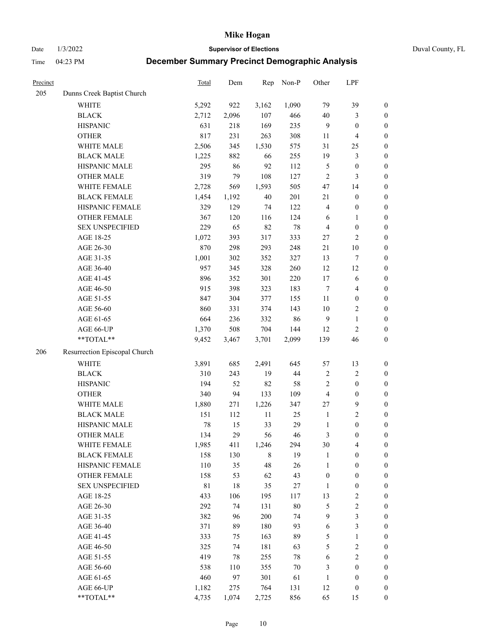Date 1/3/2022 **Supervisor of Elections** Duval County, FL

| Precinct |                               | Total       | Dem   | Rep    | Non-P  | Other            | LPF                     |                  |
|----------|-------------------------------|-------------|-------|--------|--------|------------------|-------------------------|------------------|
| 205      | Dunns Creek Baptist Church    |             |       |        |        |                  |                         |                  |
|          | <b>WHITE</b>                  | 5,292       | 922   | 3,162  | 1,090  | 79               | 39                      | $\boldsymbol{0}$ |
|          | <b>BLACK</b>                  | 2,712       | 2,096 | 107    | 466    | 40               | 3                       | $\boldsymbol{0}$ |
|          | <b>HISPANIC</b>               | 631         | 218   | 169    | 235    | 9                | $\boldsymbol{0}$        | $\boldsymbol{0}$ |
|          | <b>OTHER</b>                  | 817         | 231   | 263    | 308    | 11               | $\overline{\mathbf{4}}$ | $\boldsymbol{0}$ |
|          | WHITE MALE                    | 2,506       | 345   | 1,530  | 575    | 31               | 25                      | $\boldsymbol{0}$ |
|          | <b>BLACK MALE</b>             | 1,225       | 882   | 66     | 255    | 19               | $\mathfrak{Z}$          | $\boldsymbol{0}$ |
|          | HISPANIC MALE                 | 295         | 86    | 92     | 112    | 5                | $\boldsymbol{0}$        | $\boldsymbol{0}$ |
|          | <b>OTHER MALE</b>             | 319         | 79    | 108    | 127    | $\overline{2}$   | 3                       | $\boldsymbol{0}$ |
|          | WHITE FEMALE                  | 2,728       | 569   | 1,593  | 505    | 47               | 14                      | $\boldsymbol{0}$ |
|          | <b>BLACK FEMALE</b>           | 1,454       | 1,192 | 40     | 201    | $21\,$           | $\boldsymbol{0}$        | $\boldsymbol{0}$ |
|          | HISPANIC FEMALE               | 329         | 129   | 74     | 122    | $\overline{4}$   | $\boldsymbol{0}$        | 0                |
|          | OTHER FEMALE                  | 367         | 120   | 116    | 124    | 6                | $\mathbf{1}$            | $\boldsymbol{0}$ |
|          | <b>SEX UNSPECIFIED</b>        | 229         | 65    | 82     | 78     | $\overline{4}$   | $\boldsymbol{0}$        | $\boldsymbol{0}$ |
|          | AGE 18-25                     | 1,072       | 393   | 317    | 333    | 27               | $\sqrt{2}$              | $\boldsymbol{0}$ |
|          | AGE 26-30                     | 870         | 298   | 293    | 248    | $21\,$           | $10\,$                  | $\boldsymbol{0}$ |
|          | AGE 31-35                     | 1,001       | 302   | 352    | 327    | 13               | $\boldsymbol{7}$        | $\boldsymbol{0}$ |
|          | AGE 36-40                     | 957         | 345   | 328    | 260    | 12               | 12                      | $\boldsymbol{0}$ |
|          | AGE 41-45                     | 896         | 352   | 301    | 220    | 17               | $\sqrt{6}$              | $\boldsymbol{0}$ |
|          | AGE 46-50                     | 915         | 398   | 323    | 183    | $\tau$           | $\overline{\mathbf{4}}$ | $\boldsymbol{0}$ |
|          | AGE 51-55                     | 847         | 304   | 377    | 155    | 11               | $\boldsymbol{0}$        | $\boldsymbol{0}$ |
|          | AGE 56-60                     | 860         | 331   | 374    | 143    | $10\,$           | $\sqrt{2}$              | 0                |
|          | AGE 61-65                     | 664         | 236   | 332    | 86     | 9                | $\mathbf{1}$            | $\boldsymbol{0}$ |
|          | AGE 66-UP                     | 1,370       | 508   | 704    | 144    | 12               | $\mathfrak{2}$          | $\boldsymbol{0}$ |
|          | $**TOTAL**$                   | 9,452       | 3,467 | 3,701  | 2,099  | 139              | 46                      | $\boldsymbol{0}$ |
| 206      | Resurrection Episcopal Church |             |       |        |        |                  |                         |                  |
|          | <b>WHITE</b>                  | 3,891       | 685   | 2,491  | 645    | 57               | 13                      | $\boldsymbol{0}$ |
|          | <b>BLACK</b>                  | 310         | 243   | 19     | 44     | 2                | $\sqrt{2}$              | $\boldsymbol{0}$ |
|          | <b>HISPANIC</b>               | 194         | 52    | 82     | 58     | $\overline{c}$   | $\boldsymbol{0}$        | $\boldsymbol{0}$ |
|          | <b>OTHER</b>                  | 340         | 94    | 133    | 109    | 4                | $\boldsymbol{0}$        | $\boldsymbol{0}$ |
|          | WHITE MALE                    | 1,880       | 271   | 1,226  | 347    | 27               | $\mathbf{9}$            | $\boldsymbol{0}$ |
|          | <b>BLACK MALE</b>             | 151         | 112   | $11\,$ | 25     | $\mathbf{1}$     | $\overline{2}$          | $\boldsymbol{0}$ |
|          | HISPANIC MALE                 | 78          | 15    | 33     | 29     | $\mathbf{1}$     | $\boldsymbol{0}$        | $\boldsymbol{0}$ |
|          | <b>OTHER MALE</b>             | 134         | 29    | 56     | 46     | 3                | $\boldsymbol{0}$        | $\boldsymbol{0}$ |
|          | WHITE FEMALE                  | 1,985       | 411   | 1,246  | 294    | 30               | 4                       | 0                |
|          | <b>BLACK FEMALE</b>           | 158         | 130   | 8      | 19     | $\mathbf{1}$     | $\boldsymbol{0}$        | $\boldsymbol{0}$ |
|          | HISPANIC FEMALE               | 110         | 35    | 48     | 26     | $\mathbf{1}$     | $\boldsymbol{0}$        | $\overline{0}$   |
|          | OTHER FEMALE                  | 158         | 53    | 62     | 43     | $\boldsymbol{0}$ | $\boldsymbol{0}$        | $\overline{0}$   |
|          | <b>SEX UNSPECIFIED</b>        | $8\sqrt{1}$ | 18    | 35     | 27     | $\mathbf{1}$     | $\boldsymbol{0}$        | 0                |
|          | AGE 18-25                     | 433         | 106   | 195    | 117    | 13               | $\sqrt{2}$              | 0                |
|          | AGE 26-30                     | 292         | 74    | 131    | $80\,$ | 5                | $\sqrt{2}$              | 0                |
|          | AGE 31-35                     | 382         | 96    | 200    | 74     | 9                | $\mathfrak{Z}$          | 0                |
|          | AGE 36-40                     | 371         | 89    | 180    | 93     | 6                | $\mathfrak{Z}$          | 0                |
|          | AGE 41-45                     | 333         | 75    | 163    | 89     | 5                | $\mathbf{1}$            | 0                |
|          | AGE 46-50                     | 325         | 74    | 181    | 63     | 5                | $\sqrt{2}$              | 0                |
|          | AGE 51-55                     | 419         | 78    | 255    | $78\,$ | 6                | $\sqrt{2}$              | 0                |
|          | AGE 56-60                     | 538         | 110   | 355    | $70\,$ | 3                | $\boldsymbol{0}$        | $\boldsymbol{0}$ |
|          | AGE 61-65                     | 460         | 97    | 301    | 61     | $\mathbf{1}$     | $\boldsymbol{0}$        | $\boldsymbol{0}$ |
|          | AGE 66-UP                     | 1,182       | 275   | 764    | 131    | 12               | $\boldsymbol{0}$        | 0                |
|          | **TOTAL**                     | 4,735       | 1,074 | 2,725  | 856    | 65               | 15                      | $\boldsymbol{0}$ |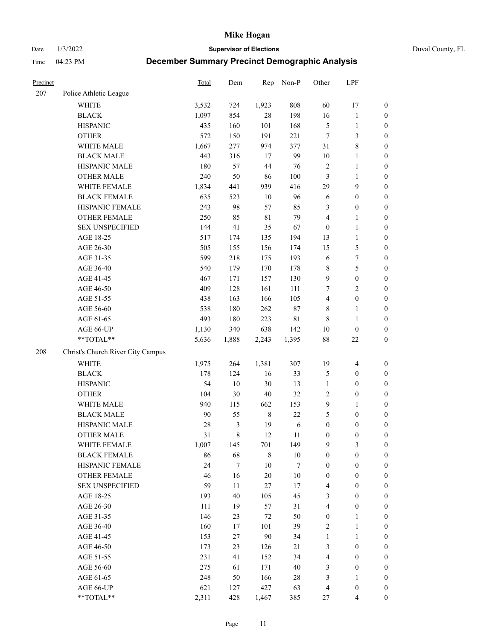Date 1/3/2022 **Supervisor of Elections** Duval County, FL

| Precinct |                                   | Total | Dem              | Rep         | Non-P       | Other                   | LPF                     |                  |
|----------|-----------------------------------|-------|------------------|-------------|-------------|-------------------------|-------------------------|------------------|
| 207      | Police Athletic League            |       |                  |             |             |                         |                         |                  |
|          | <b>WHITE</b>                      | 3,532 | 724              | 1,923       | 808         | 60                      | 17                      | 0                |
|          | <b>BLACK</b>                      | 1,097 | 854              | $28\,$      | 198         | 16                      | $\mathbf{1}$            | $\boldsymbol{0}$ |
|          | <b>HISPANIC</b>                   | 435   | 160              | 101         | 168         | 5                       | $\mathbf{1}$            | $\boldsymbol{0}$ |
|          | <b>OTHER</b>                      | 572   | 150              | 191         | 221         | 7                       | $\mathfrak{Z}$          | $\boldsymbol{0}$ |
|          | WHITE MALE                        | 1,667 | 277              | 974         | 377         | 31                      | $8\,$                   | $\boldsymbol{0}$ |
|          | <b>BLACK MALE</b>                 | 443   | 316              | 17          | 99          | $10\,$                  | $\mathbf{1}$            | $\boldsymbol{0}$ |
|          | HISPANIC MALE                     | 180   | 57               | 44          | 76          | 2                       | $\mathbf{1}$            | $\boldsymbol{0}$ |
|          | <b>OTHER MALE</b>                 | 240   | 50               | 86          | 100         | 3                       | $\mathbf{1}$            | $\boldsymbol{0}$ |
|          | WHITE FEMALE                      | 1,834 | 441              | 939         | 416         | 29                      | $\mathbf{9}$            | $\boldsymbol{0}$ |
|          | <b>BLACK FEMALE</b>               | 635   | 523              | $10\,$      | 96          | 6                       | $\boldsymbol{0}$        | $\boldsymbol{0}$ |
|          | HISPANIC FEMALE                   | 243   | 98               | 57          | 85          | 3                       | $\boldsymbol{0}$        | $\boldsymbol{0}$ |
|          | <b>OTHER FEMALE</b>               | 250   | 85               | $8\sqrt{1}$ | 79          | 4                       | $\mathbf{1}$            | $\boldsymbol{0}$ |
|          | <b>SEX UNSPECIFIED</b>            | 144   | 41               | 35          | 67          | $\boldsymbol{0}$        | $\mathbf{1}$            | $\boldsymbol{0}$ |
|          | AGE 18-25                         | 517   | 174              | 135         | 194         | 13                      | $\mathbf{1}$            | $\boldsymbol{0}$ |
|          | AGE 26-30                         | 505   | 155              | 156         | 174         | 15                      | $\mathfrak{S}$          | $\boldsymbol{0}$ |
|          | AGE 31-35                         | 599   | 218              | 175         | 193         | 6                       | $\boldsymbol{7}$        | $\boldsymbol{0}$ |
|          | AGE 36-40                         | 540   | 179              | 170         | 178         | 8                       | $\mathfrak s$           | $\boldsymbol{0}$ |
|          | AGE 41-45                         | 467   | 171              | 157         | 130         | 9                       | $\boldsymbol{0}$        | $\boldsymbol{0}$ |
|          | AGE 46-50                         | 409   | 128              | 161         | 111         | 7                       | $\overline{2}$          | $\boldsymbol{0}$ |
|          | AGE 51-55                         | 438   | 163              | 166         | 105         | 4                       | $\boldsymbol{0}$        | $\boldsymbol{0}$ |
|          | AGE 56-60                         | 538   | 180              | 262         | 87          | 8                       | $\mathbf{1}$            | 0                |
|          | AGE 61-65                         | 493   | 180              | 223         | $8\sqrt{1}$ | $\,$ 8 $\,$             | $\mathbf{1}$            | $\boldsymbol{0}$ |
|          | AGE 66-UP                         | 1,130 | 340              | 638         | 142         | $10\,$                  | $\boldsymbol{0}$        | $\boldsymbol{0}$ |
|          | **TOTAL**                         | 5,636 | 1,888            | 2,243       | 1,395       | 88                      | $22\,$                  | $\boldsymbol{0}$ |
| 208      | Christ's Church River City Campus |       |                  |             |             |                         |                         |                  |
|          | <b>WHITE</b>                      | 1,975 | 264              | 1,381       | 307         | 19                      | $\overline{\mathbf{4}}$ | $\boldsymbol{0}$ |
|          | <b>BLACK</b>                      | 178   | 124              | 16          | 33          | 5                       | $\boldsymbol{0}$        | $\boldsymbol{0}$ |
|          | <b>HISPANIC</b>                   | 54    | 10               | 30          | 13          | $\mathbf{1}$            | $\boldsymbol{0}$        | $\boldsymbol{0}$ |
|          | <b>OTHER</b>                      | 104   | 30               | $40\,$      | 32          | 2                       | $\boldsymbol{0}$        | $\boldsymbol{0}$ |
|          | WHITE MALE                        | 940   | 115              | 662         | 153         | 9                       | $\mathbf{1}$            | $\boldsymbol{0}$ |
|          | <b>BLACK MALE</b>                 | 90    | 55               | $\,8\,$     | 22          | 5                       | $\boldsymbol{0}$        | $\boldsymbol{0}$ |
|          | HISPANIC MALE                     | 28    | 3                | 19          | $\sqrt{6}$  | $\boldsymbol{0}$        | $\boldsymbol{0}$        | $\boldsymbol{0}$ |
|          | <b>OTHER MALE</b>                 | 31    | 8                | 12          | 11          | $\boldsymbol{0}$        | $\boldsymbol{0}$        | $\boldsymbol{0}$ |
|          | WHITE FEMALE                      | 1,007 | 145              | 701         | 149         | 9                       | 3                       | 0                |
|          | <b>BLACK FEMALE</b>               | 86    | 68               | 8           | 10          | $\boldsymbol{0}$        | $\boldsymbol{0}$        | $\overline{0}$   |
|          | HISPANIC FEMALE                   | 24    | $\boldsymbol{7}$ | $10\,$      | 7           | $\boldsymbol{0}$        | $\boldsymbol{0}$        | $\overline{0}$   |
|          | OTHER FEMALE                      | 46    | 16               | 20          | $10\,$      | $\boldsymbol{0}$        | $\boldsymbol{0}$        | $\overline{0}$   |
|          | <b>SEX UNSPECIFIED</b>            | 59    | 11               | 27          | 17          | 4                       | $\boldsymbol{0}$        | 0                |
|          | AGE 18-25                         | 193   | 40               | 105         | 45          | 3                       | $\boldsymbol{0}$        | 0                |
|          | AGE 26-30                         | 111   | 19               | 57          | 31          | $\overline{4}$          | $\boldsymbol{0}$        | 0                |
|          | AGE 31-35                         | 146   | 23               | $72\,$      | 50          | $\boldsymbol{0}$        | 1                       | 0                |
|          | AGE 36-40                         | 160   | 17               | 101         | 39          | 2                       | $\mathbf{1}$            | 0                |
|          | AGE 41-45                         | 153   | 27               | 90          | 34          | $\mathbf{1}$            | $\mathbf{1}$            | 0                |
|          | AGE 46-50                         | 173   | 23               | 126         | 21          | 3                       | $\boldsymbol{0}$        | 0                |
|          | AGE 51-55                         | 231   | 41               | 152         | 34          | 4                       | $\boldsymbol{0}$        | 0                |
|          | AGE 56-60                         | 275   | 61               | 171         | $40\,$      | 3                       | $\boldsymbol{0}$        | $\boldsymbol{0}$ |
|          | AGE 61-65                         | 248   | 50               | 166         | 28          | 3                       | $\mathbf{1}$            | 0                |
|          | AGE 66-UP                         | 621   | 127              | 427         | 63          | $\overline{\mathbf{4}}$ | $\boldsymbol{0}$        | 0                |
|          | **TOTAL**                         | 2,311 | 428              | 1,467       | 385         | 27                      | $\overline{4}$          | $\boldsymbol{0}$ |
|          |                                   |       |                  |             |             |                         |                         |                  |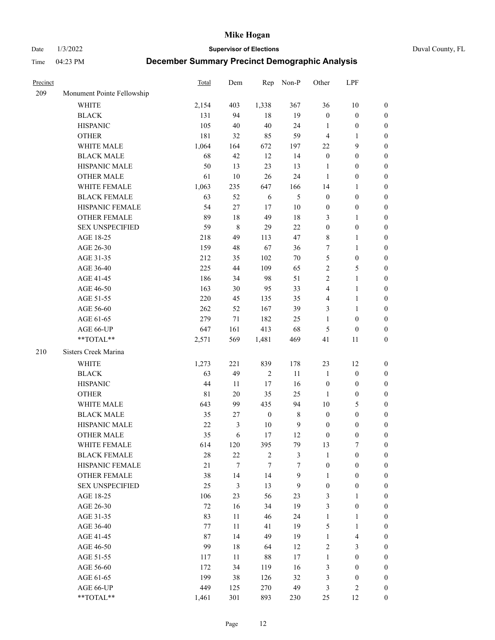Date 1/3/2022 **Supervisor of Elections** Duval County, FL

| Precinct |                            | <b>Total</b> | Dem         | Rep              | Non-P            | Other            | LPF                     |                  |
|----------|----------------------------|--------------|-------------|------------------|------------------|------------------|-------------------------|------------------|
| 209      | Monument Pointe Fellowship |              |             |                  |                  |                  |                         |                  |
|          | <b>WHITE</b>               | 2,154        | 403         | 1,338            | 367              | 36               | $10\,$                  | 0                |
|          | <b>BLACK</b>               | 131          | 94          | 18               | 19               | $\boldsymbol{0}$ | $\boldsymbol{0}$        | 0                |
|          | <b>HISPANIC</b>            | 105          | 40          | 40               | 24               | 1                | $\boldsymbol{0}$        | $\boldsymbol{0}$ |
|          | <b>OTHER</b>               | 181          | 32          | 85               | 59               | 4                | 1                       | $\boldsymbol{0}$ |
|          | WHITE MALE                 | 1,064        | 164         | 672              | 197              | $22\,$           | 9                       | $\boldsymbol{0}$ |
|          | <b>BLACK MALE</b>          | 68           | 42          | 12               | 14               | $\boldsymbol{0}$ | $\boldsymbol{0}$        | $\boldsymbol{0}$ |
|          | HISPANIC MALE              | 50           | 13          | 23               | 13               | $\mathbf{1}$     | $\boldsymbol{0}$        | $\boldsymbol{0}$ |
|          | <b>OTHER MALE</b>          | 61           | 10          | 26               | 24               | $\mathbf{1}$     | $\boldsymbol{0}$        | $\boldsymbol{0}$ |
|          | WHITE FEMALE               | 1,063        | 235         | 647              | 166              | 14               | 1                       | $\boldsymbol{0}$ |
|          | <b>BLACK FEMALE</b>        | 63           | 52          | 6                | $\mathfrak{S}$   | $\boldsymbol{0}$ | $\boldsymbol{0}$        | 0                |
|          | HISPANIC FEMALE            | 54           | 27          | 17               | $10\,$           | $\boldsymbol{0}$ | $\boldsymbol{0}$        | 0                |
|          | OTHER FEMALE               | 89           | $18\,$      | 49               | 18               | 3                | $\mathbf{1}$            | $\boldsymbol{0}$ |
|          | <b>SEX UNSPECIFIED</b>     | 59           | $\,$ 8 $\,$ | 29               | 22               | $\boldsymbol{0}$ | $\boldsymbol{0}$        | $\boldsymbol{0}$ |
|          | AGE 18-25                  | 218          | 49          | 113              | 47               | 8                | 1                       | $\boldsymbol{0}$ |
|          | AGE 26-30                  | 159          | 48          | 67               | 36               | 7                | $\mathbf{1}$            | $\boldsymbol{0}$ |
|          | AGE 31-35                  | 212          | 35          | 102              | $70\,$           | 5                | $\boldsymbol{0}$        | $\boldsymbol{0}$ |
|          | AGE 36-40                  | 225          | 44          | 109              | 65               | 2                | $\mathfrak{S}$          | $\boldsymbol{0}$ |
|          | AGE 41-45                  | 186          | 34          | 98               | 51               | 2                | $\mathbf{1}$            | $\boldsymbol{0}$ |
|          | AGE 46-50                  | 163          | 30          | 95               | 33               | 4                | $\mathbf{1}$            | $\boldsymbol{0}$ |
|          | AGE 51-55                  | 220          | 45          | 135              | 35               | 4                | $\mathbf{1}$            | 0                |
|          | AGE 56-60                  | 262          | 52          | 167              | 39               | 3                | 1                       | 0                |
|          | AGE 61-65                  | 279          | 71          | 182              | 25               | 1                | $\boldsymbol{0}$        | 0                |
|          | AGE 66-UP                  | 647          | 161         | 413              | 68               | 5                | $\boldsymbol{0}$        | $\boldsymbol{0}$ |
|          | **TOTAL**                  | 2,571        | 569         | 1,481            | 469              | 41               | 11                      | $\boldsymbol{0}$ |
|          |                            |              |             |                  |                  |                  |                         |                  |
| 210      | Sisters Creek Marina       |              |             |                  |                  |                  |                         |                  |
|          | <b>WHITE</b>               | 1,273        | 221         | 839              | 178              | 23               | 12                      | $\boldsymbol{0}$ |
|          | <b>BLACK</b>               | 63           | 49          | $\sqrt{2}$       | 11               | $\mathbf{1}$     | $\boldsymbol{0}$        | $\boldsymbol{0}$ |
|          | <b>HISPANIC</b>            | 44           | 11          | 17               | 16               | $\boldsymbol{0}$ | $\boldsymbol{0}$        | $\boldsymbol{0}$ |
|          | <b>OTHER</b>               | $8\sqrt{1}$  | $20\,$      | 35               | 25               | $\mathbf{1}$     | $\boldsymbol{0}$        | $\boldsymbol{0}$ |
|          | WHITE MALE                 | 643          | 99          | 435              | 94               | $10\,$           | $\mathfrak{S}$          | $\boldsymbol{0}$ |
|          | <b>BLACK MALE</b>          | 35           | 27          | $\boldsymbol{0}$ | $\,$ 8 $\,$      | $\boldsymbol{0}$ | $\boldsymbol{0}$        | $\boldsymbol{0}$ |
|          | HISPANIC MALE              | $22\,$       | 3           | 10               | $\mathbf{9}$     | $\boldsymbol{0}$ | $\boldsymbol{0}$        | $\boldsymbol{0}$ |
|          | OTHER MALE                 | 35           | 6           | 17               | 12               | $\boldsymbol{0}$ | $\boldsymbol{0}$        | $\boldsymbol{0}$ |
|          | WHITE FEMALE               | 614          | 120         | 395              | 79               | 13               | 7                       | 0                |
|          | <b>BLACK FEMALE</b>        | 28           | 22          | $\sqrt{2}$       | $\mathfrak{Z}$   | $\mathbf{1}$     | $\boldsymbol{0}$        | $\overline{0}$   |
|          | HISPANIC FEMALE            | 21           | 7           | 7                | $\overline{7}$   | $\boldsymbol{0}$ | $\boldsymbol{0}$        | $\overline{0}$   |
|          | OTHER FEMALE               | 38           | 14          | 14               | $\boldsymbol{9}$ | 1                | $\boldsymbol{0}$        | $\overline{0}$   |
|          | <b>SEX UNSPECIFIED</b>     | 25           | 3           | 13               | $\mathbf{9}$     | $\boldsymbol{0}$ | $\boldsymbol{0}$        | 0                |
|          | AGE 18-25                  | 106          | 23          | 56               | 23               | 3                | $\mathbf{1}$            | 0                |
|          | AGE 26-30                  | 72           | 16          | 34               | 19               | 3                | $\boldsymbol{0}$        | 0                |
|          | AGE 31-35                  | 83           | $11\,$      | 46               | 24               | $\mathbf{1}$     | $\mathbf{1}$            | 0                |
|          | AGE 36-40                  | 77           | 11          | 41               | 19               | 5                | $\mathbf{1}$            | 0                |
|          | AGE 41-45                  | 87           | 14          | 49               | 19               | $\mathbf{1}$     | $\overline{\mathbf{4}}$ | 0                |
|          | AGE 46-50                  | 99           | $18\,$      | 64               | 12               | 2                | 3                       | 0                |
|          | AGE 51-55                  | 117          | 11          | 88               | 17               | $\mathbf{1}$     | $\boldsymbol{0}$        | $\overline{0}$   |
|          | AGE 56-60                  | 172          | 34          | 119              | 16               | 3                | $\boldsymbol{0}$        | $\overline{0}$   |
|          | AGE 61-65                  | 199          | 38          | 126              | 32               | 3                | $\boldsymbol{0}$        | 0                |
|          | AGE 66-UP                  | 449          | 125         | 270              | 49               | 3                | $\mathfrak{2}$          | 0                |
|          | **TOTAL**                  | 1,461        | 301         | 893              | 230              | 25               | 12                      | $\boldsymbol{0}$ |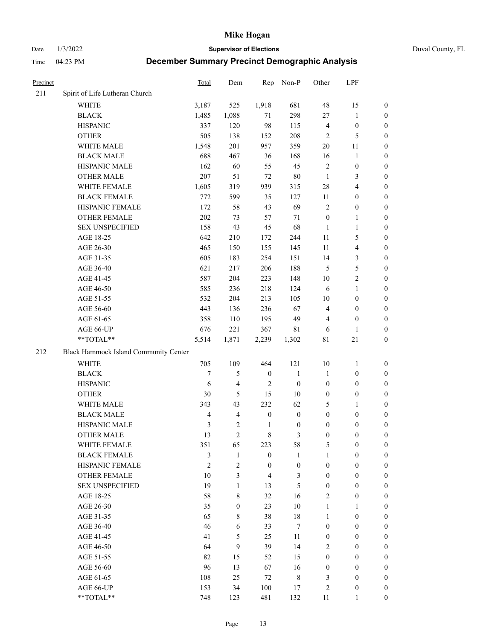Date 1/3/2022 **Supervisor of Elections** Duval County, FL

| Precinct |                                       | Total          | Dem                     | Rep              | Non-P            | Other                   | LPF                     |                  |
|----------|---------------------------------------|----------------|-------------------------|------------------|------------------|-------------------------|-------------------------|------------------|
| 211      | Spirit of Life Lutheran Church        |                |                         |                  |                  |                         |                         |                  |
|          | <b>WHITE</b>                          | 3,187          | 525                     | 1,918            | 681              | 48                      | 15                      | 0                |
|          | <b>BLACK</b>                          | 1,485          | 1,088                   | 71               | 298              | 27                      | $\mathbf{1}$            | 0                |
|          | <b>HISPANIC</b>                       | 337            | 120                     | 98               | 115              | $\overline{\mathbf{4}}$ | $\boldsymbol{0}$        | $\boldsymbol{0}$ |
|          | <b>OTHER</b>                          | 505            | 138                     | 152              | 208              | $\overline{2}$          | 5                       | $\boldsymbol{0}$ |
|          | WHITE MALE                            | 1,548          | 201                     | 957              | 359              | $20\,$                  | 11                      | $\boldsymbol{0}$ |
|          | <b>BLACK MALE</b>                     | 688            | 467                     | 36               | 168              | 16                      | $\mathbf{1}$            | $\boldsymbol{0}$ |
|          | HISPANIC MALE                         | 162            | 60                      | 55               | 45               | $\sqrt{2}$              | $\boldsymbol{0}$        | $\boldsymbol{0}$ |
|          | <b>OTHER MALE</b>                     | 207            | 51                      | 72               | $80\,$           | $\mathbf{1}$            | $\mathfrak{Z}$          | $\boldsymbol{0}$ |
|          | WHITE FEMALE                          | 1,605          | 319                     | 939              | 315              | 28                      | $\overline{\mathbf{4}}$ | $\boldsymbol{0}$ |
|          | <b>BLACK FEMALE</b>                   | 772            | 599                     | 35               | 127              | 11                      | $\boldsymbol{0}$        | 0                |
|          | HISPANIC FEMALE                       | 172            | 58                      | 43               | 69               | $\mathfrak{2}$          | $\boldsymbol{0}$        | 0                |
|          | OTHER FEMALE                          | 202            | 73                      | 57               | $71\,$           | $\boldsymbol{0}$        | $\mathbf{1}$            | 0                |
|          | <b>SEX UNSPECIFIED</b>                | 158            | 43                      | 45               | 68               | $\mathbf{1}$            | $\mathbf{1}$            | $\boldsymbol{0}$ |
|          | AGE 18-25                             | 642            | 210                     | 172              | 244              | $11\,$                  | $\mathfrak{S}$          | $\boldsymbol{0}$ |
|          | AGE 26-30                             | 465            | 150                     | 155              | 145              | 11                      | $\overline{\mathbf{4}}$ | $\boldsymbol{0}$ |
|          | AGE 31-35                             | 605            | 183                     | 254              | 151              | 14                      | $\mathfrak{Z}$          | $\boldsymbol{0}$ |
|          | AGE 36-40                             | 621            | 217                     | 206              | 188              | $\mathfrak{S}$          | $\mathfrak s$           | $\boldsymbol{0}$ |
|          | AGE 41-45                             | 587            | 204                     | 223              | 148              | $10\,$                  | $\overline{2}$          | $\boldsymbol{0}$ |
|          | AGE 46-50                             | 585            | 236                     | 218              | 124              | 6                       | $\mathbf{1}$            | $\boldsymbol{0}$ |
|          | AGE 51-55                             | 532            | 204                     | 213              | 105              | $10\,$                  | $\boldsymbol{0}$        | 0                |
|          | AGE 56-60                             | 443            | 136                     | 236              | 67               | $\overline{4}$          | $\boldsymbol{0}$        | 0                |
|          | AGE 61-65                             | 358            | 110                     | 195              | 49               | 4                       | $\boldsymbol{0}$        | 0                |
|          | AGE 66-UP                             | 676            | 221                     | 367              | 81               | 6                       | $\mathbf{1}$            | $\boldsymbol{0}$ |
|          | **TOTAL**                             | 5,514          | 1,871                   | 2,239            | 1,302            | $8\sqrt{1}$             | $21\,$                  | $\boldsymbol{0}$ |
| 212      | Black Hammock Island Community Center |                |                         |                  |                  |                         |                         |                  |
|          | <b>WHITE</b>                          | 705            | 109                     | 464              | 121              | $10\,$                  | $\mathbf{1}$            | $\boldsymbol{0}$ |
|          | <b>BLACK</b>                          | $\overline{7}$ | 5                       | $\boldsymbol{0}$ | $\mathbf{1}$     | $\mathbf{1}$            | $\boldsymbol{0}$        | $\boldsymbol{0}$ |
|          | <b>HISPANIC</b>                       | 6              | $\overline{\mathbf{4}}$ | $\mathfrak{2}$   | $\boldsymbol{0}$ | $\boldsymbol{0}$        | $\boldsymbol{0}$        | $\boldsymbol{0}$ |
|          | <b>OTHER</b>                          | 30             | 5                       | 15               | $10\,$           | $\boldsymbol{0}$        | $\boldsymbol{0}$        | $\boldsymbol{0}$ |
|          | WHITE MALE                            | 343            | 43                      | 232              | 62               | 5                       | $\mathbf{1}$            | $\boldsymbol{0}$ |
|          | <b>BLACK MALE</b>                     | $\overline{4}$ | $\overline{4}$          | $\boldsymbol{0}$ | $\boldsymbol{0}$ | $\boldsymbol{0}$        | $\boldsymbol{0}$        | $\boldsymbol{0}$ |
|          | HISPANIC MALE                         | $\mathfrak{Z}$ | $\sqrt{2}$              | $\mathbf{1}$     | $\boldsymbol{0}$ | $\boldsymbol{0}$        | $\boldsymbol{0}$        | 0                |
|          | <b>OTHER MALE</b>                     | 13             | $\overline{2}$          | $\,$ 8 $\,$      | 3                | $\boldsymbol{0}$        | $\boldsymbol{0}$        | $\boldsymbol{0}$ |
|          | WHITE FEMALE                          | 351            | 65                      | 223              | 58               | 5                       | $\boldsymbol{0}$        | 0                |
|          | <b>BLACK FEMALE</b>                   | 3              | $\mathbf{1}$            | $\boldsymbol{0}$ | $\mathbf{1}$     | 1                       | $\boldsymbol{0}$        | $\overline{0}$   |
|          | HISPANIC FEMALE                       | $\overline{2}$ | $\mathfrak{2}$          | $\boldsymbol{0}$ | $\boldsymbol{0}$ | $\boldsymbol{0}$        | $\boldsymbol{0}$        | $\overline{0}$   |
|          | <b>OTHER FEMALE</b>                   | 10             | 3                       | $\overline{4}$   | $\mathfrak{Z}$   | $\boldsymbol{0}$        | $\boldsymbol{0}$        | $\overline{0}$   |
|          | <b>SEX UNSPECIFIED</b>                | 19             | 1                       | 13               | 5                | $\boldsymbol{0}$        | $\boldsymbol{0}$        | $\overline{0}$   |
|          | AGE 18-25                             | 58             | $\,8\,$                 | 32               | 16               | 2                       | $\boldsymbol{0}$        | $\theta$         |
|          | AGE 26-30                             | 35             | $\boldsymbol{0}$        | 23               | $10\,$           | $\mathbf{1}$            | $\mathbf{1}$            | $\overline{0}$   |
|          | AGE 31-35                             | 65             | $\,8\,$                 | 38               | $18\,$           | $\mathbf{1}$            | $\boldsymbol{0}$        | 0                |
|          | AGE 36-40                             | 46             | 6                       | 33               | 7                | $\boldsymbol{0}$        | $\boldsymbol{0}$        | 0                |
|          | AGE 41-45                             | 41             | 5                       | 25               | 11               | $\boldsymbol{0}$        | $\boldsymbol{0}$        | 0                |
|          | AGE 46-50                             | 64             | 9                       | 39               | 14               | 2                       | $\boldsymbol{0}$        | 0                |
|          | AGE 51-55                             | 82             | 15                      | 52               | 15               | $\boldsymbol{0}$        | $\boldsymbol{0}$        | $\overline{0}$   |
|          | AGE 56-60                             | 96             | 13                      | 67               | 16               | $\boldsymbol{0}$        | $\boldsymbol{0}$        | $\overline{0}$   |
|          | AGE 61-65                             | 108            | 25                      | 72               | $8\,$            | 3                       | $\boldsymbol{0}$        | $\overline{0}$   |
|          | AGE 66-UP                             | 153            | 34                      | 100              | 17               | $\overline{c}$          | $\boldsymbol{0}$        | $\boldsymbol{0}$ |
|          | **TOTAL**                             | 748            | 123                     | 481              | 132              | 11                      | $\mathbf{1}$            | $\overline{0}$   |
|          |                                       |                |                         |                  |                  |                         |                         |                  |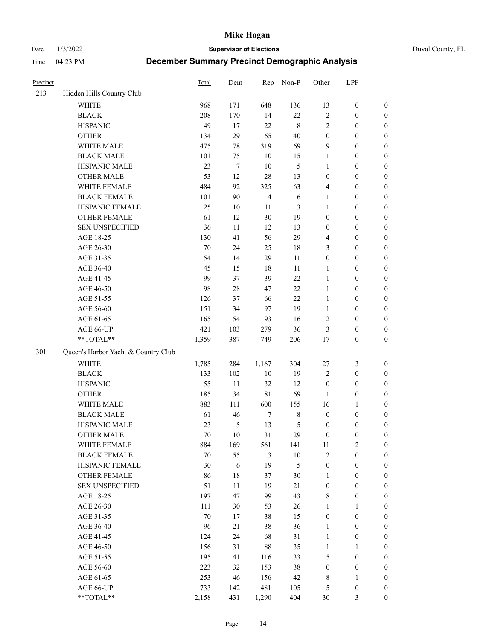Date 1/3/2022 **Supervisor of Elections** Duval County, FL

| Precinct |                                     | <b>Total</b> | Dem              | Rep            | Non-P         | Other            | LPF              |                  |
|----------|-------------------------------------|--------------|------------------|----------------|---------------|------------------|------------------|------------------|
| 213      | Hidden Hills Country Club           |              |                  |                |               |                  |                  |                  |
|          | <b>WHITE</b>                        | 968          | 171              | 648            | 136           | 13               | $\boldsymbol{0}$ | 0                |
|          | <b>BLACK</b>                        | 208          | 170              | 14             | 22            | $\mathbf{2}$     | $\boldsymbol{0}$ | $\boldsymbol{0}$ |
|          | <b>HISPANIC</b>                     | 49           | 17               | 22             | $\,$ 8 $\,$   | $\mathbf{2}$     | $\boldsymbol{0}$ | $\boldsymbol{0}$ |
|          | <b>OTHER</b>                        | 134          | 29               | 65             | 40            | $\boldsymbol{0}$ | $\boldsymbol{0}$ | $\boldsymbol{0}$ |
|          | WHITE MALE                          | 475          | 78               | 319            | 69            | 9                | $\boldsymbol{0}$ | $\boldsymbol{0}$ |
|          | <b>BLACK MALE</b>                   | 101          | 75               | 10             | 15            | $\mathbf{1}$     | $\boldsymbol{0}$ | $\boldsymbol{0}$ |
|          | HISPANIC MALE                       | 23           | $\boldsymbol{7}$ | 10             | $\mathfrak s$ | 1                | $\boldsymbol{0}$ | $\boldsymbol{0}$ |
|          | <b>OTHER MALE</b>                   | 53           | 12               | 28             | 13            | $\boldsymbol{0}$ | $\boldsymbol{0}$ | $\boldsymbol{0}$ |
|          | WHITE FEMALE                        | 484          | 92               | 325            | 63            | 4                | $\boldsymbol{0}$ | $\boldsymbol{0}$ |
|          | <b>BLACK FEMALE</b>                 | 101          | 90               | $\overline{4}$ | $\sqrt{6}$    | $\mathbf{1}$     | $\boldsymbol{0}$ | $\boldsymbol{0}$ |
|          | HISPANIC FEMALE                     | 25           | 10               | 11             | 3             | $\mathbf{1}$     | $\boldsymbol{0}$ | $\boldsymbol{0}$ |
|          | <b>OTHER FEMALE</b>                 | 61           | 12               | 30             | 19            | $\boldsymbol{0}$ | $\boldsymbol{0}$ | $\boldsymbol{0}$ |
|          | <b>SEX UNSPECIFIED</b>              | 36           | 11               | 12             | 13            | $\boldsymbol{0}$ | $\boldsymbol{0}$ | $\boldsymbol{0}$ |
|          | AGE 18-25                           | 130          | 41               | 56             | 29            | 4                | $\boldsymbol{0}$ | $\boldsymbol{0}$ |
|          | AGE 26-30                           | 70           | 24               | 25             | 18            | 3                | $\boldsymbol{0}$ | $\boldsymbol{0}$ |
|          | AGE 31-35                           | 54           | 14               | 29             | 11            | $\boldsymbol{0}$ | $\boldsymbol{0}$ | $\boldsymbol{0}$ |
|          | AGE 36-40                           | 45           | 15               | 18             | 11            | 1                | $\boldsymbol{0}$ | $\boldsymbol{0}$ |
|          | AGE 41-45                           | 99           | 37               | 39             | 22            | $\mathbf{1}$     | $\boldsymbol{0}$ | $\boldsymbol{0}$ |
|          | AGE 46-50                           | 98           | $28\,$           | 47             | 22            | $\mathbf{1}$     | $\boldsymbol{0}$ | $\boldsymbol{0}$ |
|          | AGE 51-55                           | 126          | 37               | 66             | 22            | $\mathbf{1}$     | $\boldsymbol{0}$ | $\boldsymbol{0}$ |
|          | AGE 56-60                           | 151          | 34               | 97             | 19            | $\mathbf{1}$     | $\boldsymbol{0}$ | 0                |
|          | AGE 61-65                           | 165          | 54               | 93             | 16            | 2                | $\boldsymbol{0}$ | $\boldsymbol{0}$ |
|          | AGE 66-UP                           | 421          | 103              | 279            | 36            | 3                | $\boldsymbol{0}$ | $\boldsymbol{0}$ |
|          | **TOTAL**                           | 1,359        | 387              | 749            | 206           | 17               | $\boldsymbol{0}$ | $\boldsymbol{0}$ |
| 301      | Queen's Harbor Yacht & Country Club |              |                  |                |               |                  |                  |                  |
|          | WHITE                               | 1,785        | 284              | 1,167          | 304           | 27               | $\mathfrak{Z}$   | $\boldsymbol{0}$ |
|          | <b>BLACK</b>                        | 133          | 102              | 10             | 19            | 2                | $\boldsymbol{0}$ | $\boldsymbol{0}$ |
|          | <b>HISPANIC</b>                     | 55           | 11               | 32             | 12            | $\boldsymbol{0}$ | $\boldsymbol{0}$ | $\boldsymbol{0}$ |
|          | <b>OTHER</b>                        | 185          | 34               | $8\sqrt{1}$    | 69            | 1                | $\boldsymbol{0}$ | $\boldsymbol{0}$ |
|          | WHITE MALE                          | 883          | 111              | 600            | 155           | 16               | $\mathbf{1}$     | $\boldsymbol{0}$ |
|          | <b>BLACK MALE</b>                   | 61           | 46               | $\tau$         | $\,$ 8 $\,$   | $\boldsymbol{0}$ | $\boldsymbol{0}$ | $\boldsymbol{0}$ |
|          | HISPANIC MALE                       | 23           | $\mathfrak s$    | 13             | 5             | $\boldsymbol{0}$ | $\boldsymbol{0}$ | $\boldsymbol{0}$ |
|          | OTHER MALE                          | 70           | 10               | 31             | 29            | $\boldsymbol{0}$ | $\boldsymbol{0}$ | $\boldsymbol{0}$ |
|          | WHITE FEMALE                        | 884          | 169              | 561            | 141           | 11               | 2                | 0                |
|          | <b>BLACK FEMALE</b>                 | $70\,$       | 55               | $\mathfrak{Z}$ | $10\,$        | 2                | $\boldsymbol{0}$ | $\boldsymbol{0}$ |
|          | HISPANIC FEMALE                     | 30           | 6                | 19             | 5             | $\boldsymbol{0}$ | $\boldsymbol{0}$ | $\overline{0}$   |
|          | OTHER FEMALE                        | 86           | $18\,$           | 37             | $30\,$        | $\mathbf{1}$     | $\boldsymbol{0}$ | $\overline{0}$   |
|          | <b>SEX UNSPECIFIED</b>              | 51           | 11               | 19             | 21            | $\boldsymbol{0}$ | $\boldsymbol{0}$ | 0                |
|          | AGE 18-25                           | 197          | 47               | 99             | 43            | 8                | $\boldsymbol{0}$ | $\theta$         |
|          | AGE 26-30                           | 111          | 30               | 53             | 26            | $\mathbf{1}$     | $\mathbf{1}$     | 0                |
|          | AGE 31-35                           | 70           | 17               | 38             | 15            | $\boldsymbol{0}$ | $\boldsymbol{0}$ | 0                |
|          | AGE 36-40                           | 96           | 21               | 38             | 36            | $\mathbf{1}$     | $\boldsymbol{0}$ | 0                |
|          | AGE 41-45                           | 124          | 24               | 68             | 31            | $\mathbf{1}$     | $\boldsymbol{0}$ | 0                |
|          | AGE 46-50                           | 156          | 31               | 88             | 35            | $\mathbf{1}$     | 1                | 0                |
|          | AGE 51-55                           | 195          | 41               | 116            | 33            | 5                | $\boldsymbol{0}$ | 0                |
|          | AGE 56-60                           | 223          | 32               | 153            | 38            | $\boldsymbol{0}$ | $\boldsymbol{0}$ | $\overline{0}$   |
|          | AGE 61-65                           | 253          | 46               | 156            | 42            | 8                | $\mathbf{1}$     | $\overline{0}$   |
|          | AGE 66-UP                           | 733          | 142              | 481            | 105           | 5                | $\boldsymbol{0}$ | 0                |
|          | **TOTAL**                           | 2,158        | 431              | 1,290          | 404           | 30               | 3                | $\boldsymbol{0}$ |
|          |                                     |              |                  |                |               |                  |                  |                  |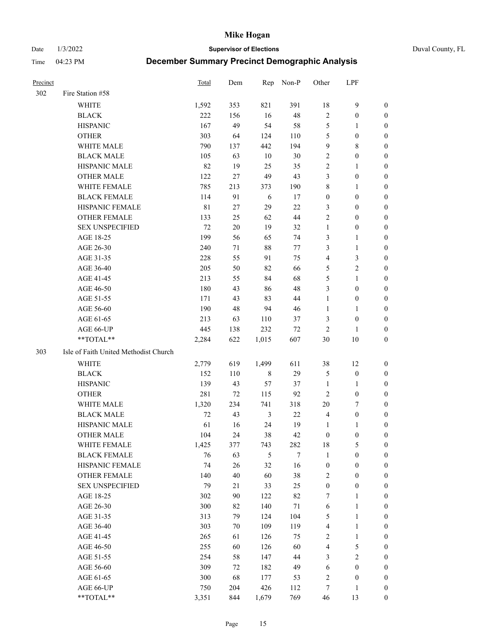Date 1/3/2022 **Supervisor of Elections** Duval County, FL

| <b>Precinct</b> |                                       | Total       | Dem | Rep            | Non-P | Other            | LPF              |                  |
|-----------------|---------------------------------------|-------------|-----|----------------|-------|------------------|------------------|------------------|
| 302             | Fire Station #58                      |             |     |                |       |                  |                  |                  |
|                 | <b>WHITE</b>                          | 1,592       | 353 | 821            | 391   | 18               | $\mathbf{9}$     | 0                |
|                 | <b>BLACK</b>                          | 222         | 156 | 16             | 48    | $\sqrt{2}$       | $\boldsymbol{0}$ | 0                |
|                 | <b>HISPANIC</b>                       | 167         | 49  | 54             | 58    | 5                | $\mathbf{1}$     | 0                |
|                 | <b>OTHER</b>                          | 303         | 64  | 124            | 110   | 5                | $\boldsymbol{0}$ | $\boldsymbol{0}$ |
|                 | WHITE MALE                            | 790         | 137 | 442            | 194   | 9                | $8\,$            | $\boldsymbol{0}$ |
|                 | <b>BLACK MALE</b>                     | 105         | 63  | 10             | 30    | 2                | $\boldsymbol{0}$ | $\boldsymbol{0}$ |
|                 | HISPANIC MALE                         | 82          | 19  | 25             | 35    | $\mathfrak{2}$   | $\mathbf{1}$     | $\boldsymbol{0}$ |
|                 | <b>OTHER MALE</b>                     | 122         | 27  | 49             | 43    | 3                | $\boldsymbol{0}$ | 0                |
|                 | WHITE FEMALE                          | 785         | 213 | 373            | 190   | $\,$ $\,$        | $\mathbf{1}$     | 0                |
|                 | <b>BLACK FEMALE</b>                   | 114         | 91  | 6              | 17    | $\boldsymbol{0}$ | $\boldsymbol{0}$ | 0                |
|                 | HISPANIC FEMALE                       | $8\sqrt{1}$ | 27  | 29             | 22    | 3                | $\boldsymbol{0}$ | 0                |
|                 | OTHER FEMALE                          | 133         | 25  | 62             | 44    | $\mathbf{2}$     | $\boldsymbol{0}$ | 0                |
|                 | <b>SEX UNSPECIFIED</b>                | 72          | 20  | 19             | 32    | $\mathbf{1}$     | $\boldsymbol{0}$ | $\boldsymbol{0}$ |
|                 | AGE 18-25                             | 199         | 56  | 65             | 74    | 3                | $\mathbf{1}$     | $\boldsymbol{0}$ |
|                 | AGE 26-30                             | 240         | 71  | 88             | 77    | 3                | $\mathbf{1}$     | $\boldsymbol{0}$ |
|                 | AGE 31-35                             | 228         | 55  | 91             | 75    | 4                | $\mathfrak{Z}$   | $\boldsymbol{0}$ |
|                 | AGE 36-40                             | 205         | 50  | 82             | 66    | 5                | $\sqrt{2}$       | $\boldsymbol{0}$ |
|                 | AGE 41-45                             | 213         | 55  | 84             | 68    | 5                | $\mathbf{1}$     | $\boldsymbol{0}$ |
|                 | AGE 46-50                             | 180         | 43  | 86             | 48    | 3                | $\boldsymbol{0}$ | $\boldsymbol{0}$ |
|                 | AGE 51-55                             | 171         | 43  | 83             | 44    | $\mathbf{1}$     | $\boldsymbol{0}$ | 0                |
|                 | AGE 56-60                             | 190         | 48  | 94             | 46    | $\mathbf{1}$     | $\mathbf{1}$     | 0                |
|                 | AGE 61-65                             | 213         | 63  | 110            | 37    | 3                | $\boldsymbol{0}$ | 0                |
|                 | AGE 66-UP                             | 445         | 138 | 232            | 72    | $\overline{2}$   | $\mathbf{1}$     | 0                |
|                 | **TOTAL**                             | 2,284       | 622 | 1,015          | 607   | 30               | $10\,$           | $\boldsymbol{0}$ |
| 303             | Isle of Faith United Methodist Church |             |     |                |       |                  |                  |                  |
|                 | <b>WHITE</b>                          | 2,779       | 619 | 1,499          | 611   | 38               | 12               | $\boldsymbol{0}$ |
|                 | <b>BLACK</b>                          | 152         | 110 | $\,$ 8 $\,$    | 29    | 5                | $\boldsymbol{0}$ | $\boldsymbol{0}$ |
|                 | <b>HISPANIC</b>                       | 139         | 43  | 57             | 37    | $\mathbf{1}$     | $\mathbf{1}$     | $\boldsymbol{0}$ |
|                 | <b>OTHER</b>                          | 281         | 72  | 115            | 92    | $\overline{2}$   | $\boldsymbol{0}$ | $\boldsymbol{0}$ |
|                 | WHITE MALE                            | 1,320       | 234 | 741            | 318   | $20\,$           | $\tau$           | $\overline{0}$   |
|                 | <b>BLACK MALE</b>                     | 72          | 43  | $\mathfrak{Z}$ | 22    | $\overline{4}$   | $\boldsymbol{0}$ | 0                |
|                 | HISPANIC MALE                         | 61          | 16  | 24             | 19    | 1                | 1                | 0                |
|                 | <b>OTHER MALE</b>                     | 104         | 24  | 38             | 42    | $\boldsymbol{0}$ | $\boldsymbol{0}$ | 0                |
|                 | WHITE FEMALE                          | 1,425       | 377 | 743            | 282   | 18               | 5                | 0                |
|                 | <b>BLACK FEMALE</b>                   | 76          | 63  | 5              | 7     | $\mathbf{1}$     | $\boldsymbol{0}$ | $\boldsymbol{0}$ |
|                 | HISPANIC FEMALE                       | 74          | 26  | 32             | 16    | $\boldsymbol{0}$ | $\boldsymbol{0}$ | $\overline{0}$   |
|                 | OTHER FEMALE                          | 140         | 40  | 60             | 38    | $\overline{c}$   | $\boldsymbol{0}$ | $\overline{0}$   |
|                 | <b>SEX UNSPECIFIED</b>                | 79          | 21  | 33             | 25    | $\boldsymbol{0}$ | $\boldsymbol{0}$ | 0                |
|                 | AGE 18-25                             | 302         | 90  | 122            | 82    | 7                | $\mathbf{1}$     | 0                |
|                 | AGE 26-30                             | 300         | 82  | 140            | 71    | 6                | $\mathbf{1}$     | 0                |
|                 | AGE 31-35                             | 313         | 79  | 124            | 104   | 5                | $\mathbf{1}$     | 0                |
|                 | AGE 36-40                             | 303         | 70  | 109            | 119   | 4                | $\mathbf{1}$     | 0                |
|                 | AGE 41-45                             | 265         | 61  | 126            | 75    | $\sqrt{2}$       | $\mathbf{1}$     | 0                |
|                 | AGE 46-50                             | 255         | 60  | 126            | 60    | 4                | $\mathfrak{S}$   | 0                |
|                 | AGE 51-55                             | 254         | 58  | 147            | 44    | 3                | $\sqrt{2}$       | $\overline{0}$   |
|                 | AGE 56-60                             | 309         | 72  | 182            | 49    | 6                | $\boldsymbol{0}$ | $\boldsymbol{0}$ |
|                 | AGE 61-65                             | 300         | 68  | 177            | 53    | $\overline{c}$   | $\boldsymbol{0}$ | $\boldsymbol{0}$ |
|                 | AGE 66-UP                             | 750         | 204 | 426            | 112   | 7                | $\mathbf{1}$     | $\boldsymbol{0}$ |
|                 | **TOTAL**                             | 3,351       | 844 | 1,679          | 769   | 46               | 13               | $\boldsymbol{0}$ |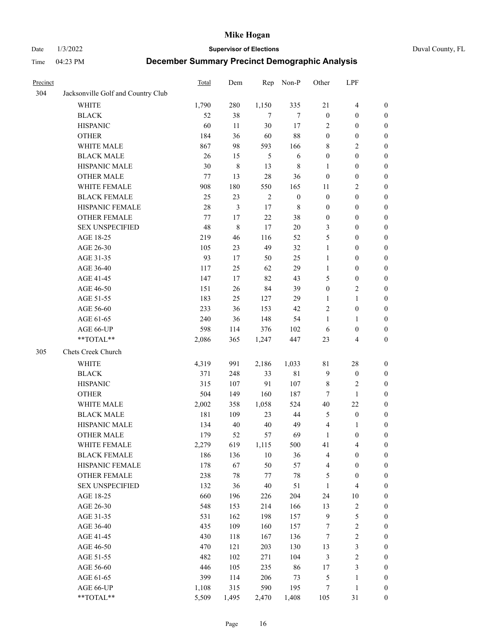Date 1/3/2022 **Supervisor of Elections** Duval County, FL

| Precinct |                                    | Total   | Dem   | Rep        | Non-P            | Other            | LPF                     |                  |
|----------|------------------------------------|---------|-------|------------|------------------|------------------|-------------------------|------------------|
| 304      | Jacksonville Golf and Country Club |         |       |            |                  |                  |                         |                  |
|          | <b>WHITE</b>                       | 1,790   | 280   | 1,150      | 335              | 21               | $\overline{4}$          | 0                |
|          | <b>BLACK</b>                       | 52      | 38    | $\tau$     | 7                | $\boldsymbol{0}$ | $\boldsymbol{0}$        | 0                |
|          | <b>HISPANIC</b>                    | 60      | 11    | $30\,$     | 17               | 2                | $\boldsymbol{0}$        | $\boldsymbol{0}$ |
|          | <b>OTHER</b>                       | 184     | 36    | 60         | 88               | $\boldsymbol{0}$ | $\boldsymbol{0}$        | $\boldsymbol{0}$ |
|          | WHITE MALE                         | 867     | 98    | 593        | 166              | 8                | $\sqrt{2}$              | $\boldsymbol{0}$ |
|          | <b>BLACK MALE</b>                  | 26      | 15    | 5          | 6                | $\boldsymbol{0}$ | $\boldsymbol{0}$        | $\boldsymbol{0}$ |
|          | HISPANIC MALE                      | 30      | 8     | 13         | $\,$ 8 $\,$      | $\mathbf{1}$     | $\boldsymbol{0}$        | $\boldsymbol{0}$ |
|          | <b>OTHER MALE</b>                  | 77      | 13    | 28         | 36               | $\boldsymbol{0}$ | $\boldsymbol{0}$        | $\boldsymbol{0}$ |
|          | WHITE FEMALE                       | 908     | 180   | 550        | 165              | 11               | $\mathbf{2}$            | $\boldsymbol{0}$ |
|          | <b>BLACK FEMALE</b>                | 25      | 23    | $\sqrt{2}$ | $\boldsymbol{0}$ | $\boldsymbol{0}$ | $\boldsymbol{0}$        | $\boldsymbol{0}$ |
|          | HISPANIC FEMALE                    | 28      | 3     | 17         | $\,$ 8 $\,$      | $\boldsymbol{0}$ | $\boldsymbol{0}$        | 0                |
|          | OTHER FEMALE                       | $77 \,$ | 17    | 22         | 38               | $\boldsymbol{0}$ | $\boldsymbol{0}$        | 0                |
|          | <b>SEX UNSPECIFIED</b>             | 48      | 8     | 17         | $20\,$           | 3                | $\boldsymbol{0}$        | $\boldsymbol{0}$ |
|          | AGE 18-25                          | 219     | 46    | 116        | 52               | 5                | $\boldsymbol{0}$        | $\boldsymbol{0}$ |
|          | AGE 26-30                          | 105     | 23    | 49         | 32               | $\mathbf{1}$     | $\boldsymbol{0}$        | $\boldsymbol{0}$ |
|          | AGE 31-35                          | 93      | 17    | 50         | 25               | $\mathbf{1}$     | $\boldsymbol{0}$        | $\boldsymbol{0}$ |
|          | AGE 36-40                          | 117     | 25    | 62         | 29               | $\mathbf{1}$     | $\boldsymbol{0}$        | $\boldsymbol{0}$ |
|          | AGE 41-45                          | 147     | 17    | 82         | 43               | 5                | $\boldsymbol{0}$        | $\boldsymbol{0}$ |
|          | AGE 46-50                          | 151     | 26    | 84         | 39               | $\boldsymbol{0}$ | $\mathbf{2}$            | $\boldsymbol{0}$ |
|          | AGE 51-55                          | 183     | 25    | 127        | 29               | 1                | $\mathbf{1}$            | $\boldsymbol{0}$ |
|          | AGE 56-60                          | 233     | 36    | 153        | 42               | $\overline{c}$   | $\boldsymbol{0}$        | 0                |
|          | AGE 61-65                          | 240     | 36    | 148        | 54               | 1                | $\mathbf{1}$            | 0                |
|          | AGE 66-UP                          | 598     | 114   | 376        | 102              | 6                | $\boldsymbol{0}$        | 0                |
|          | **TOTAL**                          | 2,086   | 365   | 1,247      | 447              | 23               | $\overline{\mathbf{4}}$ | $\boldsymbol{0}$ |
| 305      | Chets Creek Church                 |         |       |            |                  |                  |                         |                  |
|          | <b>WHITE</b>                       | 4,319   | 991   | 2,186      | 1,033            | $8\sqrt{1}$      | $28\,$                  | $\boldsymbol{0}$ |
|          | <b>BLACK</b>                       | 371     | 248   | 33         | 81               | $\overline{9}$   | $\boldsymbol{0}$        | $\boldsymbol{0}$ |
|          | <b>HISPANIC</b>                    | 315     | 107   | 91         | 107              | 8                | $\mathbf{2}$            | $\boldsymbol{0}$ |
|          | <b>OTHER</b>                       | 504     | 149   | 160        | 187              | 7                | $\mathbf{1}$            | $\boldsymbol{0}$ |
|          | WHITE MALE                         | 2,002   | 358   | 1,058      | 524              | $40\,$           | 22                      | $\boldsymbol{0}$ |
|          | <b>BLACK MALE</b>                  | 181     | 109   | 23         | 44               | 5                | $\boldsymbol{0}$        | $\boldsymbol{0}$ |
|          | HISPANIC MALE                      | 134     | 40    | $40\,$     | 49               | $\overline{4}$   | 1                       | 0                |
|          | <b>OTHER MALE</b>                  | 179     | 52    | 57         | 69               | $\mathbf{1}$     | $\boldsymbol{0}$        | $\boldsymbol{0}$ |
|          | WHITE FEMALE                       | 2,279   | 619   | 1,115      | 500              | 41               | 4                       | 0                |
|          | <b>BLACK FEMALE</b>                | 186     | 136   | $10\,$     | 36               | 4                | $\boldsymbol{0}$        | $\boldsymbol{0}$ |
|          | HISPANIC FEMALE                    | 178     | 67    | 50         | 57               | 4                | $\boldsymbol{0}$        | $\overline{0}$   |
|          | <b>OTHER FEMALE</b>                | 238     | 78    | $77\,$     | $78\,$           | 5                | $\boldsymbol{0}$        | $\overline{0}$   |
|          | <b>SEX UNSPECIFIED</b>             | 132     | 36    | $40\,$     | 51               | $\mathbf{1}$     | $\overline{\mathbf{4}}$ | 0                |
|          | AGE 18-25                          | 660     | 196   | 226        | 204              | 24               | $10\,$                  | 0                |
|          | AGE 26-30                          | 548     | 153   | 214        | 166              | 13               | $\sqrt{2}$              | 0                |
|          | AGE 31-35                          | 531     | 162   | 198        | 157              | $\overline{9}$   | $\mathfrak s$           | 0                |
|          | AGE 36-40                          | 435     | 109   | 160        | 157              | 7                | $\sqrt{2}$              | 0                |
|          | AGE 41-45                          | 430     | 118   | 167        | 136              | 7                | $\sqrt{2}$              | 0                |
|          | AGE 46-50                          | 470     | 121   | 203        | 130              | 13               | $\mathfrak{Z}$          | 0                |
|          | AGE 51-55                          | 482     | 102   | 271        | 104              | 3                | $\sqrt{2}$              | 0                |
|          | AGE 56-60                          | 446     | 105   | 235        | 86               | 17               | $\mathfrak{Z}$          | $\boldsymbol{0}$ |
|          | AGE 61-65                          | 399     | 114   | 206        | 73               | 5                | $\mathbf{1}$            | $\boldsymbol{0}$ |
|          | AGE 66-UP                          | 1,108   | 315   | 590        | 195              | 7                | $\mathbf{1}$            | $\boldsymbol{0}$ |
|          | **TOTAL**                          | 5,509   | 1,495 | 2,470      | 1,408            | 105              | 31                      | $\boldsymbol{0}$ |
|          |                                    |         |       |            |                  |                  |                         |                  |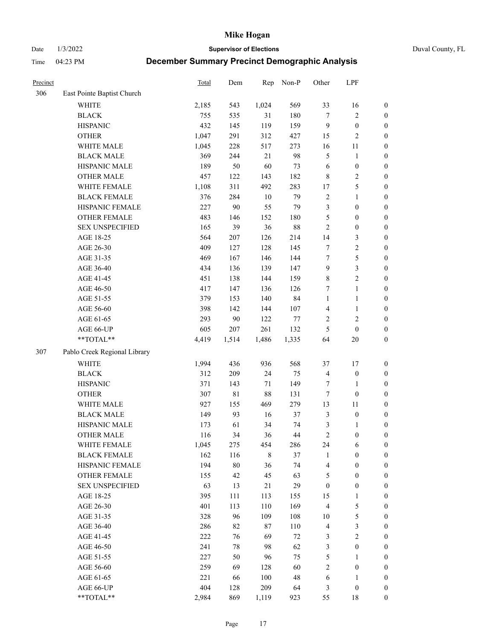Date 1/3/2022 **Supervisor of Elections** Duval County, FL

| Precinct |                              | Total | Dem    | Rep         | Non-P  | Other            | LPF              |                  |
|----------|------------------------------|-------|--------|-------------|--------|------------------|------------------|------------------|
| 306      | East Pointe Baptist Church   |       |        |             |        |                  |                  |                  |
|          | <b>WHITE</b>                 | 2,185 | 543    | 1,024       | 569    | 33               | 16               | 0                |
|          | <b>BLACK</b>                 | 755   | 535    | 31          | 180    | $\tau$           | $\sqrt{2}$       | $\boldsymbol{0}$ |
|          | <b>HISPANIC</b>              | 432   | 145    | 119         | 159    | 9                | $\boldsymbol{0}$ | $\boldsymbol{0}$ |
|          | <b>OTHER</b>                 | 1,047 | 291    | 312         | 427    | 15               | $\mathbf{2}$     | $\boldsymbol{0}$ |
|          | WHITE MALE                   | 1,045 | 228    | 517         | 273    | 16               | 11               | $\boldsymbol{0}$ |
|          | <b>BLACK MALE</b>            | 369   | 244    | 21          | 98     | 5                | $\mathbf{1}$     | $\boldsymbol{0}$ |
|          | HISPANIC MALE                | 189   | 50     | 60          | 73     | 6                | $\boldsymbol{0}$ | $\boldsymbol{0}$ |
|          | <b>OTHER MALE</b>            | 457   | 122    | 143         | 182    | 8                | $\overline{2}$   | $\boldsymbol{0}$ |
|          | WHITE FEMALE                 | 1,108 | 311    | 492         | 283    | 17               | $\mathfrak s$    | $\boldsymbol{0}$ |
|          | <b>BLACK FEMALE</b>          | 376   | 284    | $10\,$      | 79     | $\overline{c}$   | $\mathbf{1}$     | $\boldsymbol{0}$ |
|          | HISPANIC FEMALE              | 227   | 90     | 55          | 79     | 3                | $\boldsymbol{0}$ | 0                |
|          | <b>OTHER FEMALE</b>          | 483   | 146    | 152         | 180    | 5                | $\boldsymbol{0}$ | $\boldsymbol{0}$ |
|          | <b>SEX UNSPECIFIED</b>       | 165   | 39     | 36          | $88\,$ | $\sqrt{2}$       | $\boldsymbol{0}$ | $\boldsymbol{0}$ |
|          | AGE 18-25                    | 564   | 207    | 126         | 214    | 14               | $\mathfrak{Z}$   | $\boldsymbol{0}$ |
|          | AGE 26-30                    | 409   | 127    | 128         | 145    | 7                | $\sqrt{2}$       | $\boldsymbol{0}$ |
|          | AGE 31-35                    | 469   | 167    | 146         | 144    | 7                | $\mathfrak s$    | $\boldsymbol{0}$ |
|          | AGE 36-40                    | 434   | 136    | 139         | 147    | 9                | $\mathfrak{Z}$   | $\boldsymbol{0}$ |
|          | AGE 41-45                    | 451   | 138    | 144         | 159    | $\,$ $\,$        | $\overline{2}$   | $\boldsymbol{0}$ |
|          | AGE 46-50                    | 417   | 147    | 136         | 126    | 7                | $\mathbf{1}$     | $\boldsymbol{0}$ |
|          | AGE 51-55                    | 379   | 153    | 140         | 84     | $\mathbf{1}$     | $\mathbf{1}$     | $\boldsymbol{0}$ |
|          | AGE 56-60                    | 398   | 142    | 144         | 107    | $\overline{4}$   | $\mathbf{1}$     | 0                |
|          | AGE 61-65                    | 293   | 90     | 122         | $77\,$ | $\overline{c}$   | $\sqrt{2}$       | 0                |
|          | AGE 66-UP                    | 605   | 207    | 261         | 132    | 5                | $\boldsymbol{0}$ | $\boldsymbol{0}$ |
|          | $**TOTAL**$                  | 4,419 | 1,514  | 1,486       | 1,335  | 64               | $20\,$           | $\boldsymbol{0}$ |
| 307      | Pablo Creek Regional Library |       |        |             |        |                  |                  |                  |
|          | <b>WHITE</b>                 | 1,994 | 436    | 936         | 568    | 37               | 17               | $\boldsymbol{0}$ |
|          | <b>BLACK</b>                 | 312   | 209    | 24          | 75     | 4                | $\boldsymbol{0}$ | $\boldsymbol{0}$ |
|          | <b>HISPANIC</b>              | 371   | 143    | $71\,$      | 149    | 7                | $\mathbf{1}$     | $\boldsymbol{0}$ |
|          | <b>OTHER</b>                 | 307   | 81     | $88\,$      | 131    | 7                | $\boldsymbol{0}$ | $\boldsymbol{0}$ |
|          | WHITE MALE                   | 927   | 155    | 469         | 279    | 13               | 11               | $\boldsymbol{0}$ |
|          | <b>BLACK MALE</b>            | 149   | 93     | 16          | 37     | 3                | $\boldsymbol{0}$ | $\boldsymbol{0}$ |
|          | HISPANIC MALE                | 173   | 61     | 34          | 74     | 3                | 1                | $\boldsymbol{0}$ |
|          | <b>OTHER MALE</b>            | 116   | 34     | 36          | 44     | $\mathfrak{2}$   | $\boldsymbol{0}$ | $\boldsymbol{0}$ |
|          | WHITE FEMALE                 | 1,045 | 275    | 454         | 286    | 24               | 6                | 0                |
|          | <b>BLACK FEMALE</b>          | 162   | 116    | $\,$ 8 $\,$ | 37     | $\mathbf{1}$     | $\boldsymbol{0}$ | $\boldsymbol{0}$ |
|          | HISPANIC FEMALE              | 194   | $80\,$ | 36          | 74     | 4                | $\boldsymbol{0}$ | $\overline{0}$   |
|          | OTHER FEMALE                 | 155   | 42     | 45          | 63     | 5                | $\boldsymbol{0}$ | $\overline{0}$   |
|          | <b>SEX UNSPECIFIED</b>       | 63    | 13     | 21          | 29     | $\boldsymbol{0}$ | $\boldsymbol{0}$ | 0                |
|          | AGE 18-25                    | 395   | 111    | 113         | 155    | 15               | $\mathbf{1}$     | 0                |
|          | AGE 26-30                    | 401   | 113    | 110         | 169    | $\overline{4}$   | $\mathfrak{S}$   | 0                |
|          | AGE 31-35                    | 328   | 96     | 109         | 108    | $10\,$           | $\mathfrak s$    | 0                |
|          | AGE 36-40                    | 286   | 82     | $87\,$      | 110    | $\overline{4}$   | $\mathfrak{Z}$   | 0                |
|          | AGE 41-45                    | 222   | 76     | 69          | 72     | 3                | $\overline{2}$   | 0                |
|          | AGE 46-50                    | 241   | 78     | 98          | 62     | 3                | $\boldsymbol{0}$ | 0                |
|          | AGE 51-55                    | 227   | 50     | 96          | 75     | 5                | $\mathbf{1}$     | 0                |
|          | AGE 56-60                    | 259   | 69     | 128         | 60     | $\overline{c}$   | $\boldsymbol{0}$ | $\boldsymbol{0}$ |
|          | AGE 61-65                    | 221   | 66     | 100         | 48     | 6                | $\mathbf{1}$     | $\boldsymbol{0}$ |
|          | AGE 66-UP                    | 404   | 128    | 209         | 64     | 3                | $\boldsymbol{0}$ | $\boldsymbol{0}$ |
|          | **TOTAL**                    | 2,984 | 869    | 1,119       | 923    | 55               | 18               | $\boldsymbol{0}$ |
|          |                              |       |        |             |        |                  |                  |                  |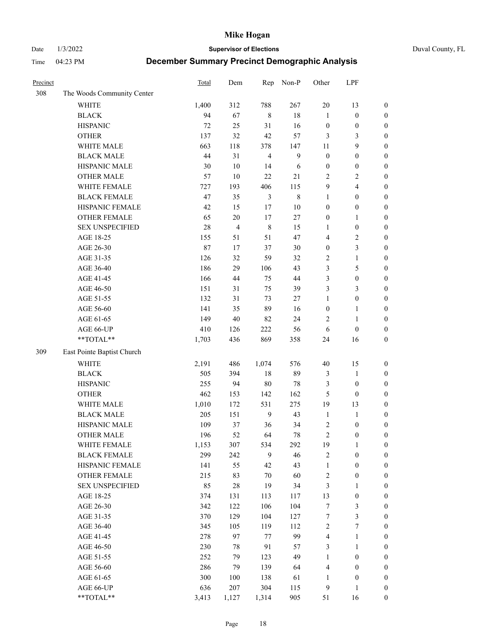Date 1/3/2022 **Supervisor of Elections** Duval County, FL

| Precinct |                            | Total  | Dem            | Rep            | Non-P       | Other            | LPF                     |                  |
|----------|----------------------------|--------|----------------|----------------|-------------|------------------|-------------------------|------------------|
| 308      | The Woods Community Center |        |                |                |             |                  |                         |                  |
|          | <b>WHITE</b>               | 1,400  | 312            | 788            | 267         | 20               | 13                      | $\boldsymbol{0}$ |
|          | <b>BLACK</b>               | 94     | 67             | $\,8\,$        | $18\,$      | $\mathbf{1}$     | $\boldsymbol{0}$        | $\boldsymbol{0}$ |
|          | <b>HISPANIC</b>            | 72     | 25             | 31             | 16          | $\boldsymbol{0}$ | $\boldsymbol{0}$        | $\boldsymbol{0}$ |
|          | <b>OTHER</b>               | 137    | 32             | 42             | 57          | 3                | 3                       | $\boldsymbol{0}$ |
|          | WHITE MALE                 | 663    | 118            | 378            | 147         | 11               | 9                       | $\boldsymbol{0}$ |
|          | <b>BLACK MALE</b>          | 44     | 31             | $\overline{4}$ | 9           | $\boldsymbol{0}$ | $\boldsymbol{0}$        | $\boldsymbol{0}$ |
|          | HISPANIC MALE              | $30\,$ | $10\,$         | 14             | 6           | $\boldsymbol{0}$ | $\boldsymbol{0}$        | $\boldsymbol{0}$ |
|          | <b>OTHER MALE</b>          | 57     | 10             | 22             | 21          | $\mathfrak{2}$   | $\overline{2}$          | $\boldsymbol{0}$ |
|          | WHITE FEMALE               | 727    | 193            | 406            | 115         | 9                | $\overline{\mathbf{4}}$ | $\boldsymbol{0}$ |
|          | <b>BLACK FEMALE</b>        | 47     | 35             | $\mathfrak{Z}$ | $\,$ 8 $\,$ | $\mathbf{1}$     | $\boldsymbol{0}$        | $\boldsymbol{0}$ |
|          | HISPANIC FEMALE            | 42     | 15             | 17             | $10\,$      | $\boldsymbol{0}$ | $\boldsymbol{0}$        | 0                |
|          | <b>OTHER FEMALE</b>        | 65     | $20\,$         | 17             | 27          | $\boldsymbol{0}$ | $\mathbf{1}$            | $\boldsymbol{0}$ |
|          | <b>SEX UNSPECIFIED</b>     | 28     | $\overline{4}$ | $\,$ 8 $\,$    | 15          | $\mathbf{1}$     | $\boldsymbol{0}$        | $\boldsymbol{0}$ |
|          | AGE 18-25                  | 155    | 51             | 51             | 47          | 4                | $\sqrt{2}$              | $\boldsymbol{0}$ |
|          | AGE 26-30                  | 87     | 17             | 37             | 30          | $\boldsymbol{0}$ | $\mathfrak{Z}$          | $\boldsymbol{0}$ |
|          | AGE 31-35                  | 126    | 32             | 59             | 32          | $\overline{c}$   | $\mathbf{1}$            | $\boldsymbol{0}$ |
|          | AGE 36-40                  | 186    | 29             | 106            | 43          | 3                | $\mathfrak{S}$          | $\boldsymbol{0}$ |
|          | AGE 41-45                  | 166    | 44             | 75             | $44\,$      | 3                | $\boldsymbol{0}$        | $\boldsymbol{0}$ |
|          | AGE 46-50                  | 151    | 31             | 75             | 39          | 3                | $\mathfrak{Z}$          | $\boldsymbol{0}$ |
|          | AGE 51-55                  | 132    | 31             | 73             | $27\,$      | $\mathbf{1}$     | $\boldsymbol{0}$        | 0                |
|          | AGE 56-60                  | 141    | 35             | 89             | 16          | $\boldsymbol{0}$ | $\mathbf{1}$            | 0                |
|          | AGE 61-65                  | 149    | 40             | 82             | 24          | 2                | $\mathbf{1}$            | 0                |
|          | AGE 66-UP                  | 410    | 126            | 222            | 56          | 6                | $\boldsymbol{0}$        | $\boldsymbol{0}$ |
|          | $**TOTAL**$                | 1,703  | 436            | 869            | 358         | 24               | 16                      | $\boldsymbol{0}$ |
| 309      | East Pointe Baptist Church |        |                |                |             |                  |                         |                  |
|          | <b>WHITE</b>               | 2,191  | 486            | 1,074          | 576         | 40               | 15                      | $\boldsymbol{0}$ |
|          | <b>BLACK</b>               | 505    | 394            | $18\,$         | 89          | 3                | $\mathbf{1}$            | $\boldsymbol{0}$ |
|          | <b>HISPANIC</b>            | 255    | 94             | $80\,$         | 78          | 3                | $\boldsymbol{0}$        | $\boldsymbol{0}$ |
|          | <b>OTHER</b>               | 462    | 153            | 142            | 162         | 5                | $\boldsymbol{0}$        | $\boldsymbol{0}$ |
|          | WHITE MALE                 | 1,010  | 172            | 531            | 275         | 19               | 13                      | $\boldsymbol{0}$ |
|          | <b>BLACK MALE</b>          | 205    | 151            | 9              | 43          | $\mathbf{1}$     | $\mathbf{1}$            | $\boldsymbol{0}$ |
|          | HISPANIC MALE              | 109    | 37             | 36             | 34          | $\overline{c}$   | $\boldsymbol{0}$        | 0                |
|          | <b>OTHER MALE</b>          | 196    | 52             | 64             | 78          | $\overline{c}$   | $\boldsymbol{0}$        | $\boldsymbol{0}$ |
|          | WHITE FEMALE               | 1,153  | 307            | 534            | 292         | 19               | 1                       | 0                |
|          | <b>BLACK FEMALE</b>        | 299    | 242            | 9              | 46          | $\sqrt{2}$       | $\boldsymbol{0}$        | $\boldsymbol{0}$ |
|          | HISPANIC FEMALE            | 141    | 55             | 42             | 43          | $\mathbf{1}$     | $\boldsymbol{0}$        | $\overline{0}$   |
|          | OTHER FEMALE               | 215    | 83             | $70\,$         | 60          | $\sqrt{2}$       | $\boldsymbol{0}$        | $\overline{0}$   |
|          | <b>SEX UNSPECIFIED</b>     | 85     | 28             | 19             | 34          | 3                | $\mathbf{1}$            | 0                |
|          | AGE 18-25                  | 374    | 131            | 113            | 117         | 13               | $\boldsymbol{0}$        | 0                |
|          | AGE 26-30                  | 342    | 122            | 106            | 104         | $\boldsymbol{7}$ | $\mathfrak{Z}$          | 0                |
|          | AGE 31-35                  | 370    | 129            | 104            | 127         | 7                | $\mathfrak{Z}$          | 0                |
|          | AGE 36-40                  | 345    | 105            | 119            | 112         | $\sqrt{2}$       | $\boldsymbol{7}$        | 0                |
|          | AGE 41-45                  | 278    | 97             | 77             | 99          | $\overline{4}$   | $\mathbf{1}$            | 0                |
|          | AGE 46-50                  | 230    | 78             | 91             | 57          | 3                | $\mathbf{1}$            | 0                |
|          | AGE 51-55                  | 252    | 79             | 123            | 49          | $\mathbf{1}$     | $\boldsymbol{0}$        | 0                |
|          | AGE 56-60                  | 286    | 79             | 139            | 64          | 4                | $\boldsymbol{0}$        | $\boldsymbol{0}$ |
|          | AGE 61-65                  | 300    | 100            | 138            | 61          | 1                | $\boldsymbol{0}$        | $\boldsymbol{0}$ |
|          | AGE 66-UP                  | 636    | 207            | 304            | 115         | 9                | $\mathbf{1}$            | $\boldsymbol{0}$ |
|          | **TOTAL**                  | 3,413  | 1,127          | 1,314          | 905         | 51               | 16                      | $\boldsymbol{0}$ |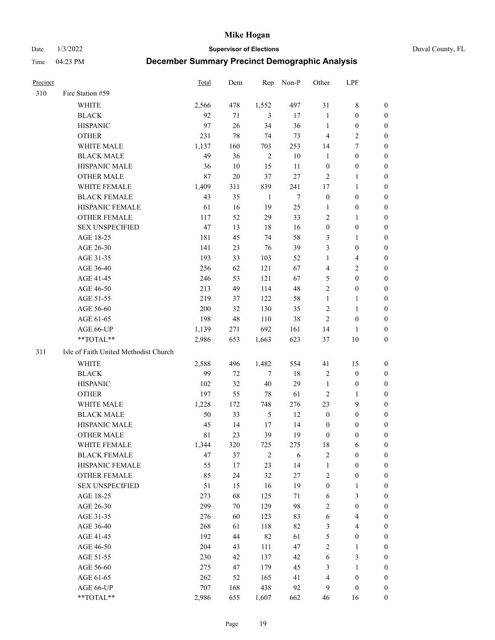Date 1/3/2022 **Supervisor of Elections** Duval County, FL

| <b>Precinct</b> |                                       | Total | Dem    | Rep            | Non-P  | Other            | LPF                     |                  |
|-----------------|---------------------------------------|-------|--------|----------------|--------|------------------|-------------------------|------------------|
| 310             | Fire Station #59                      |       |        |                |        |                  |                         |                  |
|                 | WHITE                                 | 2,566 | 478    | 1,552          | 497    | 31               | $\,$ 8 $\,$             | 0                |
|                 | <b>BLACK</b>                          | 92    | 71     | 3              | 17     | $\mathbf{1}$     | $\boldsymbol{0}$        | 0                |
|                 | <b>HISPANIC</b>                       | 97    | 26     | 34             | 36     | $\mathbf{1}$     | $\boldsymbol{0}$        | 0                |
|                 | <b>OTHER</b>                          | 231   | 78     | 74             | 73     | $\overline{4}$   | $\sqrt{2}$              | $\boldsymbol{0}$ |
|                 | WHITE MALE                            | 1,137 | 160    | 703            | 253    | 14               | $\tau$                  | $\boldsymbol{0}$ |
|                 | <b>BLACK MALE</b>                     | 49    | 36     | $\sqrt{2}$     | $10\,$ | $\mathbf{1}$     | $\boldsymbol{0}$        | 0                |
|                 | HISPANIC MALE                         | 36    | 10     | 15             | 11     | $\boldsymbol{0}$ | $\boldsymbol{0}$        | 0                |
|                 | <b>OTHER MALE</b>                     | 87    | 20     | 37             | 27     | $\mathbf{2}$     | $\mathbf{1}$            | 0                |
|                 | WHITE FEMALE                          | 1,409 | 311    | 839            | 241    | 17               | $\mathbf{1}$            | 0                |
|                 | <b>BLACK FEMALE</b>                   | 43    | 35     | $\mathbf{1}$   | $\tau$ | $\boldsymbol{0}$ | $\boldsymbol{0}$        | 0                |
|                 | HISPANIC FEMALE                       | 61    | 16     | 19             | 25     | 1                | $\boldsymbol{0}$        | 0                |
|                 | OTHER FEMALE                          | 117   | 52     | 29             | 33     | $\overline{c}$   | $\mathbf{1}$            | 0                |
|                 | <b>SEX UNSPECIFIED</b>                | 47    | 13     | 18             | 16     | $\boldsymbol{0}$ | $\boldsymbol{0}$        | $\boldsymbol{0}$ |
|                 | AGE 18-25                             | 181   | 45     | 74             | 58     | 3                | $\mathbf{1}$            | $\boldsymbol{0}$ |
|                 | AGE 26-30                             | 141   | 23     | 76             | 39     | 3                | $\boldsymbol{0}$        | $\boldsymbol{0}$ |
|                 | AGE 31-35                             | 193   | 33     | 103            | 52     | $\mathbf{1}$     | $\overline{\mathbf{4}}$ | $\boldsymbol{0}$ |
|                 | AGE 36-40                             | 256   | 62     | 121            | 67     | 4                | $\sqrt{2}$              | $\boldsymbol{0}$ |
|                 | AGE 41-45                             | 246   | 53     | 121            | 67     | 5                | $\boldsymbol{0}$        | $\boldsymbol{0}$ |
|                 | AGE 46-50                             | 213   | 49     | 114            | 48     | $\overline{c}$   | $\boldsymbol{0}$        | 0                |
|                 | AGE 51-55                             | 219   | 37     | 122            | 58     | $\mathbf{1}$     | $\mathbf{1}$            | 0                |
|                 | AGE 56-60                             | 200   | 32     | 130            | 35     | $\overline{c}$   | $\mathbf{1}$            | 0                |
|                 | AGE 61-65                             | 198   | 48     | 110            | 38     | $\overline{2}$   | $\boldsymbol{0}$        | 0                |
|                 | AGE 66-UP                             | 1,139 | 271    | 692            | 161    | 14               | 1                       | 0                |
|                 | **TOTAL**                             | 2,986 | 653    | 1,663          | 623    | 37               | $10\,$                  | $\boldsymbol{0}$ |
| 311             | Isle of Faith United Methodist Church |       |        |                |        |                  |                         |                  |
|                 | <b>WHITE</b>                          | 2,588 | 496    | 1,482          | 554    | 41               | 15                      | $\boldsymbol{0}$ |
|                 | <b>BLACK</b>                          | 99    | $72\,$ | $\tau$         | 18     | $\overline{c}$   | $\boldsymbol{0}$        | $\boldsymbol{0}$ |
|                 | <b>HISPANIC</b>                       | 102   | 32     | $40\,$         | 29     | $\mathbf{1}$     | $\boldsymbol{0}$        | $\boldsymbol{0}$ |
|                 | <b>OTHER</b>                          | 197   | 55     | 78             | 61     | $\sqrt{2}$       | $\mathbf{1}$            | $\boldsymbol{0}$ |
|                 | WHITE MALE                            | 1,228 | 172    | 748            | 276    | 23               | 9                       | $\boldsymbol{0}$ |
|                 | <b>BLACK MALE</b>                     | 50    | 33     | $\sqrt{5}$     | 12     | $\boldsymbol{0}$ | $\boldsymbol{0}$        | 0                |
|                 | HISPANIC MALE                         | 45    | 14     | 17             | 14     | $\boldsymbol{0}$ | $\boldsymbol{0}$        | 0                |
|                 | <b>OTHER MALE</b>                     | 81    | 23     | 39             | 19     | $\boldsymbol{0}$ | $\boldsymbol{0}$        | 0                |
|                 | WHITE FEMALE                          | 1,344 | 320    | 725            | 275    | 18               | 6                       | 0                |
|                 | <b>BLACK FEMALE</b>                   | 47    | 37     | $\overline{2}$ | 6      | $\sqrt{2}$       | $\boldsymbol{0}$        | $\overline{0}$   |
|                 | HISPANIC FEMALE                       | 55    | 17     | 23             | 14     | $\mathbf{1}$     | $\boldsymbol{0}$        | $\overline{0}$   |
|                 | OTHER FEMALE                          | 85    | 24     | 32             | 27     | 2                | $\boldsymbol{0}$        | $\overline{0}$   |
|                 | <b>SEX UNSPECIFIED</b>                | 51    | 15     | 16             | 19     | $\boldsymbol{0}$ | $\mathbf{1}$            | 0                |
|                 | AGE 18-25                             | 273   | 68     | 125            | 71     | 6                | $\mathfrak{Z}$          | 0                |
|                 | AGE 26-30                             | 299   | 70     | 129            | 98     | 2                | $\boldsymbol{0}$        | 0                |
|                 | AGE 31-35                             | 276   | 60     | 123            | 83     | 6                | $\overline{\mathbf{4}}$ | 0                |
|                 | AGE 36-40                             | 268   | 61     | 118            | 82     | 3                | $\overline{4}$          | 0                |
|                 | AGE 41-45                             | 192   | 44     | 82             | 61     | 5                | $\boldsymbol{0}$        | 0                |
|                 | AGE 46-50                             | 204   | 43     | 111            | 47     | $\sqrt{2}$       | $\mathbf{1}$            | 0                |
|                 | AGE 51-55                             | 230   | 42     | 137            | 42     | 6                | $\mathfrak{Z}$          | 0                |
|                 | AGE 56-60                             | 275   | 47     | 179            | 45     | 3                | 1                       | 0                |
|                 | AGE 61-65                             | 262   | 52     | 165            | 41     | 4                | $\boldsymbol{0}$        | $\overline{0}$   |
|                 | AGE 66-UP                             | 707   | 168    | 438            | 92     | 9                | $\boldsymbol{0}$        | 0                |
|                 | **TOTAL**                             | 2,986 | 655    | 1,607          | 662    | 46               | 16                      | $\boldsymbol{0}$ |
|                 |                                       |       |        |                |        |                  |                         |                  |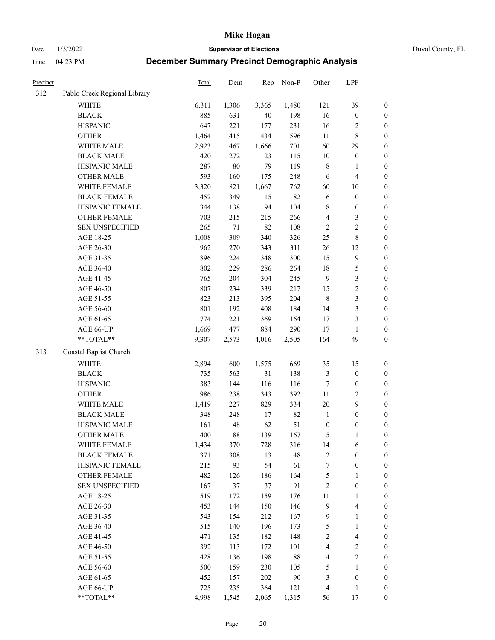Date 1/3/2022 **Supervisor of Elections** Duval County, FL

| <b>Precinct</b> |                              | Total | Dem    | Rep    | Non-P  | Other            | LPF                     |                  |
|-----------------|------------------------------|-------|--------|--------|--------|------------------|-------------------------|------------------|
| 312             | Pablo Creek Regional Library |       |        |        |        |                  |                         |                  |
|                 | <b>WHITE</b>                 | 6,311 | 1,306  | 3,365  | 1,480  | 121              | 39                      | 0                |
|                 | <b>BLACK</b>                 | 885   | 631    | $40\,$ | 198    | 16               | $\boldsymbol{0}$        | $\boldsymbol{0}$ |
|                 | <b>HISPANIC</b>              | 647   | 221    | 177    | 231    | 16               | $\overline{c}$          | $\boldsymbol{0}$ |
|                 | <b>OTHER</b>                 | 1,464 | 415    | 434    | 596    | $11\,$           | $8\,$                   | $\boldsymbol{0}$ |
|                 | WHITE MALE                   | 2,923 | 467    | 1,666  | 701    | 60               | 29                      | $\boldsymbol{0}$ |
|                 | <b>BLACK MALE</b>            | 420   | 272    | 23     | 115    | 10               | $\boldsymbol{0}$        | $\boldsymbol{0}$ |
|                 | HISPANIC MALE                | 287   | $80\,$ | 79     | 119    | $\,$ 8 $\,$      | $\mathbf{1}$            | $\boldsymbol{0}$ |
|                 | <b>OTHER MALE</b>            | 593   | 160    | 175    | 248    | 6                | $\overline{\mathbf{4}}$ | $\boldsymbol{0}$ |
|                 | WHITE FEMALE                 | 3,320 | 821    | 1,667  | 762    | 60               | $10\,$                  | $\boldsymbol{0}$ |
|                 | <b>BLACK FEMALE</b>          | 452   | 349    | 15     | 82     | 6                | $\boldsymbol{0}$        | $\boldsymbol{0}$ |
|                 | HISPANIC FEMALE              | 344   | 138    | 94     | 104    | 8                | $\boldsymbol{0}$        | 0                |
|                 | OTHER FEMALE                 | 703   | 215    | 215    | 266    | 4                | $\mathfrak{Z}$          | $\boldsymbol{0}$ |
|                 | <b>SEX UNSPECIFIED</b>       | 265   | $71\,$ | 82     | 108    | $\sqrt{2}$       | $\sqrt{2}$              | $\boldsymbol{0}$ |
|                 | AGE 18-25                    | 1,008 | 309    | 340    | 326    | $25\,$           | $8\,$                   | $\boldsymbol{0}$ |
|                 | AGE 26-30                    | 962   | 270    | 343    | 311    | 26               | 12                      | $\boldsymbol{0}$ |
|                 | AGE 31-35                    | 896   | 224    | 348    | 300    | 15               | $\boldsymbol{9}$        | $\boldsymbol{0}$ |
|                 | AGE 36-40                    | 802   | 229    | 286    | 264    | 18               | $\mathfrak s$           | $\boldsymbol{0}$ |
|                 | AGE 41-45                    | 765   | 204    | 304    | 245    | $\overline{9}$   | $\mathfrak{Z}$          | $\boldsymbol{0}$ |
|                 | AGE 46-50                    | 807   | 234    | 339    | 217    | 15               | $\sqrt{2}$              | $\boldsymbol{0}$ |
|                 | AGE 51-55                    | 823   | 213    | 395    | 204    | $\,8\,$          | $\mathfrak{Z}$          | $\boldsymbol{0}$ |
|                 | AGE 56-60                    | 801   | 192    | 408    | 184    | 14               | $\mathfrak{Z}$          | 0                |
|                 | AGE 61-65                    | 774   | 221    | 369    | 164    | $17\,$           | $\mathfrak{Z}$          | $\boldsymbol{0}$ |
|                 | AGE 66-UP                    | 1,669 | 477    | 884    | 290    | 17               | $\mathbf{1}$            | $\boldsymbol{0}$ |
|                 | $**TOTAL**$                  | 9,307 | 2,573  | 4,016  | 2,505  | 164              | 49                      | $\boldsymbol{0}$ |
| 313             | Coastal Baptist Church       |       |        |        |        |                  |                         |                  |
|                 | <b>WHITE</b>                 | 2,894 | 600    | 1,575  | 669    | 35               | 15                      | $\boldsymbol{0}$ |
|                 | <b>BLACK</b>                 | 735   | 563    | 31     | 138    | $\mathfrak{Z}$   | $\boldsymbol{0}$        | $\boldsymbol{0}$ |
|                 | <b>HISPANIC</b>              | 383   | 144    | 116    | 116    | 7                | $\boldsymbol{0}$        | $\boldsymbol{0}$ |
|                 | <b>OTHER</b>                 | 986   | 238    | 343    | 392    | $11\,$           | $\sqrt{2}$              | $\boldsymbol{0}$ |
|                 | WHITE MALE                   | 1,419 | 227    | 829    | 334    | $20\,$           | 9                       | $\boldsymbol{0}$ |
|                 | <b>BLACK MALE</b>            | 348   | 248    | 17     | 82     | $\mathbf{1}$     | $\boldsymbol{0}$        | $\boldsymbol{0}$ |
|                 | HISPANIC MALE                | 161   | 48     | 62     | 51     | $\boldsymbol{0}$ | $\boldsymbol{0}$        | $\boldsymbol{0}$ |
|                 | <b>OTHER MALE</b>            | 400   | 88     | 139    | 167    | 5                | $\mathbf{1}$            | $\boldsymbol{0}$ |
|                 | WHITE FEMALE                 | 1,434 | 370    | 728    | 316    | 14               | 6                       | 0                |
|                 | <b>BLACK FEMALE</b>          | 371   | 308    | 13     | 48     | $\sqrt{2}$       | $\boldsymbol{0}$        | $\boldsymbol{0}$ |
|                 | HISPANIC FEMALE              | 215   | 93     | 54     | 61     | $\boldsymbol{7}$ | $\boldsymbol{0}$        | $\boldsymbol{0}$ |
|                 | OTHER FEMALE                 | 482   | 126    | 186    | 164    | 5                | $\mathbf{1}$            | $\overline{0}$   |
|                 | <b>SEX UNSPECIFIED</b>       | 167   | 37     | 37     | 91     | $\overline{c}$   | $\boldsymbol{0}$        | 0                |
|                 | AGE 18-25                    | 519   | 172    | 159    | 176    | $11\,$           | $\mathbf{1}$            | 0                |
|                 | AGE 26-30                    | 453   | 144    | 150    | 146    | $\overline{9}$   | $\overline{\mathbf{4}}$ | 0                |
|                 | AGE 31-35                    | 543   | 154    | 212    | 167    | $\overline{9}$   | $\mathbf{1}$            | 0                |
|                 | AGE 36-40                    | 515   | 140    | 196    | 173    | 5                | $\mathbf{1}$            | 0                |
|                 | AGE 41-45                    | 471   | 135    | 182    | 148    | $\sqrt{2}$       | $\overline{\mathbf{4}}$ | 0                |
|                 | AGE 46-50                    | 392   | 113    | 172    | 101    | 4                | $\overline{c}$          | 0                |
|                 | AGE 51-55                    | 428   | 136    | 198    | $88\,$ | 4                | $\sqrt{2}$              | $\boldsymbol{0}$ |
|                 | AGE 56-60                    | 500   | 159    | 230    | 105    | 5                | 1                       | $\boldsymbol{0}$ |
|                 | AGE 61-65                    | 452   | 157    | 202    | $90\,$ | 3                | $\boldsymbol{0}$        | $\boldsymbol{0}$ |
|                 | AGE 66-UP                    | 725   | 235    | 364    | 121    | $\overline{4}$   | $\mathbf{1}$            | $\boldsymbol{0}$ |
|                 | **TOTAL**                    | 4,998 | 1,545  | 2,065  | 1,315  | 56               | 17                      | $\boldsymbol{0}$ |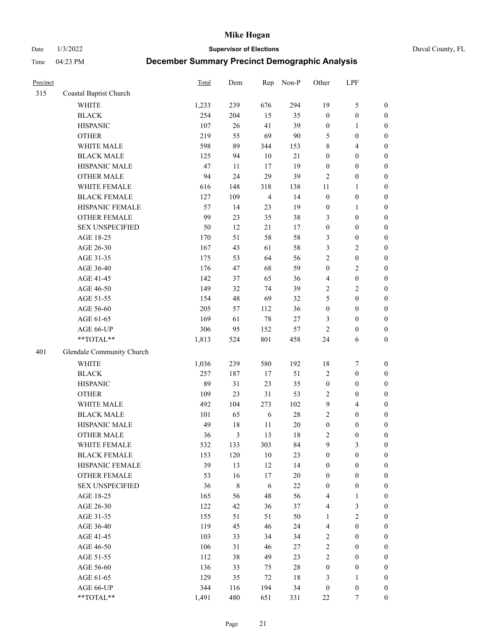Date 1/3/2022 **Supervisor of Elections** Duval County, FL

| Precinct |                           | Total | Dem       | Rep            | Non-P  | Other                   | LPF              |                  |
|----------|---------------------------|-------|-----------|----------------|--------|-------------------------|------------------|------------------|
| 315      | Coastal Baptist Church    |       |           |                |        |                         |                  |                  |
|          | <b>WHITE</b>              | 1,233 | 239       | 676            | 294    | 19                      | $\mathfrak{S}$   | 0                |
|          | <b>BLACK</b>              | 254   | 204       | 15             | 35     | $\boldsymbol{0}$        | $\boldsymbol{0}$ | 0                |
|          | <b>HISPANIC</b>           | 107   | $26\,$    | 41             | 39     | $\boldsymbol{0}$        | $\mathbf{1}$     | $\boldsymbol{0}$ |
|          | <b>OTHER</b>              | 219   | 55        | 69             | $90\,$ | 5                       | $\boldsymbol{0}$ | $\boldsymbol{0}$ |
|          | WHITE MALE                | 598   | 89        | 344            | 153    | 8                       | $\overline{4}$   | $\boldsymbol{0}$ |
|          | <b>BLACK MALE</b>         | 125   | 94        | 10             | 21     | $\boldsymbol{0}$        | $\boldsymbol{0}$ | $\boldsymbol{0}$ |
|          | HISPANIC MALE             | 47    | 11        | 17             | 19     | $\boldsymbol{0}$        | $\boldsymbol{0}$ | $\boldsymbol{0}$ |
|          | <b>OTHER MALE</b>         | 94    | 24        | 29             | 39     | $\mathbf{2}$            | $\boldsymbol{0}$ | $\boldsymbol{0}$ |
|          | WHITE FEMALE              | 616   | 148       | 318            | 138    | 11                      | $\mathbf{1}$     | $\boldsymbol{0}$ |
|          | <b>BLACK FEMALE</b>       | 127   | 109       | $\overline{4}$ | 14     | $\boldsymbol{0}$        | $\boldsymbol{0}$ | $\boldsymbol{0}$ |
|          | HISPANIC FEMALE           | 57    | 14        | 23             | 19     | $\boldsymbol{0}$        | $\mathbf{1}$     | $\boldsymbol{0}$ |
|          | OTHER FEMALE              | 99    | 23        | 35             | 38     | 3                       | $\boldsymbol{0}$ | $\boldsymbol{0}$ |
|          | <b>SEX UNSPECIFIED</b>    | 50    | 12        | 21             | 17     | $\boldsymbol{0}$        | $\boldsymbol{0}$ | $\boldsymbol{0}$ |
|          | AGE 18-25                 | 170   | 51        | 58             | 58     | 3                       | $\boldsymbol{0}$ | $\boldsymbol{0}$ |
|          | AGE 26-30                 | 167   | 43        | 61             | 58     | 3                       | $\sqrt{2}$       | $\boldsymbol{0}$ |
|          | AGE 31-35                 | 175   | 53        | 64             | 56     | $\sqrt{2}$              | $\boldsymbol{0}$ | $\boldsymbol{0}$ |
|          | AGE 36-40                 | 176   | 47        | 68             | 59     | $\boldsymbol{0}$        | $\sqrt{2}$       | $\boldsymbol{0}$ |
|          | AGE 41-45                 | 142   | 37        | 65             | 36     | $\overline{\mathbf{4}}$ | $\boldsymbol{0}$ | $\boldsymbol{0}$ |
|          | AGE 46-50                 | 149   | 32        | 74             | 39     | 2                       | $\overline{2}$   | $\boldsymbol{0}$ |
|          | AGE 51-55                 | 154   | 48        | 69             | 32     | 5                       | $\boldsymbol{0}$ | $\boldsymbol{0}$ |
|          | AGE 56-60                 | 205   | 57        | 112            | 36     | $\boldsymbol{0}$        | $\boldsymbol{0}$ | $\boldsymbol{0}$ |
|          | AGE 61-65                 | 169   | 61        | $78\,$         | 27     | 3                       | $\boldsymbol{0}$ | $\boldsymbol{0}$ |
|          | AGE 66-UP                 | 306   | 95        | 152            | 57     | $\sqrt{2}$              | $\boldsymbol{0}$ | $\boldsymbol{0}$ |
|          | **TOTAL**                 | 1,813 | 524       | 801            | 458    | 24                      | 6                | $\boldsymbol{0}$ |
| 401      | Glendale Community Church |       |           |                |        |                         |                  |                  |
|          |                           |       |           |                |        |                         |                  |                  |
|          | <b>WHITE</b>              | 1,036 | 239       | 580            | 192    | 18                      | $\boldsymbol{7}$ | $\boldsymbol{0}$ |
|          | <b>BLACK</b>              | 257   | 187       | 17             | 51     | $\overline{c}$          | $\boldsymbol{0}$ | $\boldsymbol{0}$ |
|          | <b>HISPANIC</b>           | 89    | 31        | 23             | 35     | $\boldsymbol{0}$        | $\boldsymbol{0}$ | $\boldsymbol{0}$ |
|          | <b>OTHER</b>              | 109   | 23        | 31             | 53     | $\sqrt{2}$              | $\boldsymbol{0}$ | $\boldsymbol{0}$ |
|          | WHITE MALE                | 492   | 104       | 273            | 102    | $\mathbf{9}$            | $\overline{4}$   | $\boldsymbol{0}$ |
|          | <b>BLACK MALE</b>         | 101   | 65        | 6              | $28\,$ | $\overline{c}$          | $\boldsymbol{0}$ | $\boldsymbol{0}$ |
|          | HISPANIC MALE             | 49    | $18\,$    | $11\,$         | $20\,$ | $\boldsymbol{0}$        | $\boldsymbol{0}$ | $\boldsymbol{0}$ |
|          | <b>OTHER MALE</b>         | 36    | 3         | 13             | 18     | 2                       | $\boldsymbol{0}$ | $\boldsymbol{0}$ |
|          | WHITE FEMALE              | 532   | 133       | 303            | 84     | 9                       | 3                | 0                |
|          | <b>BLACK FEMALE</b>       | 153   | 120       | 10             | 23     | $\boldsymbol{0}$        | $\boldsymbol{0}$ | $\boldsymbol{0}$ |
|          | HISPANIC FEMALE           | 39    | 13        | 12             | 14     | $\boldsymbol{0}$        | $\boldsymbol{0}$ | $\overline{0}$   |
|          | OTHER FEMALE              | 53    | 16        | 17             | $20\,$ | $\boldsymbol{0}$        | $\boldsymbol{0}$ | $\overline{0}$   |
|          | <b>SEX UNSPECIFIED</b>    | 36    | $\,$ $\,$ | 6              | $22\,$ | $\boldsymbol{0}$        | $\boldsymbol{0}$ | 0                |
|          | AGE 18-25                 | 165   | 56        | 48             | 56     | 4                       | $\mathbf{1}$     | 0                |
|          | AGE 26-30                 | 122   | 42        | 36             | 37     | $\overline{\mathbf{4}}$ | $\mathfrak{Z}$   | 0                |
|          | AGE 31-35                 | 155   | 51        | 51             | 50     | $\mathbf{1}$            | $\sqrt{2}$       | 0                |
|          | AGE 36-40                 | 119   | 45        | 46             | 24     | $\overline{\mathbf{4}}$ | $\boldsymbol{0}$ | 0                |
|          | AGE 41-45                 | 103   | 33        | 34             | 34     | $\overline{c}$          | $\boldsymbol{0}$ | 0                |
|          | AGE 46-50                 | 106   | 31        | 46             | 27     | 2                       | $\boldsymbol{0}$ | 0                |
|          | AGE 51-55                 | 112   | 38        | 49             | 23     | $\overline{c}$          | $\boldsymbol{0}$ | $\overline{0}$   |
|          | AGE 56-60                 | 136   | 33        | 75             | $28\,$ | $\boldsymbol{0}$        | $\boldsymbol{0}$ | $\overline{0}$   |
|          | AGE 61-65                 | 129   | 35        | 72             | $18\,$ | 3                       | $\mathbf{1}$     | $\overline{0}$   |
|          | AGE 66-UP                 | 344   | 116       | 194            | 34     | $\boldsymbol{0}$        | $\boldsymbol{0}$ | 0                |
|          | **TOTAL**                 | 1,491 | 480       | 651            | 331    | $22\,$                  | 7                | $\boldsymbol{0}$ |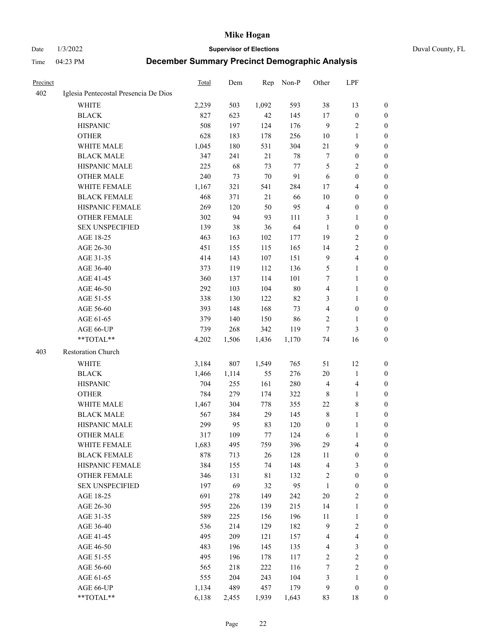Date 1/3/2022 **Supervisor of Elections** Duval County, FL

| <b>Precinct</b> |                                       | Total        | Dem        | Rep         | Non-P      | Other            | LPF                     |                  |
|-----------------|---------------------------------------|--------------|------------|-------------|------------|------------------|-------------------------|------------------|
| 402             | Iglesia Pentecostal Presencia De Dios |              |            |             |            |                  |                         |                  |
|                 | <b>WHITE</b>                          | 2,239        | 503        | 1,092       | 593        | 38               | 13                      | 0                |
|                 | <b>BLACK</b>                          | 827          | 623        | $42\,$      | 145        | 17               | $\boldsymbol{0}$        | 0                |
|                 | <b>HISPANIC</b>                       | 508          | 197        | 124         | 176        | 9                | $\sqrt{2}$              | 0                |
|                 | <b>OTHER</b>                          | 628          | 183        | 178         | 256        | 10               | 1                       | $\boldsymbol{0}$ |
|                 | WHITE MALE                            | 1,045        | 180        | 531         | 304        | $21\,$           | 9                       | $\boldsymbol{0}$ |
|                 | <b>BLACK MALE</b>                     | 347          | 241        | 21          | $78\,$     | 7                | $\boldsymbol{0}$        | $\boldsymbol{0}$ |
|                 | HISPANIC MALE                         | 225          | 68         | 73          | 77         | 5                | $\sqrt{2}$              | $\boldsymbol{0}$ |
|                 | <b>OTHER MALE</b>                     | 240          | 73         | 70          | 91         | 6                | $\boldsymbol{0}$        | $\boldsymbol{0}$ |
|                 | WHITE FEMALE                          | 1,167        | 321        | 541         | 284        | 17               | $\overline{4}$          | 0                |
|                 | <b>BLACK FEMALE</b>                   | 468          | 371        | 21          | 66         | 10               | $\boldsymbol{0}$        | 0                |
|                 | HISPANIC FEMALE                       | 269          | 120        | 50          | 95         | $\overline{4}$   | $\boldsymbol{0}$        | 0                |
|                 | <b>OTHER FEMALE</b>                   | 302          | 94         | 93          | 111        | 3                | $\mathbf{1}$            | 0                |
|                 | <b>SEX UNSPECIFIED</b>                | 139          | 38         | 36          | 64         | $\mathbf{1}$     | $\boldsymbol{0}$        | $\boldsymbol{0}$ |
|                 | AGE 18-25                             | 463          | 163        | 102         | 177        | 19               | $\sqrt{2}$              | $\boldsymbol{0}$ |
|                 | AGE 26-30                             | 451          | 155        | 115         | 165        | 14               | $\sqrt{2}$              | $\boldsymbol{0}$ |
|                 | AGE 31-35                             | 414          | 143        | 107         | 151        | $\overline{9}$   | $\overline{\mathbf{4}}$ | $\boldsymbol{0}$ |
|                 | AGE 36-40                             | 373          | 119        | 112         | 136        | 5                | $\mathbf{1}$            | $\boldsymbol{0}$ |
|                 | AGE 41-45                             | 360          | 137        | 114         | 101        | 7                | $\mathbf{1}$            | $\boldsymbol{0}$ |
|                 | AGE 46-50                             | 292          | 103        | 104         | $80\,$     | $\overline{4}$   | $\mathbf{1}$            | $\boldsymbol{0}$ |
|                 | AGE 51-55                             | 338          | 130        | 122         | 82         | 3                | $\mathbf{1}$            | 0                |
|                 | AGE 56-60                             | 393          | 148        | 168         | 73         | $\overline{4}$   | $\boldsymbol{0}$        | 0                |
|                 | AGE 61-65                             | 379          | 140        | 150         | 86         | 2                | $\mathbf{1}$            | 0                |
|                 | AGE 66-UP                             | 739          | 268        | 342         | 119        | $\tau$           | $\mathfrak{Z}$          | 0                |
|                 | **TOTAL**                             | 4,202        | 1,506      | 1,436       | 1,170      | 74               | 16                      | $\boldsymbol{0}$ |
| 403             | Restoration Church                    |              |            |             |            |                  |                         |                  |
|                 | <b>WHITE</b>                          | 3,184        | 807        | 1,549       | 765        | 51               | 12                      | $\boldsymbol{0}$ |
|                 | <b>BLACK</b>                          | 1,466        | 1,114      | 55          | 276        | 20               | $\mathbf{1}$            | $\boldsymbol{0}$ |
|                 | <b>HISPANIC</b>                       | 704          | 255        | 161         | 280        | $\overline{4}$   | $\overline{4}$          | $\boldsymbol{0}$ |
|                 | <b>OTHER</b>                          | 784          | 279        | 174         | 322        | 8                | $\mathbf{1}$            | $\boldsymbol{0}$ |
|                 | WHITE MALE                            |              | 304        |             |            | 22               | $\,$ 8 $\,$             | $\overline{0}$   |
|                 | <b>BLACK MALE</b>                     | 1,467<br>567 | 384        | 778<br>29   | 355<br>145 | $\,$ 8 $\,$      | $\mathbf{1}$            | 0                |
|                 | HISPANIC MALE                         | 299          | 95         | 83          | 120        | $\boldsymbol{0}$ | 1                       | 0                |
|                 | <b>OTHER MALE</b>                     | 317          | 109        | 77          | 124        | 6                | $\mathbf{1}$            | 0                |
|                 |                                       |              |            |             |            | 29               | 4                       | 0                |
|                 | WHITE FEMALE<br><b>BLACK FEMALE</b>   | 1,683<br>878 | 495<br>713 | 759<br>26   | 396<br>128 | 11               | $\boldsymbol{0}$        | $\boldsymbol{0}$ |
|                 | HISPANIC FEMALE                       | 384          | 155        | 74          | 148        | 4                | $\mathfrak{Z}$          | $\overline{0}$   |
|                 | OTHER FEMALE                          | 346          | 131        | $8\sqrt{1}$ | 132        | $\boldsymbol{2}$ | $\boldsymbol{0}$        | $\overline{0}$   |
|                 | <b>SEX UNSPECIFIED</b>                | 197          | 69         | 32          | 95         | $\mathbf{1}$     | $\boldsymbol{0}$        | 0                |
|                 | AGE 18-25                             | 691          | 278        | 149         | 242        | 20               | $\sqrt{2}$              | 0                |
|                 | AGE 26-30                             | 595          | 226        | 139         | 215        | 14               | $\mathbf{1}$            | 0                |
|                 | AGE 31-35                             | 589          | 225        | 156         | 196        | 11               | $\mathbf{1}$            | 0                |
|                 | AGE 36-40                             | 536          | 214        | 129         | 182        | $\overline{9}$   | $\sqrt{2}$              | 0                |
|                 | AGE 41-45                             | 495          | 209        | 121         | 157        | $\overline{4}$   | $\overline{\mathbf{4}}$ | 0                |
|                 | AGE 46-50                             | 483          | 196        | 145         | 135        | 4                | $\mathfrak{Z}$          | 0                |
|                 | AGE 51-55                             | 495          | 196        | 178         | 117        | $\sqrt{2}$       | $\sqrt{2}$              | $\boldsymbol{0}$ |
|                 | AGE 56-60                             | 565          | 218        | 222         | 116        | 7                | $\sqrt{2}$              | $\boldsymbol{0}$ |
|                 | AGE 61-65                             | 555          | 204        | 243         | 104        | 3                | $\mathbf{1}$            | $\boldsymbol{0}$ |
|                 | AGE 66-UP                             | 1,134        | 489        | 457         | 179        | 9                | $\boldsymbol{0}$        | $\boldsymbol{0}$ |
|                 | **TOTAL**                             | 6,138        | 2,455      | 1,939       | 1,643      | 83               | 18                      | $\boldsymbol{0}$ |
|                 |                                       |              |            |             |            |                  |                         |                  |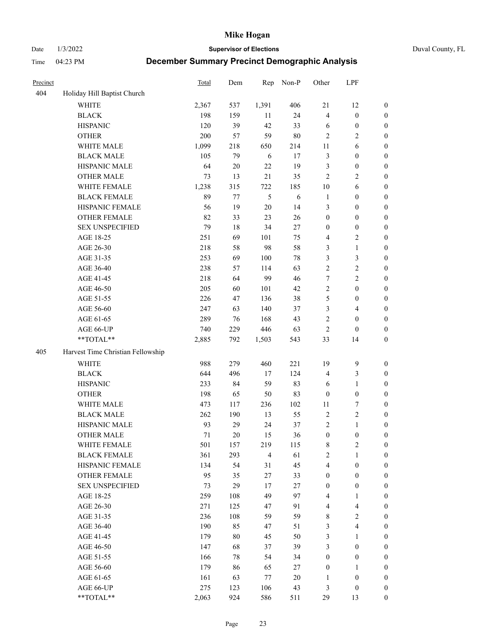Date 1/3/2022 **Supervisor of Elections** Duval County, FL

| Precinct |                                   | <b>Total</b> | Dem    | Rep            | Non-P      | Other            | LPF                     |                  |
|----------|-----------------------------------|--------------|--------|----------------|------------|------------------|-------------------------|------------------|
| 404      | Holiday Hill Baptist Church       |              |        |                |            |                  |                         |                  |
|          | <b>WHITE</b>                      | 2,367        | 537    | 1,391          | 406        | 21               | 12                      | 0                |
|          | <b>BLACK</b>                      | 198          | 159    | 11             | 24         | $\overline{4}$   | $\boldsymbol{0}$        | $\boldsymbol{0}$ |
|          | <b>HISPANIC</b>                   | 120          | 39     | 42             | 33         | 6                | $\boldsymbol{0}$        | $\boldsymbol{0}$ |
|          | <b>OTHER</b>                      | 200          | 57     | 59             | $80\,$     | $\overline{2}$   | $\sqrt{2}$              | $\boldsymbol{0}$ |
|          | WHITE MALE                        | 1,099        | 218    | 650            | 214        | 11               | 6                       | $\boldsymbol{0}$ |
|          | <b>BLACK MALE</b>                 | 105          | 79     | 6              | 17         | 3                | $\boldsymbol{0}$        | $\boldsymbol{0}$ |
|          | HISPANIC MALE                     | 64           | $20\,$ | 22             | 19         | 3                | $\boldsymbol{0}$        | $\boldsymbol{0}$ |
|          | <b>OTHER MALE</b>                 | 73           | 13     | 21             | 35         | $\mathbf{2}$     | $\overline{2}$          | $\boldsymbol{0}$ |
|          | WHITE FEMALE                      | 1,238        | 315    | 722            | 185        | 10               | 6                       | $\boldsymbol{0}$ |
|          | <b>BLACK FEMALE</b>               | 89           | 77     | $\mathfrak{H}$ | $\sqrt{6}$ | $\mathbf{1}$     | $\boldsymbol{0}$        | 0                |
|          | HISPANIC FEMALE                   | 56           | 19     | $20\,$         | 14         | 3                | $\boldsymbol{0}$        | 0                |
|          | OTHER FEMALE                      | 82           | 33     | 23             | 26         | $\boldsymbol{0}$ | $\boldsymbol{0}$        | $\boldsymbol{0}$ |
|          | <b>SEX UNSPECIFIED</b>            | 79           | 18     | 34             | 27         | $\boldsymbol{0}$ | $\boldsymbol{0}$        | $\boldsymbol{0}$ |
|          | AGE 18-25                         | 251          | 69     | 101            | 75         | 4                | $\sqrt{2}$              | $\boldsymbol{0}$ |
|          | AGE 26-30                         | 218          | 58     | 98             | 58         | 3                | $\mathbf{1}$            | $\boldsymbol{0}$ |
|          | AGE 31-35                         | 253          | 69     | 100            | 78         | 3                | $\mathfrak{Z}$          | $\boldsymbol{0}$ |
|          | AGE 36-40                         | 238          | 57     | 114            | 63         | $\overline{c}$   | $\sqrt{2}$              | $\boldsymbol{0}$ |
|          | AGE 41-45                         | 218          | 64     | 99             | 46         | $\tau$           | $\overline{2}$          | $\boldsymbol{0}$ |
|          | AGE 46-50                         | 205          | 60     | 101            | 42         | $\overline{c}$   | $\boldsymbol{0}$        | $\boldsymbol{0}$ |
|          | AGE 51-55                         | 226          | 47     | 136            | 38         | 5                | $\boldsymbol{0}$        | $\boldsymbol{0}$ |
|          | AGE 56-60                         | 247          | 63     | 140            | 37         | 3                | $\overline{4}$          | 0                |
|          | AGE 61-65                         | 289          | 76     | 168            | 43         | $\mathbf{2}$     | $\boldsymbol{0}$        | 0                |
|          | AGE 66-UP                         | 740          | 229    | 446            | 63         | $\sqrt{2}$       | $\boldsymbol{0}$        | $\boldsymbol{0}$ |
|          | $**TOTAL**$                       | 2,885        | 792    | 1,503          | 543        | 33               | 14                      | $\boldsymbol{0}$ |
| 405      | Harvest Time Christian Fellowship |              |        |                |            |                  |                         |                  |
|          | <b>WHITE</b>                      | 988          | 279    | 460            | 221        | 19               | $\mathbf{9}$            | $\boldsymbol{0}$ |
|          | <b>BLACK</b>                      | 644          | 496    | 17             | 124        | 4                | $\mathfrak{Z}$          | $\boldsymbol{0}$ |
|          | <b>HISPANIC</b>                   | 233          | 84     | 59             | 83         | 6                | $\mathbf{1}$            | $\boldsymbol{0}$ |
|          | <b>OTHER</b>                      | 198          | 65     | 50             | 83         | $\boldsymbol{0}$ | $\boldsymbol{0}$        | $\boldsymbol{0}$ |
|          | WHITE MALE                        | 473          | 117    | 236            | 102        | 11               | $\boldsymbol{7}$        | $\boldsymbol{0}$ |
|          | <b>BLACK MALE</b>                 | 262          | 190    | 13             | 55         | $\sqrt{2}$       | $\sqrt{2}$              | $\boldsymbol{0}$ |
|          | HISPANIC MALE                     | 93           | 29     | 24             | 37         | 2                | $\mathbf{1}$            | $\boldsymbol{0}$ |
|          | <b>OTHER MALE</b>                 | 71           | 20     | 15             | 36         | $\boldsymbol{0}$ | $\boldsymbol{0}$        | $\boldsymbol{0}$ |
|          | WHITE FEMALE                      | 501          | 157    | 219            | 115        | 8                | 2                       | 0                |
|          | <b>BLACK FEMALE</b>               | 361          | 293    | $\overline{4}$ | 61         | $\mathbf{2}$     | $\mathbf{1}$            | $\boldsymbol{0}$ |
|          | HISPANIC FEMALE                   | 134          | 54     | 31             | 45         | 4                | $\boldsymbol{0}$        | $\overline{0}$   |
|          | OTHER FEMALE                      | 95           | 35     | $27\,$         | 33         | $\boldsymbol{0}$ | $\boldsymbol{0}$        | $\overline{0}$   |
|          | <b>SEX UNSPECIFIED</b>            | 73           | 29     | 17             | 27         | $\boldsymbol{0}$ | $\boldsymbol{0}$        | 0                |
|          | AGE 18-25                         | 259          | 108    | 49             | 97         | 4                | $\mathbf{1}$            | 0                |
|          | AGE 26-30                         | 271          | 125    | 47             | 91         | 4                | $\overline{\mathbf{4}}$ | 0                |
|          | AGE 31-35                         | 236          | 108    | 59             | 59         | 8                | $\sqrt{2}$              | 0                |
|          | AGE 36-40                         | 190          | 85     | 47             | 51         | 3                | $\overline{4}$          | 0                |
|          | AGE 41-45                         | 179          | 80     | 45             | 50         | 3                | $\mathbf{1}$            | 0                |
|          | AGE 46-50                         | 147          | 68     | 37             | 39         | 3                | $\boldsymbol{0}$        | 0                |
|          | AGE 51-55                         | 166          | 78     | 54             | 34         | $\boldsymbol{0}$ | $\boldsymbol{0}$        | 0                |
|          | AGE 56-60                         | 179          | 86     | 65             | 27         | $\boldsymbol{0}$ | $\mathbf{1}$            | 0                |
|          | AGE 61-65                         | 161          | 63     | 77             | 20         | 1                | $\boldsymbol{0}$        | $\overline{0}$   |
|          | AGE 66-UP                         | 275          | 123    | 106            | 43         | 3                | $\boldsymbol{0}$        | 0                |
|          | **TOTAL**                         | 2,063        | 924    | 586            | 511        | 29               | 13                      | $\boldsymbol{0}$ |
|          |                                   |              |        |                |            |                  |                         |                  |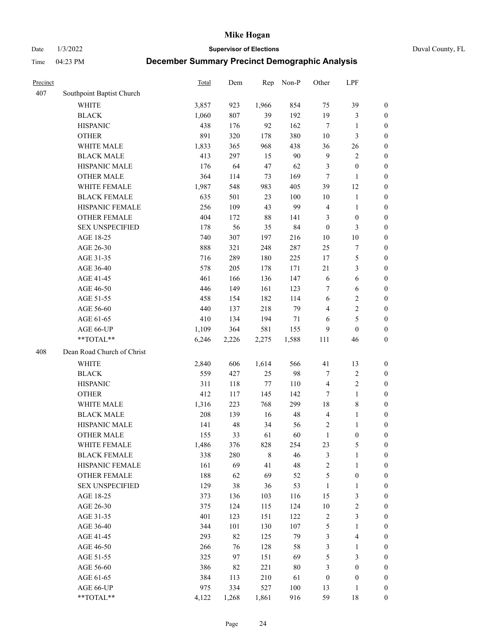Date 1/3/2022 **Supervisor of Elections** Duval County, FL

| Precinct |                            | <b>Total</b> | Dem   | Rep          | Non-P   | Other            | LPF                     |                                      |
|----------|----------------------------|--------------|-------|--------------|---------|------------------|-------------------------|--------------------------------------|
| 407      | Southpoint Baptist Church  |              |       |              |         |                  |                         |                                      |
|          | <b>WHITE</b>               | 3,857        | 923   | 1,966        | 854     | 75               | 39                      | 0                                    |
|          | <b>BLACK</b>               | 1,060        | 807   | 39           | 192     | 19               | $\mathfrak{Z}$          | 0                                    |
|          | <b>HISPANIC</b>            | 438          | 176   | 92           | 162     | $\tau$           | $\mathbf{1}$            | $\boldsymbol{0}$                     |
|          | <b>OTHER</b>               | 891          | 320   | 178          | 380     | 10               | $\mathfrak{Z}$          | $\boldsymbol{0}$                     |
|          | WHITE MALE                 | 1,833        | 365   | 968          | 438     | 36               | 26                      | $\boldsymbol{0}$                     |
|          | <b>BLACK MALE</b>          | 413          | 297   | 15           | 90      | $\mathbf{9}$     | $\sqrt{2}$              | $\boldsymbol{0}$                     |
|          | HISPANIC MALE              | 176          | 64    | 47           | 62      | 3                | $\boldsymbol{0}$        | $\boldsymbol{0}$                     |
|          | <b>OTHER MALE</b>          | 364          | 114   | 73           | 169     | $\tau$           | $\mathbf{1}$            | $\boldsymbol{0}$                     |
|          | WHITE FEMALE               | 1,987        | 548   | 983          | 405     | 39               | 12                      | $\boldsymbol{0}$                     |
|          | <b>BLACK FEMALE</b>        | 635          | 501   | 23           | 100     | $10\,$           | $\mathbf{1}$            | 0                                    |
|          | HISPANIC FEMALE            | 256          | 109   | 43           | 99      | 4                | $\mathbf{1}$            | 0                                    |
|          | OTHER FEMALE               | 404          | 172   | 88           | 141     | 3                | $\boldsymbol{0}$        | $\boldsymbol{0}$                     |
|          | <b>SEX UNSPECIFIED</b>     | 178          | 56    | 35           | 84      | $\boldsymbol{0}$ | $\mathfrak{Z}$          | $\boldsymbol{0}$                     |
|          | AGE 18-25                  | 740          | 307   | 197          | 216     | $10\,$           | $10\,$                  | $\boldsymbol{0}$                     |
|          | AGE 26-30                  | 888          | 321   | 248          | 287     | 25               | $\boldsymbol{7}$        | $\boldsymbol{0}$                     |
|          | AGE 31-35                  | 716          | 289   | 180          | 225     | 17               | $\mathfrak s$           | $\boldsymbol{0}$                     |
|          | AGE 36-40                  | 578          | 205   | 178          | 171     | 21               | $\mathfrak{Z}$          | $\boldsymbol{0}$                     |
|          | AGE 41-45                  | 461          | 166   | 136          | 147     | 6                | $\sqrt{6}$              | $\boldsymbol{0}$                     |
|          | AGE 46-50                  | 446          | 149   | 161          | 123     | 7                | 6                       | $\boldsymbol{0}$                     |
|          | AGE 51-55                  | 458          | 154   | 182          | 114     | 6                | $\mathbf{2}$            | $\boldsymbol{0}$                     |
|          | AGE 56-60                  | 440          | 137   | 218          | 79      | $\overline{4}$   | $\sqrt{2}$              |                                      |
|          |                            | 410          |       | 194          |         |                  | $\mathfrak s$           | 0<br>$\boldsymbol{0}$                |
|          | AGE 61-65                  |              | 134   |              | 71      | 6                |                         |                                      |
|          | AGE 66-UP<br>**TOTAL**     | 1,109        | 364   | 581<br>2,275 | 155     | 9                | $\boldsymbol{0}$        | $\boldsymbol{0}$<br>$\boldsymbol{0}$ |
|          |                            | 6,246        | 2,226 |              | 1,588   | 111              | 46                      |                                      |
| 408      | Dean Road Church of Christ |              |       |              |         |                  |                         |                                      |
|          | <b>WHITE</b>               | 2,840        | 606   | 1,614        | 566     | 41               | 13                      | $\boldsymbol{0}$                     |
|          | <b>BLACK</b>               | 559          | 427   | 25           | 98      | 7                | $\sqrt{2}$              | $\boldsymbol{0}$                     |
|          | <b>HISPANIC</b>            | 311          | 118   | 77           | 110     | 4                | $\sqrt{2}$              | $\boldsymbol{0}$                     |
|          | <b>OTHER</b>               | 412          | 117   | 145          | 142     | 7                | $\mathbf{1}$            | $\boldsymbol{0}$                     |
|          | WHITE MALE                 | 1,316        | 223   | 768          | 299     | 18               | $8\,$                   | $\boldsymbol{0}$                     |
|          | <b>BLACK MALE</b>          | 208          | 139   | 16           | 48      | $\overline{4}$   | $\mathbf{1}$            | $\boldsymbol{0}$                     |
|          | HISPANIC MALE              | 141          | 48    | 34           | 56      | 2                | 1                       | 0                                    |
|          | <b>OTHER MALE</b>          | 155          | 33    | 61           | 60      | $\mathbf{1}$     | $\boldsymbol{0}$        | $\boldsymbol{0}$                     |
|          | WHITE FEMALE               | 1,486        | 376   | 828          | 254     | 23               | 5                       | 0                                    |
|          | <b>BLACK FEMALE</b>        | 338          | 280   | 8            | 46      | 3                | $\mathbf{1}$            | $\boldsymbol{0}$                     |
|          | HISPANIC FEMALE            | 161          | 69    | 41           | 48      | $\overline{c}$   | $\mathbf{1}$            | $\overline{0}$                       |
|          | <b>OTHER FEMALE</b>        | 188          | 62    | 69           | 52      | 5                | $\boldsymbol{0}$        | $\overline{0}$                       |
|          | <b>SEX UNSPECIFIED</b>     | 129          | 38    | 36           | 53      | $\mathbf{1}$     | $\mathbf{1}$            | 0                                    |
|          | AGE 18-25                  | 373          | 136   | 103          | 116     | 15               | $\mathfrak{Z}$          | 0                                    |
|          | AGE 26-30                  | 375          | 124   | 115          | 124     | $10\,$           | $\sqrt{2}$              | 0                                    |
|          | AGE 31-35                  | 401          | 123   | 151          | 122     | $\sqrt{2}$       | $\mathfrak{Z}$          | 0                                    |
|          | AGE 36-40                  | 344          | 101   | 130          | 107     | 5                | $\mathbf{1}$            | 0                                    |
|          | AGE 41-45                  | 293          | 82    | 125          | 79      | 3                | $\overline{\mathbf{4}}$ | 0                                    |
|          | AGE 46-50                  | 266          | 76    | 128          | 58      | 3                | 1                       | 0                                    |
|          | AGE 51-55                  | 325          | 97    | 151          | 69      | 5                | $\mathfrak{Z}$          | 0                                    |
|          | AGE 56-60                  | 386          | 82    | 221          | $80\,$  | 3                | $\boldsymbol{0}$        | $\overline{0}$                       |
|          | AGE 61-65                  | 384          | 113   | 210          | 61      | $\boldsymbol{0}$ | $\boldsymbol{0}$        | $\overline{0}$                       |
|          | AGE 66-UP                  | 975          | 334   | 527          | $100\,$ | 13               | $\mathbf{1}$            | 0                                    |
|          | **TOTAL**                  | 4,122        | 1,268 | 1,861        | 916     | 59               | 18                      | $\boldsymbol{0}$                     |
|          |                            |              |       |              |         |                  |                         |                                      |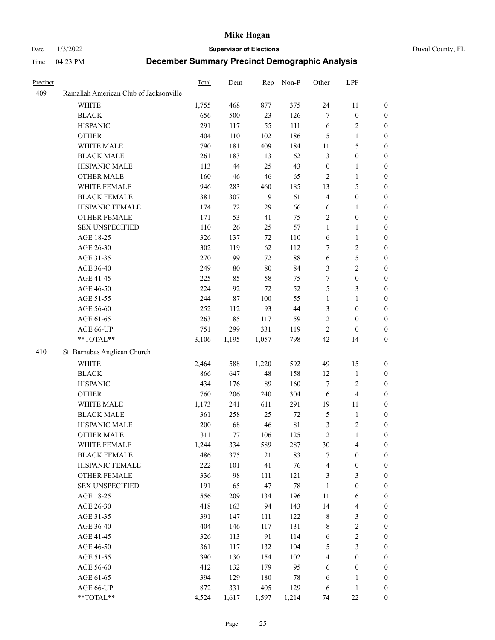#### Date 1/3/2022 **Supervisor of Elections** Duval County, FL

| Precinct |                                        | Total | Dem    |                | Rep Non-P   | Other            | LPF                     |                  |
|----------|----------------------------------------|-------|--------|----------------|-------------|------------------|-------------------------|------------------|
| 409      | Ramallah American Club of Jacksonville |       |        |                |             |                  |                         |                  |
|          | <b>WHITE</b>                           | 1,755 | 468    | 877            | 375         | 24               | 11                      | 0                |
|          | <b>BLACK</b>                           | 656   | 500    | 23             | 126         | 7                | $\boldsymbol{0}$        | $\boldsymbol{0}$ |
|          | <b>HISPANIC</b>                        | 291   | 117    | 55             | 111         | 6                | $\sqrt{2}$              | $\boldsymbol{0}$ |
|          | <b>OTHER</b>                           | 404   | 110    | 102            | 186         | 5                | $\mathbf{1}$            | $\boldsymbol{0}$ |
|          | WHITE MALE                             | 790   | 181    | 409            | 184         | 11               | 5                       | $\boldsymbol{0}$ |
|          | <b>BLACK MALE</b>                      | 261   | 183    | 13             | 62          | 3                | $\boldsymbol{0}$        | $\boldsymbol{0}$ |
|          | HISPANIC MALE                          | 113   | 44     | 25             | 43          | $\boldsymbol{0}$ | $\mathbf{1}$            | $\boldsymbol{0}$ |
|          | <b>OTHER MALE</b>                      | 160   | 46     | 46             | 65          | $\mathbf{2}$     | $\mathbf{1}$            | $\boldsymbol{0}$ |
|          | WHITE FEMALE                           | 946   | 283    | 460            | 185         | 13               | $\mathfrak s$           | $\boldsymbol{0}$ |
|          | <b>BLACK FEMALE</b>                    | 381   | 307    | $\overline{9}$ | 61          | $\overline{4}$   | $\boldsymbol{0}$        | 0                |
|          | HISPANIC FEMALE                        | 174   | 72     | 29             | 66          | 6                | $\mathbf{1}$            | 0                |
|          | OTHER FEMALE                           | 171   | 53     | 41             | 75          | $\sqrt{2}$       | $\boldsymbol{0}$        | $\boldsymbol{0}$ |
|          | <b>SEX UNSPECIFIED</b>                 | 110   | $26\,$ | 25             | 57          | $\mathbf{1}$     | $\mathbf{1}$            | $\boldsymbol{0}$ |
|          | AGE 18-25                              | 326   | 137    | 72             | 110         | 6                | $\mathbf{1}$            | $\boldsymbol{0}$ |
|          | AGE 26-30                              | 302   | 119    | 62             | 112         | 7                | $\sqrt{2}$              | $\boldsymbol{0}$ |
|          | AGE 31-35                              | 270   | 99     | 72             | $88\,$      | $\sqrt{6}$       | $\mathfrak s$           | $\boldsymbol{0}$ |
|          | AGE 36-40                              | 249   | $80\,$ | 80             | 84          | 3                | $\sqrt{2}$              | $\boldsymbol{0}$ |
|          | AGE 41-45                              | 225   | 85     | 58             | 75          | 7                | $\boldsymbol{0}$        | $\boldsymbol{0}$ |
|          | AGE 46-50                              | 224   | 92     | 72             | 52          | 5                | $\mathfrak{Z}$          | 0                |
|          | AGE 51-55                              | 244   | 87     | 100            | 55          | $\mathbf{1}$     | $\mathbf{1}$            | 0                |
|          | AGE 56-60                              | 252   | 112    | 93             | 44          | 3                | $\boldsymbol{0}$        | 0                |
|          | AGE 61-65                              | 263   | 85     | 117            | 59          | $\sqrt{2}$       | $\boldsymbol{0}$        | 0                |
|          | AGE 66-UP                              | 751   | 299    | 331            | 119         | $\mathbf{2}$     | $\boldsymbol{0}$        | $\boldsymbol{0}$ |
|          | **TOTAL**                              | 3,106 | 1,195  | 1,057          | 798         | 42               | 14                      | $\boldsymbol{0}$ |
| 410      | St. Barnabas Anglican Church           |       |        |                |             |                  |                         |                  |
|          | <b>WHITE</b>                           | 2,464 | 588    | 1,220          | 592         | 49               | 15                      | $\boldsymbol{0}$ |
|          | <b>BLACK</b>                           | 866   | 647    | 48             | 158         | 12               | $\mathbf{1}$            | $\boldsymbol{0}$ |
|          | <b>HISPANIC</b>                        | 434   | 176    | 89             | 160         | 7                | $\sqrt{2}$              | $\boldsymbol{0}$ |
|          | <b>OTHER</b>                           | 760   | 206    | 240            | 304         | $\sqrt{6}$       | $\overline{\mathbf{4}}$ | $\overline{0}$   |
|          | WHITE MALE                             | 1,173 | 241    | 611            | 291         | 19               | $11\,$                  | $\boldsymbol{0}$ |
|          | <b>BLACK MALE</b>                      | 361   | 258    | 25             | $72\,$      | $\mathfrak s$    | $\mathbf{1}$            | 0                |
|          | HISPANIC MALE                          | 200   | 68     | 46             | $8\sqrt{1}$ | $\mathfrak{Z}$   | $\sqrt{2}$              | 0                |
|          | <b>OTHER MALE</b>                      | 311   | 77     | 106            | 125         | $\sqrt{2}$       | $\mathbf{1}$            | $\boldsymbol{0}$ |
|          | WHITE FEMALE                           | 1,244 | 334    | 589            | 287         | 30               | $\overline{\mathbf{4}}$ | $\boldsymbol{0}$ |
|          | <b>BLACK FEMALE</b>                    | 486   | 375    | $21\,$         | 83          | 7                | $\boldsymbol{0}$        | $\boldsymbol{0}$ |
|          | HISPANIC FEMALE                        | 222   | 101    | 41             | 76          | 4                | $\boldsymbol{0}$        | $\overline{0}$   |
|          | <b>OTHER FEMALE</b>                    | 336   | 98     | 111            | 121         | 3                | $\mathfrak{Z}$          | $\overline{0}$   |
|          | <b>SEX UNSPECIFIED</b>                 | 191   | 65     | 47             | $78\,$      | $\mathbf{1}$     | $\boldsymbol{0}$        | $\overline{0}$   |
|          | AGE 18-25                              | 556   | 209    | 134            | 196         | $11\,$           | 6                       | 0                |
|          | AGE 26-30                              | 418   | 163    | 94             | 143         | 14               | $\overline{\mathbf{4}}$ | 0                |
|          | AGE 31-35                              | 391   | 147    | 111            | 122         | $\,$ 8 $\,$      | $\mathfrak{Z}$          | 0                |
|          | AGE 36-40                              | 404   | 146    | 117            | 131         | 8                | $\sqrt{2}$              | 0                |
|          | AGE 41-45                              | 326   | 113    | 91             | 114         | 6                | $\boldsymbol{2}$        | 0                |
|          | AGE 46-50                              | 361   | 117    | 132            | 104         | 5                | $\mathfrak{Z}$          | $\boldsymbol{0}$ |
|          | AGE 51-55                              | 390   | 130    | 154            | 102         | 4                | $\boldsymbol{0}$        | $\boldsymbol{0}$ |
|          | AGE 56-60                              | 412   | 132    | 179            | 95          | 6                | $\boldsymbol{0}$        | $\boldsymbol{0}$ |
|          | AGE 61-65                              | 394   | 129    | 180            | 78          | 6                | $\mathbf{1}$            | $\boldsymbol{0}$ |
|          | AGE 66-UP                              | 872   | 331    | 405            | 129         | 6                | $\mathbf{1}$            | 0                |
|          | **TOTAL**                              | 4,524 | 1,617  | 1,597          | 1,214       | 74               | $22\,$                  | $\overline{0}$   |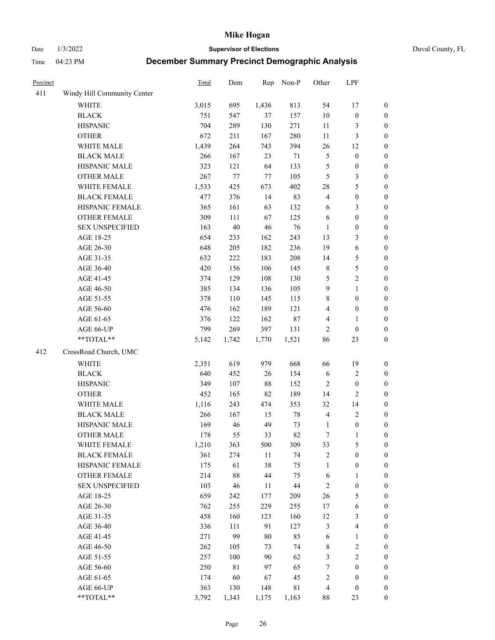Date 1/3/2022 **Supervisor of Elections** Duval County, FL

| Precinct |                             | Total | Dem         | Rep    | Non-P  | Other                   | LPF              |                  |
|----------|-----------------------------|-------|-------------|--------|--------|-------------------------|------------------|------------------|
| 411      | Windy Hill Community Center |       |             |        |        |                         |                  |                  |
|          | <b>WHITE</b>                | 3,015 | 695         | 1,436  | 813    | 54                      | 17               | 0                |
|          | <b>BLACK</b>                | 751   | 547         | 37     | 157    | $10\,$                  | $\boldsymbol{0}$ | 0                |
|          | <b>HISPANIC</b>             | 704   | 289         | 130    | 271    | 11                      | 3                | $\boldsymbol{0}$ |
|          | <b>OTHER</b>                | 672   | 211         | 167    | 280    | $11\,$                  | $\mathfrak{Z}$   | $\boldsymbol{0}$ |
|          | WHITE MALE                  | 1,439 | 264         | 743    | 394    | 26                      | 12               | $\boldsymbol{0}$ |
|          | <b>BLACK MALE</b>           | 266   | 167         | 23     | $71\,$ | 5                       | $\boldsymbol{0}$ | $\boldsymbol{0}$ |
|          | HISPANIC MALE               | 323   | 121         | 64     | 133    | 5                       | $\boldsymbol{0}$ | $\boldsymbol{0}$ |
|          | <b>OTHER MALE</b>           | 267   | 77          | 77     | 105    | 5                       | 3                | $\boldsymbol{0}$ |
|          | WHITE FEMALE                | 1,533 | 425         | 673    | 402    | 28                      | 5                | $\boldsymbol{0}$ |
|          | <b>BLACK FEMALE</b>         | 477   | 376         | 14     | 83     | 4                       | $\boldsymbol{0}$ | $\boldsymbol{0}$ |
|          | HISPANIC FEMALE             | 365   | 161         | 63     | 132    | 6                       | $\mathfrak{Z}$   | $\boldsymbol{0}$ |
|          | OTHER FEMALE                | 309   | 111         | 67     | 125    | 6                       | $\boldsymbol{0}$ | $\boldsymbol{0}$ |
|          | <b>SEX UNSPECIFIED</b>      | 163   | 40          | 46     | 76     | $\mathbf{1}$            | $\boldsymbol{0}$ | $\boldsymbol{0}$ |
|          | AGE 18-25                   | 654   | 233         | 162    | 243    | 13                      | $\mathfrak{Z}$   | $\boldsymbol{0}$ |
|          | AGE 26-30                   | 648   | 205         | 182    | 236    | 19                      | 6                | $\boldsymbol{0}$ |
|          | AGE 31-35                   | 632   | 222         | 183    | 208    | 14                      | 5                | $\boldsymbol{0}$ |
|          | AGE 36-40                   | 420   | 156         | 106    | 145    | $\,$ 8 $\,$             | $\mathfrak s$    | $\boldsymbol{0}$ |
|          | AGE 41-45                   | 374   | 129         | 108    | 130    | 5                       | $\sqrt{2}$       | $\boldsymbol{0}$ |
|          | AGE 46-50                   | 385   | 134         | 136    | 105    | 9                       | $\mathbf{1}$     | $\boldsymbol{0}$ |
|          | AGE 51-55                   | 378   | 110         | 145    | 115    | 8                       | $\boldsymbol{0}$ | $\boldsymbol{0}$ |
|          | AGE 56-60                   | 476   | 162         | 189    | 121    | 4                       | $\boldsymbol{0}$ | 0                |
|          | AGE 61-65                   | 376   | 122         | 162    | $87\,$ | 4                       | 1                | $\boldsymbol{0}$ |
|          | AGE 66-UP                   | 799   | 269         | 397    | 131    | $\overline{c}$          | $\boldsymbol{0}$ | $\boldsymbol{0}$ |
|          | $**TOTAL**$                 | 5,142 | 1,742       | 1,770  | 1,521  | 86                      | 23               | $\boldsymbol{0}$ |
| 412      | CrossRoad Church, UMC       |       |             |        |        |                         |                  |                  |
|          | <b>WHITE</b>                | 2,351 | 619         | 979    | 668    | 66                      | 19               | $\boldsymbol{0}$ |
|          | <b>BLACK</b>                | 640   | 452         | 26     | 154    | $\sqrt{6}$              | $\sqrt{2}$       | $\boldsymbol{0}$ |
|          | <b>HISPANIC</b>             | 349   | 107         | 88     | 152    | 2                       | $\boldsymbol{0}$ | $\boldsymbol{0}$ |
|          | <b>OTHER</b>                | 452   | 165         | 82     | 189    | 14                      | $\overline{2}$   | $\boldsymbol{0}$ |
|          | WHITE MALE                  | 1,116 | 243         | 474    | 353    | 32                      | 14               | $\boldsymbol{0}$ |
|          | <b>BLACK MALE</b>           | 266   | 167         | 15     | 78     | $\overline{4}$          | $\sqrt{2}$       | $\boldsymbol{0}$ |
|          | HISPANIC MALE               | 169   | 46          | 49     | 73     | $\mathbf{1}$            | $\boldsymbol{0}$ | $\boldsymbol{0}$ |
|          | <b>OTHER MALE</b>           | 178   | 55          | 33     | 82     | $\boldsymbol{7}$        | $\mathbf{1}$     | $\boldsymbol{0}$ |
|          | WHITE FEMALE                | 1,210 | 363         | 500    | 309    | 33                      | 5                | 0                |
|          | <b>BLACK FEMALE</b>         | 361   | 274         | $11\,$ | 74     | 2                       | $\boldsymbol{0}$ | $\overline{0}$   |
|          | HISPANIC FEMALE             | 175   | 61          | 38     | 75     | 1                       | $\boldsymbol{0}$ | $\overline{0}$   |
|          | OTHER FEMALE                | 214   | 88          | 44     | 75     | 6                       | $\mathbf{1}$     | $\overline{0}$   |
|          | <b>SEX UNSPECIFIED</b>      | 103   | 46          | 11     | 44     | 2                       | $\boldsymbol{0}$ | 0                |
|          | AGE 18-25                   | 659   | 242         | 177    | 209    | 26                      | $\mathfrak s$    | 0                |
|          | AGE 26-30                   | 762   | 255         | 229    | 255    | 17                      | 6                | 0                |
|          | AGE 31-35                   | 458   | 160         | 123    | 160    | 12                      | $\mathfrak{Z}$   | 0                |
|          | AGE 36-40                   | 336   | 111         | 91     | 127    | 3                       | $\overline{4}$   | 0                |
|          | AGE 41-45                   | 271   | 99          | 80     | 85     | 6                       | $\mathbf{1}$     | 0                |
|          | AGE 46-50                   | 262   | 105         | 73     | 74     | 8                       | $\sqrt{2}$       | 0                |
|          | AGE 51-55                   | 257   | 100         | 90     | 62     | 3                       | $\sqrt{2}$       | 0                |
|          | AGE 56-60                   | 250   | $8\sqrt{1}$ | 97     | 65     | $\sqrt{ }$              | $\boldsymbol{0}$ | $\overline{0}$   |
|          | AGE 61-65                   | 174   | 60          | 67     | 45     | $\overline{\mathbf{c}}$ | $\boldsymbol{0}$ | $\overline{0}$   |
|          | AGE 66-UP                   | 363   | 130         | 148    | 81     | 4                       | $\boldsymbol{0}$ | 0                |
|          | **TOTAL**                   | 3,792 | 1,343       | 1,175  | 1,163  | 88                      | 23               | $\boldsymbol{0}$ |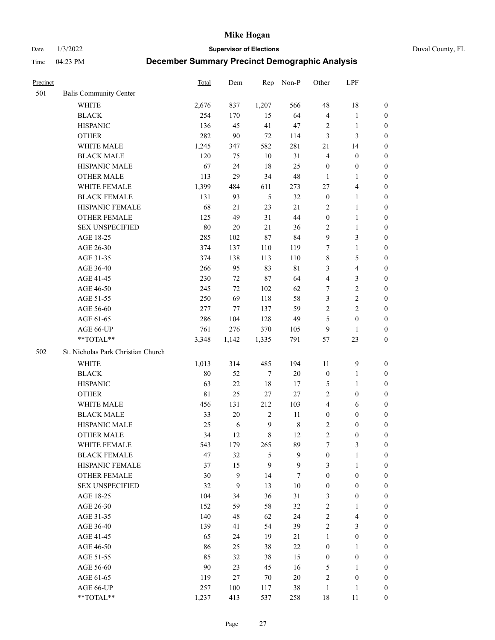Date 1/3/2022 **Supervisor of Elections** Duval County, FL

| Precinct |                                    | Total       | Dem    | Rep            | Non-P       | Other            | LPF                     |                  |
|----------|------------------------------------|-------------|--------|----------------|-------------|------------------|-------------------------|------------------|
| 501      | <b>Balis Community Center</b>      |             |        |                |             |                  |                         |                  |
|          | <b>WHITE</b>                       | 2,676       | 837    | 1,207          | 566         | 48               | 18                      | 0                |
|          | <b>BLACK</b>                       | 254         | 170    | 15             | 64          | $\overline{4}$   | $\mathbf{1}$            | 0                |
|          | <b>HISPANIC</b>                    | 136         | 45     | 41             | 47          | 2                | $\mathbf{1}$            | $\boldsymbol{0}$ |
|          | <b>OTHER</b>                       | 282         | 90     | $72\,$         | 114         | 3                | 3                       | $\boldsymbol{0}$ |
|          | WHITE MALE                         | 1,245       | 347    | 582            | 281         | 21               | 14                      | $\boldsymbol{0}$ |
|          | <b>BLACK MALE</b>                  | 120         | 75     | 10             | 31          | $\overline{4}$   | $\boldsymbol{0}$        | $\boldsymbol{0}$ |
|          | HISPANIC MALE                      | 67          | 24     | $18\,$         | 25          | $\boldsymbol{0}$ | $\boldsymbol{0}$        | $\boldsymbol{0}$ |
|          | <b>OTHER MALE</b>                  | 113         | 29     | 34             | 48          | $\mathbf{1}$     | $\mathbf{1}$            | $\boldsymbol{0}$ |
|          | WHITE FEMALE                       | 1,399       | 484    | 611            | 273         | 27               | $\overline{4}$          | $\boldsymbol{0}$ |
|          | <b>BLACK FEMALE</b>                | 131         | 93     | $\mathfrak{H}$ | 32          | $\boldsymbol{0}$ | $\mathbf{1}$            | 0                |
|          | HISPANIC FEMALE                    | 68          | 21     | 23             | 21          | 2                | $\mathbf{1}$            | 0                |
|          | <b>OTHER FEMALE</b>                | 125         | 49     | 31             | 44          | $\boldsymbol{0}$ | $\mathbf{1}$            | 0                |
|          | <b>SEX UNSPECIFIED</b>             | 80          | $20\,$ | 21             | 36          | $\mathbf{2}$     | $\mathbf{1}$            | $\boldsymbol{0}$ |
|          | AGE 18-25                          | 285         | 102    | 87             | 84          | 9                | $\mathfrak{Z}$          | $\boldsymbol{0}$ |
|          | AGE 26-30                          | 374         | 137    | 110            | 119         | 7                | $\mathbf{1}$            | $\boldsymbol{0}$ |
|          | AGE 31-35                          | 374         | 138    | 113            | 110         | $\,$ $\,$        | $\mathfrak{S}$          | $\boldsymbol{0}$ |
|          | AGE 36-40                          | 266         | 95     | 83             | $8\sqrt{1}$ | 3                | $\overline{\mathbf{4}}$ | $\boldsymbol{0}$ |
|          | AGE 41-45                          | 230         | $72\,$ | $87\,$         | 64          | 4                | $\mathfrak{Z}$          | $\boldsymbol{0}$ |
|          | AGE 46-50                          | 245         | 72     | 102            | 62          | 7                | $\sqrt{2}$              | $\boldsymbol{0}$ |
|          | AGE 51-55                          | 250         | 69     | 118            | 58          | 3                | $\sqrt{2}$              | $\boldsymbol{0}$ |
|          | AGE 56-60                          | 277         | 77     | 137            | 59          | $\sqrt{2}$       | $\overline{2}$          | 0                |
|          | AGE 61-65                          | 286         | 104    | 128            | 49          | 5                | $\boldsymbol{0}$        | 0                |
|          | AGE 66-UP                          | 761         | 276    | 370            | 105         | 9                | $\mathbf{1}$            | $\boldsymbol{0}$ |
|          | $**TOTAL**$                        | 3,348       | 1,142  | 1,335          | 791         | 57               | 23                      | $\boldsymbol{0}$ |
| 502      | St. Nicholas Park Christian Church |             |        |                |             |                  |                         |                  |
|          | <b>WHITE</b>                       | 1,013       | 314    | 485            | 194         | 11               | $\mathbf{9}$            | $\boldsymbol{0}$ |
|          | <b>BLACK</b>                       | 80          | 52     | $\tau$         | $20\,$      | $\boldsymbol{0}$ | $\mathbf{1}$            | $\boldsymbol{0}$ |
|          | <b>HISPANIC</b>                    | 63          | 22     | 18             | 17          | 5                | $\mathbf{1}$            | $\boldsymbol{0}$ |
|          | <b>OTHER</b>                       | $8\sqrt{1}$ | 25     | 27             | 27          | $\overline{c}$   | $\boldsymbol{0}$        | $\boldsymbol{0}$ |
|          | WHITE MALE                         | 456         | 131    | 212            | 103         | $\overline{4}$   | 6                       | $\boldsymbol{0}$ |
|          | <b>BLACK MALE</b>                  | 33          | 20     | $\sqrt{2}$     | 11          | $\boldsymbol{0}$ | $\boldsymbol{0}$        | $\boldsymbol{0}$ |
|          | HISPANIC MALE                      | 25          | 6      | $\overline{9}$ | $\,$ $\,$   | $\overline{c}$   | $\boldsymbol{0}$        | 0                |
|          | <b>OTHER MALE</b>                  | 34          | 12     | $\,8\,$        | 12          | $\overline{c}$   | $\boldsymbol{0}$        | $\boldsymbol{0}$ |
|          | WHITE FEMALE                       | 543         | 179    | 265            | 89          | 7                | 3                       | 0                |
|          | <b>BLACK FEMALE</b>                | 47          | 32     | 5              | 9           | $\boldsymbol{0}$ | $\mathbf{1}$            | $\boldsymbol{0}$ |
|          | HISPANIC FEMALE                    | 37          | 15     | 9              | 9           | 3                | $\mathbf{1}$            | $\overline{0}$   |
|          | <b>OTHER FEMALE</b>                | 30          | 9      | 14             | 7           | $\boldsymbol{0}$ | $\boldsymbol{0}$        | $\overline{0}$   |
|          | <b>SEX UNSPECIFIED</b>             | 32          | 9      | 13             | $10\,$      | $\boldsymbol{0}$ | $\boldsymbol{0}$        | $\overline{0}$   |
|          | AGE 18-25                          | 104         | 34     | 36             | 31          | 3                | $\boldsymbol{0}$        | $\overline{0}$   |
|          | AGE 26-30                          | 152         | 59     | 58             | 32          | $\sqrt{2}$       | $\mathbf{1}$            | 0                |
|          | AGE 31-35                          | 140         | 48     | 62             | 24          | $\sqrt{2}$       | $\overline{\mathbf{4}}$ | 0                |
|          | AGE 36-40                          | 139         | 41     | 54             | 39          | $\sqrt{2}$       | $\mathfrak{Z}$          | 0                |
|          | AGE 41-45                          | 65          | 24     | 19             | 21          | $\mathbf{1}$     | $\boldsymbol{0}$        | 0                |
|          | AGE 46-50                          | 86          | 25     | 38             | 22          | $\boldsymbol{0}$ | $\mathbf{1}$            | 0                |
|          | AGE 51-55                          | 85          | 32     | 38             | 15          | $\boldsymbol{0}$ | $\boldsymbol{0}$        | $\boldsymbol{0}$ |
|          | AGE 56-60                          | 90          | 23     | 45             | 16          | 5                | $\mathbf{1}$            | $\overline{0}$   |
|          | AGE 61-65                          | 119         | 27     | 70             | $20\,$      | 2                | $\boldsymbol{0}$        | $\overline{0}$   |
|          | AGE 66-UP                          | 257         | 100    | 117            | 38          | $\mathbf{1}$     | $\mathbf{1}$            | $\boldsymbol{0}$ |
|          | **TOTAL**                          | 1,237       | 413    | 537            | 258         | $18\,$           | 11                      | $\boldsymbol{0}$ |
|          |                                    |             |        |                |             |                  |                         |                  |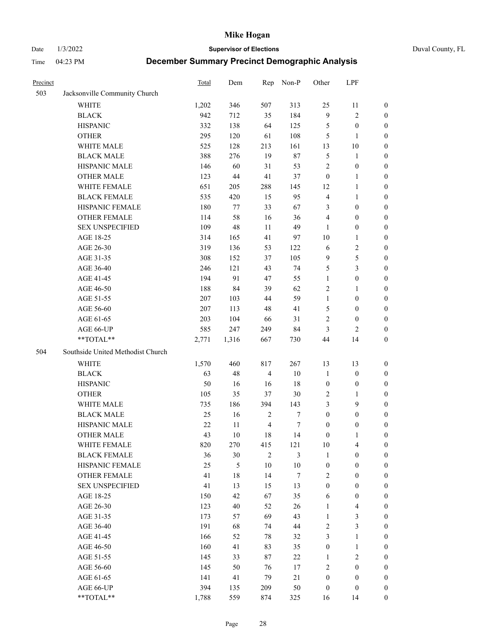Date 1/3/2022 **Supervisor of Elections** Duval County, FL

| Precinct |                                   | <b>Total</b> | Dem    | Rep            | Non-P            | Other            | LPF              |                  |
|----------|-----------------------------------|--------------|--------|----------------|------------------|------------------|------------------|------------------|
| 503      | Jacksonville Community Church     |              |        |                |                  |                  |                  |                  |
|          | <b>WHITE</b>                      | 1,202        | 346    | 507            | 313              | 25               | 11               | 0                |
|          | <b>BLACK</b>                      | 942          | 712    | 35             | 184              | $\mathbf{9}$     | $\sqrt{2}$       | 0                |
|          | <b>HISPANIC</b>                   | 332          | 138    | 64             | 125              | 5                | $\boldsymbol{0}$ | $\boldsymbol{0}$ |
|          | <b>OTHER</b>                      | 295          | 120    | 61             | 108              | 5                | $\mathbf{1}$     | $\boldsymbol{0}$ |
|          | WHITE MALE                        | 525          | 128    | 213            | 161              | 13               | 10               | $\boldsymbol{0}$ |
|          | <b>BLACK MALE</b>                 | 388          | 276    | 19             | $87\,$           | 5                | 1                | $\boldsymbol{0}$ |
|          | HISPANIC MALE                     | 146          | 60     | 31             | 53               | 2                | $\boldsymbol{0}$ | $\boldsymbol{0}$ |
|          | <b>OTHER MALE</b>                 | 123          | $44\,$ | 41             | 37               | $\boldsymbol{0}$ | $\mathbf{1}$     | $\boldsymbol{0}$ |
|          | WHITE FEMALE                      | 651          | 205    | 288            | 145              | 12               | $\mathbf{1}$     | $\boldsymbol{0}$ |
|          | <b>BLACK FEMALE</b>               | 535          | 420    | 15             | 95               | 4                | $\mathbf{1}$     | 0                |
|          | HISPANIC FEMALE                   | 180          | 77     | 33             | 67               | 3                | $\boldsymbol{0}$ | 0                |
|          | <b>OTHER FEMALE</b>               | 114          | 58     | 16             | 36               | 4                | $\boldsymbol{0}$ | $\boldsymbol{0}$ |
|          | <b>SEX UNSPECIFIED</b>            | 109          | 48     | 11             | 49               | $\mathbf{1}$     | $\boldsymbol{0}$ | $\boldsymbol{0}$ |
|          | AGE 18-25                         | 314          | 165    | 41             | 97               | $10\,$           | $\mathbf{1}$     | $\boldsymbol{0}$ |
|          | AGE 26-30                         | 319          | 136    | 53             | 122              | 6                | $\sqrt{2}$       | $\boldsymbol{0}$ |
|          | AGE 31-35                         | 308          | 152    | 37             | 105              | 9                | 5                | $\boldsymbol{0}$ |
|          | AGE 36-40                         | 246          | 121    | 43             | 74               | 5                | $\mathfrak{Z}$   | $\boldsymbol{0}$ |
|          | AGE 41-45                         | 194          | 91     | 47             | 55               | $\mathbf{1}$     | $\boldsymbol{0}$ | $\boldsymbol{0}$ |
|          | AGE 46-50                         | 188          | 84     | 39             | 62               | 2                | 1                | $\boldsymbol{0}$ |
|          | AGE 51-55                         | $207\,$      | 103    | 44             | 59               | $\mathbf{1}$     | $\boldsymbol{0}$ | 0                |
|          | AGE 56-60                         | 207          | 113    | 48             | 41               | 5                | $\boldsymbol{0}$ | 0                |
|          | AGE 61-65                         | 203          | 104    | 66             | 31               | 2                | $\boldsymbol{0}$ | 0                |
|          | AGE 66-UP                         | 585          | 247    | 249            | 84               | 3                | $\mathbf{2}$     | $\boldsymbol{0}$ |
|          | **TOTAL**                         | 2,771        | 1,316  | 667            | 730              | 44               | 14               | $\boldsymbol{0}$ |
| 504      | Southside United Methodist Church |              |        |                |                  |                  |                  |                  |
|          | <b>WHITE</b>                      | 1,570        | 460    | 817            | 267              | 13               | 13               | $\boldsymbol{0}$ |
|          | <b>BLACK</b>                      | 63           | 48     | $\overline{4}$ | $10\,$           | $\mathbf{1}$     | $\boldsymbol{0}$ | $\boldsymbol{0}$ |
|          | <b>HISPANIC</b>                   | 50           | 16     | 16             | 18               | $\boldsymbol{0}$ | $\boldsymbol{0}$ | $\boldsymbol{0}$ |
|          | <b>OTHER</b>                      | 105          | 35     | 37             | $30\,$           | 2                | $\mathbf{1}$     | $\boldsymbol{0}$ |
|          | WHITE MALE                        | 735          | 186    | 394            | 143              | 3                | 9                | $\overline{0}$   |
|          | <b>BLACK MALE</b>                 | 25           | 16     | $\sqrt{2}$     | $\boldsymbol{7}$ | $\boldsymbol{0}$ | $\boldsymbol{0}$ | $\boldsymbol{0}$ |
|          | HISPANIC MALE                     | $22\,$       | $11\,$ | $\overline{4}$ | 7                | $\boldsymbol{0}$ | $\boldsymbol{0}$ | 0                |
|          | <b>OTHER MALE</b>                 | 43           | 10     | 18             | 14               | $\boldsymbol{0}$ | $\mathbf{1}$     | $\boldsymbol{0}$ |
|          | WHITE FEMALE                      | 820          | 270    | 415            | 121              | 10               | 4                | 0                |
|          | <b>BLACK FEMALE</b>               | 36           | 30     | $\mathbf{2}$   | 3                | $\mathbf{1}$     | $\boldsymbol{0}$ | $\overline{0}$   |
|          | HISPANIC FEMALE                   | 25           | 5      | $10\,$         | $10\,$           | $\boldsymbol{0}$ | $\boldsymbol{0}$ | $\overline{0}$   |
|          | <b>OTHER FEMALE</b>               | 41           | 18     | 14             | $\boldsymbol{7}$ | 2                | $\boldsymbol{0}$ | $\overline{0}$   |
|          | <b>SEX UNSPECIFIED</b>            | 41           | 13     | 15             | 13               | $\boldsymbol{0}$ | $\boldsymbol{0}$ | 0                |
|          | AGE 18-25                         | 150          | 42     | 67             | 35               | 6                | $\boldsymbol{0}$ | 0                |
|          | AGE 26-30                         | 123          | $40\,$ | 52             | 26               | $\mathbf{1}$     | $\overline{4}$   | 0                |
|          | AGE 31-35                         | 173          | 57     | 69             | 43               | $\mathbf{1}$     | $\mathfrak{Z}$   | 0                |
|          | AGE 36-40                         | 191          | 68     | 74             | $44\,$           | 2                | $\mathfrak{Z}$   | 0                |
|          | AGE 41-45                         | 166          | 52     | 78             | 32               | 3                | $\mathbf{1}$     | 0                |
|          | AGE 46-50                         | 160          | 41     | 83             | 35               | $\boldsymbol{0}$ | $\mathbf{1}$     | 0                |
|          | AGE 51-55                         | 145          | 33     | 87             | 22               | $\mathbf{1}$     | $\mathfrak{2}$   | 0                |
|          | AGE 56-60                         | 145          | 50     | 76             | 17               | 2                | $\boldsymbol{0}$ | $\overline{0}$   |
|          | AGE 61-65                         | 141          | 41     | 79             | 21               | $\boldsymbol{0}$ | $\boldsymbol{0}$ | $\overline{0}$   |
|          | AGE 66-UP                         | 394          | 135    | 209            | 50               | $\boldsymbol{0}$ | $\boldsymbol{0}$ | 0                |
|          | **TOTAL**                         | 1,788        | 559    | 874            | 325              | 16               | 14               | $\boldsymbol{0}$ |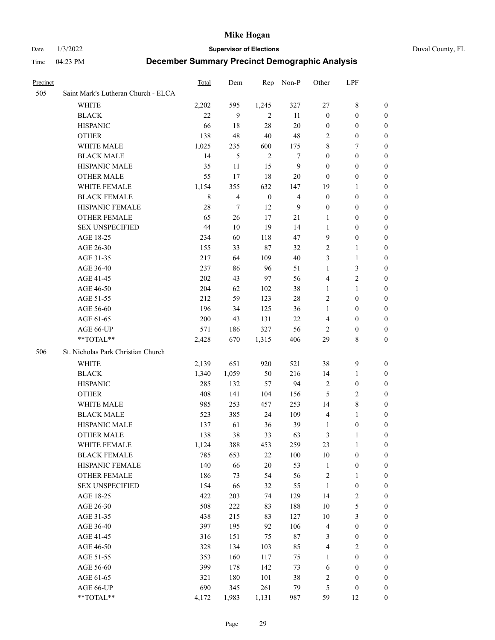#### Date 1/3/2022 **Supervisor of Elections** Duval County, FL

| Precinct |                                     | <b>Total</b> | Dem                      | Rep              | Non-P            | Other            | LPF              |                  |
|----------|-------------------------------------|--------------|--------------------------|------------------|------------------|------------------|------------------|------------------|
| 505      | Saint Mark's Lutheran Church - ELCA |              |                          |                  |                  |                  |                  |                  |
|          | <b>WHITE</b>                        | 2,202        | 595                      | 1,245            | 327              | 27               | $8\,$            | 0                |
|          | <b>BLACK</b>                        | 22           | 9                        | 2                | 11               | $\boldsymbol{0}$ | $\boldsymbol{0}$ | 0                |
|          | <b>HISPANIC</b>                     | 66           | 18                       | 28               | 20               | $\boldsymbol{0}$ | $\boldsymbol{0}$ | 0                |
|          | <b>OTHER</b>                        | 138          | 48                       | 40               | 48               | 2                | $\boldsymbol{0}$ | $\boldsymbol{0}$ |
|          | WHITE MALE                          | 1,025        | 235                      | 600              | 175              | 8                | 7                | $\boldsymbol{0}$ |
|          | <b>BLACK MALE</b>                   | 14           | 5                        | $\mathbf{2}$     | $\boldsymbol{7}$ | $\boldsymbol{0}$ | $\boldsymbol{0}$ | 0                |
|          | HISPANIC MALE                       | 35           | 11                       | 15               | $\boldsymbol{9}$ | $\boldsymbol{0}$ | $\boldsymbol{0}$ | 0                |
|          | <b>OTHER MALE</b>                   | 55           | 17                       | 18               | 20               | $\boldsymbol{0}$ | $\boldsymbol{0}$ | 0                |
|          | WHITE FEMALE                        | 1,154        | 355                      | 632              | 147              | 19               | $\mathbf{1}$     | 0                |
|          | <b>BLACK FEMALE</b>                 | 8            | $\overline{\mathcal{L}}$ | $\boldsymbol{0}$ | $\overline{4}$   | $\boldsymbol{0}$ | $\boldsymbol{0}$ | 0                |
|          | HISPANIC FEMALE                     | 28           | $\tau$                   | 12               | 9                | $\boldsymbol{0}$ | $\boldsymbol{0}$ | 0                |
|          | <b>OTHER FEMALE</b>                 | 65           | 26                       | 17               | 21               | $\mathbf{1}$     | $\boldsymbol{0}$ | 0                |
|          | <b>SEX UNSPECIFIED</b>              | 44           | 10                       | 19               | 14               | $\mathbf{1}$     | $\boldsymbol{0}$ | $\boldsymbol{0}$ |
|          | AGE 18-25                           | 234          | 60                       | 118              | 47               | 9                | $\boldsymbol{0}$ | $\boldsymbol{0}$ |
|          | AGE 26-30                           | 155          | 33                       | $87\,$           | 32               | $\overline{c}$   | $\mathbf{1}$     | $\boldsymbol{0}$ |
|          | AGE 31-35                           | 217          | 64                       | 109              | 40               | 3                | $\mathbf{1}$     | 0                |
|          | AGE 36-40                           | 237          | 86                       | 96               | 51               | $\mathbf{1}$     | $\mathfrak{Z}$   | $\boldsymbol{0}$ |
|          | AGE 41-45                           | 202          | 43                       | 97               | 56               | 4                | $\overline{2}$   | $\boldsymbol{0}$ |
|          | AGE 46-50                           | 204          | 62                       | 102              | 38               | $\mathbf{1}$     | $\mathbf{1}$     | 0                |
|          | AGE 51-55                           | 212          | 59                       | 123              | $28\,$           | $\overline{c}$   | $\boldsymbol{0}$ | 0                |
|          | AGE 56-60                           | 196          | 34                       | 125              | 36               | $\mathbf{1}$     | $\boldsymbol{0}$ | 0                |
|          | AGE 61-65                           | 200          | 43                       | 131              | 22               | 4                | $\boldsymbol{0}$ | 0                |
|          | AGE 66-UP                           | 571          | 186                      | 327              | 56               | $\overline{2}$   | $\boldsymbol{0}$ | 0                |
|          | **TOTAL**                           | 2,428        | 670                      | 1,315            | 406              | 29               | $\,$ 8 $\,$      | $\boldsymbol{0}$ |
| 506      | St. Nicholas Park Christian Church  |              |                          |                  |                  |                  |                  |                  |
|          | <b>WHITE</b>                        | 2,139        | 651                      | 920              | 521              | 38               | $\mathbf{9}$     | $\boldsymbol{0}$ |
|          | <b>BLACK</b>                        | 1,340        | 1,059                    | 50               | 216              | 14               | $\mathbf{1}$     | $\boldsymbol{0}$ |
|          | <b>HISPANIC</b>                     | 285          | 132                      | 57               | 94               | $\overline{c}$   | $\boldsymbol{0}$ | 0                |
|          | <b>OTHER</b>                        | 408          | 141                      | 104              | 156              | 5                | $\sqrt{2}$       | $\overline{0}$   |
|          | WHITE MALE                          | 985          | 253                      | 457              | 253              | 14               | $\,$ 8 $\,$      | 0                |
|          | <b>BLACK MALE</b>                   | 523          | 385                      | 24               | 109              | $\overline{4}$   | $\mathbf{1}$     | 0                |
|          | HISPANIC MALE                       | 137          | 61                       | 36               | 39               | 1                | $\boldsymbol{0}$ | 0                |
|          | <b>OTHER MALE</b>                   | 138          | 38                       | 33               | 63               | 3                | 1                | 0                |
|          | WHITE FEMALE                        | 1,124        | 388                      | 453              | 259              | 23               | 1                | 0                |
|          | <b>BLACK FEMALE</b>                 | 785          | 653                      | $22\,$           | 100              | 10               | $\boldsymbol{0}$ | $\boldsymbol{0}$ |
|          | HISPANIC FEMALE                     | 140          | 66                       | $20\,$           | 53               | $\mathbf{1}$     | $\boldsymbol{0}$ | $\overline{0}$   |
|          | OTHER FEMALE                        | 186          | 73                       | 54               | 56               | $\boldsymbol{2}$ | $\mathbf{1}$     | $\overline{0}$   |
|          | <b>SEX UNSPECIFIED</b>              | 154          | 66                       | 32               | 55               | $\mathbf{1}$     | $\boldsymbol{0}$ | 0                |
|          | AGE 18-25                           | 422          | 203                      | 74               | 129              | 14               | $\sqrt{2}$       | 0                |
|          | AGE 26-30                           | 508          | 222                      | 83               | 188              | $10\,$           | $\mathfrak s$    | 0                |
|          | AGE 31-35                           | 438          | 215                      | 83               | 127              | $10\,$           | $\mathfrak{Z}$   | 0                |
|          | AGE 36-40                           | 397          | 195                      | 92               | 106              | $\overline{4}$   | $\boldsymbol{0}$ | 0                |
|          | AGE 41-45                           | 316          | 151                      | 75               | $87\,$           | 3                | $\boldsymbol{0}$ | 0                |
|          | AGE 46-50                           | 328          | 134                      | 103              | 85               | 4                | $\sqrt{2}$       | 0                |
|          | AGE 51-55                           | 353          | 160                      | 117              | 75               | 1                | $\boldsymbol{0}$ | $\overline{0}$   |
|          | AGE 56-60                           | 399          | 178                      | 142              | 73               | 6                | $\boldsymbol{0}$ | $\boldsymbol{0}$ |
|          | AGE 61-65                           | 321          | 180                      | 101              | 38               | $\overline{c}$   | $\boldsymbol{0}$ | $\boldsymbol{0}$ |
|          | AGE 66-UP                           | 690          | 345                      | 261              | 79               | 5                | $\boldsymbol{0}$ | 0                |
|          | **TOTAL**                           | 4,172        | 1,983                    | 1,131            | 987              | 59               | 12               | $\boldsymbol{0}$ |
|          |                                     |              |                          |                  |                  |                  |                  |                  |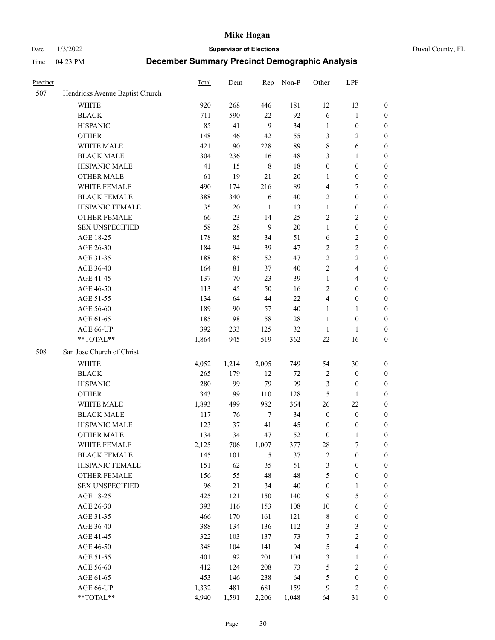Date 1/3/2022 **Supervisor of Elections** Duval County, FL

| Precinct |                                 | Total | Dem         | Rep              | Non-P  | Other                   | LPF                     |                  |
|----------|---------------------------------|-------|-------------|------------------|--------|-------------------------|-------------------------|------------------|
| 507      | Hendricks Avenue Baptist Church |       |             |                  |        |                         |                         |                  |
|          | <b>WHITE</b>                    | 920   | 268         | 446              | 181    | 12                      | 13                      | 0                |
|          | <b>BLACK</b>                    | 711   | 590         | 22               | 92     | 6                       | $\mathbf{1}$            | 0                |
|          | <b>HISPANIC</b>                 | 85    | 41          | 9                | 34     | $\mathbf{1}$            | $\boldsymbol{0}$        | $\boldsymbol{0}$ |
|          | <b>OTHER</b>                    | 148   | 46          | 42               | 55     | 3                       | $\sqrt{2}$              | $\boldsymbol{0}$ |
|          | WHITE MALE                      | 421   | 90          | 228              | 89     | 8                       | 6                       | $\boldsymbol{0}$ |
|          | <b>BLACK MALE</b>               | 304   | 236         | 16               | 48     | 3                       | 1                       | $\boldsymbol{0}$ |
|          | HISPANIC MALE                   | 41    | 15          | $\,$ 8 $\,$      | 18     | $\boldsymbol{0}$        | $\boldsymbol{0}$        | $\boldsymbol{0}$ |
|          | <b>OTHER MALE</b>               | 61    | 19          | 21               | $20\,$ | $\mathbf{1}$            | $\boldsymbol{0}$        | $\boldsymbol{0}$ |
|          | WHITE FEMALE                    | 490   | 174         | 216              | 89     | 4                       | $\boldsymbol{7}$        | $\boldsymbol{0}$ |
|          | <b>BLACK FEMALE</b>             | 388   | 340         | 6                | 40     | 2                       | $\boldsymbol{0}$        | $\boldsymbol{0}$ |
|          | HISPANIC FEMALE                 | 35    | $20\,$      | $\mathbf{1}$     | 13     | $\mathbf{1}$            | $\boldsymbol{0}$        | 0                |
|          | <b>OTHER FEMALE</b>             | 66    | 23          | 14               | 25     | $\mathfrak{2}$          | $\sqrt{2}$              | $\boldsymbol{0}$ |
|          | <b>SEX UNSPECIFIED</b>          | 58    | $28\,$      | 9                | 20     | $\mathbf{1}$            | $\boldsymbol{0}$        | $\boldsymbol{0}$ |
|          | AGE 18-25                       | 178   | 85          | 34               | 51     | 6                       | $\sqrt{2}$              | $\boldsymbol{0}$ |
|          | AGE 26-30                       | 184   | 94          | 39               | 47     | 2                       | $\sqrt{2}$              | $\boldsymbol{0}$ |
|          | AGE 31-35                       | 188   | 85          | 52               | 47     | $\sqrt{2}$              | $\sqrt{2}$              | $\boldsymbol{0}$ |
|          | AGE 36-40                       | 164   | $8\sqrt{1}$ | 37               | $40\,$ | $\overline{c}$          | $\overline{\mathbf{4}}$ | $\boldsymbol{0}$ |
|          | AGE 41-45                       | 137   | $70\,$      | 23               | 39     | $\mathbf{1}$            | $\overline{\mathbf{4}}$ | $\boldsymbol{0}$ |
|          | AGE 46-50                       | 113   | 45          | 50               | 16     | 2                       | $\boldsymbol{0}$        | $\boldsymbol{0}$ |
|          | AGE 51-55                       | 134   | 64          | 44               | $22\,$ | $\overline{\mathbf{4}}$ | $\boldsymbol{0}$        | $\boldsymbol{0}$ |
|          | AGE 56-60                       | 189   | 90          | 57               | 40     | $\mathbf{1}$            | $\mathbf{1}$            | 0                |
|          | AGE 61-65                       | 185   | 98          | 58               | $28\,$ | $\mathbf{1}$            | $\boldsymbol{0}$        | 0                |
|          | AGE 66-UP                       | 392   | 233         | 125              | 32     | $\mathbf{1}$            | $\mathbf{1}$            | $\boldsymbol{0}$ |
|          | $**TOTAL**$                     | 1,864 | 945         | 519              | 362    | $22\,$                  | 16                      | $\boldsymbol{0}$ |
| 508      | San Jose Church of Christ       |       |             |                  |        |                         |                         |                  |
|          | <b>WHITE</b>                    | 4,052 | 1,214       | 2,005            | 749    | 54                      | 30                      | $\boldsymbol{0}$ |
|          | <b>BLACK</b>                    | 265   | 179         | 12               | $72\,$ | 2                       | $\boldsymbol{0}$        | $\boldsymbol{0}$ |
|          | <b>HISPANIC</b>                 | 280   | 99          | 79               | 99     | 3                       | $\boldsymbol{0}$        | $\boldsymbol{0}$ |
|          | <b>OTHER</b>                    | 343   | 99          | 110              | 128    | 5                       | $\mathbf{1}$            | $\boldsymbol{0}$ |
|          | WHITE MALE                      | 1,893 | 499         | 982              | 364    | 26                      | 22                      | $\boldsymbol{0}$ |
|          | <b>BLACK MALE</b>               | 117   | 76          | $\boldsymbol{7}$ | 34     | $\boldsymbol{0}$        | $\boldsymbol{0}$        | $\boldsymbol{0}$ |
|          | HISPANIC MALE                   | 123   | 37          | 41               | 45     | $\boldsymbol{0}$        | $\boldsymbol{0}$        | 0                |
|          | <b>OTHER MALE</b>               | 134   | 34          | 47               | 52     | $\boldsymbol{0}$        | $\mathbf{1}$            | $\boldsymbol{0}$ |
|          | WHITE FEMALE                    | 2,125 | 706         | 1,007            | 377    | 28                      | 7                       | 0                |
|          | <b>BLACK FEMALE</b>             | 145   | 101         | 5                | 37     | $\sqrt{2}$              | $\boldsymbol{0}$        | $\boldsymbol{0}$ |
|          | HISPANIC FEMALE                 | 151   | 62          | 35               | 51     | 3                       | $\boldsymbol{0}$        | $\overline{0}$   |
|          | OTHER FEMALE                    | 156   | 55          | 48               | 48     | 5                       | $\boldsymbol{0}$        | $\overline{0}$   |
|          | <b>SEX UNSPECIFIED</b>          | 96    | $21\,$      | 34               | 40     | $\boldsymbol{0}$        | $\mathbf{1}$            | 0                |
|          | AGE 18-25                       | 425   | 121         | 150              | 140    | 9                       | $\mathfrak s$           | $\overline{0}$   |
|          | AGE 26-30                       | 393   | 116         | 153              | 108    | $10\,$                  | $\sqrt{6}$              | 0                |
|          | AGE 31-35                       | 466   | 170         | 161              | 121    | $\,$ $\,$               | 6                       | 0                |
|          | AGE 36-40                       | 388   | 134         | 136              | 112    | 3                       | $\mathfrak{Z}$          | 0                |
|          | AGE 41-45                       | 322   | 103         | 137              | 73     | $\boldsymbol{7}$        | $\sqrt{2}$              | 0                |
|          | AGE 46-50                       | 348   | 104         | 141              | 94     | 5                       | $\overline{\mathbf{4}}$ | 0                |
|          | AGE 51-55                       | 401   | 92          | 201              | 104    | 3                       | $\mathbf{1}$            | $\boldsymbol{0}$ |
|          | AGE 56-60                       | 412   | 124         | 208              | 73     | 5                       | $\sqrt{2}$              | $\boldsymbol{0}$ |
|          | AGE 61-65                       | 453   | 146         | 238              | 64     | 5                       | $\boldsymbol{0}$        | $\boldsymbol{0}$ |
|          | AGE 66-UP                       | 1,332 | 481         | 681              | 159    | 9                       | $\mathbf{2}$            | 0                |
|          | **TOTAL**                       | 4,940 | 1,591       | 2,206            | 1,048  | 64                      | 31                      | $\boldsymbol{0}$ |
|          |                                 |       |             |                  |        |                         |                         |                  |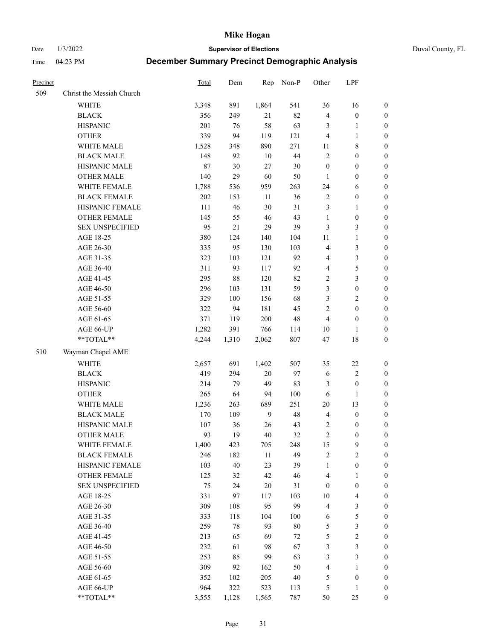Date 1/3/2022 **Supervisor of Elections** Duval County, FL

| Precinct |                           | <b>Total</b> | Dem    | Rep            | Non-P   | Other            | LPF                     |                  |
|----------|---------------------------|--------------|--------|----------------|---------|------------------|-------------------------|------------------|
| 509      | Christ the Messiah Church |              |        |                |         |                  |                         |                  |
|          | <b>WHITE</b>              | 3,348        | 891    | 1,864          | 541     | 36               | 16                      | 0                |
|          | <b>BLACK</b>              | 356          | 249    | 21             | 82      | 4                | $\boldsymbol{0}$        | 0                |
|          | <b>HISPANIC</b>           | 201          | 76     | 58             | 63      | 3                | $\mathbf{1}$            | $\boldsymbol{0}$ |
|          | <b>OTHER</b>              | 339          | 94     | 119            | 121     | 4                | $\mathbf{1}$            | $\boldsymbol{0}$ |
|          | WHITE MALE                | 1,528        | 348    | 890            | 271     | 11               | $8\,$                   | $\boldsymbol{0}$ |
|          | <b>BLACK MALE</b>         | 148          | 92     | 10             | 44      | $\overline{c}$   | $\boldsymbol{0}$        | $\boldsymbol{0}$ |
|          | HISPANIC MALE             | 87           | 30     | 27             | $30\,$  | $\boldsymbol{0}$ | $\boldsymbol{0}$        | $\boldsymbol{0}$ |
|          | <b>OTHER MALE</b>         | 140          | 29     | 60             | 50      | $\mathbf{1}$     | $\boldsymbol{0}$        | $\boldsymbol{0}$ |
|          | WHITE FEMALE              | 1,788        | 536    | 959            | 263     | 24               | 6                       | $\boldsymbol{0}$ |
|          | <b>BLACK FEMALE</b>       | 202          | 153    | 11             | 36      | $\sqrt{2}$       | $\boldsymbol{0}$        | 0                |
|          | HISPANIC FEMALE           | 111          | 46     | 30             | 31      | 3                | $\mathbf{1}$            | 0                |
|          | OTHER FEMALE              | 145          | 55     | 46             | 43      | $\mathbf{1}$     | $\boldsymbol{0}$        | $\boldsymbol{0}$ |
|          | <b>SEX UNSPECIFIED</b>    | 95           | 21     | 29             | 39      | 3                | $\mathfrak{Z}$          | $\boldsymbol{0}$ |
|          | AGE 18-25                 | 380          | 124    | 140            | 104     | $11\,$           | $\mathbf{1}$            | $\boldsymbol{0}$ |
|          | AGE 26-30                 | 335          | 95     | 130            | 103     | 4                | $\mathfrak{Z}$          | $\boldsymbol{0}$ |
|          | AGE 31-35                 | 323          | 103    | 121            | 92      | 4                | $\mathfrak{Z}$          | $\boldsymbol{0}$ |
|          | AGE 36-40                 | 311          | 93     | 117            | 92      | 4                | $\mathfrak s$           | $\boldsymbol{0}$ |
|          | AGE 41-45                 | 295          | $88\,$ | 120            | 82      | $\overline{c}$   | $\mathfrak{Z}$          | $\boldsymbol{0}$ |
|          | AGE 46-50                 | 296          | 103    | 131            | 59      | 3                | $\boldsymbol{0}$        | $\boldsymbol{0}$ |
|          | AGE 51-55                 | 329          | 100    | 156            | 68      | 3                | $\sqrt{2}$              | $\boldsymbol{0}$ |
|          | AGE 56-60                 | 322          | 94     | 181            | 45      | $\overline{c}$   | $\boldsymbol{0}$        | 0                |
|          | AGE 61-65                 | 371          | 119    | 200            | $48\,$  | 4                | $\boldsymbol{0}$        | $\boldsymbol{0}$ |
|          | AGE 66-UP                 | 1,282        | 391    | 766            | 114     | 10               | $\mathbf{1}$            | $\boldsymbol{0}$ |
|          | **TOTAL**                 | 4,244        | 1,310  | 2,062          | 807     | 47               | $18\,$                  | $\boldsymbol{0}$ |
| 510      | Wayman Chapel AME         |              |        |                |         |                  |                         |                  |
|          | <b>WHITE</b>              | 2,657        | 691    | 1,402          | 507     | 35               | $22\,$                  | $\boldsymbol{0}$ |
|          | <b>BLACK</b>              | 419          | 294    | $20\,$         | 97      | 6                | $\sqrt{2}$              | $\boldsymbol{0}$ |
|          | <b>HISPANIC</b>           | 214          | 79     | 49             | 83      | 3                | $\boldsymbol{0}$        | $\boldsymbol{0}$ |
|          | <b>OTHER</b>              | 265          | 64     | 94             | 100     | 6                | $\mathbf{1}$            | $\boldsymbol{0}$ |
|          | WHITE MALE                | 1,236        | 263    | 689            | 251     | $20\,$           | 13                      | $\boldsymbol{0}$ |
|          | <b>BLACK MALE</b>         | 170          | 109    | $\overline{9}$ | 48      | $\overline{4}$   | $\boldsymbol{0}$        | $\boldsymbol{0}$ |
|          | HISPANIC MALE             | 107          | 36     | 26             | 43      | $\overline{c}$   | $\boldsymbol{0}$        | 0                |
|          | <b>OTHER MALE</b>         | 93           | 19     | 40             | 32      | $\overline{c}$   | $\boldsymbol{0}$        | $\boldsymbol{0}$ |
|          | WHITE FEMALE              | 1,400        | 423    | 705            | 248     | 15               | 9                       | 0                |
|          | <b>BLACK FEMALE</b>       | 246          | 182    | 11             | 49      | 2                | $\sqrt{2}$              | $\boldsymbol{0}$ |
|          | HISPANIC FEMALE           | 103          | 40     | 23             | 39      | $\mathbf{1}$     | $\boldsymbol{0}$        | $\overline{0}$   |
|          | OTHER FEMALE              | 125          | 32     | 42             | 46      | 4                | $\mathbf{1}$            | $\overline{0}$   |
|          | <b>SEX UNSPECIFIED</b>    | 75           | 24     | 20             | 31      | $\boldsymbol{0}$ | $\boldsymbol{0}$        | 0                |
|          | AGE 18-25                 | 331          | 97     | 117            | 103     | $10\,$           | $\overline{\mathbf{4}}$ | 0                |
|          | AGE 26-30                 | 309          | 108    | 95             | 99      | 4                | $\mathfrak{Z}$          | 0                |
|          | AGE 31-35                 | 333          | 118    | 104            | $100\,$ | 6                | $\mathfrak s$           | 0                |
|          | AGE 36-40                 | 259          | $78\,$ | 93             | $80\,$  | 5                | $\mathfrak{Z}$          | 0                |
|          | AGE 41-45                 | 213          | 65     | 69             | $72\,$  | 5                | $\sqrt{2}$              | 0                |
|          | AGE 46-50                 | 232          | 61     | 98             | 67      | 3                | $\mathfrak{Z}$          | 0                |
|          | AGE 51-55                 | 253          | 85     | 99             | 63      | 3                | $\mathfrak{Z}$          | $\boldsymbol{0}$ |
|          | AGE 56-60                 | 309          | 92     | 162            | 50      | 4                | 1                       | $\boldsymbol{0}$ |
|          | AGE 61-65                 | 352          | 102    | 205            | $40\,$  | 5                | $\boldsymbol{0}$        | $\boldsymbol{0}$ |
|          | AGE 66-UP                 | 964          | 322    | 523            | 113     | 5                | $\mathbf{1}$            | 0                |
|          | **TOTAL**                 | 3,555        | 1,128  | 1,565          | 787     | 50               | 25                      | $\boldsymbol{0}$ |
|          |                           |              |        |                |         |                  |                         |                  |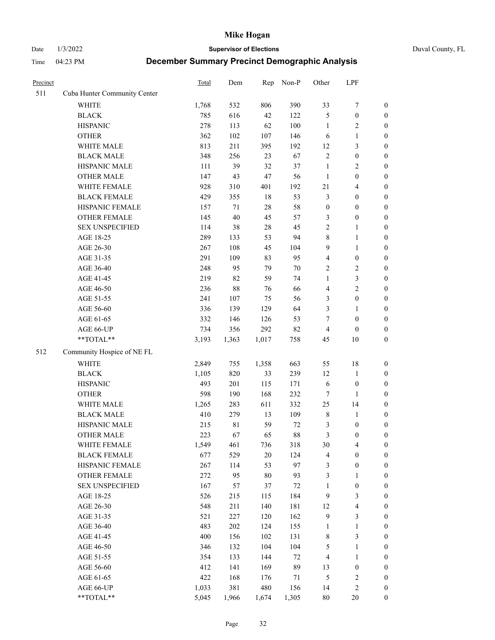Date 1/3/2022 **Supervisor of Elections** Duval County, FL

| Precinct |                              | Total | Dem         | Rep   | Non-P  | Other            | LPF              |                  |
|----------|------------------------------|-------|-------------|-------|--------|------------------|------------------|------------------|
| 511      | Cuba Hunter Community Center |       |             |       |        |                  |                  |                  |
|          | <b>WHITE</b>                 | 1,768 | 532         | 806   | 390    | 33               | $\boldsymbol{7}$ | 0                |
|          | <b>BLACK</b>                 | 785   | 616         | 42    | 122    | 5                | $\boldsymbol{0}$ | $\boldsymbol{0}$ |
|          | <b>HISPANIC</b>              | 278   | 113         | 62    | 100    | $\mathbf{1}$     | $\overline{c}$   | $\boldsymbol{0}$ |
|          | <b>OTHER</b>                 | 362   | 102         | 107   | 146    | 6                | $\mathbf{1}$     | $\boldsymbol{0}$ |
|          | WHITE MALE                   | 813   | 211         | 395   | 192    | 12               | $\mathfrak{Z}$   | $\boldsymbol{0}$ |
|          | <b>BLACK MALE</b>            | 348   | 256         | 23    | 67     | $\overline{c}$   | $\boldsymbol{0}$ | $\boldsymbol{0}$ |
|          | HISPANIC MALE                | 111   | 39          | 32    | 37     | $\mathbf{1}$     | $\sqrt{2}$       | $\boldsymbol{0}$ |
|          | <b>OTHER MALE</b>            | 147   | 43          | 47    | 56     | $\mathbf{1}$     | $\boldsymbol{0}$ | $\boldsymbol{0}$ |
|          | WHITE FEMALE                 | 928   | 310         | 401   | 192    | 21               | $\overline{4}$   | $\boldsymbol{0}$ |
|          | <b>BLACK FEMALE</b>          | 429   | 355         | 18    | 53     | 3                | $\boldsymbol{0}$ | $\boldsymbol{0}$ |
|          | HISPANIC FEMALE              | 157   | 71          | 28    | 58     | $\boldsymbol{0}$ | $\boldsymbol{0}$ | $\boldsymbol{0}$ |
|          | OTHER FEMALE                 | 145   | 40          | 45    | 57     | 3                | $\boldsymbol{0}$ | $\boldsymbol{0}$ |
|          | <b>SEX UNSPECIFIED</b>       | 114   | 38          | 28    | 45     | $\mathbf{2}$     | $\mathbf{1}$     | $\boldsymbol{0}$ |
|          | AGE 18-25                    | 289   | 133         | 53    | 94     | 8                | $\mathbf{1}$     | $\boldsymbol{0}$ |
|          | AGE 26-30                    | 267   | 108         | 45    | 104    | 9                | $\mathbf{1}$     | $\boldsymbol{0}$ |
|          | AGE 31-35                    | 291   | 109         | 83    | 95     | 4                | $\boldsymbol{0}$ | $\boldsymbol{0}$ |
|          | AGE 36-40                    | 248   | 95          | 79    | 70     | 2                | $\sqrt{2}$       | $\boldsymbol{0}$ |
|          | AGE 41-45                    | 219   | 82          | 59    | 74     | $\mathbf{1}$     | $\mathfrak{Z}$   | $\boldsymbol{0}$ |
|          | AGE 46-50                    | 236   | 88          | 76    | 66     | 4                | $\overline{c}$   | $\boldsymbol{0}$ |
|          | AGE 51-55                    | 241   | 107         | 75    | 56     | 3                | $\boldsymbol{0}$ | $\boldsymbol{0}$ |
|          | AGE 56-60                    | 336   | 139         | 129   | 64     | 3                | 1                | 0                |
|          | AGE 61-65                    | 332   | 146         | 126   | 53     | $\tau$           | $\boldsymbol{0}$ | $\boldsymbol{0}$ |
|          | AGE 66-UP                    | 734   | 356         | 292   | 82     | 4                | $\boldsymbol{0}$ | $\boldsymbol{0}$ |
|          | $**TOTAL**$                  | 3,193 | 1,363       | 1,017 | 758    | 45               | 10               | $\boldsymbol{0}$ |
| 512      | Community Hospice of NE FL   |       |             |       |        |                  |                  |                  |
|          | <b>WHITE</b>                 | 2,849 | 755         | 1,358 | 663    | 55               | 18               | $\boldsymbol{0}$ |
|          | <b>BLACK</b>                 | 1,105 | 820         | 33    | 239    | 12               | $\mathbf{1}$     | $\boldsymbol{0}$ |
|          | <b>HISPANIC</b>              | 493   | 201         | 115   | 171    | 6                | $\boldsymbol{0}$ | $\boldsymbol{0}$ |
|          | <b>OTHER</b>                 | 598   | 190         | 168   | 232    | 7                | 1                | $\boldsymbol{0}$ |
|          | WHITE MALE                   | 1,265 | 283         | 611   | 332    | 25               | 14               | $\boldsymbol{0}$ |
|          | <b>BLACK MALE</b>            | 410   | 279         | 13    | 109    | $\,$ $\,$        | $\mathbf{1}$     | $\boldsymbol{0}$ |
|          | HISPANIC MALE                | 215   | $8\sqrt{1}$ | 59    | $72\,$ | 3                | $\boldsymbol{0}$ | 0                |
|          | <b>OTHER MALE</b>            | 223   | 67          | 65    | 88     | 3                | $\boldsymbol{0}$ | $\boldsymbol{0}$ |
|          | WHITE FEMALE                 | 1,549 | 461         | 736   | 318    | 30               | 4                | 0                |
|          | <b>BLACK FEMALE</b>          | 677   | 529         | 20    | 124    | 4                | $\boldsymbol{0}$ | $\boldsymbol{0}$ |
|          | HISPANIC FEMALE              | 267   | 114         | 53    | 97     | 3                | $\boldsymbol{0}$ | $\overline{0}$   |
|          | OTHER FEMALE                 | 272   | 95          | 80    | 93     | 3                | $\mathbf{1}$     | $\overline{0}$   |
|          | <b>SEX UNSPECIFIED</b>       | 167   | 57          | 37    | $72\,$ | 1                | $\boldsymbol{0}$ | 0                |
|          | AGE 18-25                    | 526   | 215         | 115   | 184    | 9                | $\mathfrak{Z}$   | 0                |
|          | AGE 26-30                    | 548   | 211         | 140   | 181    | 12               | $\overline{4}$   | 0                |
|          | AGE 31-35                    | 521   | 227         | 120   | 162    | 9                | $\mathfrak{Z}$   | 0                |
|          | AGE 36-40                    | 483   | 202         | 124   | 155    | 1                | $\mathbf{1}$     | 0                |
|          | AGE 41-45                    | 400   | 156         | 102   | 131    | 8                | $\mathfrak{Z}$   | 0                |
|          | AGE 46-50                    | 346   | 132         | 104   | 104    | 5                | $\mathbf{1}$     | 0                |
|          | AGE 51-55                    | 354   | 133         | 144   | $72\,$ | 4                | $\mathbf{1}$     | 0                |
|          | AGE 56-60                    | 412   | 141         | 169   | 89     | 13               | $\boldsymbol{0}$ | 0                |
|          | AGE 61-65                    | 422   | 168         | 176   | 71     | 5                | $\sqrt{2}$       | 0                |
|          | AGE 66-UP                    | 1,033 | 381         | 480   | 156    | 14               | $\sqrt{2}$       | 0                |
|          | **TOTAL**                    | 5,045 | 1,966       | 1,674 | 1,305  | 80               | 20               | $\boldsymbol{0}$ |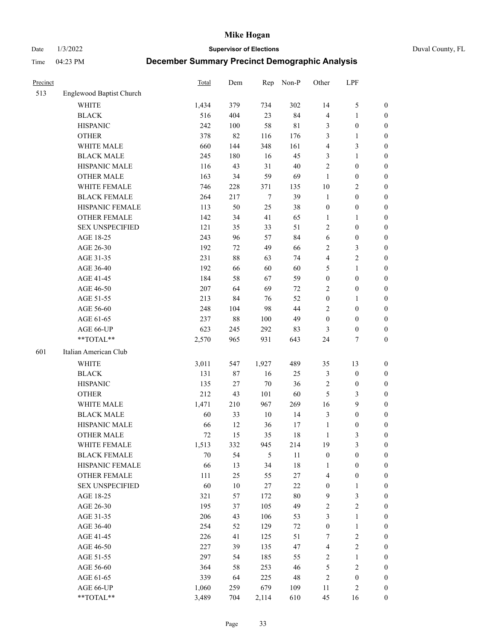Date 1/3/2022 **Supervisor of Elections** Duval County, FL

| Precinct |                          | <b>Total</b> | Dem    | Rep    | Non-P       | Other            | LPF              |                  |
|----------|--------------------------|--------------|--------|--------|-------------|------------------|------------------|------------------|
| 513      | Englewood Baptist Church |              |        |        |             |                  |                  |                  |
|          | <b>WHITE</b>             | 1,434        | 379    | 734    | 302         | 14               | $\mathfrak s$    | 0                |
|          | <b>BLACK</b>             | 516          | 404    | 23     | 84          | 4                | $\mathbf{1}$     | 0                |
|          | <b>HISPANIC</b>          | 242          | 100    | 58     | $8\sqrt{1}$ | 3                | $\boldsymbol{0}$ | $\boldsymbol{0}$ |
|          | <b>OTHER</b>             | 378          | 82     | 116    | 176         | 3                | 1                | $\boldsymbol{0}$ |
|          | WHITE MALE               | 660          | 144    | 348    | 161         | 4                | $\mathfrak{Z}$   | $\boldsymbol{0}$ |
|          | <b>BLACK MALE</b>        | 245          | 180    | 16     | 45          | 3                | $\mathbf{1}$     | $\boldsymbol{0}$ |
|          | HISPANIC MALE            | 116          | 43     | 31     | $40\,$      | $\overline{c}$   | $\boldsymbol{0}$ | $\boldsymbol{0}$ |
|          | <b>OTHER MALE</b>        | 163          | 34     | 59     | 69          | $\mathbf{1}$     | $\boldsymbol{0}$ | $\boldsymbol{0}$ |
|          | WHITE FEMALE             | 746          | 228    | 371    | 135         | $10\,$           | $\mathbf{2}$     | $\boldsymbol{0}$ |
|          | <b>BLACK FEMALE</b>      | 264          | 217    | $\tau$ | 39          | $\mathbf{1}$     | $\boldsymbol{0}$ | $\boldsymbol{0}$ |
|          | HISPANIC FEMALE          | 113          | 50     | 25     | 38          | $\boldsymbol{0}$ | $\boldsymbol{0}$ | $\boldsymbol{0}$ |
|          | <b>OTHER FEMALE</b>      | 142          | 34     | 41     | 65          | $\mathbf{1}$     | $\mathbf{1}$     | $\boldsymbol{0}$ |
|          | <b>SEX UNSPECIFIED</b>   | 121          | 35     | 33     | 51          | $\overline{c}$   | $\boldsymbol{0}$ | $\boldsymbol{0}$ |
|          | AGE 18-25                | 243          | 96     | 57     | 84          | 6                | $\boldsymbol{0}$ | $\boldsymbol{0}$ |
|          | AGE 26-30                | 192          | 72     | 49     | 66          | 2                | $\mathfrak{Z}$   | $\boldsymbol{0}$ |
|          | AGE 31-35                | 231          | 88     | 63     | 74          | 4                | $\sqrt{2}$       | $\boldsymbol{0}$ |
|          | AGE 36-40                | 192          | 66     | 60     | 60          | 5                | $\mathbf{1}$     | $\boldsymbol{0}$ |
|          | AGE 41-45                | 184          | 58     | 67     | 59          | $\boldsymbol{0}$ | $\boldsymbol{0}$ | $\boldsymbol{0}$ |
|          | AGE 46-50                | $207\,$      | 64     | 69     | 72          | $\overline{c}$   | $\boldsymbol{0}$ | $\boldsymbol{0}$ |
|          | AGE 51-55                | 213          |        |        | 52          | $\boldsymbol{0}$ |                  |                  |
|          |                          |              | 84     | 76     |             |                  | 1                | $\boldsymbol{0}$ |
|          | AGE 56-60                | 248          | 104    | 98     | 44          | $\overline{2}$   | $\boldsymbol{0}$ | 0                |
|          | AGE 61-65                | 237          | $88\,$ | 100    | 49          | $\boldsymbol{0}$ | $\boldsymbol{0}$ | $\boldsymbol{0}$ |
|          | AGE 66-UP                | 623          | 245    | 292    | 83          | 3                | $\boldsymbol{0}$ | $\boldsymbol{0}$ |
|          | $**TOTAL**$              | 2,570        | 965    | 931    | 643         | 24               | $\tau$           | $\boldsymbol{0}$ |
| 601      | Italian American Club    |              |        |        |             |                  |                  |                  |
|          | <b>WHITE</b>             | 3,011        | 547    | 1,927  | 489         | 35               | 13               | $\boldsymbol{0}$ |
|          | <b>BLACK</b>             | 131          | $87\,$ | 16     | 25          | 3                | $\boldsymbol{0}$ | $\boldsymbol{0}$ |
|          | <b>HISPANIC</b>          | 135          | $27\,$ | $70\,$ | 36          | 2                | $\boldsymbol{0}$ | $\boldsymbol{0}$ |
|          | <b>OTHER</b>             | 212          | 43     | 101    | 60          | 5                | $\mathfrak{Z}$   | $\boldsymbol{0}$ |
|          | WHITE MALE               | 1,471        | 210    | 967    | 269         | 16               | 9                | $\boldsymbol{0}$ |
|          | <b>BLACK MALE</b>        | 60           | 33     | $10\,$ | 14          | 3                | $\boldsymbol{0}$ | $\boldsymbol{0}$ |
|          | HISPANIC MALE            | 66           | 12     | 36     | 17          | $\mathbf{1}$     | $\boldsymbol{0}$ | 0                |
|          | <b>OTHER MALE</b>        | 72           | 15     | 35     | 18          | $\mathbf{1}$     | 3                | $\boldsymbol{0}$ |
|          | WHITE FEMALE             | 1,513        | 332    | 945    | 214         | 19               | 3                | 0                |
|          | <b>BLACK FEMALE</b>      | 70           | 54     | 5      | 11          | $\boldsymbol{0}$ | $\boldsymbol{0}$ | $\overline{0}$   |
|          | HISPANIC FEMALE          | 66           | 13     | 34     | $18\,$      | 1                | $\boldsymbol{0}$ | $\overline{0}$   |
|          | <b>OTHER FEMALE</b>      | 111          | 25     | 55     | $27\,$      | 4                | $\boldsymbol{0}$ | 0                |
|          | <b>SEX UNSPECIFIED</b>   | 60           | $10\,$ | 27     | $22\,$      | $\boldsymbol{0}$ | $\mathbf{1}$     | 0                |
|          | AGE 18-25                | 321          | 57     | 172    | $80\,$      | 9                | $\mathfrak{Z}$   | 0                |
|          | AGE 26-30                | 195          | 37     | 105    | 49          | 2                | $\overline{c}$   | 0                |
|          | AGE 31-35                | 206          | 43     | 106    | 53          | 3                | $\mathbf{1}$     | 0                |
|          | AGE 36-40                | 254          | 52     | 129    | 72          | $\boldsymbol{0}$ | $\mathbf{1}$     | 0                |
|          | AGE 41-45                | 226          | 41     | 125    | 51          | 7                | $\sqrt{2}$       | 0                |
|          | AGE 46-50                | 227          | 39     | 135    | 47          | 4                | $\sqrt{2}$       | 0                |
|          | AGE 51-55                | 297          | 54     | 185    | 55          | 2                | $\mathbf{1}$     | 0                |
|          | AGE 56-60                | 364          | 58     | 253    | 46          | 5                | $\sqrt{2}$       | 0                |
|          | AGE 61-65                | 339          | 64     | 225    | 48          | 2                | $\boldsymbol{0}$ | 0                |
|          | AGE 66-UP                | 1,060        | 259    | 679    | 109         | 11               | $\mathfrak{2}$   | 0                |
|          | **TOTAL**                | 3,489        | 704    | 2,114  | 610         | 45               | 16               | $\boldsymbol{0}$ |
|          |                          |              |        |        |             |                  |                  |                  |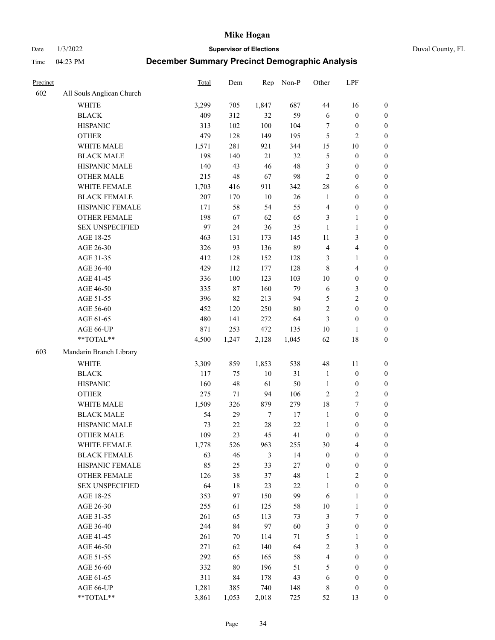Date 1/3/2022 **Supervisor of Elections** Duval County, FL

| Precinct |                           | Total | Dem    | Rep    | Non-P  | Other                   | LPF                     |                  |
|----------|---------------------------|-------|--------|--------|--------|-------------------------|-------------------------|------------------|
| 602      | All Souls Anglican Church |       |        |        |        |                         |                         |                  |
|          | WHITE                     | 3,299 | 705    | 1,847  | 687    | 44                      | 16                      | 0                |
|          | <b>BLACK</b>              | 409   | 312    | 32     | 59     | 6                       | $\boldsymbol{0}$        | 0                |
|          | <b>HISPANIC</b>           | 313   | 102    | 100    | 104    | $\tau$                  | $\boldsymbol{0}$        | $\boldsymbol{0}$ |
|          | <b>OTHER</b>              | 479   | 128    | 149    | 195    | 5                       | $\mathfrak{2}$          | $\boldsymbol{0}$ |
|          | WHITE MALE                | 1,571 | 281    | 921    | 344    | 15                      | $10\,$                  | $\boldsymbol{0}$ |
|          | <b>BLACK MALE</b>         | 198   | 140    | 21     | 32     | 5                       | $\boldsymbol{0}$        | $\boldsymbol{0}$ |
|          | HISPANIC MALE             | 140   | 43     | 46     | 48     | 3                       | $\boldsymbol{0}$        | $\boldsymbol{0}$ |
|          | <b>OTHER MALE</b>         | 215   | 48     | 67     | 98     | $\mathfrak{2}$          | $\boldsymbol{0}$        | $\boldsymbol{0}$ |
|          | WHITE FEMALE              | 1,703 | 416    | 911    | 342    | 28                      | 6                       | $\boldsymbol{0}$ |
|          | <b>BLACK FEMALE</b>       | 207   | 170    | 10     | 26     | $\mathbf{1}$            | $\boldsymbol{0}$        | 0                |
|          | HISPANIC FEMALE           | 171   | 58     | 54     | 55     | $\overline{\mathbf{4}}$ | $\boldsymbol{0}$        | 0                |
|          | OTHER FEMALE              | 198   | 67     | 62     | 65     | 3                       | $\mathbf{1}$            | $\boldsymbol{0}$ |
|          | <b>SEX UNSPECIFIED</b>    | 97    | 24     | 36     | 35     | $\mathbf{1}$            | $\mathbf{1}$            | $\boldsymbol{0}$ |
|          | AGE 18-25                 | 463   | 131    | 173    | 145    | $11\,$                  | $\mathfrak{Z}$          | $\boldsymbol{0}$ |
|          | AGE 26-30                 | 326   | 93     | 136    | 89     | 4                       | $\overline{\mathbf{4}}$ | $\boldsymbol{0}$ |
|          | AGE 31-35                 | 412   | 128    | 152    | 128    | 3                       | $\mathbf{1}$            | $\boldsymbol{0}$ |
|          | AGE 36-40                 | 429   | 112    | 177    | 128    | 8                       | $\overline{\mathbf{4}}$ | $\boldsymbol{0}$ |
|          | AGE 41-45                 | 336   | 100    | 123    | 103    | $10\,$                  | $\boldsymbol{0}$        | $\boldsymbol{0}$ |
|          | AGE 46-50                 | 335   | $87\,$ | 160    | 79     | 6                       | $\mathfrak{Z}$          | $\boldsymbol{0}$ |
|          | AGE 51-55                 | 396   | 82     | 213    | 94     | 5                       | $\sqrt{2}$              | $\boldsymbol{0}$ |
|          | AGE 56-60                 | 452   | 120    | 250    | 80     | $\sqrt{2}$              | $\boldsymbol{0}$        | $\boldsymbol{0}$ |
|          | AGE 61-65                 | 480   | 141    | 272    | 64     | $\mathfrak{Z}$          | $\boldsymbol{0}$        | $\boldsymbol{0}$ |
|          | AGE 66-UP                 | 871   | 253    | 472    | 135    | $10\,$                  | $\mathbf{1}$            | $\boldsymbol{0}$ |
|          | **TOTAL**                 | 4,500 | 1,247  | 2,128  | 1,045  | 62                      | $18\,$                  | $\boldsymbol{0}$ |
| 603      | Mandarin Branch Library   |       |        |        |        |                         |                         |                  |
|          | WHITE                     | 3,309 | 859    | 1,853  | 538    | 48                      | 11                      | $\boldsymbol{0}$ |
|          | <b>BLACK</b>              | 117   | 75     | 10     | 31     | $\mathbf{1}$            | $\boldsymbol{0}$        | $\boldsymbol{0}$ |
|          | <b>HISPANIC</b>           | 160   | 48     | 61     | 50     | $\mathbf{1}$            | $\boldsymbol{0}$        | $\boldsymbol{0}$ |
|          | <b>OTHER</b>              | 275   | 71     | 94     | 106    | $\mathfrak{2}$          | $\sqrt{2}$              | $\boldsymbol{0}$ |
|          | WHITE MALE                | 1,509 | 326    | 879    | 279    | 18                      | $\boldsymbol{7}$        | $\boldsymbol{0}$ |
|          | <b>BLACK MALE</b>         | 54    | 29     | $\tau$ | $17\,$ | $\mathbf{1}$            | $\boldsymbol{0}$        | $\boldsymbol{0}$ |
|          | HISPANIC MALE             | 73    | $22\,$ | 28     | $22\,$ | $\mathbf{1}$            | $\boldsymbol{0}$        | $\boldsymbol{0}$ |
|          | <b>OTHER MALE</b>         | 109   | 23     | 45     | 41     | $\boldsymbol{0}$        | $\boldsymbol{0}$        | $\boldsymbol{0}$ |
|          | WHITE FEMALE              | 1,778 | 526    | 963    | 255    | 30                      | 4                       | 0                |
|          | <b>BLACK FEMALE</b>       | 63    | 46     | 3      | 14     | $\boldsymbol{0}$        | $\boldsymbol{0}$        | $\boldsymbol{0}$ |
|          | HISPANIC FEMALE           | 85    | 25     | 33     | 27     | $\boldsymbol{0}$        | $\boldsymbol{0}$        | $\overline{0}$   |
|          | OTHER FEMALE              | 126   | 38     | 37     | 48     | $\mathbf{1}$            | $\sqrt{2}$              | 0                |
|          | <b>SEX UNSPECIFIED</b>    | 64    | 18     | 23     | $22\,$ | $\mathbf{1}$            | $\boldsymbol{0}$        | 0                |
|          | AGE 18-25                 | 353   | 97     | 150    | 99     | 6                       | $\mathbf{1}$            | 0                |
|          | AGE 26-30                 | 255   | 61     | 125    | 58     | $10\,$                  | $\mathbf{1}$            | 0                |
|          | AGE 31-35                 | 261   | 65     | 113    | 73     | 3                       | $\boldsymbol{7}$        | 0                |
|          | AGE 36-40                 | 244   | 84     | 97     | 60     | 3                       | $\boldsymbol{0}$        | 0                |
|          | AGE 41-45                 | 261   | 70     | 114    | 71     | 5                       | $\mathbf{1}$            | 0                |
|          | AGE 46-50                 | 271   | 62     | 140    | 64     | 2                       | $\mathfrak{Z}$          | 0                |
|          | AGE 51-55                 | 292   | 65     | 165    | 58     | $\overline{\mathbf{4}}$ | $\boldsymbol{0}$        | 0                |
|          | AGE 56-60                 | 332   | 80     | 196    | 51     | 5                       | $\boldsymbol{0}$        | $\boldsymbol{0}$ |
|          | AGE 61-65                 | 311   | 84     | 178    | 43     | 6                       | $\boldsymbol{0}$        | 0                |
|          | AGE 66-UP                 | 1,281 | 385    | 740    | 148    | 8                       | $\boldsymbol{0}$        | 0                |
|          | **TOTAL**                 | 3,861 | 1,053  | 2,018  | 725    | 52                      | 13                      | $\boldsymbol{0}$ |
|          |                           |       |        |        |        |                         |                         |                  |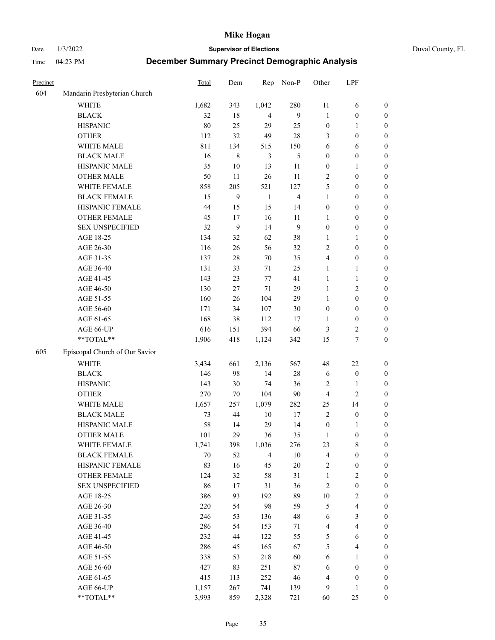Date 1/3/2022 **Supervisor of Elections** Duval County, FL

| Precinct |                                | <b>Total</b> | Dem     | Rep            | Non-P          | Other            | LPF                     |                  |
|----------|--------------------------------|--------------|---------|----------------|----------------|------------------|-------------------------|------------------|
| 604      | Mandarin Presbyterian Church   |              |         |                |                |                  |                         |                  |
|          | <b>WHITE</b>                   | 1,682        | 343     | 1,042          | 280            | 11               | 6                       | 0                |
|          | <b>BLACK</b>                   | 32           | 18      | $\overline{4}$ | 9              | $\mathbf{1}$     | $\boldsymbol{0}$        | 0                |
|          | <b>HISPANIC</b>                | 80           | 25      | 29             | 25             | $\boldsymbol{0}$ | 1                       | $\boldsymbol{0}$ |
|          | <b>OTHER</b>                   | 112          | 32      | 49             | $28\,$         | 3                | $\boldsymbol{0}$        | $\boldsymbol{0}$ |
|          | WHITE MALE                     | 811          | 134     | 515            | 150            | 6                | 6                       | $\boldsymbol{0}$ |
|          | <b>BLACK MALE</b>              | 16           | $\,8\,$ | 3              | 5              | $\boldsymbol{0}$ | $\boldsymbol{0}$        | $\boldsymbol{0}$ |
|          | HISPANIC MALE                  | 35           | $10\,$  | 13             | 11             | $\boldsymbol{0}$ | 1                       | $\boldsymbol{0}$ |
|          | <b>OTHER MALE</b>              | 50           | 11      | 26             | 11             | 2                | $\boldsymbol{0}$        | $\boldsymbol{0}$ |
|          | WHITE FEMALE                   | 858          | 205     | 521            | 127            | 5                | $\boldsymbol{0}$        | $\boldsymbol{0}$ |
|          | <b>BLACK FEMALE</b>            | 15           | 9       | $\mathbf{1}$   | $\overline{4}$ | $\mathbf{1}$     | $\boldsymbol{0}$        | 0                |
|          | HISPANIC FEMALE                | 44           | 15      | 15             | 14             | $\boldsymbol{0}$ | $\boldsymbol{0}$        | 0                |
|          | OTHER FEMALE                   | 45           | 17      | 16             | 11             | 1                | $\boldsymbol{0}$        | $\boldsymbol{0}$ |
|          | <b>SEX UNSPECIFIED</b>         | 32           | 9       | 14             | 9              | $\boldsymbol{0}$ | $\boldsymbol{0}$        | $\boldsymbol{0}$ |
|          | AGE 18-25                      | 134          | 32      | 62             | 38             | 1                | 1                       | $\boldsymbol{0}$ |
|          | AGE 26-30                      | 116          | 26      | 56             | 32             | 2                | $\boldsymbol{0}$        | $\boldsymbol{0}$ |
|          | AGE 31-35                      | 137          | $28\,$  | 70             | 35             | 4                | $\boldsymbol{0}$        | $\boldsymbol{0}$ |
|          | AGE 36-40                      | 131          | 33      | 71             | 25             | $\mathbf{1}$     | $\mathbf{1}$            | $\boldsymbol{0}$ |
|          | AGE 41-45                      | 143          | 23      | 77             | 41             | $\mathbf{1}$     | $\mathbf{1}$            | $\boldsymbol{0}$ |
|          | AGE 46-50                      | 130          | 27      | $71\,$         | 29             | $\mathbf{1}$     | $\mathfrak{2}$          | $\boldsymbol{0}$ |
|          | AGE 51-55                      | 160          | 26      | 104            | 29             | $\mathbf{1}$     | $\boldsymbol{0}$        | $\boldsymbol{0}$ |
|          | AGE 56-60                      | 171          | 34      | 107            | 30             | $\boldsymbol{0}$ | $\boldsymbol{0}$        | 0                |
|          | AGE 61-65                      | 168          | 38      | 112            | 17             | 1                | $\boldsymbol{0}$        | 0                |
|          | AGE 66-UP                      | 616          | 151     | 394            | 66             | 3                | $\overline{c}$          | $\boldsymbol{0}$ |
|          | **TOTAL**                      | 1,906        | 418     | 1,124          | 342            | 15               | $\boldsymbol{7}$        | $\boldsymbol{0}$ |
| 605      | Episcopal Church of Our Savior |              |         |                |                |                  |                         |                  |
|          | <b>WHITE</b>                   | 3,434        | 661     | 2,136          | 567            | 48               | $22\,$                  | $\boldsymbol{0}$ |
|          | <b>BLACK</b>                   | 146          | 98      | 14             | $28\,$         | 6                | $\boldsymbol{0}$        | $\boldsymbol{0}$ |
|          | <b>HISPANIC</b>                | 143          | 30      | 74             | 36             | 2                | $\mathbf{1}$            | $\boldsymbol{0}$ |
|          | <b>OTHER</b>                   | 270          | $70\,$  | 104            | $90\,$         | 4                | $\mathfrak{2}$          | $\boldsymbol{0}$ |
|          | WHITE MALE                     | 1,657        | 257     | 1,079          | 282            | 25               | 14                      | $\boldsymbol{0}$ |
|          | <b>BLACK MALE</b>              | 73           | 44      | $10\,$         | 17             | $\overline{2}$   | $\boldsymbol{0}$        | $\boldsymbol{0}$ |
|          | HISPANIC MALE                  | 58           | 14      | 29             | 14             | $\boldsymbol{0}$ | 1                       | 0                |
|          | OTHER MALE                     | 101          | 29      | 36             | 35             | $\mathbf{1}$     | $\boldsymbol{0}$        | $\boldsymbol{0}$ |
|          | WHITE FEMALE                   | 1,741        | 398     | 1,036          | 276            | 23               | 8                       | 0                |
|          | <b>BLACK FEMALE</b>            | 70           | 52      | $\overline{4}$ | $10\,$         | 4                | $\boldsymbol{0}$        | $\boldsymbol{0}$ |
|          | HISPANIC FEMALE                | 83           | 16      | 45             | $20\,$         | 2                | $\boldsymbol{0}$        | $\overline{0}$   |
|          | OTHER FEMALE                   | 124          | 32      | 58             | 31             | $\mathbf{1}$     | $\sqrt{2}$              | $\overline{0}$   |
|          | <b>SEX UNSPECIFIED</b>         | 86           | 17      | 31             | 36             | $\overline{c}$   | $\boldsymbol{0}$        | 0                |
|          | AGE 18-25                      | 386          | 93      | 192            | 89             | $10\,$           | $\sqrt{2}$              | $\overline{0}$   |
|          | AGE 26-30                      | 220          | 54      | 98             | 59             | 5                | $\overline{\mathbf{4}}$ | 0                |
|          | AGE 31-35                      | 246          | 53      | 136            | 48             | 6                | $\mathfrak{Z}$          | 0                |
|          | AGE 36-40                      | 286          | 54      | 153            | 71             | 4                | $\overline{\mathbf{4}}$ | 0                |
|          | AGE 41-45                      | 232          | 44      | 122            | 55             | 5                | 6                       | 0                |
|          | AGE 46-50                      | 286          | 45      | 165            | 67             | 5                | $\overline{\mathbf{4}}$ | 0                |
|          | AGE 51-55                      | 338          | 53      | 218            | 60             | 6                | $\mathbf{1}$            | $\boldsymbol{0}$ |
|          | AGE 56-60                      | 427          | 83      | 251            | $87\,$         | 6                | $\boldsymbol{0}$        | $\boldsymbol{0}$ |
|          | AGE 61-65                      | 415          | 113     | 252            | 46             | 4                | $\boldsymbol{0}$        | $\boldsymbol{0}$ |
|          | AGE 66-UP                      | 1,157        | 267     | 741            | 139            | 9                | $\mathbf{1}$            | $\boldsymbol{0}$ |
|          | **TOTAL**                      | 3,993        | 859     | 2,328          | 721            | 60               | 25                      | $\boldsymbol{0}$ |
|          |                                |              |         |                |                |                  |                         |                  |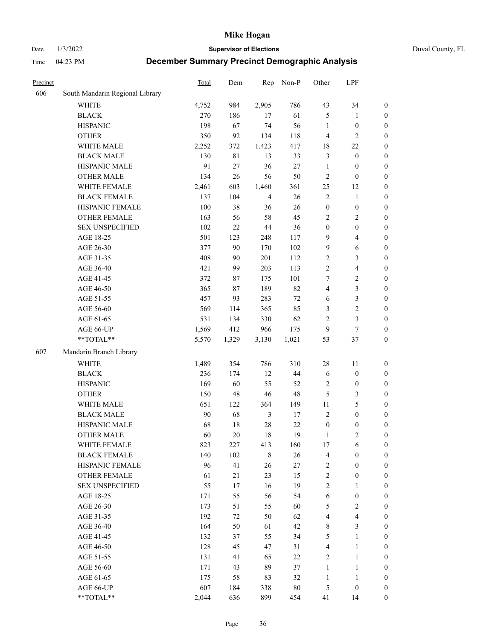Date 1/3/2022 **Supervisor of Elections** Duval County, FL

| Precinct |                                 | Total | Dem   | Rep            | Non-P  | Other            | LPF                     |                  |
|----------|---------------------------------|-------|-------|----------------|--------|------------------|-------------------------|------------------|
| 606      | South Mandarin Regional Library |       |       |                |        |                  |                         |                  |
|          | <b>WHITE</b>                    | 4,752 | 984   | 2,905          | 786    | 43               | 34                      | 0                |
|          | <b>BLACK</b>                    | 270   | 186   | 17             | 61     | 5                | $\mathbf{1}$            | $\boldsymbol{0}$ |
|          | <b>HISPANIC</b>                 | 198   | 67    | 74             | 56     | $\mathbf{1}$     | $\boldsymbol{0}$        | $\boldsymbol{0}$ |
|          | <b>OTHER</b>                    | 350   | 92    | 134            | 118    | 4                | $\mathfrak{2}$          | $\boldsymbol{0}$ |
|          | WHITE MALE                      | 2,252 | 372   | 1,423          | 417    | 18               | $22\,$                  | $\boldsymbol{0}$ |
|          | <b>BLACK MALE</b>               | 130   | 81    | 13             | 33     | 3                | $\boldsymbol{0}$        | $\boldsymbol{0}$ |
|          | HISPANIC MALE                   | 91    | 27    | 36             | 27     | $\mathbf{1}$     | $\boldsymbol{0}$        | $\boldsymbol{0}$ |
|          | <b>OTHER MALE</b>               | 134   | 26    | 56             | 50     | $\overline{c}$   | $\boldsymbol{0}$        | $\boldsymbol{0}$ |
|          | WHITE FEMALE                    | 2,461 | 603   | 1,460          | 361    | 25               | 12                      | $\boldsymbol{0}$ |
|          | <b>BLACK FEMALE</b>             | 137   | 104   | $\overline{4}$ | 26     | $\sqrt{2}$       | $\mathbf{1}$            | $\boldsymbol{0}$ |
|          | HISPANIC FEMALE                 | 100   | 38    | 36             | 26     | $\boldsymbol{0}$ | $\boldsymbol{0}$        | 0                |
|          | <b>OTHER FEMALE</b>             | 163   | 56    | 58             | 45     | $\mathfrak{2}$   | $\sqrt{2}$              | $\boldsymbol{0}$ |
|          | <b>SEX UNSPECIFIED</b>          | 102   | 22    | $44\,$         | 36     | $\boldsymbol{0}$ | $\boldsymbol{0}$        | $\boldsymbol{0}$ |
|          | AGE 18-25                       | 501   | 123   | 248            | 117    | 9                | $\overline{\mathbf{4}}$ | $\boldsymbol{0}$ |
|          | AGE 26-30                       | 377   | 90    | 170            | 102    | 9                | 6                       | $\boldsymbol{0}$ |
|          | AGE 31-35                       | 408   | 90    | 201            | 112    | $\sqrt{2}$       | $\mathfrak{Z}$          | $\boldsymbol{0}$ |
|          | AGE 36-40                       | 421   | 99    | 203            | 113    | $\overline{c}$   | $\overline{\mathbf{4}}$ | $\boldsymbol{0}$ |
|          | AGE 41-45                       | 372   | 87    | 175            | 101    | 7                | $\sqrt{2}$              | $\boldsymbol{0}$ |
|          | AGE 46-50                       | 365   | 87    | 189            | 82     | 4                | $\mathfrak{Z}$          | $\boldsymbol{0}$ |
|          | AGE 51-55                       | 457   | 93    | 283            | $72\,$ | 6                | $\mathfrak{Z}$          | $\boldsymbol{0}$ |
|          | AGE 56-60                       | 569   | 114   | 365            | 85     | 3                | $\sqrt{2}$              | 0                |
|          | AGE 61-65                       | 531   | 134   | 330            | 62     | $\overline{c}$   | $\mathfrak{Z}$          | $\boldsymbol{0}$ |
|          | AGE 66-UP                       | 1,569 | 412   | 966            | 175    | 9                | $\tau$                  | $\boldsymbol{0}$ |
|          | $**TOTAL**$                     | 5,570 | 1,329 | 3,130          | 1,021  | 53               | $37\,$                  | $\boldsymbol{0}$ |
| 607      | Mandarin Branch Library         |       |       |                |        |                  |                         |                  |
|          | <b>WHITE</b>                    | 1,489 | 354   | 786            | 310    | 28               | 11                      | $\boldsymbol{0}$ |
|          | <b>BLACK</b>                    | 236   | 174   | 12             | 44     | 6                | $\boldsymbol{0}$        | $\boldsymbol{0}$ |
|          | <b>HISPANIC</b>                 | 169   | 60    | 55             | 52     | $\overline{c}$   | $\boldsymbol{0}$        | $\boldsymbol{0}$ |
|          | <b>OTHER</b>                    | 150   | 48    | $46\,$         | 48     | 5                | $\mathfrak{Z}$          | $\boldsymbol{0}$ |
|          | WHITE MALE                      | 651   | 122   | 364            | 149    | $11\,$           | $\mathfrak{S}$          | $\boldsymbol{0}$ |
|          | <b>BLACK MALE</b>               | 90    | 68    | $\mathfrak{Z}$ | $17\,$ | $\mathbf{2}$     | $\boldsymbol{0}$        | $\boldsymbol{0}$ |
|          | HISPANIC MALE                   | 68    | 18    | $28\,$         | 22     | $\boldsymbol{0}$ | $\boldsymbol{0}$        | $\boldsymbol{0}$ |
|          | <b>OTHER MALE</b>               | 60    | 20    | 18             | 19     | $\mathbf{1}$     | $\mathbf{2}$            | $\boldsymbol{0}$ |
|          | WHITE FEMALE                    | 823   | 227   | 413            | 160    | 17               | 6                       | 0                |
|          | <b>BLACK FEMALE</b>             | 140   | 102   | $\,$ 8 $\,$    | 26     | 4                | $\boldsymbol{0}$        | $\overline{0}$   |
|          | HISPANIC FEMALE                 | 96    | 41    | 26             | $27\,$ | $\sqrt{2}$       | $\boldsymbol{0}$        | $\overline{0}$   |
|          | <b>OTHER FEMALE</b>             | 61    | 21    | 23             | 15     | $\overline{c}$   | $\boldsymbol{0}$        | $\overline{0}$   |
|          | <b>SEX UNSPECIFIED</b>          | 55    | 17    | 16             | 19     | $\overline{c}$   | $\mathbf{1}$            | 0                |
|          | AGE 18-25                       | 171   | 55    | 56             | 54     | 6                | $\boldsymbol{0}$        | 0                |
|          | AGE 26-30                       | 173   | 51    | 55             | 60     | 5                | $\overline{2}$          | 0                |
|          | AGE 31-35                       | 192   | 72    | 50             | 62     | 4                | $\overline{4}$          | 0                |
|          | AGE 36-40                       | 164   | 50    | 61             | 42     | 8                | $\mathfrak{Z}$          | 0                |
|          | AGE 41-45                       | 132   | 37    | 55             | 34     | 5                | $\mathbf{1}$            | 0                |
|          | AGE 46-50                       | 128   | 45    | 47             | 31     | 4                | $\mathbf{1}$            | 0                |
|          | AGE 51-55                       | 131   | 41    | 65             | 22     | $\overline{2}$   | $\mathbf{1}$            | 0                |
|          | AGE 56-60                       | 171   | 43    | 89             | 37     | $\mathbf{1}$     | $\mathbf{1}$            | 0                |
|          | AGE 61-65                       | 175   | 58    | 83             | 32     | $\mathbf{1}$     | $\mathbf{1}$            | 0                |
|          | AGE 66-UP                       | 607   | 184   | 338            | $80\,$ | 5                | $\boldsymbol{0}$        | 0                |
|          | **TOTAL**                       | 2,044 | 636   | 899            | 454    | 41               | 14                      | $\boldsymbol{0}$ |
|          |                                 |       |       |                |        |                  |                         |                  |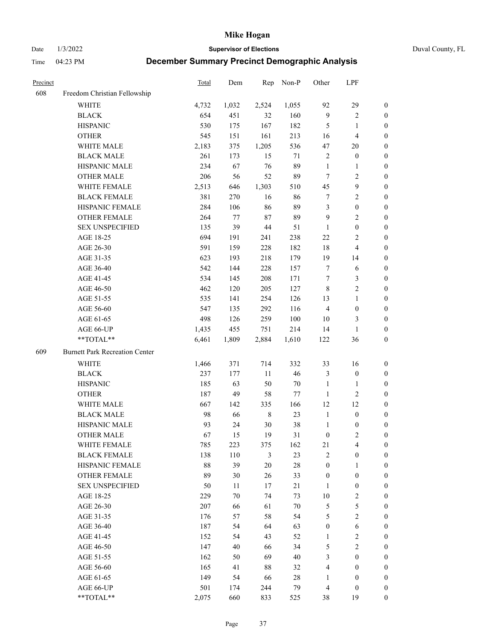Date 1/3/2022 **Supervisor of Elections** Duval County, FL

| Precinct |                                       | <b>Total</b> | Dem   | Rep         | Non-P  | Other            | LPF                     |                  |
|----------|---------------------------------------|--------------|-------|-------------|--------|------------------|-------------------------|------------------|
| 608      | Freedom Christian Fellowship          |              |       |             |        |                  |                         |                  |
|          | <b>WHITE</b>                          | 4,732        | 1,032 | 2,524       | 1,055  | 92               | 29                      | $\boldsymbol{0}$ |
|          | <b>BLACK</b>                          | 654          | 451   | 32          | 160    | $\overline{9}$   | $\sqrt{2}$              | $\boldsymbol{0}$ |
|          | <b>HISPANIC</b>                       | 530          | 175   | 167         | 182    | $\mathfrak{S}$   | $\mathbf{1}$            | $\boldsymbol{0}$ |
|          | <b>OTHER</b>                          | 545          | 151   | 161         | 213    | 16               | $\overline{\mathbf{4}}$ | $\boldsymbol{0}$ |
|          | WHITE MALE                            | 2,183        | 375   | 1,205       | 536    | 47               | 20                      | $\boldsymbol{0}$ |
|          | <b>BLACK MALE</b>                     | 261          | 173   | 15          | 71     | 2                | $\boldsymbol{0}$        | $\boldsymbol{0}$ |
|          | HISPANIC MALE                         | 234          | 67    | 76          | 89     | $\mathbf{1}$     | $\mathbf{1}$            | $\boldsymbol{0}$ |
|          | <b>OTHER MALE</b>                     | 206          | 56    | 52          | 89     | $\tau$           | $\overline{2}$          | $\boldsymbol{0}$ |
|          | WHITE FEMALE                          | 2,513        | 646   | 1,303       | 510    | 45               | $\boldsymbol{9}$        | $\boldsymbol{0}$ |
|          | <b>BLACK FEMALE</b>                   | 381          | 270   | 16          | 86     | 7                | $\sqrt{2}$              | 0                |
|          | HISPANIC FEMALE                       | 284          | 106   | 86          | 89     | 3                | $\boldsymbol{0}$        | 0                |
|          | OTHER FEMALE                          | 264          | 77    | $87\,$      | 89     | 9                | $\sqrt{2}$              | 0                |
|          | <b>SEX UNSPECIFIED</b>                | 135          | 39    | $44\,$      | 51     | $\mathbf{1}$     | $\boldsymbol{0}$        | $\boldsymbol{0}$ |
|          | AGE 18-25                             | 694          | 191   | 241         | 238    | 22               | $\sqrt{2}$              | $\boldsymbol{0}$ |
|          | AGE 26-30                             | 591          | 159   | 228         | 182    | 18               | $\overline{\mathbf{4}}$ | $\boldsymbol{0}$ |
|          | AGE 31-35                             | 623          | 193   | 218         | 179    | 19               | 14                      | $\boldsymbol{0}$ |
|          | AGE 36-40                             | 542          | 144   | 228         | 157    | $\tau$           | 6                       | $\boldsymbol{0}$ |
|          | AGE 41-45                             | 534          | 145   | 208         | 171    | $\tau$           | $\mathfrak{Z}$          | $\boldsymbol{0}$ |
|          | AGE 46-50                             | 462          | 120   | 205         | 127    | $\,8\,$          | $\overline{2}$          | $\boldsymbol{0}$ |
|          | AGE 51-55                             | 535          | 141   | 254         | 126    | 13               | $\mathbf{1}$            | $\boldsymbol{0}$ |
|          | AGE 56-60                             | 547          | 135   | 292         | 116    | $\overline{4}$   | $\boldsymbol{0}$        | 0                |
|          | AGE 61-65                             | 498          | 126   | 259         | 100    | 10               | 3                       | 0                |
|          | AGE 66-UP                             | 1,435        | 455   | 751         | 214    | 14               | $\mathbf{1}$            | $\boldsymbol{0}$ |
|          | **TOTAL**                             | 6,461        | 1,809 | 2,884       | 1,610  | 122              | 36                      | $\boldsymbol{0}$ |
| 609      | <b>Burnett Park Recreation Center</b> |              |       |             |        |                  |                         |                  |
|          | <b>WHITE</b>                          | 1,466        | 371   | 714         | 332    | 33               | 16                      | $\boldsymbol{0}$ |
|          | <b>BLACK</b>                          | 237          | 177   | $11\,$      | 46     | 3                | $\boldsymbol{0}$        | $\boldsymbol{0}$ |
|          | <b>HISPANIC</b>                       | 185          | 63    | 50          | $70\,$ | $\mathbf{1}$     | $\mathbf{1}$            | $\boldsymbol{0}$ |
|          | <b>OTHER</b>                          | 187          | 49    | 58          | 77     | $\mathbf{1}$     | $\sqrt{2}$              | $\boldsymbol{0}$ |
|          | WHITE MALE                            | 667          | 142   | 335         | 166    | 12               | 12                      | $\boldsymbol{0}$ |
|          | <b>BLACK MALE</b>                     | 98           | 66    | $\,$ 8 $\,$ | 23     | $\mathbf{1}$     | $\boldsymbol{0}$        | $\boldsymbol{0}$ |
|          | HISPANIC MALE                         | 93           | 24    | $30\,$      | 38     | $\mathbf{1}$     | $\boldsymbol{0}$        | 0                |
|          | <b>OTHER MALE</b>                     | 67           | 15    | 19          | 31     | $\boldsymbol{0}$ | $\mathfrak{2}$          | 0                |
|          | WHITE FEMALE                          | 785          | 223   | 375         | 162    | 21               | 4                       | 0                |
|          | <b>BLACK FEMALE</b>                   | 138          | 110   | 3           | 23     | $\overline{2}$   | $\boldsymbol{0}$        | $\overline{0}$   |
|          | HISPANIC FEMALE                       | 88           | 39    | $20\,$      | $28\,$ | $\boldsymbol{0}$ | $\mathbf{1}$            | $\overline{0}$   |
|          | <b>OTHER FEMALE</b>                   | 89           | 30    | 26          | 33     | $\boldsymbol{0}$ | $\boldsymbol{0}$        | $\overline{0}$   |
|          | <b>SEX UNSPECIFIED</b>                | 50           | 11    | 17          | 21     | $\mathbf{1}$     | $\boldsymbol{0}$        | 0                |
|          | AGE 18-25                             | 229          | 70    | 74          | 73     | 10               | $\sqrt{2}$              | 0                |
|          | AGE 26-30                             | 207          | 66    | 61          | 70     | 5                | $\mathfrak{S}$          | 0                |
|          | AGE 31-35                             | 176          | 57    | 58          | 54     | 5                | $\overline{2}$          | 0                |
|          | AGE 36-40                             | 187          | 54    | 64          | 63     | $\boldsymbol{0}$ | $\sqrt{6}$              | 0                |
|          | AGE 41-45                             | 152          | 54    | 43          | 52     | 1                | $\sqrt{2}$              | 0                |
|          | AGE 46-50                             | 147          | 40    | 66          | 34     | $\mathfrak{S}$   | $\sqrt{2}$              | 0                |
|          | AGE 51-55                             | 162          | 50    | 69          | 40     | 3                | $\boldsymbol{0}$        | 0                |
|          | AGE 56-60                             | 165          | 41    | 88          | 32     | 4                | $\boldsymbol{0}$        | 0                |
|          | AGE 61-65                             | 149          | 54    | 66          | $28\,$ | 1                | $\boldsymbol{0}$        | 0                |
|          | AGE 66-UP                             | 501          | 174   | 244         | 79     | $\overline{4}$   | $\boldsymbol{0}$        | 0                |
|          | **TOTAL**                             | 2,075        | 660   | 833         | 525    | 38               | 19                      | $\boldsymbol{0}$ |
|          |                                       |              |       |             |        |                  |                         |                  |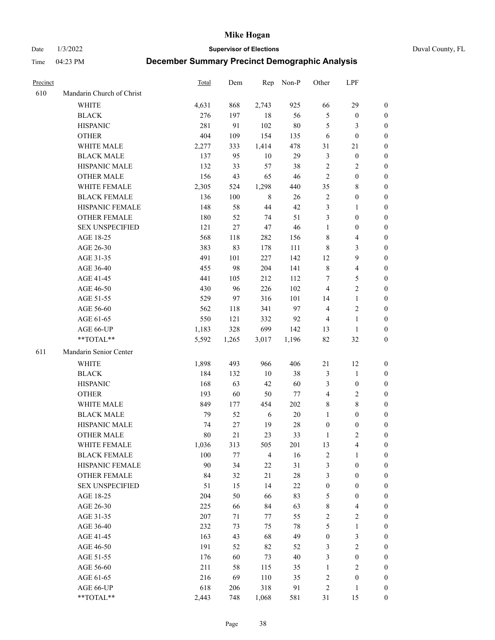Date 1/3/2022 **Supervisor of Elections** Duval County, FL

| Precinct |                           | Total | Dem    | Rep            | Non-P  | Other            | LPF                     |                  |
|----------|---------------------------|-------|--------|----------------|--------|------------------|-------------------------|------------------|
| 610      | Mandarin Church of Christ |       |        |                |        |                  |                         |                  |
|          | <b>WHITE</b>              | 4,631 | 868    | 2,743          | 925    | 66               | 29                      | 0                |
|          | <b>BLACK</b>              | 276   | 197    | 18             | 56     | $\mathfrak{S}$   | $\boldsymbol{0}$        | 0                |
|          | <b>HISPANIC</b>           | 281   | 91     | 102            | $80\,$ | 5                | 3                       | $\boldsymbol{0}$ |
|          | <b>OTHER</b>              | 404   | 109    | 154            | 135    | 6                | $\boldsymbol{0}$        | $\boldsymbol{0}$ |
|          | WHITE MALE                | 2,277 | 333    | 1,414          | 478    | 31               | 21                      | $\boldsymbol{0}$ |
|          | <b>BLACK MALE</b>         | 137   | 95     | 10             | 29     | 3                | $\boldsymbol{0}$        | $\boldsymbol{0}$ |
|          | HISPANIC MALE             | 132   | 33     | 57             | 38     | $\sqrt{2}$       | $\sqrt{2}$              | $\boldsymbol{0}$ |
|          | <b>OTHER MALE</b>         | 156   | 43     | 65             | 46     | $\overline{2}$   | $\boldsymbol{0}$        | $\boldsymbol{0}$ |
|          | WHITE FEMALE              | 2,305 | 524    | 1,298          | 440    | 35               | $8\,$                   | $\boldsymbol{0}$ |
|          | <b>BLACK FEMALE</b>       | 136   | 100    | 8              | 26     | $\sqrt{2}$       | $\boldsymbol{0}$        | 0                |
|          | HISPANIC FEMALE           | 148   | 58     | 44             | 42     | 3                | $\mathbf{1}$            | 0                |
|          | OTHER FEMALE              | 180   | 52     | 74             | 51     | 3                | $\boldsymbol{0}$        | 0                |
|          | <b>SEX UNSPECIFIED</b>    | 121   | 27     | 47             | 46     | $\mathbf{1}$     | $\boldsymbol{0}$        | $\boldsymbol{0}$ |
|          | AGE 18-25                 | 568   | 118    | 282            | 156    | 8                | $\overline{\mathbf{4}}$ | $\boldsymbol{0}$ |
|          | AGE 26-30                 | 383   | 83     | 178            | 111    | 8                | $\mathfrak{Z}$          | $\boldsymbol{0}$ |
|          | AGE 31-35                 | 491   | 101    | 227            | 142    | 12               | $\boldsymbol{9}$        | $\boldsymbol{0}$ |
|          | AGE 36-40                 | 455   | 98     | 204            | 141    | $\,$ $\,$        | $\overline{\mathbf{4}}$ | $\boldsymbol{0}$ |
|          | AGE 41-45                 | 441   | 105    | 212            | 112    | 7                | 5                       | $\boldsymbol{0}$ |
|          | AGE 46-50                 | 430   | 96     | 226            | 102    | $\overline{4}$   | $\overline{2}$          | 0                |
|          | AGE 51-55                 | 529   | 97     | 316            | 101    | 14               | $\mathbf{1}$            | 0                |
|          | AGE 56-60                 | 562   | 118    | 341            | 97     | $\overline{4}$   | $\sqrt{2}$              | 0                |
|          | AGE 61-65                 | 550   | 121    | 332            | 92     | $\overline{4}$   | $\mathbf{1}$            | 0                |
|          | AGE 66-UP                 | 1,183 | 328    | 699            | 142    | 13               | $\mathbf{1}$            | 0                |
|          | **TOTAL**                 | 5,592 | 1,265  | 3,017          | 1,196  | 82               | $32\,$                  | $\boldsymbol{0}$ |
| 611      | Mandarin Senior Center    |       |        |                |        |                  |                         |                  |
|          | <b>WHITE</b>              | 1,898 | 493    | 966            | 406    | 21               | 12                      | $\boldsymbol{0}$ |
|          | <b>BLACK</b>              | 184   | 132    | 10             | 38     | 3                | $\mathbf{1}$            | $\boldsymbol{0}$ |
|          | <b>HISPANIC</b>           | 168   | 63     | 42             | 60     | 3                | $\boldsymbol{0}$        | $\boldsymbol{0}$ |
|          | <b>OTHER</b>              | 193   | 60     | 50             | 77     | 4                | $\sqrt{2}$              | $\boldsymbol{0}$ |
|          | WHITE MALE                | 849   | 177    | 454            | 202    | 8                | $8\,$                   | $\boldsymbol{0}$ |
|          | <b>BLACK MALE</b>         | 79    | 52     | 6              | $20\,$ | $\mathbf{1}$     | $\boldsymbol{0}$        | $\boldsymbol{0}$ |
|          | HISPANIC MALE             | 74    | $27\,$ | 19             | $28\,$ | $\boldsymbol{0}$ | $\boldsymbol{0}$        | 0                |
|          | <b>OTHER MALE</b>         | 80    | 21     | 23             | 33     | 1                | $\mathbf{2}$            | 0                |
|          | WHITE FEMALE              | 1,036 | 313    | 505            | 201    | 13               | 4                       | 0                |
|          | <b>BLACK FEMALE</b>       | 100   | 77     | $\overline{4}$ | 16     | 2                | $\mathbf{1}$            | $\boldsymbol{0}$ |
|          | HISPANIC FEMALE           | 90    | 34     | 22             | 31     | 3                | $\boldsymbol{0}$        | $\overline{0}$   |
|          | OTHER FEMALE              | 84    | 32     | $21\,$         | $28\,$ | 3                | $\boldsymbol{0}$        | $\overline{0}$   |
|          | <b>SEX UNSPECIFIED</b>    | 51    | 15     | 14             | $22\,$ | $\boldsymbol{0}$ | $\boldsymbol{0}$        | 0                |
|          | AGE 18-25                 | 204   | 50     | 66             | 83     | 5                | $\boldsymbol{0}$        | 0                |
|          | AGE 26-30                 | 225   | 66     | 84             | 63     | 8                | $\overline{\mathbf{4}}$ | 0                |
|          | AGE 31-35                 | 207   | 71     | 77             | 55     | $\overline{c}$   | $\sqrt{2}$              | 0                |
|          | AGE 36-40                 | 232   | 73     | 75             | $78\,$ | 5                | $\mathbf{1}$            | 0                |
|          | AGE 41-45                 | 163   | 43     | 68             | 49     | $\boldsymbol{0}$ | $\mathfrak{Z}$          | 0                |
|          | AGE 46-50                 | 191   | 52     | 82             | 52     | 3                | $\sqrt{2}$              | 0                |
|          | AGE 51-55                 | 176   | 60     | 73             | 40     | 3                | $\boldsymbol{0}$        | 0                |
|          | AGE 56-60                 | 211   | 58     | 115            | 35     | 1                | $\mathfrak{2}$          | 0                |
|          | AGE 61-65                 | 216   | 69     | 110            | 35     | $\overline{c}$   | $\boldsymbol{0}$        | $\overline{0}$   |
|          | AGE 66-UP                 | 618   | 206    | 318            | 91     | $\overline{c}$   | $\mathbf{1}$            | 0                |
|          | **TOTAL**                 | 2,443 | 748    | 1,068          | 581    | 31               | 15                      | $\boldsymbol{0}$ |
|          |                           |       |        |                |        |                  |                         |                  |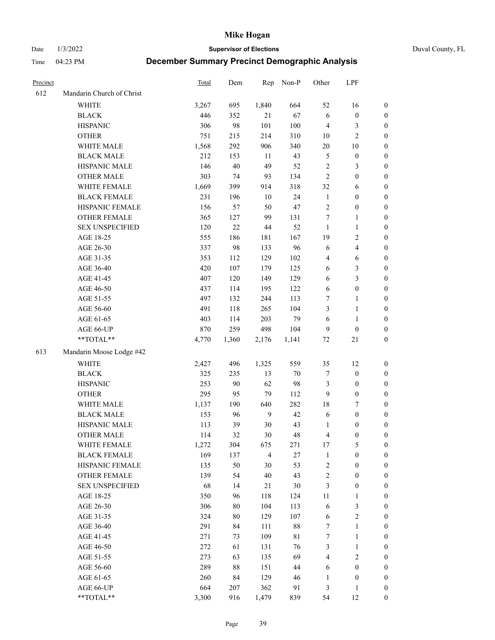Date 1/3/2022 **Supervisor of Elections** Duval County, FL

| Precinct |                           | <b>Total</b> | Dem    | Rep            | Non-P       | Other                   | LPF                     |                  |
|----------|---------------------------|--------------|--------|----------------|-------------|-------------------------|-------------------------|------------------|
| 612      | Mandarin Church of Christ |              |        |                |             |                         |                         |                  |
|          | <b>WHITE</b>              | 3,267        | 695    | 1,840          | 664         | 52                      | 16                      | 0                |
|          | <b>BLACK</b>              | 446          | 352    | 21             | 67          | 6                       | $\boldsymbol{0}$        | 0                |
|          | <b>HISPANIC</b>           | 306          | 98     | 101            | 100         | $\overline{4}$          | 3                       | $\boldsymbol{0}$ |
|          | <b>OTHER</b>              | 751          | 215    | 214            | 310         | 10                      | $\overline{c}$          | $\boldsymbol{0}$ |
|          | WHITE MALE                | 1,568        | 292    | 906            | 340         | $20\,$                  | $10\,$                  | $\boldsymbol{0}$ |
|          | <b>BLACK MALE</b>         | 212          | 153    | 11             | 43          | 5                       | $\boldsymbol{0}$        | $\boldsymbol{0}$ |
|          | HISPANIC MALE             | 146          | $40\,$ | 49             | 52          | $\sqrt{2}$              | $\mathfrak{Z}$          | $\boldsymbol{0}$ |
|          | <b>OTHER MALE</b>         | 303          | 74     | 93             | 134         | $\overline{2}$          | $\boldsymbol{0}$        | $\boldsymbol{0}$ |
|          | WHITE FEMALE              | 1,669        | 399    | 914            | 318         | 32                      | 6                       | $\boldsymbol{0}$ |
|          | <b>BLACK FEMALE</b>       | 231          | 196    | $10\,$         | 24          | $\mathbf{1}$            | $\boldsymbol{0}$        | 0                |
|          | HISPANIC FEMALE           | 156          | 57     | 50             | 47          | $\sqrt{2}$              | $\boldsymbol{0}$        | 0                |
|          | OTHER FEMALE              | 365          | 127    | 99             | 131         | $\tau$                  | $\mathbf{1}$            | $\boldsymbol{0}$ |
|          | <b>SEX UNSPECIFIED</b>    | 120          | 22     | 44             | 52          | $\mathbf{1}$            | $\mathbf{1}$            | $\boldsymbol{0}$ |
|          | AGE 18-25                 | 555          | 186    | 181            | 167         | 19                      | $\sqrt{2}$              | $\boldsymbol{0}$ |
|          | AGE 26-30                 | 337          | 98     | 133            | 96          | 6                       | $\overline{\mathbf{4}}$ | $\boldsymbol{0}$ |
|          | AGE 31-35                 | 353          | 112    | 129            | 102         | 4                       | 6                       | $\boldsymbol{0}$ |
|          | AGE 36-40                 | 420          | 107    | 179            | 125         | 6                       | $\mathfrak{Z}$          | $\boldsymbol{0}$ |
|          | AGE 41-45                 | 407          | 120    | 149            | 129         | $\sqrt{6}$              | $\mathfrak{Z}$          | $\boldsymbol{0}$ |
|          | AGE 46-50                 | 437          | 114    | 195            | 122         | $\sqrt{6}$              | $\boldsymbol{0}$        | $\boldsymbol{0}$ |
|          | AGE 51-55                 | 497          | 132    | 244            | 113         | 7                       | $\mathbf{1}$            | 0                |
|          | AGE 56-60                 | 491          | 118    | 265            | 104         | 3                       | $\mathbf{1}$            | 0                |
|          | AGE 61-65                 | 403          | 114    | 203            | 79          | 6                       | $\mathbf{1}$            | 0                |
|          | AGE 66-UP                 | 870          | 259    | 498            | 104         | 9                       | $\boldsymbol{0}$        | $\boldsymbol{0}$ |
|          | **TOTAL**                 | 4,770        | 1,360  | 2,176          | 1,141       | 72                      | 21                      | $\boldsymbol{0}$ |
| 613      | Mandarin Moose Lodge #42  |              |        |                |             |                         |                         |                  |
|          | <b>WHITE</b>              | 2,427        | 496    | 1,325          | 559         | 35                      | 12                      | $\boldsymbol{0}$ |
|          | <b>BLACK</b>              | 325          | 235    | 13             | $70\,$      | 7                       | $\boldsymbol{0}$        | $\boldsymbol{0}$ |
|          | <b>HISPANIC</b>           | 253          | 90     | 62             | 98          | 3                       | $\boldsymbol{0}$        | $\boldsymbol{0}$ |
|          | <b>OTHER</b>              | 295          | 95     | 79             | 112         | 9                       | $\boldsymbol{0}$        | $\boldsymbol{0}$ |
|          | WHITE MALE                | 1,137        | 190    | 640            | 282         | 18                      | $\tau$                  | $\boldsymbol{0}$ |
|          | <b>BLACK MALE</b>         | 153          | 96     | $\overline{9}$ | 42          | $\sqrt{6}$              | $\boldsymbol{0}$        | $\boldsymbol{0}$ |
|          | HISPANIC MALE             | 113          | 39     | 30             | 43          | 1                       | $\boldsymbol{0}$        | $\boldsymbol{0}$ |
|          | <b>OTHER MALE</b>         | 114          | 32     | 30             | 48          | $\overline{\mathbf{4}}$ | $\boldsymbol{0}$        | $\boldsymbol{0}$ |
|          | WHITE FEMALE              | 1,272        | 304    | 675            | 271         | 17                      | 5                       | 0                |
|          | <b>BLACK FEMALE</b>       | 169          | 137    | $\overline{4}$ | $27\,$      | $\mathbf{1}$            | $\boldsymbol{0}$        | $\overline{0}$   |
|          | HISPANIC FEMALE           | 135          | 50     | 30             | 53          | $\overline{c}$          | $\boldsymbol{0}$        | $\overline{0}$   |
|          | <b>OTHER FEMALE</b>       | 139          | 54     | 40             | 43          | 2                       | $\boldsymbol{0}$        | $\overline{0}$   |
|          | <b>SEX UNSPECIFIED</b>    | 68           | 14     | 21             | $30\,$      | 3                       | $\boldsymbol{0}$        | 0                |
|          | AGE 18-25                 | 350          | 96     | 118            | 124         | 11                      | $\mathbf{1}$            | 0                |
|          | AGE 26-30                 | 306          | $80\,$ | 104            | 113         | 6                       | 3                       | 0                |
|          | AGE 31-35                 | 324          | $80\,$ | 129            | 107         | 6                       | $\sqrt{2}$              | 0                |
|          | AGE 36-40                 | 291          | 84     | 111            | $88\,$      | 7                       | $\mathbf{1}$            | 0                |
|          | AGE 41-45                 | 271          | 73     | 109            | $8\sqrt{1}$ | 7                       | $\mathbf{1}$            | 0                |
|          | AGE 46-50                 | 272          | 61     | 131            | 76          | 3                       | $\mathbf{1}$            | 0                |
|          | AGE 51-55                 | 273          | 63     | 135            | 69          | 4                       | $\sqrt{2}$              | 0                |
|          | AGE 56-60                 | 289          | $88\,$ | 151            | 44          | 6                       | $\boldsymbol{0}$        | 0                |
|          | AGE 61-65                 | 260          | 84     | 129            | 46          | 1                       | $\boldsymbol{0}$        | $\overline{0}$   |
|          | AGE 66-UP                 | 664          | 207    | 362            | 91          | 3                       | $\mathbf{1}$            | 0                |
|          | $**TOTAL**$               | 3,300        | 916    | 1,479          | 839         | 54                      | 12                      | $\boldsymbol{0}$ |
|          |                           |              |        |                |             |                         |                         |                  |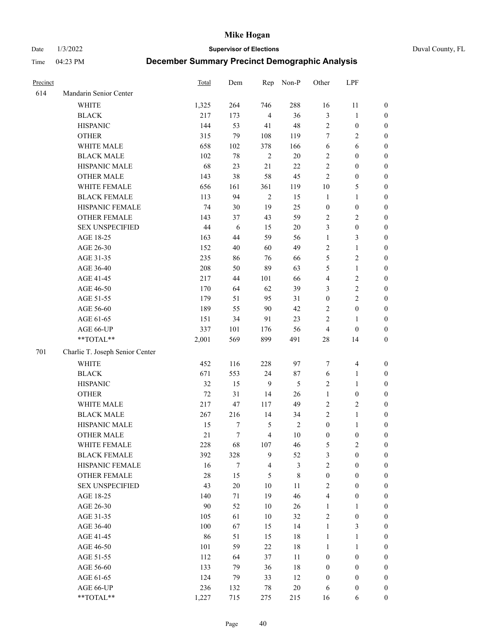Date 1/3/2022 **Supervisor of Elections** Duval County, FL

| Precinct |                                 | Total  | Dem        | Rep            | Non-P          | Other            | LPF              |                  |
|----------|---------------------------------|--------|------------|----------------|----------------|------------------|------------------|------------------|
| 614      | Mandarin Senior Center          |        |            |                |                |                  |                  |                  |
|          | WHITE                           | 1,325  | 264        | 746            | 288            | 16               | 11               | 0                |
|          | <b>BLACK</b>                    | 217    | 173        | $\overline{4}$ | 36             | 3                | $\mathbf{1}$     | 0                |
|          | <b>HISPANIC</b>                 | 144    | 53         | 41             | 48             | $\sqrt{2}$       | $\boldsymbol{0}$ | $\boldsymbol{0}$ |
|          | <b>OTHER</b>                    | 315    | 79         | 108            | 119            | 7                | $\sqrt{2}$       | $\boldsymbol{0}$ |
|          | WHITE MALE                      | 658    | 102        | 378            | 166            | 6                | 6                | $\boldsymbol{0}$ |
|          | <b>BLACK MALE</b>               | 102    | $78\,$     | $\sqrt{2}$     | $20\,$         | $\sqrt{2}$       | $\boldsymbol{0}$ | $\boldsymbol{0}$ |
|          | HISPANIC MALE                   | 68     | 23         | $21\,$         | 22             | $\overline{c}$   | $\boldsymbol{0}$ | $\boldsymbol{0}$ |
|          | <b>OTHER MALE</b>               | 143    | 38         | 58             | 45             | $\mathbf{2}$     | $\boldsymbol{0}$ | $\boldsymbol{0}$ |
|          | WHITE FEMALE                    | 656    | 161        | 361            | 119            | $10\,$           | $\mathfrak{S}$   | $\boldsymbol{0}$ |
|          | <b>BLACK FEMALE</b>             | 113    | 94         | $\sqrt{2}$     | 15             | $\mathbf{1}$     | $\mathbf{1}$     | $\boldsymbol{0}$ |
|          | HISPANIC FEMALE                 | 74     | 30         | 19             | 25             | $\boldsymbol{0}$ | $\boldsymbol{0}$ | 0                |
|          | OTHER FEMALE                    | 143    | 37         | 43             | 59             | $\overline{c}$   | $\sqrt{2}$       | 0                |
|          | <b>SEX UNSPECIFIED</b>          | 44     | $\sqrt{6}$ | 15             | $20\,$         | 3                | $\boldsymbol{0}$ | $\boldsymbol{0}$ |
|          | AGE 18-25                       | 163    | 44         | 59             | 56             | $\mathbf{1}$     | $\mathfrak{Z}$   | $\boldsymbol{0}$ |
|          | AGE 26-30                       | 152    | 40         | 60             | 49             | 2                | $\mathbf{1}$     | $\boldsymbol{0}$ |
|          | AGE 31-35                       | 235    | 86         | 76             | 66             | 5                | $\sqrt{2}$       | $\boldsymbol{0}$ |
|          | AGE 36-40                       | 208    | 50         | 89             | 63             | 5                | $\mathbf{1}$     | $\boldsymbol{0}$ |
|          | AGE 41-45                       | 217    | 44         | 101            | 66             | $\overline{4}$   | $\sqrt{2}$       | $\boldsymbol{0}$ |
|          | AGE 46-50                       | 170    | 64         | 62             | 39             | 3                | $\sqrt{2}$       | $\boldsymbol{0}$ |
|          | AGE 51-55                       | 179    | 51         | 95             | 31             | $\boldsymbol{0}$ | $\sqrt{2}$       | $\boldsymbol{0}$ |
|          | AGE 56-60                       | 189    | 55         | 90             | 42             | $\overline{c}$   | $\boldsymbol{0}$ | 0                |
|          | AGE 61-65                       | 151    | 34         | 91             | 23             | $\mathbf{2}$     | $\mathbf{1}$     | 0                |
|          | AGE 66-UP                       | 337    | 101        | 176            | 56             | $\overline{4}$   | $\boldsymbol{0}$ | $\boldsymbol{0}$ |
|          | **TOTAL**                       | 2,001  | 569        | 899            | 491            | $28\,$           | 14               | $\boldsymbol{0}$ |
| 701      | Charlie T. Joseph Senior Center |        |            |                |                |                  |                  |                  |
|          | <b>WHITE</b>                    | 452    | 116        | 228            | 97             | 7                | $\overline{4}$   | $\boldsymbol{0}$ |
|          | <b>BLACK</b>                    | 671    | 553        | 24             | 87             | 6                | $\mathbf{1}$     | $\boldsymbol{0}$ |
|          | <b>HISPANIC</b>                 | 32     | 15         | 9              | 5              | $\mathbf{2}$     | $\mathbf{1}$     | $\boldsymbol{0}$ |
|          | <b>OTHER</b>                    | 72     | 31         | 14             | 26             | $\mathbf{1}$     | $\boldsymbol{0}$ | $\boldsymbol{0}$ |
|          | WHITE MALE                      | 217    | 47         | 117            | 49             | $\overline{2}$   | $\overline{2}$   | $\boldsymbol{0}$ |
|          | <b>BLACK MALE</b>               | 267    | 216        | 14             | 34             | $\mathbf{2}$     | $\mathbf{1}$     | $\boldsymbol{0}$ |
|          | HISPANIC MALE                   | 15     | 7          | 5              | $\overline{2}$ | $\boldsymbol{0}$ | $\mathbf{1}$     | 0                |
|          | <b>OTHER MALE</b>               | 21     | $\tau$     | $\overline{4}$ | $10\,$         | $\boldsymbol{0}$ | $\boldsymbol{0}$ | 0                |
|          | WHITE FEMALE                    | 228    | 68         | 107            | 46             | 5                | 2                | 0                |
|          | <b>BLACK FEMALE</b>             | 392    | 328        | 9              | 52             | 3                | $\boldsymbol{0}$ | $\overline{0}$   |
|          | HISPANIC FEMALE                 | 16     | $\tau$     | $\overline{4}$ | 3              | $\overline{c}$   | $\boldsymbol{0}$ | $\overline{0}$   |
|          | OTHER FEMALE                    | $28\,$ | 15         | 5              | $8\,$          | $\boldsymbol{0}$ | $\boldsymbol{0}$ | $\overline{0}$   |
|          | <b>SEX UNSPECIFIED</b>          | 43     | $20\,$     | 10             | 11             | 2                | $\boldsymbol{0}$ | 0                |
|          | AGE 18-25                       | 140    | 71         | 19             | 46             | 4                | $\boldsymbol{0}$ | $\theta$         |
|          | AGE 26-30                       | 90     | 52         | 10             | 26             | $\mathbf{1}$     | $\mathbf{1}$     | 0                |
|          | AGE 31-35                       | 105    | 61         | 10             | 32             | 2                | $\boldsymbol{0}$ | 0                |
|          | AGE 36-40                       | 100    | 67         | 15             | 14             | $\mathbf{1}$     | $\mathfrak{Z}$   | 0                |
|          | AGE 41-45                       | 86     | 51         | 15             | $18\,$         | $\mathbf{1}$     | $\mathbf{1}$     | 0                |
|          | AGE 46-50                       | 101    | 59         | 22             | $18\,$         | $\mathbf{1}$     | $\mathbf{1}$     | 0                |
|          | AGE 51-55                       | 112    | 64         | 37             | 11             | $\boldsymbol{0}$ | $\boldsymbol{0}$ | 0                |
|          | AGE 56-60                       | 133    | 79         | 36             | $18\,$         | $\boldsymbol{0}$ | $\boldsymbol{0}$ | $\overline{0}$   |
|          | AGE 61-65                       | 124    | 79         | 33             | 12             | $\boldsymbol{0}$ | $\boldsymbol{0}$ | $\overline{0}$   |
|          | AGE 66-UP                       | 236    | 132        | 78             | $20\,$         | 6                | $\boldsymbol{0}$ | 0                |
|          | **TOTAL**                       | 1,227  | 715        | 275            | 215            | 16               | 6                | $\boldsymbol{0}$ |
|          |                                 |        |            |                |                |                  |                  |                  |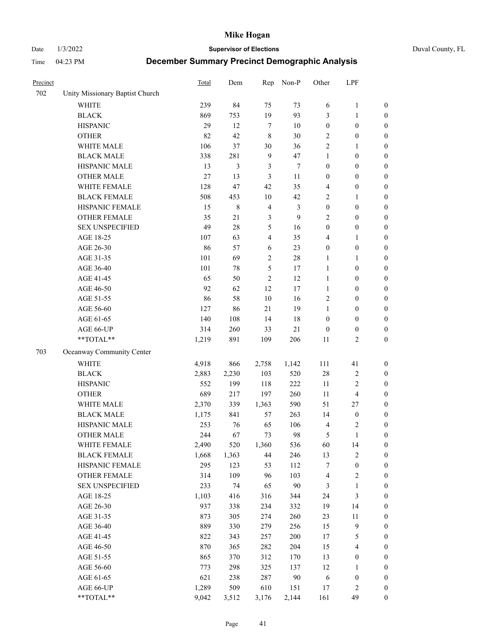Date 1/3/2022 **Supervisor of Elections** Duval County, FL

| Precinct |                                 | Total | Dem    | Rep            | Non-P          | Other            | LPF                     |                  |
|----------|---------------------------------|-------|--------|----------------|----------------|------------------|-------------------------|------------------|
| 702      | Unity Missionary Baptist Church |       |        |                |                |                  |                         |                  |
|          | <b>WHITE</b>                    | 239   | 84     | 75             | 73             | 6                | $\mathbf{1}$            | 0                |
|          | <b>BLACK</b>                    | 869   | 753    | 19             | 93             | 3                | $\mathbf{1}$            | $\boldsymbol{0}$ |
|          | <b>HISPANIC</b>                 | 29    | 12     | $\tau$         | 10             | $\boldsymbol{0}$ | $\boldsymbol{0}$        | $\boldsymbol{0}$ |
|          | <b>OTHER</b>                    | 82    | 42     | 8              | 30             | $\overline{c}$   | $\boldsymbol{0}$        | $\boldsymbol{0}$ |
|          | WHITE MALE                      | 106   | 37     | 30             | 36             | 2                | 1                       | $\boldsymbol{0}$ |
|          | <b>BLACK MALE</b>               | 338   | 281    | $\overline{9}$ | 47             | $\mathbf{1}$     | $\boldsymbol{0}$        | $\boldsymbol{0}$ |
|          | HISPANIC MALE                   | 13    | 3      | 3              | $\tau$         | $\boldsymbol{0}$ | $\boldsymbol{0}$        | $\boldsymbol{0}$ |
|          | <b>OTHER MALE</b>               | 27    | 13     | 3              | 11             | $\boldsymbol{0}$ | $\boldsymbol{0}$        | $\boldsymbol{0}$ |
|          | WHITE FEMALE                    | 128   | 47     | 42             | 35             | 4                | $\boldsymbol{0}$        | $\boldsymbol{0}$ |
|          | <b>BLACK FEMALE</b>             | 508   | 453    | 10             | 42             | 2                | $\mathbf{1}$            | $\boldsymbol{0}$ |
|          | HISPANIC FEMALE                 | 15    | 8      | $\overline{4}$ | $\mathfrak{Z}$ | $\boldsymbol{0}$ | $\boldsymbol{0}$        | $\boldsymbol{0}$ |
|          | <b>OTHER FEMALE</b>             | 35    | 21     | $\mathfrak{Z}$ | 9              | $\mathfrak{2}$   | $\boldsymbol{0}$        | $\boldsymbol{0}$ |
|          | <b>SEX UNSPECIFIED</b>          | 49    | 28     | $\mathfrak s$  | 16             | $\boldsymbol{0}$ | $\boldsymbol{0}$        | $\boldsymbol{0}$ |
|          | AGE 18-25                       | 107   | 63     | $\overline{4}$ | 35             | 4                | 1                       | $\boldsymbol{0}$ |
|          | AGE 26-30                       | 86    | 57     | 6              | 23             | $\boldsymbol{0}$ | $\boldsymbol{0}$        | $\boldsymbol{0}$ |
|          | AGE 31-35                       | 101   | 69     | $\sqrt{2}$     | 28             | $\mathbf{1}$     | $\mathbf{1}$            | $\boldsymbol{0}$ |
|          | AGE 36-40                       | 101   | $78\,$ | 5              | 17             | $\mathbf{1}$     | $\boldsymbol{0}$        | $\boldsymbol{0}$ |
|          | AGE 41-45                       | 65    | 50     | $\mathfrak{2}$ | 12             | $\mathbf{1}$     | $\boldsymbol{0}$        | $\boldsymbol{0}$ |
|          | AGE 46-50                       | 92    | 62     | 12             | $17\,$         | $\mathbf{1}$     | $\boldsymbol{0}$        | $\boldsymbol{0}$ |
|          | AGE 51-55                       | 86    | 58     | 10             | 16             | $\sqrt{2}$       | $\boldsymbol{0}$        | $\boldsymbol{0}$ |
|          | AGE 56-60                       | 127   | 86     | 21             | 19             | $\mathbf{1}$     | $\boldsymbol{0}$        | 0                |
|          | AGE 61-65                       | 140   | 108    | 14             | $18\,$         | $\boldsymbol{0}$ | $\boldsymbol{0}$        | 0                |
|          | AGE 66-UP                       | 314   | 260    | 33             | 21             | $\boldsymbol{0}$ | $\boldsymbol{0}$        | $\boldsymbol{0}$ |
|          | **TOTAL**                       | 1,219 | 891    | 109            | 206            | 11               | $\sqrt{2}$              | $\boldsymbol{0}$ |
| 703      | Oceanway Community Center       |       |        |                |                |                  |                         |                  |
|          | <b>WHITE</b>                    | 4,918 | 866    | 2,758          | 1,142          | 111              | 41                      | $\boldsymbol{0}$ |
|          | <b>BLACK</b>                    | 2,883 | 2,230  | 103            | 520            | 28               | $\sqrt{2}$              | $\boldsymbol{0}$ |
|          | <b>HISPANIC</b>                 | 552   | 199    | 118            | 222            | 11               | $\mathbf{2}$            | $\boldsymbol{0}$ |
|          | <b>OTHER</b>                    | 689   | 217    | 197            | 260            | 11               | $\overline{\mathbf{4}}$ | $\boldsymbol{0}$ |
|          | WHITE MALE                      | 2,370 | 339    | 1,363          | 590            | 51               | 27                      | $\boldsymbol{0}$ |
|          | <b>BLACK MALE</b>               | 1,175 | 841    | 57             | 263            | 14               | $\boldsymbol{0}$        | $\boldsymbol{0}$ |
|          | HISPANIC MALE                   | 253   | 76     | 65             | 106            | $\overline{4}$   | $\overline{c}$          | $\boldsymbol{0}$ |
|          | <b>OTHER MALE</b>               | 244   | 67     | 73             | 98             | 5                | $\mathbf{1}$            | $\boldsymbol{0}$ |
|          | WHITE FEMALE                    | 2,490 | 520    | 1,360          | 536            | 60               | 14                      | 0                |
|          | <b>BLACK FEMALE</b>             | 1,668 | 1,363  | 44             | 246            | 13               | $\sqrt{2}$              | 0                |
|          | HISPANIC FEMALE                 | 295   | 123    | 53             | 112            | 7                | $\boldsymbol{0}$        | 0                |
|          | OTHER FEMALE                    | 314   | 109    | 96             | 103            | 4                | $\sqrt{2}$              | $\overline{0}$   |
|          | <b>SEX UNSPECIFIED</b>          | 233   | 74     | 65             | 90             | 3                | $\mathbf{1}$            | 0                |
|          | AGE 18-25                       | 1,103 | 416    | 316            | 344            | 24               | $\mathfrak{Z}$          | 0                |
|          | AGE 26-30                       | 937   | 338    | 234            | 332            | 19               | 14                      | 0                |
|          | AGE 31-35                       | 873   | 305    | 274            | 260            | 23               | $11\,$                  | 0                |
|          | AGE 36-40                       | 889   | 330    | 279            | 256            | 15               | 9                       | 0                |
|          | AGE 41-45                       | 822   | 343    | 257            | 200            | 17               | $\mathfrak s$           | 0                |
|          | AGE 46-50                       | 870   | 365    | 282            | 204            | 15               | $\overline{\mathbf{4}}$ | 0                |
|          | AGE 51-55                       | 865   | 370    | 312            | 170            | 13               | $\boldsymbol{0}$        | 0                |
|          | AGE 56-60                       | 773   | 298    | 325            | 137            | 12               | $\mathbf{1}$            | 0                |
|          | AGE 61-65                       | 621   | 238    | 287            | 90             | 6                | $\boldsymbol{0}$        | 0                |
|          | AGE 66-UP                       | 1,289 | 509    | 610            | 151            | 17               | $\sqrt{2}$              | 0                |
|          | **TOTAL**                       | 9,042 | 3,512  | 3,176          | 2,144          | 161              | 49                      | $\boldsymbol{0}$ |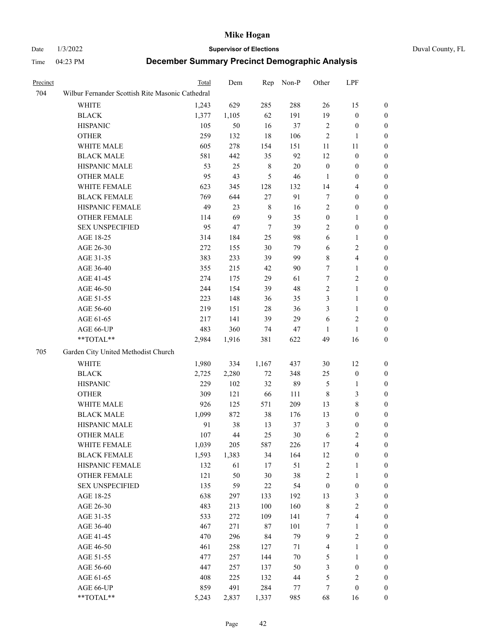# Date 1/3/2022 **Supervisor of Elections** Duval County, FL

| Precinct |                                                           | Total | Dem   | Rep              | Non-P   | Other                   | LPF              |                  |
|----------|-----------------------------------------------------------|-------|-------|------------------|---------|-------------------------|------------------|------------------|
| 704      | Wilbur Fernander Scottish Rite Masonic Cathedral          |       |       |                  |         |                         |                  |                  |
|          | WHITE                                                     | 1,243 | 629   | 285              | 288     | 26                      | 15               | $\boldsymbol{0}$ |
|          | <b>BLACK</b>                                              | 1,377 | 1,105 | 62               | 191     | 19                      | $\boldsymbol{0}$ | $\boldsymbol{0}$ |
|          | <b>HISPANIC</b>                                           | 105   | 50    | 16               | 37      | 2                       | $\boldsymbol{0}$ | $\boldsymbol{0}$ |
|          | <b>OTHER</b>                                              | 259   | 132   | $18\,$           | 106     | 2                       | $\mathbf{1}$     | $\boldsymbol{0}$ |
|          | WHITE MALE                                                | 605   | 278   | 154              | 151     | $11\,$                  | 11               | $\boldsymbol{0}$ |
|          | <b>BLACK MALE</b>                                         | 581   | 442   | 35               | 92      | 12                      | $\boldsymbol{0}$ | 0                |
|          | HISPANIC MALE                                             | 53    | 25    | 8                | 20      | $\boldsymbol{0}$        | $\boldsymbol{0}$ | 0                |
|          | <b>OTHER MALE</b>                                         | 95    | 43    | 5                | 46      | $\mathbf{1}$            | $\boldsymbol{0}$ | 0                |
|          | WHITE FEMALE                                              | 623   | 345   | 128              | 132     | 14                      | $\overline{4}$   | $\boldsymbol{0}$ |
|          | <b>BLACK FEMALE</b>                                       | 769   | 644   | 27               | 91      | 7                       | $\boldsymbol{0}$ | $\boldsymbol{0}$ |
|          | HISPANIC FEMALE                                           | 49    | 23    | 8                | 16      | 2                       | $\boldsymbol{0}$ | $\boldsymbol{0}$ |
|          | OTHER FEMALE                                              | 114   | 69    | 9                | 35      | $\boldsymbol{0}$        | $\mathbf{1}$     | $\boldsymbol{0}$ |
|          | <b>SEX UNSPECIFIED</b>                                    | 95    | 47    | $\boldsymbol{7}$ | 39      | $\overline{c}$          | $\boldsymbol{0}$ | $\boldsymbol{0}$ |
|          | AGE 18-25                                                 | 314   | 184   | 25               | 98      | 6                       | $\mathbf{1}$     | $\boldsymbol{0}$ |
|          | AGE 26-30                                                 | 272   | 155   | 30               | 79      | 6                       | $\sqrt{2}$       | $\boldsymbol{0}$ |
|          | AGE 31-35                                                 | 383   | 233   | 39               | 99      | 8                       | $\overline{4}$   | 0                |
|          | AGE 36-40                                                 | 355   | 215   | 42               | 90      | $\tau$                  | $\mathbf{1}$     | 0                |
|          | AGE 41-45                                                 | 274   | 175   | 29               | 61      | $\boldsymbol{7}$        | $\sqrt{2}$       | 0                |
|          | AGE 46-50                                                 | 244   | 154   | 39               | 48      | $\mathbf{2}$            | $\mathbf{1}$     | 0                |
|          | AGE 51-55                                                 | 223   | 148   | 36               | 35      | 3                       | $\mathbf{1}$     | $\boldsymbol{0}$ |
|          | AGE 56-60                                                 | 219   | 151   | 28               | 36      | 3                       | $\mathbf{1}$     | $\boldsymbol{0}$ |
|          | AGE 61-65                                                 | 217   | 141   | 39               | 29      | 6                       | $\mathfrak{2}$   | 0                |
|          | AGE 66-UP                                                 | 483   | 360   | 74               | 47      | 1                       | $\mathbf{1}$     | 0                |
|          | $\mathrm{*}\mathrm{*}\mathrm{TOTAL} \mathrm{*}\mathrm{*}$ | 2,984 | 1,916 | 381              | 622     | 49                      | 16               | $\boldsymbol{0}$ |
| 705      | Garden City United Methodist Church                       |       |       |                  |         |                         |                  |                  |
|          | <b>WHITE</b>                                              | 1,980 | 334   | 1,167            | 437     | $30\,$                  | 12               | $\boldsymbol{0}$ |
|          | <b>BLACK</b>                                              | 2,725 | 2,280 | $72\,$           | 348     | 25                      | $\boldsymbol{0}$ | $\boldsymbol{0}$ |
|          | <b>HISPANIC</b>                                           | 229   | 102   | 32               | 89      | 5                       | 1                | 0                |
|          | <b>OTHER</b>                                              | 309   | 121   | 66               | 111     | 8                       | $\mathfrak{Z}$   | 0                |
|          | WHITE MALE                                                | 926   | 125   | 571              | 209     | 13                      | $\,$ 8 $\,$      | 0                |
|          | <b>BLACK MALE</b>                                         | 1,099 | 872   | 38               | 176     | 13                      | $\boldsymbol{0}$ | 0                |
|          | HISPANIC MALE                                             | 91    | 38    | 13               | 37      | 3                       | $\boldsymbol{0}$ | $\boldsymbol{0}$ |
|          | <b>OTHER MALE</b>                                         | 107   | 44    | 25               | 30      | 6                       | $\mathfrak{2}$   | $\boldsymbol{0}$ |
|          | WHITE FEMALE                                              | 1,039 | 205   | 587              | 226     | 17                      | $\overline{4}$   | $\boldsymbol{0}$ |
|          | <b>BLACK FEMALE</b>                                       | 1,593 | 1,383 | 34               | 164     | 12                      | $\boldsymbol{0}$ | $\overline{0}$   |
|          | HISPANIC FEMALE                                           | 132   | 61    | 17               | 51      | $\overline{\mathbf{c}}$ | $\mathbf{1}$     | $\overline{0}$   |
|          | <b>OTHER FEMALE</b>                                       | 121   | 50    | 30               | 38      | $\overline{c}$          | $\mathbf{1}$     | 0                |
|          | <b>SEX UNSPECIFIED</b>                                    | 135   | 59    | 22               | 54      | $\boldsymbol{0}$        | $\boldsymbol{0}$ | 0                |
|          | AGE 18-25                                                 | 638   | 297   | 133              | 192     | 13                      | 3                | 0                |
|          | AGE 26-30                                                 | 483   | 213   | 100              | 160     | $\,$ $\,$               | $\sqrt{2}$       | 0                |
|          | AGE 31-35                                                 | 533   | 272   | 109              | 141     | 7                       | $\overline{4}$   | 0                |
|          | AGE 36-40                                                 | 467   | 271   | 87               | 101     | 7                       | 1                | $\boldsymbol{0}$ |
|          | AGE 41-45                                                 | 470   | 296   | 84               | 79      | 9                       | $\sqrt{2}$       | $\boldsymbol{0}$ |
|          | AGE 46-50                                                 | 461   | 258   | 127              | 71      | 4                       | $\mathbf{1}$     | $\boldsymbol{0}$ |
|          | AGE 51-55                                                 | 477   | 257   | 144              | 70      | 5                       | $\mathbf{1}$     | $\overline{0}$   |
|          | AGE 56-60                                                 | 447   | 257   | 137              | 50      | 3                       | $\boldsymbol{0}$ | $\overline{0}$   |
|          | AGE 61-65                                                 | 408   | 225   | 132              | 44      | 5                       | $\sqrt{2}$       | $\overline{0}$   |
|          | AGE 66-UP                                                 | 859   | 491   | 284              | $77 \,$ | 7                       | $\boldsymbol{0}$ | 0                |
|          | **TOTAL**                                                 | 5,243 | 2,837 | 1,337            | 985     | 68                      | 16               | $\boldsymbol{0}$ |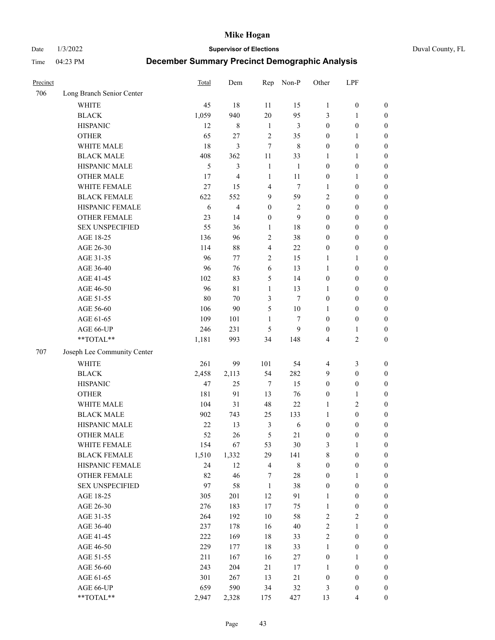Date 1/3/2022 **Supervisor of Elections** Duval County, FL

| Precinct |                             | <b>Total</b> | Dem   | Rep                     | Non-P          | Other            | LPF              |                  |
|----------|-----------------------------|--------------|-------|-------------------------|----------------|------------------|------------------|------------------|
| 706      | Long Branch Senior Center   |              |       |                         |                |                  |                  |                  |
|          | <b>WHITE</b>                | 45           | 18    | 11                      | 15             | $\mathbf{1}$     | $\boldsymbol{0}$ | $\boldsymbol{0}$ |
|          | <b>BLACK</b>                | 1,059        | 940   | 20                      | 95             | 3                | $\mathbf{1}$     | $\boldsymbol{0}$ |
|          | <b>HISPANIC</b>             | 12           | 8     | $\mathbf{1}$            | 3              | $\boldsymbol{0}$ | $\boldsymbol{0}$ | $\boldsymbol{0}$ |
|          | <b>OTHER</b>                | 65           | 27    | $\sqrt{2}$              | 35             | $\boldsymbol{0}$ | $\mathbf{1}$     | $\boldsymbol{0}$ |
|          | WHITE MALE                  | 18           | 3     | $\overline{7}$          | $\,$ 8 $\,$    | $\boldsymbol{0}$ | $\boldsymbol{0}$ | $\boldsymbol{0}$ |
|          | <b>BLACK MALE</b>           | 408          | 362   | 11                      | 33             | 1                | $\mathbf{1}$     | $\boldsymbol{0}$ |
|          | HISPANIC MALE               | 5            | 3     | $\mathbf{1}$            | 1              | $\boldsymbol{0}$ | $\boldsymbol{0}$ | $\boldsymbol{0}$ |
|          | <b>OTHER MALE</b>           | 17           | 4     | $\mathbf{1}$            | 11             | $\boldsymbol{0}$ | $\mathbf{1}$     | $\boldsymbol{0}$ |
|          | WHITE FEMALE                | 27           | 15    | $\overline{4}$          | $\tau$         | $\mathbf{1}$     | $\boldsymbol{0}$ | $\boldsymbol{0}$ |
|          | <b>BLACK FEMALE</b>         | 622          | 552   | 9                       | 59             | $\overline{c}$   | $\boldsymbol{0}$ | $\boldsymbol{0}$ |
|          | HISPANIC FEMALE             | 6            | 4     | $\boldsymbol{0}$        | $\mathfrak{2}$ | $\boldsymbol{0}$ | $\boldsymbol{0}$ | 0                |
|          | <b>OTHER FEMALE</b>         | 23           | 14    | $\boldsymbol{0}$        | 9              | $\boldsymbol{0}$ | $\boldsymbol{0}$ | $\boldsymbol{0}$ |
|          | <b>SEX UNSPECIFIED</b>      | 55           | 36    | $\mathbf{1}$            | $18\,$         | $\boldsymbol{0}$ | $\boldsymbol{0}$ | $\boldsymbol{0}$ |
|          | AGE 18-25                   | 136          | 96    | $\sqrt{2}$              | 38             | $\boldsymbol{0}$ | $\boldsymbol{0}$ | $\boldsymbol{0}$ |
|          | AGE 26-30                   | 114          | 88    | $\overline{\mathbf{4}}$ | $22\,$         | $\boldsymbol{0}$ | $\boldsymbol{0}$ | $\boldsymbol{0}$ |
|          | AGE 31-35                   | 96           | 77    | $\sqrt{2}$              | 15             | $\mathbf{1}$     | $\mathbf{1}$     | $\boldsymbol{0}$ |
|          | AGE 36-40                   | 96           | 76    | 6                       | 13             | $\mathbf{1}$     | $\boldsymbol{0}$ | $\boldsymbol{0}$ |
|          | AGE 41-45                   | 102          | 83    | 5                       | 14             | $\boldsymbol{0}$ | $\boldsymbol{0}$ | $\boldsymbol{0}$ |
|          | AGE 46-50                   | 96           | 81    | $\mathbf{1}$            | 13             | $\mathbf{1}$     | $\boldsymbol{0}$ | $\boldsymbol{0}$ |
|          | AGE 51-55                   | 80           | 70    | $\mathfrak{Z}$          | $\tau$         | $\boldsymbol{0}$ | $\boldsymbol{0}$ | $\boldsymbol{0}$ |
|          | AGE 56-60                   | 106          | 90    | 5                       | 10             | 1                | $\boldsymbol{0}$ | 0                |
|          | AGE 61-65                   | 109          | 101   | 1                       | $\tau$         | $\boldsymbol{0}$ | $\boldsymbol{0}$ | 0                |
|          | AGE 66-UP                   | 246          | 231   | 5                       | 9              | $\boldsymbol{0}$ | $\mathbf{1}$     | $\boldsymbol{0}$ |
|          | $**TOTAL**$                 | 1,181        | 993   | 34                      | 148            | 4                | $\sqrt{2}$       | $\boldsymbol{0}$ |
| 707      | Joseph Lee Community Center |              |       |                         |                |                  |                  |                  |
|          | <b>WHITE</b>                | 261          | 99    | 101                     | 54             | $\overline{4}$   | $\mathfrak{Z}$   | $\boldsymbol{0}$ |
|          | <b>BLACK</b>                | 2,458        | 2,113 | 54                      | 282            | 9                | $\boldsymbol{0}$ | $\boldsymbol{0}$ |
|          | <b>HISPANIC</b>             | 47           | 25    | $\tau$                  | 15             | $\boldsymbol{0}$ | $\boldsymbol{0}$ | $\boldsymbol{0}$ |
|          | <b>OTHER</b>                | 181          | 91    | 13                      | 76             | $\boldsymbol{0}$ | $\mathbf{1}$     | $\boldsymbol{0}$ |
|          | WHITE MALE                  | 104          | 31    | 48                      | 22             | $\mathbf{1}$     | $\mathbf{2}$     | $\boldsymbol{0}$ |
|          | <b>BLACK MALE</b>           | 902          | 743   | 25                      | 133            | $\mathbf{1}$     | $\boldsymbol{0}$ | $\boldsymbol{0}$ |
|          | HISPANIC MALE               | $22\,$       | 13    | 3                       | 6              | $\boldsymbol{0}$ | $\boldsymbol{0}$ | $\boldsymbol{0}$ |
|          | <b>OTHER MALE</b>           | 52           | 26    | 5                       | 21             | $\boldsymbol{0}$ | $\boldsymbol{0}$ | $\boldsymbol{0}$ |
|          | WHITE FEMALE                | 154          | 67    | 53                      | 30             | 3                | 1                | 0                |
|          | <b>BLACK FEMALE</b>         | 1,510        | 1,332 | 29                      | 141            | 8                | $\boldsymbol{0}$ | $\boldsymbol{0}$ |
|          | HISPANIC FEMALE             | 24           | 12    | $\overline{4}$          | $8\,$          | $\boldsymbol{0}$ | $\boldsymbol{0}$ | $\boldsymbol{0}$ |
|          | OTHER FEMALE                | 82           | 46    | 7                       | $28\,$         | $\boldsymbol{0}$ | $\mathbf{1}$     | $\overline{0}$   |
|          | <b>SEX UNSPECIFIED</b>      | 97           | 58    | $\mathbf{1}$            | 38             | $\boldsymbol{0}$ | $\boldsymbol{0}$ | 0                |
|          | AGE 18-25                   | 305          | 201   | 12                      | 91             | $\mathbf{1}$     | $\boldsymbol{0}$ | $\overline{0}$   |
|          | AGE 26-30                   | 276          | 183   | $17\,$                  | 75             | $\mathbf{1}$     | $\boldsymbol{0}$ | 0                |
|          | AGE 31-35                   | 264          | 192   | $10\,$                  | 58             | $\sqrt{2}$       | $\sqrt{2}$       | 0                |
|          | AGE 36-40                   | 237          | 178   | 16                      | 40             | $\sqrt{2}$       | $\mathbf{1}$     | 0                |
|          | AGE 41-45                   | 222          | 169   | 18                      | 33             | $\sqrt{2}$       | $\boldsymbol{0}$ | 0                |
|          | AGE 46-50                   | 229          | 177   | $18\,$                  | 33             | $\mathbf{1}$     | $\boldsymbol{0}$ | 0                |
|          | AGE 51-55                   | 211          | 167   | 16                      | 27             | $\boldsymbol{0}$ | $\mathbf{1}$     | $\boldsymbol{0}$ |
|          | AGE 56-60                   | 243          | 204   | 21                      | 17             | 1                | $\boldsymbol{0}$ | $\boldsymbol{0}$ |
|          | AGE 61-65                   | 301          | 267   | 13                      | 21             | $\boldsymbol{0}$ | $\boldsymbol{0}$ | $\boldsymbol{0}$ |
|          | AGE 66-UP                   | 659          | 590   | 34                      | 32             | 3                | $\boldsymbol{0}$ | $\boldsymbol{0}$ |
|          | **TOTAL**                   | 2,947        | 2,328 | 175                     | 427            | 13               | $\overline{4}$   | $\boldsymbol{0}$ |
|          |                             |              |       |                         |                |                  |                  |                  |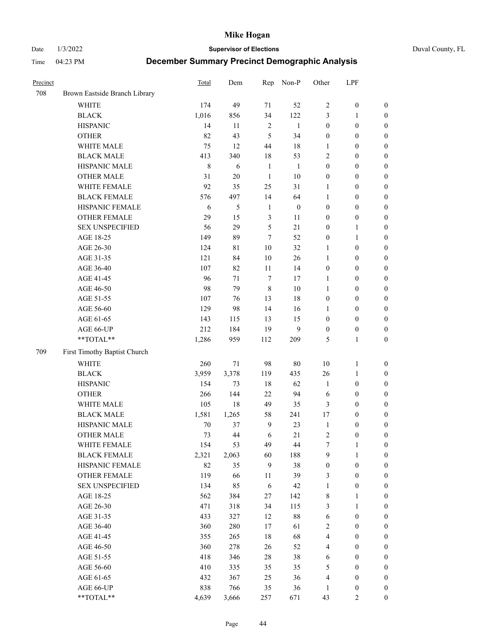Date 1/3/2022 **Supervisor of Elections** Duval County, FL

| Precinct |                               | Total   | Dem         | Rep            | Non-P            | Other            | LPF              |                  |
|----------|-------------------------------|---------|-------------|----------------|------------------|------------------|------------------|------------------|
| 708      | Brown Eastside Branch Library |         |             |                |                  |                  |                  |                  |
|          | <b>WHITE</b>                  | 174     | 49          | 71             | 52               | $\mathfrak{2}$   | $\boldsymbol{0}$ | 0                |
|          | <b>BLACK</b>                  | 1,016   | 856         | 34             | 122              | 3                | $\mathbf{1}$     | $\boldsymbol{0}$ |
|          | <b>HISPANIC</b>               | 14      | 11          | $\sqrt{2}$     | $\mathbf{1}$     | $\boldsymbol{0}$ | $\boldsymbol{0}$ | $\boldsymbol{0}$ |
|          | <b>OTHER</b>                  | 82      | 43          | 5              | 34               | $\boldsymbol{0}$ | $\boldsymbol{0}$ | $\boldsymbol{0}$ |
|          | WHITE MALE                    | 75      | 12          | 44             | 18               | 1                | $\boldsymbol{0}$ | $\boldsymbol{0}$ |
|          | <b>BLACK MALE</b>             | 413     | 340         | 18             | 53               | 2                | $\boldsymbol{0}$ | $\boldsymbol{0}$ |
|          | HISPANIC MALE                 | $\,8\,$ | 6           | $\mathbf{1}$   | $\mathbf{1}$     | $\boldsymbol{0}$ | $\boldsymbol{0}$ | $\boldsymbol{0}$ |
|          | <b>OTHER MALE</b>             | 31      | $20\,$      | $\mathbf{1}$   | $10\,$           | $\boldsymbol{0}$ | $\boldsymbol{0}$ | $\boldsymbol{0}$ |
|          | WHITE FEMALE                  | 92      | 35          | 25             | 31               | 1                | $\boldsymbol{0}$ | $\boldsymbol{0}$ |
|          | <b>BLACK FEMALE</b>           | 576     | 497         | 14             | 64               | $\mathbf{1}$     | $\boldsymbol{0}$ | $\boldsymbol{0}$ |
|          | HISPANIC FEMALE               | 6       | 5           | $\mathbf{1}$   | $\boldsymbol{0}$ | $\boldsymbol{0}$ | $\boldsymbol{0}$ | 0                |
|          | OTHER FEMALE                  | 29      | 15          | $\mathfrak{Z}$ | 11               | $\boldsymbol{0}$ | $\boldsymbol{0}$ | $\boldsymbol{0}$ |
|          | <b>SEX UNSPECIFIED</b>        | 56      | 29          | $\mathfrak s$  | 21               | $\boldsymbol{0}$ | $\mathbf{1}$     | $\boldsymbol{0}$ |
|          | AGE 18-25                     | 149     | 89          | 7              | 52               | $\boldsymbol{0}$ | $\mathbf{1}$     | $\boldsymbol{0}$ |
|          | AGE 26-30                     | 124     | $8\sqrt{1}$ | 10             | 32               | $\mathbf{1}$     | $\boldsymbol{0}$ | $\boldsymbol{0}$ |
|          | AGE 31-35                     | 121     | 84          | 10             | 26               | $\mathbf{1}$     | $\boldsymbol{0}$ | $\boldsymbol{0}$ |
|          | AGE 36-40                     | 107     | 82          | 11             | 14               | $\boldsymbol{0}$ | $\boldsymbol{0}$ | $\boldsymbol{0}$ |
|          | AGE 41-45                     | 96      | 71          | $\tau$         | 17               | $\mathbf{1}$     | $\boldsymbol{0}$ | $\boldsymbol{0}$ |
|          | AGE 46-50                     | 98      | 79          | $\,8\,$        | $10\,$           | $\mathbf{1}$     | $\boldsymbol{0}$ | $\boldsymbol{0}$ |
|          | AGE 51-55                     | 107     | 76          | 13             | $18\,$           | $\boldsymbol{0}$ | $\boldsymbol{0}$ | $\boldsymbol{0}$ |
|          | AGE 56-60                     | 129     | 98          | 14             | 16               | 1                | $\boldsymbol{0}$ | 0                |
|          | AGE 61-65                     | 143     | 115         | 13             | 15               | $\boldsymbol{0}$ | $\boldsymbol{0}$ | 0                |
|          | AGE 66-UP                     | 212     | 184         | 19             | 9                | $\boldsymbol{0}$ | $\boldsymbol{0}$ | $\boldsymbol{0}$ |
|          | **TOTAL**                     | 1,286   | 959         | 112            | 209              | 5                | $\mathbf{1}$     | $\boldsymbol{0}$ |
| 709      | First Timothy Baptist Church  |         |             |                |                  |                  |                  |                  |
|          | WHITE                         | 260     | $71\,$      | 98             | $80\,$           | $10\,$           | $\mathbf{1}$     | $\boldsymbol{0}$ |
|          | <b>BLACK</b>                  | 3,959   | 3,378       | 119            | 435              | 26               | $\mathbf{1}$     | $\boldsymbol{0}$ |
|          | <b>HISPANIC</b>               | 154     | 73          | 18             | 62               | $\mathbf{1}$     | $\boldsymbol{0}$ | $\boldsymbol{0}$ |
|          | <b>OTHER</b>                  | 266     | 144         | 22             | 94               | 6                | $\boldsymbol{0}$ | $\boldsymbol{0}$ |
|          | WHITE MALE                    | 105     | 18          | 49             | 35               | 3                | $\boldsymbol{0}$ | $\boldsymbol{0}$ |
|          | <b>BLACK MALE</b>             | 1,581   | 1,265       | 58             | 241              | 17               | $\boldsymbol{0}$ | $\boldsymbol{0}$ |
|          | HISPANIC MALE                 | $70\,$  | 37          | $\overline{9}$ | 23               | $\mathbf{1}$     | $\boldsymbol{0}$ | $\boldsymbol{0}$ |
|          | <b>OTHER MALE</b>             | 73      | 44          | 6              | 21               | $\overline{c}$   | $\boldsymbol{0}$ | $\boldsymbol{0}$ |
|          | WHITE FEMALE                  | 154     | 53          | 49             | 44               | 7                | 1                | 0                |
|          | <b>BLACK FEMALE</b>           | 2,321   | 2,063       | 60             | 188              | 9                | $\mathbf{1}$     | $\boldsymbol{0}$ |
|          | HISPANIC FEMALE               | 82      | 35          | 9              | 38               | $\boldsymbol{0}$ | $\boldsymbol{0}$ | $\overline{0}$   |
|          | OTHER FEMALE                  | 119     | 66          | 11             | 39               | 3                | $\boldsymbol{0}$ | $\overline{0}$   |
|          | <b>SEX UNSPECIFIED</b>        | 134     | 85          | 6              | 42               | $\mathbf{1}$     | $\boldsymbol{0}$ | 0                |
|          | AGE 18-25                     | 562     | 384         | 27             | 142              | $\,$ 8 $\,$      | $\mathbf{1}$     | $\overline{0}$   |
|          | AGE 26-30                     | 471     | 318         | 34             | 115              | 3                | $\mathbf{1}$     | 0                |
|          | AGE 31-35                     | 433     | 327         | 12             | $88\,$           | 6                | $\boldsymbol{0}$ | 0                |
|          | AGE 36-40                     | 360     | 280         | 17             | 61               | 2                | $\boldsymbol{0}$ | 0                |
|          | AGE 41-45                     | 355     | 265         | 18             | 68               | $\overline{4}$   | $\boldsymbol{0}$ | 0                |
|          | AGE 46-50                     | 360     | 278         | 26             | 52               | 4                | $\boldsymbol{0}$ | 0                |
|          | AGE 51-55                     | 418     | 346         | 28             | 38               | 6                | $\boldsymbol{0}$ | $\boldsymbol{0}$ |
|          | AGE 56-60                     | 410     | 335         | 35             | 35               | 5                | $\boldsymbol{0}$ | $\overline{0}$   |
|          | AGE 61-65                     | 432     | 367         | 25             | 36               | 4                | $\boldsymbol{0}$ | $\overline{0}$   |
|          | AGE 66-UP                     | 838     | 766         | 35             | 36               | $\mathbf{1}$     | $\boldsymbol{0}$ | 0                |
|          | **TOTAL**                     | 4,639   | 3,666       | 257            | 671              | 43               | $\mathfrak{2}$   | $\boldsymbol{0}$ |
|          |                               |         |             |                |                  |                  |                  |                  |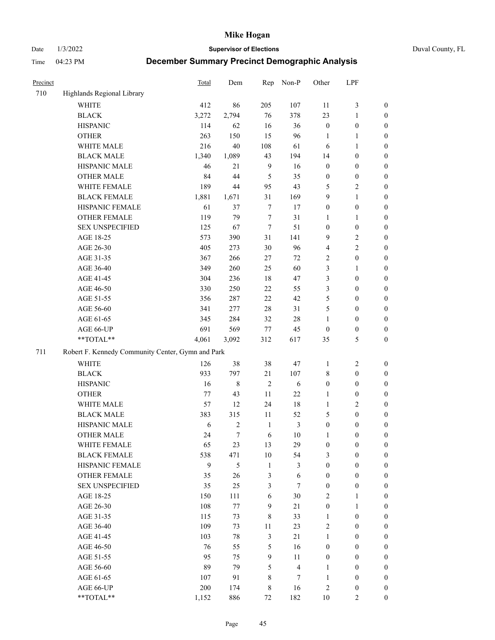Date 1/3/2022 **Supervisor of Elections** Duval County, FL

| Precinct |                                                   | <b>Total</b> | Dem        | Rep              | Non-P                   | Other            | LPF              |                  |
|----------|---------------------------------------------------|--------------|------------|------------------|-------------------------|------------------|------------------|------------------|
| 710      | Highlands Regional Library                        |              |            |                  |                         |                  |                  |                  |
|          | <b>WHITE</b>                                      | 412          | 86         | 205              | 107                     | 11               | $\mathfrak{Z}$   | 0                |
|          | <b>BLACK</b>                                      | 3,272        | 2,794      | 76               | 378                     | 23               | $\mathbf{1}$     | 0                |
|          | <b>HISPANIC</b>                                   | 114          | 62         | 16               | 36                      | $\boldsymbol{0}$ | $\boldsymbol{0}$ | $\boldsymbol{0}$ |
|          | <b>OTHER</b>                                      | 263          | 150        | 15               | 96                      | 1                | 1                | $\boldsymbol{0}$ |
|          | WHITE MALE                                        | 216          | 40         | 108              | 61                      | 6                | $\mathbf{1}$     | $\boldsymbol{0}$ |
|          | <b>BLACK MALE</b>                                 | 1,340        | 1,089      | 43               | 194                     | 14               | $\boldsymbol{0}$ | $\boldsymbol{0}$ |
|          | HISPANIC MALE                                     | 46           | 21         | $\overline{9}$   | 16                      | $\boldsymbol{0}$ | $\boldsymbol{0}$ | $\boldsymbol{0}$ |
|          | <b>OTHER MALE</b>                                 | 84           | 44         | 5                | 35                      | $\boldsymbol{0}$ | $\boldsymbol{0}$ | $\boldsymbol{0}$ |
|          | WHITE FEMALE                                      | 189          | 44         | 95               | 43                      | 5                | $\overline{c}$   | $\boldsymbol{0}$ |
|          | <b>BLACK FEMALE</b>                               | 1,881        | 1,671      | 31               | 169                     | 9                | $\mathbf{1}$     | $\boldsymbol{0}$ |
|          | HISPANIC FEMALE                                   | 61           | 37         | $\boldsymbol{7}$ | 17                      | $\boldsymbol{0}$ | $\boldsymbol{0}$ | $\boldsymbol{0}$ |
|          | <b>OTHER FEMALE</b>                               | 119          | 79         | $\boldsymbol{7}$ | 31                      | 1                | $\mathbf{1}$     | $\boldsymbol{0}$ |
|          | <b>SEX UNSPECIFIED</b>                            | 125          | 67         | $\tau$           | 51                      | $\boldsymbol{0}$ | $\boldsymbol{0}$ | $\boldsymbol{0}$ |
|          | AGE 18-25                                         | 573          | 390        | 31               | 141                     | 9                | $\sqrt{2}$       | $\boldsymbol{0}$ |
|          | AGE 26-30                                         | 405          | 273        | 30               | 96                      | 4                | $\sqrt{2}$       | $\boldsymbol{0}$ |
|          | AGE 31-35                                         | 367          | 266        | 27               | 72                      | $\overline{c}$   | $\boldsymbol{0}$ | $\boldsymbol{0}$ |
|          | AGE 36-40                                         | 349          | 260        | 25               | 60                      | 3                | $\mathbf{1}$     | $\boldsymbol{0}$ |
|          | AGE 41-45                                         | 304          | 236        | $18\,$           | 47                      | 3                | $\boldsymbol{0}$ | $\boldsymbol{0}$ |
|          | AGE 46-50                                         | 330          | 250        | 22               | 55                      | 3                | $\boldsymbol{0}$ | $\boldsymbol{0}$ |
|          | AGE 51-55                                         | 356          | 287        | 22               | 42                      | 5                | $\boldsymbol{0}$ | $\boldsymbol{0}$ |
|          | AGE 56-60                                         | 341          | 277        | 28               | 31                      | 5                | $\boldsymbol{0}$ | 0                |
|          | AGE 61-65                                         | 345          | 284        | 32               | $28\,$                  | 1                | $\boldsymbol{0}$ | 0                |
|          | AGE 66-UP                                         | 691          | 569        | $77\,$           | 45                      | $\boldsymbol{0}$ | $\boldsymbol{0}$ | $\boldsymbol{0}$ |
|          | **TOTAL**                                         | 4,061        | 3,092      | 312              | 617                     | 35               | $\mathfrak s$    | $\boldsymbol{0}$ |
| 711      | Robert F. Kennedy Community Center, Gymn and Park |              |            |                  |                         |                  |                  |                  |
|          | <b>WHITE</b>                                      | 126          | 38         | 38               | 47                      | 1                | $\sqrt{2}$       | $\boldsymbol{0}$ |
|          | <b>BLACK</b>                                      | 933          | 797        | 21               | 107                     | 8                | $\boldsymbol{0}$ | $\boldsymbol{0}$ |
|          | <b>HISPANIC</b>                                   | 16           | $\,8\,$    | $\overline{2}$   | 6                       | $\boldsymbol{0}$ | $\boldsymbol{0}$ | $\boldsymbol{0}$ |
|          | <b>OTHER</b>                                      | 77           | 43         | 11               | 22                      | 1                | $\boldsymbol{0}$ | $\boldsymbol{0}$ |
|          | WHITE MALE                                        | 57           | 12         | 24               | 18                      | $\mathbf{1}$     | $\mathfrak{2}$   | $\boldsymbol{0}$ |
|          | <b>BLACK MALE</b>                                 | 383          | 315        | $11\,$           | 52                      | 5                | $\boldsymbol{0}$ | $\boldsymbol{0}$ |
|          | HISPANIC MALE                                     | 6            | $\sqrt{2}$ | $\mathbf{1}$     | $\mathfrak{Z}$          | $\boldsymbol{0}$ | $\boldsymbol{0}$ | $\boldsymbol{0}$ |
|          | <b>OTHER MALE</b>                                 | 24           | $\tau$     | 6                | $10\,$                  | 1                | $\boldsymbol{0}$ | $\boldsymbol{0}$ |
|          | WHITE FEMALE                                      | 65           | 23         | 13               | 29                      | $\boldsymbol{0}$ | 0                | 0                |
|          | <b>BLACK FEMALE</b>                               | 538          | 471        | 10               | 54                      | 3                | $\boldsymbol{0}$ | $\overline{0}$   |
|          | HISPANIC FEMALE                                   | 9            | 5          | $\mathbf{1}$     | 3                       | $\boldsymbol{0}$ | $\boldsymbol{0}$ | $\overline{0}$   |
|          | OTHER FEMALE                                      | 35           | 26         | 3                | $\sqrt{6}$              | $\boldsymbol{0}$ | $\boldsymbol{0}$ | $\overline{0}$   |
|          | <b>SEX UNSPECIFIED</b>                            | 35           | 25         | 3                | $\tau$                  | $\boldsymbol{0}$ | $\boldsymbol{0}$ | 0                |
|          | AGE 18-25                                         | 150          | 111        | 6                | $30\,$                  | 2                | $\mathbf{1}$     | $\overline{0}$   |
|          | AGE 26-30                                         | 108          | 77         | $\mathbf{9}$     | $21\,$                  | $\boldsymbol{0}$ | $\mathbf{1}$     | 0                |
|          | AGE 31-35                                         | 115          | 73         | 8                | 33                      | $\mathbf{1}$     | $\boldsymbol{0}$ | 0                |
|          | AGE 36-40                                         | 109          | 73         | 11               | 23                      | 2                | $\boldsymbol{0}$ | 0                |
|          | AGE 41-45                                         | 103          | $78\,$     | $\mathfrak{Z}$   | 21                      | $\mathbf{1}$     | $\boldsymbol{0}$ | 0                |
|          | AGE 46-50                                         | 76           | 55         | 5                | 16                      | $\boldsymbol{0}$ | $\boldsymbol{0}$ | 0                |
|          | AGE 51-55                                         | 95           | 75         | 9                | 11                      | $\boldsymbol{0}$ | $\boldsymbol{0}$ | $\overline{0}$   |
|          | AGE 56-60                                         | 89           | 79         | 5                | $\overline{\mathbf{4}}$ | 1                | $\boldsymbol{0}$ | $\overline{0}$   |
|          | AGE 61-65                                         | 107          | 91         | 8                | $\tau$                  | $\mathbf{1}$     | $\boldsymbol{0}$ | $\overline{0}$   |
|          | AGE 66-UP                                         | 200          | 174        | 8                | 16                      | 2                | $\boldsymbol{0}$ | 0                |
|          | **TOTAL**                                         | 1,152        | 886        | 72               | 182                     | $10\,$           | $\mathfrak{2}$   | $\boldsymbol{0}$ |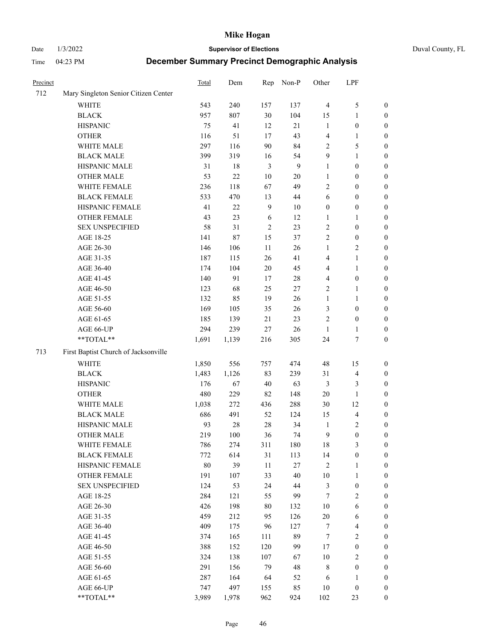Date 1/3/2022 **Supervisor of Elections** Duval County, FL

| Precinct |                                                           | Total | Dem    | Rep            | Non-P        | Other            | LPF                      |                  |
|----------|-----------------------------------------------------------|-------|--------|----------------|--------------|------------------|--------------------------|------------------|
| 712      | Mary Singleton Senior Citizen Center                      |       |        |                |              |                  |                          |                  |
|          | WHITE                                                     | 543   | 240    | 157            | 137          | $\overline{4}$   | $\mathfrak s$            | 0                |
|          | <b>BLACK</b>                                              | 957   | 807    | 30             | 104          | 15               | $\mathbf{1}$             | 0                |
|          | <b>HISPANIC</b>                                           | 75    | 41     | 12             | 21           | $\mathbf{1}$     | $\boldsymbol{0}$         | $\boldsymbol{0}$ |
|          | <b>OTHER</b>                                              | 116   | 51     | 17             | 43           | 4                | 1                        | $\boldsymbol{0}$ |
|          | WHITE MALE                                                | 297   | 116    | 90             | 84           | 2                | 5                        | $\boldsymbol{0}$ |
|          | <b>BLACK MALE</b>                                         | 399   | 319    | 16             | 54           | 9                | $\mathbf{1}$             | $\boldsymbol{0}$ |
|          | HISPANIC MALE                                             | 31    | 18     | $\mathfrak{Z}$ | $\mathbf{9}$ | 1                | $\boldsymbol{0}$         | $\boldsymbol{0}$ |
|          | <b>OTHER MALE</b>                                         | 53    | $22\,$ | $10\,$         | 20           | 1                | $\boldsymbol{0}$         | $\boldsymbol{0}$ |
|          | WHITE FEMALE                                              | 236   | 118    | 67             | 49           | $\overline{c}$   | $\boldsymbol{0}$         | $\boldsymbol{0}$ |
|          | <b>BLACK FEMALE</b>                                       | 533   | 470    | 13             | 44           | 6                | $\boldsymbol{0}$         | 0                |
|          | HISPANIC FEMALE                                           | 41    | 22     | $\mathbf{9}$   | 10           | $\boldsymbol{0}$ | $\boldsymbol{0}$         | 0                |
|          | OTHER FEMALE                                              | 43    | 23     | 6              | 12           | $\mathbf{1}$     | 1                        | $\boldsymbol{0}$ |
|          | <b>SEX UNSPECIFIED</b>                                    | 58    | 31     | $\sqrt{2}$     | 23           | $\mathbf{2}$     | $\boldsymbol{0}$         | $\boldsymbol{0}$ |
|          | AGE 18-25                                                 | 141   | 87     | 15             | 37           | $\mathbf{2}$     | $\boldsymbol{0}$         | $\boldsymbol{0}$ |
|          | AGE 26-30                                                 | 146   | 106    | $11\,$         | 26           | 1                | $\sqrt{2}$               | $\boldsymbol{0}$ |
|          | AGE 31-35                                                 | 187   | 115    | 26             | 41           | 4                | $\mathbf{1}$             | $\boldsymbol{0}$ |
|          | AGE 36-40                                                 | 174   | 104    | $20\,$         | 45           | 4                | $\mathbf{1}$             | $\boldsymbol{0}$ |
|          | AGE 41-45                                                 | 140   | 91     | 17             | 28           | 4                | $\boldsymbol{0}$         | $\boldsymbol{0}$ |
|          | AGE 46-50                                                 | 123   | 68     | 25             | $27\,$       | 2                | 1                        | $\boldsymbol{0}$ |
|          | AGE 51-55                                                 | 132   | 85     | 19             | 26           | $\mathbf{1}$     | 1                        | 0                |
|          | AGE 56-60                                                 | 169   | 105    | 35             | 26           | 3                | $\boldsymbol{0}$         | 0                |
|          | AGE 61-65                                                 | 185   | 139    | 21             | 23           | 2                | $\boldsymbol{0}$         | 0                |
|          | AGE 66-UP                                                 | 294   | 239    | $27\,$         | 26           | $\mathbf{1}$     | 1                        | $\boldsymbol{0}$ |
|          | $\mathrm{*}\mathrm{*}\mathrm{TOTAL} \mathrm{*}\mathrm{*}$ | 1,691 | 1,139  | 216            | 305          | 24               | $\boldsymbol{7}$         | $\boldsymbol{0}$ |
|          |                                                           |       |        |                |              |                  |                          |                  |
| 713      | First Baptist Church of Jacksonville                      |       |        |                |              |                  |                          |                  |
|          | <b>WHITE</b>                                              | 1,850 | 556    | 757            | 474          | 48               | 15                       | $\boldsymbol{0}$ |
|          | <b>BLACK</b>                                              | 1,483 | 1,126  | 83             | 239          | 31               | $\overline{\mathcal{L}}$ | $\boldsymbol{0}$ |
|          | <b>HISPANIC</b>                                           | 176   | 67     | 40             | 63           | 3                | $\mathfrak{Z}$           | $\boldsymbol{0}$ |
|          | <b>OTHER</b>                                              | 480   | 229    | 82             | 148          | 20               | $\mathbf{1}$             | $\boldsymbol{0}$ |
|          | WHITE MALE                                                | 1,038 | 272    | 436            | 288          | $30\,$           | 12                       | $\boldsymbol{0}$ |
|          | <b>BLACK MALE</b>                                         | 686   | 491    | 52             | 124          | 15               | $\overline{4}$           | $\boldsymbol{0}$ |
|          | HISPANIC MALE                                             | 93    | $28\,$ | $28\,$         | 34           | $\mathbf{1}$     | $\sqrt{2}$               | 0                |
|          | <b>OTHER MALE</b>                                         | 219   | 100    | 36             | 74           | 9                | $\boldsymbol{0}$         | $\boldsymbol{0}$ |
|          | WHITE FEMALE                                              | 786   | 274    | 311            | 180          | 18               | 3                        | 0                |
|          | <b>BLACK FEMALE</b>                                       | 772   | 614    | 31             | 113          | 14               | $\boldsymbol{0}$         | $\overline{0}$   |
|          | HISPANIC FEMALE                                           | 80    | 39     | $11\,$         | $27\,$       | $\overline{c}$   | $\mathbf{1}$             | $\overline{0}$   |
|          | OTHER FEMALE                                              | 191   | 107    | 33             | 40           | $10\,$           | $\mathbf{1}$             | $\overline{0}$   |
|          | <b>SEX UNSPECIFIED</b>                                    | 124   | 53     | 24             | 44           | 3                | $\boldsymbol{0}$         | 0                |
|          | AGE 18-25                                                 | 284   | 121    | 55             | 99           | $\tau$           | $\sqrt{2}$               | 0                |
|          | AGE 26-30                                                 | 426   | 198    | $80\,$         | 132          | 10               | 6                        | 0                |
|          | AGE 31-35                                                 | 459   | 212    | 95             | 126          | $20\,$           | 6                        | 0                |
|          | AGE 36-40                                                 | 409   | 175    | 96             | 127          | 7                | $\overline{4}$           | 0                |
|          | AGE 41-45                                                 | 374   | 165    | 111            | 89           | 7                | $\mathbf{2}$             | 0                |
|          | AGE 46-50                                                 | 388   | 152    | 120            | 99           | 17               | $\boldsymbol{0}$         | 0                |
|          | AGE 51-55                                                 | 324   | 138    | 107            | 67           | 10               | $\sqrt{2}$               | 0                |
|          | AGE 56-60                                                 | 291   | 156    | 79             | 48           | 8                | $\boldsymbol{0}$         | $\overline{0}$   |
|          | AGE 61-65                                                 | 287   | 164    | 64             | 52           | 6                | 1                        | $\boldsymbol{0}$ |
|          | AGE 66-UP                                                 | 747   | 497    | 155            | 85           | 10               | $\boldsymbol{0}$         | 0                |
|          | **TOTAL**                                                 | 3,989 | 1,978  | 962            | 924          | 102              | 23                       | $\boldsymbol{0}$ |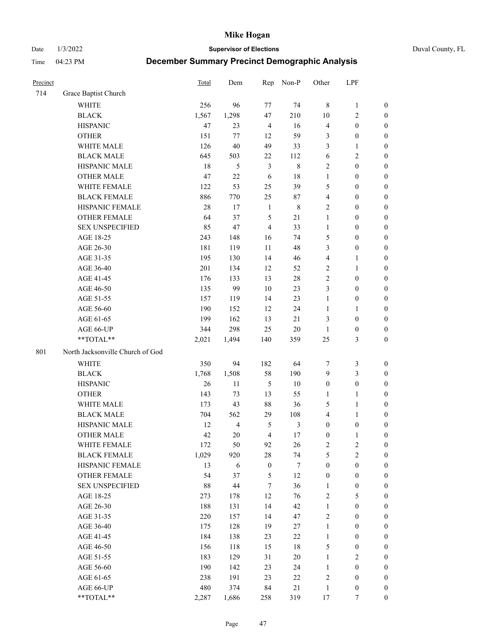Date 1/3/2022 **Supervisor of Elections** Duval County, FL

| Precinct |                                  | Total  | Dem            | Rep              | Non-P          | Other            | LPF              |                  |
|----------|----------------------------------|--------|----------------|------------------|----------------|------------------|------------------|------------------|
| 714      | Grace Baptist Church             |        |                |                  |                |                  |                  |                  |
|          | <b>WHITE</b>                     | 256    | 96             | 77               | 74             | $\,8\,$          | $\mathbf{1}$     | 0                |
|          | <b>BLACK</b>                     | 1,567  | 1,298          | 47               | 210            | 10               | $\sqrt{2}$       | $\boldsymbol{0}$ |
|          | <b>HISPANIC</b>                  | 47     | 23             | $\overline{4}$   | 16             | $\overline{4}$   | $\boldsymbol{0}$ | $\boldsymbol{0}$ |
|          | <b>OTHER</b>                     | 151    | 77             | 12               | 59             | 3                | $\boldsymbol{0}$ | $\boldsymbol{0}$ |
|          | WHITE MALE                       | 126    | 40             | 49               | 33             | 3                | $\mathbf{1}$     | $\boldsymbol{0}$ |
|          | <b>BLACK MALE</b>                | 645    | 503            | 22               | 112            | 6                | $\sqrt{2}$       | $\boldsymbol{0}$ |
|          | HISPANIC MALE                    | 18     | 5              | $\mathfrak{Z}$   | $\,8\,$        | $\mathbf{2}$     | $\boldsymbol{0}$ | $\boldsymbol{0}$ |
|          | <b>OTHER MALE</b>                | 47     | 22             | 6                | $18\,$         | $\mathbf{1}$     | $\boldsymbol{0}$ | $\boldsymbol{0}$ |
|          | WHITE FEMALE                     | 122    | 53             | 25               | 39             | 5                | $\boldsymbol{0}$ | $\boldsymbol{0}$ |
|          | <b>BLACK FEMALE</b>              | 886    | 770            | 25               | 87             | $\overline{4}$   | $\boldsymbol{0}$ | $\boldsymbol{0}$ |
|          | HISPANIC FEMALE                  | $28\,$ | 17             | $\mathbf{1}$     | $\,$ 8 $\,$    | $\mathbf{2}$     | $\boldsymbol{0}$ | 0                |
|          | OTHER FEMALE                     | 64     | 37             | 5                | 21             | $\mathbf{1}$     | $\boldsymbol{0}$ | $\boldsymbol{0}$ |
|          | <b>SEX UNSPECIFIED</b>           | 85     | 47             | $\overline{4}$   | 33             | $\mathbf{1}$     | $\boldsymbol{0}$ | $\boldsymbol{0}$ |
|          | AGE 18-25                        | 243    | 148            | 16               | 74             | 5                | $\boldsymbol{0}$ | $\boldsymbol{0}$ |
|          | AGE 26-30                        | 181    | 119            | 11               | 48             | 3                | $\boldsymbol{0}$ | $\boldsymbol{0}$ |
|          | AGE 31-35                        | 195    | 130            | 14               | 46             | 4                | $\mathbf{1}$     | $\boldsymbol{0}$ |
|          | AGE 36-40                        | 201    | 134            | 12               | 52             | $\sqrt{2}$       | $\mathbf{1}$     | $\boldsymbol{0}$ |
|          | AGE 41-45                        | 176    | 133            | 13               | $28\,$         | $\mathbf{2}$     | $\boldsymbol{0}$ | $\boldsymbol{0}$ |
|          | AGE 46-50                        | 135    | 99             | 10               | 23             | 3                | $\boldsymbol{0}$ | $\boldsymbol{0}$ |
|          | AGE 51-55                        | 157    | 119            | 14               | 23             | $\mathbf{1}$     | $\boldsymbol{0}$ | $\boldsymbol{0}$ |
|          | AGE 56-60                        | 190    | 152            | 12               | 24             | $\mathbf{1}$     | $\mathbf{1}$     | 0                |
|          | AGE 61-65                        | 199    | 162            | 13               | 21             | 3                | $\boldsymbol{0}$ | 0                |
|          | AGE 66-UP                        | 344    | 298            | 25               | $20\,$         | $\mathbf{1}$     | $\boldsymbol{0}$ | $\boldsymbol{0}$ |
|          | **TOTAL**                        | 2,021  | 1,494          | 140              | 359            | 25               | $\mathfrak{Z}$   | $\boldsymbol{0}$ |
| 801      | North Jacksonville Church of God |        |                |                  |                |                  |                  |                  |
|          | <b>WHITE</b>                     | 350    | 94             | 182              | 64             | 7                | $\mathfrak{Z}$   | $\boldsymbol{0}$ |
|          | <b>BLACK</b>                     | 1,768  | 1,508          | 58               | 190            | 9                | $\mathfrak{Z}$   | $\boldsymbol{0}$ |
|          | <b>HISPANIC</b>                  | 26     | 11             | $\mathfrak s$    | $10\,$         | $\boldsymbol{0}$ | $\boldsymbol{0}$ | $\boldsymbol{0}$ |
|          | <b>OTHER</b>                     | 143    | 73             | 13               | 55             | $\mathbf{1}$     | $\mathbf{1}$     | $\boldsymbol{0}$ |
|          | WHITE MALE                       | 173    | 43             | 88               | 36             | 5                | $\mathbf{1}$     | $\boldsymbol{0}$ |
|          | <b>BLACK MALE</b>                | 704    | 562            | 29               | 108            | 4                | $\mathbf{1}$     | $\boldsymbol{0}$ |
|          | HISPANIC MALE                    | 12     | $\overline{4}$ | 5                | $\mathfrak{Z}$ | $\boldsymbol{0}$ | $\boldsymbol{0}$ | 0                |
|          | <b>OTHER MALE</b>                | 42     | 20             | $\overline{4}$   | $17\,$         | $\boldsymbol{0}$ | $\mathbf{1}$     | 0                |
|          | WHITE FEMALE                     | 172    | 50             | 92               | 26             | 2                | 2                | 0                |
|          | <b>BLACK FEMALE</b>              | 1,029  | 920            | 28               | 74             | 5                | $\sqrt{2}$       | $\boldsymbol{0}$ |
|          | HISPANIC FEMALE                  | 13     | 6              | $\boldsymbol{0}$ | $\tau$         | $\boldsymbol{0}$ | $\boldsymbol{0}$ | $\overline{0}$   |
|          | OTHER FEMALE                     | 54     | 37             | 5                | 12             | $\boldsymbol{0}$ | $\boldsymbol{0}$ | $\overline{0}$   |
|          | <b>SEX UNSPECIFIED</b>           | $88\,$ | 44             | 7                | 36             | $\mathbf{1}$     | $\boldsymbol{0}$ | 0                |
|          | AGE 18-25                        | 273    | 178            | 12               | 76             | 2                | $\mathfrak{S}$   | $\theta$         |
|          | AGE 26-30                        | 188    | 131            | 14               | 42             | $\mathbf{1}$     | $\boldsymbol{0}$ | 0                |
|          | AGE 31-35                        | 220    | 157            | 14               | 47             | 2                | $\boldsymbol{0}$ | 0                |
|          | AGE 36-40                        | 175    | 128            | 19               | 27             | $\mathbf{1}$     | $\boldsymbol{0}$ | 0                |
|          | AGE 41-45                        | 184    | 138            | 23               | $22\,$         | $\mathbf{1}$     | $\boldsymbol{0}$ | 0                |
|          | AGE 46-50                        | 156    | 118            | 15               | 18             | 5                | $\boldsymbol{0}$ | 0                |
|          | AGE 51-55                        | 183    | 129            | 31               | $20\,$         | $\mathbf{1}$     | $\overline{2}$   | 0                |
|          | AGE 56-60                        | 190    | 142            | 23               | 24             | 1                | $\boldsymbol{0}$ | $\overline{0}$   |
|          | AGE 61-65                        | 238    | 191            | 23               | 22             | $\overline{c}$   | $\boldsymbol{0}$ | $\overline{0}$   |
|          | AGE 66-UP                        | 480    | 374            | 84               | $21\,$         | $\mathbf{1}$     | $\boldsymbol{0}$ | 0                |
|          | **TOTAL**                        | 2,287  | 1,686          | 258              | 319            | 17               | $\tau$           | $\boldsymbol{0}$ |
|          |                                  |        |                |                  |                |                  |                  |                  |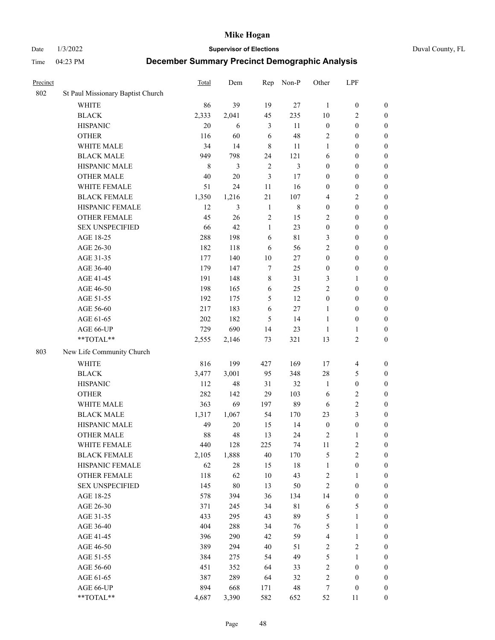Date 1/3/2022 **Supervisor of Elections** Duval County, FL

| Precinct |                                   | Total | Dem    | Rep            | Non-P       | Other            | LPF                     |                  |
|----------|-----------------------------------|-------|--------|----------------|-------------|------------------|-------------------------|------------------|
| 802      | St Paul Missionary Baptist Church |       |        |                |             |                  |                         |                  |
|          | <b>WHITE</b>                      | 86    | 39     | 19             | 27          | 1                | $\boldsymbol{0}$        | $\boldsymbol{0}$ |
|          | <b>BLACK</b>                      | 2,333 | 2,041  | 45             | 235         | 10               | $\overline{c}$          | $\boldsymbol{0}$ |
|          | <b>HISPANIC</b>                   | 20    | 6      | 3              | 11          | $\boldsymbol{0}$ | $\boldsymbol{0}$        | $\boldsymbol{0}$ |
|          | <b>OTHER</b>                      | 116   | 60     | 6              | 48          | 2                | $\boldsymbol{0}$        | $\boldsymbol{0}$ |
|          | WHITE MALE                        | 34    | 14     | $\,8\,$        | 11          | $\mathbf{1}$     | $\boldsymbol{0}$        | $\boldsymbol{0}$ |
|          | <b>BLACK MALE</b>                 | 949   | 798    | 24             | 121         | 6                | $\boldsymbol{0}$        | $\boldsymbol{0}$ |
|          | HISPANIC MALE                     | 8     | 3      | $\overline{2}$ | 3           | $\boldsymbol{0}$ | $\boldsymbol{0}$        | $\boldsymbol{0}$ |
|          | <b>OTHER MALE</b>                 | 40    | $20\,$ | 3              | 17          | $\boldsymbol{0}$ | $\boldsymbol{0}$        | $\boldsymbol{0}$ |
|          | WHITE FEMALE                      | 51    | 24     | 11             | 16          | $\boldsymbol{0}$ | $\boldsymbol{0}$        | $\boldsymbol{0}$ |
|          | <b>BLACK FEMALE</b>               | 1,350 | 1,216  | $21\,$         | 107         | 4                | $\sqrt{2}$              | $\boldsymbol{0}$ |
|          | HISPANIC FEMALE                   | 12    | 3      | $\mathbf{1}$   | $\,$ 8 $\,$ | $\boldsymbol{0}$ | $\boldsymbol{0}$        | $\boldsymbol{0}$ |
|          | <b>OTHER FEMALE</b>               | 45    | 26     | $\overline{2}$ | 15          | $\overline{2}$   | $\boldsymbol{0}$        | $\boldsymbol{0}$ |
|          | <b>SEX UNSPECIFIED</b>            | 66    | 42     | $\mathbf{1}$   | 23          | $\boldsymbol{0}$ | $\boldsymbol{0}$        | $\boldsymbol{0}$ |
|          | AGE 18-25                         | 288   | 198    | 6              | 81          | 3                | $\boldsymbol{0}$        | $\boldsymbol{0}$ |
|          | AGE 26-30                         | 182   | 118    | 6              | 56          | $\overline{c}$   | $\boldsymbol{0}$        | $\boldsymbol{0}$ |
|          | AGE 31-35                         | 177   | 140    | 10             | 27          | $\boldsymbol{0}$ | $\boldsymbol{0}$        | $\boldsymbol{0}$ |
|          | AGE 36-40                         | 179   | 147    | 7              | 25          | $\boldsymbol{0}$ | $\boldsymbol{0}$        | $\boldsymbol{0}$ |
|          | AGE 41-45                         | 191   | 148    | $\,$ 8 $\,$    | 31          | 3                | $\mathbf{1}$            | $\boldsymbol{0}$ |
|          | AGE 46-50                         | 198   | 165    | 6              | 25          | $\overline{c}$   | $\boldsymbol{0}$        | $\boldsymbol{0}$ |
|          | AGE 51-55                         | 192   | 175    | 5              | 12          | $\boldsymbol{0}$ | $\boldsymbol{0}$        | $\boldsymbol{0}$ |
|          | AGE 56-60                         | 217   | 183    | 6              | 27          | 1                | $\boldsymbol{0}$        | 0                |
|          | AGE 61-65                         | 202   | 182    | 5              | 14          | $\mathbf{1}$     | $\boldsymbol{0}$        | 0                |
|          | AGE 66-UP                         | 729   | 690    | 14             | 23          | $\mathbf{1}$     | $\mathbf{1}$            | $\boldsymbol{0}$ |
|          | **TOTAL**                         | 2,555 | 2,146  | 73             | 321         | 13               | $\sqrt{2}$              | $\boldsymbol{0}$ |
| 803      | New Life Community Church         |       |        |                |             |                  |                         |                  |
|          | WHITE                             | 816   | 199    | 427            | 169         | 17               | $\overline{\mathbf{4}}$ | $\boldsymbol{0}$ |
|          | <b>BLACK</b>                      | 3,477 | 3,001  | 95             | 348         | 28               | $\mathfrak{S}$          | $\boldsymbol{0}$ |
|          | <b>HISPANIC</b>                   | 112   | 48     | 31             | 32          | $\mathbf{1}$     | $\boldsymbol{0}$        | $\boldsymbol{0}$ |
|          | <b>OTHER</b>                      | 282   | 142    | 29             | 103         | 6                | $\sqrt{2}$              | $\boldsymbol{0}$ |
|          | WHITE MALE                        | 363   | 69     | 197            | 89          | 6                | $\mathfrak{2}$          | $\boldsymbol{0}$ |
|          | <b>BLACK MALE</b>                 | 1,317 | 1,067  | 54             | 170         | 23               | $\mathfrak{Z}$          | $\boldsymbol{0}$ |
|          | HISPANIC MALE                     | 49    | $20\,$ | 15             | 14          | $\boldsymbol{0}$ | $\boldsymbol{0}$        | $\boldsymbol{0}$ |
|          | <b>OTHER MALE</b>                 | 88    | 48     | 13             | 24          | 2                | $\mathbf{1}$            | $\boldsymbol{0}$ |
|          | WHITE FEMALE                      | 440   | 128    | 225            | 74          | 11               | 2                       | 0                |
|          | <b>BLACK FEMALE</b>               | 2,105 | 1,888  | $40\,$         | 170         | 5                | $\sqrt{2}$              | $\boldsymbol{0}$ |
|          | HISPANIC FEMALE                   | 62    | $28\,$ | 15             | $18\,$      | $\mathbf{1}$     | $\boldsymbol{0}$        | $\overline{0}$   |
|          | OTHER FEMALE                      | 118   | 62     | $10\,$         | 43          | $\overline{c}$   | $\mathbf{1}$            | $\overline{0}$   |
|          | <b>SEX UNSPECIFIED</b>            | 145   | $80\,$ | 13             | 50          | $\sqrt{2}$       | $\boldsymbol{0}$        | 0                |
|          | AGE 18-25                         | 578   | 394    | 36             | 134         | 14               | $\boldsymbol{0}$        | 0                |
|          | AGE 26-30                         | 371   | 245    | 34             | 81          | 6                | $\mathfrak{S}$          | 0                |
|          | AGE 31-35                         | 433   | 295    | 43             | 89          | 5                | $\mathbf{1}$            | 0                |
|          | AGE 36-40                         | 404   | 288    | 34             | 76          | 5                | $\mathbf{1}$            | 0                |
|          | AGE 41-45                         | 396   | 290    | 42             | 59          | $\overline{4}$   | $\mathbf{1}$            | 0                |
|          | AGE 46-50                         | 389   | 294    | 40             | 51          | 2                | $\sqrt{2}$              | 0                |
|          | AGE 51-55                         | 384   | 275    | 54             | 49          | 5                | $\mathbf{1}$            | 0                |
|          | AGE 56-60                         | 451   | 352    | 64             | 33          | $\overline{c}$   | $\boldsymbol{0}$        | $\overline{0}$   |
|          | AGE 61-65                         | 387   | 289    | 64             | 32          | $\overline{c}$   | $\boldsymbol{0}$        | $\overline{0}$   |
|          | AGE 66-UP                         | 894   | 668    | 171            | 48          | 7                | $\boldsymbol{0}$        | 0                |
|          | **TOTAL**                         | 4,687 | 3,390  | 582            | 652         | 52               | 11                      | $\boldsymbol{0}$ |
|          |                                   |       |        |                |             |                  |                         |                  |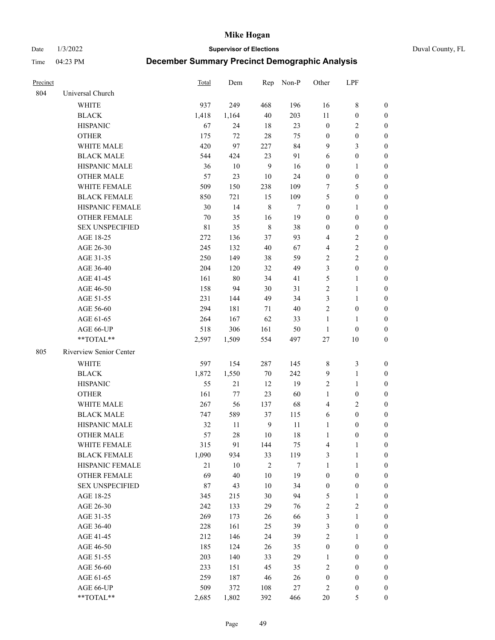Date 1/3/2022 **Supervisor of Elections** Duval County, FL

| Precinct |                         | Total       | Dem    |                | Rep Non-P | Other            | LPF              |                  |
|----------|-------------------------|-------------|--------|----------------|-----------|------------------|------------------|------------------|
| 804      | Universal Church        |             |        |                |           |                  |                  |                  |
|          | <b>WHITE</b>            | 937         | 249    | 468            | 196       | 16               | $\,$ 8 $\,$      | 0                |
|          | <b>BLACK</b>            | 1,418       | 1,164  | 40             | 203       | 11               | $\boldsymbol{0}$ | $\boldsymbol{0}$ |
|          | <b>HISPANIC</b>         | 67          | 24     | 18             | 23        | $\boldsymbol{0}$ | $\overline{2}$   | 0                |
|          | <b>OTHER</b>            | 175         | 72     | 28             | 75        | $\boldsymbol{0}$ | $\boldsymbol{0}$ | $\boldsymbol{0}$ |
|          | WHITE MALE              | 420         | 97     | 227            | 84        | 9                | 3                | $\boldsymbol{0}$ |
|          | <b>BLACK MALE</b>       | 544         | 424    | 23             | 91        | 6                | $\boldsymbol{0}$ | $\boldsymbol{0}$ |
|          | HISPANIC MALE           | 36          | 10     | $\overline{9}$ | 16        | $\boldsymbol{0}$ | $\mathbf{1}$     | $\boldsymbol{0}$ |
|          | <b>OTHER MALE</b>       | 57          | 23     | 10             | 24        | $\boldsymbol{0}$ | $\boldsymbol{0}$ | $\boldsymbol{0}$ |
|          | WHITE FEMALE            | 509         | 150    | 238            | 109       | 7                | 5                | $\boldsymbol{0}$ |
|          | <b>BLACK FEMALE</b>     | 850         | 721    | 15             | 109       | 5                | $\boldsymbol{0}$ | 0                |
|          | HISPANIC FEMALE         | 30          | 14     | $\,$ 8 $\,$    | 7         | $\boldsymbol{0}$ | $\mathbf{1}$     | 0                |
|          | <b>OTHER FEMALE</b>     | 70          | 35     | 16             | 19        | $\boldsymbol{0}$ | $\boldsymbol{0}$ | 0                |
|          | <b>SEX UNSPECIFIED</b>  | $8\sqrt{1}$ | 35     | $\,$ 8 $\,$    | 38        | $\boldsymbol{0}$ | $\boldsymbol{0}$ | $\boldsymbol{0}$ |
|          | AGE 18-25               | 272         | 136    | 37             | 93        | 4                | $\sqrt{2}$       | $\boldsymbol{0}$ |
|          | AGE 26-30               | 245         | 132    | 40             | 67        | 4                | $\sqrt{2}$       | $\boldsymbol{0}$ |
|          | AGE 31-35               | 250         | 149    | 38             | 59        | $\sqrt{2}$       | $\sqrt{2}$       | $\boldsymbol{0}$ |
|          | AGE 36-40               | 204         | 120    | 32             | 49        | 3                | $\boldsymbol{0}$ | $\boldsymbol{0}$ |
|          | AGE 41-45               | 161         | $80\,$ | 34             | 41        | 5                | $\mathbf{1}$     | $\boldsymbol{0}$ |
|          | AGE 46-50               | 158         | 94     | 30             | 31        | $\overline{c}$   | $\mathbf{1}$     | $\boldsymbol{0}$ |
|          | AGE 51-55               | 231         | 144    | 49             | 34        | 3                | $\mathbf{1}$     | 0                |
|          | AGE 56-60               | 294         | 181    | 71             | 40        | $\overline{c}$   | $\boldsymbol{0}$ | 0                |
|          | AGE 61-65               | 264         | 167    | 62             | 33        | $\mathbf{1}$     | $\mathbf{1}$     | 0                |
|          | AGE 66-UP               | 518         | 306    | 161            | 50        | $\mathbf{1}$     | $\boldsymbol{0}$ | 0                |
|          | **TOTAL**               | 2,597       | 1,509  | 554            | 497       | $27\,$           | 10               | $\boldsymbol{0}$ |
| 805      | Riverview Senior Center |             |        |                |           |                  |                  |                  |
|          | <b>WHITE</b>            | 597         | 154    | 287            | 145       | 8                | $\mathfrak{Z}$   | $\boldsymbol{0}$ |
|          | <b>BLACK</b>            | 1,872       | 1,550  | $70\,$         | 242       | 9                | $\mathbf{1}$     | $\boldsymbol{0}$ |
|          | <b>HISPANIC</b>         | 55          | 21     | 12             | 19        | 2                | $\mathbf{1}$     | $\boldsymbol{0}$ |
|          | <b>OTHER</b>            | 161         | 77     | 23             | 60        | $\mathbf{1}$     | $\boldsymbol{0}$ | $\boldsymbol{0}$ |
|          | WHITE MALE              | 267         | 56     | 137            | 68        | $\overline{4}$   | $\overline{2}$   | $\boldsymbol{0}$ |
|          | <b>BLACK MALE</b>       | 747         | 589    | 37             | 115       | 6                | $\boldsymbol{0}$ | $\boldsymbol{0}$ |
|          | HISPANIC MALE           | 32          | 11     | $\overline{9}$ | 11        | $\mathbf{1}$     | $\boldsymbol{0}$ | 0                |
|          | <b>OTHER MALE</b>       | 57          | 28     | 10             | 18        | $\mathbf{1}$     | $\boldsymbol{0}$ | 0                |
|          | WHITE FEMALE            | 315         | 91     | 144            | 75        | 4                | 1                | 0                |
|          | <b>BLACK FEMALE</b>     | 1,090       | 934    | 33             | 119       | 3                | $\mathbf{1}$     | $\boldsymbol{0}$ |
|          | HISPANIC FEMALE         | $21\,$      | $10\,$ | $\sqrt{2}$     | 7         | $\mathbf{1}$     | $\mathbf{1}$     | $\overline{0}$   |
|          | OTHER FEMALE            | 69          | 40     | 10             | 19        | $\boldsymbol{0}$ | $\boldsymbol{0}$ | $\overline{0}$   |
|          | <b>SEX UNSPECIFIED</b>  | 87          | 43     | 10             | 34        | $\boldsymbol{0}$ | $\boldsymbol{0}$ | 0                |
|          | AGE 18-25               | 345         | 215    | 30             | 94        | 5                | $\mathbf{1}$     | 0                |
|          | AGE 26-30               | 242         | 133    | 29             | 76        | 2                | $\mathbf{2}$     | 0                |
|          | AGE 31-35               | 269         | 173    | 26             | 66        | 3                | $\mathbf{1}$     | 0                |
|          | AGE 36-40               | 228         | 161    | 25             | 39        | $\mathfrak{Z}$   | $\boldsymbol{0}$ | 0                |
|          | AGE 41-45               | 212         | 146    | 24             | 39        | 2                | 1                | 0                |
|          | AGE 46-50               | 185         | 124    | 26             | 35        | $\boldsymbol{0}$ | $\boldsymbol{0}$ | 0                |
|          | AGE 51-55               | 203         | 140    | 33             | 29        | $\mathbf{1}$     | $\boldsymbol{0}$ | 0                |
|          | AGE 56-60               | 233         | 151    | 45             | 35        | 2                | $\boldsymbol{0}$ | $\overline{0}$   |
|          | AGE 61-65               | 259         | 187    | 46             | 26        | $\boldsymbol{0}$ | $\boldsymbol{0}$ | $\overline{0}$   |
|          | AGE 66-UP               | 509         | 372    | 108            | 27        | 2                | $\boldsymbol{0}$ | 0                |
|          | **TOTAL**               | 2,685       | 1,802  | 392            | 466       | $20\,$           | 5                | $\boldsymbol{0}$ |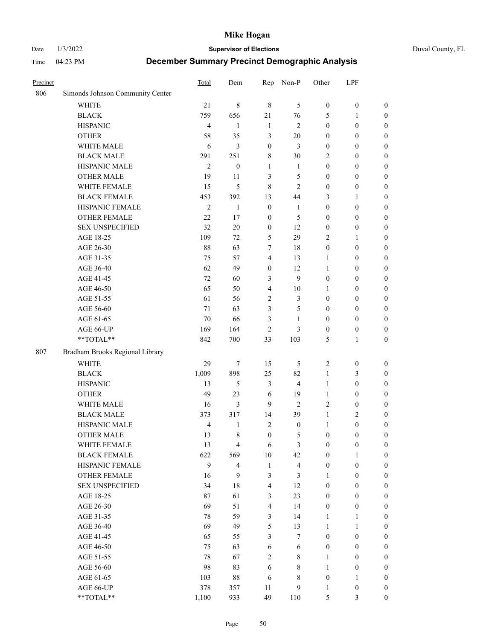Date 1/3/2022 **Supervisor of Elections** Duval County, FL

| Precinct |                                  | Total          | Dem                     | Rep              | Non-P                   | Other            | LPF              |                  |
|----------|----------------------------------|----------------|-------------------------|------------------|-------------------------|------------------|------------------|------------------|
| 806      | Simonds Johnson Community Center |                |                         |                  |                         |                  |                  |                  |
|          | <b>WHITE</b>                     | 21             | $\,$ 8 $\,$             | $\,8\,$          | 5                       | $\boldsymbol{0}$ | $\boldsymbol{0}$ | $\boldsymbol{0}$ |
|          | <b>BLACK</b>                     | 759            | 656                     | 21               | 76                      | 5                | $\mathbf{1}$     | $\boldsymbol{0}$ |
|          | <b>HISPANIC</b>                  | $\overline{4}$ | 1                       | $\mathbf{1}$     | $\mathbf{2}$            | $\boldsymbol{0}$ | $\boldsymbol{0}$ | $\boldsymbol{0}$ |
|          | <b>OTHER</b>                     | 58             | 35                      | 3                | $20\,$                  | $\boldsymbol{0}$ | $\boldsymbol{0}$ | $\boldsymbol{0}$ |
|          | WHITE MALE                       | 6              | 3                       | $\boldsymbol{0}$ | 3                       | $\boldsymbol{0}$ | $\boldsymbol{0}$ | $\boldsymbol{0}$ |
|          | <b>BLACK MALE</b>                | 291            | 251                     | 8                | $30\,$                  | 2                | $\boldsymbol{0}$ | $\boldsymbol{0}$ |
|          | HISPANIC MALE                    | $\mathfrak{2}$ | $\boldsymbol{0}$        | $\mathbf{1}$     | 1                       | $\boldsymbol{0}$ | $\boldsymbol{0}$ | $\boldsymbol{0}$ |
|          | OTHER MALE                       | 19             | 11                      | 3                | 5                       | $\boldsymbol{0}$ | $\boldsymbol{0}$ | $\boldsymbol{0}$ |
|          | WHITE FEMALE                     | 15             | 5                       | $\,8\,$          | $\mathfrak{2}$          | $\boldsymbol{0}$ | $\boldsymbol{0}$ | $\boldsymbol{0}$ |
|          | <b>BLACK FEMALE</b>              | 453            | 392                     | 13               | 44                      | 3                | $\mathbf{1}$     | 0                |
|          | HISPANIC FEMALE                  | $\mathfrak{2}$ | 1                       | $\boldsymbol{0}$ | $\mathbf{1}$            | $\boldsymbol{0}$ | $\boldsymbol{0}$ | $\boldsymbol{0}$ |
|          | OTHER FEMALE                     | 22             | 17                      | $\mathbf{0}$     | 5                       | $\boldsymbol{0}$ | $\boldsymbol{0}$ | $\boldsymbol{0}$ |
|          | <b>SEX UNSPECIFIED</b>           | 32             | 20                      | $\boldsymbol{0}$ | 12                      | $\boldsymbol{0}$ | $\boldsymbol{0}$ | $\boldsymbol{0}$ |
|          | AGE 18-25                        | 109            | 72                      | 5                | 29                      | 2                | $\mathbf{1}$     | $\boldsymbol{0}$ |
|          | AGE 26-30                        | 88             | 63                      | $\tau$           | 18                      | $\boldsymbol{0}$ | $\boldsymbol{0}$ | $\boldsymbol{0}$ |
|          | AGE 31-35                        | 75             | 57                      | $\overline{4}$   | 13                      | 1                | $\boldsymbol{0}$ | $\boldsymbol{0}$ |
|          | AGE 36-40                        | 62             | 49                      | $\boldsymbol{0}$ | 12                      | $\mathbf{1}$     | $\boldsymbol{0}$ | $\boldsymbol{0}$ |
|          | AGE 41-45                        | 72             | 60                      | 3                | 9                       | $\boldsymbol{0}$ | $\boldsymbol{0}$ | $\boldsymbol{0}$ |
|          | AGE 46-50                        | 65             | 50                      | $\overline{4}$   | $10\,$                  | 1                | $\boldsymbol{0}$ | $\boldsymbol{0}$ |
|          | AGE 51-55                        | 61             | 56                      | $\mathbf{2}$     | 3                       | $\boldsymbol{0}$ | $\boldsymbol{0}$ |                  |
|          |                                  |                |                         |                  | 5                       |                  |                  | 0                |
|          | AGE 56-60                        | 71             | 63                      | 3                |                         | $\boldsymbol{0}$ | $\boldsymbol{0}$ | $\boldsymbol{0}$ |
|          | AGE 61-65                        | 70             | 66                      | 3                | $\mathbf{1}$            | $\boldsymbol{0}$ | $\boldsymbol{0}$ | $\boldsymbol{0}$ |
|          | AGE 66-UP<br>**TOTAL**           | 169            | 164                     | $\overline{2}$   | 3                       | $\boldsymbol{0}$ | $\boldsymbol{0}$ | $\boldsymbol{0}$ |
|          |                                  | 842            | 700                     | 33               | 103                     | 5                | $\mathbf{1}$     | $\boldsymbol{0}$ |
| 807      | Bradham Brooks Regional Library  |                |                         |                  |                         |                  |                  |                  |
|          | <b>WHITE</b>                     | 29             | $\tau$                  | 15               | 5                       | $\overline{c}$   | $\boldsymbol{0}$ | $\boldsymbol{0}$ |
|          | <b>BLACK</b>                     | 1,009          | 898                     | 25               | 82                      | $\mathbf{1}$     | $\mathfrak{Z}$   | $\boldsymbol{0}$ |
|          | <b>HISPANIC</b>                  | 13             | 5                       | 3                | $\overline{4}$          | $\mathbf{1}$     | $\boldsymbol{0}$ | $\boldsymbol{0}$ |
|          | <b>OTHER</b>                     | 49             | 23                      | 6                | 19                      | $\mathbf{1}$     | $\boldsymbol{0}$ | $\boldsymbol{0}$ |
|          | WHITE MALE                       | 16             | 3                       | 9                | $\overline{2}$          | 2                | $\boldsymbol{0}$ | $\boldsymbol{0}$ |
|          | <b>BLACK MALE</b>                | 373            | 317                     | 14               | 39                      | $\mathbf{1}$     | $\mathfrak{2}$   | $\boldsymbol{0}$ |
|          | HISPANIC MALE                    | $\overline{4}$ | $\mathbf{1}$            | $\overline{2}$   | $\boldsymbol{0}$        | $\mathbf{1}$     | $\boldsymbol{0}$ | 0                |
|          | <b>OTHER MALE</b>                | 13             | 8                       | $\boldsymbol{0}$ | 5                       | $\boldsymbol{0}$ | $\boldsymbol{0}$ | $\boldsymbol{0}$ |
|          | WHITE FEMALE                     | 13             | 4                       | 6                | 3                       | $\boldsymbol{0}$ | $\boldsymbol{0}$ | $\boldsymbol{0}$ |
|          | <b>BLACK FEMALE</b>              | 622            | 569                     | 10               | 42                      | $\boldsymbol{0}$ | 1                | $\overline{0}$   |
|          | HISPANIC FEMALE                  | 9              | $\overline{\mathbf{4}}$ | $\mathbf{1}$     | $\overline{\mathbf{4}}$ | $\boldsymbol{0}$ | $\boldsymbol{0}$ | $\overline{0}$   |
|          | <b>OTHER FEMALE</b>              | 16             | 9                       | 3                | 3                       | 1                | $\boldsymbol{0}$ | $\overline{0}$   |
|          | <b>SEX UNSPECIFIED</b>           | 34             | $18\,$                  | $\overline{4}$   | 12                      | $\boldsymbol{0}$ | $\boldsymbol{0}$ | $\overline{0}$   |
|          | AGE 18-25                        | 87             | 61                      | $\mathfrak{Z}$   | 23                      | $\boldsymbol{0}$ | $\boldsymbol{0}$ | $\theta$         |
|          | AGE 26-30                        | 69             | 51                      | $\overline{4}$   | 14                      | $\boldsymbol{0}$ | $\boldsymbol{0}$ | 0                |
|          | AGE 31-35                        | 78             | 59                      | $\mathfrak{Z}$   | 14                      | $\mathbf{1}$     | $\mathbf{1}$     | 0                |
|          | AGE 36-40                        | 69             | 49                      | 5                | 13                      | $\mathbf{1}$     | $\mathbf{1}$     | 0                |
|          | AGE 41-45                        | 65             | 55                      | 3                | $\tau$                  | $\boldsymbol{0}$ | $\boldsymbol{0}$ | 0                |
|          | AGE 46-50                        | 75             | 63                      | 6                | 6                       | $\boldsymbol{0}$ | $\boldsymbol{0}$ | $\overline{0}$   |
|          | AGE 51-55                        | 78             | 67                      | $\sqrt{2}$       | $8\,$                   | 1                | $\boldsymbol{0}$ | $\boldsymbol{0}$ |
|          | AGE 56-60                        | 98             | 83                      | 6                | $8\,$                   | $\mathbf{1}$     | $\boldsymbol{0}$ | $\boldsymbol{0}$ |
|          | AGE 61-65                        | 103            | $88\,$                  | 6                | 8                       | $\boldsymbol{0}$ | $\mathbf{1}$     | $\overline{0}$   |
|          | AGE 66-UP                        | 378            | 357                     | 11               | $\mathbf{9}$            | $\mathbf{1}$     | $\boldsymbol{0}$ | $\boldsymbol{0}$ |
|          | **TOTAL**                        | 1,100          | 933                     | 49               | 110                     | 5                | $\mathfrak{Z}$   | $\boldsymbol{0}$ |
|          |                                  |                |                         |                  |                         |                  |                  |                  |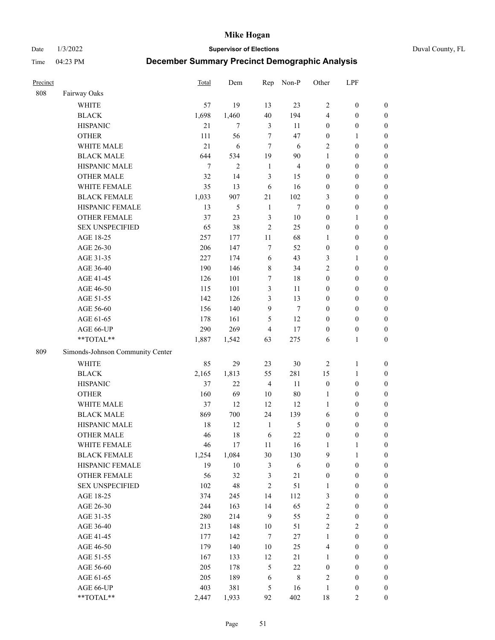#### Date 1/3/2022 **Supervisor of Elections** Duval County, FL

| Precinct |                                  | Total          | Dem    | Rep            | Non-P          | Other            | LPF              |                  |
|----------|----------------------------------|----------------|--------|----------------|----------------|------------------|------------------|------------------|
| 808      | Fairway Oaks                     |                |        |                |                |                  |                  |                  |
|          | <b>WHITE</b>                     | 57             | 19     | 13             | 23             | $\sqrt{2}$       | $\boldsymbol{0}$ | $\boldsymbol{0}$ |
|          | <b>BLACK</b>                     | 1,698          | 1,460  | 40             | 194            | 4                | $\boldsymbol{0}$ | $\boldsymbol{0}$ |
|          | <b>HISPANIC</b>                  | 21             | $\tau$ | $\mathfrak{Z}$ | 11             | $\boldsymbol{0}$ | $\boldsymbol{0}$ | $\boldsymbol{0}$ |
|          | <b>OTHER</b>                     | 111            | 56     | 7              | 47             | $\boldsymbol{0}$ | 1                | $\boldsymbol{0}$ |
|          | WHITE MALE                       | 21             | 6      | 7              | 6              | 2                | $\boldsymbol{0}$ | $\boldsymbol{0}$ |
|          | <b>BLACK MALE</b>                | 644            | 534    | 19             | $90\,$         | $\mathbf{1}$     | $\boldsymbol{0}$ | $\boldsymbol{0}$ |
|          | HISPANIC MALE                    | $\overline{7}$ | 2      | $\mathbf{1}$   | $\overline{4}$ | $\boldsymbol{0}$ | $\boldsymbol{0}$ | $\boldsymbol{0}$ |
|          | <b>OTHER MALE</b>                | 32             | 14     | 3              | 15             | $\boldsymbol{0}$ | $\boldsymbol{0}$ | 0                |
|          | WHITE FEMALE                     | 35             | 13     | 6              | 16             | $\boldsymbol{0}$ | $\boldsymbol{0}$ | $\boldsymbol{0}$ |
|          | <b>BLACK FEMALE</b>              | 1,033          | 907    | 21             | 102            | 3                | $\boldsymbol{0}$ | $\boldsymbol{0}$ |
|          | HISPANIC FEMALE                  | 13             | 5      | $\mathbf{1}$   | $\overline{7}$ | $\boldsymbol{0}$ | $\boldsymbol{0}$ | $\boldsymbol{0}$ |
|          | OTHER FEMALE                     | 37             | 23     | $\mathfrak{Z}$ | $10\,$         | $\boldsymbol{0}$ | $\mathbf{1}$     | $\boldsymbol{0}$ |
|          | <b>SEX UNSPECIFIED</b>           | 65             | 38     | $\overline{2}$ | 25             | $\boldsymbol{0}$ | $\boldsymbol{0}$ | $\boldsymbol{0}$ |
|          | AGE 18-25                        | 257            | 177    | 11             | 68             | $\mathbf{1}$     | $\boldsymbol{0}$ | $\boldsymbol{0}$ |
|          | AGE 26-30                        | 206            | 147    | 7              | 52             | $\boldsymbol{0}$ | $\boldsymbol{0}$ | $\boldsymbol{0}$ |
|          | AGE 31-35                        | 227            | 174    | 6              | 43             | 3                | 1                | $\boldsymbol{0}$ |
|          | AGE 36-40                        | 190            | 146    | $\,$ 8 $\,$    | 34             | $\overline{c}$   | $\boldsymbol{0}$ | $\boldsymbol{0}$ |
|          | AGE 41-45                        | 126            | 101    | $\tau$         | 18             | $\boldsymbol{0}$ | $\boldsymbol{0}$ | 0                |
|          | AGE 46-50                        | 115            | 101    | $\mathfrak{Z}$ | 11             | $\boldsymbol{0}$ | $\boldsymbol{0}$ | 0                |
|          | AGE 51-55                        | 142            | 126    | 3              | 13             | $\boldsymbol{0}$ | $\boldsymbol{0}$ | $\boldsymbol{0}$ |
|          | AGE 56-60                        | 156            | 140    | 9              | $\tau$         | $\boldsymbol{0}$ | $\boldsymbol{0}$ | $\boldsymbol{0}$ |
|          | AGE 61-65                        | 178            | 161    | 5              | 12             | $\boldsymbol{0}$ | $\boldsymbol{0}$ | $\boldsymbol{0}$ |
|          | AGE 66-UP                        | 290            | 269    | $\overline{4}$ | 17             | $\boldsymbol{0}$ | $\boldsymbol{0}$ | $\boldsymbol{0}$ |
|          | **TOTAL**                        | 1,887          | 1,542  | 63             | 275            | 6                | $\mathbf{1}$     | $\boldsymbol{0}$ |
| 809      | Simonds-Johnson Community Center |                |        |                |                |                  |                  |                  |
|          | <b>WHITE</b>                     | 85             | 29     | 23             | $30\,$         | $\sqrt{2}$       | $\mathbf{1}$     | $\boldsymbol{0}$ |
|          | <b>BLACK</b>                     | 2,165          | 1,813  | 55             | 281            | 15               | $\mathbf{1}$     | $\boldsymbol{0}$ |
|          | <b>HISPANIC</b>                  | 37             | 22     | $\overline{4}$ | $11\,$         | $\boldsymbol{0}$ | $\boldsymbol{0}$ | $\boldsymbol{0}$ |
|          | <b>OTHER</b>                     | 160            | 69     | $10\,$         | $80\,$         | $\mathbf{1}$     | $\boldsymbol{0}$ | $\boldsymbol{0}$ |
|          | WHITE MALE                       | 37             | 12     | 12             | 12             | $\mathbf{1}$     | $\boldsymbol{0}$ | 0                |
|          | <b>BLACK MALE</b>                | 869            | 700    | 24             | 139            | 6                | $\boldsymbol{0}$ | 0                |
|          | HISPANIC MALE                    | 18             | 12     | $\mathbf{1}$   | 5              | $\boldsymbol{0}$ | $\boldsymbol{0}$ | $\boldsymbol{0}$ |
|          | OTHER MALE                       | 46             | 18     | 6              | $22\,$         | $\boldsymbol{0}$ | $\boldsymbol{0}$ | $\boldsymbol{0}$ |
|          | WHITE FEMALE                     | 46             | $17\,$ | 11             | 16             | $\mathbf{1}$     | $\mathbf{1}$     | $\boldsymbol{0}$ |
|          | <b>BLACK FEMALE</b>              | 1,254          | 1,084  | 30             | 130            | 9                | $\mathbf{1}$     | $\boldsymbol{0}$ |
|          | HISPANIC FEMALE                  | 19             | $10\,$ | 3              | $\sqrt{6}$     | $\boldsymbol{0}$ | $\boldsymbol{0}$ | $\overline{0}$   |
|          | <b>OTHER FEMALE</b>              | 56             | 32     | 3              | $21\,$         | $\boldsymbol{0}$ | $\boldsymbol{0}$ | $\overline{0}$   |
|          | <b>SEX UNSPECIFIED</b>           | 102            | 48     | $\overline{c}$ | 51             | $\mathbf{1}$     | $\boldsymbol{0}$ | $\overline{0}$   |
|          | AGE 18-25                        | 374            | 245    | 14             | 112            | 3                | $\boldsymbol{0}$ | $\overline{0}$   |
|          | AGE 26-30                        | 244            | 163    | 14             | 65             | $\overline{c}$   | $\boldsymbol{0}$ | 0                |
|          | AGE 31-35                        | 280            | 214    | 9              | 55             | $\overline{c}$   | $\boldsymbol{0}$ | 0                |
|          | AGE 36-40                        | 213            | 148    | $10\,$         | 51             | $\sqrt{2}$       | $\sqrt{2}$       | $\boldsymbol{0}$ |
|          | AGE 41-45                        | 177            | 142    | $\tau$         | $27\,$         | $\mathbf{1}$     | $\boldsymbol{0}$ | $\boldsymbol{0}$ |
|          | AGE 46-50                        | 179            | 140    | 10             | 25             | 4                | $\boldsymbol{0}$ | $\boldsymbol{0}$ |
|          | AGE 51-55                        | 167            | 133    | 12             | 21             | $\mathbf{1}$     | $\boldsymbol{0}$ | $\boldsymbol{0}$ |
|          | AGE 56-60                        | 205            | 178    | 5              | $22\,$         | $\boldsymbol{0}$ | $\boldsymbol{0}$ | $\boldsymbol{0}$ |
|          | AGE 61-65                        | 205            | 189    | 6              | $\,$ 8 $\,$    | 2                | $\boldsymbol{0}$ | $\overline{0}$   |
|          | AGE 66-UP                        | 403            | 381    | 5              | 16             | $\mathbf{1}$     | $\boldsymbol{0}$ | $\overline{0}$   |
|          | **TOTAL**                        | 2,447          | 1,933  | 92             | 402            | 18               | $\mathbf{2}$     | $\boldsymbol{0}$ |
|          |                                  |                |        |                |                |                  |                  |                  |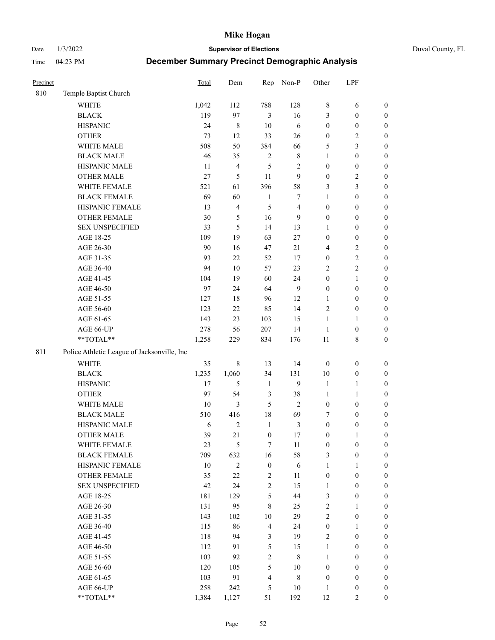Date 1/3/2022 **Supervisor of Elections** Duval County, FL

| Precinct |                                             | Total  | Dem                     | Rep                     | Non-P          | Other            | LPF              |                  |
|----------|---------------------------------------------|--------|-------------------------|-------------------------|----------------|------------------|------------------|------------------|
| 810      | Temple Baptist Church                       |        |                         |                         |                |                  |                  |                  |
|          | <b>WHITE</b>                                | 1,042  | 112                     | 788                     | 128            | 8                | 6                | 0                |
|          | <b>BLACK</b>                                | 119    | 97                      | 3                       | 16             | 3                | $\boldsymbol{0}$ | $\boldsymbol{0}$ |
|          | <b>HISPANIC</b>                             | 24     | 8                       | 10                      | 6              | $\boldsymbol{0}$ | $\boldsymbol{0}$ | $\boldsymbol{0}$ |
|          | <b>OTHER</b>                                | 73     | 12                      | 33                      | 26             | $\boldsymbol{0}$ | $\sqrt{2}$       | $\boldsymbol{0}$ |
|          | WHITE MALE                                  | 508    | 50                      | 384                     | 66             | 5                | $\mathfrak{Z}$   | $\boldsymbol{0}$ |
|          | <b>BLACK MALE</b>                           | 46     | 35                      | $\sqrt{2}$              | $8\,$          | $\mathbf{1}$     | $\boldsymbol{0}$ | $\boldsymbol{0}$ |
|          | HISPANIC MALE                               | 11     | $\overline{\mathbf{4}}$ | 5                       | $\sqrt{2}$     | $\boldsymbol{0}$ | $\boldsymbol{0}$ | $\boldsymbol{0}$ |
|          | <b>OTHER MALE</b>                           | 27     | $\mathfrak s$           | 11                      | 9              | $\boldsymbol{0}$ | $\overline{2}$   | $\boldsymbol{0}$ |
|          | WHITE FEMALE                                | 521    | 61                      | 396                     | 58             | 3                | $\mathfrak{Z}$   | $\boldsymbol{0}$ |
|          | <b>BLACK FEMALE</b>                         | 69     | 60                      | $\mathbf{1}$            | 7              | $\mathbf{1}$     | $\boldsymbol{0}$ | $\boldsymbol{0}$ |
|          | HISPANIC FEMALE                             | 13     | $\overline{\mathbf{4}}$ | 5                       | $\overline{4}$ | $\boldsymbol{0}$ | $\boldsymbol{0}$ | 0                |
|          | OTHER FEMALE                                | 30     | $\mathfrak{S}$          | 16                      | 9              | $\boldsymbol{0}$ | $\boldsymbol{0}$ | $\boldsymbol{0}$ |
|          | <b>SEX UNSPECIFIED</b>                      | 33     | 5                       | 14                      | 13             | $\mathbf{1}$     | $\boldsymbol{0}$ | $\boldsymbol{0}$ |
|          | AGE 18-25                                   | 109    | 19                      | 63                      | $27\,$         | $\boldsymbol{0}$ | $\boldsymbol{0}$ | $\boldsymbol{0}$ |
|          | AGE 26-30                                   | 90     | 16                      | 47                      | 21             | 4                | $\sqrt{2}$       | $\boldsymbol{0}$ |
|          | AGE 31-35                                   | 93     | 22                      | 52                      | 17             | $\boldsymbol{0}$ | $\sqrt{2}$       | $\boldsymbol{0}$ |
|          | AGE 36-40                                   | 94     | $10\,$                  | 57                      | 23             | 2                | $\sqrt{2}$       | $\boldsymbol{0}$ |
|          | AGE 41-45                                   | 104    | 19                      | 60                      | 24             | $\boldsymbol{0}$ | $\mathbf{1}$     | $\boldsymbol{0}$ |
|          | AGE 46-50                                   | 97     | 24                      | 64                      | $\overline{9}$ | $\boldsymbol{0}$ | $\boldsymbol{0}$ | $\boldsymbol{0}$ |
|          | AGE 51-55                                   | 127    | $18\,$                  | 96                      | 12             | 1                | $\boldsymbol{0}$ | $\boldsymbol{0}$ |
|          | AGE 56-60                                   | 123    | 22                      | 85                      | 14             | $\mathbf{2}$     | $\boldsymbol{0}$ | 0                |
|          | AGE 61-65                                   | 143    | 23                      | 103                     | 15             | $\mathbf{1}$     | $\mathbf{1}$     | 0                |
|          | AGE 66-UP                                   | 278    | 56                      | 207                     | 14             | $\mathbf{1}$     | $\boldsymbol{0}$ | $\boldsymbol{0}$ |
|          | **TOTAL**                                   | 1,258  | 229                     | 834                     | 176            | $11\,$           | $8\,$            | $\boldsymbol{0}$ |
| 811      | Police Athletic League of Jacksonville, Inc |        |                         |                         |                |                  |                  |                  |
|          | WHITE                                       |        |                         |                         |                |                  |                  |                  |
|          |                                             | 35     | $8\,$                   | 13                      | 14             | $\boldsymbol{0}$ | $\boldsymbol{0}$ | $\boldsymbol{0}$ |
|          | <b>BLACK</b>                                | 1,235  | 1,060                   | 34                      | 131            | 10               | $\boldsymbol{0}$ | $\boldsymbol{0}$ |
|          | <b>HISPANIC</b>                             | 17     | 5                       | $\mathbf{1}$            | 9              | $\mathbf{1}$     | $\mathbf{1}$     | $\boldsymbol{0}$ |
|          | <b>OTHER</b>                                | 97     | 54                      | $\mathfrak{Z}$          | 38             | $\mathbf{1}$     | $\mathbf{1}$     | $\boldsymbol{0}$ |
|          | WHITE MALE                                  | $10\,$ | 3                       | 5                       | $\overline{2}$ | $\boldsymbol{0}$ | $\boldsymbol{0}$ | $\boldsymbol{0}$ |
|          | <b>BLACK MALE</b>                           | 510    | 416                     | 18                      | 69             | 7                | $\boldsymbol{0}$ | $\boldsymbol{0}$ |
|          | HISPANIC MALE                               | 6      | $\mathbf{2}$            | $\mathbf{1}$            | $\mathfrak{Z}$ | $\boldsymbol{0}$ | $\boldsymbol{0}$ | $\boldsymbol{0}$ |
|          | <b>OTHER MALE</b>                           | 39     | 21                      | $\boldsymbol{0}$        | $17\,$         | $\boldsymbol{0}$ | $\mathbf{1}$     | $\boldsymbol{0}$ |
|          | WHITE FEMALE                                | 23     | 5                       | 7                       | 11             | $\boldsymbol{0}$ | $\boldsymbol{0}$ | 0                |
|          | <b>BLACK FEMALE</b>                         | 709    | 632                     | 16                      | 58             | 3                | $\boldsymbol{0}$ | $\boldsymbol{0}$ |
|          | HISPANIC FEMALE                             | $10\,$ | $\sqrt{2}$              | $\boldsymbol{0}$        | $\sqrt{6}$     | $\mathbf{1}$     | $\mathbf{1}$     | $\boldsymbol{0}$ |
|          | OTHER FEMALE                                | 35     | $22\,$                  | $\sqrt{2}$              | 11             | $\boldsymbol{0}$ | $\boldsymbol{0}$ | $\overline{0}$   |
|          | <b>SEX UNSPECIFIED</b>                      | 42     | 24                      | 2                       | 15             | $\mathbf{1}$     | $\boldsymbol{0}$ | $\overline{0}$   |
|          | AGE 18-25                                   | 181    | 129                     | 5                       | 44             | 3                | $\boldsymbol{0}$ | $\overline{0}$   |
|          | AGE 26-30                                   | 131    | 95                      | $\,$ 8 $\,$             | 25             | 2                | $\mathbf{1}$     | $\overline{0}$   |
|          | AGE 31-35                                   | 143    | 102                     | 10                      | 29             | $\overline{c}$   | $\boldsymbol{0}$ | 0                |
|          | AGE 36-40                                   | 115    | 86                      | $\overline{\mathbf{4}}$ | 24             | $\boldsymbol{0}$ | $\mathbf{1}$     | 0                |
|          | AGE 41-45                                   | 118    | 94                      | 3                       | 19             | 2                | $\boldsymbol{0}$ | 0                |
|          | AGE 46-50                                   | 112    | 91                      | 5                       | 15             | $\mathbf{1}$     | $\boldsymbol{0}$ | 0                |
|          | AGE 51-55                                   | 103    | 92                      | $\mathbf{2}$            | $\,$ 8 $\,$    | $\mathbf{1}$     | $\boldsymbol{0}$ | $\boldsymbol{0}$ |
|          | AGE 56-60                                   | 120    | 105                     | 5                       | $10\,$         | $\boldsymbol{0}$ | $\boldsymbol{0}$ | $\boldsymbol{0}$ |
|          | AGE 61-65                                   | 103    | 91                      | $\overline{4}$          | $\,$ 8 $\,$    | $\boldsymbol{0}$ | $\boldsymbol{0}$ | $\boldsymbol{0}$ |
|          | AGE 66-UP                                   | 258    | 242                     | 5                       | $10\,$         | $\mathbf{1}$     | $\boldsymbol{0}$ | $\boldsymbol{0}$ |
|          | **TOTAL**                                   | 1,384  | 1,127                   | 51                      | 192            | 12               | $\overline{2}$   | $\boldsymbol{0}$ |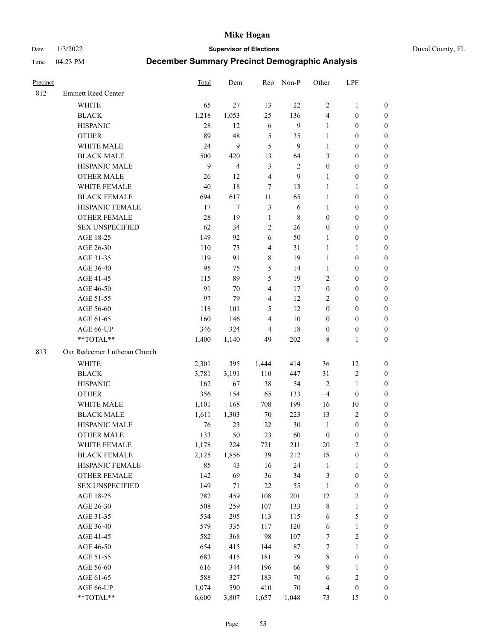Date 1/3/2022 **Supervisor of Elections** Duval County, FL

| Precinct |                              | <b>Total</b> | Dem    | Rep            | Non-P        | Other            | LPF              |                  |
|----------|------------------------------|--------------|--------|----------------|--------------|------------------|------------------|------------------|
| 812      | <b>Emmett Reed Center</b>    |              |        |                |              |                  |                  |                  |
|          | <b>WHITE</b>                 | 65           | 27     | 13             | 22           | $\overline{2}$   | $\mathbf{1}$     | 0                |
|          | <b>BLACK</b>                 | 1,218        | 1,053  | 25             | 136          | $\overline{4}$   | $\boldsymbol{0}$ | 0                |
|          | <b>HISPANIC</b>              | 28           | 12     | 6              | 9            | $\mathbf{1}$     | $\boldsymbol{0}$ | $\boldsymbol{0}$ |
|          | <b>OTHER</b>                 | 89           | 48     | $\sqrt{5}$     | 35           | 1                | $\boldsymbol{0}$ | $\boldsymbol{0}$ |
|          | WHITE MALE                   | 24           | 9      | 5              | 9            | $\mathbf{1}$     | $\boldsymbol{0}$ | $\boldsymbol{0}$ |
|          | <b>BLACK MALE</b>            | 500          | 420    | 13             | 64           | 3                | $\boldsymbol{0}$ | $\boldsymbol{0}$ |
|          | HISPANIC MALE                | 9            | 4      | $\mathfrak{Z}$ | $\mathbf{2}$ | $\boldsymbol{0}$ | $\boldsymbol{0}$ | $\boldsymbol{0}$ |
|          | <b>OTHER MALE</b>            | 26           | 12     | $\overline{4}$ | 9            | $\mathbf{1}$     | $\boldsymbol{0}$ | $\boldsymbol{0}$ |
|          | WHITE FEMALE                 | 40           | 18     | $\tau$         | 13           | $\mathbf{1}$     | $\mathbf{1}$     | $\boldsymbol{0}$ |
|          | <b>BLACK FEMALE</b>          | 694          | 617    | 11             | 65           | $\mathbf{1}$     | $\boldsymbol{0}$ | 0                |
|          | HISPANIC FEMALE              | 17           | $\tau$ | $\mathfrak{Z}$ | 6            | $\mathbf{1}$     | $\boldsymbol{0}$ | 0                |
|          | <b>OTHER FEMALE</b>          | 28           | 19     | $\mathbf{1}$   | 8            | $\boldsymbol{0}$ | $\boldsymbol{0}$ | 0                |
|          | <b>SEX UNSPECIFIED</b>       | 62           | 34     | $\sqrt{2}$     | 26           | $\boldsymbol{0}$ | $\boldsymbol{0}$ | $\boldsymbol{0}$ |
|          | AGE 18-25                    | 149          | 92     | 6              | 50           | 1                | $\boldsymbol{0}$ | $\boldsymbol{0}$ |
|          | AGE 26-30                    | 110          | 73     | $\overline{4}$ | 31           | $\mathbf{1}$     | $\mathbf{1}$     | $\boldsymbol{0}$ |
|          | AGE 31-35                    | 119          | 91     | $\,8\,$        | 19           | $\mathbf{1}$     | $\boldsymbol{0}$ | $\boldsymbol{0}$ |
|          | AGE 36-40                    | 95           | 75     | $\mathfrak{S}$ | 14           | $\mathbf{1}$     | $\boldsymbol{0}$ | $\boldsymbol{0}$ |
|          | AGE 41-45                    | 115          | 89     | $\mathfrak{S}$ | 19           | $\mathbf{2}$     | $\boldsymbol{0}$ | $\boldsymbol{0}$ |
|          | AGE 46-50                    | 91           | 70     | $\overline{4}$ | 17           | $\boldsymbol{0}$ | $\boldsymbol{0}$ | $\boldsymbol{0}$ |
|          | AGE 51-55                    | 97           | 79     | $\overline{4}$ | 12           | $\overline{c}$   | $\boldsymbol{0}$ | $\boldsymbol{0}$ |
|          | AGE 56-60                    | 118          | 101    | 5              | 12           | $\boldsymbol{0}$ | $\boldsymbol{0}$ | 0                |
|          | AGE 61-65                    | 160          | 146    | $\overline{4}$ | 10           | $\boldsymbol{0}$ | $\boldsymbol{0}$ | 0                |
|          | AGE 66-UP                    | 346          | 324    | 4              | 18           | $\boldsymbol{0}$ | $\boldsymbol{0}$ | $\boldsymbol{0}$ |
|          | **TOTAL**                    | 1,400        | 1,140  | 49             | 202          | 8                | $\mathbf{1}$     | $\boldsymbol{0}$ |
| 813      | Our Redeemer Lutheran Church |              |        |                |              |                  |                  |                  |
|          | <b>WHITE</b>                 | 2,301        | 395    | 1,444          | 414          | 36               | 12               | $\boldsymbol{0}$ |
|          | <b>BLACK</b>                 | 3,781        | 3,191  | 110            | 447          | 31               | $\sqrt{2}$       | $\boldsymbol{0}$ |
|          | <b>HISPANIC</b>              | 162          | 67     | 38             | 54           | 2                | $\mathbf{1}$     | $\boldsymbol{0}$ |
|          | <b>OTHER</b>                 | 356          | 154    | 65             | 133          | $\overline{4}$   | $\boldsymbol{0}$ | $\boldsymbol{0}$ |
|          | WHITE MALE                   | 1,101        | 168    | 708            | 199          | 16               | $10\,$           | $\boldsymbol{0}$ |
|          | <b>BLACK MALE</b>            | 1,611        | 1,303  | 70             | 223          | 13               | $\mathbf{2}$     | $\boldsymbol{0}$ |
|          | HISPANIC MALE                | 76           | 23     | 22             | 30           | $\mathbf{1}$     | $\boldsymbol{0}$ | 0                |
|          | <b>OTHER MALE</b>            | 133          | 50     | 23             | 60           | $\boldsymbol{0}$ | $\boldsymbol{0}$ | 0                |
|          | WHITE FEMALE                 | 1,178        | 224    | 721            | 211          | 20               | 2                | 0                |
|          | <b>BLACK FEMALE</b>          | 2,125        | 1,856  | 39             | 212          | 18               | $\boldsymbol{0}$ | $\boldsymbol{0}$ |
|          | HISPANIC FEMALE              | 85           | 43     | 16             | 24           | $\mathbf{1}$     | $\mathbf{1}$     | $\boldsymbol{0}$ |
|          | OTHER FEMALE                 | 142          | 69     | 36             | 34           | $\mathfrak{Z}$   | $\boldsymbol{0}$ | $\overline{0}$   |
|          | <b>SEX UNSPECIFIED</b>       | 149          | 71     | $22\,$         | 55           | $\mathbf{1}$     | $\boldsymbol{0}$ | 0                |
|          | AGE 18-25                    | 782          | 459    | 108            | 201          | 12               | $\sqrt{2}$       | 0                |
|          | AGE 26-30                    | 508          | 259    | 107            | 133          | $\,$ 8 $\,$      | $\mathbf{1}$     | 0                |
|          | AGE 31-35                    | 534          | 295    | 113            | 115          | 6                | $\mathfrak{S}$   | 0                |
|          | AGE 36-40                    | 579          | 335    | 117            | 120          | 6                | $\mathbf{1}$     | 0                |
|          | AGE 41-45                    | 582          | 368    | 98             | 107          | 7                | $\sqrt{2}$       | 0                |
|          | AGE 46-50                    | 654          | 415    | 144            | $87\,$       | 7                | $\mathbf{1}$     | 0                |
|          | AGE 51-55                    | 683          | 415    | 181            | 79           | 8                | $\boldsymbol{0}$ | 0                |
|          | AGE 56-60                    | 616          | 344    | 196            | 66           | 9                | $\mathbf{1}$     | 0                |
|          | AGE 61-65                    | 588          | 327    | 183            | $70\,$       | 6                | $\sqrt{2}$       | 0                |
|          | AGE 66-UP                    | 1,074        | 590    | 410            | $70\,$       | $\overline{4}$   | $\boldsymbol{0}$ | $\boldsymbol{0}$ |
|          | **TOTAL**                    | 6,600        | 3,807  | 1,657          | 1,048        | 73               | 15               | $\boldsymbol{0}$ |
|          |                              |              |        |                |              |                  |                  |                  |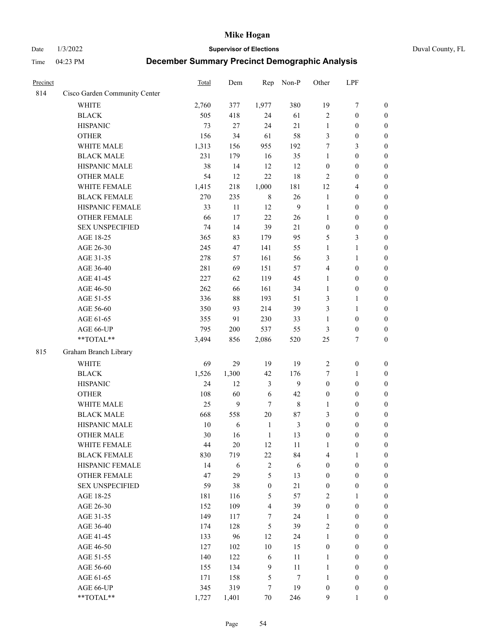Date 1/3/2022 **Supervisor of Elections** Duval County, FL

| Precinct |                               | Total | Dem   | Rep                     | Non-P          | Other            | LPF              |                  |
|----------|-------------------------------|-------|-------|-------------------------|----------------|------------------|------------------|------------------|
| 814      | Cisco Garden Community Center |       |       |                         |                |                  |                  |                  |
|          | <b>WHITE</b>                  | 2,760 | 377   | 1,977                   | 380            | 19               | $\tau$           | $\boldsymbol{0}$ |
|          | <b>BLACK</b>                  | 505   | 418   | 24                      | 61             | $\sqrt{2}$       | $\boldsymbol{0}$ | $\boldsymbol{0}$ |
|          | <b>HISPANIC</b>               | 73    | 27    | 24                      | 21             | $\mathbf{1}$     | $\boldsymbol{0}$ | $\boldsymbol{0}$ |
|          | <b>OTHER</b>                  | 156   | 34    | 61                      | 58             | 3                | $\boldsymbol{0}$ | $\boldsymbol{0}$ |
|          | WHITE MALE                    | 1,313 | 156   | 955                     | 192            | 7                | 3                | $\boldsymbol{0}$ |
|          | <b>BLACK MALE</b>             | 231   | 179   | 16                      | 35             | $\mathbf{1}$     | $\boldsymbol{0}$ | $\boldsymbol{0}$ |
|          | HISPANIC MALE                 | 38    | 14    | 12                      | 12             | $\boldsymbol{0}$ | $\boldsymbol{0}$ | $\boldsymbol{0}$ |
|          | <b>OTHER MALE</b>             | 54    | 12    | 22                      | 18             | $\mathfrak{2}$   | $\boldsymbol{0}$ | $\boldsymbol{0}$ |
|          | WHITE FEMALE                  | 1,415 | 218   | 1,000                   | 181            | 12               | $\overline{4}$   | $\boldsymbol{0}$ |
|          | <b>BLACK FEMALE</b>           | 270   | 235   | $\,8\,$                 | 26             | $\mathbf{1}$     | $\boldsymbol{0}$ | 0                |
|          | HISPANIC FEMALE               | 33    | 11    | 12                      | $\overline{9}$ | $\mathbf{1}$     | $\boldsymbol{0}$ | $\boldsymbol{0}$ |
|          | OTHER FEMALE                  | 66    | 17    | 22                      | 26             | $\mathbf{1}$     | $\boldsymbol{0}$ | $\boldsymbol{0}$ |
|          | <b>SEX UNSPECIFIED</b>        | 74    | 14    | 39                      | 21             | $\boldsymbol{0}$ | $\boldsymbol{0}$ | $\boldsymbol{0}$ |
|          | AGE 18-25                     | 365   | 83    | 179                     | 95             | 5                | $\mathfrak{Z}$   | $\boldsymbol{0}$ |
|          | AGE 26-30                     | 245   | 47    | 141                     | 55             | $\mathbf{1}$     | $\mathbf{1}$     | $\boldsymbol{0}$ |
|          | AGE 31-35                     | 278   | 57    | 161                     | 56             | 3                | $\mathbf{1}$     | $\boldsymbol{0}$ |
|          | AGE 36-40                     | 281   | 69    | 151                     | 57             | 4                | $\boldsymbol{0}$ | $\boldsymbol{0}$ |
|          | AGE 41-45                     | 227   | 62    | 119                     | 45             | $\mathbf{1}$     | $\boldsymbol{0}$ | $\boldsymbol{0}$ |
|          | AGE 46-50                     | 262   | 66    | 161                     | 34             | $\mathbf{1}$     | $\boldsymbol{0}$ | $\boldsymbol{0}$ |
|          | AGE 51-55                     | 336   | 88    | 193                     | 51             | 3                | $\mathbf{1}$     | 0                |
|          | AGE 56-60                     | 350   | 93    | 214                     | 39             | 3                | $\mathbf{1}$     | $\boldsymbol{0}$ |
|          | AGE 61-65                     | 355   | 91    | 230                     | 33             | $\mathbf{1}$     | $\boldsymbol{0}$ | $\boldsymbol{0}$ |
|          | AGE 66-UP                     | 795   | 200   | 537                     | 55             | 3                | $\boldsymbol{0}$ | $\boldsymbol{0}$ |
|          | **TOTAL**                     | 3,494 | 856   | 2,086                   | 520            | 25               | $\tau$           | $\boldsymbol{0}$ |
| 815      | Graham Branch Library         |       |       |                         |                |                  |                  |                  |
|          | <b>WHITE</b>                  | 69    | 29    | 19                      | 19             | $\sqrt{2}$       | $\boldsymbol{0}$ | $\boldsymbol{0}$ |
|          | <b>BLACK</b>                  | 1,526 | 1,300 | 42                      | 176            | 7                | $\mathbf{1}$     | $\boldsymbol{0}$ |
|          | <b>HISPANIC</b>               | 24    | 12    | 3                       | 9              | $\boldsymbol{0}$ | $\boldsymbol{0}$ | $\boldsymbol{0}$ |
|          | <b>OTHER</b>                  | 108   | 60    | 6                       | 42             | $\boldsymbol{0}$ | $\boldsymbol{0}$ | $\boldsymbol{0}$ |
|          | WHITE MALE                    | 25    | 9     | $\tau$                  | $\,$ 8 $\,$    | $\mathbf{1}$     | $\boldsymbol{0}$ | $\boldsymbol{0}$ |
|          | <b>BLACK MALE</b>             | 668   | 558   | $20\,$                  | $87\,$         | 3                | $\boldsymbol{0}$ | $\boldsymbol{0}$ |
|          | HISPANIC MALE                 | 10    | 6     | $\mathbf{1}$            | $\mathfrak{Z}$ | $\boldsymbol{0}$ | $\boldsymbol{0}$ | 0                |
|          | <b>OTHER MALE</b>             | 30    | 16    | $\mathbf{1}$            | 13             | $\boldsymbol{0}$ | $\boldsymbol{0}$ | $\boldsymbol{0}$ |
|          | WHITE FEMALE                  | 44    | 20    | 12                      | 11             | 1                | $\boldsymbol{0}$ | $\boldsymbol{0}$ |
|          | <b>BLACK FEMALE</b>           | 830   | 719   | 22                      | 84             | 4                | 1                | $\boldsymbol{0}$ |
|          | HISPANIC FEMALE               | 14    | 6     | $\sqrt{2}$              | $\sqrt{6}$     | $\boldsymbol{0}$ | $\boldsymbol{0}$ | $\overline{0}$   |
|          | <b>OTHER FEMALE</b>           | 47    | 29    | 5                       | 13             | $\boldsymbol{0}$ | $\boldsymbol{0}$ | $\overline{0}$   |
|          | <b>SEX UNSPECIFIED</b>        | 59    | 38    | $\boldsymbol{0}$        | 21             | $\boldsymbol{0}$ | $\boldsymbol{0}$ | $\overline{0}$   |
|          | AGE 18-25                     | 181   | 116   | 5                       | 57             | 2                | $\mathbf{1}$     | $\overline{0}$   |
|          | AGE 26-30                     | 152   | 109   | $\overline{\mathbf{4}}$ | 39             | $\boldsymbol{0}$ | $\boldsymbol{0}$ | $\overline{0}$   |
|          | AGE 31-35                     | 149   | 117   | 7                       | 24             | $\mathbf{1}$     | $\boldsymbol{0}$ | 0                |
|          | AGE 36-40                     | 174   | 128   | 5                       | 39             | 2                | $\boldsymbol{0}$ | 0                |
|          | AGE 41-45                     | 133   | 96    | 12                      | 24             | $\mathbf{1}$     | $\boldsymbol{0}$ | 0                |
|          | AGE 46-50                     | 127   | 102   | 10                      | 15             | $\boldsymbol{0}$ | $\boldsymbol{0}$ | $\overline{0}$   |
|          | AGE 51-55                     | 140   | 122   | 6                       | 11             | 1                | $\boldsymbol{0}$ | $\boldsymbol{0}$ |
|          | AGE 56-60                     | 155   | 134   | 9                       | $11\,$         | $\mathbf{1}$     | $\boldsymbol{0}$ | $\boldsymbol{0}$ |
|          | AGE 61-65                     | 171   | 158   | 5                       | $\tau$         | $\mathbf{1}$     | $\boldsymbol{0}$ | $\boldsymbol{0}$ |
|          | AGE 66-UP                     | 345   | 319   | 7                       | 19             | $\boldsymbol{0}$ | $\boldsymbol{0}$ | $\boldsymbol{0}$ |
|          | **TOTAL**                     | 1,727 | 1,401 | $70\,$                  | 246            | 9                | 1                | $\overline{0}$   |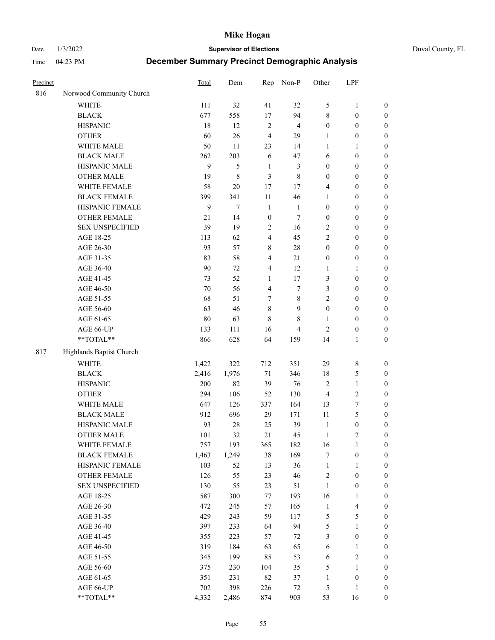Date 1/3/2022 **Supervisor of Elections** Duval County, FL

| Precinct |                          | <b>Total</b> | Dem    | Rep                     | Non-P          | Other            | LPF              |                  |
|----------|--------------------------|--------------|--------|-------------------------|----------------|------------------|------------------|------------------|
| 816      | Norwood Community Church |              |        |                         |                |                  |                  |                  |
|          | <b>WHITE</b>             | 111          | 32     | 41                      | 32             | 5                | $\mathbf{1}$     | 0                |
|          | <b>BLACK</b>             | 677          | 558    | 17                      | 94             | 8                | $\boldsymbol{0}$ | $\boldsymbol{0}$ |
|          | <b>HISPANIC</b>          | 18           | 12     | $\sqrt{2}$              | $\overline{4}$ | $\boldsymbol{0}$ | $\boldsymbol{0}$ | $\boldsymbol{0}$ |
|          | <b>OTHER</b>             | 60           | 26     | $\overline{4}$          | 29             | 1                | $\boldsymbol{0}$ | $\boldsymbol{0}$ |
|          | WHITE MALE               | 50           | 11     | 23                      | 14             | $\mathbf{1}$     | 1                | $\boldsymbol{0}$ |
|          | <b>BLACK MALE</b>        | 262          | 203    | 6                       | 47             | 6                | $\boldsymbol{0}$ | $\boldsymbol{0}$ |
|          | HISPANIC MALE            | $\mathbf{9}$ | 5      | $\mathbf{1}$            | $\mathfrak{Z}$ | $\boldsymbol{0}$ | $\boldsymbol{0}$ | $\boldsymbol{0}$ |
|          | <b>OTHER MALE</b>        | 19           | 8      | 3                       | $\,$ 8 $\,$    | $\boldsymbol{0}$ | $\boldsymbol{0}$ | $\boldsymbol{0}$ |
|          | WHITE FEMALE             | 58           | $20\,$ | 17                      | 17             | 4                | $\boldsymbol{0}$ | $\boldsymbol{0}$ |
|          | <b>BLACK FEMALE</b>      | 399          | 341    | $11\,$                  | 46             | $\mathbf{1}$     | $\boldsymbol{0}$ | $\boldsymbol{0}$ |
|          | HISPANIC FEMALE          | 9            | $\tau$ | $\mathbf{1}$            | $\mathbf{1}$   | $\boldsymbol{0}$ | $\boldsymbol{0}$ | $\boldsymbol{0}$ |
|          | <b>OTHER FEMALE</b>      | 21           | 14     | $\boldsymbol{0}$        | $\tau$         | $\boldsymbol{0}$ | $\boldsymbol{0}$ | $\boldsymbol{0}$ |
|          | <b>SEX UNSPECIFIED</b>   | 39           | 19     | $\sqrt{2}$              | 16             | $\overline{2}$   | $\boldsymbol{0}$ | $\boldsymbol{0}$ |
|          | AGE 18-25                | 113          | 62     | $\overline{\mathbf{4}}$ | 45             | $\overline{c}$   | $\boldsymbol{0}$ | $\boldsymbol{0}$ |
|          | AGE 26-30                | 93           | 57     | 8                       | $28\,$         | $\boldsymbol{0}$ | $\boldsymbol{0}$ | $\boldsymbol{0}$ |
|          | AGE 31-35                | 83           | 58     | $\overline{\mathbf{4}}$ | 21             | $\boldsymbol{0}$ | $\boldsymbol{0}$ | $\boldsymbol{0}$ |
|          | AGE 36-40                | 90           | 72     | 4                       | 12             | $\mathbf{1}$     | $\mathbf{1}$     | $\boldsymbol{0}$ |
|          | AGE 41-45                | 73           | 52     | $\mathbf{1}$            | 17             | 3                | $\boldsymbol{0}$ | $\boldsymbol{0}$ |
|          | AGE 46-50                | $70\,$       | 56     | $\overline{\mathbf{4}}$ | $\tau$         | 3                | $\boldsymbol{0}$ | $\boldsymbol{0}$ |
|          | AGE 51-55                | 68           | 51     | 7                       | $\,$ 8 $\,$    | 2                | $\boldsymbol{0}$ | $\boldsymbol{0}$ |
|          | AGE 56-60                | 63           | 46     | $\,8\,$                 | 9              | $\boldsymbol{0}$ | $\boldsymbol{0}$ | 0                |
|          | AGE 61-65                | $80\,$       | 63     | 8                       | 8              | 1                | $\boldsymbol{0}$ | $\boldsymbol{0}$ |
|          | AGE 66-UP                | 133          | 111    | 16                      | $\overline{4}$ | $\mathfrak{2}$   | $\boldsymbol{0}$ | $\boldsymbol{0}$ |
|          | **TOTAL**                | 866          | 628    | 64                      | 159            | 14               | $\mathbf{1}$     | $\boldsymbol{0}$ |
| 817      | Highlands Baptist Church |              |        |                         |                |                  |                  |                  |
|          | <b>WHITE</b>             | 1,422        | 322    | 712                     | 351            | 29               | $\,$ $\,$        | $\boldsymbol{0}$ |
|          | <b>BLACK</b>             | 2,416        | 1,976  | 71                      | 346            | 18               | $\mathfrak s$    | $\boldsymbol{0}$ |
|          | <b>HISPANIC</b>          | 200          | 82     | 39                      | 76             | 2                | $\mathbf{1}$     | $\boldsymbol{0}$ |
|          | <b>OTHER</b>             | 294          | 106    | 52                      | 130            | 4                | $\sqrt{2}$       | $\boldsymbol{0}$ |
|          | WHITE MALE               | 647          | 126    | 337                     | 164            | 13               | $\boldsymbol{7}$ | $\boldsymbol{0}$ |
|          | <b>BLACK MALE</b>        | 912          | 696    | 29                      | 171            | $11\,$           | 5                | $\boldsymbol{0}$ |
|          | HISPANIC MALE            | 93           | $28\,$ | 25                      | 39             | $\mathbf{1}$     | $\boldsymbol{0}$ | $\boldsymbol{0}$ |
|          | <b>OTHER MALE</b>        | 101          | 32     | 21                      | 45             | $\mathbf{1}$     | $\mathfrak{2}$   | $\boldsymbol{0}$ |
|          | WHITE FEMALE             | 757          | 193    | 365                     | 182            | 16               | 1                | 0                |
|          | <b>BLACK FEMALE</b>      | 1,463        | 1,249  | 38                      | 169            | 7                | $\boldsymbol{0}$ | $\boldsymbol{0}$ |
|          | HISPANIC FEMALE          | 103          | 52     | 13                      | 36             | $\mathbf{1}$     | $\mathbf{1}$     | $\boldsymbol{0}$ |
|          | OTHER FEMALE             | 126          | 55     | 23                      | 46             | 2                | $\boldsymbol{0}$ | $\overline{0}$   |
|          | <b>SEX UNSPECIFIED</b>   | 130          | 55     | 23                      | 51             | $\mathbf{1}$     | $\boldsymbol{0}$ | 0                |
|          | AGE 18-25                | 587          | 300    | 77                      | 193            | 16               | $\mathbf{1}$     | 0                |
|          | AGE 26-30                | 472          | 245    | 57                      | 165            | $\mathbf{1}$     | $\overline{4}$   | 0                |
|          | AGE 31-35                | 429          | 243    | 59                      | 117            | 5                | $\mathfrak s$    | 0                |
|          | AGE 36-40                | 397          | 233    | 64                      | 94             | 5                | $\mathbf{1}$     | 0                |
|          | AGE 41-45                | 355          | 223    | 57                      | 72             | 3                | $\boldsymbol{0}$ | 0                |
|          | AGE 46-50                | 319          | 184    | 63                      | 65             | 6                | 1                | 0                |
|          | AGE 51-55                |              | 199    | 85                      |                |                  | $\sqrt{2}$       | 0                |
|          | AGE 56-60                | 345<br>375   | 230    | 104                     | 53<br>35       | 6<br>5           | 1                | 0                |
|          | AGE 61-65                | 351          | 231    | 82                      | 37             | $\mathbf{1}$     | $\boldsymbol{0}$ | $\boldsymbol{0}$ |
|          | AGE 66-UP                | 702          | 398    | 226                     | $72\,$         | 5                | $\mathbf{1}$     | 0                |
|          | **TOTAL**                | 4,332        | 2,486  | 874                     | 903            | 53               | 16               | $\boldsymbol{0}$ |
|          |                          |              |        |                         |                |                  |                  |                  |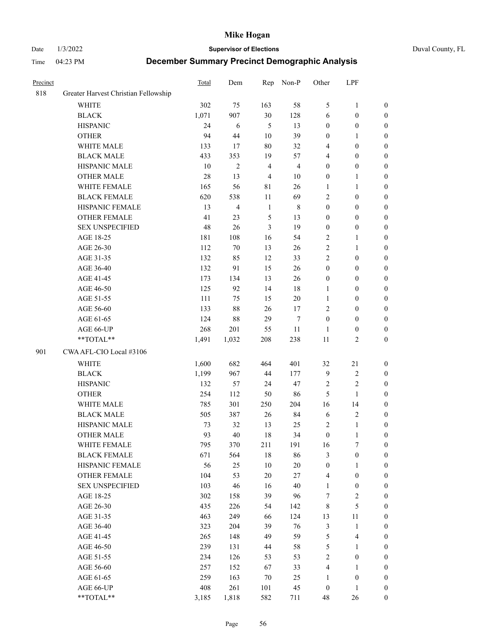Date 1/3/2022 **Supervisor of Elections** Duval County, FL

| Precinct |                                      | Total  | Dem            | Rep            | Non-P          | Other            | LPF                     |                  |
|----------|--------------------------------------|--------|----------------|----------------|----------------|------------------|-------------------------|------------------|
| 818      | Greater Harvest Christian Fellowship |        |                |                |                |                  |                         |                  |
|          | <b>WHITE</b>                         | 302    | 75             | 163            | 58             | 5                | $\mathbf{1}$            | 0                |
|          | <b>BLACK</b>                         | 1,071  | 907            | 30             | 128            | 6                | $\boldsymbol{0}$        | 0                |
|          | <b>HISPANIC</b>                      | 24     | $\sqrt{6}$     | 5              | 13             | $\boldsymbol{0}$ | $\boldsymbol{0}$        | $\boldsymbol{0}$ |
|          | <b>OTHER</b>                         | 94     | 44             | 10             | 39             | $\boldsymbol{0}$ | 1                       | $\boldsymbol{0}$ |
|          | WHITE MALE                           | 133    | 17             | 80             | 32             | 4                | $\boldsymbol{0}$        | $\boldsymbol{0}$ |
|          | <b>BLACK MALE</b>                    | 433    | 353            | 19             | 57             | 4                | $\boldsymbol{0}$        | $\boldsymbol{0}$ |
|          | HISPANIC MALE                        | 10     | $\overline{2}$ | $\overline{4}$ | $\overline{4}$ | $\boldsymbol{0}$ | $\boldsymbol{0}$        | $\boldsymbol{0}$ |
|          | <b>OTHER MALE</b>                    | $28\,$ | 13             | $\overline{4}$ | $10\,$         | $\boldsymbol{0}$ | $\mathbf{1}$            | $\boldsymbol{0}$ |
|          | WHITE FEMALE                         | 165    | 56             | $8\sqrt{1}$    | 26             | 1                | $\mathbf{1}$            | $\boldsymbol{0}$ |
|          | <b>BLACK FEMALE</b>                  | 620    | 538            | 11             | 69             | 2                | $\boldsymbol{0}$        | 0                |
|          | HISPANIC FEMALE                      | 13     | $\overline{4}$ | $\mathbf{1}$   | $\,$ 8 $\,$    | $\boldsymbol{0}$ | $\boldsymbol{0}$        | 0                |
|          | OTHER FEMALE                         | 41     | 23             | 5              | 13             | $\boldsymbol{0}$ | $\boldsymbol{0}$        | $\boldsymbol{0}$ |
|          | <b>SEX UNSPECIFIED</b>               | 48     | 26             | 3              | 19             | $\boldsymbol{0}$ | $\boldsymbol{0}$        | $\boldsymbol{0}$ |
|          | AGE 18-25                            | 181    | 108            | 16             | 54             | $\sqrt{2}$       | $\mathbf{1}$            | $\boldsymbol{0}$ |
|          | AGE 26-30                            | 112    | 70             | 13             | 26             | $\sqrt{2}$       | $\mathbf{1}$            | $\boldsymbol{0}$ |
|          | AGE 31-35                            | 132    | 85             | 12             | 33             | $\sqrt{2}$       | $\boldsymbol{0}$        | $\boldsymbol{0}$ |
|          | AGE 36-40                            | 132    | 91             | 15             | 26             | $\boldsymbol{0}$ | $\boldsymbol{0}$        | $\boldsymbol{0}$ |
|          | AGE 41-45                            | 173    | 134            | 13             | 26             | $\boldsymbol{0}$ | $\boldsymbol{0}$        | $\boldsymbol{0}$ |
|          | AGE 46-50                            | 125    | 92             | 14             | $18\,$         | 1                | $\boldsymbol{0}$        | $\boldsymbol{0}$ |
|          | AGE 51-55                            | 111    | 75             | 15             | $20\,$         | $\mathbf{1}$     | $\boldsymbol{0}$        | $\boldsymbol{0}$ |
|          | AGE 56-60                            | 133    | 88             | 26             | 17             | $\mathbf{2}$     | $\boldsymbol{0}$        | 0                |
|          | AGE 61-65                            | 124    | 88             | 29             | $\tau$         | $\boldsymbol{0}$ | $\boldsymbol{0}$        | 0                |
|          | AGE 66-UP                            | 268    | 201            | 55             | $11\,$         | $\mathbf{1}$     | $\boldsymbol{0}$        | $\boldsymbol{0}$ |
|          | **TOTAL**                            | 1,491  | 1,032          | 208            | 238            | $11\,$           | $\sqrt{2}$              | $\boldsymbol{0}$ |
| 901      | CWA AFL-CIO Local #3106              |        |                |                |                |                  |                         |                  |
|          | <b>WHITE</b>                         | 1,600  | 682            | 464            | 401            | 32               | 21                      | $\boldsymbol{0}$ |
|          | <b>BLACK</b>                         | 1,199  | 967            | 44             | 177            | $\mathbf{9}$     | $\sqrt{2}$              | $\boldsymbol{0}$ |
|          | <b>HISPANIC</b>                      | 132    | 57             | 24             | 47             | $\overline{c}$   | $\mathbf{2}$            | $\boldsymbol{0}$ |
|          | <b>OTHER</b>                         | 254    | 112            | 50             | 86             | 5                | $\mathbf{1}$            | $\boldsymbol{0}$ |
|          | WHITE MALE                           | 785    | 301            | 250            | 204            | 16               | 14                      | $\boldsymbol{0}$ |
|          | <b>BLACK MALE</b>                    | 505    | 387            | 26             | 84             | 6                | $\sqrt{2}$              | $\boldsymbol{0}$ |
|          | HISPANIC MALE                        | 73     | 32             | 13             | 25             | 2                | $\mathbf{1}$            | 0                |
|          | <b>OTHER MALE</b>                    | 93     | 40             | 18             | 34             | $\boldsymbol{0}$ | $\mathbf{1}$            | $\boldsymbol{0}$ |
|          | WHITE FEMALE                         | 795    | 370            | 211            | 191            | 16               | 7                       | 0                |
|          | <b>BLACK FEMALE</b>                  | 671    | 564            | 18             | 86             | 3                | $\boldsymbol{0}$        | $\boldsymbol{0}$ |
|          | HISPANIC FEMALE                      | 56     | $25\,$         | 10             | $20\,$         | $\boldsymbol{0}$ | $\mathbf{1}$            | $\overline{0}$   |
|          | OTHER FEMALE                         | 104    | 53             | 20             | 27             | 4                | $\boldsymbol{0}$        | $\overline{0}$   |
|          | <b>SEX UNSPECIFIED</b>               | 103    | 46             | 16             | 40             | $\mathbf{1}$     | $\boldsymbol{0}$        | 0                |
|          | AGE 18-25                            | 302    | 158            | 39             | 96             | 7                | $\sqrt{2}$              | 0                |
|          | AGE 26-30                            | 435    | 226            | 54             | 142            | 8                | $\mathfrak{S}$          | 0                |
|          | AGE 31-35                            | 463    | 249            | 66             | 124            | 13               | 11                      | 0                |
|          | AGE 36-40                            | 323    | 204            | 39             | 76             | $\mathfrak{Z}$   | $\mathbf{1}$            | 0                |
|          | AGE 41-45                            | 265    | 148            | 49             | 59             | 5                | $\overline{\mathbf{4}}$ | 0                |
|          | AGE 46-50                            | 239    | 131            | 44             | 58             | 5                | $\mathbf{1}$            | 0                |
|          | AGE 51-55                            | 234    | 126            | 53             | 53             | 2                | $\boldsymbol{0}$        | 0                |
|          | AGE 56-60                            | 257    | 152            | 67             | 33             | 4                | $\mathbf{1}$            | $\overline{0}$   |
|          | AGE 61-65                            | 259    | 163            | 70             | 25             | 1                | $\boldsymbol{0}$        | $\boldsymbol{0}$ |
|          | AGE 66-UP                            | 408    | 261            | 101            | 45             | $\boldsymbol{0}$ | $\mathbf{1}$            | $\boldsymbol{0}$ |
|          | **TOTAL**                            | 3,185  | 1,818          | 582            | 711            | 48               | 26                      | $\boldsymbol{0}$ |
|          |                                      |        |                |                |                |                  |                         |                  |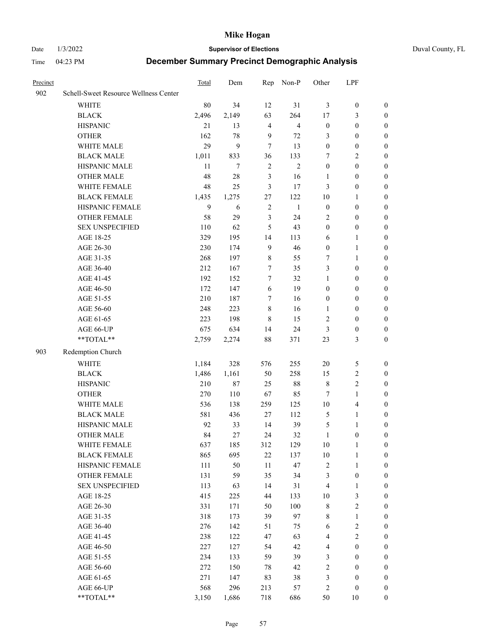Date 1/3/2022 **Supervisor of Elections** Duval County, FL

| Precinct |                                                           | Total  | Dem    |                  | Rep Non-P      | Other            | LPF              |                  |
|----------|-----------------------------------------------------------|--------|--------|------------------|----------------|------------------|------------------|------------------|
| 902      | Schell-Sweet Resource Wellness Center                     |        |        |                  |                |                  |                  |                  |
|          | <b>WHITE</b>                                              | $80\,$ | 34     | 12               | 31             | 3                | $\boldsymbol{0}$ | $\boldsymbol{0}$ |
|          | <b>BLACK</b>                                              | 2,496  | 2,149  | 63               | 264            | 17               | 3                | $\boldsymbol{0}$ |
|          | <b>HISPANIC</b>                                           | 21     | 13     | $\overline{4}$   | $\overline{4}$ | $\boldsymbol{0}$ | $\boldsymbol{0}$ | $\boldsymbol{0}$ |
|          | <b>OTHER</b>                                              | 162    | 78     | 9                | $72\,$         | 3                | $\boldsymbol{0}$ | $\boldsymbol{0}$ |
|          | WHITE MALE                                                | 29     | 9      | $\tau$           | 13             | $\boldsymbol{0}$ | $\boldsymbol{0}$ | $\boldsymbol{0}$ |
|          | <b>BLACK MALE</b>                                         | 1,011  | 833    | 36               | 133            | 7                | $\sqrt{2}$       | $\boldsymbol{0}$ |
|          | HISPANIC MALE                                             | 11     | $\tau$ | $\sqrt{2}$       | $\overline{2}$ | $\boldsymbol{0}$ | $\boldsymbol{0}$ | $\boldsymbol{0}$ |
|          | <b>OTHER MALE</b>                                         | 48     | $28\,$ | 3                | 16             | 1                | $\boldsymbol{0}$ | $\boldsymbol{0}$ |
|          | WHITE FEMALE                                              | 48     | 25     | $\mathfrak{Z}$   | 17             | 3                | $\boldsymbol{0}$ | 0                |
|          | <b>BLACK FEMALE</b>                                       | 1,435  | 1,275  | $27\,$           | 122            | $10\,$           | 1                | 0                |
|          | HISPANIC FEMALE                                           | 9      | 6      | $\sqrt{2}$       | $\mathbf{1}$   | $\boldsymbol{0}$ | $\boldsymbol{0}$ | $\boldsymbol{0}$ |
|          | OTHER FEMALE                                              | 58     | 29     | $\mathfrak{Z}$   | 24             | 2                | $\boldsymbol{0}$ | $\boldsymbol{0}$ |
|          | <b>SEX UNSPECIFIED</b>                                    | 110    | 62     | 5                | 43             | $\boldsymbol{0}$ | $\boldsymbol{0}$ | $\boldsymbol{0}$ |
|          | AGE 18-25                                                 | 329    | 195    | 14               | 113            | 6                | $\mathbf{1}$     | $\boldsymbol{0}$ |
|          | AGE 26-30                                                 | 230    | 174    | $\overline{9}$   | 46             | $\boldsymbol{0}$ | $\mathbf{1}$     | $\boldsymbol{0}$ |
|          | AGE 31-35                                                 | 268    | 197    | $8\,$            | 55             | 7                | $\mathbf{1}$     | $\boldsymbol{0}$ |
|          | AGE 36-40                                                 | 212    | 167    | $\tau$           | 35             | 3                | $\boldsymbol{0}$ | $\boldsymbol{0}$ |
|          | AGE 41-45                                                 | 192    | 152    | $\boldsymbol{7}$ | 32             | $\mathbf{1}$     | $\boldsymbol{0}$ | $\boldsymbol{0}$ |
|          | AGE 46-50                                                 | 172    | 147    | 6                | 19             | $\boldsymbol{0}$ | $\boldsymbol{0}$ | $\boldsymbol{0}$ |
|          | AGE 51-55                                                 | 210    | 187    | 7                | 16             | $\boldsymbol{0}$ | $\boldsymbol{0}$ | 0                |
|          | AGE 56-60                                                 | 248    | 223    | $8\,$            | 16             | 1                | $\boldsymbol{0}$ | $\boldsymbol{0}$ |
|          | AGE 61-65                                                 | 223    | 198    | $\,8\,$          | 15             | 2                | $\boldsymbol{0}$ | $\boldsymbol{0}$ |
|          | AGE 66-UP                                                 | 675    | 634    | 14               | 24             | 3                | $\boldsymbol{0}$ | $\boldsymbol{0}$ |
|          | $\mathrm{*}\mathrm{*}\mathrm{TOTAL} \mathrm{*}\mathrm{*}$ | 2,759  | 2,274  | 88               | 371            | 23               | $\mathfrak{Z}$   | $\boldsymbol{0}$ |
| 903      | Redemption Church                                         |        |        |                  |                |                  |                  |                  |
|          | <b>WHITE</b>                                              | 1,184  | 328    | 576              | 255            | $20\,$           | $\mathfrak{S}$   | $\boldsymbol{0}$ |
|          | <b>BLACK</b>                                              | 1,486  | 1,161  | 50               | 258            | 15               | $\sqrt{2}$       | $\boldsymbol{0}$ |
|          | <b>HISPANIC</b>                                           | 210    | $87\,$ | 25               | $88\,$         | $\,$ $\,$        | $\sqrt{2}$       | $\boldsymbol{0}$ |
|          | <b>OTHER</b>                                              | 270    | 110    | 67               | 85             | 7                | $\mathbf{1}$     | $\boldsymbol{0}$ |
|          | WHITE MALE                                                | 536    | 138    | 259              | 125            | $10\,$           | $\overline{4}$   | 0                |
|          | <b>BLACK MALE</b>                                         | 581    | 436    | 27               | 112            | $\mathfrak{S}$   | $\mathbf{1}$     | $\boldsymbol{0}$ |
|          | HISPANIC MALE                                             | 92     | 33     | 14               | 39             | 5                | 1                | 0                |
|          | <b>OTHER MALE</b>                                         | 84     | 27     | 24               | 32             | $\mathbf{1}$     | $\boldsymbol{0}$ | $\boldsymbol{0}$ |
|          | WHITE FEMALE                                              | 637    | 185    | 312              | 129            | 10               | $\mathbf{1}$     | 0                |
|          | <b>BLACK FEMALE</b>                                       | 865    | 695    | 22               | 137            | $10\,$           | $\mathbf{1}$     | $\boldsymbol{0}$ |
|          | HISPANIC FEMALE                                           | 111    | 50     | $11\,$           | 47             | $\overline{c}$   | $\mathbf{1}$     | $\overline{0}$   |
|          | <b>OTHER FEMALE</b>                                       | 131    | 59     | 35               | 34             | 3                | $\boldsymbol{0}$ | 0                |
|          | <b>SEX UNSPECIFIED</b>                                    | 113    | 63     | 14               | 31             | 4                | $\mathbf{1}$     | 0                |
|          | AGE 18-25                                                 | 415    | 225    | 44               | 133            | $10\,$           | $\mathfrak{Z}$   | 0                |
|          | AGE 26-30                                                 | 331    | 171    | 50               | 100            | $\,$ 8 $\,$      | $\sqrt{2}$       | 0                |
|          | AGE 31-35                                                 | 318    | 173    | 39               | 97             | 8                | $\mathbf{1}$     | 0                |
|          | AGE 36-40                                                 | 276    | 142    | 51               | 75             | 6                | $\sqrt{2}$       | 0                |
|          | AGE 41-45                                                 | 238    | 122    | 47               | 63             | 4                | $\sqrt{2}$       | 0                |
|          | AGE 46-50                                                 | 227    | 127    | 54               | 42             | 4                | $\boldsymbol{0}$ | $\overline{0}$   |
|          | AGE 51-55                                                 | 234    | 133    | 59               | 39             | 3                | $\boldsymbol{0}$ | $\boldsymbol{0}$ |
|          | AGE 56-60                                                 | 272    | 150    | 78               | 42             | 2                | $\boldsymbol{0}$ | $\overline{0}$   |
|          | AGE 61-65                                                 | 271    | 147    | 83               | 38             | 3                | $\boldsymbol{0}$ | 0                |
|          | AGE 66-UP                                                 | 568    | 296    | 213              | 57             | 2                | $\boldsymbol{0}$ | $\boldsymbol{0}$ |
|          | **TOTAL**                                                 | 3,150  | 1,686  | 718              | 686            | 50               | 10               | $\boldsymbol{0}$ |
|          |                                                           |        |        |                  |                |                  |                  |                  |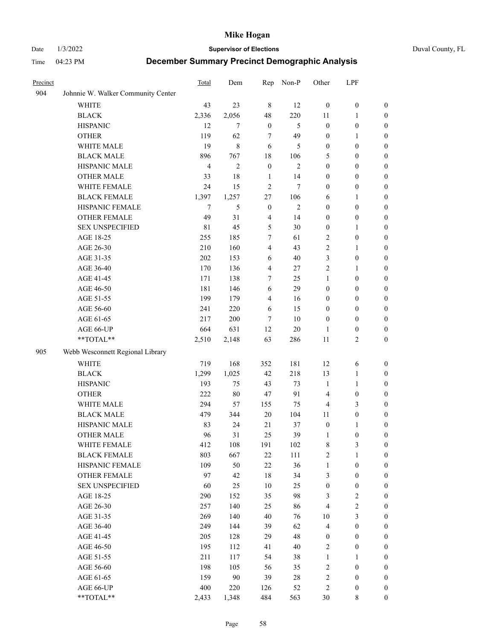Date 1/3/2022 **Supervisor of Elections** Duval County, FL

| Precinct |                                    | <b>Total</b>   | Dem            | Rep              | Non-P          | Other                   | LPF              |                  |
|----------|------------------------------------|----------------|----------------|------------------|----------------|-------------------------|------------------|------------------|
| 904      | Johnnie W. Walker Community Center |                |                |                  |                |                         |                  |                  |
|          | <b>WHITE</b>                       | 43             | 23             | $\,8\,$          | 12             | $\boldsymbol{0}$        | $\boldsymbol{0}$ | 0                |
|          | <b>BLACK</b>                       | 2,336          | 2,056          | 48               | 220            | 11                      | $\mathbf{1}$     | 0                |
|          | <b>HISPANIC</b>                    | 12             | 7              | $\boldsymbol{0}$ | 5              | $\boldsymbol{0}$        | $\boldsymbol{0}$ | $\boldsymbol{0}$ |
|          | <b>OTHER</b>                       | 119            | 62             | 7                | 49             | $\boldsymbol{0}$        | 1                | $\boldsymbol{0}$ |
|          | WHITE MALE                         | 19             | 8              | 6                | 5              | $\boldsymbol{0}$        | $\boldsymbol{0}$ | $\boldsymbol{0}$ |
|          | <b>BLACK MALE</b>                  | 896            | 767            | 18               | 106            | 5                       | $\boldsymbol{0}$ | $\boldsymbol{0}$ |
|          | HISPANIC MALE                      | $\overline{4}$ | $\overline{c}$ | $\mathbf{0}$     | $\mathfrak{2}$ | $\boldsymbol{0}$        | $\boldsymbol{0}$ | $\boldsymbol{0}$ |
|          | <b>OTHER MALE</b>                  | 33             | 18             | $\mathbf{1}$     | 14             | $\boldsymbol{0}$        | $\boldsymbol{0}$ | $\boldsymbol{0}$ |
|          | WHITE FEMALE                       | 24             | 15             | $\overline{2}$   | $\tau$         | $\boldsymbol{0}$        | $\boldsymbol{0}$ | $\boldsymbol{0}$ |
|          | <b>BLACK FEMALE</b>                | 1,397          | 1,257          | 27               | 106            | 6                       | $\mathbf{1}$     | 0                |
|          | HISPANIC FEMALE                    | 7              | 5              | $\boldsymbol{0}$ | $\mathfrak{2}$ | $\boldsymbol{0}$        | $\boldsymbol{0}$ | 0                |
|          | <b>OTHER FEMALE</b>                | 49             | 31             | $\overline{4}$   | 14             | $\boldsymbol{0}$        | $\boldsymbol{0}$ | 0                |
|          | <b>SEX UNSPECIFIED</b>             | $8\sqrt{1}$    | 45             | 5                | 30             | $\boldsymbol{0}$        | $\mathbf{1}$     | $\boldsymbol{0}$ |
|          | AGE 18-25                          | 255            | 185            | 7                | 61             | 2                       | $\boldsymbol{0}$ | $\boldsymbol{0}$ |
|          | AGE 26-30                          | 210            | 160            | 4                | 43             | 2                       | $\mathbf{1}$     | $\boldsymbol{0}$ |
|          | AGE 31-35                          | 202            | 153            | 6                | 40             | 3                       | $\boldsymbol{0}$ | $\boldsymbol{0}$ |
|          | AGE 36-40                          | 170            | 136            | 4                | 27             | $\overline{c}$          | $\mathbf{1}$     | $\boldsymbol{0}$ |
|          | AGE 41-45                          | 171            | 138            | 7                | 25             | $\mathbf{1}$            | $\boldsymbol{0}$ | $\boldsymbol{0}$ |
|          | AGE 46-50                          | 181            | 146            | 6                | 29             | $\boldsymbol{0}$        | $\boldsymbol{0}$ | $\boldsymbol{0}$ |
|          | AGE 51-55                          | 199            | 179            | $\overline{4}$   | 16             | $\boldsymbol{0}$        | $\boldsymbol{0}$ | $\boldsymbol{0}$ |
|          | AGE 56-60                          | 241            | 220            | 6                | 15             | $\boldsymbol{0}$        | $\boldsymbol{0}$ | 0                |
|          | AGE 61-65                          | 217            | 200            | 7                | 10             | $\boldsymbol{0}$        | $\boldsymbol{0}$ | 0                |
|          | AGE 66-UP                          | 664            | 631            | 12               | $20\,$         | 1                       | $\boldsymbol{0}$ | 0                |
|          | **TOTAL**                          | 2,510          | 2,148          | 63               | 286            | $11\,$                  | $\sqrt{2}$       | $\boldsymbol{0}$ |
| 905      | Webb Wesconnett Regional Library   |                |                |                  |                |                         |                  |                  |
|          | <b>WHITE</b>                       | 719            | 168            | 352              | 181            | 12                      | 6                | $\boldsymbol{0}$ |
|          | <b>BLACK</b>                       | 1,299          | 1,025          | 42               | 218            | 13                      | $\mathbf{1}$     | $\boldsymbol{0}$ |
|          | <b>HISPANIC</b>                    | 193            | 75             | 43               | 73             | $\mathbf{1}$            | $\mathbf{1}$     | $\boldsymbol{0}$ |
|          | <b>OTHER</b>                       | 222            | $80\,$         | 47               | 91             | 4                       | $\boldsymbol{0}$ | $\boldsymbol{0}$ |
|          | WHITE MALE                         | 294            | 57             | 155              | 75             | 4                       | 3                | $\boldsymbol{0}$ |
|          | <b>BLACK MALE</b>                  | 479            | 344            | $20\,$           | 104            | 11                      | $\boldsymbol{0}$ | $\boldsymbol{0}$ |
|          | HISPANIC MALE                      | 83             | 24             | 21               | 37             | $\boldsymbol{0}$        | 1                | 0                |
|          | OTHER MALE                         | 96             | 31             | 25               | 39             | $\mathbf{1}$            | $\boldsymbol{0}$ | $\boldsymbol{0}$ |
|          | WHITE FEMALE                       | 412            | 108            | 191              | 102            | 8                       | 3                | 0                |
|          | <b>BLACK FEMALE</b>                | 803            | 667            | 22               | 111            | 2                       | $\mathbf{1}$     | $\boldsymbol{0}$ |
|          | HISPANIC FEMALE                    | 109            | 50             | 22               | 36             | $\mathbf{1}$            | $\boldsymbol{0}$ | $\overline{0}$   |
|          | OTHER FEMALE                       | 97             | 42             | 18               | 34             | 3                       | $\boldsymbol{0}$ | $\overline{0}$   |
|          | <b>SEX UNSPECIFIED</b>             | 60             | 25             | 10               | 25             | $\boldsymbol{0}$        | $\boldsymbol{0}$ | 0                |
|          | AGE 18-25                          | 290            | 152            | 35               | 98             | 3                       | $\sqrt{2}$       | 0                |
|          | AGE 26-30                          | 257            | 140            | 25               | 86             | $\overline{\mathbf{4}}$ | $\sqrt{2}$       | 0                |
|          | AGE 31-35                          | 269            | 140            | 40               | 76             | $10\,$                  | $\mathfrak{Z}$   | 0                |
|          | AGE 36-40                          | 249            | 144            | 39               | 62             | $\overline{\mathbf{4}}$ | $\boldsymbol{0}$ | 0                |
|          | AGE 41-45                          | 205            | 128            | 29               | 48             | $\boldsymbol{0}$        | $\boldsymbol{0}$ | 0                |
|          | AGE 46-50                          | 195            | 112            | 41               | 40             | 2                       | $\boldsymbol{0}$ | 0                |
|          | AGE 51-55                          | 211            | 117            | 54               | 38             | $\mathbf{1}$            | $\mathbf{1}$     | $\boldsymbol{0}$ |
|          | AGE 56-60                          | 198            | 105            | 56               | 35             | 2                       | $\boldsymbol{0}$ | $\overline{0}$   |
|          | AGE 61-65                          | 159            | $90\,$         | 39               | 28             | 2                       | $\boldsymbol{0}$ | $\overline{0}$   |
|          | AGE 66-UP                          | 400            | 220            | 126              | 52             | 2                       | $\boldsymbol{0}$ | $\boldsymbol{0}$ |
|          | **TOTAL**                          | 2,433          | 1,348          | 484              | 563            | 30                      | 8                | $\boldsymbol{0}$ |
|          |                                    |                |                |                  |                |                         |                  |                  |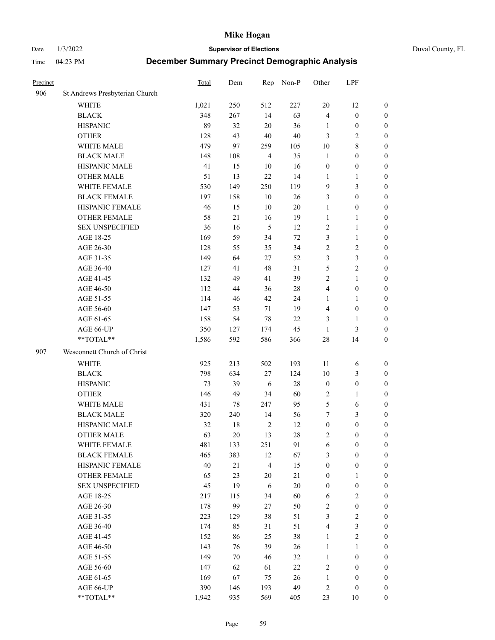Date 1/3/2022 **Supervisor of Elections** Duval County, FL

| Precinct |                                | Total | Dem | Rep            | Non-P  | Other            | LPF              |                  |
|----------|--------------------------------|-------|-----|----------------|--------|------------------|------------------|------------------|
| 906      | St Andrews Presbyterian Church |       |     |                |        |                  |                  |                  |
|          | <b>WHITE</b>                   | 1,021 | 250 | 512            | 227    | 20               | 12               | 0                |
|          | <b>BLACK</b>                   | 348   | 267 | 14             | 63     | $\overline{4}$   | $\boldsymbol{0}$ | 0                |
|          | <b>HISPANIC</b>                | 89    | 32  | 20             | 36     | 1                | $\boldsymbol{0}$ | $\boldsymbol{0}$ |
|          | <b>OTHER</b>                   | 128   | 43  | 40             | 40     | 3                | $\mathfrak{2}$   | $\boldsymbol{0}$ |
|          | WHITE MALE                     | 479   | 97  | 259            | 105    | 10               | $\,$ 8 $\,$      | $\boldsymbol{0}$ |
|          | <b>BLACK MALE</b>              | 148   | 108 | $\overline{4}$ | 35     | $\mathbf{1}$     | $\boldsymbol{0}$ | $\boldsymbol{0}$ |
|          | HISPANIC MALE                  | 41    | 15  | 10             | 16     | $\boldsymbol{0}$ | $\boldsymbol{0}$ | $\boldsymbol{0}$ |
|          | <b>OTHER MALE</b>              | 51    | 13  | 22             | 14     | $\mathbf{1}$     | $\mathbf{1}$     | $\boldsymbol{0}$ |
|          | WHITE FEMALE                   | 530   | 149 | 250            | 119    | 9                | $\mathfrak{Z}$   | $\boldsymbol{0}$ |
|          | <b>BLACK FEMALE</b>            | 197   | 158 | 10             | 26     | 3                | $\boldsymbol{0}$ | 0                |
|          | HISPANIC FEMALE                | 46    | 15  | 10             | 20     | $\mathbf{1}$     | $\boldsymbol{0}$ | 0                |
|          | <b>OTHER FEMALE</b>            | 58    | 21  | 16             | 19     | $\mathbf{1}$     | $\mathbf{1}$     | 0                |
|          | <b>SEX UNSPECIFIED</b>         | 36    | 16  | 5              | 12     | $\sqrt{2}$       | $\mathbf{1}$     | $\boldsymbol{0}$ |
|          | AGE 18-25                      | 169   | 59  | 34             | $72\,$ | 3                | $\mathbf{1}$     | $\boldsymbol{0}$ |
|          | AGE 26-30                      | 128   | 55  | 35             | 34     | $\overline{c}$   | $\sqrt{2}$       | $\boldsymbol{0}$ |
|          | AGE 31-35                      | 149   | 64  | 27             | 52     | 3                | $\mathfrak{Z}$   | $\boldsymbol{0}$ |
|          | AGE 36-40                      | 127   | 41  | 48             | 31     | 5                | $\sqrt{2}$       | $\boldsymbol{0}$ |
|          | AGE 41-45                      | 132   | 49  | 41             | 39     | $\mathfrak{2}$   | $\mathbf{1}$     | $\boldsymbol{0}$ |
|          | AGE 46-50                      | 112   | 44  | 36             | $28\,$ | 4                | $\boldsymbol{0}$ | $\boldsymbol{0}$ |
|          | AGE 51-55                      | 114   | 46  | 42             | 24     | 1                | $\mathbf{1}$     | $\boldsymbol{0}$ |
|          | AGE 56-60                      | 147   | 53  | 71             | 19     | $\overline{4}$   | $\boldsymbol{0}$ | 0                |
|          | AGE 61-65                      | 158   | 54  | $78\,$         | 22     | 3                | $\mathbf{1}$     | 0                |
|          | AGE 66-UP                      | 350   | 127 | 174            | 45     | $\mathbf{1}$     | $\mathfrak{Z}$   | $\boldsymbol{0}$ |
|          | $**TOTAL**$                    | 1,586 | 592 | 586            | 366    | 28               | 14               | $\boldsymbol{0}$ |
| 907      | Wesconnett Church of Christ    |       |     |                |        |                  |                  |                  |
|          | <b>WHITE</b>                   | 925   | 213 | 502            | 193    | 11               | 6                | $\boldsymbol{0}$ |
|          | <b>BLACK</b>                   | 798   | 634 | 27             | 124    | 10               | $\mathfrak{Z}$   | $\boldsymbol{0}$ |
|          | <b>HISPANIC</b>                | 73    | 39  | 6              | 28     | $\boldsymbol{0}$ | $\boldsymbol{0}$ | $\boldsymbol{0}$ |
|          | <b>OTHER</b>                   | 146   | 49  | 34             | 60     | $\overline{c}$   | $\mathbf{1}$     | $\boldsymbol{0}$ |
|          | WHITE MALE                     | 431   | 78  | 247            | 95     | 5                | 6                | $\boldsymbol{0}$ |
|          | <b>BLACK MALE</b>              | 320   | 240 | 14             | 56     | 7                | $\mathfrak{Z}$   | $\boldsymbol{0}$ |
|          | HISPANIC MALE                  | 32    | 18  | $\overline{2}$ | 12     | $\boldsymbol{0}$ | $\boldsymbol{0}$ | $\boldsymbol{0}$ |
|          | <b>OTHER MALE</b>              | 63    | 20  | 13             | 28     | 2                | $\boldsymbol{0}$ | $\boldsymbol{0}$ |
|          | WHITE FEMALE                   | 481   | 133 | 251            | 91     | 6                | $\boldsymbol{0}$ | 0                |
|          | <b>BLACK FEMALE</b>            | 465   | 383 | 12             | 67     | 3                | $\boldsymbol{0}$ | $\boldsymbol{0}$ |
|          | HISPANIC FEMALE                | 40    | 21  | $\overline{4}$ | 15     | $\boldsymbol{0}$ | $\boldsymbol{0}$ | $\overline{0}$   |
|          | <b>OTHER FEMALE</b>            | 65    | 23  | $20\,$         | 21     | $\boldsymbol{0}$ | $\mathbf{1}$     | $\overline{0}$   |
|          | <b>SEX UNSPECIFIED</b>         | 45    | 19  | 6              | 20     | $\boldsymbol{0}$ | $\boldsymbol{0}$ | $\overline{0}$   |
|          | AGE 18-25                      | 217   | 115 | 34             | 60     | 6                | $\sqrt{2}$       | $\theta$         |
|          | AGE 26-30                      | 178   | 99  | 27             | 50     | $\sqrt{2}$       | $\boldsymbol{0}$ | 0                |
|          | AGE 31-35                      | 223   | 129 | 38             | 51     | 3                | $\sqrt{2}$       | 0                |
|          | AGE 36-40                      | 174   | 85  | 31             | 51     | 4                | $\mathfrak{Z}$   | 0                |
|          | AGE 41-45                      | 152   | 86  | 25             | 38     | $\mathbf{1}$     | $\sqrt{2}$       | 0                |
|          | AGE 46-50                      | 143   | 76  | 39             | 26     | $\mathbf{1}$     | $\mathbf{1}$     | 0                |
|          | AGE 51-55                      | 149   | 70  | 46             | 32     | $\mathbf{1}$     | $\boldsymbol{0}$ | $\overline{0}$   |
|          | AGE 56-60                      | 147   | 62  | 61             | $22\,$ | $\overline{c}$   | $\boldsymbol{0}$ | $\overline{0}$   |
|          | AGE 61-65                      | 169   | 67  | 75             | 26     | $\mathbf{1}$     | $\boldsymbol{0}$ | $\overline{0}$   |
|          | AGE 66-UP                      | 390   | 146 | 193            | 49     | $\overline{c}$   | $\boldsymbol{0}$ | $\boldsymbol{0}$ |
|          | **TOTAL**                      | 1,942 | 935 | 569            | 405    | 23               | 10               | $\boldsymbol{0}$ |
|          |                                |       |     |                |        |                  |                  |                  |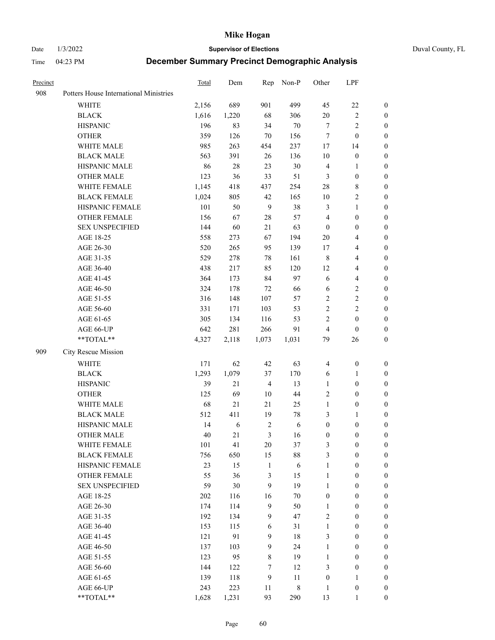Date 1/3/2022 **Supervisor of Elections** Duval County, FL

| Precinct |                                        | Total | Dem    | Rep            | Non-P       | Other            | LPF                     |                  |
|----------|----------------------------------------|-------|--------|----------------|-------------|------------------|-------------------------|------------------|
| 908      | Potters House International Ministries |       |        |                |             |                  |                         |                  |
|          | <b>WHITE</b>                           | 2,156 | 689    | 901            | 499         | 45               | $22\,$                  | $\boldsymbol{0}$ |
|          | <b>BLACK</b>                           | 1,616 | 1,220  | 68             | 306         | $20\,$           | $\sqrt{2}$              | $\boldsymbol{0}$ |
|          | <b>HISPANIC</b>                        | 196   | 83     | 34             | $70\,$      | 7                | $\sqrt{2}$              | $\boldsymbol{0}$ |
|          | <b>OTHER</b>                           | 359   | 126    | 70             | 156         | 7                | $\boldsymbol{0}$        | $\boldsymbol{0}$ |
|          | WHITE MALE                             | 985   | 263    | 454            | 237         | 17               | 14                      | 0                |
|          | <b>BLACK MALE</b>                      | 563   | 391    | 26             | 136         | 10               | $\boldsymbol{0}$        | $\boldsymbol{0}$ |
|          | HISPANIC MALE                          | 86    | $28\,$ | 23             | $30\,$      | $\overline{4}$   | $\mathbf{1}$            | $\boldsymbol{0}$ |
|          | <b>OTHER MALE</b>                      | 123   | 36     | 33             | 51          | 3                | $\boldsymbol{0}$        | $\boldsymbol{0}$ |
|          | WHITE FEMALE                           | 1,145 | 418    | 437            | 254         | 28               | 8                       | 0                |
|          | <b>BLACK FEMALE</b>                    | 1,024 | 805    | 42             | 165         | 10               | $\sqrt{2}$              | 0                |
|          | HISPANIC FEMALE                        | 101   | 50     | 9              | 38          | 3                | $\mathbf{1}$            | 0                |
|          | OTHER FEMALE                           | 156   | 67     | $28\,$         | 57          | 4                | $\boldsymbol{0}$        | $\boldsymbol{0}$ |
|          | <b>SEX UNSPECIFIED</b>                 | 144   | 60     | 21             | 63          | $\boldsymbol{0}$ | $\boldsymbol{0}$        | $\boldsymbol{0}$ |
|          | AGE 18-25                              | 558   | 273    | 67             | 194         | 20               | $\overline{4}$          | $\boldsymbol{0}$ |
|          | AGE 26-30                              | 520   | 265    | 95             | 139         | 17               | $\overline{\mathbf{4}}$ | $\boldsymbol{0}$ |
|          | AGE 31-35                              | 529   | 278    | $78\,$         | 161         | $\,8\,$          | $\overline{\mathbf{4}}$ | $\boldsymbol{0}$ |
|          | AGE 36-40                              | 438   | 217    | 85             | 120         | 12               | $\overline{\mathbf{4}}$ | $\boldsymbol{0}$ |
|          | AGE 41-45                              | 364   | 173    | 84             | 97          | 6                | $\overline{\mathbf{4}}$ | $\boldsymbol{0}$ |
|          | AGE 46-50                              | 324   | 178    | 72             | 66          | 6                | $\sqrt{2}$              | $\boldsymbol{0}$ |
|          | AGE 51-55                              | 316   | 148    | 107            | 57          | $\overline{c}$   | $\sqrt{2}$              | 0                |
|          | AGE 56-60                              | 331   | 171    | 103            | 53          | $\sqrt{2}$       | $\sqrt{2}$              | 0                |
|          | AGE 61-65                              | 305   | 134    | 116            | 53          | $\overline{c}$   | $\boldsymbol{0}$        | 0                |
|          | AGE 66-UP                              | 642   | 281    | 266            | 91          | 4                | $\boldsymbol{0}$        | $\boldsymbol{0}$ |
|          | **TOTAL**                              | 4,327 | 2,118  | 1,073          | 1,031       | 79               | 26                      | $\boldsymbol{0}$ |
| 909      | City Rescue Mission                    |       |        |                |             |                  |                         |                  |
|          | WHITE                                  | 171   | 62     | $42\,$         | 63          | $\overline{4}$   | $\boldsymbol{0}$        | $\boldsymbol{0}$ |
|          | <b>BLACK</b>                           | 1,293 | 1,079  | 37             | 170         | 6                | $\mathbf{1}$            | $\boldsymbol{0}$ |
|          | <b>HISPANIC</b>                        | 39    | 21     | $\overline{4}$ | 13          | $\mathbf{1}$     | $\boldsymbol{0}$        | $\boldsymbol{0}$ |
|          | <b>OTHER</b>                           | 125   | 69     | $10\,$         | $44\,$      | $\overline{c}$   | $\boldsymbol{0}$        | $\boldsymbol{0}$ |
|          | WHITE MALE                             | 68    | 21     | 21             | 25          | $\mathbf{1}$     | $\boldsymbol{0}$        | 0                |
|          | <b>BLACK MALE</b>                      | 512   | 411    | 19             | $78\,$      | 3                | $\mathbf{1}$            | 0                |
|          | HISPANIC MALE                          | 14    | 6      | $\overline{2}$ | 6           | $\boldsymbol{0}$ | $\boldsymbol{0}$        | 0                |
|          | <b>OTHER MALE</b>                      | 40    | 21     | 3              | 16          | $\boldsymbol{0}$ | $\boldsymbol{0}$        | $\boldsymbol{0}$ |
|          | WHITE FEMALE                           | 101   | 41     | $20\,$         | 37          | 3                | $\boldsymbol{0}$        | $\boldsymbol{0}$ |
|          | <b>BLACK FEMALE</b>                    | 756   | 650    | 15             | $88\,$      | 3                | $\boldsymbol{0}$        | $\overline{0}$   |
|          | HISPANIC FEMALE                        | 23    | 15     | $\,1\,$        | 6           | $\mathbf{1}$     | $\boldsymbol{0}$        | $\boldsymbol{0}$ |
|          | <b>OTHER FEMALE</b>                    | 55    | 36     | $\mathfrak{Z}$ | 15          | $\mathbf{1}$     | $\boldsymbol{0}$        | $\overline{0}$   |
|          | <b>SEX UNSPECIFIED</b>                 | 59    | 30     | 9              | 19          | $\mathbf{1}$     | $\boldsymbol{0}$        | $\overline{0}$   |
|          | AGE 18-25                              | 202   | 116    | 16             | $70\,$      | $\boldsymbol{0}$ | $\boldsymbol{0}$        | $\overline{0}$   |
|          | AGE 26-30                              | 174   | 114    | $\overline{9}$ | 50          | $\mathbf{1}$     | $\boldsymbol{0}$        | 0                |
|          | AGE 31-35                              | 192   | 134    | 9              | 47          | $\overline{c}$   | $\boldsymbol{0}$        | 0                |
|          | AGE 36-40                              | 153   | 115    | 6              | 31          | $\mathbf{1}$     | $\boldsymbol{0}$        | 0                |
|          | AGE 41-45                              | 121   | 91     | 9              | $18\,$      | 3                | $\boldsymbol{0}$        | 0                |
|          | AGE 46-50                              | 137   | 103    | 9              | 24          | $\mathbf{1}$     | $\boldsymbol{0}$        | $\boldsymbol{0}$ |
|          | AGE 51-55                              | 123   | 95     | $\,$ 8 $\,$    | 19          | $\mathbf{1}$     | $\boldsymbol{0}$        | $\boldsymbol{0}$ |
|          | AGE 56-60                              | 144   | 122    | $\tau$         | 12          | 3                | $\boldsymbol{0}$        | $\boldsymbol{0}$ |
|          | AGE 61-65                              | 139   | 118    | $\overline{9}$ | 11          | $\boldsymbol{0}$ | $\mathbf{1}$            | $\boldsymbol{0}$ |
|          | AGE 66-UP                              | 243   | 223    | 11             | $\,$ 8 $\,$ | $\mathbf{1}$     | $\boldsymbol{0}$        | $\boldsymbol{0}$ |
|          | **TOTAL**                              | 1,628 | 1,231  | 93             | 290         | 13               | $\mathbf{1}$            | $\boldsymbol{0}$ |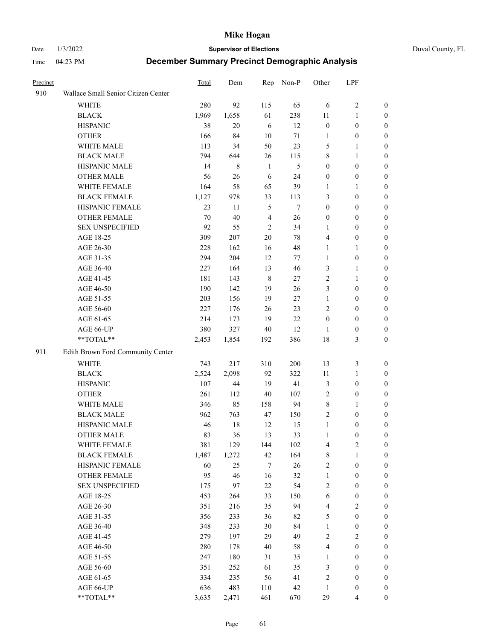Date 1/3/2022 **Supervisor of Elections** Duval County, FL

| Precinct |                                     | Total | Dem     | Rep            | Non-P  | Other                   | LPF              |                  |
|----------|-------------------------------------|-------|---------|----------------|--------|-------------------------|------------------|------------------|
| 910      | Wallace Small Senior Citizen Center |       |         |                |        |                         |                  |                  |
|          | <b>WHITE</b>                        | 280   | 92      | 115            | 65     | 6                       | $\sqrt{2}$       | 0                |
|          | <b>BLACK</b>                        | 1,969 | 1,658   | 61             | 238    | 11                      | $\mathbf{1}$     | 0                |
|          | <b>HISPANIC</b>                     | 38    | 20      | 6              | 12     | $\boldsymbol{0}$        | $\boldsymbol{0}$ | 0                |
|          | <b>OTHER</b>                        | 166   | 84      | $10\,$         | $71\,$ | 1                       | $\boldsymbol{0}$ | $\boldsymbol{0}$ |
|          | WHITE MALE                          | 113   | 34      | 50             | 23     | 5                       | 1                | $\boldsymbol{0}$ |
|          | <b>BLACK MALE</b>                   | 794   | 644     | 26             | 115    | 8                       | $\mathbf{1}$     | $\boldsymbol{0}$ |
|          | HISPANIC MALE                       | 14    | $\,8\,$ | $\mathbf{1}$   | 5      | $\boldsymbol{0}$        | $\boldsymbol{0}$ | $\boldsymbol{0}$ |
|          | <b>OTHER MALE</b>                   | 56    | 26      | 6              | 24     | $\boldsymbol{0}$        | $\boldsymbol{0}$ | $\boldsymbol{0}$ |
|          | WHITE FEMALE                        | 164   | 58      | 65             | 39     | 1                       | 1                | $\boldsymbol{0}$ |
|          | <b>BLACK FEMALE</b>                 | 1,127 | 978     | 33             | 113    | 3                       | $\boldsymbol{0}$ | 0                |
|          | HISPANIC FEMALE                     | 23    | 11      | 5              | 7      | $\boldsymbol{0}$        | $\boldsymbol{0}$ | 0                |
|          | <b>OTHER FEMALE</b>                 | 70    | 40      | $\overline{4}$ | 26     | $\boldsymbol{0}$        | $\boldsymbol{0}$ | $\boldsymbol{0}$ |
|          | <b>SEX UNSPECIFIED</b>              | 92    | 55      | $\mathfrak{2}$ | 34     | $\mathbf{1}$            | $\boldsymbol{0}$ | $\boldsymbol{0}$ |
|          | AGE 18-25                           | 309   | 207     | $20\,$         | 78     | 4                       | $\boldsymbol{0}$ | $\boldsymbol{0}$ |
|          | AGE 26-30                           | 228   | 162     | 16             | 48     | $\mathbf{1}$            | $\mathbf{1}$     | $\boldsymbol{0}$ |
|          | AGE 31-35                           | 294   | 204     | 12             | 77     | $\mathbf{1}$            | $\boldsymbol{0}$ | $\boldsymbol{0}$ |
|          | AGE 36-40                           | 227   | 164     | 13             | 46     | 3                       | $\mathbf{1}$     | $\boldsymbol{0}$ |
|          | AGE 41-45                           | 181   | 143     | $\,8\,$        | $27\,$ | 2                       | $\mathbf{1}$     | $\boldsymbol{0}$ |
|          | AGE 46-50                           | 190   | 142     | 19             | 26     | 3                       | $\boldsymbol{0}$ | $\boldsymbol{0}$ |
|          | AGE 51-55                           | 203   | 156     | 19             | 27     | $\mathbf{1}$            | $\boldsymbol{0}$ | 0                |
|          | AGE 56-60                           | 227   | 176     | 26             | 23     | 2                       | $\boldsymbol{0}$ | 0                |
|          | AGE 61-65                           | 214   | 173     | 19             | 22     | $\boldsymbol{0}$        | $\boldsymbol{0}$ | 0                |
|          | AGE 66-UP                           | 380   | 327     | 40             | 12     | 1                       | $\boldsymbol{0}$ | $\boldsymbol{0}$ |
|          | **TOTAL**                           | 2,453 | 1,854   | 192            | 386    | 18                      | $\mathfrak{Z}$   | $\boldsymbol{0}$ |
| 911      | Edith Brown Ford Community Center   |       |         |                |        |                         |                  |                  |
|          | <b>WHITE</b>                        | 743   | 217     | 310            | 200    | 13                      | $\mathfrak{Z}$   | $\boldsymbol{0}$ |
|          | <b>BLACK</b>                        | 2,524 | 2,098   | 92             | 322    | 11                      | $\mathbf{1}$     | $\boldsymbol{0}$ |
|          | <b>HISPANIC</b>                     | 107   | $44\,$  | 19             | 41     | 3                       | $\boldsymbol{0}$ | $\boldsymbol{0}$ |
|          | <b>OTHER</b>                        | 261   | 112     | 40             | 107    | 2                       | $\boldsymbol{0}$ | $\boldsymbol{0}$ |
|          | WHITE MALE                          | 346   | 85      | 158            | 94     | 8                       | $\mathbf{1}$     | $\boldsymbol{0}$ |
|          | <b>BLACK MALE</b>                   | 962   | 763     | 47             | 150    | $\overline{c}$          | $\boldsymbol{0}$ | $\boldsymbol{0}$ |
|          | HISPANIC MALE                       | 46    | $18\,$  | 12             | 15     | $\mathbf{1}$            | $\boldsymbol{0}$ | 0                |
|          | <b>OTHER MALE</b>                   | 83    | 36      | 13             | 33     | $\mathbf{1}$            | $\boldsymbol{0}$ | 0                |
|          | WHITE FEMALE                        | 381   | 129     | 144            | 102    | 4                       | 2                | 0                |
|          | <b>BLACK FEMALE</b>                 | 1,487 | 1,272   | 42             | 164    | 8                       | $\mathbf{1}$     | $\boldsymbol{0}$ |
|          | HISPANIC FEMALE                     | 60    | 25      | 7              | $26\,$ | $\overline{c}$          | $\boldsymbol{0}$ | $\overline{0}$   |
|          | OTHER FEMALE                        | 95    | 46      | 16             | 32     | $\mathbf{1}$            | $\boldsymbol{0}$ | $\overline{0}$   |
|          | <b>SEX UNSPECIFIED</b>              | 175   | 97      | 22             | 54     | 2                       | $\boldsymbol{0}$ | 0                |
|          | AGE 18-25                           | 453   | 264     | 33             | 150    | 6                       | $\boldsymbol{0}$ | $\overline{0}$   |
|          | AGE 26-30                           | 351   | 216     | 35             | 94     | $\overline{\mathbf{4}}$ | $\overline{2}$   | 0                |
|          | AGE 31-35                           | 356   | 233     | 36             | 82     | 5                       | $\boldsymbol{0}$ | 0                |
|          | AGE 36-40                           | 348   | 233     | 30             | 84     | $\mathbf{1}$            | $\boldsymbol{0}$ | 0                |
|          | AGE 41-45                           | 279   | 197     | 29             | 49     | 2                       | $\overline{2}$   | 0                |
|          | AGE 46-50                           | 280   | 178     | 40             | 58     | 4                       | $\boldsymbol{0}$ | 0                |
|          | AGE 51-55                           | 247   | 180     | 31             | 35     | $\mathbf{1}$            | $\boldsymbol{0}$ | $\boldsymbol{0}$ |
|          | AGE 56-60                           | 351   | 252     | 61             | 35     | 3                       | $\boldsymbol{0}$ | $\boldsymbol{0}$ |
|          | AGE 61-65                           | 334   | 235     | 56             | 41     | 2                       | $\boldsymbol{0}$ | $\overline{0}$   |
|          | AGE 66-UP                           | 636   | 483     | 110            | 42     | $\mathbf{1}$            | $\boldsymbol{0}$ | 0                |
|          | **TOTAL**                           | 3,635 | 2,471   | 461            | 670    | 29                      | $\overline{4}$   | $\boldsymbol{0}$ |
|          |                                     |       |         |                |        |                         |                  |                  |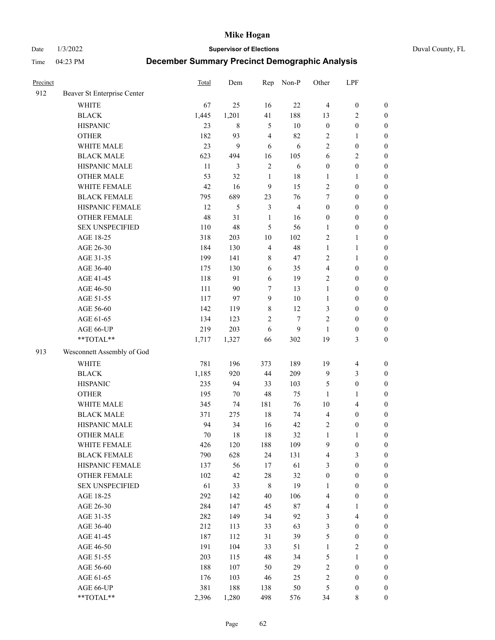Date 1/3/2022 **Supervisor of Elections** Duval County, FL

| Precinct |                             | <b>Total</b> | Dem            | Rep                     | Non-P          | Other            | LPF              |                  |
|----------|-----------------------------|--------------|----------------|-------------------------|----------------|------------------|------------------|------------------|
| 912      | Beaver St Enterprise Center |              |                |                         |                |                  |                  |                  |
|          | <b>WHITE</b>                | 67           | 25             | 16                      | 22             | $\overline{4}$   | $\boldsymbol{0}$ | $\boldsymbol{0}$ |
|          | <b>BLACK</b>                | 1,445        | 1,201          | 41                      | 188            | 13               | $\overline{c}$   | $\boldsymbol{0}$ |
|          | <b>HISPANIC</b>             | 23           | 8              | $\mathfrak{S}$          | 10             | $\boldsymbol{0}$ | $\boldsymbol{0}$ | $\boldsymbol{0}$ |
|          | <b>OTHER</b>                | 182          | 93             | $\overline{\mathbf{4}}$ | 82             | 2                | 1                | $\boldsymbol{0}$ |
|          | WHITE MALE                  | 23           | 9              | 6                       | 6              | 2                | $\boldsymbol{0}$ | $\boldsymbol{0}$ |
|          | <b>BLACK MALE</b>           | 623          | 494            | 16                      | 105            | 6                | $\sqrt{2}$       | $\boldsymbol{0}$ |
|          | HISPANIC MALE               | 11           | $\mathfrak{Z}$ | $\sqrt{2}$              | 6              | $\boldsymbol{0}$ | $\boldsymbol{0}$ | $\boldsymbol{0}$ |
|          | <b>OTHER MALE</b>           | 53           | 32             | $\mathbf{1}$            | 18             | $\mathbf{1}$     | $\mathbf{1}$     | $\boldsymbol{0}$ |
|          | WHITE FEMALE                | 42           | 16             | $\boldsymbol{9}$        | 15             | $\overline{c}$   | $\boldsymbol{0}$ | $\boldsymbol{0}$ |
|          | <b>BLACK FEMALE</b>         | 795          | 689            | 23                      | 76             | 7                | $\boldsymbol{0}$ | $\boldsymbol{0}$ |
|          | HISPANIC FEMALE             | 12           | 5              | $\mathfrak{Z}$          | $\overline{4}$ | $\boldsymbol{0}$ | $\boldsymbol{0}$ | $\boldsymbol{0}$ |
|          | <b>OTHER FEMALE</b>         | 48           | 31             | $\mathbf{1}$            | 16             | $\boldsymbol{0}$ | $\boldsymbol{0}$ | $\boldsymbol{0}$ |
|          | <b>SEX UNSPECIFIED</b>      | 110          | 48             | 5                       | 56             | $\mathbf{1}$     | $\boldsymbol{0}$ | $\boldsymbol{0}$ |
|          | AGE 18-25                   | 318          | 203            | $10\,$                  | 102            | 2                | $\mathbf{1}$     | $\boldsymbol{0}$ |
|          | AGE 26-30                   | 184          | 130            | $\overline{\mathbf{4}}$ | 48             | $\mathbf{1}$     | $\mathbf{1}$     | $\boldsymbol{0}$ |
|          | AGE 31-35                   | 199          | 141            | $\,$ $\,$               | 47             | $\overline{c}$   | $\mathbf{1}$     | $\boldsymbol{0}$ |
|          | AGE 36-40                   | 175          | 130            | 6                       | 35             | 4                | $\boldsymbol{0}$ | $\boldsymbol{0}$ |
|          | AGE 41-45                   | 118          | 91             | $\sqrt{6}$              | 19             | 2                | $\boldsymbol{0}$ | $\boldsymbol{0}$ |
|          | AGE 46-50                   | 111          | 90             | 7                       | 13             | $\mathbf{1}$     | $\boldsymbol{0}$ | $\boldsymbol{0}$ |
|          | AGE 51-55                   | 117          | 97             | $\overline{9}$          | $10\,$         | $\mathbf{1}$     | $\boldsymbol{0}$ | $\boldsymbol{0}$ |
|          | AGE 56-60                   | 142          | 119            | $\,$ 8 $\,$             | 12             | 3                | $\boldsymbol{0}$ | $\boldsymbol{0}$ |
|          | AGE 61-65                   | 134          | 123            | 2                       | $\tau$         | 2                | $\boldsymbol{0}$ | $\boldsymbol{0}$ |
|          | AGE 66-UP                   | 219          | 203            | 6                       | 9              | $\mathbf{1}$     | $\boldsymbol{0}$ | $\boldsymbol{0}$ |
|          | **TOTAL**                   | 1,717        | 1,327          | 66                      | 302            | 19               | $\mathfrak{Z}$   | $\boldsymbol{0}$ |
| 913      | Wesconnett Assembly of God  |              |                |                         |                |                  |                  |                  |
|          | <b>WHITE</b>                | 781          | 196            | 373                     | 189            | 19               | $\overline{4}$   | $\boldsymbol{0}$ |
|          | <b>BLACK</b>                | 1,185        | 920            | 44                      | 209            | 9                | $\mathfrak{Z}$   | $\boldsymbol{0}$ |
|          | <b>HISPANIC</b>             | 235          | 94             | 33                      | 103            | 5                | $\boldsymbol{0}$ | $\boldsymbol{0}$ |
|          | <b>OTHER</b>                | 195          | $70\,$         | 48                      | 75             | $\mathbf{1}$     | $\mathbf{1}$     | $\boldsymbol{0}$ |
|          | WHITE MALE                  | 345          | 74             | 181                     | 76             | $10\,$           | $\overline{4}$   | $\boldsymbol{0}$ |
|          | <b>BLACK MALE</b>           | 371          | 275            | $18\,$                  | 74             | 4                | $\boldsymbol{0}$ | $\boldsymbol{0}$ |
|          | HISPANIC MALE               | 94           | 34             | 16                      | 42             | 2                | $\boldsymbol{0}$ | $\boldsymbol{0}$ |
|          | <b>OTHER MALE</b>           | 70           | 18             | 18                      | 32             | $\mathbf{1}$     | $\mathbf{1}$     | $\boldsymbol{0}$ |
|          | WHITE FEMALE                | 426          | 120            | 188                     | 109            | 9                | 0                | 0                |
|          | <b>BLACK FEMALE</b>         | 790          | 628            | 24                      | 131            | 4                | 3                | $\boldsymbol{0}$ |
|          | HISPANIC FEMALE             | 137          | 56             | 17                      | 61             | 3                | $\boldsymbol{0}$ | $\overline{0}$   |
|          | OTHER FEMALE                | 102          | 42             | 28                      | 32             | $\boldsymbol{0}$ | $\boldsymbol{0}$ | $\overline{0}$   |
|          | <b>SEX UNSPECIFIED</b>      | 61           | 33             | 8                       | 19             | $\mathbf{1}$     | $\boldsymbol{0}$ | 0                |
|          | AGE 18-25                   | 292          | 142            | 40                      | 106            | 4                | $\boldsymbol{0}$ | $\theta$         |
|          | AGE 26-30                   | 284          | 147            | 45                      | $87\,$         | 4                | $\mathbf{1}$     | 0                |
|          | AGE 31-35                   | 282          | 149            | 34                      | 92             | 3                | $\overline{4}$   | 0                |
|          | AGE 36-40                   | 212          | 113            | 33                      | 63             | 3                | $\boldsymbol{0}$ | 0                |
|          | AGE 41-45                   | 187          | 112            | 31                      | 39             | 5                | $\boldsymbol{0}$ | 0                |
|          | AGE 46-50                   | 191          | 104            | 33                      | 51             | $\mathbf{1}$     | $\sqrt{2}$       | 0                |
|          | AGE 51-55                   | 203          | 115            | 48                      | 34             | 5                | $\mathbf{1}$     | $\overline{0}$   |
|          | AGE 56-60                   | 188          | 107            | 50                      | 29             | 2                | $\boldsymbol{0}$ | $\overline{0}$   |
|          | AGE 61-65                   | 176          | 103            | 46                      | 25             | 2                | $\boldsymbol{0}$ | $\overline{0}$   |
|          | AGE 66-UP                   | 381          | 188            | 138                     | 50             | 5                | $\boldsymbol{0}$ | 0                |
|          | **TOTAL**                   | 2,396        | 1,280          | 498                     | 576            | 34               | 8                | $\boldsymbol{0}$ |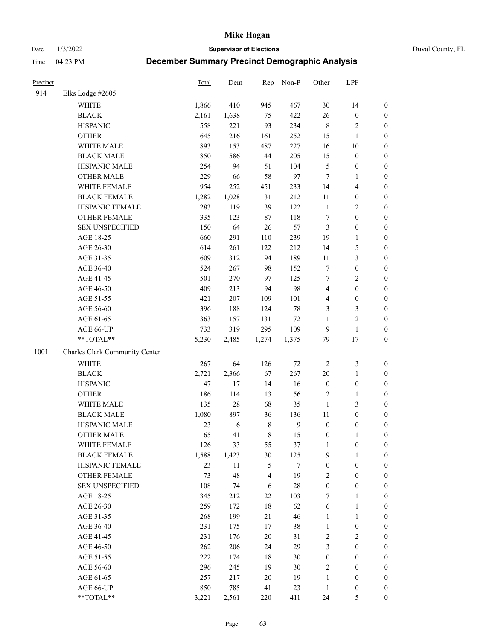Date 1/3/2022 **Supervisor of Elections** Duval County, FL

| Precinct |                                | <b>Total</b> | Dem        | Rep         | Non-P        | Other            | LPF              |                  |
|----------|--------------------------------|--------------|------------|-------------|--------------|------------------|------------------|------------------|
| 914      | Elks Lodge #2605               |              |            |             |              |                  |                  |                  |
|          | <b>WHITE</b>                   | 1,866        | 410        | 945         | 467          | 30               | 14               | 0                |
|          | <b>BLACK</b>                   | 2,161        | 1,638      | 75          | 422          | 26               | $\boldsymbol{0}$ | 0                |
|          | <b>HISPANIC</b>                | 558          | 221        | 93          | 234          | 8                | $\sqrt{2}$       | $\boldsymbol{0}$ |
|          | <b>OTHER</b>                   | 645          | 216        | 161         | 252          | 15               | 1                | $\boldsymbol{0}$ |
|          | WHITE MALE                     | 893          | 153        | 487         | 227          | 16               | 10               | $\boldsymbol{0}$ |
|          | <b>BLACK MALE</b>              | 850          | 586        | 44          | 205          | 15               | $\boldsymbol{0}$ | $\boldsymbol{0}$ |
|          | HISPANIC MALE                  | 254          | 94         | 51          | 104          | 5                | $\boldsymbol{0}$ | $\boldsymbol{0}$ |
|          | <b>OTHER MALE</b>              | 229          | 66         | 58          | 97           | $\tau$           | $\mathbf{1}$     | $\boldsymbol{0}$ |
|          | WHITE FEMALE                   | 954          | 252        | 451         | 233          | 14               | $\overline{4}$   | $\boldsymbol{0}$ |
|          | <b>BLACK FEMALE</b>            | 1,282        | 1,028      | 31          | 212          | 11               | $\boldsymbol{0}$ | 0                |
|          | HISPANIC FEMALE                | 283          | 119        | 39          | 122          | $\mathbf{1}$     | $\sqrt{2}$       | $\boldsymbol{0}$ |
|          | <b>OTHER FEMALE</b>            | 335          | 123        | $87\,$      | 118          | 7                | $\boldsymbol{0}$ | $\boldsymbol{0}$ |
|          | <b>SEX UNSPECIFIED</b>         | 150          | 64         | 26          | 57           | 3                | $\boldsymbol{0}$ | $\boldsymbol{0}$ |
|          | AGE 18-25                      | 660          | 291        | 110         | 239          | 19               | $\mathbf{1}$     | $\boldsymbol{0}$ |
|          | AGE 26-30                      | 614          | 261        | 122         | 212          | 14               | $\mathfrak s$    | $\boldsymbol{0}$ |
|          | AGE 31-35                      | 609          | 312        | 94          | 189          | 11               | $\mathfrak{Z}$   | $\boldsymbol{0}$ |
|          | AGE 36-40                      | 524          | 267        | 98          | 152          | 7                | $\boldsymbol{0}$ | $\boldsymbol{0}$ |
|          | AGE 41-45                      | 501          | 270        | 97          | 125          | $\tau$           | $\mathfrak{2}$   | $\boldsymbol{0}$ |
|          | AGE 46-50                      | 409          | 213        | 94          | 98           | 4                | $\boldsymbol{0}$ | $\boldsymbol{0}$ |
|          | AGE 51-55                      | 421          | 207        | 109         | 101          | 4                | $\boldsymbol{0}$ | $\boldsymbol{0}$ |
|          | AGE 56-60                      | 396          | 188        | 124         | $78\,$       | 3                | $\mathfrak{Z}$   | $\boldsymbol{0}$ |
|          | AGE 61-65                      | 363          | 157        | 131         | $72\,$       | $\mathbf{1}$     | $\sqrt{2}$       | $\boldsymbol{0}$ |
|          | AGE 66-UP                      | 733          | 319        | 295         | 109          | 9                | $\mathbf{1}$     | $\boldsymbol{0}$ |
|          | **TOTAL**                      | 5,230        | 2,485      | 1,274       | 1,375        | 79               | 17               | $\boldsymbol{0}$ |
| 1001     | Charles Clark Community Center |              |            |             |              |                  |                  |                  |
|          | <b>WHITE</b>                   | 267          | 64         | 126         | $72\,$       | $\sqrt{2}$       | $\mathfrak z$    | $\boldsymbol{0}$ |
|          | <b>BLACK</b>                   | 2,721        | 2,366      | 67          | 267          | 20               | $\mathbf{1}$     | $\boldsymbol{0}$ |
|          | <b>HISPANIC</b>                | 47           | 17         | 14          | 16           | $\boldsymbol{0}$ | $\boldsymbol{0}$ | $\boldsymbol{0}$ |
|          | <b>OTHER</b>                   | 186          | 114        | 13          | 56           | 2                | $\mathbf{1}$     | $\boldsymbol{0}$ |
|          | WHITE MALE                     | 135          | $28\,$     | 68          | 35           | $\mathbf{1}$     | 3                | $\boldsymbol{0}$ |
|          | <b>BLACK MALE</b>              | 1,080        | 897        | 36          | 136          | $11\,$           | $\boldsymbol{0}$ | $\boldsymbol{0}$ |
|          | HISPANIC MALE                  | 23           | $\sqrt{6}$ | $\,8\,$     | $\mathbf{9}$ | $\boldsymbol{0}$ | $\boldsymbol{0}$ | $\boldsymbol{0}$ |
|          | <b>OTHER MALE</b>              | 65           | 41         | $\,$ 8 $\,$ | 15           | $\boldsymbol{0}$ | $\mathbf{1}$     | $\boldsymbol{0}$ |
|          | WHITE FEMALE                   | 126          | 33         | 55          | 37           | $\mathbf{1}$     | 0                | 0                |
|          | <b>BLACK FEMALE</b>            | 1,588        | 1,423      | 30          | 125          | 9                | $\mathbf{1}$     | $\boldsymbol{0}$ |
|          | HISPANIC FEMALE                | 23           | 11         | 5           | 7            | $\boldsymbol{0}$ | $\boldsymbol{0}$ | $\overline{0}$   |
|          | OTHER FEMALE                   | 73           | 48         | 4           | 19           | 2                | $\boldsymbol{0}$ | $\overline{0}$   |
|          | <b>SEX UNSPECIFIED</b>         | 108          | 74         | 6           | $28\,$       | $\boldsymbol{0}$ | $\boldsymbol{0}$ | 0                |
|          | AGE 18-25                      | 345          | 212        | 22          | 103          | 7                | $\mathbf{1}$     | 0                |
|          | AGE 26-30                      | 259          | 172        | $18\,$      | 62           | 6                | $\mathbf{1}$     | 0                |
|          | AGE 31-35                      | 268          | 199        | 21          | 46           | $\mathbf{1}$     | $\mathbf{1}$     | 0                |
|          | AGE 36-40                      | 231          | 175        | 17          | 38           | $\mathbf{1}$     | $\boldsymbol{0}$ | 0                |
|          | AGE 41-45                      | 231          | 176        | 20          | 31           | 2                | $\mathfrak{2}$   | 0                |
|          | AGE 46-50                      | 262          | 206        | 24          | 29           | 3                | $\boldsymbol{0}$ | 0                |
|          | AGE 51-55                      | 222          | 174        | 18          | $30\,$       | $\boldsymbol{0}$ | $\boldsymbol{0}$ | 0                |
|          | AGE 56-60                      | 296          | 245        | 19          | $30\,$       | 2                | $\boldsymbol{0}$ | $\overline{0}$   |
|          | AGE 61-65                      | 257          | 217        | 20          | 19           | 1                | $\boldsymbol{0}$ | $\overline{0}$   |
|          | AGE 66-UP                      | 850          | 785        | 41          | 23           | $\mathbf{1}$     | $\boldsymbol{0}$ | 0                |
|          | **TOTAL**                      | 3,221        | 2,561      | 220         | 411          | 24               | $\mathfrak s$    | $\boldsymbol{0}$ |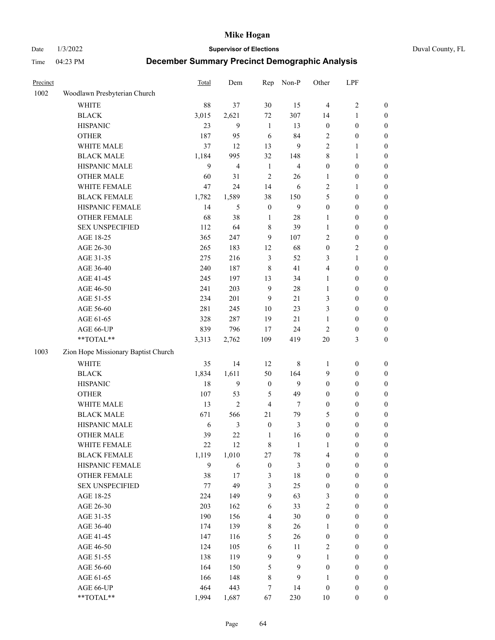Date 1/3/2022 **Supervisor of Elections** Duval County, FL

| Precinct |                                     | <b>Total</b> | Dem            | Rep                     | Non-P          | Other            | LPF              |                  |
|----------|-------------------------------------|--------------|----------------|-------------------------|----------------|------------------|------------------|------------------|
| 1002     | Woodlawn Presbyterian Church        |              |                |                         |                |                  |                  |                  |
|          | <b>WHITE</b>                        | 88           | 37             | 30                      | 15             | $\overline{4}$   | $\sqrt{2}$       | 0                |
|          | <b>BLACK</b>                        | 3,015        | 2,621          | 72                      | 307            | 14               | $\mathbf{1}$     | 0                |
|          | <b>HISPANIC</b>                     | 23           | 9              | $\mathbf{1}$            | 13             | $\boldsymbol{0}$ | $\boldsymbol{0}$ | 0                |
|          | <b>OTHER</b>                        | 187          | 95             | 6                       | 84             | 2                | $\boldsymbol{0}$ | $\boldsymbol{0}$ |
|          | WHITE MALE                          | 37           | 12             | 13                      | 9              | 2                | 1                | $\boldsymbol{0}$ |
|          | <b>BLACK MALE</b>                   | 1,184        | 995            | 32                      | 148            | 8                | $\mathbf{1}$     | $\boldsymbol{0}$ |
|          | HISPANIC MALE                       | 9            | $\overline{4}$ | $\mathbf{1}$            | $\overline{4}$ | 0                | $\boldsymbol{0}$ | $\boldsymbol{0}$ |
|          | <b>OTHER MALE</b>                   | 60           | 31             | $\mathfrak{2}$          | 26             | 1                | $\boldsymbol{0}$ | $\boldsymbol{0}$ |
|          | WHITE FEMALE                        | 47           | 24             | 14                      | 6              | 2                | 1                | $\boldsymbol{0}$ |
|          | <b>BLACK FEMALE</b>                 | 1,782        | 1,589          | 38                      | 150            | 5                | $\boldsymbol{0}$ | 0                |
|          | HISPANIC FEMALE                     | 14           | 5              | $\boldsymbol{0}$        | 9              | $\boldsymbol{0}$ | $\boldsymbol{0}$ | 0                |
|          | OTHER FEMALE                        | 68           | 38             | $\mathbf{1}$            | 28             | $\mathbf{1}$     | $\boldsymbol{0}$ | $\boldsymbol{0}$ |
|          | <b>SEX UNSPECIFIED</b>              | 112          | 64             | 8                       | 39             | $\mathbf{1}$     | $\boldsymbol{0}$ | $\boldsymbol{0}$ |
|          | AGE 18-25                           | 365          | 247            | 9                       | 107            | 2                | $\boldsymbol{0}$ | $\boldsymbol{0}$ |
|          | AGE 26-30                           | 265          | 183            | 12                      | 68             | $\boldsymbol{0}$ | $\sqrt{2}$       | $\boldsymbol{0}$ |
|          | AGE 31-35                           | 275          | 216            | 3                       | 52             | 3                | $\mathbf{1}$     | $\boldsymbol{0}$ |
|          | AGE 36-40                           | 240          | 187            | 8                       | 41             | 4                | $\boldsymbol{0}$ | $\boldsymbol{0}$ |
|          | AGE 41-45                           | 245          | 197            | 13                      | 34             | 1                | $\boldsymbol{0}$ | $\boldsymbol{0}$ |
|          | AGE 46-50                           | 241          | 203            | $\mathbf{9}$            | 28             | 1                | $\boldsymbol{0}$ | $\boldsymbol{0}$ |
|          | AGE 51-55                           | 234          | 201            | 9                       | 21             | 3                | $\boldsymbol{0}$ | $\boldsymbol{0}$ |
|          | AGE 56-60                           | 281          | 245            | 10                      | 23             | 3                | $\boldsymbol{0}$ | 0                |
|          | AGE 61-65                           | 328          | 287            | 19                      | 21             | $\mathbf{1}$     | $\boldsymbol{0}$ | 0                |
|          | AGE 66-UP                           | 839          | 796            | 17                      | 24             | 2                | $\boldsymbol{0}$ | $\boldsymbol{0}$ |
|          | $**TOTAL**$                         | 3,313        | 2,762          | 109                     | 419            | 20               | $\mathfrak{Z}$   | $\boldsymbol{0}$ |
| 1003     | Zion Hope Missionary Baptist Church |              |                |                         |                |                  |                  |                  |
|          | WHITE                               | 35           | 14             | 12                      | $\,$ 8 $\,$    | 1                | $\boldsymbol{0}$ | $\boldsymbol{0}$ |
|          | <b>BLACK</b>                        | 1,834        | 1,611          | 50                      | 164            | 9                | $\boldsymbol{0}$ | $\boldsymbol{0}$ |
|          | <b>HISPANIC</b>                     | 18           | 9              | $\boldsymbol{0}$        | 9              | $\boldsymbol{0}$ | $\boldsymbol{0}$ | $\boldsymbol{0}$ |
|          | <b>OTHER</b>                        | 107          | 53             | 5                       | 49             | 0                | $\boldsymbol{0}$ | $\boldsymbol{0}$ |
|          | WHITE MALE                          | 13           | $\overline{2}$ | $\overline{4}$          | 7              | $\boldsymbol{0}$ | $\boldsymbol{0}$ | $\boldsymbol{0}$ |
|          | <b>BLACK MALE</b>                   | 671          | 566            | 21                      | 79             | 5                | $\boldsymbol{0}$ | $\boldsymbol{0}$ |
|          | HISPANIC MALE                       | 6            | $\mathfrak{Z}$ | $\boldsymbol{0}$        | $\mathfrak{Z}$ | $\boldsymbol{0}$ | $\boldsymbol{0}$ | 0                |
|          | <b>OTHER MALE</b>                   | 39           | 22             | $\mathbf{1}$            | 16             | $\boldsymbol{0}$ | $\boldsymbol{0}$ | $\boldsymbol{0}$ |
|          | WHITE FEMALE                        | 22           | 12             | 8                       | 1              | 1                | 0                | 0                |
|          | <b>BLACK FEMALE</b>                 | 1,119        | 1,010          | 27                      | $78\,$         | 4                | $\boldsymbol{0}$ | $\boldsymbol{0}$ |
|          | HISPANIC FEMALE                     | 9            | 6              | $\boldsymbol{0}$        | 3              | $\boldsymbol{0}$ | $\boldsymbol{0}$ | $\overline{0}$   |
|          | OTHER FEMALE                        | 38           | 17             | 3                       | 18             | 0                | $\boldsymbol{0}$ | $\overline{0}$   |
|          | <b>SEX UNSPECIFIED</b>              | 77           | 49             | 3                       | 25             | $\boldsymbol{0}$ | $\boldsymbol{0}$ | $\overline{0}$   |
|          | AGE 18-25                           | 224          | 149            | 9                       | 63             | 3                | $\boldsymbol{0}$ | $\overline{0}$   |
|          | AGE 26-30                           | 203          | 162            | 6                       | 33             | 2                | $\boldsymbol{0}$ | $\overline{0}$   |
|          | AGE 31-35                           | 190          | 156            | $\overline{\mathbf{4}}$ | 30             | $\boldsymbol{0}$ | $\boldsymbol{0}$ | 0                |
|          | AGE 36-40                           | 174          | 139            | $\,$ 8 $\,$             | 26             | 1                | $\boldsymbol{0}$ | 0                |
|          | AGE 41-45                           | 147          | 116            | 5                       | 26             | $\boldsymbol{0}$ | $\boldsymbol{0}$ | 0                |
|          | AGE 46-50                           | 124          | 105            | 6                       | 11             | 2                | $\boldsymbol{0}$ | 0                |
|          | AGE 51-55                           | 138          | 119            | 9                       | 9              | $\mathbf{1}$     | $\boldsymbol{0}$ | $\boldsymbol{0}$ |
|          | AGE 56-60                           | 164          | 150            | 5                       | 9              | $\boldsymbol{0}$ | $\boldsymbol{0}$ | $\boldsymbol{0}$ |
|          | AGE 61-65                           | 166          | 148            | 8                       | 9              | 1                | $\boldsymbol{0}$ | $\boldsymbol{0}$ |
|          | AGE 66-UP                           | 464          | 443            | 7                       | 14             | $\boldsymbol{0}$ | $\boldsymbol{0}$ | $\boldsymbol{0}$ |
|          | **TOTAL**                           | 1,994        | 1,687          | 67                      | 230            | $10\,$           | $\boldsymbol{0}$ | $\boldsymbol{0}$ |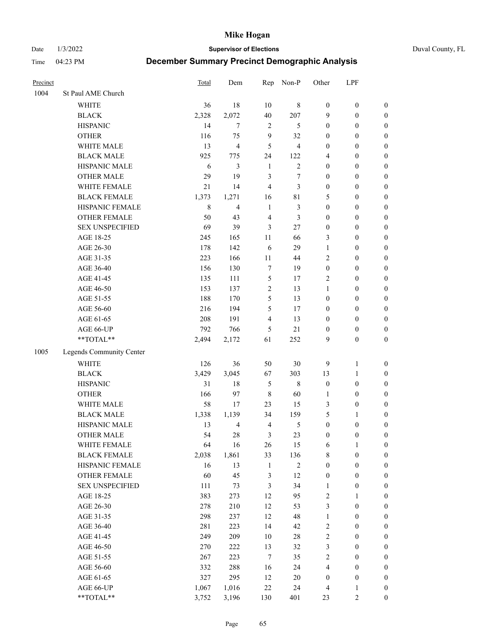Date 1/3/2022 **Supervisor of Elections** Duval County, FL

| Precinct |                          | Total       | Dem            | Rep            | Non-P          | Other                            | LPF                                  |                  |
|----------|--------------------------|-------------|----------------|----------------|----------------|----------------------------------|--------------------------------------|------------------|
| 1004     | St Paul AME Church       |             |                |                |                |                                  |                                      |                  |
|          | <b>WHITE</b>             | 36          | 18             | 10             | $\,8\,$        | $\boldsymbol{0}$                 | $\boldsymbol{0}$                     | $\boldsymbol{0}$ |
|          | <b>BLACK</b>             | 2,328       | 2,072          | 40             | 207            | 9                                | $\boldsymbol{0}$                     | $\boldsymbol{0}$ |
|          | <b>HISPANIC</b>          | 14          | $\tau$         | $\overline{2}$ | 5              | $\boldsymbol{0}$                 | $\boldsymbol{0}$                     | $\boldsymbol{0}$ |
|          | <b>OTHER</b>             | 116         | 75             | 9              | 32             | $\boldsymbol{0}$                 | $\boldsymbol{0}$                     | $\boldsymbol{0}$ |
|          | WHITE MALE               | 13          | $\overline{4}$ | 5              | $\overline{4}$ | $\boldsymbol{0}$                 | $\boldsymbol{0}$                     | $\boldsymbol{0}$ |
|          | <b>BLACK MALE</b>        | 925         | 775            | 24             | 122            | 4                                | $\boldsymbol{0}$                     | $\boldsymbol{0}$ |
|          | HISPANIC MALE            | 6           | 3              | $\mathbf{1}$   | $\overline{c}$ | $\boldsymbol{0}$                 | $\boldsymbol{0}$                     | $\boldsymbol{0}$ |
|          | <b>OTHER MALE</b>        | 29          | 19             | 3              | 7              | $\boldsymbol{0}$                 | $\boldsymbol{0}$                     | $\boldsymbol{0}$ |
|          | WHITE FEMALE             | 21          | 14             | $\overline{4}$ | 3              | $\boldsymbol{0}$                 | $\boldsymbol{0}$                     | $\boldsymbol{0}$ |
|          | <b>BLACK FEMALE</b>      | 1,373       | 1,271          | 16             | $8\sqrt{1}$    | 5                                | $\boldsymbol{0}$                     | $\boldsymbol{0}$ |
|          | HISPANIC FEMALE          | $\,8\,$     | $\overline{4}$ | $\mathbf{1}$   | $\mathfrak{Z}$ | $\boldsymbol{0}$                 | $\boldsymbol{0}$                     | 0                |
|          | <b>OTHER FEMALE</b>      | 50          | 43             | $\overline{4}$ | 3              | $\boldsymbol{0}$                 | $\boldsymbol{0}$                     | $\boldsymbol{0}$ |
|          | <b>SEX UNSPECIFIED</b>   | 69          | 39             | 3              | 27             | $\boldsymbol{0}$                 | $\boldsymbol{0}$                     | $\boldsymbol{0}$ |
|          | AGE 18-25                | 245         | 165            | $11\,$         | 66             | 3                                | $\boldsymbol{0}$                     | $\boldsymbol{0}$ |
|          | AGE 26-30                | 178         | 142            | 6              | 29             | $\mathbf{1}$                     | $\boldsymbol{0}$                     | $\boldsymbol{0}$ |
|          | AGE 31-35                | 223         | 166            | 11             | 44             | $\overline{c}$                   | $\boldsymbol{0}$                     | $\boldsymbol{0}$ |
|          | AGE 36-40                | 156         | 130            | 7              | 19             | $\boldsymbol{0}$                 | $\boldsymbol{0}$                     | $\boldsymbol{0}$ |
|          | AGE 41-45                | 135         | 111            | $\mathfrak{S}$ | 17             | 2                                | $\boldsymbol{0}$                     | $\boldsymbol{0}$ |
|          | AGE 46-50                | 153         | 137            | $\sqrt{2}$     | 13             | $\mathbf{1}$                     | $\boldsymbol{0}$                     | $\boldsymbol{0}$ |
|          | AGE 51-55                | 188         | 170            | 5              | 13             | $\boldsymbol{0}$                 | $\boldsymbol{0}$                     | $\boldsymbol{0}$ |
|          | AGE 56-60                | 216         | 194            | 5              | 17             | $\boldsymbol{0}$                 | $\boldsymbol{0}$                     | 0                |
|          | AGE 61-65                | 208         | 191            | $\overline{4}$ | 13             | $\boldsymbol{0}$                 | $\boldsymbol{0}$                     | $\boldsymbol{0}$ |
|          | AGE 66-UP                | 792         | 766            | 5              | 21             | $\boldsymbol{0}$                 | $\boldsymbol{0}$                     | $\boldsymbol{0}$ |
|          | **TOTAL**                | 2,494       | 2,172          | 61             | 252            | 9                                | $\boldsymbol{0}$                     | $\boldsymbol{0}$ |
| 1005     | Legends Community Center |             |                |                |                |                                  |                                      |                  |
|          | <b>WHITE</b>             | 126         | 36             | 50             | $30\,$         | 9                                | $\mathbf{1}$                         | $\boldsymbol{0}$ |
|          | <b>BLACK</b>             | 3,429       | 3,045          | 67             | 303            | 13                               | $\mathbf{1}$                         | $\boldsymbol{0}$ |
|          | <b>HISPANIC</b>          | 31          | 18             | $\mathfrak{S}$ | $\,$ 8 $\,$    | $\boldsymbol{0}$                 | $\boldsymbol{0}$                     | $\boldsymbol{0}$ |
|          | <b>OTHER</b>             | 166         | 97             | $\,$ 8 $\,$    | 60             | $\mathbf{1}$                     | $\boldsymbol{0}$                     | $\boldsymbol{0}$ |
|          | WHITE MALE               | 58          | 17             | 23             | 15             | 3                                | $\boldsymbol{0}$                     | $\boldsymbol{0}$ |
|          | <b>BLACK MALE</b>        | 1,338       | 1,139          | 34             | 159            | 5                                | 1                                    | $\boldsymbol{0}$ |
|          | HISPANIC MALE            | 13          | $\overline{4}$ | $\overline{4}$ | $\mathfrak{S}$ | $\boldsymbol{0}$                 | $\boldsymbol{0}$                     | $\boldsymbol{0}$ |
|          | <b>OTHER MALE</b>        | 54          | 28             | 3              | 23             | $\boldsymbol{0}$                 | $\boldsymbol{0}$                     | $\boldsymbol{0}$ |
|          | WHITE FEMALE             |             |                |                |                |                                  | 1                                    | 0                |
|          | <b>BLACK FEMALE</b>      | 64<br>2,038 | 16<br>1,861    | 26<br>33       | 15<br>136      | 6<br>8                           | $\boldsymbol{0}$                     | $\boldsymbol{0}$ |
|          | HISPANIC FEMALE          | 16          | 13             | $\mathbf{1}$   | $\sqrt{2}$     | $\boldsymbol{0}$                 | $\boldsymbol{0}$                     | $\overline{0}$   |
|          | OTHER FEMALE             | 60          | 45             |                | 12             |                                  | $\boldsymbol{0}$                     | $\overline{0}$   |
|          | <b>SEX UNSPECIFIED</b>   | 111         | 73             | 3<br>3         | 34             | $\boldsymbol{0}$<br>$\mathbf{1}$ | $\boldsymbol{0}$                     | 0                |
|          |                          | 383         |                | 12             |                |                                  | $\mathbf{1}$                         | $\overline{0}$   |
|          | AGE 18-25<br>AGE 26-30   | 278         | 273<br>210     | 12             | 95<br>53       | 2<br>3                           |                                      |                  |
|          |                          | 298         |                | 12             | 48             |                                  | $\boldsymbol{0}$                     | 0                |
|          | AGE 31-35                |             | 237            |                |                | $\mathbf{1}$                     | $\boldsymbol{0}$                     | 0                |
|          | AGE 36-40<br>AGE 41-45   | 281<br>249  | 223<br>209     | 14<br>10       | 42<br>$28\,$   | 2<br>$\overline{c}$              | $\boldsymbol{0}$<br>$\boldsymbol{0}$ | 0                |
|          |                          |             |                |                |                |                                  |                                      | 0                |
|          | AGE 46-50                | 270         | 222            | 13             | 32             | 3                                | $\boldsymbol{0}$                     | 0                |
|          | AGE 51-55                | 267         | 223            | $\tau$         | 35             | 2                                | $\boldsymbol{0}$                     | $\boldsymbol{0}$ |
|          | AGE 56-60                | 332         | 288            | 16             | 24             | 4                                | $\boldsymbol{0}$                     | $\boldsymbol{0}$ |
|          | AGE 61-65                | 327         | 295            | 12             | $20\,$         | $\boldsymbol{0}$                 | $\boldsymbol{0}$                     | $\overline{0}$   |
|          | AGE 66-UP                | 1,067       | 1,016          | $22\,$         | 24             | 4                                | $\mathbf{1}$                         | 0                |
|          | **TOTAL**                | 3,752       | 3,196          | 130            | 401            | 23                               | $\mathfrak{2}$                       | $\boldsymbol{0}$ |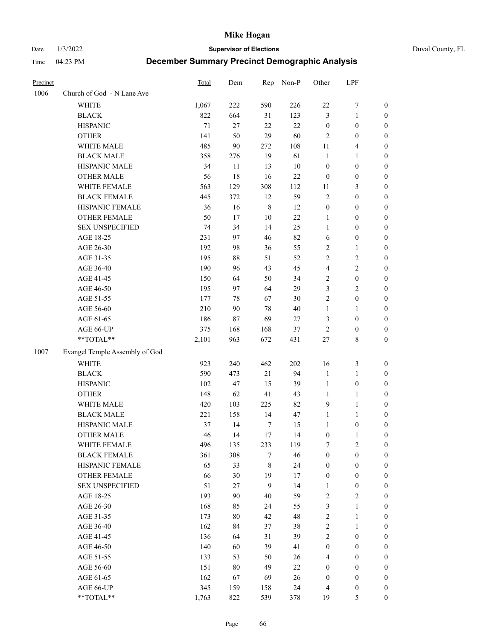Date 1/3/2022 **Supervisor of Elections** Duval County, FL

| Precinct |                                | Total | Dem        | Rep         | Non-P  | Other            | LPF                   |                       |
|----------|--------------------------------|-------|------------|-------------|--------|------------------|-----------------------|-----------------------|
| 1006     | Church of God - N Lane Ave     |       |            |             |        |                  |                       |                       |
|          | <b>WHITE</b>                   | 1,067 | 222        | 590         | 226    | 22               | $\boldsymbol{7}$      | 0                     |
|          | <b>BLACK</b>                   | 822   | 664        | 31          | 123    | 3                | $\mathbf{1}$          | $\boldsymbol{0}$      |
|          | <b>HISPANIC</b>                | 71    | 27         | 22          | 22     | $\boldsymbol{0}$ | $\boldsymbol{0}$      | $\boldsymbol{0}$      |
|          | <b>OTHER</b>                   | 141   | 50         | 29          | 60     | $\mathfrak{2}$   | $\boldsymbol{0}$      | $\boldsymbol{0}$      |
|          | WHITE MALE                     | 485   | 90         | 272         | 108    | 11               | $\overline{4}$        | $\boldsymbol{0}$      |
|          | <b>BLACK MALE</b>              | 358   | 276        | 19          | 61     | $\mathbf{1}$     | 1                     | $\boldsymbol{0}$      |
|          | HISPANIC MALE                  | 34    | 11         | 13          | 10     | $\boldsymbol{0}$ | $\boldsymbol{0}$      | $\boldsymbol{0}$      |
|          | <b>OTHER MALE</b>              | 56    | 18         | 16          | $22\,$ | $\boldsymbol{0}$ | $\boldsymbol{0}$      | $\boldsymbol{0}$      |
|          | WHITE FEMALE                   | 563   | 129        | 308         | 112    | 11               | $\mathfrak{Z}$        | $\boldsymbol{0}$      |
|          | <b>BLACK FEMALE</b>            | 445   | 372        | 12          | 59     | 2                | $\boldsymbol{0}$      | 0                     |
|          | HISPANIC FEMALE                | 36    | 16         | $\,$ 8 $\,$ | 12     | $\boldsymbol{0}$ | $\boldsymbol{0}$      | 0                     |
|          | OTHER FEMALE                   | 50    | 17         | $10\,$      | 22     | $\mathbf{1}$     | $\boldsymbol{0}$      | $\boldsymbol{0}$      |
|          | <b>SEX UNSPECIFIED</b>         | 74    | 34         | 14          | 25     | $\mathbf{1}$     | $\boldsymbol{0}$      | $\boldsymbol{0}$      |
|          | AGE 18-25                      | 231   | 97         | 46          | 82     | 6                | $\boldsymbol{0}$      | $\boldsymbol{0}$      |
|          | AGE 26-30                      | 192   | 98         | 36          | 55     | 2                | $\mathbf{1}$          | $\boldsymbol{0}$      |
|          | AGE 31-35                      | 195   | 88         | 51          | 52     | $\overline{c}$   | $\sqrt{2}$            | $\boldsymbol{0}$      |
|          | AGE 36-40                      | 190   | 96         | 43          | 45     | 4                | $\sqrt{2}$            | $\boldsymbol{0}$      |
|          | AGE 41-45                      | 150   | 64         | 50          | 34     | 2                | $\boldsymbol{0}$      | $\boldsymbol{0}$      |
|          | AGE 46-50                      | 195   | 97         | 64          | 29     | 3                | $\mathbf{2}$          | $\boldsymbol{0}$      |
|          | AGE 51-55                      | 177   | 78         | 67          | 30     | $\overline{c}$   | $\boldsymbol{0}$      | 0                     |
|          | AGE 56-60                      | 210   | 90         | 78          | 40     | $\mathbf{1}$     |                       |                       |
|          | AGE 61-65                      | 186   | 87         | 69          | $27\,$ | 3                | 1<br>$\boldsymbol{0}$ | 0<br>0                |
|          |                                | 375   |            |             | 37     | 2                | $\boldsymbol{0}$      |                       |
|          | AGE 66-UP<br>$**TOTAL**$       | 2,101 | 168<br>963 | 168<br>672  | 431    | $27\,$           | $\,$ 8 $\,$           | 0<br>$\boldsymbol{0}$ |
|          |                                |       |            |             |        |                  |                       |                       |
| 1007     | Evangel Temple Assembly of God |       |            |             |        |                  |                       |                       |
|          | <b>WHITE</b>                   | 923   | 240        | 462         | 202    | 16               | $\mathfrak z$         | $\boldsymbol{0}$      |
|          | <b>BLACK</b>                   | 590   | 473        | 21          | 94     | $\mathbf{1}$     | $\mathbf{1}$          | $\boldsymbol{0}$      |
|          | <b>HISPANIC</b>                | 102   | 47         | 15          | 39     | $\mathbf{1}$     | $\boldsymbol{0}$      | $\boldsymbol{0}$      |
|          | <b>OTHER</b>                   | 148   | 62         | 41          | 43     | $\mathbf{1}$     | $\mathbf{1}$          | $\boldsymbol{0}$      |
|          | WHITE MALE                     | 420   | 103        | 225         | 82     | 9                | $\mathbf{1}$          | $\boldsymbol{0}$      |
|          | <b>BLACK MALE</b>              | 221   | 158        | 14          | 47     | $\mathbf{1}$     | $\mathbf{1}$          | 0                     |
|          | HISPANIC MALE                  | 37    | 14         | 7           | 15     | 1                | $\boldsymbol{0}$      | 0                     |
|          | <b>OTHER MALE</b>              | 46    | 14         | 17          | 14     | $\boldsymbol{0}$ | $\mathbf{1}$          | 0                     |
|          | WHITE FEMALE                   | 496   | 135        | 233         | 119    | 7                | $\overline{c}$        | 0                     |
|          | <b>BLACK FEMALE</b>            | 361   | 308        | 7           | 46     | $\boldsymbol{0}$ | $\boldsymbol{0}$      | $\overline{0}$        |
|          | HISPANIC FEMALE                | 65    | 33         | 8           | 24     | $\boldsymbol{0}$ | $\boldsymbol{0}$      | $\overline{0}$        |
|          | OTHER FEMALE                   | 66    | 30         | 19          | 17     | $\boldsymbol{0}$ | $\boldsymbol{0}$      | $\overline{0}$        |
|          | <b>SEX UNSPECIFIED</b>         | 51    | 27         | 9           | 14     | 1                | $\boldsymbol{0}$      | 0                     |
|          | AGE 18-25                      | 193   | 90         | 40          | 59     | 2                | $\sqrt{2}$            | 0                     |
|          | AGE 26-30                      | 168   | 85         | 24          | 55     | 3                | $\mathbf{1}$          | 0                     |
|          | AGE 31-35                      | 173   | 80         | 42          | 48     | $\overline{c}$   | $\mathbf{1}$          | 0                     |
|          | AGE 36-40                      | 162   | 84         | 37          | 38     | 2                | $\mathbf{1}$          | 0                     |
|          | AGE 41-45                      | 136   | 64         | 31          | 39     | $\overline{c}$   | $\boldsymbol{0}$      | 0                     |
|          | AGE 46-50                      | 140   | 60         | 39          | 41     | $\boldsymbol{0}$ | $\boldsymbol{0}$      | 0                     |
|          | AGE 51-55                      | 133   | 53         | 50          | 26     | 4                | $\boldsymbol{0}$      | $\overline{0}$        |
|          | AGE 56-60                      | 151   | 80         | 49          | 22     | 0                | $\boldsymbol{0}$      | $\overline{0}$        |
|          | AGE 61-65                      | 162   | 67         | 69          | 26     | $\boldsymbol{0}$ | $\boldsymbol{0}$      | $\overline{0}$        |
|          | AGE 66-UP                      | 345   | 159        | 158         | 24     | 4                | $\boldsymbol{0}$      | 0                     |
|          | **TOTAL**                      | 1,763 | 822        | 539         | 378    | 19               | 5                     | $\boldsymbol{0}$      |
|          |                                |       |            |             |        |                  |                       |                       |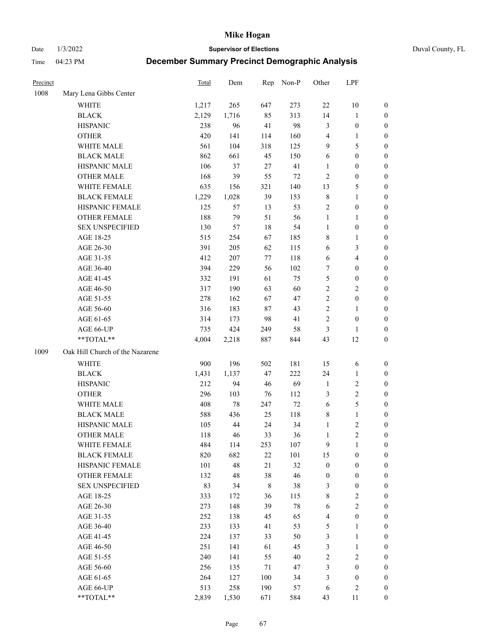Date 1/3/2022 **Supervisor of Elections** Duval County, FL

| Precinct |                                 | Total | Dem   | Rep    | Non-P  | Other            | LPF              |                  |
|----------|---------------------------------|-------|-------|--------|--------|------------------|------------------|------------------|
| 1008     | Mary Lena Gibbs Center          |       |       |        |        |                  |                  |                  |
|          | <b>WHITE</b>                    | 1,217 | 265   | 647    | 273    | $22\,$           | 10               | 0                |
|          | <b>BLACK</b>                    | 2,129 | 1,716 | 85     | 313    | 14               | $\mathbf{1}$     | 0                |
|          | <b>HISPANIC</b>                 | 238   | 96    | 41     | 98     | 3                | $\boldsymbol{0}$ | $\boldsymbol{0}$ |
|          | <b>OTHER</b>                    | 420   | 141   | 114    | 160    | 4                | 1                | $\boldsymbol{0}$ |
|          | WHITE MALE                      | 561   | 104   | 318    | 125    | 9                | 5                | $\boldsymbol{0}$ |
|          | <b>BLACK MALE</b>               | 862   | 661   | 45     | 150    | 6                | $\boldsymbol{0}$ | $\boldsymbol{0}$ |
|          | HISPANIC MALE                   | 106   | 37    | 27     | 41     | $\mathbf{1}$     | $\boldsymbol{0}$ | $\boldsymbol{0}$ |
|          | <b>OTHER MALE</b>               | 168   | 39    | 55     | $72\,$ | 2                | $\boldsymbol{0}$ | $\boldsymbol{0}$ |
|          | WHITE FEMALE                    | 635   | 156   | 321    | 140    | 13               | $\mathfrak s$    | $\boldsymbol{0}$ |
|          | <b>BLACK FEMALE</b>             | 1,229 | 1,028 | 39     | 153    | 8                | $\mathbf{1}$     | 0                |
|          | HISPANIC FEMALE                 | 125   | 57    | 13     | 53     | 2                | $\boldsymbol{0}$ | 0                |
|          | <b>OTHER FEMALE</b>             | 188   | 79    | 51     | 56     | $\mathbf{1}$     | $\mathbf{1}$     | 0                |
|          | <b>SEX UNSPECIFIED</b>          | 130   | 57    | 18     | 54     | $\mathbf{1}$     | $\boldsymbol{0}$ | $\boldsymbol{0}$ |
|          | AGE 18-25                       | 515   | 254   | 67     | 185    | 8                | 1                | $\boldsymbol{0}$ |
|          | AGE 26-30                       | 391   | 205   | 62     | 115    | 6                | $\mathfrak{Z}$   | $\boldsymbol{0}$ |
|          | AGE 31-35                       | 412   | 207   | 77     | 118    | 6                | $\overline{4}$   | $\boldsymbol{0}$ |
|          | AGE 36-40                       | 394   | 229   | 56     | 102    | $\boldsymbol{7}$ | $\boldsymbol{0}$ | $\boldsymbol{0}$ |
|          | AGE 41-45                       | 332   | 191   | 61     | 75     | 5                | $\boldsymbol{0}$ | $\boldsymbol{0}$ |
|          | AGE 46-50                       | 317   | 190   | 63     | 60     | $\overline{c}$   | $\mathbf{2}$     | $\boldsymbol{0}$ |
|          | AGE 51-55                       | 278   | 162   | 67     | 47     | $\overline{c}$   | $\boldsymbol{0}$ | 0                |
|          | AGE 56-60                       | 316   | 183   | 87     | 43     | $\overline{c}$   | 1                | 0                |
|          | AGE 61-65                       | 314   | 173   | 98     | 41     | $\overline{c}$   | $\boldsymbol{0}$ | 0                |
|          | AGE 66-UP                       | 735   | 424   | 249    | 58     | 3                | 1                | $\boldsymbol{0}$ |
|          | **TOTAL**                       | 4,004 | 2,218 | 887    | 844    | 43               | 12               | $\boldsymbol{0}$ |
| 1009     | Oak Hill Church of the Nazarene |       |       |        |        |                  |                  |                  |
|          | <b>WHITE</b>                    | 900   | 196   | 502    | 181    | 15               | 6                | $\boldsymbol{0}$ |
|          | <b>BLACK</b>                    | 1,431 | 1,137 | 47     | 222    | 24               | $\mathbf{1}$     | $\boldsymbol{0}$ |
|          | <b>HISPANIC</b>                 | 212   | 94    | 46     | 69     | $\mathbf{1}$     | $\sqrt{2}$       | $\boldsymbol{0}$ |
|          | <b>OTHER</b>                    | 296   | 103   | 76     | 112    | 3                | $\sqrt{2}$       | $\boldsymbol{0}$ |
|          | WHITE MALE                      | 408   | 78    | 247    | 72     | $\sqrt{6}$       | 5                | $\boldsymbol{0}$ |
|          | <b>BLACK MALE</b>               | 588   | 436   | 25     | 118    | 8                | $\mathbf{1}$     | $\boldsymbol{0}$ |
|          | HISPANIC MALE                   | 105   | 44    | 24     | 34     | $\mathbf{1}$     | $\sqrt{2}$       | 0                |
|          | <b>OTHER MALE</b>               | 118   | 46    | 33     | 36     | $\mathbf{1}$     | $\overline{2}$   | 0                |
|          | WHITE FEMALE                    | 484   | 114   | 253    | 107    | 9                | 1                | 0                |
|          | <b>BLACK FEMALE</b>             | 820   | 682   | $22\,$ | 101    | 15               | $\boldsymbol{0}$ | $\overline{0}$   |
|          | HISPANIC FEMALE                 | 101   | 48    | 21     | 32     | $\boldsymbol{0}$ | $\boldsymbol{0}$ | $\overline{0}$   |
|          | <b>OTHER FEMALE</b>             | 132   | 48    | 38     | 46     | $\boldsymbol{0}$ | $\boldsymbol{0}$ | $\overline{0}$   |
|          | <b>SEX UNSPECIFIED</b>          | 83    | 34    | 8      | 38     | 3                | $\boldsymbol{0}$ | 0                |
|          | AGE 18-25                       | 333   | 172   | 36     | 115    | 8                | $\sqrt{2}$       | 0                |
|          | AGE 26-30                       | 273   | 148   | 39     | $78\,$ | 6                | $\mathfrak{2}$   | 0                |
|          | AGE 31-35                       | 252   | 138   | 45     | 65     | 4                | $\boldsymbol{0}$ | 0                |
|          | AGE 36-40                       | 233   | 133   | 41     | 53     | 5                | 1                | 0                |
|          | AGE 41-45                       | 224   | 137   | 33     | 50     | $\mathfrak{Z}$   | $\mathbf{1}$     | 0                |
|          | AGE 46-50                       | 251   | 141   | 61     | 45     | 3                | $\mathbf{1}$     | 0                |
|          | AGE 51-55                       | 240   | 141   | 55     | $40\,$ | 2                | $\sqrt{2}$       | 0                |
|          | AGE 56-60                       | 256   | 135   | $71\,$ | 47     | 3                | $\boldsymbol{0}$ | $\overline{0}$   |
|          | AGE 61-65                       | 264   | 127   | 100    | 34     | 3                | $\boldsymbol{0}$ | $\overline{0}$   |
|          | AGE 66-UP                       | 513   | 258   | 190    | 57     | 6                | $\sqrt{2}$       | 0                |
|          | **TOTAL**                       | 2,839 | 1,530 | 671    | 584    | 43               | 11               | $\boldsymbol{0}$ |
|          |                                 |       |       |        |        |                  |                  |                  |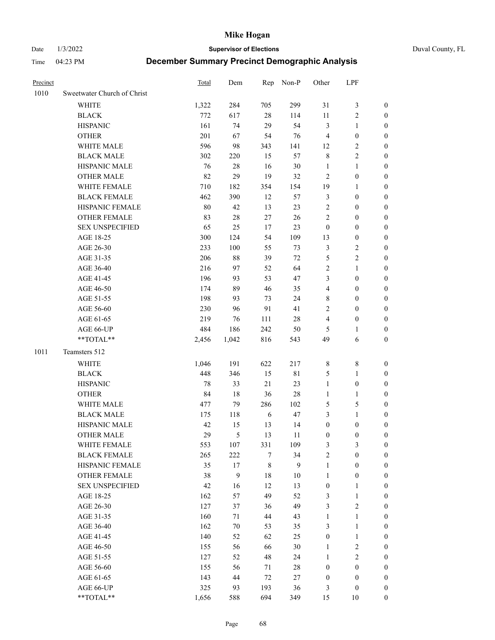Date 1/3/2022 **Supervisor of Elections** Duval County, FL

| Precinct |                             | Total  | Dem              |            | Rep Non-P | Other            | LPF              |                                      |
|----------|-----------------------------|--------|------------------|------------|-----------|------------------|------------------|--------------------------------------|
| 1010     | Sweetwater Church of Christ |        |                  |            |           |                  |                  |                                      |
|          | <b>WHITE</b>                | 1,322  | 284              | 705        | 299       | 31               | $\mathfrak{Z}$   | 0                                    |
|          | <b>BLACK</b>                | 772    | 617              | $28\,$     | 114       | 11               | $\sqrt{2}$       | 0                                    |
|          | <b>HISPANIC</b>             | 161    | 74               | 29         | 54        | 3                | $\mathbf{1}$     | $\boldsymbol{0}$                     |
|          | <b>OTHER</b>                | 201    | 67               | 54         | 76        | $\overline{4}$   | $\boldsymbol{0}$ | $\boldsymbol{0}$                     |
|          | WHITE MALE                  | 596    | 98               | 343        | 141       | 12               | $\sqrt{2}$       | $\boldsymbol{0}$                     |
|          | <b>BLACK MALE</b>           | 302    | 220              | 15         | 57        | 8                | $\sqrt{2}$       | $\boldsymbol{0}$                     |
|          | HISPANIC MALE               | 76     | 28               | 16         | 30        | $\mathbf{1}$     | $\mathbf{1}$     | $\boldsymbol{0}$                     |
|          | <b>OTHER MALE</b>           | 82     | 29               | 19         | 32        | 2                | $\boldsymbol{0}$ | $\boldsymbol{0}$                     |
|          | WHITE FEMALE                | 710    | 182              | 354        | 154       | 19               | 1                | $\boldsymbol{0}$                     |
|          | <b>BLACK FEMALE</b>         | 462    | 390              | 12         | 57        | 3                | $\boldsymbol{0}$ | 0                                    |
|          | HISPANIC FEMALE             | $80\,$ | 42               | 13         | 23        | $\mathbf{2}$     | $\boldsymbol{0}$ | 0                                    |
|          | OTHER FEMALE                | 83     | 28               | 27         | 26        | $\overline{c}$   | $\boldsymbol{0}$ | $\boldsymbol{0}$                     |
|          | <b>SEX UNSPECIFIED</b>      | 65     | 25               | 17         | 23        | $\boldsymbol{0}$ | $\boldsymbol{0}$ | $\boldsymbol{0}$                     |
|          | AGE 18-25                   | 300    | 124              | 54         | 109       | 13               | $\boldsymbol{0}$ | $\boldsymbol{0}$                     |
|          | AGE 26-30                   | 233    | 100              | 55         | 73        | 3                | $\sqrt{2}$       | $\boldsymbol{0}$                     |
|          | AGE 31-35                   | 206    | 88               | 39         | $72\,$    | 5                | $\sqrt{2}$       | $\boldsymbol{0}$                     |
|          | AGE 36-40                   | 216    | 97               | 52         | 64        | $\overline{c}$   | $\mathbf{1}$     | $\boldsymbol{0}$                     |
|          | AGE 41-45                   | 196    | 93               | 53         | 47        | 3                | $\boldsymbol{0}$ | $\boldsymbol{0}$                     |
|          | AGE 46-50                   | 174    | 89               | 46         | 35        | 4                | $\boldsymbol{0}$ | $\boldsymbol{0}$                     |
|          | AGE 51-55                   | 198    | 93               | 73         | 24        | 8                | $\boldsymbol{0}$ | $\boldsymbol{0}$                     |
|          | AGE 56-60                   | 230    | 96               | 91         | 41        |                  | $\boldsymbol{0}$ |                                      |
|          | AGE 61-65                   | 219    | 76               | 111        | 28        | 2<br>4           | $\boldsymbol{0}$ | 0<br>0                               |
|          |                             | 484    |                  | 242        |           |                  |                  |                                      |
|          | AGE 66-UP<br>$**TOTAL**$    |        | 186              | 816        | 50        | 5<br>49          | 1                | $\boldsymbol{0}$<br>$\boldsymbol{0}$ |
|          |                             | 2,456  | 1,042            |            | 543       |                  | 6                |                                      |
| 1011     | Teamsters 512               |        |                  |            |           |                  |                  |                                      |
|          | <b>WHITE</b>                | 1,046  | 191              | 622        | 217       | 8                | $\,$ $\,$        | $\boldsymbol{0}$                     |
|          | <b>BLACK</b>                | 448    | 346              | 15         | 81        | 5                | $\mathbf{1}$     | $\boldsymbol{0}$                     |
|          | <b>HISPANIC</b>             | 78     | 33               | 21         | 23        | $\mathbf{1}$     | $\boldsymbol{0}$ | $\boldsymbol{0}$                     |
|          | <b>OTHER</b>                | 84     | 18               | 36         | 28        | $\mathbf{1}$     | $\mathbf{1}$     | $\boldsymbol{0}$                     |
|          | WHITE MALE                  | 477    | 79               | 286        | 102       | 5                | $\mathfrak s$    | $\boldsymbol{0}$                     |
|          | <b>BLACK MALE</b>           | 175    | 118              | $\sqrt{6}$ | 47        | 3                | $\mathbf{1}$     | $\boldsymbol{0}$                     |
|          | HISPANIC MALE               | 42     | 15               | 13         | 14        | $\boldsymbol{0}$ | $\boldsymbol{0}$ | 0                                    |
|          | <b>OTHER MALE</b>           | 29     | 5                | 13         | 11        | $\boldsymbol{0}$ | $\boldsymbol{0}$ | 0                                    |
|          | WHITE FEMALE                | 553    | 107              | 331        | 109       | 3                | 3                | 0                                    |
|          | <b>BLACK FEMALE</b>         | 265    | 222              | 7          | 34        | $\mathbf{2}$     | $\boldsymbol{0}$ | $\overline{0}$                       |
|          | HISPANIC FEMALE             | 35     | 17               | 8          | 9         | $\mathbf{1}$     | $\boldsymbol{0}$ | $\overline{0}$                       |
|          | OTHER FEMALE                | 38     | $\boldsymbol{9}$ | 18         | 10        | $\mathbf{1}$     | $\boldsymbol{0}$ | 0                                    |
|          | <b>SEX UNSPECIFIED</b>      | 42     | 16               | 12         | 13        | $\boldsymbol{0}$ | $\mathbf{1}$     | 0                                    |
|          | AGE 18-25                   | 162    | 57               | 49         | 52        | 3                | $\mathbf{1}$     | 0                                    |
|          | AGE 26-30                   | 127    | 37               | 36         | 49        | 3                | $\mathfrak{2}$   | 0                                    |
|          | AGE 31-35                   | 160    | 71               | 44         | 43        | $\mathbf{1}$     | $\mathbf{1}$     | 0                                    |
|          | AGE 36-40                   | 162    | 70               | 53         | 35        | 3                | $\mathbf{1}$     | 0                                    |
|          | AGE 41-45                   | 140    | 52               | 62         | 25        | $\boldsymbol{0}$ | $\mathbf{1}$     | 0                                    |
|          | AGE 46-50                   | 155    | 56               | 66         | 30        | $\mathbf{1}$     | $\sqrt{2}$       | 0                                    |
|          | AGE 51-55                   | 127    | 52               | 48         | 24        | $\mathbf{1}$     | $\sqrt{2}$       | 0                                    |
|          | AGE 56-60                   | 155    | 56               | 71         | 28        | $\boldsymbol{0}$ | $\boldsymbol{0}$ | 0                                    |
|          | AGE 61-65                   | 143    | 44               | $72\,$     | 27        | $\boldsymbol{0}$ | $\boldsymbol{0}$ | 0                                    |
|          | AGE 66-UP                   | 325    | 93               | 193        | 36        | 3                | $\boldsymbol{0}$ | 0                                    |
|          | **TOTAL**                   | 1,656  | 588              | 694        | 349       | 15               | 10               | $\boldsymbol{0}$                     |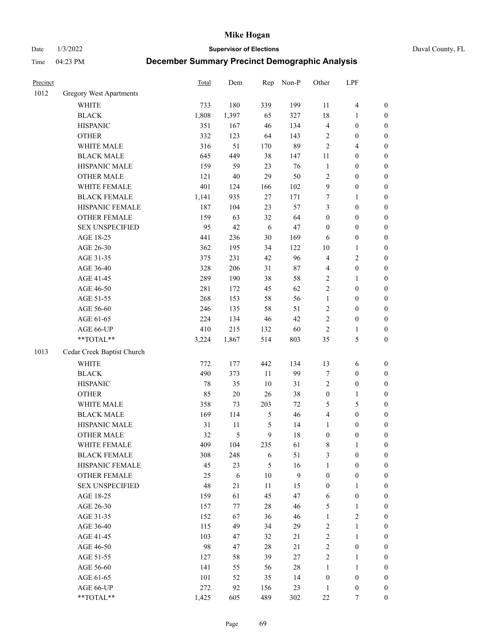Date 1/3/2022 **Supervisor of Elections** Duval County, FL

| Precinct |                                | <b>Total</b> | Dem    | Rep            | Non-P        | Other                   | LPF                     |                  |
|----------|--------------------------------|--------------|--------|----------------|--------------|-------------------------|-------------------------|------------------|
| 1012     | <b>Gregory West Apartments</b> |              |        |                |              |                         |                         |                  |
|          | <b>WHITE</b>                   | 733          | 180    | 339            | 199          | 11                      | $\overline{\mathbf{4}}$ | 0                |
|          | <b>BLACK</b>                   | 1,808        | 1,397  | 65             | 327          | 18                      | 1                       | $\boldsymbol{0}$ |
|          | <b>HISPANIC</b>                | 351          | 167    | 46             | 134          | 4                       | $\boldsymbol{0}$        | $\boldsymbol{0}$ |
|          | <b>OTHER</b>                   | 332          | 123    | 64             | 143          | $\overline{c}$          | $\boldsymbol{0}$        | $\boldsymbol{0}$ |
|          | WHITE MALE                     | 316          | 51     | 170            | 89           | $\mathfrak{2}$          | $\overline{4}$          | $\boldsymbol{0}$ |
|          | <b>BLACK MALE</b>              | 645          | 449    | 38             | 147          | 11                      | $\boldsymbol{0}$        | $\boldsymbol{0}$ |
|          | HISPANIC MALE                  | 159          | 59     | 23             | 76           | $\mathbf{1}$            | $\boldsymbol{0}$        | $\boldsymbol{0}$ |
|          | <b>OTHER MALE</b>              | 121          | $40\,$ | 29             | 50           | 2                       | $\boldsymbol{0}$        | $\boldsymbol{0}$ |
|          | WHITE FEMALE                   | 401          | 124    | 166            | 102          | $\boldsymbol{9}$        | $\boldsymbol{0}$        | $\boldsymbol{0}$ |
|          | <b>BLACK FEMALE</b>            | 1,141        | 935    | 27             | 171          | 7                       | $\mathbf{1}$            | $\boldsymbol{0}$ |
|          | HISPANIC FEMALE                | 187          | 104    | 23             | 57           | 3                       | $\boldsymbol{0}$        | $\boldsymbol{0}$ |
|          | <b>OTHER FEMALE</b>            | 159          | 63     | 32             | 64           | $\boldsymbol{0}$        | $\boldsymbol{0}$        | $\boldsymbol{0}$ |
|          | <b>SEX UNSPECIFIED</b>         | 95           | 42     | 6              | $47\,$       | $\boldsymbol{0}$        | $\boldsymbol{0}$        | $\boldsymbol{0}$ |
|          | AGE 18-25                      | 441          | 236    | 30             | 169          | 6                       | $\boldsymbol{0}$        | $\boldsymbol{0}$ |
|          | AGE 26-30                      | 362          | 195    | 34             | 122          | 10                      | $\mathbf{1}$            | $\boldsymbol{0}$ |
|          | AGE 31-35                      | 375          | 231    | 42             | 96           | 4                       | $\sqrt{2}$              | $\boldsymbol{0}$ |
|          | AGE 36-40                      | 328          | 206    | 31             | $87\,$       | 4                       | $\boldsymbol{0}$        | $\boldsymbol{0}$ |
|          | AGE 41-45                      | 289          | 190    | 38             | 58           | $\overline{c}$          | $\mathbf{1}$            | $\boldsymbol{0}$ |
|          | AGE 46-50                      | 281          | 172    | 45             | 62           | $\overline{c}$          | $\boldsymbol{0}$        | $\boldsymbol{0}$ |
|          | AGE 51-55                      | 268          | 153    | 58             | 56           | $\mathbf{1}$            | $\boldsymbol{0}$        | $\boldsymbol{0}$ |
|          | AGE 56-60                      | 246          | 135    | 58             | 51           | $\overline{c}$          | $\boldsymbol{0}$        | $\boldsymbol{0}$ |
|          | AGE 61-65                      | 224          | 134    | 46             | 42           | 2                       | $\boldsymbol{0}$        | $\boldsymbol{0}$ |
|          | AGE 66-UP                      | 410          | 215    | 132            | 60           | $\sqrt{2}$              | 1                       | $\boldsymbol{0}$ |
|          | **TOTAL**                      | 3,224        | 1,867  | 514            | 803          | 35                      | $\mathfrak{S}$          | $\boldsymbol{0}$ |
| 1013     | Cedar Creek Baptist Church     |              |        |                |              |                         |                         |                  |
|          | <b>WHITE</b>                   | 772          | 177    | 442            | 134          | 13                      | 6                       | $\boldsymbol{0}$ |
|          | <b>BLACK</b>                   | 490          | 373    | 11             | 99           | 7                       | $\boldsymbol{0}$        | $\boldsymbol{0}$ |
|          | <b>HISPANIC</b>                | 78           | 35     | 10             | 31           | 2                       | $\boldsymbol{0}$        | $\boldsymbol{0}$ |
|          | <b>OTHER</b>                   | 85           | $20\,$ | 26             | 38           | $\boldsymbol{0}$        | $\mathbf{1}$            | $\boldsymbol{0}$ |
|          | WHITE MALE                     | 358          | 73     | 203            | 72           | 5                       | $\mathfrak{S}$          | $\boldsymbol{0}$ |
|          | <b>BLACK MALE</b>              | 169          | 114    | $\mathfrak{S}$ | 46           | $\overline{\mathbf{4}}$ | $\boldsymbol{0}$        | $\boldsymbol{0}$ |
|          | HISPANIC MALE                  | 31           | 11     | $\mathfrak{S}$ | 14           | $\mathbf{1}$            | $\boldsymbol{0}$        | $\boldsymbol{0}$ |
|          | OTHER MALE                     | 32           | 5      | 9              | 18           | $\boldsymbol{0}$        | $\boldsymbol{0}$        | $\boldsymbol{0}$ |
|          | WHITE FEMALE                   | 409          | 104    | 235            | 61           | 8                       | 1                       | 0                |
|          | <b>BLACK FEMALE</b>            | 308          | 248    | 6              | 51           | 3                       | $\boldsymbol{0}$        | $\overline{0}$   |
|          | HISPANIC FEMALE                | 45           | 23     | 5              | 16           | $\mathbf{1}$            | $\boldsymbol{0}$        | $\overline{0}$   |
|          | OTHER FEMALE                   | 25           | 6      | 10             | $\mathbf{9}$ | $\boldsymbol{0}$        | $\boldsymbol{0}$        | $\overline{0}$   |
|          | <b>SEX UNSPECIFIED</b>         | 48           | 21     | 11             | 15           | $\boldsymbol{0}$        | 1                       | 0                |
|          | AGE 18-25                      | 159          | 61     | 45             | 47           | 6                       | $\boldsymbol{0}$        | 0                |
|          | AGE 26-30                      | 157          | 77     | $28\,$         | 46           | 5                       | $\mathbf{1}$            | 0                |
|          | AGE 31-35                      | 152          | 67     | 36             | 46           | $\mathbf{1}$            | $\overline{c}$          | 0                |
|          | AGE 36-40                      | 115          | 49     | 34             | 29           | 2                       | $\mathbf{1}$            | 0                |
|          | AGE 41-45                      | 103          | 47     | 32             | 21           | $\overline{c}$          | $\mathbf{1}$            | 0                |
|          | AGE 46-50                      | 98           | 47     | $28\,$         | 21           | 2                       | $\boldsymbol{0}$        | 0                |
|          | AGE 51-55                      | 127          | 58     | 39             | 27           | $\overline{c}$          | $\mathbf{1}$            | 0                |
|          | AGE 56-60                      | 141          | 55     | 56             | 28           | 1                       | 1                       | 0                |
|          | AGE 61-65                      | 101          | 52     | 35             | 14           | $\boldsymbol{0}$        | $\boldsymbol{0}$        | 0                |
|          | AGE 66-UP                      | 272          | 92     | 156            | 23           | $\mathbf{1}$            | $\boldsymbol{0}$        | 0                |
|          | $**TOTAL**$                    | 1,425        | 605    | 489            | 302          | $22\,$                  | 7                       | $\boldsymbol{0}$ |
|          |                                |              |        |                |              |                         |                         |                  |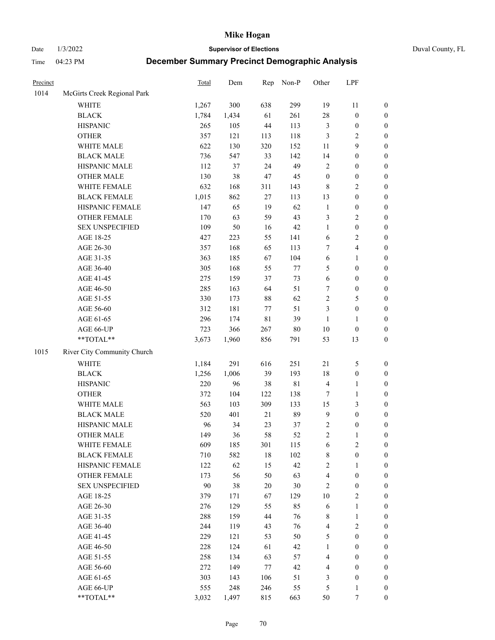Date 1/3/2022 **Supervisor of Elections** Duval County, FL

| Precinct |                             | Total | Dem   | Rep         | Non-P       | Other            | LPF                     |                  |
|----------|-----------------------------|-------|-------|-------------|-------------|------------------|-------------------------|------------------|
| 1014     | McGirts Creek Regional Park |       |       |             |             |                  |                         |                  |
|          | <b>WHITE</b>                | 1,267 | 300   | 638         | 299         | 19               | 11                      | 0                |
|          | <b>BLACK</b>                | 1,784 | 1,434 | 61          | 261         | 28               | $\boldsymbol{0}$        | $\boldsymbol{0}$ |
|          | <b>HISPANIC</b>             | 265   | 105   | 44          | 113         | 3                | $\boldsymbol{0}$        | $\boldsymbol{0}$ |
|          | <b>OTHER</b>                | 357   | 121   | 113         | 118         | 3                | $\mathbf{2}$            | $\boldsymbol{0}$ |
|          | WHITE MALE                  | 622   | 130   | 320         | 152         | 11               | 9                       | $\boldsymbol{0}$ |
|          | <b>BLACK MALE</b>           | 736   | 547   | 33          | 142         | 14               | $\boldsymbol{0}$        | $\boldsymbol{0}$ |
|          | HISPANIC MALE               | 112   | 37    | 24          | 49          | 2                | $\boldsymbol{0}$        | $\boldsymbol{0}$ |
|          | <b>OTHER MALE</b>           | 130   | 38    | 47          | 45          | $\boldsymbol{0}$ | $\boldsymbol{0}$        | $\boldsymbol{0}$ |
|          | WHITE FEMALE                | 632   | 168   | 311         | 143         | $\,8\,$          | $\overline{2}$          | $\boldsymbol{0}$ |
|          | <b>BLACK FEMALE</b>         | 1,015 | 862   | 27          | 113         | 13               | $\boldsymbol{0}$        | $\boldsymbol{0}$ |
|          | HISPANIC FEMALE             | 147   | 65    | 19          | 62          | $\mathbf{1}$     | $\boldsymbol{0}$        | 0                |
|          | OTHER FEMALE                | 170   | 63    | 59          | 43          | 3                | $\sqrt{2}$              | $\boldsymbol{0}$ |
|          | <b>SEX UNSPECIFIED</b>      | 109   | 50    | 16          | $42\,$      | $\mathbf{1}$     | $\boldsymbol{0}$        | $\boldsymbol{0}$ |
|          | AGE 18-25                   | 427   | 223   | 55          | 141         | $\sqrt{6}$       | $\sqrt{2}$              | $\boldsymbol{0}$ |
|          | AGE 26-30                   | 357   | 168   | 65          | 113         | 7                | $\overline{\mathbf{4}}$ | $\boldsymbol{0}$ |
|          | AGE 31-35                   | 363   | 185   | 67          | 104         | $\sqrt{6}$       | $\mathbf{1}$            | $\boldsymbol{0}$ |
|          | AGE 36-40                   | 305   | 168   | 55          | 77          | 5                | $\boldsymbol{0}$        | $\boldsymbol{0}$ |
|          | AGE 41-45                   | 275   | 159   | 37          | 73          | $\sqrt{6}$       | $\boldsymbol{0}$        | $\boldsymbol{0}$ |
|          | AGE 46-50                   | 285   | 163   | 64          | 51          | 7                | $\boldsymbol{0}$        | $\boldsymbol{0}$ |
|          | AGE 51-55                   | 330   | 173   | 88          | 62          | 2                | $\mathfrak{S}$          | $\boldsymbol{0}$ |
|          | AGE 56-60                   | 312   | 181   | 77          | 51          | 3                | $\boldsymbol{0}$        | $\boldsymbol{0}$ |
|          | AGE 61-65                   | 296   | 174   | $8\sqrt{1}$ | 39          | $\mathbf{1}$     | $\mathbf{1}$            | $\boldsymbol{0}$ |
|          | AGE 66-UP                   | 723   | 366   | 267         | $80\,$      | $10\,$           | $\boldsymbol{0}$        | $\boldsymbol{0}$ |
|          | **TOTAL**                   | 3,673 | 1,960 | 856         | 791         | 53               | 13                      | $\boldsymbol{0}$ |
| 1015     | River City Community Church |       |       |             |             |                  |                         |                  |
|          | <b>WHITE</b>                | 1,184 | 291   | 616         | 251         | 21               | $\mathfrak{S}$          | $\boldsymbol{0}$ |
|          | <b>BLACK</b>                | 1,256 | 1,006 | 39          | 193         | 18               | $\boldsymbol{0}$        | $\boldsymbol{0}$ |
|          | <b>HISPANIC</b>             | 220   | 96    | 38          | $8\sqrt{1}$ | 4                | $\mathbf{1}$            | $\boldsymbol{0}$ |
|          | <b>OTHER</b>                | 372   | 104   | 122         | 138         | 7                | $\mathbf{1}$            | $\boldsymbol{0}$ |
|          | WHITE MALE                  | 563   | 103   | 309         | 133         | 15               | 3                       | $\boldsymbol{0}$ |
|          | <b>BLACK MALE</b>           | 520   | 401   | 21          | 89          | $\overline{9}$   | $\boldsymbol{0}$        | $\boldsymbol{0}$ |
|          | HISPANIC MALE               | 96    | 34    | 23          | 37          | $\sqrt{2}$       | $\boldsymbol{0}$        | $\boldsymbol{0}$ |
|          | <b>OTHER MALE</b>           | 149   | 36    | 58          | 52          | $\overline{c}$   | $\mathbf{1}$            | $\boldsymbol{0}$ |
|          | WHITE FEMALE                | 609   | 185   | 301         | 115         | 6                | 2                       | 0                |
|          | <b>BLACK FEMALE</b>         | 710   | 582   | 18          | 102         | 8                | $\boldsymbol{0}$        | $\boldsymbol{0}$ |
|          | HISPANIC FEMALE             | 122   | 62    | 15          | 42          | $\overline{c}$   | 1                       | $\overline{0}$   |
|          | <b>OTHER FEMALE</b>         | 173   | 56    | 50          | 63          | 4                | $\boldsymbol{0}$        | $\overline{0}$   |
|          | <b>SEX UNSPECIFIED</b>      | 90    | 38    | 20          | $30\,$      | 2                | $\boldsymbol{0}$        | 0                |
|          | AGE 18-25                   | 379   | 171   | 67          | 129         | 10               | $\mathbf{2}$            | 0                |
|          | AGE 26-30                   | 276   | 129   | 55          | 85          | 6                | $\mathbf{1}$            | 0                |
|          | AGE 31-35                   | 288   | 159   | 44          | 76          | 8                | $\mathbf{1}$            | 0                |
|          | AGE 36-40                   | 244   | 119   | 43          | 76          | 4                | $\sqrt{2}$              | 0                |
|          | AGE 41-45                   | 229   | 121   | 53          | 50          | 5                | $\boldsymbol{0}$        | 0                |
|          | AGE 46-50                   | 228   | 124   | 61          | 42          | $\mathbf{1}$     | $\boldsymbol{0}$        | 0                |
|          | AGE 51-55                   | 258   | 134   | 63          | 57          | 4                | $\boldsymbol{0}$        | $\overline{0}$   |
|          | AGE 56-60                   | 272   | 149   | $77 \,$     | 42          | 4                | $\boldsymbol{0}$        | $\overline{0}$   |
|          | AGE 61-65                   | 303   | 143   | 106         | 51          | 3                | $\boldsymbol{0}$        | $\overline{0}$   |
|          | AGE 66-UP                   | 555   | 248   | 246         | 55          | 5                | $\mathbf{1}$            | $\boldsymbol{0}$ |
|          | **TOTAL**                   | 3,032 | 1,497 | 815         | 663         | 50               | 7                       | $\boldsymbol{0}$ |
|          |                             |       |       |             |             |                  |                         |                  |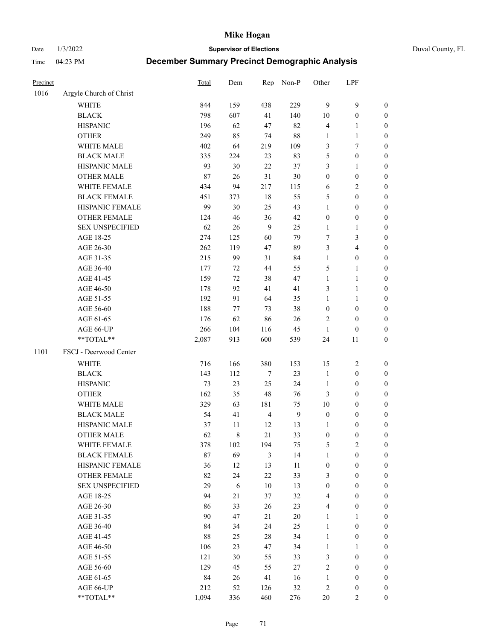Date 1/3/2022 **Supervisor of Elections** Duval County, FL

| Precinct |                         | <b>Total</b> | Dem         |                | Rep Non-P      | Other            | LPF              |                  |
|----------|-------------------------|--------------|-------------|----------------|----------------|------------------|------------------|------------------|
| 1016     | Argyle Church of Christ |              |             |                |                |                  |                  |                  |
|          | <b>WHITE</b>            | 844          | 159         | 438            | 229            | 9                | $\mathbf{9}$     | 0                |
|          | <b>BLACK</b>            | 798          | 607         | 41             | 140            | $10\,$           | $\boldsymbol{0}$ | 0                |
|          | <b>HISPANIC</b>         | 196          | 62          | 47             | 82             | 4                | 1                | $\boldsymbol{0}$ |
|          | <b>OTHER</b>            | 249          | 85          | 74             | $88\,$         | 1                | $\mathbf{1}$     | $\boldsymbol{0}$ |
|          | WHITE MALE              | 402          | 64          | 219            | 109            | 3                | 7                | $\boldsymbol{0}$ |
|          | <b>BLACK MALE</b>       | 335          | 224         | 23             | 83             | 5                | $\boldsymbol{0}$ | $\boldsymbol{0}$ |
|          | HISPANIC MALE           | 93           | 30          | 22             | 37             | 3                | $\mathbf{1}$     | $\boldsymbol{0}$ |
|          | <b>OTHER MALE</b>       | 87           | 26          | 31             | $30\,$         | $\boldsymbol{0}$ | $\boldsymbol{0}$ | $\boldsymbol{0}$ |
|          | WHITE FEMALE            | 434          | 94          | 217            | 115            | 6                | $\sqrt{2}$       | $\boldsymbol{0}$ |
|          | <b>BLACK FEMALE</b>     | 451          | 373         | 18             | 55             | 5                | $\boldsymbol{0}$ | $\boldsymbol{0}$ |
|          | HISPANIC FEMALE         | 99           | 30          | 25             | 43             | $\mathbf{1}$     | $\boldsymbol{0}$ | 0                |
|          | <b>OTHER FEMALE</b>     | 124          | 46          | 36             | 42             | $\boldsymbol{0}$ | $\boldsymbol{0}$ | $\boldsymbol{0}$ |
|          | <b>SEX UNSPECIFIED</b>  | 62           | 26          | 9              | 25             | $\mathbf{1}$     | $\mathbf{1}$     | $\boldsymbol{0}$ |
|          | AGE 18-25               | 274          | 125         | 60             | 79             | 7                | $\mathfrak{Z}$   | $\boldsymbol{0}$ |
|          | AGE 26-30               | 262          | 119         | 47             | 89             | 3                | $\overline{4}$   | $\boldsymbol{0}$ |
|          | AGE 31-35               | 215          | 99          | 31             | 84             | $\mathbf{1}$     | $\boldsymbol{0}$ | $\boldsymbol{0}$ |
|          | AGE 36-40               | 177          | 72          | 44             | 55             | 5                | $\mathbf{1}$     | $\boldsymbol{0}$ |
|          | AGE 41-45               | 159          | 72          | 38             | 47             | $\mathbf{1}$     | $\mathbf{1}$     | $\boldsymbol{0}$ |
|          | AGE 46-50               | 178          | 92          | 41             | 41             | 3                | $\mathbf{1}$     | $\boldsymbol{0}$ |
|          | AGE 51-55               | 192          | 91          | 64             | 35             | $\mathbf{1}$     | $\mathbf{1}$     | $\boldsymbol{0}$ |
|          | AGE 56-60               | 188          | 77          | 73             | 38             | $\boldsymbol{0}$ | $\boldsymbol{0}$ | 0                |
|          | AGE 61-65               | 176          | 62          | 86             | 26             | 2                | $\boldsymbol{0}$ | 0                |
|          | AGE 66-UP               | 266          | 104         | 116            | 45             | $\mathbf{1}$     | $\boldsymbol{0}$ | $\boldsymbol{0}$ |
|          | **TOTAL**               | 2,087        | 913         | 600            | 539            | 24               | 11               | $\boldsymbol{0}$ |
| 1101     | FSCJ - Deerwood Center  |              |             |                |                |                  |                  |                  |
|          | <b>WHITE</b>            | 716          | 166         | 380            | 153            | 15               | $\sqrt{2}$       | $\boldsymbol{0}$ |
|          | <b>BLACK</b>            | 143          | 112         | 7              | 23             | $\mathbf{1}$     | $\boldsymbol{0}$ | $\boldsymbol{0}$ |
|          | <b>HISPANIC</b>         | 73           | 23          | 25             | 24             | $\mathbf{1}$     | $\boldsymbol{0}$ | $\boldsymbol{0}$ |
|          | <b>OTHER</b>            | 162          | 35          | 48             | 76             | 3                | $\boldsymbol{0}$ | $\boldsymbol{0}$ |
|          | WHITE MALE              | 329          | 63          | 181            | 75             | $10\,$           | $\boldsymbol{0}$ | $\boldsymbol{0}$ |
|          | <b>BLACK MALE</b>       | 54           | 41          | $\overline{4}$ | $\overline{9}$ | $\boldsymbol{0}$ | $\boldsymbol{0}$ | $\boldsymbol{0}$ |
|          | HISPANIC MALE           | 37           | 11          | 12             | 13             | 1                | $\boldsymbol{0}$ | $\boldsymbol{0}$ |
|          | <b>OTHER MALE</b>       | 62           | $\,$ 8 $\,$ | 21             | 33             | $\boldsymbol{0}$ | $\boldsymbol{0}$ | $\boldsymbol{0}$ |
|          | WHITE FEMALE            | 378          | 102         | 194            | 75             | 5                | 2                | 0                |
|          | <b>BLACK FEMALE</b>     | 87           | 69          | 3              | 14             | $\mathbf{1}$     | $\boldsymbol{0}$ | $\overline{0}$   |
|          | HISPANIC FEMALE         | 36           | 12          | 13             | 11             | $\boldsymbol{0}$ | $\boldsymbol{0}$ | $\overline{0}$   |
|          | <b>OTHER FEMALE</b>     | 82           | 24          | 22             | 33             | 3                | $\boldsymbol{0}$ | $\overline{0}$   |
|          | <b>SEX UNSPECIFIED</b>  | 29           | 6           | $10\,$         | 13             | $\boldsymbol{0}$ | $\boldsymbol{0}$ | 0                |
|          | AGE 18-25               | 94           | $21\,$      | 37             | 32             | 4                | $\boldsymbol{0}$ | 0                |
|          | AGE 26-30               | 86           | 33          | 26             | 23             | 4                | $\boldsymbol{0}$ | 0                |
|          | AGE 31-35               | 90           | 47          | 21             | $20\,$         | $\mathbf{1}$     | 1                | 0                |
|          | AGE 36-40               | 84           | 34          | 24             | 25             | $\mathbf{1}$     | $\boldsymbol{0}$ | 0                |
|          | AGE 41-45               | 88           | 25          | 28             | 34             | $\mathbf{1}$     | $\boldsymbol{0}$ | 0                |
|          | AGE 46-50               | 106          | 23          | 47             | 34             | $\mathbf{1}$     | 1                | 0                |
|          | AGE 51-55               | 121          | $30\,$      | 55             | 33             | 3                | $\boldsymbol{0}$ | 0                |
|          | AGE 56-60               | 129          | 45          | 55             | 27             | 2                | $\boldsymbol{0}$ | 0                |
|          | AGE 61-65               | 84           | 26          | 41             | 16             | $\mathbf{1}$     | $\boldsymbol{0}$ | 0                |
|          | AGE 66-UP               | 212          | 52          | 126            | $32\,$         | 2                | $\boldsymbol{0}$ | 0                |
|          | **TOTAL**               | 1,094        | 336         | 460            | 276            | $20\,$           | $\mathfrak{2}$   | $\boldsymbol{0}$ |
|          |                         |              |             |                |                |                  |                  |                  |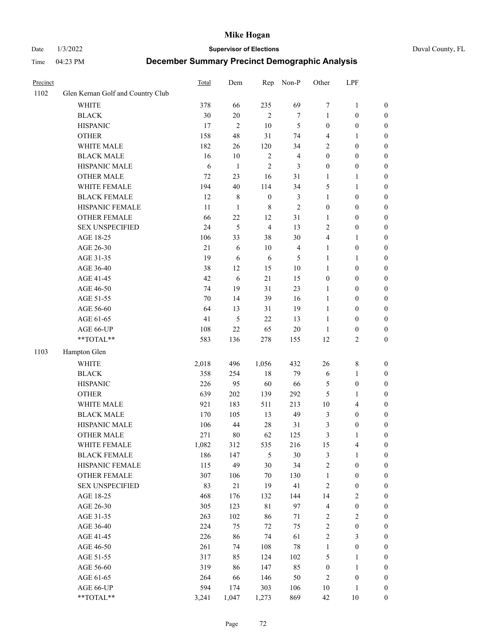### Date 1/3/2022 **Supervisor of Elections** Duval County, FL

| Precinct |                                   | Total  | Dem            | Rep              | Non-P                   | Other                   | LPF              |                  |
|----------|-----------------------------------|--------|----------------|------------------|-------------------------|-------------------------|------------------|------------------|
| 1102     | Glen Kernan Golf and Country Club |        |                |                  |                         |                         |                  |                  |
|          | <b>WHITE</b>                      | 378    | 66             | 235              | 69                      | 7                       | $\mathbf{1}$     | 0                |
|          | <b>BLACK</b>                      | 30     | $20\,$         | $\mathbf{2}$     | $\tau$                  | 1                       | $\boldsymbol{0}$ | 0                |
|          | <b>HISPANIC</b>                   | 17     | $\mathfrak{2}$ | 10               | 5                       | $\boldsymbol{0}$        | $\boldsymbol{0}$ | $\boldsymbol{0}$ |
|          | <b>OTHER</b>                      | 158    | 48             | 31               | 74                      | 4                       | 1                | $\boldsymbol{0}$ |
|          | WHITE MALE                        | 182    | 26             | 120              | 34                      | 2                       | $\boldsymbol{0}$ | $\boldsymbol{0}$ |
|          | <b>BLACK MALE</b>                 | 16     | 10             | $\sqrt{2}$       | $\overline{\mathbf{4}}$ | $\boldsymbol{0}$        | $\boldsymbol{0}$ | $\boldsymbol{0}$ |
|          | HISPANIC MALE                     | 6      | $\mathbf{1}$   | $\mathfrak{2}$   | 3                       | $\boldsymbol{0}$        | $\boldsymbol{0}$ | $\boldsymbol{0}$ |
|          | <b>OTHER MALE</b>                 | 72     | 23             | 16               | 31                      | $\mathbf{1}$            | $\mathbf{1}$     | $\boldsymbol{0}$ |
|          | WHITE FEMALE                      | 194    | 40             | 114              | 34                      | 5                       | 1                | $\boldsymbol{0}$ |
|          | <b>BLACK FEMALE</b>               | 12     | $\,$ 8 $\,$    | $\boldsymbol{0}$ | 3                       | $\mathbf{1}$            | $\boldsymbol{0}$ | 0                |
|          | HISPANIC FEMALE                   | 11     | $\mathbf{1}$   | $\,8\,$          | $\overline{2}$          | $\boldsymbol{0}$        | $\boldsymbol{0}$ | 0                |
|          | OTHER FEMALE                      | 66     | 22             | 12               | 31                      | $\mathbf{1}$            | $\boldsymbol{0}$ | $\boldsymbol{0}$ |
|          | <b>SEX UNSPECIFIED</b>            | 24     | 5              | $\overline{4}$   | 13                      | $\overline{2}$          | $\boldsymbol{0}$ | $\boldsymbol{0}$ |
|          | AGE 18-25                         | 106    | 33             | 38               | 30                      | 4                       | 1                | $\boldsymbol{0}$ |
|          | AGE 26-30                         | $21\,$ | 6              | $10\,$           | $\overline{\mathbf{4}}$ | $\mathbf{1}$            | $\boldsymbol{0}$ | $\boldsymbol{0}$ |
|          | AGE 31-35                         | 19     | 6              | 6                | 5                       | $\mathbf{1}$            | $\mathbf{1}$     | $\boldsymbol{0}$ |
|          | AGE 36-40                         | 38     | 12             | 15               | $10\,$                  | $\mathbf{1}$            | $\boldsymbol{0}$ | $\boldsymbol{0}$ |
|          | AGE 41-45                         | 42     | $\sqrt{6}$     | 21               | 15                      | $\boldsymbol{0}$        | $\boldsymbol{0}$ | $\boldsymbol{0}$ |
|          | AGE 46-50                         | 74     | 19             | 31               | 23                      | $\mathbf{1}$            | $\boldsymbol{0}$ | $\boldsymbol{0}$ |
|          | AGE 51-55                         | 70     | 14             | 39               | 16                      | $\mathbf{1}$            | $\boldsymbol{0}$ | $\boldsymbol{0}$ |
|          | AGE 56-60                         | 64     | 13             | 31               | 19                      | $\mathbf{1}$            | $\boldsymbol{0}$ | 0                |
|          | AGE 61-65                         | 41     | 5              | 22               | 13                      | $\mathbf{1}$            | $\boldsymbol{0}$ | 0                |
|          | AGE 66-UP                         | 108    | 22             | 65               | $20\,$                  | $\mathbf{1}$            | $\boldsymbol{0}$ | $\boldsymbol{0}$ |
|          | **TOTAL**                         | 583    | 136            | 278              | 155                     | 12                      | $\sqrt{2}$       | $\boldsymbol{0}$ |
| 1103     | Hampton Glen                      |        |                |                  |                         |                         |                  |                  |
|          | <b>WHITE</b>                      | 2,018  | 496            | 1,056            | 432                     | 26                      | $\,$ 8 $\,$      | $\boldsymbol{0}$ |
|          | <b>BLACK</b>                      | 358    | 254            | $18\,$           | 79                      | 6                       | $\mathbf{1}$     | $\boldsymbol{0}$ |
|          | <b>HISPANIC</b>                   | 226    | 95             | 60               | 66                      | 5                       | $\boldsymbol{0}$ | $\boldsymbol{0}$ |
|          | <b>OTHER</b>                      | 639    | 202            | 139              | 292                     | 5                       | $\mathbf{1}$     | $\boldsymbol{0}$ |
|          | WHITE MALE                        | 921    | 183            | 511              | 213                     | $10\,$                  | $\overline{4}$   | $\boldsymbol{0}$ |
|          | <b>BLACK MALE</b>                 | 170    | 105            | 13               | 49                      | 3                       | $\boldsymbol{0}$ | $\boldsymbol{0}$ |
|          | HISPANIC MALE                     | 106    | 44             | 28               | 31                      | 3                       | $\boldsymbol{0}$ | $\boldsymbol{0}$ |
|          | OTHER MALE                        | 271    | 80             | 62               | 125                     | 3                       | $\mathbf{1}$     | $\boldsymbol{0}$ |
|          | WHITE FEMALE                      | 1,082  | 312            | 535              | 216                     | 15                      | 4                | 0                |
|          | <b>BLACK FEMALE</b>               | 186    | 147            | 5                | $30\,$                  | 3                       | $\mathbf{1}$     | $\boldsymbol{0}$ |
|          | HISPANIC FEMALE                   | 115    | 49             | 30               | 34                      | $\sqrt{2}$              | $\boldsymbol{0}$ | $\overline{0}$   |
|          | OTHER FEMALE                      | 307    | 106            | $70\,$           | 130                     | $\mathbf{1}$            | $\boldsymbol{0}$ | $\overline{0}$   |
|          | <b>SEX UNSPECIFIED</b>            | 83     | $21\,$         | 19               | 41                      | 2                       | $\boldsymbol{0}$ | 0                |
|          | AGE 18-25                         | 468    | 176            | 132              | 144                     | 14                      | $\sqrt{2}$       | 0                |
|          | AGE 26-30                         | 305    | 123            | 81               | 97                      | $\overline{\mathbf{4}}$ | $\boldsymbol{0}$ | 0                |
|          | AGE 31-35                         | 263    | 102            | 86               | $71\,$                  | 2                       | $\sqrt{2}$       | 0                |
|          | AGE 36-40                         | 224    | 75             | 72               | 75                      | $\overline{c}$          | $\boldsymbol{0}$ | 0                |
|          | AGE 41-45                         | 226    | 86             | 74               | 61                      | $\overline{c}$          | $\mathfrak{Z}$   | 0                |
|          | AGE 46-50                         | 261    | 74             | 108              | $78\,$                  | $\mathbf{1}$            | $\boldsymbol{0}$ | 0                |
|          | AGE 51-55                         | 317    | 85             | 124              | 102                     | 5                       | $\mathbf{1}$     | 0                |
|          | AGE 56-60                         | 319    | 86             | 147              | 85                      | $\boldsymbol{0}$        | $\mathbf{1}$     | $\overline{0}$   |
|          | AGE 61-65                         | 264    | 66             | 146              | 50                      | 2                       | $\boldsymbol{0}$ | $\overline{0}$   |
|          | AGE 66-UP                         | 594    | 174            | 303              | 106                     | $10\,$                  | $\mathbf{1}$     | 0                |
|          | **TOTAL**                         | 3,241  | 1,047          | 1,273            | 869                     | 42                      | 10               | $\boldsymbol{0}$ |
|          |                                   |        |                |                  |                         |                         |                  |                  |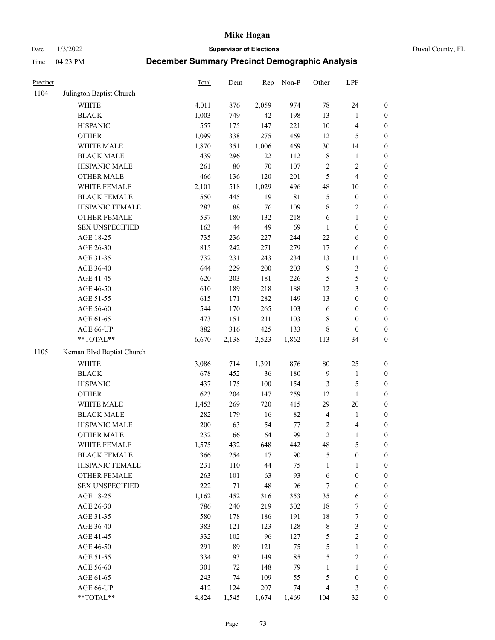Date 1/3/2022 **Supervisor of Elections** Duval County, FL

| Precinct |                            | Total | Dem    | Rep    | Non-P       | Other          | LPF                     |                  |
|----------|----------------------------|-------|--------|--------|-------------|----------------|-------------------------|------------------|
| 1104     | Julington Baptist Church   |       |        |        |             |                |                         |                  |
|          | <b>WHITE</b>               | 4,011 | 876    | 2,059  | 974         | 78             | 24                      | 0                |
|          | <b>BLACK</b>               | 1,003 | 749    | 42     | 198         | 13             | $\mathbf{1}$            | $\boldsymbol{0}$ |
|          | <b>HISPANIC</b>            | 557   | 175    | 147    | 221         | $10\,$         | $\overline{\mathbf{4}}$ | $\boldsymbol{0}$ |
|          | <b>OTHER</b>               | 1,099 | 338    | 275    | 469         | 12             | 5                       | $\boldsymbol{0}$ |
|          | WHITE MALE                 | 1,870 | 351    | 1,006  | 469         | 30             | 14                      | $\boldsymbol{0}$ |
|          | <b>BLACK MALE</b>          | 439   | 296    | 22     | 112         | 8              | 1                       | $\boldsymbol{0}$ |
|          | HISPANIC MALE              | 261   | $80\,$ | $70\,$ | 107         | $\sqrt{2}$     | $\sqrt{2}$              | $\boldsymbol{0}$ |
|          | <b>OTHER MALE</b>          | 466   | 136    | 120    | 201         | 5              | $\overline{4}$          | $\boldsymbol{0}$ |
|          | WHITE FEMALE               | 2,101 | 518    | 1,029  | 496         | 48             | $10\,$                  | $\boldsymbol{0}$ |
|          | <b>BLACK FEMALE</b>        | 550   | 445    | 19     | $8\sqrt{1}$ | 5              | $\boldsymbol{0}$        | $\boldsymbol{0}$ |
|          | HISPANIC FEMALE            | 283   | $88\,$ | 76     | 109         | $\,$ $\,$      | $\sqrt{2}$              | $\boldsymbol{0}$ |
|          | OTHER FEMALE               | 537   | 180    | 132    | 218         | 6              | $\mathbf{1}$            | $\boldsymbol{0}$ |
|          | <b>SEX UNSPECIFIED</b>     | 163   | 44     | 49     | 69          | $\mathbf{1}$   | $\boldsymbol{0}$        | $\boldsymbol{0}$ |
|          | AGE 18-25                  | 735   | 236    | 227    | 244         | $22\,$         | 6                       | $\boldsymbol{0}$ |
|          | AGE 26-30                  | 815   | 242    | 271    | 279         | 17             | 6                       | $\boldsymbol{0}$ |
|          | AGE 31-35                  | 732   | 231    | 243    | 234         | 13             | $11\,$                  | $\boldsymbol{0}$ |
|          | AGE 36-40                  | 644   | 229    | 200    | 203         | 9              | $\mathfrak{Z}$          | $\boldsymbol{0}$ |
|          | AGE 41-45                  | 620   | 203    | 181    | 226         | $\mathfrak{S}$ | $\mathfrak{S}$          | $\boldsymbol{0}$ |
|          | AGE 46-50                  | 610   | 189    | 218    | 188         | 12             | $\mathfrak{Z}$          | $\boldsymbol{0}$ |
|          | AGE 51-55                  | 615   | 171    | 282    | 149         | 13             | $\boldsymbol{0}$        | $\boldsymbol{0}$ |
|          | AGE 56-60                  | 544   | 170    | 265    | 103         | 6              | $\boldsymbol{0}$        | 0                |
|          | AGE 61-65                  | 473   | 151    | 211    | 103         | 8              | $\boldsymbol{0}$        | $\boldsymbol{0}$ |
|          | AGE 66-UP                  | 882   | 316    | 425    | 133         | 8              | $\boldsymbol{0}$        | $\boldsymbol{0}$ |
|          | **TOTAL**                  | 6,670 | 2,138  | 2,523  | 1,862       | 113            | 34                      | $\boldsymbol{0}$ |
| 1105     | Kernan Blvd Baptist Church |       |        |        |             |                |                         |                  |
|          | <b>WHITE</b>               | 3,086 | 714    | 1,391  | 876         | $80\,$         | 25                      | $\boldsymbol{0}$ |
|          | <b>BLACK</b>               | 678   | 452    | 36     | 180         | 9              | $\mathbf{1}$            | $\boldsymbol{0}$ |
|          | <b>HISPANIC</b>            | 437   | 175    | 100    | 154         | 3              | $\mathfrak{S}$          | $\boldsymbol{0}$ |
|          | <b>OTHER</b>               | 623   | 204    | 147    | 259         | 12             | $\mathbf{1}$            | $\boldsymbol{0}$ |
|          | WHITE MALE                 | 1,453 | 269    | 720    | 415         | 29             | $20\,$                  | $\boldsymbol{0}$ |
|          | <b>BLACK MALE</b>          | 282   | 179    | 16     | 82          | $\overline{4}$ | $\mathbf{1}$            | $\boldsymbol{0}$ |
|          | HISPANIC MALE              | 200   | 63     | 54     | 77          | $\overline{c}$ | 4                       | 0                |
|          | <b>OTHER MALE</b>          | 232   | 66     | 64     | 99          | $\overline{c}$ | $\mathbf{1}$            | $\boldsymbol{0}$ |
|          | WHITE FEMALE               | 1,575 | 432    | 648    | 442         | 48             | 5                       | 0                |
|          | <b>BLACK FEMALE</b>        | 366   | 254    | 17     | 90          | 5              | $\boldsymbol{0}$        | $\boldsymbol{0}$ |
|          | HISPANIC FEMALE            | 231   | 110    | 44     | 75          | $\mathbf{1}$   | 1                       | $\overline{0}$   |
|          | <b>OTHER FEMALE</b>        | 263   | 101    | 63     | 93          | 6              | $\boldsymbol{0}$        | $\overline{0}$   |
|          | <b>SEX UNSPECIFIED</b>     | 222   | 71     | 48     | 96          | 7              | $\boldsymbol{0}$        | 0                |
|          | AGE 18-25                  | 1,162 | 452    | 316    | 353         | 35             | 6                       | 0                |
|          | AGE 26-30                  | 786   | 240    | 219    | 302         | 18             | $\boldsymbol{7}$        | 0                |
|          | AGE 31-35                  | 580   | 178    | 186    | 191         | 18             | $\boldsymbol{7}$        | 0                |
|          | AGE 36-40                  | 383   | 121    | 123    | 128         | $\,$ 8 $\,$    | $\mathfrak{Z}$          | 0                |
|          | AGE 41-45                  | 332   | 102    | 96     | 127         | 5              | $\sqrt{2}$              | 0                |
|          | AGE 46-50                  | 291   | 89     | 121    | 75          | 5              | $\mathbf{1}$            | 0                |
|          | AGE 51-55                  | 334   | 93     | 149    | 85          | 5              | $\sqrt{2}$              | 0                |
|          | AGE 56-60                  | 301   | 72     | 148    | 79          | 1              | 1                       | 0                |
|          | AGE 61-65                  | 243   | 74     | 109    | 55          | 5              | $\boldsymbol{0}$        | $\overline{0}$   |
|          | AGE 66-UP                  | 412   | 124    | 207    | 74          | 4              | $\mathfrak{Z}$          | 0                |
|          | **TOTAL**                  | 4,824 | 1,545  | 1,674  | 1,469       | 104            | 32                      | $\boldsymbol{0}$ |
|          |                            |       |        |        |             |                |                         |                  |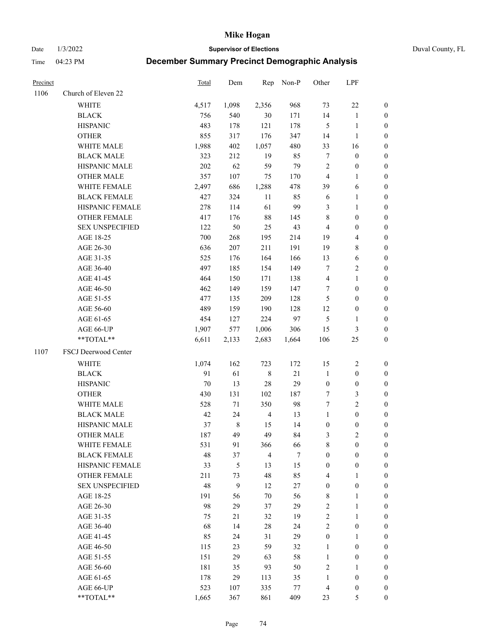Date 1/3/2022 **Supervisor of Elections** Duval County, FL

| Precinct |                        | Total | Dem         | Rep            | Non-P  | Other            | LPF                     |                  |
|----------|------------------------|-------|-------------|----------------|--------|------------------|-------------------------|------------------|
| 1106     | Church of Eleven 22    |       |             |                |        |                  |                         |                  |
|          | <b>WHITE</b>           | 4,517 | 1,098       | 2,356          | 968    | 73               | $22\,$                  | $\boldsymbol{0}$ |
|          | <b>BLACK</b>           | 756   | 540         | 30             | 171    | 14               | $\mathbf{1}$            | $\boldsymbol{0}$ |
|          | <b>HISPANIC</b>        | 483   | 178         | 121            | 178    | $\mathfrak{S}$   | $\mathbf{1}$            | 0                |
|          | <b>OTHER</b>           | 855   | 317         | 176            | 347    | 14               | $\mathbf{1}$            | $\boldsymbol{0}$ |
|          | WHITE MALE             | 1,988 | 402         | 1,057          | 480    | 33               | 16                      | $\boldsymbol{0}$ |
|          | <b>BLACK MALE</b>      | 323   | 212         | 19             | 85     | $\boldsymbol{7}$ | $\boldsymbol{0}$        | $\boldsymbol{0}$ |
|          | HISPANIC MALE          | 202   | 62          | 59             | 79     | $\overline{c}$   | $\boldsymbol{0}$        | $\boldsymbol{0}$ |
|          | <b>OTHER MALE</b>      | 357   | 107         | 75             | 170    | $\overline{4}$   | $\mathbf{1}$            | $\boldsymbol{0}$ |
|          | WHITE FEMALE           | 2,497 | 686         | 1,288          | 478    | 39               | 6                       | 0                |
|          | <b>BLACK FEMALE</b>    | 427   | 324         | 11             | 85     | 6                | $\mathbf{1}$            | 0                |
|          | HISPANIC FEMALE        | 278   | 114         | 61             | 99     | 3                | $\mathbf{1}$            | 0                |
|          | OTHER FEMALE           | 417   | 176         | $88\,$         | 145    | $\,$ 8 $\,$      | $\boldsymbol{0}$        | 0                |
|          | <b>SEX UNSPECIFIED</b> | 122   | 50          | 25             | 43     | $\overline{4}$   | $\boldsymbol{0}$        | $\boldsymbol{0}$ |
|          | AGE 18-25              | 700   | 268         | 195            | 214    | 19               | $\overline{\mathbf{4}}$ | $\boldsymbol{0}$ |
|          | AGE 26-30              | 636   | 207         | 211            | 191    | 19               | $\,$ 8 $\,$             | $\boldsymbol{0}$ |
|          | AGE 31-35              | 525   | 176         | 164            | 166    | 13               | 6                       | $\boldsymbol{0}$ |
|          | AGE 36-40              | 497   | 185         | 154            | 149    | 7                | $\sqrt{2}$              | $\boldsymbol{0}$ |
|          | AGE 41-45              | 464   | 150         | 171            | 138    | $\overline{4}$   | $\mathbf{1}$            | $\boldsymbol{0}$ |
|          | AGE 46-50              | 462   | 149         | 159            | 147    | 7                | $\boldsymbol{0}$        | $\boldsymbol{0}$ |
|          | AGE 51-55              | 477   | 135         | 209            | 128    | 5                | $\boldsymbol{0}$        | $\boldsymbol{0}$ |
|          | AGE 56-60              | 489   | 159         | 190            | 128    | 12               | $\boldsymbol{0}$        | 0                |
|          | AGE 61-65              | 454   | 127         | 224            | 97     | $\mathfrak{S}$   | $\mathbf{1}$            | 0                |
|          | AGE 66-UP              | 1,907 | 577         | 1,006          | 306    | 15               | 3                       | 0                |
|          | **TOTAL**              | 6,611 | 2,133       | 2,683          | 1,664  | 106              | 25                      | $\boldsymbol{0}$ |
| 1107     | FSCJ Deerwood Center   |       |             |                |        |                  |                         |                  |
|          | <b>WHITE</b>           | 1,074 | 162         | 723            | 172    | 15               | $\sqrt{2}$              | $\boldsymbol{0}$ |
|          | <b>BLACK</b>           | 91    | 61          | $\,$ 8 $\,$    | 21     | $\mathbf{1}$     | $\boldsymbol{0}$        | $\boldsymbol{0}$ |
|          | <b>HISPANIC</b>        | 70    | 13          | 28             | 29     | $\boldsymbol{0}$ | $\boldsymbol{0}$        | $\boldsymbol{0}$ |
|          | <b>OTHER</b>           | 430   | 131         | 102            | 187    | 7                | $\mathfrak{Z}$          | $\boldsymbol{0}$ |
|          | WHITE MALE             | 528   | 71          | 350            | 98     | $\tau$           | $\overline{2}$          | $\boldsymbol{0}$ |
|          | <b>BLACK MALE</b>      | 42    | 24          | $\overline{4}$ | 13     | $\mathbf{1}$     | $\boldsymbol{0}$        | $\boldsymbol{0}$ |
|          | HISPANIC MALE          | 37    | $\,$ 8 $\,$ | 15             | 14     | $\boldsymbol{0}$ | $\boldsymbol{0}$        | 0                |
|          | <b>OTHER MALE</b>      | 187   | 49          | 49             | 84     | 3                | $\mathbf{2}$            | 0                |
|          | WHITE FEMALE           | 531   | 91          | 366            | 66     | 8                | $\boldsymbol{0}$        | 0                |
|          | <b>BLACK FEMALE</b>    | 48    | 37          | $\overline{4}$ | $\tau$ | $\boldsymbol{0}$ | $\boldsymbol{0}$        | $\overline{0}$   |
|          | HISPANIC FEMALE        | 33    | 5           | 13             | 15     | $\boldsymbol{0}$ | $\boldsymbol{0}$        | $\overline{0}$   |
|          | OTHER FEMALE           | 211   | 73          | 48             | 85     | 4                | $\mathbf{1}$            | 0                |
|          | <b>SEX UNSPECIFIED</b> | 48    | 9           | 12             | 27     | $\boldsymbol{0}$ | $\boldsymbol{0}$        | 0                |
|          | AGE 18-25              | 191   | 56          | $70\,$         | 56     | $\,$ 8 $\,$      | $\mathbf{1}$            | 0                |
|          | AGE 26-30              | 98    | 29          | 37             | 29     | 2                | $\mathbf{1}$            | 0                |
|          | AGE 31-35              | 75    | 21          | 32             | 19     | $\sqrt{2}$       | $\mathbf{1}$            | 0                |
|          | AGE 36-40              | 68    | 14          | $28\,$         | 24     | $\sqrt{2}$       | $\boldsymbol{0}$        | 0                |
|          | AGE 41-45              | 85    | 24          | 31             | 29     | $\boldsymbol{0}$ | $\mathbf{1}$            | 0                |
|          | AGE 46-50              | 115   | 23          | 59             | 32     | $\mathbf{1}$     | $\boldsymbol{0}$        | 0                |
|          | AGE 51-55              | 151   | 29          | 63             | 58     | $\mathbf{1}$     | $\boldsymbol{0}$        | 0                |
|          | AGE 56-60              | 181   | 35          | 93             | 50     | $\overline{c}$   | $\mathbf{1}$            | 0                |
|          | AGE 61-65              | 178   | 29          | 113            | 35     | $\mathbf{1}$     | $\boldsymbol{0}$        | 0                |
|          | AGE 66-UP              | 523   | 107         | 335            | 77     | $\overline{4}$   | $\boldsymbol{0}$        | 0                |
|          | **TOTAL**              | 1,665 | 367         | 861            | 409    | 23               | $\mathfrak{S}$          | $\boldsymbol{0}$ |
|          |                        |       |             |                |        |                  |                         |                  |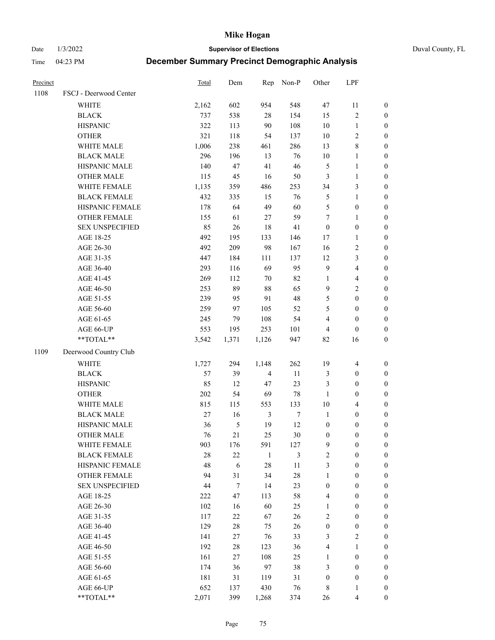Date 1/3/2022 **Supervisor of Elections** Duval County, FL

| Precinct |                        | Total  | Dem    | Rep            | Non-P            | Other            | LPF              |                  |
|----------|------------------------|--------|--------|----------------|------------------|------------------|------------------|------------------|
| 1108     | FSCJ - Deerwood Center |        |        |                |                  |                  |                  |                  |
|          | <b>WHITE</b>           | 2,162  | 602    | 954            | 548              | 47               | 11               | 0                |
|          | <b>BLACK</b>           | 737    | 538    | $28\,$         | 154              | 15               | $\sqrt{2}$       | $\boldsymbol{0}$ |
|          | <b>HISPANIC</b>        | 322    | 113    | 90             | 108              | $10\,$           | $\mathbf{1}$     | $\boldsymbol{0}$ |
|          | <b>OTHER</b>           | 321    | 118    | 54             | 137              | 10               | $\sqrt{2}$       | $\boldsymbol{0}$ |
|          | WHITE MALE             | 1,006  | 238    | 461            | 286              | 13               | $\,$ 8 $\,$      | $\boldsymbol{0}$ |
|          | <b>BLACK MALE</b>      | 296    | 196    | 13             | 76               | 10               | $\mathbf{1}$     | $\boldsymbol{0}$ |
|          | HISPANIC MALE          | 140    | 47     | 41             | 46               | 5                | $\mathbf{1}$     | $\boldsymbol{0}$ |
|          | <b>OTHER MALE</b>      | 115    | 45     | 16             | 50               | 3                | $\mathbf{1}$     | $\boldsymbol{0}$ |
|          | WHITE FEMALE           | 1,135  | 359    | 486            | 253              | 34               | $\mathfrak{Z}$   | $\boldsymbol{0}$ |
|          | <b>BLACK FEMALE</b>    | 432    | 335    | 15             | 76               | 5                | $\mathbf{1}$     | 0                |
|          | HISPANIC FEMALE        | 178    | 64     | 49             | 60               | 5                | $\boldsymbol{0}$ | 0                |
|          | OTHER FEMALE           | 155    | 61     | $27\,$         | 59               | $\boldsymbol{7}$ | $\mathbf{1}$     | $\boldsymbol{0}$ |
|          | <b>SEX UNSPECIFIED</b> | 85     | 26     | 18             | 41               | $\boldsymbol{0}$ | $\boldsymbol{0}$ | $\boldsymbol{0}$ |
|          | AGE 18-25              | 492    | 195    | 133            | 146              | 17               | $\mathbf{1}$     | $\boldsymbol{0}$ |
|          | AGE 26-30              | 492    | 209    | 98             | 167              | 16               | $\sqrt{2}$       | $\boldsymbol{0}$ |
|          | AGE 31-35              | 447    | 184    | 111            | 137              | 12               | 3                | $\boldsymbol{0}$ |
|          | AGE 36-40              | 293    | 116    | 69             | 95               | 9                | $\overline{4}$   | $\boldsymbol{0}$ |
|          | AGE 41-45              | 269    | 112    | $70\,$         | 82               | $\mathbf{1}$     | $\overline{4}$   | $\boldsymbol{0}$ |
|          | AGE 46-50              | 253    | 89     | 88             | 65               | 9                | $\overline{c}$   | $\boldsymbol{0}$ |
|          | AGE 51-55              | 239    | 95     | 91             | 48               | 5                | $\boldsymbol{0}$ | $\boldsymbol{0}$ |
|          | AGE 56-60              | 259    | 97     | 105            | 52               | 5                | $\boldsymbol{0}$ | 0                |
|          | AGE 61-65              | 245    | 79     | 108            | 54               | 4                | $\boldsymbol{0}$ | $\boldsymbol{0}$ |
|          | AGE 66-UP              | 553    | 195    | 253            | 101              | 4                | $\boldsymbol{0}$ | $\boldsymbol{0}$ |
|          | $**TOTAL**$            | 3,542  | 1,371  | 1,126          | 947              | 82               | 16               | $\boldsymbol{0}$ |
| 1109     | Deerwood Country Club  |        |        |                |                  |                  |                  |                  |
|          | WHITE                  | 1,727  | 294    | 1,148          | 262              | 19               | $\overline{4}$   | $\boldsymbol{0}$ |
|          | <b>BLACK</b>           | 57     | 39     | $\overline{4}$ | 11               | 3                | $\boldsymbol{0}$ | $\boldsymbol{0}$ |
|          | <b>HISPANIC</b>        | 85     | 12     | 47             | 23               | 3                | $\boldsymbol{0}$ | $\boldsymbol{0}$ |
|          | <b>OTHER</b>           | 202    | 54     | 69             | 78               | $\mathbf{1}$     | $\boldsymbol{0}$ | $\boldsymbol{0}$ |
|          | WHITE MALE             | 815    | 115    | 553            | 133              | 10               | $\overline{4}$   | $\boldsymbol{0}$ |
|          | <b>BLACK MALE</b>      | $27\,$ | 16     | $\mathfrak{Z}$ | $\boldsymbol{7}$ | $\mathbf{1}$     | $\boldsymbol{0}$ | $\boldsymbol{0}$ |
|          | HISPANIC MALE          | 36     | 5      | 19             | 12               | $\boldsymbol{0}$ | $\boldsymbol{0}$ | $\boldsymbol{0}$ |
|          | <b>OTHER MALE</b>      | 76     | 21     | 25             | 30               | $\boldsymbol{0}$ | $\boldsymbol{0}$ | $\boldsymbol{0}$ |
|          | WHITE FEMALE           | 903    | 176    | 591            | 127              | 9                | 0                | 0                |
|          | <b>BLACK FEMALE</b>    | 28     | $22\,$ | $\mathbf{1}$   | 3                | $\mathbf{2}$     | $\boldsymbol{0}$ | $\overline{0}$   |
|          | HISPANIC FEMALE        | 48     | 6      | 28             | $11\,$           | 3                | $\boldsymbol{0}$ | $\overline{0}$   |
|          | OTHER FEMALE           | 94     | 31     | 34             | 28               | 1                | $\boldsymbol{0}$ | $\overline{0}$   |
|          | <b>SEX UNSPECIFIED</b> | 44     | $\tau$ | 14             | 23               | $\boldsymbol{0}$ | $\boldsymbol{0}$ | 0                |
|          | AGE 18-25              | 222    | 47     | 113            | 58               | 4                | $\boldsymbol{0}$ | $\theta$         |
|          | AGE 26-30              | 102    | 16     | 60             | 25               | $\mathbf{1}$     | $\boldsymbol{0}$ | 0                |
|          | AGE 31-35              | 117    | 22     | 67             | 26               | 2                | $\boldsymbol{0}$ | 0                |
|          | AGE 36-40              | 129    | 28     | 75             | 26               | $\boldsymbol{0}$ | $\boldsymbol{0}$ | 0                |
|          | AGE 41-45              | 141    | 27     | 76             | 33               | 3                | $\mathfrak{2}$   | 0                |
|          | AGE 46-50              | 192    | 28     | 123            | 36               | 4                | $\mathbf{1}$     | 0                |
|          | AGE 51-55              | 161    | 27     | 108            | 25               | $\mathbf{1}$     | $\boldsymbol{0}$ | 0                |
|          | AGE 56-60              | 174    | 36     | 97             | 38               | 3                | $\boldsymbol{0}$ | $\overline{0}$   |
|          | AGE 61-65              | 181    | 31     | 119            | 31               | $\boldsymbol{0}$ | $\boldsymbol{0}$ | 0                |
|          | AGE 66-UP              | 652    | 137    | 430            | 76               | 8                | $\mathbf{1}$     | 0                |
|          | **TOTAL**              | 2,071  | 399    | 1,268          | 374              | 26               | $\overline{4}$   | $\boldsymbol{0}$ |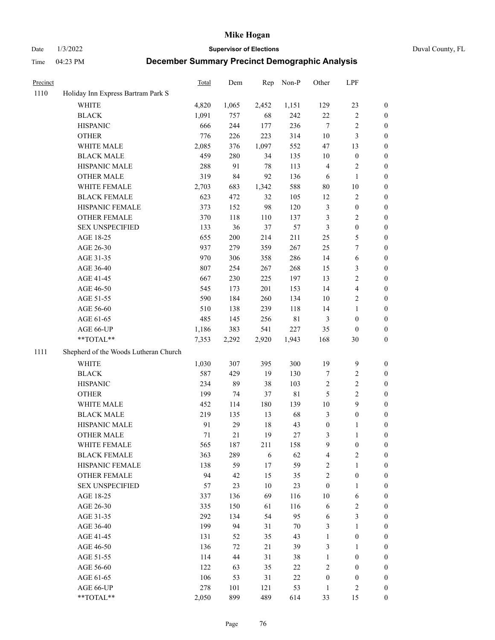Date 1/3/2022 **Supervisor of Elections** Duval County, FL

| Precinct |                                       | Total | Dem   | Rep   | Non-P       | Other            | LPF              |                  |
|----------|---------------------------------------|-------|-------|-------|-------------|------------------|------------------|------------------|
| 1110     | Holiday Inn Express Bartram Park S    |       |       |       |             |                  |                  |                  |
|          | <b>WHITE</b>                          | 4,820 | 1,065 | 2,452 | 1,151       | 129              | 23               | 0                |
|          | <b>BLACK</b>                          | 1,091 | 757   | 68    | 242         | 22               | $\sqrt{2}$       | 0                |
|          | <b>HISPANIC</b>                       | 666   | 244   | 177   | 236         | $\tau$           | $\sqrt{2}$       | $\boldsymbol{0}$ |
|          | <b>OTHER</b>                          | 776   | 226   | 223   | 314         | $10\,$           | $\mathfrak{Z}$   | $\boldsymbol{0}$ |
|          | WHITE MALE                            | 2,085 | 376   | 1,097 | 552         | 47               | 13               | $\boldsymbol{0}$ |
|          | <b>BLACK MALE</b>                     | 459   | 280   | 34    | 135         | 10               | $\boldsymbol{0}$ | $\boldsymbol{0}$ |
|          | HISPANIC MALE                         | 288   | 91    | 78    | 113         | 4                | $\sqrt{2}$       | $\boldsymbol{0}$ |
|          | <b>OTHER MALE</b>                     | 319   | 84    | 92    | 136         | 6                | $\mathbf{1}$     | $\boldsymbol{0}$ |
|          | WHITE FEMALE                          | 2,703 | 683   | 1,342 | 588         | 80               | $10\,$           | $\boldsymbol{0}$ |
|          | <b>BLACK FEMALE</b>                   | 623   | 472   | 32    | 105         | 12               | $\sqrt{2}$       | 0                |
|          | HISPANIC FEMALE                       | 373   | 152   | 98    | 120         | 3                | $\boldsymbol{0}$ | 0                |
|          | OTHER FEMALE                          | 370   | 118   | 110   | 137         | 3                | $\sqrt{2}$       | 0                |
|          | <b>SEX UNSPECIFIED</b>                | 133   | 36    | 37    | 57          | 3                | $\boldsymbol{0}$ | $\boldsymbol{0}$ |
|          | AGE 18-25                             | 655   | 200   | 214   | 211         | 25               | $\mathfrak s$    | $\boldsymbol{0}$ |
|          | AGE 26-30                             | 937   | 279   | 359   | 267         | 25               | $\boldsymbol{7}$ | $\boldsymbol{0}$ |
|          | AGE 31-35                             | 970   | 306   | 358   | 286         | 14               | 6                | $\boldsymbol{0}$ |
|          | AGE 36-40                             | 807   | 254   | 267   | 268         | 15               | 3                | $\boldsymbol{0}$ |
|          | AGE 41-45                             | 667   | 230   | 225   | 197         | 13               | $\sqrt{2}$       | $\boldsymbol{0}$ |
|          | AGE 46-50                             | 545   | 173   | 201   | 153         | 14               | $\overline{4}$   | $\boldsymbol{0}$ |
|          | AGE 51-55                             | 590   | 184   | 260   | 134         | 10               | $\sqrt{2}$       | 0                |
|          | AGE 56-60                             | 510   | 138   | 239   | 118         | 14               | $\mathbf{1}$     | 0                |
|          | AGE 61-65                             | 485   | 145   | 256   | $8\sqrt{1}$ | 3                | $\boldsymbol{0}$ | 0                |
|          | AGE 66-UP                             | 1,186 | 383   | 541   | 227         | 35               | $\boldsymbol{0}$ | $\boldsymbol{0}$ |
|          | $**TOTAL**$                           | 7,353 | 2,292 | 2,920 | 1,943       | 168              | 30               | $\boldsymbol{0}$ |
| 1111     | Shepherd of the Woods Lutheran Church |       |       |       |             |                  |                  |                  |
|          | <b>WHITE</b>                          | 1,030 | 307   | 395   | 300         | 19               | $\boldsymbol{9}$ | $\boldsymbol{0}$ |
|          | <b>BLACK</b>                          | 587   | 429   | 19    | 130         | 7                | $\sqrt{2}$       | $\boldsymbol{0}$ |
|          | <b>HISPANIC</b>                       | 234   | 89    | 38    | 103         | 2                | $\sqrt{2}$       | $\boldsymbol{0}$ |
|          | <b>OTHER</b>                          | 199   | 74    | 37    | $8\sqrt{1}$ | 5                | $\sqrt{2}$       | $\boldsymbol{0}$ |
|          | WHITE MALE                            | 452   | 114   | 180   | 139         | $10\,$           | $\boldsymbol{9}$ | $\boldsymbol{0}$ |
|          | <b>BLACK MALE</b>                     | 219   | 135   | 13    | 68          | 3                | $\boldsymbol{0}$ | $\boldsymbol{0}$ |
|          | HISPANIC MALE                         | 91    | 29    | 18    | 43          | $\boldsymbol{0}$ | 1                | 0                |
|          | <b>OTHER MALE</b>                     | 71    | 21    | 19    | 27          | 3                | $\mathbf{1}$     | 0                |
|          | WHITE FEMALE                          | 565   | 187   | 211   | 158         | 9                | 0                | 0                |
|          | <b>BLACK FEMALE</b>                   | 363   | 289   | 6     | 62          | 4                | $\overline{c}$   | $\overline{0}$   |
|          | HISPANIC FEMALE                       | 138   | 59    | 17    | 59          | 2                | $\mathbf{1}$     | $\overline{0}$   |
|          | OTHER FEMALE                          | 94    | 42    | 15    | 35          | 2                | $\boldsymbol{0}$ | $\overline{0}$   |
|          | <b>SEX UNSPECIFIED</b>                | 57    | 23    | 10    | 23          | $\boldsymbol{0}$ | $\mathbf{1}$     | 0                |
|          | AGE 18-25                             | 337   | 136   | 69    | 116         | 10               | 6                | 0                |
|          | AGE 26-30                             | 335   | 150   | 61    | 116         | 6                | $\sqrt{2}$       | 0                |
|          | AGE 31-35                             | 292   | 134   | 54    | 95          | 6                | 3                | 0                |
|          | AGE 36-40                             | 199   | 94    | 31    | 70          | 3                | $\mathbf{1}$     | 0                |
|          | AGE 41-45                             | 131   | 52    | 35    | 43          | $\mathbf{1}$     | $\boldsymbol{0}$ | 0                |
|          | AGE 46-50                             | 136   | 72    | 21    | 39          | 3                | 1                | 0                |
|          | AGE 51-55                             | 114   | 44    | 31    | 38          | $\mathbf{1}$     | $\boldsymbol{0}$ | 0                |
|          | AGE 56-60                             | 122   | 63    | 35    | 22          | 2                | $\boldsymbol{0}$ | 0                |
|          | AGE 61-65                             | 106   | 53    | 31    | $22\,$      | $\boldsymbol{0}$ | $\boldsymbol{0}$ | 0                |
|          | AGE 66-UP                             | 278   | 101   | 121   | 53          | $\mathbf{1}$     | $\mathfrak{2}$   | 0                |
|          | **TOTAL**                             | 2,050 | 899   | 489   | 614         | 33               | 15               | $\boldsymbol{0}$ |
|          |                                       |       |       |       |             |                  |                  |                  |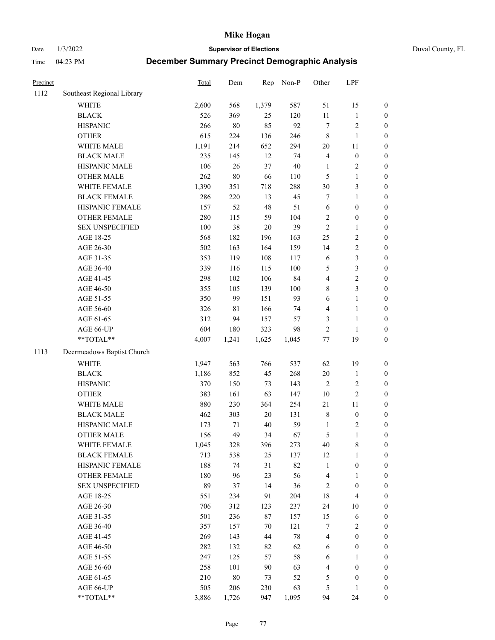Date 1/3/2022 **Supervisor of Elections** Duval County, FL

| Precinct |                            | Total | Dem    | Rep    | Non-P   | Other          | LPF                     |                  |
|----------|----------------------------|-------|--------|--------|---------|----------------|-------------------------|------------------|
| 1112     | Southeast Regional Library |       |        |        |         |                |                         |                  |
|          | <b>WHITE</b>               | 2,600 | 568    | 1,379  | 587     | 51             | 15                      | 0                |
|          | <b>BLACK</b>               | 526   | 369    | 25     | 120     | $11\,$         | $\mathbf{1}$            | 0                |
|          | <b>HISPANIC</b>            | 266   | $80\,$ | 85     | 92      | $\tau$         | $\sqrt{2}$              | $\boldsymbol{0}$ |
|          | <b>OTHER</b>               | 615   | 224    | 136    | 246     | 8              | $\mathbf{1}$            | $\boldsymbol{0}$ |
|          | WHITE MALE                 | 1,191 | 214    | 652    | 294     | $20\,$         | 11                      | $\boldsymbol{0}$ |
|          | <b>BLACK MALE</b>          | 235   | 145    | 12     | 74      | 4              | $\boldsymbol{0}$        | $\boldsymbol{0}$ |
|          | HISPANIC MALE              | 106   | 26     | 37     | $40\,$  | $\mathbf{1}$   | $\sqrt{2}$              | $\boldsymbol{0}$ |
|          | <b>OTHER MALE</b>          | 262   | $80\,$ | 66     | 110     | 5              | $\mathbf{1}$            | $\boldsymbol{0}$ |
|          | WHITE FEMALE               | 1,390 | 351    | 718    | 288     | $30\,$         | $\mathfrak{Z}$          | $\boldsymbol{0}$ |
|          | <b>BLACK FEMALE</b>        | 286   | 220    | 13     | 45      | 7              | $\mathbf{1}$            | $\boldsymbol{0}$ |
|          | HISPANIC FEMALE            | 157   | 52     | 48     | 51      | $\sqrt{6}$     | $\boldsymbol{0}$        | $\boldsymbol{0}$ |
|          | OTHER FEMALE               | 280   | 115    | 59     | 104     | $\mathbf{2}$   | $\boldsymbol{0}$        | $\boldsymbol{0}$ |
|          | <b>SEX UNSPECIFIED</b>     | 100   | 38     | 20     | 39      | $\sqrt{2}$     | $\mathbf{1}$            | $\boldsymbol{0}$ |
|          | AGE 18-25                  | 568   | 182    | 196    | 163     | $25\,$         | $\sqrt{2}$              | $\boldsymbol{0}$ |
|          | AGE 26-30                  | 502   | 163    | 164    | 159     | 14             | $\sqrt{2}$              | $\boldsymbol{0}$ |
|          | AGE 31-35                  | 353   | 119    | 108    | 117     | 6              | $\mathfrak{Z}$          | $\boldsymbol{0}$ |
|          | AGE 36-40                  | 339   | 116    | 115    | 100     | 5              | $\mathfrak{Z}$          | $\boldsymbol{0}$ |
|          | AGE 41-45                  | 298   | 102    | 106    | 84      | $\overline{4}$ | $\sqrt{2}$              | $\boldsymbol{0}$ |
|          | AGE 46-50                  | 355   | 105    | 139    | $100\,$ | 8              | $\mathfrak{Z}$          | $\boldsymbol{0}$ |
|          | AGE 51-55                  | 350   | 99     | 151    | 93      | 6              | $\mathbf{1}$            | $\boldsymbol{0}$ |
|          | AGE 56-60                  | 326   | 81     | 166    | 74      | 4              | $\mathbf{1}$            | 0                |
|          | AGE 61-65                  | 312   | 94     | 157    | 57      | 3              | $\mathbf{1}$            | 0                |
|          | AGE 66-UP                  | 604   | 180    | 323    | 98      | $\sqrt{2}$     | $\mathbf{1}$            | $\boldsymbol{0}$ |
|          | **TOTAL**                  | 4,007 | 1,241  | 1,625  | 1,045   | $77 \,$        | 19                      | $\boldsymbol{0}$ |
| 1113     | Deermeadows Baptist Church |       |        |        |         |                |                         |                  |
|          | <b>WHITE</b>               | 1,947 | 563    | 766    | 537     | 62             | 19                      | $\boldsymbol{0}$ |
|          | <b>BLACK</b>               | 1,186 | 852    | 45     | 268     | $20\,$         | $\mathbf{1}$            | $\boldsymbol{0}$ |
|          | <b>HISPANIC</b>            | 370   | 150    | 73     | 143     | 2              | $\sqrt{2}$              | $\boldsymbol{0}$ |
|          | <b>OTHER</b>               | 383   | 161    | 63     | 147     | 10             | $\sqrt{2}$              | $\boldsymbol{0}$ |
|          | WHITE MALE                 | 880   | 230    | 364    | 254     | 21             | $11\,$                  | $\boldsymbol{0}$ |
|          | <b>BLACK MALE</b>          | 462   | 303    | $20\,$ | 131     | $\,$ 8 $\,$    | $\boldsymbol{0}$        | $\boldsymbol{0}$ |
|          | HISPANIC MALE              | 173   | 71     | $40\,$ | 59      | $\mathbf{1}$   | $\sqrt{2}$              | $\boldsymbol{0}$ |
|          | <b>OTHER MALE</b>          | 156   | 49     | 34     | 67      | 5              | $\mathbf{1}$            | $\boldsymbol{0}$ |
|          | WHITE FEMALE               | 1,045 | 328    | 396    | 273     | 40             | 8                       | 0                |
|          | <b>BLACK FEMALE</b>        | 713   | 538    | 25     | 137     | 12             | $\mathbf{1}$            | $\boldsymbol{0}$ |
|          | HISPANIC FEMALE            | 188   | 74     | 31     | 82      | $\mathbf{1}$   | $\boldsymbol{0}$        | $\overline{0}$   |
|          | <b>OTHER FEMALE</b>        | 180   | 96     | 23     | 56      | 4              | $\mathbf{1}$            | $\overline{0}$   |
|          | <b>SEX UNSPECIFIED</b>     | 89    | 37     | 14     | 36      | 2              | $\boldsymbol{0}$        | 0                |
|          | AGE 18-25                  | 551   | 234    | 91     | 204     | 18             | $\overline{\mathbf{4}}$ | 0                |
|          | AGE 26-30                  | 706   | 312    | 123    | 237     | 24             | $10\,$                  | 0                |
|          | AGE 31-35                  | 501   | 236    | 87     | 157     | 15             | 6                       | 0                |
|          | AGE 36-40                  | 357   | 157    | 70     | 121     | 7              | $\sqrt{2}$              | 0                |
|          | AGE 41-45                  | 269   | 143    | 44     | $78\,$  | $\overline{4}$ | $\boldsymbol{0}$        | 0                |
|          | AGE 46-50                  | 282   | 132    | 82     | 62      | 6              | $\boldsymbol{0}$        | 0                |
|          | AGE 51-55                  | 247   | 125    | 57     | 58      | 6              | 1                       | 0                |
|          | AGE 56-60                  | 258   | 101    | 90     | 63      | 4              | $\boldsymbol{0}$        | $\overline{0}$   |
|          | AGE 61-65                  | 210   | $80\,$ | 73     | 52      | 5              | $\boldsymbol{0}$        | $\overline{0}$   |
|          | AGE 66-UP                  | 505   | 206    | 230    | 63      | 5              | $\mathbf{1}$            | 0                |
|          | **TOTAL**                  | 3,886 | 1,726  | 947    | 1,095   | 94             | 24                      | $\boldsymbol{0}$ |
|          |                            |       |        |        |         |                |                         |                  |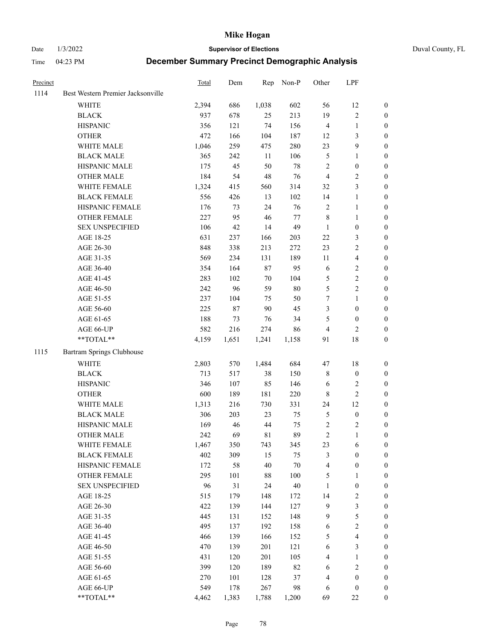Date 1/3/2022 **Supervisor of Elections** Duval County, FL

| Precinct |                                   | Total | Dem   | Rep    | Non-P   | Other          | LPF              |                  |
|----------|-----------------------------------|-------|-------|--------|---------|----------------|------------------|------------------|
| 1114     | Best Western Premier Jacksonville |       |       |        |         |                |                  |                  |
|          | <b>WHITE</b>                      | 2,394 | 686   | 1,038  | 602     | 56             | 12               | 0                |
|          | <b>BLACK</b>                      | 937   | 678   | 25     | 213     | 19             | $\sqrt{2}$       | 0                |
|          | <b>HISPANIC</b>                   | 356   | 121   | 74     | 156     | 4              | $\mathbf{1}$     | $\boldsymbol{0}$ |
|          | <b>OTHER</b>                      | 472   | 166   | 104    | 187     | 12             | $\mathfrak{Z}$   | $\boldsymbol{0}$ |
|          | WHITE MALE                        | 1,046 | 259   | 475    | 280     | 23             | $\mathbf{9}$     | $\boldsymbol{0}$ |
|          | <b>BLACK MALE</b>                 | 365   | 242   | 11     | 106     | 5              | $\mathbf{1}$     | $\boldsymbol{0}$ |
|          | HISPANIC MALE                     | 175   | 45    | 50     | 78      | 2              | $\boldsymbol{0}$ | $\boldsymbol{0}$ |
|          | <b>OTHER MALE</b>                 | 184   | 54    | 48     | 76      | $\overline{4}$ | $\mathbf{2}$     | $\boldsymbol{0}$ |
|          | WHITE FEMALE                      | 1,324 | 415   | 560    | 314     | 32             | 3                | $\boldsymbol{0}$ |
|          | <b>BLACK FEMALE</b>               | 556   | 426   | 13     | 102     | 14             | $\mathbf{1}$     | 0                |
|          | HISPANIC FEMALE                   | 176   | 73    | 24     | 76      | $\mathbf{2}$   | $\mathbf{1}$     | 0                |
|          | OTHER FEMALE                      | 227   | 95    | 46     | $77 \,$ | 8              | $\mathbf{1}$     | 0                |
|          | <b>SEX UNSPECIFIED</b>            | 106   | 42    | 14     | 49      | $\mathbf{1}$   | $\boldsymbol{0}$ | $\boldsymbol{0}$ |
|          | AGE 18-25                         | 631   | 237   | 166    | 203     | $22\,$         | $\mathfrak{Z}$   | $\boldsymbol{0}$ |
|          | AGE 26-30                         | 848   | 338   | 213    | 272     | 23             | $\sqrt{2}$       | $\boldsymbol{0}$ |
|          | AGE 31-35                         | 569   | 234   | 131    | 189     | 11             | $\overline{4}$   | $\boldsymbol{0}$ |
|          | AGE 36-40                         | 354   | 164   | 87     | 95      | 6              | $\sqrt{2}$       | $\boldsymbol{0}$ |
|          | AGE 41-45                         | 283   | 102   | $70\,$ | 104     | 5              | $\sqrt{2}$       | $\boldsymbol{0}$ |
|          | AGE 46-50                         | 242   | 96    | 59     | $80\,$  | 5              | $\overline{c}$   | $\boldsymbol{0}$ |
|          | AGE 51-55                         | 237   | 104   | 75     | 50      | 7              | $\mathbf{1}$     | 0                |
|          | AGE 56-60                         | 225   | 87    | 90     | 45      | 3              | $\boldsymbol{0}$ | 0                |
|          | AGE 61-65                         | 188   | 73    | 76     | 34      | 5              | $\boldsymbol{0}$ | 0                |
|          | AGE 66-UP                         | 582   | 216   | 274    | 86      | $\overline{4}$ | $\mathbf{2}$     | $\boldsymbol{0}$ |
|          | $**TOTAL**$                       | 4,159 | 1,651 | 1,241  | 1,158   | 91             | 18               | $\boldsymbol{0}$ |
| 1115     | Bartram Springs Clubhouse         |       |       |        |         |                |                  |                  |
|          | <b>WHITE</b>                      | 2,803 | 570   | 1,484  | 684     | 47             | 18               | $\boldsymbol{0}$ |
|          | <b>BLACK</b>                      | 713   | 517   | 38     | 150     | 8              | $\boldsymbol{0}$ | $\boldsymbol{0}$ |
|          | <b>HISPANIC</b>                   | 346   | 107   | 85     | 146     | 6              | $\mathfrak{2}$   | $\boldsymbol{0}$ |
|          | <b>OTHER</b>                      | 600   | 189   | 181    | 220     | 8              | $\sqrt{2}$       | $\boldsymbol{0}$ |
|          | WHITE MALE                        | 1,313 | 216   | 730    | 331     | 24             | 12               | $\boldsymbol{0}$ |
|          | <b>BLACK MALE</b>                 | 306   | 203   | 23     | 75      | 5              | $\boldsymbol{0}$ | $\boldsymbol{0}$ |
|          | HISPANIC MALE                     | 169   | 46    | 44     | 75      | 2              | $\overline{c}$   | 0                |
|          | <b>OTHER MALE</b>                 | 242   | 69    | 81     | 89      | $\overline{c}$ | $\mathbf{1}$     | $\boldsymbol{0}$ |
|          | WHITE FEMALE                      | 1,467 | 350   | 743    | 345     | 23             | 6                | 0                |
|          | <b>BLACK FEMALE</b>               | 402   | 309   | 15     | 75      | 3              | $\boldsymbol{0}$ | $\boldsymbol{0}$ |
|          | HISPANIC FEMALE                   | 172   | 58    | 40     | 70      | 4              | $\boldsymbol{0}$ | $\overline{0}$   |
|          | OTHER FEMALE                      | 295   | 101   | 88     | 100     | 5              | $\mathbf{1}$     | $\overline{0}$   |
|          | <b>SEX UNSPECIFIED</b>            | 96    | 31    | 24     | 40      | 1              | $\boldsymbol{0}$ | 0                |
|          | AGE 18-25                         | 515   | 179   | 148    | 172     | 14             | $\sqrt{2}$       | 0                |
|          | AGE 26-30                         | 422   | 139   | 144    | 127     | 9              | 3                | 0                |
|          | AGE 31-35                         | 445   | 131   | 152    | 148     | 9              | 5                | 0                |
|          | AGE 36-40                         | 495   | 137   | 192    | 158     | 6              | $\sqrt{2}$       | 0                |
|          | AGE 41-45                         | 466   | 139   | 166    | 152     | 5              | $\overline{4}$   | 0                |
|          | AGE 46-50                         | 470   | 139   | 201    | 121     | 6              | $\mathfrak{Z}$   | 0                |
|          | AGE 51-55                         | 431   | 120   | 201    | 105     | 4              | $\mathbf{1}$     | $\boldsymbol{0}$ |
|          | AGE 56-60                         | 399   | 120   | 189    | 82      | 6              | $\sqrt{2}$       | $\overline{0}$   |
|          | AGE 61-65                         | 270   | 101   | 128    | 37      | 4              | $\boldsymbol{0}$ | $\overline{0}$   |
|          | AGE 66-UP                         | 549   | 178   | 267    | 98      | 6              | $\boldsymbol{0}$ | 0                |
|          | **TOTAL**                         | 4,462 | 1,383 | 1,788  | 1,200   | 69             | $22\,$           | $\boldsymbol{0}$ |
|          |                                   |       |       |        |         |                |                  |                  |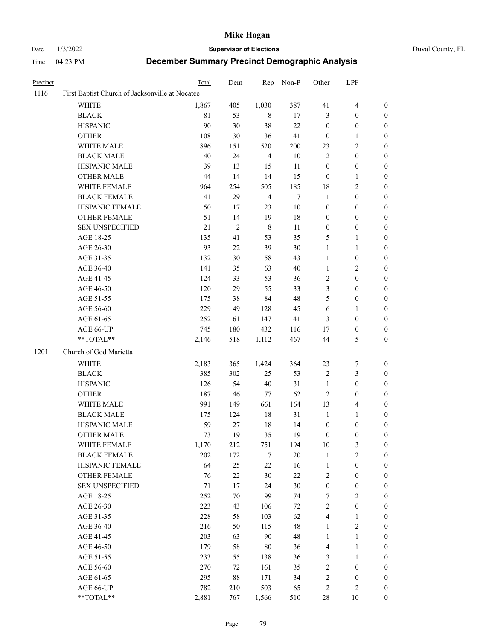# Date 1/3/2022 **Supervisor of Elections** Duval County, FL

| Precinct |                                                 | Total       | Dem        | Rep            | Non-P            | Other                   | LPF              |                  |
|----------|-------------------------------------------------|-------------|------------|----------------|------------------|-------------------------|------------------|------------------|
| 1116     | First Baptist Church of Jacksonville at Nocatee |             |            |                |                  |                         |                  |                  |
|          | <b>WHITE</b>                                    | 1,867       | 405        | 1,030          | 387              | 41                      | $\overline{4}$   | $\boldsymbol{0}$ |
|          | <b>BLACK</b>                                    | $8\sqrt{1}$ | 53         | 8              | 17               | 3                       | $\boldsymbol{0}$ | 0                |
|          | <b>HISPANIC</b>                                 | 90          | 30         | 38             | $22\,$           | $\boldsymbol{0}$        | $\boldsymbol{0}$ | $\boldsymbol{0}$ |
|          | <b>OTHER</b>                                    | 108         | 30         | 36             | 41               | $\boldsymbol{0}$        | $\mathbf{1}$     | $\boldsymbol{0}$ |
|          | WHITE MALE                                      | 896         | 151        | 520            | 200              | 23                      | $\sqrt{2}$       | $\boldsymbol{0}$ |
|          | <b>BLACK MALE</b>                               | 40          | 24         | $\overline{4}$ | 10               | $\overline{2}$          | $\boldsymbol{0}$ | $\boldsymbol{0}$ |
|          | HISPANIC MALE                                   | 39          | 13         | 15             | $11\,$           | $\boldsymbol{0}$        | $\boldsymbol{0}$ | $\boldsymbol{0}$ |
|          | <b>OTHER MALE</b>                               | 44          | 14         | 14             | 15               | $\boldsymbol{0}$        | $\mathbf{1}$     | 0                |
|          | WHITE FEMALE                                    | 964         | 254        | 505            | 185              | $18\,$                  | $\sqrt{2}$       | 0                |
|          | <b>BLACK FEMALE</b>                             | 41          | 29         | $\overline{4}$ | $\boldsymbol{7}$ | $\mathbf{1}$            | $\boldsymbol{0}$ | $\boldsymbol{0}$ |
|          | HISPANIC FEMALE                                 | 50          | 17         | 23             | $10\,$           | $\boldsymbol{0}$        | $\boldsymbol{0}$ | $\boldsymbol{0}$ |
|          | OTHER FEMALE                                    | 51          | 14         | 19             | 18               | $\boldsymbol{0}$        | $\boldsymbol{0}$ | $\boldsymbol{0}$ |
|          | <b>SEX UNSPECIFIED</b>                          | $21\,$      | $\sqrt{2}$ | $\,$ 8 $\,$    | $11\,$           | $\boldsymbol{0}$        | $\boldsymbol{0}$ | $\boldsymbol{0}$ |
|          | AGE 18-25                                       | 135         | 41         | 53             | 35               | 5                       | $\mathbf{1}$     | $\boldsymbol{0}$ |
|          | AGE 26-30                                       | 93          | 22         | 39             | 30               | $\mathbf{1}$            | $\mathbf{1}$     | $\boldsymbol{0}$ |
|          | AGE 31-35                                       | 132         | 30         | 58             | 43               | $\mathbf{1}$            | $\boldsymbol{0}$ | $\boldsymbol{0}$ |
|          | AGE 36-40                                       | 141         | 35         | 63             | 40               | $\mathbf{1}$            | $\sqrt{2}$       | $\boldsymbol{0}$ |
|          | AGE 41-45                                       | 124         | 33         | 53             | 36               | $\overline{\mathbf{c}}$ | $\boldsymbol{0}$ | $\boldsymbol{0}$ |
|          | AGE 46-50                                       | 120         | 29         | 55             | 33               | 3                       | $\boldsymbol{0}$ | 0                |
|          | AGE 51-55                                       | 175         | 38         | 84             | 48               | 5                       | $\boldsymbol{0}$ | $\boldsymbol{0}$ |
|          | AGE 56-60                                       | 229         | 49         | 128            | 45               | $\sqrt{6}$              | $\mathbf{1}$     | $\boldsymbol{0}$ |
|          | AGE 61-65                                       | 252         | 61         | 147            | 41               | 3                       | $\boldsymbol{0}$ | $\boldsymbol{0}$ |
|          | AGE 66-UP                                       | 745         | 180        | 432            | 116              | 17                      | $\boldsymbol{0}$ | $\boldsymbol{0}$ |
|          | **TOTAL**                                       | 2,146       | 518        | 1,112          | 467              | $44\,$                  | 5                | $\boldsymbol{0}$ |
| 1201     | Church of God Marietta                          |             |            |                |                  |                         |                  |                  |
|          | <b>WHITE</b>                                    | 2,183       | 365        | 1,424          | 364              | 23                      | $\boldsymbol{7}$ | $\boldsymbol{0}$ |
|          | <b>BLACK</b>                                    | 385         | 302        | 25             | 53               | $\sqrt{2}$              | $\mathfrak{Z}$   | $\boldsymbol{0}$ |
|          | <b>HISPANIC</b>                                 | 126         | 54         | 40             | 31               | $\mathbf{1}$            | $\boldsymbol{0}$ | $\overline{0}$   |
|          | <b>OTHER</b>                                    | 187         | 46         | $77\,$         | 62               | $\sqrt{2}$              | $\boldsymbol{0}$ | $\boldsymbol{0}$ |
|          | WHITE MALE                                      | 991         | 149        | 661            | 164              | 13                      | $\overline{4}$   | 0                |
|          | <b>BLACK MALE</b>                               | 175         | 124        | $18\,$         | 31               | $\mathbf{1}$            | $\mathbf{1}$     | 0                |
|          | HISPANIC MALE                                   | 59          | $27\,$     | 18             | 14               | $\boldsymbol{0}$        | $\boldsymbol{0}$ | 0                |
|          | <b>OTHER MALE</b>                               | 73          | 19         | 35             | 19               | $\boldsymbol{0}$        | $\boldsymbol{0}$ | $\boldsymbol{0}$ |
|          | WHITE FEMALE                                    | 1,170       | 212        | 751            | 194              | $10\,$                  | $\mathfrak{Z}$   | $\boldsymbol{0}$ |
|          | <b>BLACK FEMALE</b>                             | 202         | 172        | 7              | 20               | $\mathbf{1}$            | $\sqrt{2}$       | $\overline{0}$   |
|          | HISPANIC FEMALE                                 | 64          | 25         | $22\,$         | 16               | $\mathbf{1}$            | $\boldsymbol{0}$ | 0                |
|          | <b>OTHER FEMALE</b>                             | 76          | $22\,$     | $30\,$         | 22               | $\overline{c}$          | $\boldsymbol{0}$ | 0                |
|          | <b>SEX UNSPECIFIED</b>                          | $71\,$      | $17\,$     | 24             | 30               | $\boldsymbol{0}$        | $\boldsymbol{0}$ | 0                |
|          | AGE 18-25                                       | 252         | $70\,$     | 99             | 74               | 7                       | $\sqrt{2}$       | 0                |
|          | AGE 26-30                                       | 223         | 43         | 106            | $72\,$           | $\overline{\mathbf{c}}$ | $\boldsymbol{0}$ | 0                |
|          | AGE 31-35                                       | 228         | 58         | 103            | 62               | $\overline{\mathbf{4}}$ | $\mathbf{1}$     | 0                |
|          | AGE 36-40                                       | 216         | 50         | 115            | 48               | $\mathbf{1}$            | $\sqrt{2}$       | 0                |
|          | AGE 41-45                                       | 203         | 63         | 90             | 48               | $\mathbf{1}$            | $\mathbf{1}$     | 0                |
|          | AGE 46-50                                       | 179         | 58         | $80\,$         | 36               | 4                       | $\mathbf{1}$     | 0                |
|          | AGE 51-55                                       | 233         | 55         | 138            | 36               | 3                       | $\mathbf{1}$     | 0                |
|          | AGE 56-60                                       | 270         | 72         | 161            | 35               | 2                       | $\boldsymbol{0}$ | 0                |
|          | AGE 61-65                                       | 295         | 88         | 171            | 34               | 2                       | $\boldsymbol{0}$ | 0                |
|          | AGE 66-UP                                       | 782         | 210        | 503            | 65               | $\sqrt{2}$              | $\overline{c}$   | 0                |
|          | **TOTAL**                                       | 2,881       | 767        | 1,566          | 510              | $28\,$                  | 10               | $\boldsymbol{0}$ |
|          |                                                 |             |            |                |                  |                         |                  |                  |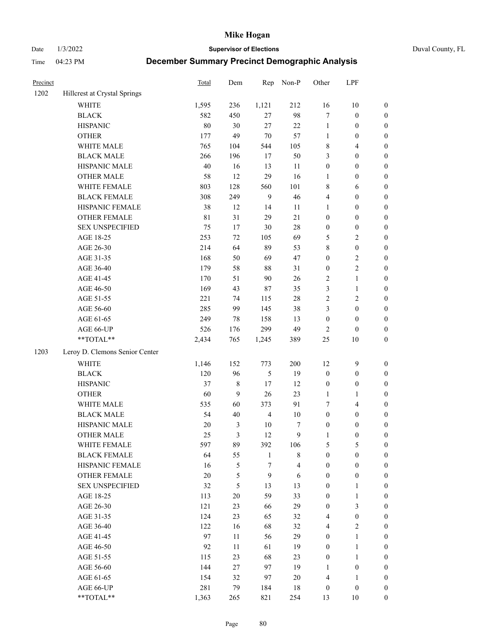Date 1/3/2022 **Supervisor of Elections** Duval County, FL

| Precinct |                                     | Total       | Dem              | Rep                 | Non-P                 | Other                 | LPF                                  |                                      |
|----------|-------------------------------------|-------------|------------------|---------------------|-----------------------|-----------------------|--------------------------------------|--------------------------------------|
| 1202     | Hillcrest at Crystal Springs        |             |                  |                     |                       |                       |                                      |                                      |
|          | <b>WHITE</b>                        | 1,595       | 236              | 1,121               | 212                   | 16                    | 10                                   | 0                                    |
|          | <b>BLACK</b>                        | 582         | 450              | 27                  | 98                    | $\tau$                | $\boldsymbol{0}$                     | $\boldsymbol{0}$                     |
|          | <b>HISPANIC</b>                     | $80\,$      | 30               | 27                  | 22                    | $\mathbf{1}$          | $\boldsymbol{0}$                     | $\boldsymbol{0}$                     |
|          | <b>OTHER</b>                        | 177         | 49               | $70\,$              | 57                    | $\mathbf{1}$          | $\boldsymbol{0}$                     | $\boldsymbol{0}$                     |
|          | WHITE MALE                          | 765         | 104              | 544                 | 105                   | 8                     | $\overline{4}$                       | $\boldsymbol{0}$                     |
|          | <b>BLACK MALE</b>                   | 266         | 196              | 17                  | 50                    | 3                     | $\boldsymbol{0}$                     | $\boldsymbol{0}$                     |
|          | HISPANIC MALE                       | $40\,$      | 16               | 13                  | 11                    | 0                     | $\boldsymbol{0}$                     | $\boldsymbol{0}$                     |
|          | <b>OTHER MALE</b>                   | 58          | 12               | 29                  | 16                    | $\mathbf{1}$          | $\boldsymbol{0}$                     | $\boldsymbol{0}$                     |
|          | WHITE FEMALE                        | 803         | 128              | 560                 | 101                   | 8                     | 6                                    | $\boldsymbol{0}$                     |
|          | <b>BLACK FEMALE</b>                 | 308         | 249              | 9                   | 46                    | 4                     | $\boldsymbol{0}$                     | $\boldsymbol{0}$                     |
|          | HISPANIC FEMALE                     | 38          | 12               | 14                  | 11                    | 1                     | $\boldsymbol{0}$                     | $\boldsymbol{0}$                     |
|          | OTHER FEMALE                        | $8\sqrt{1}$ | 31               | 29                  | 21                    | 0                     | $\boldsymbol{0}$                     | $\boldsymbol{0}$                     |
|          | <b>SEX UNSPECIFIED</b>              | 75          | 17               | 30                  | 28                    | $\boldsymbol{0}$      | $\boldsymbol{0}$                     | $\boldsymbol{0}$                     |
|          | AGE 18-25                           | 253         | 72               | 105                 | 69                    | 5                     | $\sqrt{2}$                           | $\boldsymbol{0}$                     |
|          | AGE 26-30                           | 214         | 64               | 89                  | 53                    | 8                     | $\boldsymbol{0}$                     | $\boldsymbol{0}$                     |
|          | AGE 31-35                           | 168         | 50               | 69                  | 47                    | $\boldsymbol{0}$      | $\sqrt{2}$                           | $\boldsymbol{0}$                     |
|          | AGE 36-40                           | 179         | 58               | 88                  | 31                    | $\boldsymbol{0}$      | $\sqrt{2}$                           | $\boldsymbol{0}$                     |
|          | AGE 41-45                           | 170         | 51               | $90\,$              | 26                    | 2                     | $\mathbf{1}$                         | $\boldsymbol{0}$                     |
|          | AGE 46-50                           | 169         | 43               | 87                  | 35                    | 3                     | $\mathbf{1}$                         | $\boldsymbol{0}$                     |
|          | AGE 51-55                           | 221         | 74               | 115                 | $28\,$                | 2                     | $\sqrt{2}$                           | $\boldsymbol{0}$                     |
|          | AGE 56-60                           | 285         | 99               | 145                 | 38                    | 3                     | $\boldsymbol{0}$                     | 0                                    |
|          | AGE 61-65                           | 249         | 78               | 158                 | 13                    | $\boldsymbol{0}$      | $\boldsymbol{0}$                     | $\boldsymbol{0}$                     |
|          | AGE 66-UP                           | 526         | 176              | 299                 | 49                    | $\overline{c}$        | $\boldsymbol{0}$                     | $\boldsymbol{0}$                     |
|          | $\mathrm{``TOTAL}^{\mathrm{**}}$    | 2,434       | 765              | 1,245               | 389                   | 25                    | $10\,$                               | $\boldsymbol{0}$                     |
| 1203     | Leroy D. Clemons Senior Center      |             |                  |                     |                       |                       |                                      |                                      |
|          | <b>WHITE</b>                        | 1,146       | 152              | 773                 | 200                   | 12                    | $\boldsymbol{9}$                     | $\boldsymbol{0}$                     |
|          | <b>BLACK</b>                        | 120         | 96               | 5                   | 19                    | $\boldsymbol{0}$      | $\boldsymbol{0}$                     | $\boldsymbol{0}$                     |
|          | <b>HISPANIC</b>                     | 37          | $\,$ 8 $\,$      | 17                  | 12                    | $\boldsymbol{0}$      | $\boldsymbol{0}$                     | $\boldsymbol{0}$                     |
|          |                                     | 60          | $\boldsymbol{9}$ | 26                  | 23                    | $\mathbf{1}$          | $\mathbf{1}$                         | $\boldsymbol{0}$                     |
|          | <b>OTHER</b><br>WHITE MALE          |             | 60               | 373                 | 91                    | $\tau$                | $\overline{4}$                       |                                      |
|          |                                     | 535<br>54   | $40\,$           | $\overline{4}$      | $10\,$                | $\boldsymbol{0}$      |                                      | $\boldsymbol{0}$<br>$\boldsymbol{0}$ |
|          | <b>BLACK MALE</b><br>HISPANIC MALE  | $20\,$      | $\mathfrak{Z}$   | $10\,$              |                       |                       | $\boldsymbol{0}$                     |                                      |
|          | <b>OTHER MALE</b>                   | 25          | 3                | 12                  | 7<br>$\boldsymbol{9}$ | $\boldsymbol{0}$<br>1 | $\boldsymbol{0}$<br>$\boldsymbol{0}$ | $\boldsymbol{0}$<br>$\boldsymbol{0}$ |
|          |                                     |             |                  |                     |                       |                       |                                      | 0                                    |
|          | WHITE FEMALE<br><b>BLACK FEMALE</b> | 597         | 89               | 392<br>$\mathbf{1}$ | 106<br>$\,$ 8 $\,$    | 5<br>$\boldsymbol{0}$ | 5<br>$\boldsymbol{0}$                | $\overline{0}$                       |
|          | HISPANIC FEMALE                     | 64<br>16    | 55<br>5          | $\sqrt{ }$          | $\overline{4}$        | $\boldsymbol{0}$      | $\boldsymbol{0}$                     | $\overline{0}$                       |
|          | OTHER FEMALE                        | $20\,$      |                  | $\boldsymbol{9}$    |                       | $\boldsymbol{0}$      | $\boldsymbol{0}$                     | $\overline{0}$                       |
|          | <b>SEX UNSPECIFIED</b>              | 32          | 5<br>5           | 13                  | 6<br>13               | $\boldsymbol{0}$      | $\mathbf{1}$                         | 0                                    |
|          |                                     |             | 20               | 59                  | 33                    |                       |                                      | 0                                    |
|          | AGE 18-25                           | 113         |                  |                     |                       | 0                     | $\mathbf{1}$                         |                                      |
|          | AGE 26-30                           | 121         | 23               | 66                  | 29                    | 0                     | 3                                    | 0                                    |
|          | AGE 31-35<br>AGE 36-40              | 124         | 23               | 65                  | 32                    | 4                     | $\boldsymbol{0}$                     | 0                                    |
|          |                                     | 122         | 16               | 68                  | 32                    | 4                     | $\sqrt{2}$                           | 0                                    |
|          | AGE 41-45                           | 97          | 11               | 56                  | 29                    | 0                     | $\mathbf{1}$                         | 0                                    |
|          | AGE 46-50                           | 92          | 11               | 61                  | 19                    | 0                     | $\mathbf{1}$                         | 0                                    |
|          | AGE 51-55                           | 115         | 23               | 68                  | 23                    | $\boldsymbol{0}$      | $\mathbf{1}$                         | 0                                    |
|          | AGE 56-60                           | 144         | 27               | 97                  | 19                    | 1                     | $\boldsymbol{0}$                     | 0                                    |
|          | AGE 61-65                           | 154         | 32               | 97                  | 20                    | 4                     | $\mathbf{1}$                         | $\overline{0}$                       |
|          | AGE 66-UP                           | 281         | 79               | 184                 | 18                    | $\boldsymbol{0}$      | $\boldsymbol{0}$                     | 0                                    |
|          | **TOTAL**                           | 1,363       | 265              | 821                 | 254                   | 13                    | 10                                   | $\boldsymbol{0}$                     |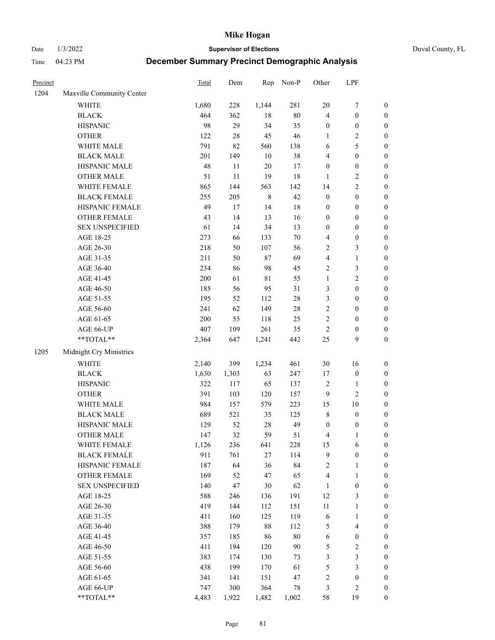Date 1/3/2022 **Supervisor of Elections** Duval County, FL

| Precinct |                                                           | Total | Dem    | Rep         | Non-P  | Other            | LPF                     |                  |
|----------|-----------------------------------------------------------|-------|--------|-------------|--------|------------------|-------------------------|------------------|
| 1204     | Maxville Community Center                                 |       |        |             |        |                  |                         |                  |
|          | <b>WHITE</b>                                              | 1,680 | 228    | 1,144       | 281    | $20\,$           | $\boldsymbol{7}$        | 0                |
|          | <b>BLACK</b>                                              | 464   | 362    | $18\,$      | $80\,$ | 4                | $\boldsymbol{0}$        | $\boldsymbol{0}$ |
|          | <b>HISPANIC</b>                                           | 98    | 29     | 34          | 35     | $\boldsymbol{0}$ | $\boldsymbol{0}$        | $\boldsymbol{0}$ |
|          | <b>OTHER</b>                                              | 122   | $28\,$ | 45          | 46     | 1                | $\sqrt{2}$              | $\boldsymbol{0}$ |
|          | WHITE MALE                                                | 791   | 82     | 560         | 138    | 6                | $\mathfrak{S}$          | $\boldsymbol{0}$ |
|          | <b>BLACK MALE</b>                                         | 201   | 149    | 10          | 38     | 4                | $\boldsymbol{0}$        | $\boldsymbol{0}$ |
|          | HISPANIC MALE                                             | 48    | 11     | 20          | 17     | $\boldsymbol{0}$ | $\boldsymbol{0}$        | $\boldsymbol{0}$ |
|          | <b>OTHER MALE</b>                                         | 51    | 11     | 19          | 18     | $\mathbf{1}$     | $\overline{2}$          | $\boldsymbol{0}$ |
|          | WHITE FEMALE                                              | 865   | 144    | 563         | 142    | 14               | $\overline{2}$          | $\boldsymbol{0}$ |
|          | <b>BLACK FEMALE</b>                                       | 255   | 205    | $\,$ 8 $\,$ | 42     | $\boldsymbol{0}$ | $\boldsymbol{0}$        | $\boldsymbol{0}$ |
|          | HISPANIC FEMALE                                           | 49    | 17     | 14          | 18     | $\boldsymbol{0}$ | $\boldsymbol{0}$        | $\boldsymbol{0}$ |
|          | OTHER FEMALE                                              | 43    | 14     | 13          | 16     | $\boldsymbol{0}$ | $\boldsymbol{0}$        | $\boldsymbol{0}$ |
|          | <b>SEX UNSPECIFIED</b>                                    | 61    | 14     | 34          | 13     | $\boldsymbol{0}$ | $\boldsymbol{0}$        | $\boldsymbol{0}$ |
|          | AGE 18-25                                                 | 273   | 66     | 133         | $70\,$ | 4                | $\boldsymbol{0}$        | $\boldsymbol{0}$ |
|          | AGE 26-30                                                 | 218   | 50     | 107         | 56     | 2                | $\mathfrak{Z}$          | $\boldsymbol{0}$ |
|          | AGE 31-35                                                 | 211   | 50     | 87          | 69     | 4                | $\mathbf{1}$            | $\boldsymbol{0}$ |
|          | AGE 36-40                                                 | 234   | 86     | 98          | 45     | 2                | 3                       | $\boldsymbol{0}$ |
|          | AGE 41-45                                                 | 200   | 61     | 81          | 55     | $\mathbf{1}$     | $\overline{2}$          | $\boldsymbol{0}$ |
|          | AGE 46-50                                                 | 185   | 56     | 95          | 31     | 3                | $\boldsymbol{0}$        | $\boldsymbol{0}$ |
|          | AGE 51-55                                                 | 195   | 52     | 112         | $28\,$ | 3                | $\boldsymbol{0}$        | $\boldsymbol{0}$ |
|          | AGE 56-60                                                 | 241   | 62     | 149         | $28\,$ | $\overline{c}$   | $\boldsymbol{0}$        | 0                |
|          | AGE 61-65                                                 | 200   | 55     | 118         | 25     | 2                | $\boldsymbol{0}$        | $\boldsymbol{0}$ |
|          | AGE 66-UP                                                 | 407   | 109    | 261         | 35     | $\sqrt{2}$       | $\boldsymbol{0}$        | $\boldsymbol{0}$ |
|          | $\mathrm{*}\mathrm{*}\mathrm{TOTAL} \mathrm{*}\mathrm{*}$ | 2,364 | 647    | 1,241       | 442    | $25\,$           | 9                       | $\boldsymbol{0}$ |
| 1205     | Midnight Cry Ministries                                   |       |        |             |        |                  |                         |                  |
|          | <b>WHITE</b>                                              | 2,140 | 399    | 1,234       | 461    | $30\,$           | 16                      | $\boldsymbol{0}$ |
|          | <b>BLACK</b>                                              | 1,630 | 1,303  | 63          | 247    | 17               | $\boldsymbol{0}$        | $\boldsymbol{0}$ |
|          | <b>HISPANIC</b>                                           | 322   | 117    | 65          | 137    | 2                | $\mathbf{1}$            | $\boldsymbol{0}$ |
|          | <b>OTHER</b>                                              | 391   | 103    | 120         | 157    | 9                | $\overline{c}$          | $\boldsymbol{0}$ |
|          | WHITE MALE                                                | 984   | 157    | 579         | 223    | 15               | $10\,$                  | $\boldsymbol{0}$ |
|          | <b>BLACK MALE</b>                                         | 689   | 521    | 35          | 125    | $\,$ $\,$        | $\boldsymbol{0}$        | $\boldsymbol{0}$ |
|          | HISPANIC MALE                                             | 129   | 52     | 28          | 49     | $\boldsymbol{0}$ | $\boldsymbol{0}$        | 0                |
|          | OTHER MALE                                                | 147   | 32     | 59          | 51     | 4                | $\mathbf{1}$            | $\boldsymbol{0}$ |
|          | WHITE FEMALE                                              | 1,126 | 236    | 641         | 228    | 15               | 6                       | 0                |
|          | <b>BLACK FEMALE</b>                                       | 911   | 761    | 27          | 114    | 9                | $\boldsymbol{0}$        | $\boldsymbol{0}$ |
|          | HISPANIC FEMALE                                           | 187   | 64     | 36          | 84     | 2                | $\mathbf{1}$            | $\boldsymbol{0}$ |
|          | <b>OTHER FEMALE</b>                                       | 169   | 52     | 47          | 65     | 4                | $\mathbf{1}$            | $\overline{0}$   |
|          | <b>SEX UNSPECIFIED</b>                                    | 140   | 47     | 30          | 62     | $\mathbf{1}$     | $\boldsymbol{0}$        | 0                |
|          | AGE 18-25                                                 | 588   | 246    | 136         | 191    | 12               | $\mathfrak{Z}$          | 0                |
|          | AGE 26-30                                                 | 419   | 144    | 112         | 151    | $11\,$           | $\mathbf{1}$            | 0                |
|          | AGE 31-35                                                 | 411   | 160    | 125         | 119    | 6                | $\mathbf{1}$            | 0                |
|          | AGE 36-40                                                 | 388   | 179    | 88          | 112    | 5                | $\overline{\mathbf{4}}$ | 0                |
|          | AGE 41-45                                                 | 357   | 185    | 86          | $80\,$ | 6                | $\boldsymbol{0}$        | 0                |
|          | AGE 46-50                                                 | 411   | 194    | 120         | $90\,$ | 5                | $\sqrt{2}$              | 0                |
|          | AGE 51-55                                                 | 383   | 174    | 130         | 73     | 3                | $\mathfrak{Z}$          | $\boldsymbol{0}$ |
|          | AGE 56-60                                                 | 438   | 199    | 170         | 61     | 5                | $\mathfrak{Z}$          | $\boldsymbol{0}$ |
|          | AGE 61-65                                                 | 341   | 141    | 151         | 47     | 2                | $\boldsymbol{0}$        | $\boldsymbol{0}$ |
|          | AGE 66-UP                                                 | 747   | 300    | 364         | 78     | 3                | $\mathfrak{2}$          | 0                |
|          | **TOTAL**                                                 | 4,483 | 1,922  | 1,482       | 1,002  | 58               | 19                      | $\boldsymbol{0}$ |
|          |                                                           |       |        |             |        |                  |                         |                  |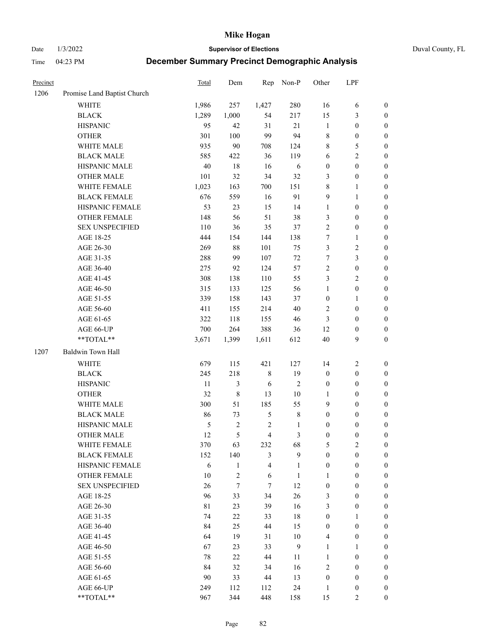Date 1/3/2022 **Supervisor of Elections** Duval County, FL

| Precinct |                             | <b>Total</b>  | Dem            | Rep                     | Non-P          | Other                   | LPF              |                  |
|----------|-----------------------------|---------------|----------------|-------------------------|----------------|-------------------------|------------------|------------------|
| 1206     | Promise Land Baptist Church |               |                |                         |                |                         |                  |                  |
|          | <b>WHITE</b>                | 1,986         | 257            | 1,427                   | 280            | 16                      | 6                | 0                |
|          | <b>BLACK</b>                | 1,289         | 1,000          | 54                      | 217            | 15                      | $\mathfrak{Z}$   | $\boldsymbol{0}$ |
|          | <b>HISPANIC</b>             | 95            | 42             | 31                      | 21             | $\mathbf{1}$            | $\boldsymbol{0}$ | $\boldsymbol{0}$ |
|          | <b>OTHER</b>                | 301           | 100            | 99                      | 94             | 8                       | $\boldsymbol{0}$ | $\boldsymbol{0}$ |
|          | WHITE MALE                  | 935           | 90             | 708                     | 124            | 8                       | 5                | $\boldsymbol{0}$ |
|          | <b>BLACK MALE</b>           | 585           | 422            | 36                      | 119            | 6                       | $\sqrt{2}$       | $\boldsymbol{0}$ |
|          | HISPANIC MALE               | 40            | $18\,$         | 16                      | 6              | $\boldsymbol{0}$        | $\boldsymbol{0}$ | $\boldsymbol{0}$ |
|          | <b>OTHER MALE</b>           | 101           | 32             | 34                      | 32             | 3                       | $\boldsymbol{0}$ | $\boldsymbol{0}$ |
|          | WHITE FEMALE                | 1,023         | 163            | 700                     | 151            | $\,$ $\,$               | $\mathbf{1}$     | $\boldsymbol{0}$ |
|          | <b>BLACK FEMALE</b>         | 676           | 559            | 16                      | 91             | 9                       | $\mathbf{1}$     | $\boldsymbol{0}$ |
|          | HISPANIC FEMALE             | 53            | 23             | 15                      | 14             | $\mathbf{1}$            | $\boldsymbol{0}$ | $\boldsymbol{0}$ |
|          | <b>OTHER FEMALE</b>         | 148           | 56             | 51                      | 38             | 3                       | $\boldsymbol{0}$ | $\boldsymbol{0}$ |
|          | <b>SEX UNSPECIFIED</b>      | 110           | 36             | 35                      | 37             | $\overline{c}$          | $\boldsymbol{0}$ | $\boldsymbol{0}$ |
|          | AGE 18-25                   | 444           | 154            | 144                     | 138            | 7                       | $\mathbf{1}$     | $\boldsymbol{0}$ |
|          | AGE 26-30                   | 269           | 88             | 101                     | 75             | 3                       | $\sqrt{2}$       | $\boldsymbol{0}$ |
|          | AGE 31-35                   | 288           | 99             | 107                     | 72             | $\boldsymbol{7}$        | $\mathfrak{Z}$   | $\boldsymbol{0}$ |
|          | AGE 36-40                   | 275           | 92             | 124                     | 57             | $\overline{c}$          | $\boldsymbol{0}$ | $\boldsymbol{0}$ |
|          | AGE 41-45                   | 308           | 138            | 110                     | 55             | 3                       | $\overline{2}$   | $\boldsymbol{0}$ |
|          | AGE 46-50                   | 315           | 133            | 125                     | 56             | $\mathbf{1}$            | $\boldsymbol{0}$ | $\boldsymbol{0}$ |
|          | AGE 51-55                   | 339           | 158            | 143                     | 37             | $\boldsymbol{0}$        | $\mathbf{1}$     | $\boldsymbol{0}$ |
|          | AGE 56-60                   | 411           | 155            | 214                     | 40             | 2                       | $\boldsymbol{0}$ | 0                |
|          | AGE 61-65                   | 322           | 118            | 155                     | 46             | 3                       | $\boldsymbol{0}$ | 0                |
|          | AGE 66-UP                   | 700           | 264            | 388                     | 36             | 12                      | $\boldsymbol{0}$ | $\boldsymbol{0}$ |
|          | **TOTAL**                   | 3,671         | 1,399          | 1,611                   | 612            | 40                      | $\boldsymbol{9}$ | $\boldsymbol{0}$ |
| 1207     | Baldwin Town Hall           |               |                |                         |                |                         |                  |                  |
|          | <b>WHITE</b>                | 679           | 115            | 421                     | 127            | 14                      | $\sqrt{2}$       | $\boldsymbol{0}$ |
|          | <b>BLACK</b>                | 245           | 218            | 8                       | 19             | $\boldsymbol{0}$        | $\boldsymbol{0}$ | $\boldsymbol{0}$ |
|          | <b>HISPANIC</b>             | 11            | 3              | 6                       | $\sqrt{2}$     | $\boldsymbol{0}$        | $\boldsymbol{0}$ | $\boldsymbol{0}$ |
|          | <b>OTHER</b>                | 32            | $\,$ $\,$      | 13                      | $10\,$         | 1                       | $\boldsymbol{0}$ | $\boldsymbol{0}$ |
|          | WHITE MALE                  | 300           | 51             | 185                     | 55             | 9                       | $\boldsymbol{0}$ | $\boldsymbol{0}$ |
|          | <b>BLACK MALE</b>           | 86            | 73             | $\mathfrak{S}$          | $\,$ 8 $\,$    | $\boldsymbol{0}$        | $\boldsymbol{0}$ | $\boldsymbol{0}$ |
|          | HISPANIC MALE               | $\mathfrak s$ | 2              | $\sqrt{2}$              | $\mathbf{1}$   | $\boldsymbol{0}$        | $\boldsymbol{0}$ | $\boldsymbol{0}$ |
|          | OTHER MALE                  | 12            | 5              | $\overline{4}$          | $\mathfrak{Z}$ | $\boldsymbol{0}$        | $\boldsymbol{0}$ | $\boldsymbol{0}$ |
|          | WHITE FEMALE                | 370           | 63             | 232                     | 68             | 5                       | 2                | 0                |
|          | <b>BLACK FEMALE</b>         | 152           | 140            | 3                       | 9              | $\boldsymbol{0}$        | $\boldsymbol{0}$ | $\overline{0}$   |
|          | HISPANIC FEMALE             | 6             | $\mathbf{1}$   | $\overline{\mathbf{4}}$ | $\mathbf{1}$   | $\boldsymbol{0}$        | $\boldsymbol{0}$ | $\overline{0}$   |
|          | OTHER FEMALE                | 10            | $\overline{c}$ | 6                       | $\mathbf{1}$   | 1                       | $\boldsymbol{0}$ | $\overline{0}$   |
|          | <b>SEX UNSPECIFIED</b>      | 26            | $\tau$         | 7                       | 12             | $\boldsymbol{0}$        | $\boldsymbol{0}$ | $\overline{0}$   |
|          | AGE 18-25                   | 96            | 33             | 34                      | 26             | 3                       | $\boldsymbol{0}$ | $\theta$         |
|          | AGE 26-30                   | $8\sqrt{1}$   | 23             | 39                      | 16             | 3                       | $\boldsymbol{0}$ | 0                |
|          | AGE 31-35                   | 74            | 22             | 33                      | 18             | $\boldsymbol{0}$        | $\mathbf{1}$     | 0                |
|          | AGE 36-40                   | 84            | 25             | 44                      | 15             | $\boldsymbol{0}$        | $\boldsymbol{0}$ | 0                |
|          | AGE 41-45                   | 64            | 19             | 31                      | $10\,$         | $\overline{\mathbf{4}}$ | $\boldsymbol{0}$ | 0                |
|          | AGE 46-50                   | 67            | 23             | 33                      | 9              | 1                       | $\mathbf{1}$     | 0                |
|          | AGE 51-55                   | 78            | 22             | 44                      | 11             | $\mathbf{1}$            | $\boldsymbol{0}$ | $\overline{0}$   |
|          | AGE 56-60                   | 84            | 32             | 34                      | 16             | 2                       | $\boldsymbol{0}$ | $\overline{0}$   |
|          | AGE 61-65                   | 90            | 33             | 44                      | 13             | $\boldsymbol{0}$        | $\boldsymbol{0}$ | $\overline{0}$   |
|          | AGE 66-UP                   | 249           | 112            | 112                     | 24             | $\mathbf{1}$            | $\boldsymbol{0}$ | 0                |
|          | **TOTAL**                   | 967           | 344            | 448                     | 158            | 15                      | $\mathfrak{2}$   | $\overline{0}$   |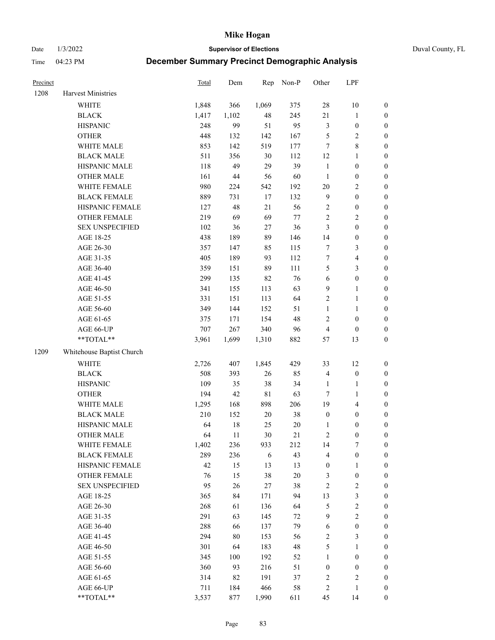Date 1/3/2022 **Supervisor of Elections** Duval County, FL

| Precinct |                           | Total | Dem    | Rep         | Non-P  | Other            | LPF                     |                  |
|----------|---------------------------|-------|--------|-------------|--------|------------------|-------------------------|------------------|
| 1208     | Harvest Ministries        |       |        |             |        |                  |                         |                  |
|          | <b>WHITE</b>              | 1,848 | 366    | 1,069       | 375    | 28               | $10\,$                  | 0                |
|          | <b>BLACK</b>              | 1,417 | 1,102  | 48          | 245    | 21               | $\mathbf{1}$            | $\boldsymbol{0}$ |
|          | <b>HISPANIC</b>           | 248   | 99     | 51          | 95     | 3                | $\boldsymbol{0}$        | $\boldsymbol{0}$ |
|          | <b>OTHER</b>              | 448   | 132    | 142         | 167    | 5                | $\sqrt{2}$              | $\boldsymbol{0}$ |
|          | WHITE MALE                | 853   | 142    | 519         | 177    | 7                | $\,$ 8 $\,$             | $\boldsymbol{0}$ |
|          | <b>BLACK MALE</b>         | 511   | 356    | 30          | 112    | 12               | 1                       | $\boldsymbol{0}$ |
|          | HISPANIC MALE             | 118   | 49     | 29          | 39     | $\mathbf{1}$     | $\boldsymbol{0}$        | $\boldsymbol{0}$ |
|          | <b>OTHER MALE</b>         | 161   | $44\,$ | 56          | 60     | $\mathbf{1}$     | $\boldsymbol{0}$        | $\boldsymbol{0}$ |
|          | WHITE FEMALE              | 980   | 224    | 542         | 192    | $20\,$           | $\sqrt{2}$              | $\boldsymbol{0}$ |
|          | <b>BLACK FEMALE</b>       | 889   | 731    | 17          | 132    | $\overline{9}$   | $\boldsymbol{0}$        | $\boldsymbol{0}$ |
|          | HISPANIC FEMALE           | 127   | 48     | 21          | 56     | $\sqrt{2}$       | $\boldsymbol{0}$        | $\boldsymbol{0}$ |
|          | OTHER FEMALE              | 219   | 69     | 69          | $77\,$ | $\sqrt{2}$       | $\sqrt{2}$              | $\boldsymbol{0}$ |
|          | <b>SEX UNSPECIFIED</b>    | 102   | 36     | 27          | 36     | 3                | $\boldsymbol{0}$        | $\boldsymbol{0}$ |
|          | AGE 18-25                 | 438   | 189    | 89          | 146    | 14               | $\boldsymbol{0}$        | $\boldsymbol{0}$ |
|          | AGE 26-30                 | 357   | 147    | 85          | 115    | 7                | $\mathfrak{Z}$          | $\boldsymbol{0}$ |
|          | AGE 31-35                 | 405   | 189    | 93          | 112    | $\boldsymbol{7}$ | $\overline{\mathbf{4}}$ | $\boldsymbol{0}$ |
|          | AGE 36-40                 | 359   | 151    | 89          | 111    | 5                | $\mathfrak{Z}$          | $\boldsymbol{0}$ |
|          | AGE 41-45                 | 299   | 135    | 82          | 76     | $\sqrt{6}$       | $\boldsymbol{0}$        | $\boldsymbol{0}$ |
|          | AGE 46-50                 | 341   | 155    | 113         | 63     | $\mathbf{9}$     | $\mathbf{1}$            | $\boldsymbol{0}$ |
|          | AGE 51-55                 | 331   | 151    | 113         | 64     | 2                | $\mathbf{1}$            | 0                |
|          | AGE 56-60                 | 349   | 144    | 152         | 51     | $\mathbf{1}$     | 1                       | 0                |
|          | AGE 61-65                 | 375   | 171    | 154         | 48     | 2                | $\boldsymbol{0}$        | $\boldsymbol{0}$ |
|          | AGE 66-UP                 | 707   | 267    | 340         | 96     | $\overline{4}$   | $\boldsymbol{0}$        | $\boldsymbol{0}$ |
|          | **TOTAL**                 | 3,961 | 1,699  | 1,310       | 882    | 57               | 13                      | $\boldsymbol{0}$ |
| 1209     | Whitehouse Baptist Church |       |        |             |        |                  |                         |                  |
|          | <b>WHITE</b>              | 2,726 | 407    | 1,845       | 429    | 33               | 12                      | $\boldsymbol{0}$ |
|          | <b>BLACK</b>              | 508   | 393    | 26          | 85     | 4                | $\boldsymbol{0}$        | $\boldsymbol{0}$ |
|          | <b>HISPANIC</b>           | 109   | 35     | 38          | 34     | $\mathbf{1}$     | $\mathbf{1}$            | $\boldsymbol{0}$ |
|          | <b>OTHER</b>              | 194   | 42     | $8\sqrt{1}$ | 63     | $\boldsymbol{7}$ | $\mathbf{1}$            | $\boldsymbol{0}$ |
|          | WHITE MALE                | 1,295 | 168    | 898         | 206    | 19               | $\overline{4}$          | $\boldsymbol{0}$ |
|          | <b>BLACK MALE</b>         | 210   | 152    | $20\,$      | 38     | $\boldsymbol{0}$ | $\boldsymbol{0}$        | $\boldsymbol{0}$ |
|          | HISPANIC MALE             | 64    | $18\,$ | 25          | $20\,$ | 1                | $\boldsymbol{0}$        | $\boldsymbol{0}$ |
|          | <b>OTHER MALE</b>         | 64    | 11     | 30          | $21\,$ | 2                | $\boldsymbol{0}$        | $\boldsymbol{0}$ |
|          | WHITE FEMALE              | 1,402 | 236    | 933         | 212    | 14               | 7                       | 0                |
|          | <b>BLACK FEMALE</b>       | 289   | 236    | 6           | 43     | 4                | $\boldsymbol{0}$        | $\boldsymbol{0}$ |
|          | HISPANIC FEMALE           | 42    | 15     | 13          | 13     | $\boldsymbol{0}$ | $\mathbf{1}$            | $\overline{0}$   |
|          | <b>OTHER FEMALE</b>       | 76    | 15     | 38          | $20\,$ | 3                | $\boldsymbol{0}$        | $\overline{0}$   |
|          | <b>SEX UNSPECIFIED</b>    | 95    | 26     | 27          | 38     | 2                | $\mathbf{2}$            | 0                |
|          | AGE 18-25                 | 365   | 84     | 171         | 94     | 13               | $\mathfrak{Z}$          | 0                |
|          | AGE 26-30                 | 268   | 61     | 136         | 64     | 5                | $\sqrt{2}$              | 0                |
|          | AGE 31-35                 | 291   | 63     | 145         | 72     | $\mathbf{9}$     | $\overline{2}$          | 0                |
|          | AGE 36-40                 | 288   | 66     | 137         | 79     | 6                | $\boldsymbol{0}$        | 0                |
|          | AGE 41-45                 | 294   | $80\,$ | 153         | 56     | $\overline{c}$   | $\mathfrak{Z}$          | 0                |
|          | AGE 46-50                 | 301   | 64     | 183         | 48     | 5                | $\mathbf{1}$            | 0                |
|          | AGE 51-55                 | 345   | 100    | 192         | 52     | $\mathbf{1}$     | $\boldsymbol{0}$        | 0                |
|          | AGE 56-60                 | 360   | 93     | 216         | 51     | $\boldsymbol{0}$ | $\boldsymbol{0}$        | 0                |
|          | AGE 61-65                 | 314   | 82     | 191         | 37     | 2                | $\sqrt{2}$              | 0                |
|          | AGE 66-UP                 | 711   | 184    | 466         | 58     | 2                | $\mathbf{1}$            | 0                |
|          | **TOTAL**                 | 3,537 | 877    | 1,990       | 611    | 45               | 14                      | $\boldsymbol{0}$ |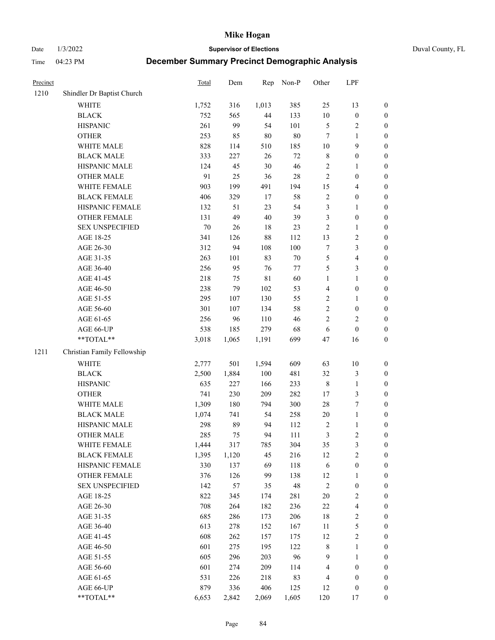Date 1/3/2022 **Supervisor of Elections** Duval County, FL

| Precinct |                             | <b>Total</b> | Dem   | Rep         | Non-P  | Other          | LPF              |                  |
|----------|-----------------------------|--------------|-------|-------------|--------|----------------|------------------|------------------|
| 1210     | Shindler Dr Baptist Church  |              |       |             |        |                |                  |                  |
|          | <b>WHITE</b>                | 1,752        | 316   | 1,013       | 385    | 25             | 13               | 0                |
|          | <b>BLACK</b>                | 752          | 565   | 44          | 133    | $10\,$         | $\boldsymbol{0}$ | $\boldsymbol{0}$ |
|          | <b>HISPANIC</b>             | 261          | 99    | 54          | 101    | 5              | $\overline{c}$   | $\boldsymbol{0}$ |
|          | <b>OTHER</b>                | 253          | 85    | $80\,$      | $80\,$ | 7              | 1                | $\boldsymbol{0}$ |
|          | WHITE MALE                  | 828          | 114   | 510         | 185    | 10             | 9                | $\boldsymbol{0}$ |
|          | <b>BLACK MALE</b>           | 333          | 227   | 26          | $72\,$ | 8              | $\boldsymbol{0}$ | $\boldsymbol{0}$ |
|          | HISPANIC MALE               | 124          | 45    | 30          | 46     | 2              | $\mathbf{1}$     | $\boldsymbol{0}$ |
|          | <b>OTHER MALE</b>           | 91           | 25    | 36          | $28\,$ | $\overline{c}$ | $\boldsymbol{0}$ | $\boldsymbol{0}$ |
|          | WHITE FEMALE                | 903          | 199   | 491         | 194    | 15             | $\overline{4}$   | $\boldsymbol{0}$ |
|          | <b>BLACK FEMALE</b>         | 406          | 329   | 17          | 58     | 2              | $\boldsymbol{0}$ | $\boldsymbol{0}$ |
|          | HISPANIC FEMALE             | 132          | 51    | 23          | 54     | 3              | $\mathbf{1}$     | $\boldsymbol{0}$ |
|          | <b>OTHER FEMALE</b>         | 131          | 49    | $40\,$      | 39     | 3              | $\boldsymbol{0}$ | $\boldsymbol{0}$ |
|          | <b>SEX UNSPECIFIED</b>      | $70\,$       | 26    | 18          | 23     | $\mathbf{2}$   | $\mathbf{1}$     | $\boldsymbol{0}$ |
|          | AGE 18-25                   | 341          | 126   | 88          | 112    | 13             | $\sqrt{2}$       | $\boldsymbol{0}$ |
|          | AGE 26-30                   | 312          | 94    | 108         | 100    | 7              | $\mathfrak{Z}$   | $\boldsymbol{0}$ |
|          | AGE 31-35                   | 263          | 101   | 83          | $70\,$ | 5              | $\overline{4}$   | $\boldsymbol{0}$ |
|          | AGE 36-40                   | 256          | 95    | 76          | 77     | 5              | $\mathfrak{Z}$   | $\boldsymbol{0}$ |
|          | AGE 41-45                   | 218          | 75    | $8\sqrt{1}$ | 60     | $\mathbf{1}$   | $\mathbf{1}$     | $\boldsymbol{0}$ |
|          | AGE 46-50                   | 238          | 79    | 102         | 53     | 4              | $\boldsymbol{0}$ | $\boldsymbol{0}$ |
|          | AGE 51-55                   | 295          | 107   | 130         | 55     | 2              | 1                | $\boldsymbol{0}$ |
|          | AGE 56-60                   | 301          | 107   | 134         | 58     | $\overline{c}$ | $\boldsymbol{0}$ | 0                |
|          | AGE 61-65                   | 256          | 96    | 110         | 46     | $\overline{2}$ | $\overline{2}$   | $\boldsymbol{0}$ |
|          | AGE 66-UP                   | 538          | 185   | 279         | 68     | $\sqrt{6}$     | $\boldsymbol{0}$ | $\boldsymbol{0}$ |
|          | $**TOTAL**$                 | 3,018        | 1,065 | 1,191       | 699    | 47             | 16               | $\boldsymbol{0}$ |
| 1211     | Christian Family Fellowship |              |       |             |        |                |                  |                  |
|          | <b>WHITE</b>                | 2,777        | 501   | 1,594       | 609    | 63             | 10               | $\boldsymbol{0}$ |
|          | <b>BLACK</b>                | 2,500        | 1,884 | 100         | 481    | 32             | $\sqrt{3}$       | $\boldsymbol{0}$ |
|          | <b>HISPANIC</b>             | 635          | 227   | 166         | 233    | $\,$ $\,$      | $\mathbf{1}$     | $\boldsymbol{0}$ |
|          | <b>OTHER</b>                | 741          | 230   | 209         | 282    | 17             | $\mathfrak{Z}$   | $\boldsymbol{0}$ |
|          | WHITE MALE                  | 1,309        | 180   | 794         | 300    | 28             | $\boldsymbol{7}$ | $\boldsymbol{0}$ |
|          | <b>BLACK MALE</b>           | 1,074        | 741   | 54          | 258    | $20\,$         | $\mathbf{1}$     | $\boldsymbol{0}$ |
|          | HISPANIC MALE               | 298          | 89    | 94          | 112    | $\overline{c}$ | $\mathbf{1}$     | $\boldsymbol{0}$ |
|          | <b>OTHER MALE</b>           | 285          | 75    | 94          | 111    | 3              | $\overline{2}$   | $\boldsymbol{0}$ |
|          | WHITE FEMALE                | 1,444        | 317   | 785         | 304    | 35             | 3                | 0                |
|          | <b>BLACK FEMALE</b>         | 1,395        | 1,120 | 45          | 216    | 12             | $\sqrt{2}$       | 0                |
|          | HISPANIC FEMALE             | 330          | 137   | 69          | 118    | 6              | $\boldsymbol{0}$ | 0                |
|          | <b>OTHER FEMALE</b>         | 376          | 126   | 99          | 138    | 12             | 1                | 0                |
|          | <b>SEX UNSPECIFIED</b>      | 142          | 57    | 35          | 48     | $\overline{c}$ | $\boldsymbol{0}$ | 0                |
|          | AGE 18-25                   | 822          | 345   | 174         | 281    | $20\,$         | $\sqrt{2}$       | 0                |
|          | AGE 26-30                   | 708          | 264   | 182         | 236    | $22\,$         | $\overline{4}$   | 0                |
|          | AGE 31-35                   | 685          | 286   | 173         | 206    | 18             | $\sqrt{2}$       | 0                |
|          | AGE 36-40                   | 613          | 278   | 152         | 167    | 11             | $\mathfrak s$    | 0                |
|          | AGE 41-45                   | 608          | 262   | 157         | 175    | 12             | $\sqrt{2}$       | 0                |
|          | AGE 46-50                   | 601          | 275   | 195         | 122    | $\,$ 8 $\,$    | $\mathbf{1}$     | 0                |
|          | AGE 51-55                   | 605          | 296   | 203         | 96     | 9              | $\mathbf{1}$     | 0                |
|          | AGE 56-60                   | 601          | 274   | 209         | 114    | 4              | $\boldsymbol{0}$ | 0                |
|          | AGE 61-65                   | 531          | 226   | 218         | 83     | 4              | $\boldsymbol{0}$ | 0                |
|          | AGE 66-UP                   | 879          | 336   | 406         | 125    | 12             | $\boldsymbol{0}$ | 0                |
|          | **TOTAL**                   | 6,653        | 2,842 | 2,069       | 1,605  | 120            | 17               | $\boldsymbol{0}$ |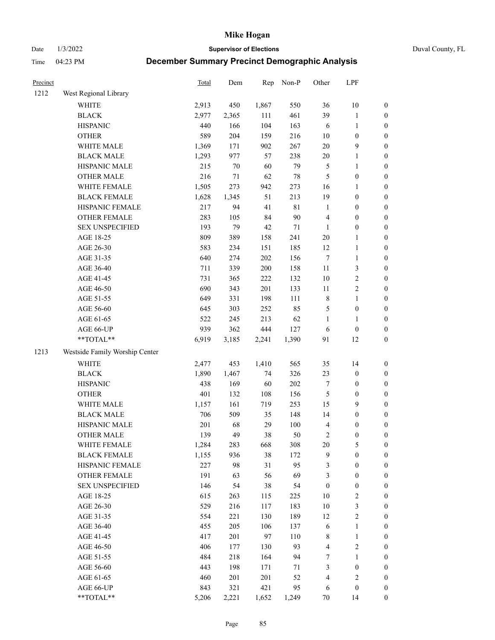Date 1/3/2022 **Supervisor of Elections** Duval County, FL

| Precinct |                                | Total | Dem    | Rep   | Non-P       | Other            | LPF              |                  |
|----------|--------------------------------|-------|--------|-------|-------------|------------------|------------------|------------------|
| 1212     | West Regional Library          |       |        |       |             |                  |                  |                  |
|          | <b>WHITE</b>                   | 2,913 | 450    | 1,867 | 550         | 36               | 10               | 0                |
|          | <b>BLACK</b>                   | 2,977 | 2,365  | 111   | 461         | 39               | $\mathbf{1}$     | $\boldsymbol{0}$ |
|          | <b>HISPANIC</b>                | 440   | 166    | 104   | 163         | 6                | $\mathbf{1}$     | $\boldsymbol{0}$ |
|          | <b>OTHER</b>                   | 589   | 204    | 159   | 216         | $10\,$           | $\boldsymbol{0}$ | $\boldsymbol{0}$ |
|          | WHITE MALE                     | 1,369 | 171    | 902   | 267         | $20\,$           | $\mathbf{9}$     | $\boldsymbol{0}$ |
|          | <b>BLACK MALE</b>              | 1,293 | 977    | 57    | 238         | $20\,$           | $\mathbf{1}$     | $\boldsymbol{0}$ |
|          | HISPANIC MALE                  | 215   | $70\,$ | 60    | 79          | 5                | $\mathbf{1}$     | $\boldsymbol{0}$ |
|          | <b>OTHER MALE</b>              | 216   | 71     | 62    | $78\,$      | 5                | $\boldsymbol{0}$ | $\boldsymbol{0}$ |
|          | WHITE FEMALE                   | 1,505 | 273    | 942   | 273         | 16               | $\mathbf{1}$     | $\boldsymbol{0}$ |
|          | <b>BLACK FEMALE</b>            | 1,628 | 1,345  | 51    | 213         | 19               | $\boldsymbol{0}$ | 0                |
|          | HISPANIC FEMALE                | 217   | 94     | 41    | $8\sqrt{1}$ | $\mathbf{1}$     | $\boldsymbol{0}$ | $\boldsymbol{0}$ |
|          | OTHER FEMALE                   | 283   | 105    | 84    | 90          | 4                | $\boldsymbol{0}$ | $\boldsymbol{0}$ |
|          | <b>SEX UNSPECIFIED</b>         | 193   | 79     | 42    | $71\,$      | $\mathbf{1}$     | $\boldsymbol{0}$ | $\boldsymbol{0}$ |
|          | AGE 18-25                      | 809   | 389    | 158   | 241         | $20\,$           | $\mathbf{1}$     | $\boldsymbol{0}$ |
|          | AGE 26-30                      | 583   | 234    | 151   | 185         | 12               | $\mathbf{1}$     | $\boldsymbol{0}$ |
|          | AGE 31-35                      | 640   | 274    | 202   | 156         | $\boldsymbol{7}$ | $\mathbf{1}$     | $\boldsymbol{0}$ |
|          | AGE 36-40                      | 711   | 339    | 200   | 158         | $11\,$           | 3                | $\boldsymbol{0}$ |
|          | AGE 41-45                      | 731   | 365    | 222   | 132         | $10\,$           | $\sqrt{2}$       | $\boldsymbol{0}$ |
|          | AGE 46-50                      | 690   | 343    | 201   | 133         | $11\,$           | $\sqrt{2}$       | $\boldsymbol{0}$ |
|          | AGE 51-55                      | 649   | 331    | 198   | 111         | 8                | $\mathbf{1}$     | 0                |
|          | AGE 56-60                      | 645   | 303    | 252   | 85          | 5                | $\boldsymbol{0}$ | $\boldsymbol{0}$ |
|          | AGE 61-65                      | 522   | 245    | 213   | 62          | $\mathbf{1}$     | $\mathbf{1}$     | $\boldsymbol{0}$ |
|          | AGE 66-UP                      | 939   | 362    | 444   | 127         | 6                | $\boldsymbol{0}$ | $\boldsymbol{0}$ |
|          | **TOTAL**                      | 6,919 | 3,185  | 2,241 | 1,390       | 91               | 12               | $\boldsymbol{0}$ |
| 1213     | Westside Family Worship Center |       |        |       |             |                  |                  |                  |
|          | <b>WHITE</b>                   | 2,477 | 453    | 1,410 | 565         | 35               | 14               | $\boldsymbol{0}$ |
|          | <b>BLACK</b>                   | 1,890 | 1,467  | 74    | 326         | 23               | $\boldsymbol{0}$ | $\boldsymbol{0}$ |
|          | <b>HISPANIC</b>                | 438   | 169    | 60    | 202         | 7                | $\boldsymbol{0}$ | $\boldsymbol{0}$ |
|          | <b>OTHER</b>                   | 401   | 132    | 108   | 156         | 5                | $\boldsymbol{0}$ | $\boldsymbol{0}$ |
|          | WHITE MALE                     | 1,157 | 161    | 719   | 253         | 15               | $\mathbf{9}$     | $\boldsymbol{0}$ |
|          | <b>BLACK MALE</b>              | 706   | 509    | 35    | 148         | 14               | $\boldsymbol{0}$ | $\boldsymbol{0}$ |
|          | HISPANIC MALE                  | 201   | 68     | 29    | 100         | 4                | $\boldsymbol{0}$ | 0                |
|          | <b>OTHER MALE</b>              | 139   | 49     | 38    | 50          | 2                | $\boldsymbol{0}$ | $\boldsymbol{0}$ |
|          | WHITE FEMALE                   | 1,284 | 283    | 668   | 308         | 20               | 5                | $\boldsymbol{0}$ |
|          | <b>BLACK FEMALE</b>            | 1,155 | 936    | 38    | 172         | 9                | $\boldsymbol{0}$ | $\boldsymbol{0}$ |
|          | HISPANIC FEMALE                | 227   | 98     | 31    | 95          | 3                | $\boldsymbol{0}$ | $\overline{0}$   |
|          | <b>OTHER FEMALE</b>            | 191   | 63     | 56    | 69          | 3                | $\boldsymbol{0}$ | $\overline{0}$   |
|          | <b>SEX UNSPECIFIED</b>         | 146   | 54     | 38    | 54          | $\boldsymbol{0}$ | $\boldsymbol{0}$ | 0                |
|          | AGE 18-25                      | 615   | 263    | 115   | $225\,$     | $10\,$           | $\sqrt{2}$       | 0                |
|          | AGE 26-30                      | 529   | 216    | 117   | 183         | $10\,$           | 3                | 0                |
|          | AGE 31-35                      | 554   | 221    | 130   | 189         | 12               | $\sqrt{2}$       | 0                |
|          | AGE 36-40                      | 455   | 205    | 106   | 137         | 6                | $\mathbf{1}$     | 0                |
|          | AGE 41-45                      | 417   | 201    | 97    | 110         | 8                | $\mathbf{1}$     | 0                |
|          | AGE 46-50                      | 406   | 177    | 130   | 93          | 4                | $\sqrt{2}$       | 0                |
|          | AGE 51-55                      | 484   | 218    | 164   | 94          | 7                | $\mathbf{1}$     | $\boldsymbol{0}$ |
|          | AGE 56-60                      | 443   | 198    | 171   | 71          | 3                | $\boldsymbol{0}$ | $\boldsymbol{0}$ |
|          | AGE 61-65                      | 460   | 201    | 201   | 52          | 4                | $\mathfrak{2}$   | 0                |
|          | AGE 66-UP                      | 843   | 321    | 421   | 95          | 6                | $\boldsymbol{0}$ | 0                |
|          | **TOTAL**                      | 5,206 | 2,221  | 1,652 | 1,249       | 70               | 14               | $\boldsymbol{0}$ |
|          |                                |       |        |       |             |                  |                  |                  |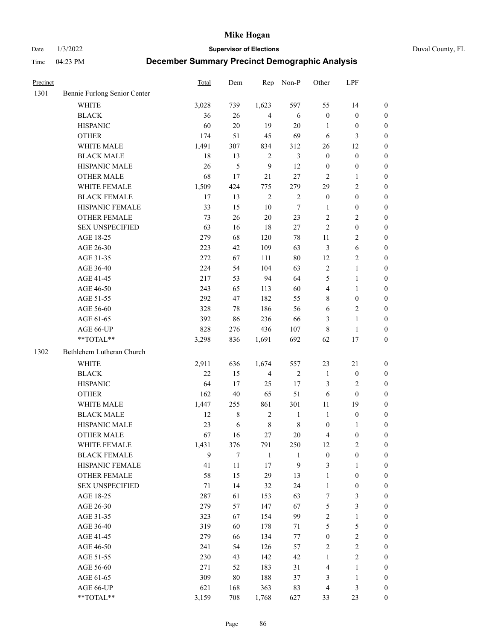Date 1/3/2022 **Supervisor of Elections** Duval County, FL

| Precinct |                                                            | Total | Dem         | Rep            | Non-P            | Other            | LPF              |                  |
|----------|------------------------------------------------------------|-------|-------------|----------------|------------------|------------------|------------------|------------------|
| 1301     | Bennie Furlong Senior Center                               |       |             |                |                  |                  |                  |                  |
|          | <b>WHITE</b>                                               | 3,028 | 739         | 1,623          | 597              | 55               | 14               | 0                |
|          | <b>BLACK</b>                                               | 36    | 26          | $\overline{4}$ | 6                | $\boldsymbol{0}$ | $\boldsymbol{0}$ | 0                |
|          | <b>HISPANIC</b>                                            | 60    | 20          | 19             | 20               | $\mathbf{1}$     | $\boldsymbol{0}$ | $\boldsymbol{0}$ |
|          | <b>OTHER</b>                                               | 174   | 51          | 45             | 69               | 6                | 3                | $\boldsymbol{0}$ |
|          | WHITE MALE                                                 | 1,491 | 307         | 834            | 312              | 26               | 12               | $\boldsymbol{0}$ |
|          | <b>BLACK MALE</b>                                          | 18    | 13          | $\mathbf{2}$   | $\mathfrak{Z}$   | $\boldsymbol{0}$ | $\boldsymbol{0}$ | $\boldsymbol{0}$ |
|          | HISPANIC MALE                                              | 26    | 5           | 9              | 12               | $\boldsymbol{0}$ | $\boldsymbol{0}$ | $\boldsymbol{0}$ |
|          | <b>OTHER MALE</b>                                          | 68    | 17          | 21             | 27               | 2                | $\mathbf{1}$     | $\boldsymbol{0}$ |
|          | WHITE FEMALE                                               | 1,509 | 424         | 775            | 279              | 29               | $\sqrt{2}$       | $\boldsymbol{0}$ |
|          | <b>BLACK FEMALE</b>                                        | 17    | 13          | $\sqrt{2}$     | $\sqrt{2}$       | $\boldsymbol{0}$ | $\boldsymbol{0}$ | 0                |
|          | HISPANIC FEMALE                                            | 33    | 15          | 10             | $\boldsymbol{7}$ | 1                | $\boldsymbol{0}$ | 0                |
|          | OTHER FEMALE                                               | 73    | 26          | 20             | 23               | 2                | $\sqrt{2}$       | $\boldsymbol{0}$ |
|          | <b>SEX UNSPECIFIED</b>                                     | 63    | 16          | 18             | 27               | $\overline{c}$   | $\boldsymbol{0}$ | $\boldsymbol{0}$ |
|          | AGE 18-25                                                  | 279   | 68          | 120            | 78               | $11\,$           | $\sqrt{2}$       | $\boldsymbol{0}$ |
|          | AGE 26-30                                                  | 223   | 42          | 109            | 63               | 3                | 6                | $\boldsymbol{0}$ |
|          | AGE 31-35                                                  | 272   | 67          | 111            | 80               | 12               | $\sqrt{2}$       | $\boldsymbol{0}$ |
|          | AGE 36-40                                                  | 224   | 54          | 104            | 63               | $\overline{c}$   | $\mathbf{1}$     | $\boldsymbol{0}$ |
|          | AGE 41-45                                                  | 217   | 53          | 94             | 64               | 5                | $\mathbf{1}$     | $\boldsymbol{0}$ |
|          | AGE 46-50                                                  | 243   | 65          | 113            | 60               | 4                | $\mathbf{1}$     | $\boldsymbol{0}$ |
|          | AGE 51-55                                                  | 292   | 47          | 182            | 55               | 8                | $\boldsymbol{0}$ | 0                |
|          | AGE 56-60                                                  | 328   | 78          | 186            | 56               | 6                | $\sqrt{2}$       | 0                |
|          | AGE 61-65                                                  | 392   | 86          | 236            | 66               | 3                | $\mathbf{1}$     | 0                |
|          | AGE 66-UP                                                  | 828   | 276         | 436            | 107              | 8                | $\mathbf{1}$     | $\boldsymbol{0}$ |
|          | $**TOTAL**$                                                | 3,298 | 836         | 1,691          | 692              | 62               | 17               | $\boldsymbol{0}$ |
| 1302     | Bethlehem Lutheran Church                                  |       |             |                |                  |                  |                  |                  |
|          | <b>WHITE</b>                                               | 2,911 | 636         | 1,674          | 557              | 23               | $21\,$           | $\boldsymbol{0}$ |
|          | <b>BLACK</b>                                               | 22    | 15          | $\overline{4}$ | $\sqrt{2}$       | $\mathbf{1}$     | $\boldsymbol{0}$ | $\boldsymbol{0}$ |
|          | <b>HISPANIC</b>                                            | 64    | 17          | 25             | 17               | 3                | $\mathfrak{2}$   | $\boldsymbol{0}$ |
|          | <b>OTHER</b>                                               | 162   | 40          | 65             | 51               | 6                | $\boldsymbol{0}$ | $\boldsymbol{0}$ |
|          | WHITE MALE                                                 | 1,447 | 255         | 861            | 301              | $11\,$           | 19               | $\boldsymbol{0}$ |
|          | <b>BLACK MALE</b>                                          | 12    | $\,$ 8 $\,$ | $\sqrt{2}$     | $\mathbf{1}$     | $\mathbf{1}$     | $\boldsymbol{0}$ | $\boldsymbol{0}$ |
|          | HISPANIC MALE                                              | 23    | 6           | $\,$ 8 $\,$    | $\,$ 8 $\,$      | $\boldsymbol{0}$ | 1                | 0                |
|          | <b>OTHER MALE</b>                                          | 67    | 16          | 27             | 20               | 4                | $\boldsymbol{0}$ | $\boldsymbol{0}$ |
|          | WHITE FEMALE                                               | 1,431 | 376         | 791            | 250              | 12               | 2                | 0                |
|          | <b>BLACK FEMALE</b>                                        | 9     | $\tau$      | $\mathbf{1}$   | 1                | $\boldsymbol{0}$ | $\boldsymbol{0}$ | $\overline{0}$   |
|          | HISPANIC FEMALE                                            | 41    | $11\,$      | 17             | 9                | 3                | 1                | $\overline{0}$   |
|          | OTHER FEMALE                                               | 58    | 15          | 29             | 13               | 1                | $\boldsymbol{0}$ | 0                |
|          | <b>SEX UNSPECIFIED</b>                                     | 71    | 14          | 32             | 24               | $\mathbf{1}$     | $\boldsymbol{0}$ | 0                |
|          | AGE 18-25                                                  | 287   | 61          | 153            | 63               | 7                | 3                | 0                |
|          | AGE 26-30                                                  | 279   | 57          | 147            | 67               | 5                | 3                | 0                |
|          | AGE 31-35                                                  | 323   | 67          | 154            | 99               | $\overline{c}$   | $\mathbf{1}$     | 0                |
|          | AGE 36-40                                                  | 319   | 60          | 178            | 71               | 5                | $\mathfrak s$    | 0                |
|          | AGE 41-45                                                  | 279   | 66          | 134            | 77               | $\boldsymbol{0}$ | $\sqrt{2}$       | 0                |
|          | AGE 46-50                                                  | 241   | 54          | 126            | 57               | 2                | $\sqrt{2}$       | 0                |
|          | AGE 51-55                                                  | 230   | 43          | 142            | 42               | $\mathbf{1}$     | $\mathfrak{2}$   | 0                |
|          | AGE 56-60                                                  | 271   | 52          | 183            | 31               | 4                | 1                | $\overline{0}$   |
|          | AGE 61-65                                                  | 309   | 80          | 188            | 37               | 3                | $\mathbf{1}$     | $\overline{0}$   |
|          | AGE 66-UP                                                  | 621   | 168         | 363            | 83               | 4                | $\mathfrak{Z}$   | 0                |
|          | $\mathrm{*}\mathrm{*} \mathrm{TOTAL} \mathrm{*}\mathrm{*}$ | 3,159 | 708         | 1,768          | 627              | 33               | 23               | $\boldsymbol{0}$ |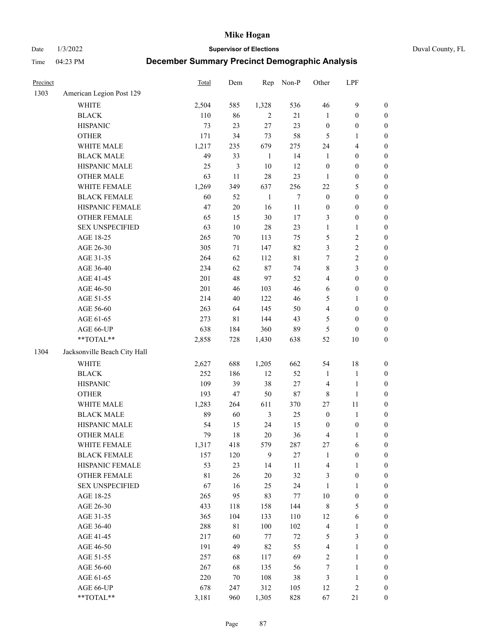Date 1/3/2022 **Supervisor of Elections** Duval County, FL

| Precinct |                              | <b>Total</b> | Dem            | Rep            | Non-P       | Other            | LPF              |                  |
|----------|------------------------------|--------------|----------------|----------------|-------------|------------------|------------------|------------------|
| 1303     | American Legion Post 129     |              |                |                |             |                  |                  |                  |
|          | <b>WHITE</b>                 | 2,504        | 585            | 1,328          | 536         | 46               | $\mathbf{9}$     | 0                |
|          | <b>BLACK</b>                 | 110          | 86             | 2              | 21          | $\mathbf{1}$     | $\boldsymbol{0}$ | $\boldsymbol{0}$ |
|          | <b>HISPANIC</b>              | 73           | 23             | 27             | 23          | $\boldsymbol{0}$ | $\boldsymbol{0}$ | $\boldsymbol{0}$ |
|          | <b>OTHER</b>                 | 171          | 34             | 73             | 58          | 5                | 1                | $\boldsymbol{0}$ |
|          | WHITE MALE                   | 1,217        | 235            | 679            | 275         | 24               | $\overline{4}$   | $\boldsymbol{0}$ |
|          | <b>BLACK MALE</b>            | 49           | 33             | $\mathbf{1}$   | 14          | $\mathbf{1}$     | $\boldsymbol{0}$ | $\boldsymbol{0}$ |
|          | HISPANIC MALE                | 25           | $\mathfrak{Z}$ | 10             | 12          | $\boldsymbol{0}$ | $\boldsymbol{0}$ | $\boldsymbol{0}$ |
|          | <b>OTHER MALE</b>            | 63           | 11             | 28             | 23          | $\mathbf{1}$     | $\boldsymbol{0}$ | $\boldsymbol{0}$ |
|          | WHITE FEMALE                 | 1,269        | 349            | 637            | 256         | $22\,$           | $\mathfrak s$    | $\boldsymbol{0}$ |
|          | <b>BLACK FEMALE</b>          | 60           | 52             | $\mathbf{1}$   | $\tau$      | $\boldsymbol{0}$ | $\boldsymbol{0}$ | $\boldsymbol{0}$ |
|          | HISPANIC FEMALE              | 47           | $20\,$         | 16             | $11\,$      | $\boldsymbol{0}$ | $\boldsymbol{0}$ | $\boldsymbol{0}$ |
|          | <b>OTHER FEMALE</b>          | 65           | 15             | 30             | 17          | 3                | $\boldsymbol{0}$ | $\boldsymbol{0}$ |
|          | <b>SEX UNSPECIFIED</b>       | 63           | $10\,$         | 28             | 23          | $\mathbf{1}$     | $\mathbf{1}$     | $\boldsymbol{0}$ |
|          | AGE 18-25                    | 265          | $70\,$         | 113            | 75          | 5                | $\sqrt{2}$       | $\boldsymbol{0}$ |
|          | AGE 26-30                    | 305          | $71\,$         | 147            | 82          | 3                | $\sqrt{2}$       | $\boldsymbol{0}$ |
|          | AGE 31-35                    | 264          | 62             | 112            | $8\sqrt{1}$ | $\boldsymbol{7}$ | $\sqrt{2}$       | $\boldsymbol{0}$ |
|          | AGE 36-40                    | 234          | 62             | $87\,$         | 74          | 8                | 3                | $\boldsymbol{0}$ |
|          | AGE 41-45                    | 201          | 48             | 97             | 52          | 4                | $\boldsymbol{0}$ | $\boldsymbol{0}$ |
|          | AGE 46-50                    | 201          | 46             | 103            | 46          | 6                | $\boldsymbol{0}$ | $\boldsymbol{0}$ |
|          | AGE 51-55                    | 214          | $40\,$         | 122            | 46          | 5                | 1                | $\boldsymbol{0}$ |
|          | AGE 56-60                    | 263          | 64             | 145            | 50          | 4                | $\boldsymbol{0}$ | 0                |
|          | AGE 61-65                    | 273          | 81             | 144            | 43          | 5                | $\boldsymbol{0}$ | $\boldsymbol{0}$ |
|          | AGE 66-UP                    | 638          | 184            | 360            | 89          | 5                | $\boldsymbol{0}$ | $\boldsymbol{0}$ |
|          | $**TOTAL**$                  | 2,858        | 728            | 1,430          | 638         | 52               | 10               | $\boldsymbol{0}$ |
| 1304     | Jacksonville Beach City Hall |              |                |                |             |                  |                  |                  |
|          | <b>WHITE</b>                 | 2,627        | 688            | 1,205          | 662         | 54               | 18               | $\boldsymbol{0}$ |
|          | <b>BLACK</b>                 | 252          | 186            | 12             | 52          | $\mathbf{1}$     | $\mathbf{1}$     | $\boldsymbol{0}$ |
|          | <b>HISPANIC</b>              | 109          | 39             | 38             | $27\,$      | 4                | $\mathbf{1}$     | $\boldsymbol{0}$ |
|          | <b>OTHER</b>                 | 193          | 47             | 50             | $87\,$      | $\,$ 8 $\,$      | $\mathbf{1}$     | $\boldsymbol{0}$ |
|          | WHITE MALE                   | 1,283        | 264            | 611            | 370         | 27               | 11               | $\boldsymbol{0}$ |
|          | <b>BLACK MALE</b>            | 89           | 60             | $\mathfrak{Z}$ | 25          | $\boldsymbol{0}$ | $\mathbf{1}$     | $\boldsymbol{0}$ |
|          | HISPANIC MALE                | 54           | 15             | 24             | 15          | 0                | $\boldsymbol{0}$ | 0                |
|          | <b>OTHER MALE</b>            | 79           | 18             | 20             | 36          | 4                | $\mathbf{1}$     | $\boldsymbol{0}$ |
|          | WHITE FEMALE                 | 1,317        | 418            | 579            | 287         | 27               | 6                | 0                |
|          | <b>BLACK FEMALE</b>          | 157          | 120            | 9              | $27\,$      | $\mathbf{1}$     | $\boldsymbol{0}$ | $\overline{0}$   |
|          | HISPANIC FEMALE              | 53           | 23             | 14             | $11\,$      | 4                | $\mathbf{1}$     | 0                |
|          | <b>OTHER FEMALE</b>          | 81           | $26\,$         | $20\,$         | 32          | 3                | $\boldsymbol{0}$ | 0                |
|          | <b>SEX UNSPECIFIED</b>       | 67           | 16             | 25             | 24          | $\mathbf{1}$     | $\mathbf{1}$     | 0                |
|          | AGE 18-25                    | 265          | 95             | 83             | 77          | $10\,$           | $\boldsymbol{0}$ | 0                |
|          | AGE 26-30                    | 433          | 118            | 158            | 144         | 8                | $\mathfrak s$    | 0                |
|          | AGE 31-35                    | 365          | 104            | 133            | 110         | 12               | 6                | 0                |
|          | AGE 36-40                    | 288          | $8\sqrt{1}$    | $100\,$        | 102         | 4                | 1                | 0                |
|          | AGE 41-45                    | 217          | 60             | $77\,$         | $72\,$      | 5                | $\mathfrak{Z}$   | 0                |
|          | AGE 46-50                    | 191          | 49             | 82             | 55          | 4                | $\mathbf{1}$     | 0                |
|          | AGE 51-55                    | 257          | 68             | 117            | 69          | 2                | $\mathbf{1}$     | 0                |
|          | AGE 56-60                    | 267          | 68             | 135            | 56          | 7                | $\mathbf{1}$     | 0                |
|          | AGE 61-65                    | 220          | 70             | 108            | $38\,$      | 3                | $\mathbf{1}$     | 0                |
|          | AGE 66-UP                    | 678          | 247            | 312            | 105         | 12               | $\sqrt{2}$       | 0                |
|          | **TOTAL**                    | 3,181        | 960            | 1,305          | 828         | 67               | 21               | $\boldsymbol{0}$ |
|          |                              |              |                |                |             |                  |                  |                  |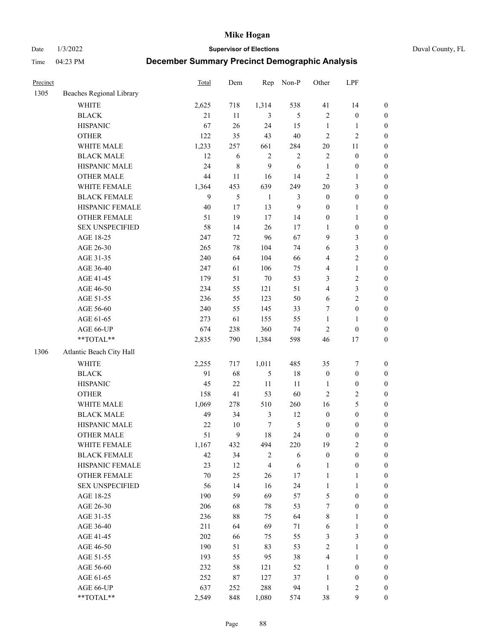Date 1/3/2022 **Supervisor of Elections** Duval County, FL

| Precinct |                          | <b>Total</b> | Dem       | Rep              | Non-P          | Other            | LPF              |                  |
|----------|--------------------------|--------------|-----------|------------------|----------------|------------------|------------------|------------------|
| 1305     | Beaches Regional Library |              |           |                  |                |                  |                  |                  |
|          | <b>WHITE</b>             | 2,625        | 718       | 1,314            | 538            | 41               | 14               | 0                |
|          | <b>BLACK</b>             | 21           | 11        | 3                | 5              | $\mathfrak{2}$   | $\boldsymbol{0}$ | $\boldsymbol{0}$ |
|          | <b>HISPANIC</b>          | 67           | 26        | 24               | 15             | $\mathbf{1}$     | $\mathbf{1}$     | $\boldsymbol{0}$ |
|          | <b>OTHER</b>             | 122          | 35        | 43               | $40\,$         | $\mathfrak{2}$   | $\sqrt{2}$       | $\boldsymbol{0}$ |
|          | WHITE MALE               | 1,233        | 257       | 661              | 284            | $20\,$           | 11               | $\boldsymbol{0}$ |
|          | <b>BLACK MALE</b>        | 12           | 6         | $\overline{c}$   | $\sqrt{2}$     | 2                | $\boldsymbol{0}$ | $\boldsymbol{0}$ |
|          | HISPANIC MALE            | 24           | $\,$ $\,$ | 9                | 6              | $\mathbf{1}$     | $\boldsymbol{0}$ | $\boldsymbol{0}$ |
|          | <b>OTHER MALE</b>        | 44           | 11        | 16               | 14             | $\mathfrak{2}$   | $\mathbf{1}$     | $\boldsymbol{0}$ |
|          | WHITE FEMALE             | 1,364        | 453       | 639              | 249            | $20\,$           | $\mathfrak{Z}$   | $\boldsymbol{0}$ |
|          | <b>BLACK FEMALE</b>      | 9            | 5         | $\mathbf{1}$     | $\mathfrak{Z}$ | $\boldsymbol{0}$ | $\boldsymbol{0}$ | 0                |
|          | HISPANIC FEMALE          | $40\,$       | 17        | 13               | $\mathbf{9}$   | $\boldsymbol{0}$ | $\mathbf{1}$     | 0                |
|          | <b>OTHER FEMALE</b>      | 51           | 19        | 17               | 14             | $\boldsymbol{0}$ | $\mathbf{1}$     | $\boldsymbol{0}$ |
|          | <b>SEX UNSPECIFIED</b>   | 58           | 14        | 26               | 17             | $\mathbf{1}$     | $\boldsymbol{0}$ | $\boldsymbol{0}$ |
|          | AGE 18-25                | 247          | 72        | 96               | 67             | 9                | $\mathfrak{Z}$   | $\boldsymbol{0}$ |
|          | AGE 26-30                | 265          | 78        | 104              | 74             | 6                | $\mathfrak{Z}$   | $\boldsymbol{0}$ |
|          | AGE 31-35                | 240          | 64        | 104              | 66             | 4                | $\sqrt{2}$       | $\boldsymbol{0}$ |
|          | AGE 36-40                | 247          | 61        | 106              | 75             | 4                | $\mathbf{1}$     | $\boldsymbol{0}$ |
|          | AGE 41-45                | 179          | 51        | $70\,$           | 53             | 3                | $\sqrt{2}$       | $\boldsymbol{0}$ |
|          | AGE 46-50                | 234          | 55        | 121              | 51             | 4                | $\mathfrak{Z}$   | $\boldsymbol{0}$ |
|          | AGE 51-55                | 236          | 55        | 123              | 50             | 6                | $\sqrt{2}$       | $\boldsymbol{0}$ |
|          | AGE 56-60                | 240          | 55        | 145              | 33             | 7                | $\boldsymbol{0}$ | 0                |
|          | AGE 61-65                | 273          | 61        | 155              | 55             | $\mathbf{1}$     | $\mathbf{1}$     | 0                |
|          | AGE 66-UP                | 674          | 238       | 360              | 74             | $\mathfrak{2}$   | $\boldsymbol{0}$ | $\boldsymbol{0}$ |
|          | $**TOTAL**$              | 2,835        | 790       | 1,384            | 598            | 46               | 17               | $\boldsymbol{0}$ |
| 1306     | Atlantic Beach City Hall |              |           |                  |                |                  |                  |                  |
|          | <b>WHITE</b>             | 2,255        | 717       | 1,011            | 485            | 35               | $\boldsymbol{7}$ | $\boldsymbol{0}$ |
|          | <b>BLACK</b>             | 91           | 68        | 5                | 18             | $\boldsymbol{0}$ | $\boldsymbol{0}$ | $\boldsymbol{0}$ |
|          | <b>HISPANIC</b>          | 45           | 22        | $11\,$           | 11             | $\mathbf{1}$     | $\boldsymbol{0}$ | $\boldsymbol{0}$ |
|          | <b>OTHER</b>             | 158          | 41        | 53               | 60             | $\overline{c}$   | $\sqrt{2}$       | $\boldsymbol{0}$ |
|          | WHITE MALE               | 1,069        | 278       | 510              | 260            | 16               | $\mathfrak s$    | $\boldsymbol{0}$ |
|          | <b>BLACK MALE</b>        | 49           | 34        | $\mathfrak{Z}$   | 12             | $\boldsymbol{0}$ | $\boldsymbol{0}$ | $\boldsymbol{0}$ |
|          | HISPANIC MALE            | $22\,$       | $10\,$    | $\boldsymbol{7}$ | $\mathfrak{S}$ | $\boldsymbol{0}$ | $\boldsymbol{0}$ | $\boldsymbol{0}$ |
|          | <b>OTHER MALE</b>        | 51           | 9         | 18               | 24             | $\boldsymbol{0}$ | $\boldsymbol{0}$ | $\boldsymbol{0}$ |
|          | WHITE FEMALE             | 1,167        | 432       | 494              | 220            | 19               | $\overline{c}$   | 0                |
|          | <b>BLACK FEMALE</b>      | 42           | 34        | $\overline{c}$   | 6              | $\boldsymbol{0}$ | $\boldsymbol{0}$ | $\overline{0}$   |
|          | HISPANIC FEMALE          | 23           | 12        | 4                | 6              | $\mathbf{1}$     | $\boldsymbol{0}$ | $\overline{0}$   |
|          | <b>OTHER FEMALE</b>      | $70\,$       | 25        | 26               | 17             | $\mathbf{1}$     | $\mathbf{1}$     | $\overline{0}$   |
|          | <b>SEX UNSPECIFIED</b>   | 56           | 14        | 16               | 24             | $\mathbf{1}$     | $\mathbf{1}$     | 0                |
|          | AGE 18-25                | 190          | 59        | 69               | 57             | 5                | $\boldsymbol{0}$ | 0                |
|          | AGE 26-30                | 206          | 68        | 78               | 53             | 7                | $\boldsymbol{0}$ | 0                |
|          | AGE 31-35                | 236          | $88\,$    | 75               | 64             | 8                | $\mathbf{1}$     | 0                |
|          | AGE 36-40                | 211          | 64        | 69               | 71             | 6                | $\mathbf{1}$     | 0                |
|          | AGE 41-45                | 202          | 66        | 75               | 55             | 3                | $\mathfrak{Z}$   | 0                |
|          | AGE 46-50                | 190          | 51        | 83               | 53             | 2                | $\mathbf{1}$     | 0                |
|          | AGE 51-55                | 193          | 55        | 95               | 38             | 4                | $\mathbf{1}$     | 0                |
|          | AGE 56-60                | 232          | 58        | 121              | 52             | 1                | $\boldsymbol{0}$ | 0                |
|          | AGE 61-65                | 252          | $87\,$    | 127              | 37             | $\mathbf{1}$     | $\boldsymbol{0}$ | 0                |
|          | AGE 66-UP                | 637          | 252       | 288              | 94             | $\mathbf{1}$     | $\mathfrak{2}$   | 0                |
|          | **TOTAL**                | 2,549        | 848       | 1,080            | 574            | 38               | $\boldsymbol{9}$ | $\boldsymbol{0}$ |
|          |                          |              |           |                  |                |                  |                  |                  |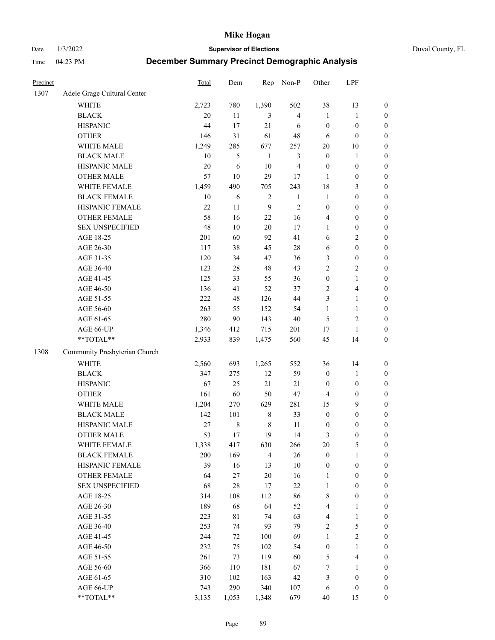Date 1/3/2022 **Supervisor of Elections** Duval County, FL

| Precinct |                               | <b>Total</b> | Dem         | Rep            | Non-P                   | Other            | LPF              |                  |
|----------|-------------------------------|--------------|-------------|----------------|-------------------------|------------------|------------------|------------------|
| 1307     | Adele Grage Cultural Center   |              |             |                |                         |                  |                  |                  |
|          | <b>WHITE</b>                  | 2,723        | 780         | 1,390          | 502                     | 38               | 13               | 0                |
|          | <b>BLACK</b>                  | 20           | 11          | 3              | $\overline{4}$          | $\mathbf{1}$     | $\mathbf{1}$     | $\boldsymbol{0}$ |
|          | <b>HISPANIC</b>               | 44           | 17          | 21             | 6                       | $\boldsymbol{0}$ | $\boldsymbol{0}$ | $\boldsymbol{0}$ |
|          | <b>OTHER</b>                  | 146          | 31          | 61             | 48                      | 6                | $\boldsymbol{0}$ | $\boldsymbol{0}$ |
|          | WHITE MALE                    | 1,249        | 285         | 677            | 257                     | $20\,$           | 10               | $\boldsymbol{0}$ |
|          | <b>BLACK MALE</b>             | 10           | 5           | $\mathbf{1}$   | $\mathfrak{Z}$          | $\boldsymbol{0}$ | 1                | $\boldsymbol{0}$ |
|          | HISPANIC MALE                 | 20           | 6           | 10             | $\overline{\mathbf{4}}$ | $\boldsymbol{0}$ | $\boldsymbol{0}$ | $\boldsymbol{0}$ |
|          | <b>OTHER MALE</b>             | 57           | 10          | 29             | 17                      | $\mathbf{1}$     | $\boldsymbol{0}$ | $\boldsymbol{0}$ |
|          | WHITE FEMALE                  | 1,459        | 490         | 705            | 243                     | 18               | $\mathfrak{Z}$   | $\boldsymbol{0}$ |
|          | <b>BLACK FEMALE</b>           | $10\,$       | 6           | $\sqrt{2}$     | $\mathbf{1}$            | $\mathbf{1}$     | $\boldsymbol{0}$ | $\boldsymbol{0}$ |
|          | HISPANIC FEMALE               | 22           | 11          | 9              | $\sqrt{2}$              | $\boldsymbol{0}$ | $\boldsymbol{0}$ | $\boldsymbol{0}$ |
|          | <b>OTHER FEMALE</b>           | 58           | 16          | 22             | 16                      | 4                | $\boldsymbol{0}$ | $\boldsymbol{0}$ |
|          | <b>SEX UNSPECIFIED</b>        | 48           | 10          | 20             | 17                      | $\mathbf{1}$     | $\boldsymbol{0}$ | $\boldsymbol{0}$ |
|          | AGE 18-25                     | 201          | 60          | 92             | 41                      | 6                | $\sqrt{2}$       | $\boldsymbol{0}$ |
|          | AGE 26-30                     | 117          | 38          | 45             | $28\,$                  | 6                | $\boldsymbol{0}$ | $\boldsymbol{0}$ |
|          | AGE 31-35                     | 120          | 34          | 47             | 36                      | 3                | $\boldsymbol{0}$ | $\boldsymbol{0}$ |
|          | AGE 36-40                     | 123          | $28\,$      | 48             | 43                      | 2                | $\sqrt{2}$       | $\boldsymbol{0}$ |
|          | AGE 41-45                     | 125          | 33          | 55             | 36                      | $\boldsymbol{0}$ | $\mathbf{1}$     | $\boldsymbol{0}$ |
|          | AGE 46-50                     | 136          | 41          | 52             | 37                      | 2                | $\overline{4}$   | $\boldsymbol{0}$ |
|          | AGE 51-55                     | 222          | 48          | 126            | 44                      | 3                | $\mathbf{1}$     | $\boldsymbol{0}$ |
|          | AGE 56-60                     | 263          | 55          | 152            | 54                      | $\mathbf{1}$     | $\mathbf{1}$     | 0                |
|          | AGE 61-65                     | 280          | 90          | 143            | $40\,$                  | 5                | $\sqrt{2}$       | $\boldsymbol{0}$ |
|          | AGE 66-UP                     | 1,346        | 412         | 715            | 201                     | 17               | $\mathbf{1}$     | $\boldsymbol{0}$ |
|          | $**TOTAL**$                   | 2,933        | 839         | 1,475          | 560                     | 45               | 14               | $\boldsymbol{0}$ |
| 1308     | Community Presbyterian Church |              |             |                |                         |                  |                  |                  |
|          | <b>WHITE</b>                  | 2,560        | 693         | 1,265          | 552                     | 36               | 14               | $\boldsymbol{0}$ |
|          | <b>BLACK</b>                  | 347          | 275         | 12             | 59                      | $\boldsymbol{0}$ | $\mathbf{1}$     | $\boldsymbol{0}$ |
|          | <b>HISPANIC</b>               | 67           | 25          | 21             | 21                      | $\boldsymbol{0}$ | $\boldsymbol{0}$ | $\boldsymbol{0}$ |
|          | <b>OTHER</b>                  | 161          | 60          | 50             | 47                      | 4                | $\boldsymbol{0}$ | $\boldsymbol{0}$ |
|          | WHITE MALE                    | 1,204        | 270         | 629            | 281                     | 15               | 9                | $\boldsymbol{0}$ |
|          | <b>BLACK MALE</b>             | 142          | 101         | $\,$ 8 $\,$    | 33                      | $\boldsymbol{0}$ | $\boldsymbol{0}$ | $\boldsymbol{0}$ |
|          | HISPANIC MALE                 | 27           | $\,8\,$     | $\,$ 8 $\,$    | 11                      | 0                | $\boldsymbol{0}$ | $\boldsymbol{0}$ |
|          | <b>OTHER MALE</b>             | 53           | 17          | 19             | 14                      | 3                | $\boldsymbol{0}$ | $\boldsymbol{0}$ |
|          | WHITE FEMALE                  | 1,338        | 417         | 630            | 266                     | 20               | 5                | 0                |
|          | <b>BLACK FEMALE</b>           | 200          | 169         | $\overline{4}$ | 26                      | $\boldsymbol{0}$ | $\mathbf{1}$     | $\boldsymbol{0}$ |
|          | HISPANIC FEMALE               | 39           | 16          | 13             | $10\,$                  | $\boldsymbol{0}$ | $\boldsymbol{0}$ | $\overline{0}$   |
|          | <b>OTHER FEMALE</b>           | 64           | $27\,$      | $20\,$         | 16                      | $\mathbf{1}$     | $\boldsymbol{0}$ | $\overline{0}$   |
|          | <b>SEX UNSPECIFIED</b>        | 68           | $28\,$      | 17             | $22\,$                  | $\mathbf{1}$     | $\boldsymbol{0}$ | 0                |
|          | AGE 18-25                     | 314          | 108         | 112            | 86                      | 8                | $\boldsymbol{0}$ | 0                |
|          | AGE 26-30                     | 189          | 68          | 64             | 52                      | 4                | $\mathbf{1}$     | 0                |
|          | AGE 31-35                     | 223          | $8\sqrt{1}$ | 74             | 63                      | 4                | $\mathbf{1}$     | 0                |
|          | AGE 36-40                     | 253          | 74          | 93             | 79                      | 2                | $\mathfrak s$    | 0                |
|          | AGE 41-45                     | 244          | 72          | 100            | 69                      | $\mathbf{1}$     | $\sqrt{2}$       | 0                |
|          | AGE 46-50                     | 232          | 75          | 102            | 54                      | $\boldsymbol{0}$ | $\mathbf{1}$     | 0                |
|          | AGE 51-55                     | 261          | 73          | 119            | 60                      | 5                | $\overline{4}$   | 0                |
|          | AGE 56-60                     | 366          | 110         | 181            | 67                      | 7                | 1                | $\boldsymbol{0}$ |
|          | AGE 61-65                     | 310          | 102         | 163            | 42                      | 3                | $\boldsymbol{0}$ | $\boldsymbol{0}$ |
|          | AGE 66-UP                     | 743          | 290         | 340            | 107                     | 6                | $\boldsymbol{0}$ | 0                |
|          | **TOTAL**                     | 3,135        | 1,053       | 1,348          | 679                     | 40               | 15               | $\boldsymbol{0}$ |
|          |                               |              |             |                |                         |                  |                  |                  |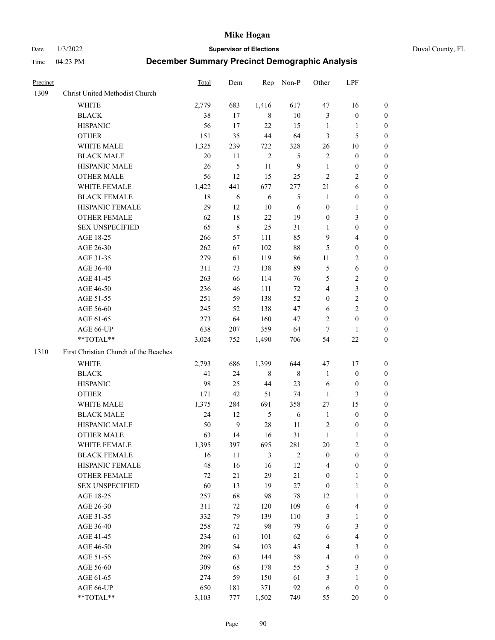Date 1/3/2022 **Supervisor of Elections** Duval County, FL

| Precinct |                                       | Total | Dem          | Rep            | Non-P          | Other                   | LPF                     |                  |
|----------|---------------------------------------|-------|--------------|----------------|----------------|-------------------------|-------------------------|------------------|
| 1309     | Christ United Methodist Church        |       |              |                |                |                         |                         |                  |
|          | <b>WHITE</b>                          | 2,779 | 683          | 1,416          | 617            | 47                      | 16                      | 0                |
|          | <b>BLACK</b>                          | 38    | 17           | 8              | $10\,$         | 3                       | $\boldsymbol{0}$        | 0                |
|          | <b>HISPANIC</b>                       | 56    | 17           | 22             | 15             | $\mathbf{1}$            | $\mathbf{1}$            | 0                |
|          | <b>OTHER</b>                          | 151   | 35           | 44             | 64             | 3                       | 5                       | $\boldsymbol{0}$ |
|          | WHITE MALE                            | 1,325 | 239          | 722            | 328            | 26                      | 10                      | $\boldsymbol{0}$ |
|          | <b>BLACK MALE</b>                     | 20    | 11           | $\overline{2}$ | 5              | $\mathfrak{2}$          | $\boldsymbol{0}$        | 0                |
|          | HISPANIC MALE                         | 26    | 5            | 11             | $\overline{9}$ | $\mathbf{1}$            | $\boldsymbol{0}$        | $\boldsymbol{0}$ |
|          | <b>OTHER MALE</b>                     | 56    | 12           | 15             | 25             | $\mathfrak{2}$          | $\overline{2}$          | $\boldsymbol{0}$ |
|          | WHITE FEMALE                          | 1,422 | 441          | 677            | 277            | 21                      | 6                       | 0                |
|          | <b>BLACK FEMALE</b>                   | 18    | 6            | 6              | $\mathfrak{S}$ | $\mathbf{1}$            | $\boldsymbol{0}$        | 0                |
|          | HISPANIC FEMALE                       | 29    | 12           | 10             | 6              | $\boldsymbol{0}$        | $\mathbf{1}$            | 0                |
|          | OTHER FEMALE                          | 62    | 18           | 22             | 19             | $\boldsymbol{0}$        | $\mathfrak{Z}$          | 0                |
|          | <b>SEX UNSPECIFIED</b>                | 65    | $\,$ 8 $\,$  | 25             | 31             | $\mathbf{1}$            | $\boldsymbol{0}$        | $\boldsymbol{0}$ |
|          | AGE 18-25                             | 266   | 57           | 111            | 85             | 9                       | $\overline{\mathbf{4}}$ | $\boldsymbol{0}$ |
|          | AGE 26-30                             | 262   | 67           | 102            | $88\,$         | 5                       | $\boldsymbol{0}$        | $\boldsymbol{0}$ |
|          | AGE 31-35                             | 279   | 61           | 119            | 86             | 11                      | $\sqrt{2}$              | $\boldsymbol{0}$ |
|          | AGE 36-40                             | 311   | 73           | 138            | 89             | 5                       | $\sqrt{6}$              | $\boldsymbol{0}$ |
|          | AGE 41-45                             | 263   | 66           | 114            | 76             | 5                       | $\overline{2}$          | $\boldsymbol{0}$ |
|          | AGE 46-50                             | 236   | 46           | 111            | 72             | $\overline{\mathbf{4}}$ | $\mathfrak{Z}$          | $\boldsymbol{0}$ |
|          | AGE 51-55                             | 251   | 59           | 138            | 52             | $\boldsymbol{0}$        | $\sqrt{2}$              | 0                |
|          | AGE 56-60                             | 245   | 52           | 138            | 47             | 6                       | $\overline{2}$          | 0                |
|          | AGE 61-65                             | 273   | 64           | 160            | 47             | 2                       | $\boldsymbol{0}$        | 0                |
|          | AGE 66-UP                             | 638   | 207          | 359            | 64             | $\tau$                  | $\mathbf{1}$            | 0                |
|          | **TOTAL**                             | 3,024 | 752          | 1,490          | 706            | 54                      | $22\,$                  | $\boldsymbol{0}$ |
| 1310     | First Christian Church of the Beaches |       |              |                |                |                         |                         |                  |
|          | <b>WHITE</b>                          | 2,793 | 686          | 1,399          | 644            | 47                      | 17                      | $\boldsymbol{0}$ |
|          | <b>BLACK</b>                          | 41    | 24           | $\,8\,$        | $8\,$          | $\mathbf{1}$            | $\boldsymbol{0}$        | $\boldsymbol{0}$ |
|          | <b>HISPANIC</b>                       | 98    | 25           | 44             | 23             | 6                       | $\boldsymbol{0}$        | 0                |
|          | <b>OTHER</b>                          | 171   | 42           | 51             | 74             | $\mathbf{1}$            | $\mathfrak{Z}$          | $\overline{0}$   |
|          | WHITE MALE                            | 1,375 | 284          | 691            | 358            | 27                      | 15                      | $\overline{0}$   |
|          | <b>BLACK MALE</b>                     | 24    | 12           | $\mathfrak s$  | $\sqrt{6}$     | $\mathbf{1}$            | $\boldsymbol{0}$        | $\boldsymbol{0}$ |
|          | HISPANIC MALE                         | 50    | $\mathbf{9}$ | $28\,$         | 11             | $\overline{c}$          | $\boldsymbol{0}$        | 0                |
|          | <b>OTHER MALE</b>                     | 63    | 14           | 16             | 31             | $\mathbf{1}$            | 1                       | 0                |
|          | WHITE FEMALE                          | 1,395 | 397          | 695            | 281            | 20                      | 2                       | 0                |
|          | <b>BLACK FEMALE</b>                   | 16    | 11           | 3              | $\overline{2}$ | $\boldsymbol{0}$        | $\boldsymbol{0}$        | $\boldsymbol{0}$ |
|          | HISPANIC FEMALE                       | 48    | 16           | 16             | 12             | 4                       | $\boldsymbol{0}$        | $\overline{0}$   |
|          | <b>OTHER FEMALE</b>                   | 72    | 21           | 29             | 21             | $\boldsymbol{0}$        | $\mathbf{1}$            | $\overline{0}$   |
|          | <b>SEX UNSPECIFIED</b>                | 60    | 13           | 19             | $27\,$         | $\boldsymbol{0}$        | $\mathbf{1}$            | 0                |
|          | AGE 18-25                             | 257   | 68           | 98             | $78\,$         | 12                      | $\mathbf{1}$            | 0                |
|          | AGE 26-30                             | 311   | 72           | 120            | 109            | 6                       | $\overline{4}$          | 0                |
|          | AGE 31-35                             | 332   | 79           | 139            | 110            | 3                       | $\mathbf{1}$            | 0                |
|          | AGE 36-40                             | 258   | 72           | 98             | 79             | 6                       | $\mathfrak{Z}$          | 0                |
|          | AGE 41-45                             | 234   | 61           | 101            | 62             | 6                       | $\overline{\mathbf{4}}$ | 0                |
|          | AGE 46-50                             | 209   | 54           | 103            | 45             | 4                       | 3                       | 0                |
|          | AGE 51-55                             | 269   | 63           | 144            | 58             | 4                       | $\boldsymbol{0}$        | $\overline{0}$   |
|          | AGE 56-60                             | 309   | 68           | 178            | 55             | 5                       | $\mathfrak{Z}$          | $\overline{0}$   |
|          | AGE 61-65                             | 274   | 59           | 150            | 61             | 3                       | $\mathbf{1}$            | $\overline{0}$   |
|          | AGE 66-UP                             | 650   | 181          | 371            | 92             | 6                       | $\boldsymbol{0}$        | 0                |
|          | **TOTAL**                             | 3,103 | 777          | 1,502          | 749            | 55                      | $20\,$                  | $\boldsymbol{0}$ |
|          |                                       |       |              |                |                |                         |                         |                  |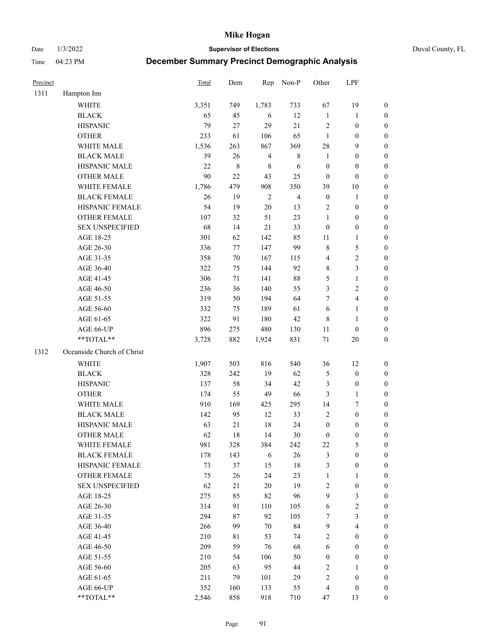Date 1/3/2022 **Supervisor of Elections** Duval County, FL

| Precinct |                            | <b>Total</b> | Dem    | Rep            | Non-P          | Other            | LPF              |                  |
|----------|----------------------------|--------------|--------|----------------|----------------|------------------|------------------|------------------|
| 1311     | Hampton Inn                |              |        |                |                |                  |                  |                  |
|          | <b>WHITE</b>               | 3,351        | 749    | 1,783          | 733            | 67               | 19               | 0                |
|          | <b>BLACK</b>               | 65           | 45     | 6              | 12             | $\mathbf{1}$     | $\mathbf{1}$     | 0                |
|          | <b>HISPANIC</b>            | 79           | 27     | 29             | 21             | $\sqrt{2}$       | $\boldsymbol{0}$ | $\boldsymbol{0}$ |
|          | <b>OTHER</b>               | 233          | 61     | 106            | 65             | $\mathbf{1}$     | $\boldsymbol{0}$ | $\boldsymbol{0}$ |
|          | WHITE MALE                 | 1,536        | 263    | 867            | 369            | 28               | 9                | $\boldsymbol{0}$ |
|          | <b>BLACK MALE</b>          | 39           | 26     | $\overline{4}$ | $8\,$          | $\mathbf{1}$     | $\boldsymbol{0}$ | $\boldsymbol{0}$ |
|          | HISPANIC MALE              | 22           | $8\,$  | $\,$ 8 $\,$    | 6              | $\boldsymbol{0}$ | $\boldsymbol{0}$ | $\boldsymbol{0}$ |
|          | <b>OTHER MALE</b>          | 90           | 22     | 43             | 25             | $\boldsymbol{0}$ | $\boldsymbol{0}$ | $\boldsymbol{0}$ |
|          | WHITE FEMALE               | 1,786        | 479    | 908            | 350            | 39               | 10               | $\boldsymbol{0}$ |
|          | <b>BLACK FEMALE</b>        | 26           | 19     | $\sqrt{2}$     | $\overline{4}$ | $\boldsymbol{0}$ | $\mathbf{1}$     | $\boldsymbol{0}$ |
|          | HISPANIC FEMALE            | 54           | 19     | $20\,$         | 13             | 2                | $\boldsymbol{0}$ | 0                |
|          | <b>OTHER FEMALE</b>        | 107          | 32     | 51             | 23             | $\mathbf{1}$     | $\boldsymbol{0}$ | $\boldsymbol{0}$ |
|          | <b>SEX UNSPECIFIED</b>     | 68           | 14     | 21             | 33             | $\boldsymbol{0}$ | $\boldsymbol{0}$ | $\boldsymbol{0}$ |
|          | AGE 18-25                  | 301          | 62     | 142            | 85             | 11               | $\mathbf{1}$     | $\boldsymbol{0}$ |
|          | AGE 26-30                  | 336          | 77     | 147            | 99             | 8                | $\mathfrak s$    | $\boldsymbol{0}$ |
|          | AGE 31-35                  | 358          | $70\,$ | 167            | 115            | 4                | $\sqrt{2}$       | $\boldsymbol{0}$ |
|          | AGE 36-40                  | 322          | 75     | 144            | 92             | 8                | 3                | $\boldsymbol{0}$ |
|          | AGE 41-45                  | 306          | $71\,$ | 141            | $88\,$         | 5                | $\mathbf{1}$     | $\boldsymbol{0}$ |
|          | AGE 46-50                  | 236          | 36     | 140            | 55             | 3                | $\sqrt{2}$       | $\boldsymbol{0}$ |
|          | AGE 51-55                  | 319          | 50     | 194            | 64             | 7                | $\overline{4}$   | 0                |
|          | AGE 56-60                  | 332          | 75     | 189            | 61             | 6                | $\mathbf{1}$     | 0                |
|          | AGE 61-65                  | 322          | 91     | 180            | 42             | 8                | $\mathbf{1}$     | $\boldsymbol{0}$ |
|          | AGE 66-UP                  | 896          | 275    | 480            | 130            | 11               | $\boldsymbol{0}$ | $\boldsymbol{0}$ |
|          | **TOTAL**                  | 3,728        | 882    | 1,924          | 831            | $71\,$           | 20               | $\boldsymbol{0}$ |
| 1312     | Oceanside Church of Christ |              |        |                |                |                  |                  |                  |
|          | <b>WHITE</b>               | 1,907        | 503    | 816            | 540            | 36               | 12               | $\boldsymbol{0}$ |
|          | <b>BLACK</b>               | 328          | 242    | 19             | 62             | 5                | $\boldsymbol{0}$ | $\boldsymbol{0}$ |
|          | <b>HISPANIC</b>            | 137          | 58     | 34             | 42             | 3                | $\boldsymbol{0}$ | $\boldsymbol{0}$ |
|          | <b>OTHER</b>               | 174          | 55     | 49             | 66             | 3                | $\mathbf{1}$     | $\boldsymbol{0}$ |
|          | WHITE MALE                 | 910          | 169    | 425            | 295            | 14               | $\tau$           | $\boldsymbol{0}$ |
|          | <b>BLACK MALE</b>          | 142          | 95     | 12             | 33             | $\overline{2}$   | $\boldsymbol{0}$ | $\boldsymbol{0}$ |
|          | HISPANIC MALE              | 63           | 21     | 18             | 24             | $\boldsymbol{0}$ | $\boldsymbol{0}$ | 0                |
|          | <b>OTHER MALE</b>          | 62           | 18     | 14             | $30\,$         | $\boldsymbol{0}$ | $\boldsymbol{0}$ | $\boldsymbol{0}$ |
|          | WHITE FEMALE               | 981          | 328    | 384            | 242            | 22               | 5                | 0                |
|          | <b>BLACK FEMALE</b>        | 178          | 143    | 6              | 26             | 3                | $\boldsymbol{0}$ | $\overline{0}$   |
|          | HISPANIC FEMALE            | 73           | 37     | 15             | 18             | 3                | $\boldsymbol{0}$ | $\overline{0}$   |
|          | <b>OTHER FEMALE</b>        | 75           | 26     | 24             | 23             | $\mathbf{1}$     | $\mathbf{1}$     | $\overline{0}$   |
|          | <b>SEX UNSPECIFIED</b>     | 62           | 21     | $20\,$         | 19             | 2                | $\boldsymbol{0}$ | 0                |
|          | AGE 18-25                  | 275          | 85     | 82             | 96             | 9                | $\mathfrak{Z}$   | 0                |
|          | AGE 26-30                  | 314          | 91     | 110            | 105            | 6                | $\sqrt{2}$       | 0                |
|          | AGE 31-35                  | 294          | $87\,$ | 92             | 105            | 7                | $\mathfrak{Z}$   | 0                |
|          | AGE 36-40                  | 266          | 99     | 70             | 84             | $\mathbf{9}$     | $\overline{4}$   | 0                |
|          | AGE 41-45                  | 210          | 81     | 53             | 74             | 2                | $\boldsymbol{0}$ | 0                |
|          | AGE 46-50                  | 209          | 59     | 76             | 68             | 6                | $\boldsymbol{0}$ | 0                |
|          | AGE 51-55                  | 210          | 54     | 106            | 50             | $\boldsymbol{0}$ | $\boldsymbol{0}$ | 0                |
|          | AGE 56-60                  | 205          | 63     | 95             | 44             | 2                | 1                | $\overline{0}$   |
|          | AGE 61-65                  | 211          | 79     | 101            | 29             | 2                | $\boldsymbol{0}$ | $\overline{0}$   |
|          | AGE 66-UP                  | 352          | 160    | 133            | 55             | 4                | $\boldsymbol{0}$ | 0                |
|          | **TOTAL**                  | 2,546        | 858    | 918            | 710            | 47               | 13               | $\boldsymbol{0}$ |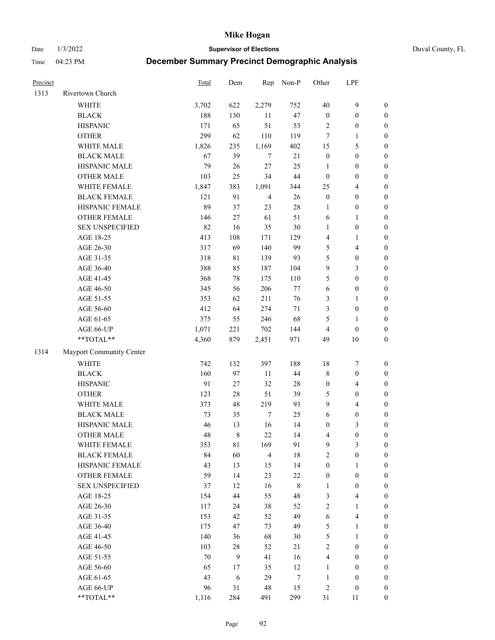Date 1/3/2022 **Supervisor of Elections** Duval County, FL

| Precinct |                          | Total | Dem     | Rep            | Non-P   | Other            | LPF              |                  |
|----------|--------------------------|-------|---------|----------------|---------|------------------|------------------|------------------|
| 1313     | Rivertown Church         |       |         |                |         |                  |                  |                  |
|          | <b>WHITE</b>             | 3,702 | 622     | 2,279          | 752     | 40               | $\boldsymbol{9}$ | $\boldsymbol{0}$ |
|          | <b>BLACK</b>             | 188   | 130     | 11             | 47      | $\boldsymbol{0}$ | $\boldsymbol{0}$ | $\boldsymbol{0}$ |
|          | <b>HISPANIC</b>          | 171   | 65      | 51             | 53      | $\overline{c}$   | $\boldsymbol{0}$ | $\boldsymbol{0}$ |
|          | <b>OTHER</b>             | 299   | 62      | 110            | 119     | 7                | 1                | $\boldsymbol{0}$ |
|          | WHITE MALE               | 1,826 | 235     | 1,169          | 402     | 15               | 5                | $\boldsymbol{0}$ |
|          | <b>BLACK MALE</b>        | 67    | 39      | 7              | 21      | $\boldsymbol{0}$ | $\boldsymbol{0}$ | $\boldsymbol{0}$ |
|          | HISPANIC MALE            | 79    | $26\,$  | $27\,$         | 25      | $\mathbf{1}$     | $\boldsymbol{0}$ | $\boldsymbol{0}$ |
|          | <b>OTHER MALE</b>        | 103   | 25      | 34             | $44\,$  | $\boldsymbol{0}$ | $\boldsymbol{0}$ | $\boldsymbol{0}$ |
|          | WHITE FEMALE             | 1,847 | 383     | 1,091          | 344     | 25               | $\overline{4}$   | $\boldsymbol{0}$ |
|          | <b>BLACK FEMALE</b>      | 121   | 91      | $\overline{4}$ | 26      | $\boldsymbol{0}$ | $\boldsymbol{0}$ | $\boldsymbol{0}$ |
|          | HISPANIC FEMALE          | 89    | 37      | 23             | $28\,$  | 1                | $\boldsymbol{0}$ | 0                |
|          | <b>OTHER FEMALE</b>      | 146   | $27\,$  | 61             | 51      | 6                | $\mathbf{1}$     | $\boldsymbol{0}$ |
|          | <b>SEX UNSPECIFIED</b>   | 82    | 16      | 35             | $30\,$  | $\mathbf{1}$     | $\boldsymbol{0}$ | $\boldsymbol{0}$ |
|          | AGE 18-25                | 413   | 108     | 171            | 129     | 4                | 1                | $\boldsymbol{0}$ |
|          | AGE 26-30                | 317   | 69      | 140            | 99      | 5                | $\overline{4}$   | $\boldsymbol{0}$ |
|          | AGE 31-35                | 318   | 81      | 139            | 93      | 5                | $\boldsymbol{0}$ | $\boldsymbol{0}$ |
|          | AGE 36-40                | 388   | 85      | 187            | 104     | 9                | $\mathfrak{Z}$   | $\boldsymbol{0}$ |
|          | AGE 41-45                | 368   | $78\,$  | 175            | 110     | 5                | $\boldsymbol{0}$ | $\boldsymbol{0}$ |
|          | AGE 46-50                | 345   | 56      | 206            | $77\,$  | $\sqrt{6}$       | $\boldsymbol{0}$ | $\boldsymbol{0}$ |
|          | AGE 51-55                | 353   | 62      | 211            | 76      | 3                | 1                | $\boldsymbol{0}$ |
|          | AGE 56-60                | 412   | 64      | 274            | 71      | 3                | $\boldsymbol{0}$ | 0                |
|          | AGE 61-65                | 375   | 55      | 246            | 68      | 5                | $\mathbf{1}$     | 0                |
|          | AGE 66-UP                | 1,071 | 221     | 702            | 144     | 4                | $\boldsymbol{0}$ | $\boldsymbol{0}$ |
|          | **TOTAL**                | 4,360 | 879     | 2,451          | 971     | 49               | 10               | $\boldsymbol{0}$ |
| 1314     | Mayport Community Center |       |         |                |         |                  |                  |                  |
|          | <b>WHITE</b>             | 742   | 132     | 397            | 188     | 18               | $\boldsymbol{7}$ | $\boldsymbol{0}$ |
|          | <b>BLACK</b>             | 160   | 97      | $11\,$         | $44\,$  | 8                | $\boldsymbol{0}$ | $\boldsymbol{0}$ |
|          | <b>HISPANIC</b>          | 91    | $27\,$  | 32             | $28\,$  | $\boldsymbol{0}$ | $\overline{4}$   | $\boldsymbol{0}$ |
|          | <b>OTHER</b>             | 123   | $28\,$  | 51             | 39      | 5                | $\boldsymbol{0}$ | $\boldsymbol{0}$ |
|          | WHITE MALE               | 373   | 48      | 219            | 93      | 9                | $\overline{4}$   | $\boldsymbol{0}$ |
|          | <b>BLACK MALE</b>        | 73    | 35      | $\tau$         | 25      | $\sqrt{6}$       | $\boldsymbol{0}$ | $\boldsymbol{0}$ |
|          | HISPANIC MALE            | 46    | 13      | 16             | 14      | $\boldsymbol{0}$ | $\mathfrak{Z}$   | $\boldsymbol{0}$ |
|          | <b>OTHER MALE</b>        | 48    | $\,8\,$ | 22             | 14      | 4                | $\boldsymbol{0}$ | $\boldsymbol{0}$ |
|          | WHITE FEMALE             | 353   | 81      | 169            | 91      | 9                | 3                | 0                |
|          | <b>BLACK FEMALE</b>      | 84    | 60      | $\overline{4}$ | 18      | 2                | $\boldsymbol{0}$ | $\overline{0}$   |
|          | HISPANIC FEMALE          | 43    | 13      | 15             | 14      | $\boldsymbol{0}$ | 1                | $\overline{0}$   |
|          | <b>OTHER FEMALE</b>      | 59    | 14      | 23             | $22\,$  | $\boldsymbol{0}$ | $\boldsymbol{0}$ | 0                |
|          | <b>SEX UNSPECIFIED</b>   | 37    | 12      | 16             | $\,8\,$ | $\mathbf{1}$     | $\boldsymbol{0}$ | 0                |
|          | AGE 18-25                | 154   | 44      | 55             | 48      | 3                | $\overline{4}$   | 0                |
|          | AGE 26-30                | 117   | 24      | 38             | 52      | 2                | $\mathbf{1}$     | 0                |
|          | AGE 31-35                | 153   | 42      | 52             | 49      | 6                | $\overline{4}$   | 0                |
|          | AGE 36-40                | 175   | 47      | 73             | 49      | 5                | $\mathbf{1}$     | 0                |
|          | AGE 41-45                | 140   | 36      | 68             | $30\,$  | 5                | $\mathbf{1}$     | 0                |
|          | AGE 46-50                | 103   | $28\,$  | 52             | 21      | 2                | $\boldsymbol{0}$ | 0                |
|          | AGE 51-55                | 70    | 9       | 41             | 16      | 4                | $\boldsymbol{0}$ | 0                |
|          | AGE 56-60                | 65    | 17      | 35             | 12      | 1                | $\boldsymbol{0}$ | 0                |
|          | AGE 61-65                | 43    | 6       | 29             | 7       | $\mathbf{1}$     | $\boldsymbol{0}$ | 0                |
|          | AGE 66-UP                | 96    | 31      | 48             | 15      | 2                | $\boldsymbol{0}$ | 0                |
|          | **TOTAL**                | 1,116 | 284     | 491            | 299     | 31               | 11               | $\boldsymbol{0}$ |
|          |                          |       |         |                |         |                  |                  |                  |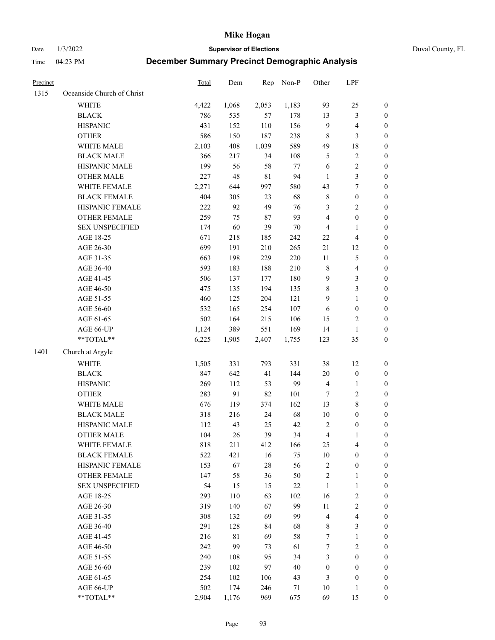Date 1/3/2022 **Supervisor of Elections** Duval County, FL

| Precinct |                            | <b>Total</b> | Dem         | Rep    | Non-P  | Other                   | LPF              |                  |
|----------|----------------------------|--------------|-------------|--------|--------|-------------------------|------------------|------------------|
| 1315     | Oceanside Church of Christ |              |             |        |        |                         |                  |                  |
|          | <b>WHITE</b>               | 4,422        | 1,068       | 2,053  | 1,183  | 93                      | 25               | 0                |
|          | <b>BLACK</b>               | 786          | 535         | 57     | 178    | 13                      | $\mathfrak{Z}$   | 0                |
|          | <b>HISPANIC</b>            | 431          | 152         | 110    | 156    | 9                       | $\overline{4}$   | $\boldsymbol{0}$ |
|          | <b>OTHER</b>               | 586          | 150         | 187    | 238    | 8                       | $\mathfrak{Z}$   | $\boldsymbol{0}$ |
|          | WHITE MALE                 | 2,103        | 408         | 1,039  | 589    | 49                      | 18               | $\boldsymbol{0}$ |
|          | <b>BLACK MALE</b>          | 366          | 217         | 34     | 108    | 5                       | $\sqrt{2}$       | $\boldsymbol{0}$ |
|          | HISPANIC MALE              | 199          | 56          | 58     | 77     | 6                       | $\sqrt{2}$       | $\boldsymbol{0}$ |
|          | <b>OTHER MALE</b>          | 227          | 48          | 81     | 94     | $\mathbf{1}$            | $\mathfrak{Z}$   | $\boldsymbol{0}$ |
|          | WHITE FEMALE               | 2,271        | 644         | 997    | 580    | 43                      | $\boldsymbol{7}$ | $\boldsymbol{0}$ |
|          | <b>BLACK FEMALE</b>        | 404          | 305         | 23     | 68     | 8                       | $\boldsymbol{0}$ | $\boldsymbol{0}$ |
|          | HISPANIC FEMALE            | 222          | 92          | 49     | 76     | 3                       | $\sqrt{2}$       | $\boldsymbol{0}$ |
|          | OTHER FEMALE               | 259          | 75          | 87     | 93     | 4                       | $\boldsymbol{0}$ | $\boldsymbol{0}$ |
|          | <b>SEX UNSPECIFIED</b>     | 174          | 60          | 39     | 70     | 4                       | $\mathbf{1}$     | $\boldsymbol{0}$ |
|          | AGE 18-25                  | 671          | 218         | 185    | 242    | $22\,$                  | $\overline{4}$   | $\boldsymbol{0}$ |
|          | AGE 26-30                  | 699          | 191         | 210    | 265    | 21                      | 12               | $\boldsymbol{0}$ |
|          | AGE 31-35                  | 663          | 198         | 229    | 220    | $11\,$                  | $\mathfrak s$    | $\boldsymbol{0}$ |
|          | AGE 36-40                  | 593          | 183         | 188    | 210    | 8                       | $\overline{4}$   | $\boldsymbol{0}$ |
|          | AGE 41-45                  | 506          | 137         | 177    | 180    | 9                       | $\mathfrak{Z}$   | $\boldsymbol{0}$ |
|          | AGE 46-50                  | 475          | 135         | 194    | 135    | 8                       | 3                | $\boldsymbol{0}$ |
|          | AGE 51-55                  | 460          | 125         | 204    | 121    | 9                       | $\mathbf{1}$     | $\boldsymbol{0}$ |
|          | AGE 56-60                  | 532          | 165         | 254    | 107    | 6                       | $\boldsymbol{0}$ | 0                |
|          | AGE 61-65                  | 502          | 164         | 215    | 106    | 15                      | $\overline{c}$   | 0                |
|          | AGE 66-UP                  | 1,124        | 389         | 551    | 169    | 14                      | $\mathbf{1}$     | $\boldsymbol{0}$ |
|          | $**TOTAL**$                | 6,225        | 1,905       | 2,407  | 1,755  | 123                     | 35               | $\boldsymbol{0}$ |
| 1401     | Church at Argyle           |              |             |        |        |                         |                  |                  |
|          | <b>WHITE</b>               | 1,505        | 331         | 793    | 331    | 38                      | 12               | $\boldsymbol{0}$ |
|          | <b>BLACK</b>               | 847          | 642         | 41     | 144    | $20\,$                  | $\boldsymbol{0}$ | $\boldsymbol{0}$ |
|          | <b>HISPANIC</b>            | 269          | 112         | 53     | 99     | 4                       | $\mathbf{1}$     | $\boldsymbol{0}$ |
|          | <b>OTHER</b>               | 283          | 91          | 82     | 101    | $\boldsymbol{7}$        | $\sqrt{2}$       | $\boldsymbol{0}$ |
|          | WHITE MALE                 | 676          | 119         | 374    | 162    | 13                      | $\,$ 8 $\,$      | $\boldsymbol{0}$ |
|          | <b>BLACK MALE</b>          | 318          | 216         | 24     | 68     | $10\,$                  | $\boldsymbol{0}$ | $\boldsymbol{0}$ |
|          | HISPANIC MALE              | 112          | 43          | 25     | 42     | 2                       | $\boldsymbol{0}$ | 0                |
|          | <b>OTHER MALE</b>          | 104          | 26          | 39     | 34     | 4                       | $\mathbf{1}$     | $\boldsymbol{0}$ |
|          | WHITE FEMALE               | 818          | 211         | 412    | 166    | 25                      | 4                | 0                |
|          | <b>BLACK FEMALE</b>        | 522          | 421         | 16     | 75     | 10                      | $\boldsymbol{0}$ | $\overline{0}$   |
|          | HISPANIC FEMALE            | 153          | 67          | $28\,$ | 56     | $\overline{c}$          | $\boldsymbol{0}$ | $\overline{0}$   |
|          | OTHER FEMALE               | 147          | 58          | 36     | 50     | $\overline{\mathbf{c}}$ | $\mathbf{1}$     | 0                |
|          | <b>SEX UNSPECIFIED</b>     | 54           | 15          | 15     | $22\,$ | 1                       | $\mathbf{1}$     | 0                |
|          | AGE 18-25                  | 293          | 110         | 63     | 102    | 16                      | $\sqrt{2}$       | 0                |
|          | AGE 26-30                  | 319          | 140         | 67     | 99     | $11\,$                  | $\sqrt{2}$       | 0                |
|          | AGE 31-35                  | 308          | 132         | 69     | 99     | 4                       | $\overline{4}$   | 0                |
|          | AGE 36-40                  | 291          | 128         | 84     | 68     | 8                       | $\mathfrak{Z}$   | 0                |
|          | AGE 41-45                  | 216          | $8\sqrt{1}$ | 69     | 58     | 7                       | $\mathbf{1}$     | 0                |
|          | AGE 46-50                  | 242          | 99          | 73     | 61     | 7                       | $\sqrt{2}$       | 0                |
|          | AGE 51-55                  | 240          | 108         | 95     | 34     | 3                       | $\boldsymbol{0}$ | 0                |
|          | AGE 56-60                  | 239          | 102         | 97     | 40     | 0                       | $\boldsymbol{0}$ | 0                |
|          | AGE 61-65                  | 254          | 102         | 106    | 43     | 3                       | $\boldsymbol{0}$ | 0                |
|          | AGE 66-UP                  | 502          | 174         | 246    | 71     | 10                      | $\mathbf{1}$     | 0                |
|          | **TOTAL**                  | 2,904        | 1,176       | 969    | 675    | 69                      | 15               | $\boldsymbol{0}$ |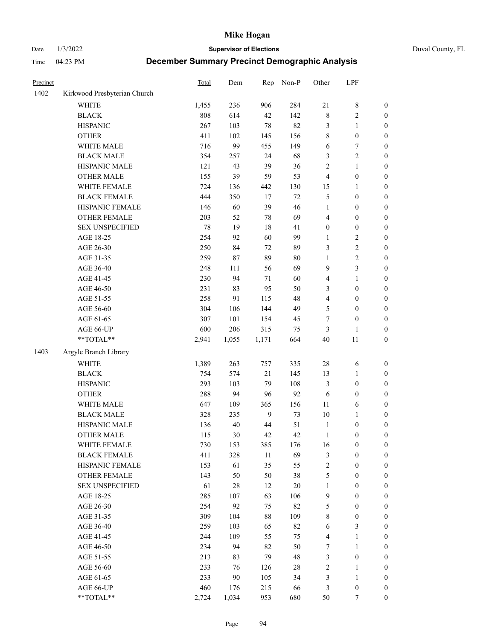Date 1/3/2022 **Supervisor of Elections** Duval County, FL

| Precinct |                              | Total | Dem   | Rep            | Non-P  | Other            | LPF              |                  |
|----------|------------------------------|-------|-------|----------------|--------|------------------|------------------|------------------|
| 1402     | Kirkwood Presbyterian Church |       |       |                |        |                  |                  |                  |
|          | <b>WHITE</b>                 | 1,455 | 236   | 906            | 284    | $21\,$           | $\,$ 8 $\,$      | 0                |
|          | <b>BLACK</b>                 | 808   | 614   | 42             | 142    | $\,$ $\,$        | $\sqrt{2}$       | $\boldsymbol{0}$ |
|          | <b>HISPANIC</b>              | 267   | 103   | 78             | 82     | 3                | $\mathbf{1}$     | $\boldsymbol{0}$ |
|          | <b>OTHER</b>                 | 411   | 102   | 145            | 156    | 8                | $\boldsymbol{0}$ | $\boldsymbol{0}$ |
|          | WHITE MALE                   | 716   | 99    | 455            | 149    | 6                | $\boldsymbol{7}$ | $\boldsymbol{0}$ |
|          | <b>BLACK MALE</b>            | 354   | 257   | 24             | 68     | 3                | $\sqrt{2}$       | $\boldsymbol{0}$ |
|          | HISPANIC MALE                | 121   | 43    | 39             | 36     | $\overline{c}$   | $\mathbf{1}$     | $\boldsymbol{0}$ |
|          | <b>OTHER MALE</b>            | 155   | 39    | 59             | 53     | 4                | $\boldsymbol{0}$ | $\boldsymbol{0}$ |
|          | WHITE FEMALE                 | 724   | 136   | 442            | 130    | 15               | 1                | $\boldsymbol{0}$ |
|          | <b>BLACK FEMALE</b>          | 444   | 350   | 17             | $72\,$ | 5                | $\boldsymbol{0}$ | $\boldsymbol{0}$ |
|          | HISPANIC FEMALE              | 146   | 60    | 39             | 46     | $\mathbf{1}$     | $\boldsymbol{0}$ | $\boldsymbol{0}$ |
|          | OTHER FEMALE                 | 203   | 52    | 78             | 69     | 4                | $\boldsymbol{0}$ | $\boldsymbol{0}$ |
|          | <b>SEX UNSPECIFIED</b>       | 78    | 19    | 18             | 41     | $\boldsymbol{0}$ | $\boldsymbol{0}$ | $\boldsymbol{0}$ |
|          | AGE 18-25                    | 254   | 92    | 60             | 99     | 1                | $\sqrt{2}$       | $\boldsymbol{0}$ |
|          | AGE 26-30                    | 250   | 84    | 72             | 89     | 3                | $\sqrt{2}$       | $\boldsymbol{0}$ |
|          | AGE 31-35                    | 259   | 87    | 89             | 80     | 1                | $\sqrt{2}$       | $\boldsymbol{0}$ |
|          | AGE 36-40                    | 248   | 111   | 56             | 69     | 9                | 3                | $\boldsymbol{0}$ |
|          | AGE 41-45                    | 230   | 94    | $71\,$         | 60     | 4                | $\mathbf{1}$     | $\boldsymbol{0}$ |
|          | AGE 46-50                    | 231   | 83    | 95             | 50     | 3                | $\boldsymbol{0}$ | $\boldsymbol{0}$ |
|          | AGE 51-55                    | 258   | 91    | 115            | 48     | 4                | $\boldsymbol{0}$ | $\boldsymbol{0}$ |
|          | AGE 56-60                    | 304   | 106   | 144            | 49     | 5                | $\boldsymbol{0}$ | 0                |
|          | AGE 61-65                    | 307   | 101   | 154            | 45     | $\boldsymbol{7}$ | $\boldsymbol{0}$ | $\boldsymbol{0}$ |
|          | AGE 66-UP                    | 600   | 206   | 315            | 75     | 3                | $\mathbf{1}$     | $\boldsymbol{0}$ |
|          | $**TOTAL**$                  | 2,941 | 1,055 | 1,171          | 664    | 40               | 11               | $\boldsymbol{0}$ |
| 1403     | Argyle Branch Library        |       |       |                |        |                  |                  |                  |
|          | <b>WHITE</b>                 | 1,389 | 263   | 757            | 335    | 28               | 6                | $\boldsymbol{0}$ |
|          | <b>BLACK</b>                 | 754   | 574   | 21             | 145    | 13               | $\mathbf{1}$     | $\boldsymbol{0}$ |
|          | <b>HISPANIC</b>              | 293   | 103   | 79             | 108    | 3                | $\boldsymbol{0}$ | $\boldsymbol{0}$ |
|          | <b>OTHER</b>                 | 288   | 94    | 96             | 92     | 6                | $\boldsymbol{0}$ | $\boldsymbol{0}$ |
|          | WHITE MALE                   | 647   | 109   | 365            | 156    | 11               | 6                | $\boldsymbol{0}$ |
|          | <b>BLACK MALE</b>            | 328   | 235   | $\overline{9}$ | 73     | 10               | $\mathbf{1}$     | $\boldsymbol{0}$ |
|          | HISPANIC MALE                | 136   | 40    | 44             | 51     | $\mathbf{1}$     | $\boldsymbol{0}$ | 0                |
|          | <b>OTHER MALE</b>            | 115   | 30    | 42             | 42     | $\mathbf{1}$     | $\boldsymbol{0}$ | $\boldsymbol{0}$ |
|          | WHITE FEMALE                 | 730   | 153   | 385            | 176    | 16               | 0                | 0                |
|          | <b>BLACK FEMALE</b>          | 411   | 328   | 11             | 69     | 3                | $\boldsymbol{0}$ | $\overline{0}$   |
|          | HISPANIC FEMALE              | 153   | 61    | 35             | 55     | $\overline{c}$   | $\boldsymbol{0}$ | $\overline{0}$   |
|          | OTHER FEMALE                 | 143   | 50    | 50             | 38     | 5                | $\boldsymbol{0}$ | $\overline{0}$   |
|          | <b>SEX UNSPECIFIED</b>       | 61    | 28    | 12             | 20     | 1                | $\boldsymbol{0}$ | 0                |
|          | AGE 18-25                    | 285   | 107   | 63             | 106    | 9                | $\boldsymbol{0}$ | $\theta$         |
|          | AGE 26-30                    | 254   | 92    | 75             | 82     | 5                | $\boldsymbol{0}$ | 0                |
|          | AGE 31-35                    | 309   | 104   | 88             | 109    | 8                | $\boldsymbol{0}$ | 0                |
|          | AGE 36-40                    | 259   | 103   | 65             | 82     | 6                | $\mathfrak{Z}$   | 0                |
|          | AGE 41-45                    | 244   | 109   | 55             | 75     | 4                | $\mathbf{1}$     | 0                |
|          | AGE 46-50                    | 234   | 94    | 82             | 50     | 7                | $\mathbf{1}$     | 0                |
|          | AGE 51-55                    | 213   | 83    | 79             | 48     | 3                | $\boldsymbol{0}$ | 0                |
|          | AGE 56-60                    | 233   | 76    | 126            | 28     | 2                | 1                | $\overline{0}$   |
|          | AGE 61-65                    | 233   | 90    | 105            | 34     | 3                | $\mathbf{1}$     | $\overline{0}$   |
|          | AGE 66-UP                    | 460   | 176   | 215            | 66     | 3                | $\boldsymbol{0}$ | 0                |
|          | **TOTAL**                    | 2,724 | 1,034 | 953            | 680    | 50               | 7                | $\boldsymbol{0}$ |
|          |                              |       |       |                |        |                  |                  |                  |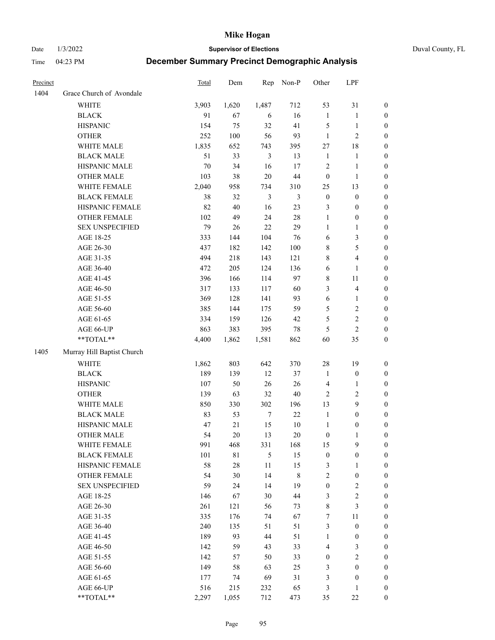Date 1/3/2022 **Supervisor of Elections** Duval County, FL

| Precinct |                            | <b>Total</b> | Dem    | Rep              | Non-P          | Other            | LPF                     |                  |
|----------|----------------------------|--------------|--------|------------------|----------------|------------------|-------------------------|------------------|
| 1404     | Grace Church of Avondale   |              |        |                  |                |                  |                         |                  |
|          | <b>WHITE</b>               | 3,903        | 1,620  | 1,487            | 712            | 53               | 31                      | 0                |
|          | <b>BLACK</b>               | 91           | 67     | 6                | 16             | $\mathbf{1}$     | $\mathbf{1}$            | 0                |
|          | <b>HISPANIC</b>            | 154          | 75     | 32               | 41             | 5                | $\mathbf{1}$            | 0                |
|          | <b>OTHER</b>               | 252          | 100    | 56               | 93             | $\mathbf{1}$     | $\mathfrak{2}$          | $\boldsymbol{0}$ |
|          | WHITE MALE                 | 1,835        | 652    | 743              | 395            | 27               | $18\,$                  | $\boldsymbol{0}$ |
|          | <b>BLACK MALE</b>          | 51           | 33     | 3                | 13             | $\mathbf{1}$     | 1                       | $\boldsymbol{0}$ |
|          | HISPANIC MALE              | $70\,$       | 34     | 16               | 17             | $\overline{c}$   | $\mathbf{1}$            | $\boldsymbol{0}$ |
|          | <b>OTHER MALE</b>          | 103          | 38     | $20\,$           | $44\,$         | $\boldsymbol{0}$ | $\mathbf{1}$            | $\boldsymbol{0}$ |
|          | WHITE FEMALE               | 2,040        | 958    | 734              | 310            | 25               | 13                      | $\boldsymbol{0}$ |
|          | <b>BLACK FEMALE</b>        | 38           | 32     | $\mathfrak{Z}$   | $\mathfrak{Z}$ | $\boldsymbol{0}$ | $\boldsymbol{0}$        | 0                |
|          | HISPANIC FEMALE            | 82           | 40     | 16               | 23             | 3                | $\boldsymbol{0}$        | 0                |
|          | OTHER FEMALE               | 102          | 49     | 24               | $28\,$         | $\mathbf{1}$     | $\boldsymbol{0}$        | $\boldsymbol{0}$ |
|          | <b>SEX UNSPECIFIED</b>     | 79           | 26     | 22               | 29             | $\mathbf{1}$     | $\mathbf{1}$            | $\boldsymbol{0}$ |
|          | AGE 18-25                  | 333          | 144    | 104              | 76             | 6                | $\mathfrak{Z}$          | $\boldsymbol{0}$ |
|          | AGE 26-30                  | 437          | 182    | 142              | 100            | 8                | $\mathfrak{S}$          | $\boldsymbol{0}$ |
|          | AGE 31-35                  | 494          | 218    | 143              | 121            | 8                | $\overline{\mathbf{4}}$ | $\boldsymbol{0}$ |
|          | AGE 36-40                  | 472          | 205    | 124              | 136            | 6                | $\mathbf{1}$            | $\boldsymbol{0}$ |
|          | AGE 41-45                  | 396          | 166    | 114              | 97             | 8                | $11\,$                  | $\boldsymbol{0}$ |
|          | AGE 46-50                  | 317          | 133    | 117              | 60             | 3                | $\overline{\mathbf{4}}$ | $\boldsymbol{0}$ |
|          | AGE 51-55                  | 369          | 128    | 141              | 93             | $\sqrt{6}$       | $\mathbf{1}$            | $\boldsymbol{0}$ |
|          | AGE 56-60                  | 385          | 144    | 175              | 59             | 5                | $\sqrt{2}$              | 0                |
|          | AGE 61-65                  | 334          | 159    | 126              | 42             | 5                | $\sqrt{2}$              | 0                |
|          | AGE 66-UP                  | 863          | 383    | 395              | $78\,$         | 5                | $\overline{2}$          | $\boldsymbol{0}$ |
|          | **TOTAL**                  | 4,400        | 1,862  | 1,581            | 862            | 60               | 35                      | $\boldsymbol{0}$ |
| 1405     | Murray Hill Baptist Church |              |        |                  |                |                  |                         |                  |
|          | <b>WHITE</b>               | 1,862        | 803    | 642              | 370            | $28\,$           | 19                      | $\boldsymbol{0}$ |
|          | <b>BLACK</b>               | 189          | 139    | 12               | 37             | $\mathbf{1}$     | $\boldsymbol{0}$        | $\boldsymbol{0}$ |
|          | <b>HISPANIC</b>            | 107          | 50     | 26               | 26             | 4                | $\mathbf{1}$            | $\boldsymbol{0}$ |
|          | <b>OTHER</b>               | 139          | 63     | 32               | $40\,$         | $\mathfrak{2}$   | $\sqrt{2}$              | $\boldsymbol{0}$ |
|          | WHITE MALE                 | 850          | 330    | 302              | 196            | 13               | 9                       | $\boldsymbol{0}$ |
|          | <b>BLACK MALE</b>          | 83           | 53     | $\boldsymbol{7}$ | 22             | $\mathbf{1}$     | $\boldsymbol{0}$        | $\boldsymbol{0}$ |
|          | HISPANIC MALE              | 47           | 21     | 15               | $10\,$         | $\mathbf{1}$     | $\boldsymbol{0}$        | 0                |
|          | <b>OTHER MALE</b>          | 54           | 20     | 13               | $20\,$         | $\boldsymbol{0}$ | $\mathbf{1}$            | $\boldsymbol{0}$ |
|          | WHITE FEMALE               | 991          | 468    | 331              | 168            | 15               | 9                       | 0                |
|          | <b>BLACK FEMALE</b>        | 101          | 81     | 5                | 15             | $\boldsymbol{0}$ | $\boldsymbol{0}$        | $\boldsymbol{0}$ |
|          | HISPANIC FEMALE            | 58           | $28\,$ | $11\,$           | 15             | 3                | $\mathbf{1}$            | $\overline{0}$   |
|          | OTHER FEMALE               | 54           | 30     | 14               | 8              | 2                | $\boldsymbol{0}$        | 0                |
|          | <b>SEX UNSPECIFIED</b>     | 59           | 24     | 14               | 19             | $\boldsymbol{0}$ | $\mathfrak{2}$          | 0                |
|          | AGE 18-25                  | 146          | 67     | 30               | $44\,$         | 3                | $\sqrt{2}$              | 0                |
|          | AGE 26-30                  | 261          | 121    | 56               | 73             | 8                | $\mathfrak{Z}$          | 0                |
|          | AGE 31-35                  | 335          | 176    | 74               | 67             | 7                | $11\,$                  | 0                |
|          | AGE 36-40                  | 240          | 135    | 51               | 51             | 3                | $\boldsymbol{0}$        | 0                |
|          | AGE 41-45                  | 189          | 93     | 44               | 51             | $\mathbf{1}$     | $\boldsymbol{0}$        | 0                |
|          | AGE 46-50                  | 142          | 59     | 43               | 33             | 4                | 3                       | 0                |
|          | AGE 51-55                  | 142          | 57     | 50               | 33             | $\boldsymbol{0}$ | $\sqrt{2}$              | 0                |
|          | AGE 56-60                  | 149          | 58     | 63               | 25             | 3                | $\boldsymbol{0}$        | $\overline{0}$   |
|          | AGE 61-65                  | 177          | 74     | 69               | 31             | 3                | $\boldsymbol{0}$        | $\overline{0}$   |
|          | AGE 66-UP                  | 516          | 215    | 232              | 65             | 3                | $\mathbf{1}$            | 0                |
|          | **TOTAL**                  | 2,297        | 1,055  | 712              | 473            | 35               | $22\,$                  | $\boldsymbol{0}$ |
|          |                            |              |        |                  |                |                  |                         |                  |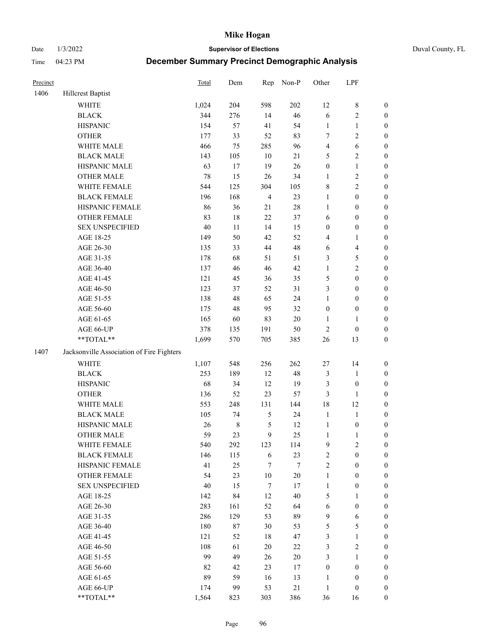Date 1/3/2022 **Supervisor of Elections** Duval County, FL

| Precinct |                                                           | <b>Total</b> | Dem     | Rep            | Non-P  | Other            | LPF              |                  |
|----------|-----------------------------------------------------------|--------------|---------|----------------|--------|------------------|------------------|------------------|
| 1406     | <b>Hillcrest Baptist</b>                                  |              |         |                |        |                  |                  |                  |
|          | <b>WHITE</b>                                              | 1,024        | 204     | 598            | 202    | 12               | $\,$ 8 $\,$      | 0                |
|          | <b>BLACK</b>                                              | 344          | 276     | 14             | 46     | 6                | $\sqrt{2}$       | $\boldsymbol{0}$ |
|          | <b>HISPANIC</b>                                           | 154          | 57      | 41             | 54     | $\mathbf{1}$     | $\mathbf{1}$     | $\boldsymbol{0}$ |
|          | <b>OTHER</b>                                              | 177          | 33      | 52             | 83     | 7                | $\sqrt{2}$       | $\boldsymbol{0}$ |
|          | WHITE MALE                                                | 466          | 75      | 285            | 96     | 4                | 6                | $\boldsymbol{0}$ |
|          | <b>BLACK MALE</b>                                         | 143          | 105     | 10             | 21     | 5                | $\sqrt{2}$       | $\boldsymbol{0}$ |
|          | HISPANIC MALE                                             | 63           | 17      | 19             | 26     | $\boldsymbol{0}$ | $\mathbf{1}$     | $\boldsymbol{0}$ |
|          | <b>OTHER MALE</b>                                         | 78           | 15      | 26             | 34     | $\mathbf{1}$     | $\sqrt{2}$       | $\boldsymbol{0}$ |
|          | WHITE FEMALE                                              | 544          | 125     | 304            | 105    | 8                | $\sqrt{2}$       | $\boldsymbol{0}$ |
|          | <b>BLACK FEMALE</b>                                       | 196          | 168     | $\overline{4}$ | 23     | $\mathbf{1}$     | $\boldsymbol{0}$ | $\boldsymbol{0}$ |
|          | HISPANIC FEMALE                                           | 86           | 36      | 21             | $28\,$ | $\mathbf{1}$     | $\boldsymbol{0}$ | $\boldsymbol{0}$ |
|          | <b>OTHER FEMALE</b>                                       | 83           | 18      | 22             | 37     | 6                | $\boldsymbol{0}$ | $\boldsymbol{0}$ |
|          | <b>SEX UNSPECIFIED</b>                                    | 40           | 11      | 14             | 15     | $\boldsymbol{0}$ | $\boldsymbol{0}$ | $\boldsymbol{0}$ |
|          | AGE 18-25                                                 | 149          | 50      | 42             | 52     | 4                | 1                | $\boldsymbol{0}$ |
|          | AGE 26-30                                                 | 135          | 33      | 44             | 48     | 6                | $\overline{4}$   | $\boldsymbol{0}$ |
|          | AGE 31-35                                                 | 178          | 68      | 51             | 51     | 3                | $\mathfrak s$    | $\boldsymbol{0}$ |
|          | AGE 36-40                                                 | 137          | 46      | 46             | 42     | $\mathbf{1}$     | $\sqrt{2}$       | $\boldsymbol{0}$ |
|          | AGE 41-45                                                 | 121          | 45      | 36             | 35     | 5                | $\boldsymbol{0}$ | $\boldsymbol{0}$ |
|          | AGE 46-50                                                 | 123          | 37      | 52             | 31     | 3                | $\boldsymbol{0}$ | $\boldsymbol{0}$ |
|          | AGE 51-55                                                 | 138          | 48      | 65             | 24     | $\mathbf{1}$     | $\boldsymbol{0}$ | $\boldsymbol{0}$ |
|          | AGE 56-60                                                 | 175          | 48      | 95             | 32     | $\boldsymbol{0}$ | $\boldsymbol{0}$ | 0                |
|          | AGE 61-65                                                 | 165          | 60      | 83             | $20\,$ | $\mathbf{1}$     | $\mathbf{1}$     | $\boldsymbol{0}$ |
|          | AGE 66-UP                                                 | 378          | 135     | 191            | 50     | $\sqrt{2}$       | $\boldsymbol{0}$ | $\boldsymbol{0}$ |
|          | $\mathrm{*}\mathrm{*}\mathrm{TOTAL} \mathrm{*}\mathrm{*}$ | 1,699        | 570     | 705            | 385    | $26\,$           | 13               | $\boldsymbol{0}$ |
| 1407     | Jacksonville Association of Fire Fighters                 |              |         |                |        |                  |                  |                  |
|          | <b>WHITE</b>                                              | 1,107        | 548     | 256            | 262    | $27\,$           | 14               | $\boldsymbol{0}$ |
|          | <b>BLACK</b>                                              | 253          | 189     | 12             | 48     | 3                | $\mathbf{1}$     | $\boldsymbol{0}$ |
|          | <b>HISPANIC</b>                                           | 68           | 34      | 12             | 19     | 3                | $\boldsymbol{0}$ | $\boldsymbol{0}$ |
|          | <b>OTHER</b>                                              | 136          | 52      | 23             | 57     | 3                | $\mathbf{1}$     | $\boldsymbol{0}$ |
|          | WHITE MALE                                                | 553          | 248     | 131            | 144    | 18               | 12               | $\boldsymbol{0}$ |
|          | <b>BLACK MALE</b>                                         | 105          | 74      | $\mathfrak{S}$ | 24     | $\mathbf{1}$     | $\mathbf{1}$     | $\boldsymbol{0}$ |
|          | HISPANIC MALE                                             | 26           | $\,8\,$ | $\mathfrak s$  | 12     | $\mathbf{1}$     | $\boldsymbol{0}$ | 0                |
|          | <b>OTHER MALE</b>                                         | 59           | 23      | 9              | 25     | $\mathbf{1}$     | $\mathbf{1}$     | $\boldsymbol{0}$ |
|          | WHITE FEMALE                                              | 540          | 292     | 123            | 114    | 9                | $\overline{c}$   | 0                |
|          | <b>BLACK FEMALE</b>                                       | 146          | 115     | 6              | 23     | $\overline{c}$   | $\boldsymbol{0}$ | $\overline{0}$   |
|          | HISPANIC FEMALE                                           | 41           | 25      | 7              | 7      | $\overline{c}$   | $\boldsymbol{0}$ | $\overline{0}$   |
|          | OTHER FEMALE                                              | 54           | 23      | $10\,$         | $20\,$ | $\mathbf{1}$     | $\boldsymbol{0}$ | 0                |
|          | <b>SEX UNSPECIFIED</b>                                    | 40           | 15      | 7              | 17     | $\mathbf{1}$     | $\boldsymbol{0}$ | 0                |
|          | AGE 18-25                                                 | 142          | 84      | 12             | $40\,$ | 5                | $\mathbf{1}$     | 0                |
|          | AGE 26-30                                                 | 283          | 161     | 52             | 64     | 6                | $\boldsymbol{0}$ | 0                |
|          | AGE 31-35                                                 | 286          | 129     | 53             | 89     | 9                | 6                | 0                |
|          | AGE 36-40                                                 | 180          | $87\,$  | 30             | 53     | 5                | $\mathfrak s$    | 0                |
|          | AGE 41-45                                                 | 121          | 52      | 18             | 47     | $\mathfrak{Z}$   | $\mathbf{1}$     | 0                |
|          | AGE 46-50                                                 | 108          | 61      | 20             | $22\,$ | 3                | $\sqrt{2}$       | 0                |
|          | AGE 51-55                                                 | 99           | 49      | 26             | $20\,$ | 3                | $\mathbf{1}$     | 0                |
|          | AGE 56-60                                                 | 82           | 42      | 23             | 17     | $\boldsymbol{0}$ | $\boldsymbol{0}$ | 0                |
|          | AGE 61-65                                                 | 89           | 59      | 16             | 13     | 1                | $\boldsymbol{0}$ | 0                |
|          | AGE 66-UP                                                 | 174          | 99      | 53             | 21     | $\mathbf{1}$     | $\boldsymbol{0}$ | 0                |
|          | **TOTAL**                                                 | 1,564        | 823     | 303            | 386    | 36               | 16               | $\boldsymbol{0}$ |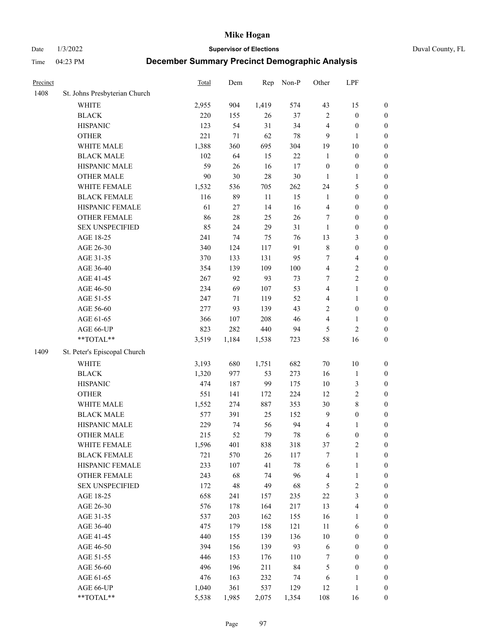Date 1/3/2022 **Supervisor of Elections** Duval County, FL

| Precinct |                               | <b>Total</b> | Dem    | Rep    | Non-P  | Other                   | LPF                     |                  |
|----------|-------------------------------|--------------|--------|--------|--------|-------------------------|-------------------------|------------------|
| 1408     | St. Johns Presbyterian Church |              |        |        |        |                         |                         |                  |
|          | <b>WHITE</b>                  | 2,955        | 904    | 1,419  | 574    | 43                      | 15                      | 0                |
|          | <b>BLACK</b>                  | 220          | 155    | $26\,$ | 37     | $\mathbf{2}$            | $\boldsymbol{0}$        | 0                |
|          | <b>HISPANIC</b>               | 123          | 54     | 31     | 34     | 4                       | $\boldsymbol{0}$        | $\boldsymbol{0}$ |
|          | <b>OTHER</b>                  | 221          | 71     | 62     | $78\,$ | 9                       | 1                       | $\boldsymbol{0}$ |
|          | WHITE MALE                    | 1,388        | 360    | 695    | 304    | 19                      | $10\,$                  | $\boldsymbol{0}$ |
|          | <b>BLACK MALE</b>             | 102          | 64     | 15     | $22\,$ | $\mathbf{1}$            | $\boldsymbol{0}$        | $\boldsymbol{0}$ |
|          | HISPANIC MALE                 | 59           | 26     | 16     | 17     | $\boldsymbol{0}$        | $\boldsymbol{0}$        | $\boldsymbol{0}$ |
|          | <b>OTHER MALE</b>             | 90           | 30     | 28     | $30\,$ | $\mathbf{1}$            | $\mathbf{1}$            | $\boldsymbol{0}$ |
|          | WHITE FEMALE                  | 1,532        | 536    | 705    | 262    | 24                      | $\mathfrak{S}$          | $\boldsymbol{0}$ |
|          | <b>BLACK FEMALE</b>           | 116          | 89     | $11\,$ | 15     | $\mathbf{1}$            | $\boldsymbol{0}$        | $\boldsymbol{0}$ |
|          | HISPANIC FEMALE               | 61           | 27     | 14     | 16     | $\overline{\mathbf{4}}$ | $\boldsymbol{0}$        | 0                |
|          | OTHER FEMALE                  | 86           | $28\,$ | 25     | 26     | 7                       | $\boldsymbol{0}$        | $\boldsymbol{0}$ |
|          | <b>SEX UNSPECIFIED</b>        | 85           | 24     | 29     | 31     | $\mathbf{1}$            | $\boldsymbol{0}$        | $\boldsymbol{0}$ |
|          | AGE 18-25                     | 241          | 74     | 75     | 76     | 13                      | $\mathfrak{Z}$          | $\boldsymbol{0}$ |
|          | AGE 26-30                     | 340          | 124    | 117    | 91     | $\,$ $\,$               | $\boldsymbol{0}$        | $\boldsymbol{0}$ |
|          | AGE 31-35                     | 370          | 133    | 131    | 95     | 7                       | $\overline{\mathbf{4}}$ | $\boldsymbol{0}$ |
|          | AGE 36-40                     | 354          | 139    | 109    | 100    | $\overline{\mathbf{4}}$ | $\sqrt{2}$              | $\boldsymbol{0}$ |
|          | AGE 41-45                     | 267          | 92     | 93     | 73     | $\tau$                  | $\overline{2}$          | $\boldsymbol{0}$ |
|          | AGE 46-50                     | 234          | 69     | 107    | 53     | $\overline{4}$          | $\mathbf{1}$            | $\boldsymbol{0}$ |
|          | AGE 51-55                     | 247          | 71     | 119    | 52     | 4                       | $\mathbf{1}$            | $\boldsymbol{0}$ |
|          | AGE 56-60                     | 277          | 93     | 139    | 43     | $\overline{c}$          | $\boldsymbol{0}$        | 0                |
|          | AGE 61-65                     | 366          | 107    | 208    | 46     | 4                       | $\mathbf{1}$            | 0                |
|          | AGE 66-UP                     | 823          | 282    | 440    | 94     | $\mathfrak{S}$          | $\sqrt{2}$              | $\boldsymbol{0}$ |
|          | **TOTAL**                     | 3,519        | 1,184  | 1,538  | 723    | 58                      | 16                      | $\boldsymbol{0}$ |
| 1409     | St. Peter's Episcopal Church  |              |        |        |        |                         |                         |                  |
|          | <b>WHITE</b>                  | 3,193        | 680    | 1,751  | 682    | $70\,$                  | $10\,$                  | $\boldsymbol{0}$ |
|          | <b>BLACK</b>                  | 1,320        | 977    | 53     | 273    | 16                      | $\mathbf{1}$            | $\boldsymbol{0}$ |
|          | <b>HISPANIC</b>               | 474          | 187    | 99     | 175    | $10\,$                  | $\mathfrak{Z}$          | $\boldsymbol{0}$ |
|          | <b>OTHER</b>                  | 551          | 141    | 172    | 224    | 12                      | $\sqrt{2}$              | $\boldsymbol{0}$ |
|          | WHITE MALE                    | 1,552        | 274    | 887    | 353    | 30                      | $8\,$                   | $\boldsymbol{0}$ |
|          | <b>BLACK MALE</b>             | 577          | 391    | 25     | 152    | $\overline{9}$          | $\boldsymbol{0}$        | $\boldsymbol{0}$ |
|          | HISPANIC MALE                 | 229          | 74     | 56     | 94     | 4                       | 1                       | $\boldsymbol{0}$ |
|          | <b>OTHER MALE</b>             | 215          | 52     | 79     | $78\,$ | 6                       | $\boldsymbol{0}$        | $\boldsymbol{0}$ |
|          | WHITE FEMALE                  | 1,596        | 401    | 838    | 318    | 37                      | 2                       | 0                |
|          | <b>BLACK FEMALE</b>           | 721          | 570    | 26     | 117    | 7                       | $\mathbf{1}$            | $\boldsymbol{0}$ |
|          | HISPANIC FEMALE               | 233          | 107    | 41     | $78\,$ | 6                       | $\mathbf{1}$            | $\boldsymbol{0}$ |
|          | <b>OTHER FEMALE</b>           | 243          | 68     | 74     | 96     | 4                       | $\mathbf{1}$            | $\overline{0}$   |
|          | <b>SEX UNSPECIFIED</b>        | 172          | 48     | 49     | 68     | 5                       | $\sqrt{2}$              | 0                |
|          | AGE 18-25                     | 658          | 241    | 157    | 235    | $22\,$                  | $\mathfrak{Z}$          | $\theta$         |
|          | AGE 26-30                     | 576          | 178    | 164    | 217    | 13                      | $\overline{\mathbf{4}}$ | 0                |
|          | AGE 31-35                     | 537          | 203    | 162    | 155    | 16                      | 1                       | 0                |
|          | AGE 36-40                     | 475          | 179    | 158    | 121    | $11\,$                  | 6                       | 0                |
|          | AGE 41-45                     | 440          | 155    | 139    | 136    | 10                      | $\boldsymbol{0}$        | 0                |
|          | AGE 46-50                     | 394          | 156    | 139    | 93     | 6                       | $\boldsymbol{0}$        | 0                |
|          | AGE 51-55                     | 446          | 153    | 176    | 110    | 7                       | $\boldsymbol{0}$        | 0                |
|          | AGE 56-60                     | 496          | 196    | 211    | 84     | 5                       | $\boldsymbol{0}$        | $\overline{0}$   |
|          | AGE 61-65                     | 476          | 163    | 232    | 74     | 6                       | 1                       | $\boldsymbol{0}$ |
|          | AGE 66-UP                     | 1,040        | 361    | 537    | 129    | 12                      | $\mathbf{1}$            | $\boldsymbol{0}$ |
|          | $**TOTAL**$                   | 5,538        | 1,985  | 2,075  | 1,354  | 108                     | 16                      | $\boldsymbol{0}$ |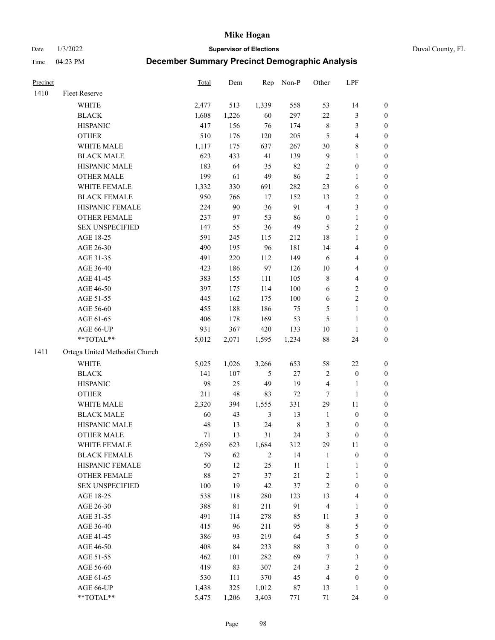Date 1/3/2022 **Supervisor of Elections** Duval County, FL

| Precinct |                                | <b>Total</b> | Dem   | Rep            | Non-P   | Other            | LPF                     |                  |
|----------|--------------------------------|--------------|-------|----------------|---------|------------------|-------------------------|------------------|
| 1410     | Fleet Reserve                  |              |       |                |         |                  |                         |                  |
|          | WHITE                          | 2,477        | 513   | 1,339          | 558     | 53               | 14                      | 0                |
|          | <b>BLACK</b>                   | 1,608        | 1,226 | 60             | 297     | $22\,$           | $\mathfrak{Z}$          | 0                |
|          | <b>HISPANIC</b>                | 417          | 156   | 76             | 174     | $\,$ 8 $\,$      | $\mathfrak{Z}$          | $\boldsymbol{0}$ |
|          | <b>OTHER</b>                   | 510          | 176   | 120            | 205     | 5                | $\overline{\mathbf{4}}$ | $\boldsymbol{0}$ |
|          | WHITE MALE                     | 1,117        | 175   | 637            | 267     | 30               | $8\,$                   | $\boldsymbol{0}$ |
|          | <b>BLACK MALE</b>              | 623          | 433   | 41             | 139     | $\overline{9}$   | 1                       | $\boldsymbol{0}$ |
|          | HISPANIC MALE                  | 183          | 64    | 35             | 82      | $\sqrt{2}$       | $\boldsymbol{0}$        | $\boldsymbol{0}$ |
|          | <b>OTHER MALE</b>              | 199          | 61    | 49             | 86      | $\overline{2}$   | $\mathbf{1}$            | $\boldsymbol{0}$ |
|          | WHITE FEMALE                   | 1,332        | 330   | 691            | 282     | 23               | 6                       | $\boldsymbol{0}$ |
|          | <b>BLACK FEMALE</b>            | 950          | 766   | 17             | 152     | 13               | $\mathbf{2}$            | 0                |
|          | HISPANIC FEMALE                | 224          | 90    | 36             | 91      | 4                | $\mathfrak{Z}$          | 0                |
|          | OTHER FEMALE                   | 237          | 97    | 53             | 86      | $\boldsymbol{0}$ | $\mathbf{1}$            | 0                |
|          | <b>SEX UNSPECIFIED</b>         | 147          | 55    | 36             | 49      | $\mathfrak{S}$   | $\sqrt{2}$              | $\boldsymbol{0}$ |
|          | AGE 18-25                      | 591          | 245   | 115            | 212     | 18               | $\mathbf{1}$            | $\boldsymbol{0}$ |
|          | AGE 26-30                      | 490          | 195   | 96             | 181     | 14               | $\overline{\mathbf{4}}$ | $\boldsymbol{0}$ |
|          | AGE 31-35                      | 491          | 220   | 112            | 149     | 6                | $\overline{\mathbf{4}}$ | $\boldsymbol{0}$ |
|          | AGE 36-40                      | 423          | 186   | 97             | 126     | $10\,$           | $\overline{\mathbf{4}}$ | $\boldsymbol{0}$ |
|          | AGE 41-45                      | 383          | 155   | 111            | 105     | 8                | $\overline{4}$          | $\boldsymbol{0}$ |
|          | AGE 46-50                      | 397          | 175   | 114            | $100\,$ | $\sqrt{6}$       | $\sqrt{2}$              | $\boldsymbol{0}$ |
|          | AGE 51-55                      | 445          | 162   | 175            | 100     | 6                | $\sqrt{2}$              | 0                |
|          | AGE 56-60                      | 455          | 188   | 186            | 75      | 5                | $\mathbf{1}$            | 0                |
|          | AGE 61-65                      | 406          | 178   | 169            | 53      | $\mathfrak{S}$   | $\mathbf{1}$            | 0                |
|          | AGE 66-UP                      | 931          | 367   | 420            | 133     | $10\,$           | $\mathbf{1}$            | 0                |
|          | **TOTAL**                      | 5,012        | 2,071 | 1,595          | 1,234   | $88\,$           | 24                      | $\boldsymbol{0}$ |
| 1411     | Ortega United Methodist Church |              |       |                |         |                  |                         |                  |
|          | <b>WHITE</b>                   | 5,025        | 1,026 | 3,266          | 653     | 58               | $22\,$                  | $\boldsymbol{0}$ |
|          | <b>BLACK</b>                   | 141          | 107   | $\mathfrak{S}$ | $27\,$  | $\sqrt{2}$       | $\boldsymbol{0}$        | $\boldsymbol{0}$ |
|          | <b>HISPANIC</b>                | 98           | 25    | 49             | 19      | 4                | $\mathbf{1}$            | $\boldsymbol{0}$ |
|          | <b>OTHER</b>                   | 211          | 48    | 83             | $72\,$  | $\tau$           | $\mathbf{1}$            | $\boldsymbol{0}$ |
|          | WHITE MALE                     | 2,320        | 394   | 1,555          | 331     | 29               | $11\,$                  | $\boldsymbol{0}$ |
|          | <b>BLACK MALE</b>              | 60           | 43    | 3              | 13      | $\mathbf{1}$     | $\boldsymbol{0}$        | $\boldsymbol{0}$ |
|          | HISPANIC MALE                  | 48           | 13    | 24             | $\,8\,$ | 3                | $\boldsymbol{0}$        | 0                |
|          | <b>OTHER MALE</b>              | 71           | 13    | 31             | 24      | 3                | $\boldsymbol{0}$        | 0                |
|          | WHITE FEMALE                   | 2,659        | 623   | 1,684          | 312     | 29               | 11                      | 0                |
|          | <b>BLACK FEMALE</b>            | 79           | 62    | $\overline{2}$ | 14      | $\mathbf{1}$     | $\boldsymbol{0}$        | $\boldsymbol{0}$ |
|          | HISPANIC FEMALE                | 50           | 12    | 25             | $11\,$  | $\mathbf{1}$     | $\mathbf{1}$            | $\boldsymbol{0}$ |
|          | OTHER FEMALE                   | 88           | 27    | 37             | $21\,$  | $\sqrt{2}$       | $\mathbf{1}$            | 0                |
|          | <b>SEX UNSPECIFIED</b>         | 100          | 19    | 42             | 37      | $\overline{c}$   | $\boldsymbol{0}$        | 0                |
|          | AGE 18-25                      | 538          | 118   | 280            | 123     | 13               | $\overline{\mathbf{4}}$ | 0                |
|          | AGE 26-30                      | 388          | 81    | 211            | 91      | 4                | $\mathbf{1}$            | 0                |
|          | AGE 31-35                      | 491          | 114   | 278            | 85      | 11               | $\mathfrak{Z}$          | 0                |
|          | AGE 36-40                      | 415          | 96    | 211            | 95      | $\,$ $\,$        | $\mathfrak{S}$          | 0                |
|          | AGE 41-45                      | 386          | 93    | 219            | 64      | 5                | $\mathfrak{S}$          | 0                |
|          | AGE 46-50                      | 408          | 84    | 233            | $88\,$  | 3                | $\boldsymbol{0}$        | 0                |
|          | AGE 51-55                      | 462          | 101   | 282            | 69      | 7                | $\mathfrak{Z}$          | 0                |
|          | AGE 56-60                      | 419          | 83    | 307            | 24      | 3                | $\sqrt{2}$              | 0                |
|          | AGE 61-65                      | 530          | 111   | 370            | 45      | 4                | $\boldsymbol{0}$        | 0                |
|          | AGE 66-UP                      | 1,438        | 325   | 1,012          | 87      | 13               | $\mathbf{1}$            | 0                |
|          | **TOTAL**                      | 5,475        | 1,206 | 3,403          | 771     | 71               | 24                      | $\boldsymbol{0}$ |
|          |                                |              |       |                |         |                  |                         |                  |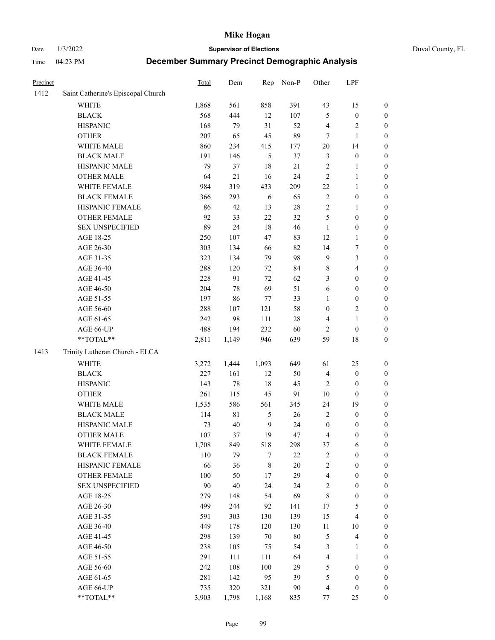Date 1/3/2022 **Supervisor of Elections** Duval County, FL

| Precinct |                                    | Total | Dem         | Rep    | Non-P  | Other            | LPF              |                  |
|----------|------------------------------------|-------|-------------|--------|--------|------------------|------------------|------------------|
| 1412     | Saint Catherine's Episcopal Church |       |             |        |        |                  |                  |                  |
|          | <b>WHITE</b>                       | 1,868 | 561         | 858    | 391    | 43               | 15               | 0                |
|          | <b>BLACK</b>                       | 568   | 444         | 12     | 107    | 5                | $\boldsymbol{0}$ | 0                |
|          | <b>HISPANIC</b>                    | 168   | 79          | 31     | 52     | 4                | $\sqrt{2}$       | $\boldsymbol{0}$ |
|          | <b>OTHER</b>                       | 207   | 65          | 45     | 89     | 7                | $\mathbf{1}$     | $\boldsymbol{0}$ |
|          | WHITE MALE                         | 860   | 234         | 415    | 177    | 20               | 14               | $\boldsymbol{0}$ |
|          | <b>BLACK MALE</b>                  | 191   | 146         | 5      | 37     | 3                | $\boldsymbol{0}$ | $\boldsymbol{0}$ |
|          | HISPANIC MALE                      | 79    | 37          | 18     | 21     | $\overline{c}$   | $\mathbf{1}$     | $\boldsymbol{0}$ |
|          | <b>OTHER MALE</b>                  | 64    | $21\,$      | 16     | 24     | $\overline{c}$   | $\mathbf{1}$     | $\boldsymbol{0}$ |
|          | WHITE FEMALE                       | 984   | 319         | 433    | 209    | $22\,$           | $\mathbf{1}$     | $\boldsymbol{0}$ |
|          | <b>BLACK FEMALE</b>                | 366   | 293         | 6      | 65     | $\mathbf{2}$     | $\boldsymbol{0}$ | $\boldsymbol{0}$ |
|          | HISPANIC FEMALE                    | 86    | 42          | 13     | 28     | $\overline{c}$   | 1                | $\boldsymbol{0}$ |
|          | OTHER FEMALE                       | 92    | 33          | 22     | 32     | 5                | $\boldsymbol{0}$ | $\boldsymbol{0}$ |
|          | <b>SEX UNSPECIFIED</b>             | 89    | 24          | 18     | 46     | $\mathbf{1}$     | $\boldsymbol{0}$ | $\boldsymbol{0}$ |
|          | AGE 18-25                          | 250   | 107         | 47     | 83     | 12               | $\mathbf{1}$     | $\boldsymbol{0}$ |
|          | AGE 26-30                          | 303   | 134         | 66     | 82     | 14               | $\boldsymbol{7}$ | $\boldsymbol{0}$ |
|          | AGE 31-35                          | 323   | 134         | 79     | 98     | 9                | 3                | $\boldsymbol{0}$ |
|          | AGE 36-40                          | 288   | 120         | 72     | 84     | 8                | $\overline{4}$   | $\boldsymbol{0}$ |
|          | AGE 41-45                          | 228   | 91          | 72     | 62     | 3                | $\boldsymbol{0}$ | $\boldsymbol{0}$ |
|          | AGE 46-50                          | 204   | 78          | 69     | 51     | 6                | $\boldsymbol{0}$ | $\boldsymbol{0}$ |
|          | AGE 51-55                          | 197   | 86          | 77     | 33     | 1                | $\boldsymbol{0}$ | $\boldsymbol{0}$ |
|          | AGE 56-60                          | 288   | 107         | 121    | 58     | 0                | $\sqrt{2}$       | $\boldsymbol{0}$ |
|          | AGE 61-65                          | 242   | 98          | 111    | $28\,$ | 4                | $\mathbf{1}$     | $\boldsymbol{0}$ |
|          | AGE 66-UP                          | 488   | 194         | 232    | 60     | $\overline{c}$   | $\boldsymbol{0}$ | $\boldsymbol{0}$ |
|          | $**TOTAL**$                        | 2,811 | 1,149       | 946    | 639    | 59               | 18               | $\boldsymbol{0}$ |
| 1413     | Trinity Lutheran Church - ELCA     |       |             |        |        |                  |                  |                  |
|          | <b>WHITE</b>                       | 3,272 | 1,444       | 1,093  | 649    | 61               | 25               | $\boldsymbol{0}$ |
|          | <b>BLACK</b>                       | 227   | 161         | 12     | 50     | 4                | $\boldsymbol{0}$ | $\boldsymbol{0}$ |
|          | <b>HISPANIC</b>                    | 143   | 78          | 18     | 45     | 2                | $\boldsymbol{0}$ | $\boldsymbol{0}$ |
|          | <b>OTHER</b>                       | 261   | 115         | 45     | 91     | 10               | $\boldsymbol{0}$ | $\boldsymbol{0}$ |
|          | WHITE MALE                         | 1,535 | 586         | 561    | 345    | 24               | 19               | $\boldsymbol{0}$ |
|          | <b>BLACK MALE</b>                  | 114   | $8\sqrt{1}$ | 5      | 26     | $\overline{c}$   | $\boldsymbol{0}$ | $\boldsymbol{0}$ |
|          | HISPANIC MALE                      | 73    | 40          | 9      | 24     | $\boldsymbol{0}$ | $\boldsymbol{0}$ | 0                |
|          | <b>OTHER MALE</b>                  | 107   | 37          | 19     | 47     | 4                | $\boldsymbol{0}$ | $\boldsymbol{0}$ |
|          | WHITE FEMALE                       | 1,708 | 849         | 518    | 298    | 37               | 6                | 0                |
|          | <b>BLACK FEMALE</b>                | 110   | 79          | 7      | 22     | 2                | $\boldsymbol{0}$ | $\boldsymbol{0}$ |
|          | HISPANIC FEMALE                    | 66    | 36          | 8      | 20     | $\overline{c}$   | $\boldsymbol{0}$ | $\overline{0}$   |
|          | <b>OTHER FEMALE</b>                | 100   | 50          | 17     | 29     | 4                | $\boldsymbol{0}$ | $\overline{0}$   |
|          | <b>SEX UNSPECIFIED</b>             | 90    | 40          | 24     | 24     | 2                | $\boldsymbol{0}$ | 0                |
|          | AGE 18-25                          | 279   | 148         | 54     | 69     | 8                | $\boldsymbol{0}$ | 0                |
|          | AGE 26-30                          | 499   | 244         | 92     | 141    | 17               | $\mathfrak s$    | 0                |
|          | AGE 31-35                          | 591   | 303         | 130    | 139    | 15               | $\overline{4}$   | 0                |
|          | AGE 36-40                          | 449   | 178         | 120    | 130    | 11               | 10               | 0                |
|          | AGE 41-45                          | 298   | 139         | $70\,$ | 80     | 5                | $\overline{4}$   | 0                |
|          | AGE 46-50                          | 238   | 105         | 75     | 54     | 3                | 1                | 0                |
|          | AGE 51-55                          | 291   | 111         | 111    | 64     | 4                | $\mathbf{1}$     | 0                |
|          | AGE 56-60                          | 242   | 108         | 100    | 29     | 5                | $\boldsymbol{0}$ | $\overline{0}$   |
|          | AGE 61-65                          | 281   | 142         | 95     | 39     | 5                | $\boldsymbol{0}$ | $\boldsymbol{0}$ |
|          | AGE 66-UP                          | 735   | 320         | 321    | 90     | 4                | $\boldsymbol{0}$ | 0                |
|          | **TOTAL**                          | 3,903 | 1,798       | 1,168  | 835    | 77               | 25               | $\boldsymbol{0}$ |
|          |                                    |       |             |        |        |                  |                  |                  |